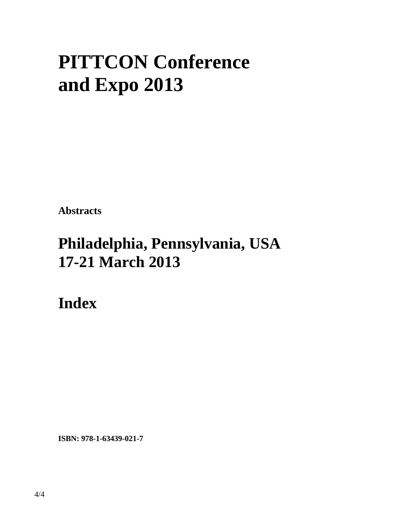# **PITTCON Conference and Expo 2013**

**Abstracts** 

## **Philadelphia, Pennsylvania, USA 17-21 March 2013**

**Index** 

**ISBN: 978-1-63439-021-7**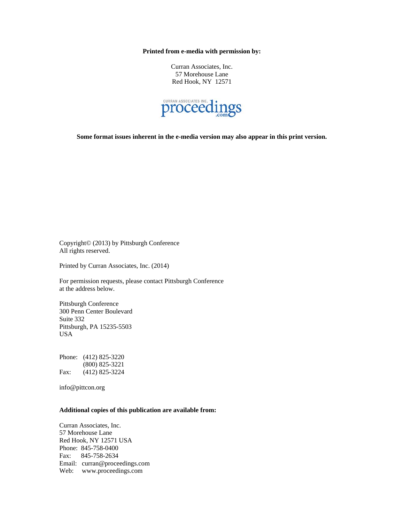**Printed from e-media with permission by:** 

Curran Associates, Inc. 57 Morehouse Lane Red Hook, NY 12571



**Some format issues inherent in the e-media version may also appear in this print version.** 

Copyright© (2013) by Pittsburgh Conference All rights reserved.

Printed by Curran Associates, Inc. (2014)

For permission requests, please contact Pittsburgh Conference at the address below.

Pittsburgh Conference 300 Penn Center Boulevard Suite 332 Pittsburgh, PA 15235-5503 USA

Phone: (412) 825-3220 (800) 825-3221 Fax: (412) 825-3224

info@pittcon.org

#### **Additional copies of this publication are available from:**

Curran Associates, Inc. 57 Morehouse Lane Red Hook, NY 12571 USA Phone: 845-758-0400 Fax: 845-758-2634 Email: curran@proceedings.com Web: www.proceedings.com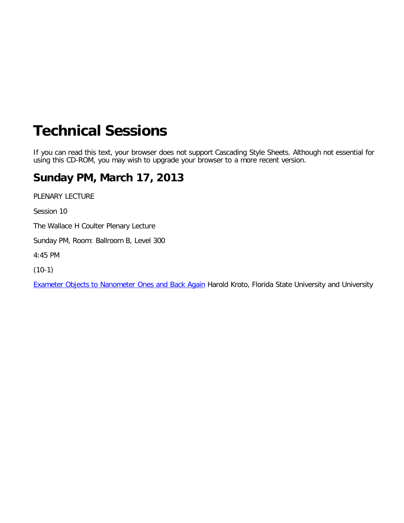## <span id="page-2-0"></span>**Technical Sessions**

If you can read this text, your browser does not support Cascading Style Sheets. Although not essential for using this CD-ROM, you may wish to upgrade your browser to a more recent version.

### **Su[nda](#page-2-0)[y PM, Marc](file:///p|/print%20on%20demand%20titles/23101-23200/23133/23133%20source%20materials/presiders.htm)h 17, 2013**

PLENARY L[ECTURE](file:///p|/print%20on%20demand%20titles/23101-23200/23133/23133%20source%20materials/watersinfo.pdf#page=1)

[Session 10](#page-2-0)

The [Wallace H Coulter Plenary Lecture](file:///p|/print%20on%20demand%20titles/23101-23200/23133/23133%20source%20materials/2014_message.pdf#page=1)

[Sunday PM, Ro](file:///p|/print%20on%20demand%20titles/23101-23200/23133/23133%20source%20materials/shortcourses.pdf#page=1)om: Ballroom B, Level 300

[4:45](file:///p|/print%20on%20demand%20titles/23101-23200/23133/23133%20source%20materials/mobile_app.pdf#page=1) [PM](file:///p|/print%20on%20demand%20titles/23101-23200/23133/23133%20source%20materials/WC_key.pdf#page=1)

[\(10-1\)](file:///p|/print%20on%20demand%20titles/23101-23200/23133/23133%20source%20materials/search/index.htm)

[Exa](https://omniship.wufoo.com/forms/contact-technical-support/def/field6=PITTCON_53302&field130=8)[meter](file:///p|/print%20on%20demand%20titles/23101-23200/23133/23133%20source%20materials/html/copyright.htm) Objects to Nanometer Ones and Back Again Harold Kroto, Florida State University and University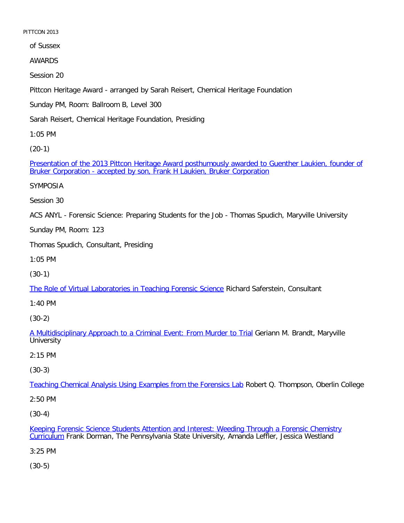of Sussex

AWARDS

Session 20

Pittcon Heritage Award - arranged by Sarah Reisert, Chemical Heritage Foundation

Sunday PM, Room: Ballroom B, Level 300

Sarah Reisert, Chemical Heritage Foundation, Presiding

1:05 PM

[\(20-1\)](file:///p|/print%20on%20demand%20titles/23101-23200/23133/23133%20source%20materials/papers/20-1.htm)

[Presentation of the 2013 Pittcon Heritage Award posthumously awarded to Gu](file:///p|/print%20on%20demand%20titles/23101-23200/23133/23133%20source%20materials/papers/20-1.htm)enther Laukien, founder of Bruker Corporation - accepted by son, Frank H Laukien, Bruker Corporation

SYMPOSIA

Session 30

ACS ANYL - Forensic Science: Preparing Students for the Job - Thomas Spudich, Maryville University

Sunday PM, Room: 123

Thomas Spudich, Consultant, Presiding

1:05 PM

(30-1)

[The Role of Virtual Laboratories in Teaching Forensic Science](file:///p|/print%20on%20demand%20titles/23101-23200/23133/23133%20source%20materials/papers/30-1.htm) Richard Saferstein, Consultant

1:40 PM

(30-2)

A Multidisciplinary Approach to a Criminal Event: From Murder to Trial Geriann M. Brandt, Maryville **[University](file:///p|/print%20on%20demand%20titles/23101-23200/23133/23133%20source%20materials/papers/30-2.htm)** 

2:15 PM

(30-3)

Teaching Chemical Analysis Using Examples from the Forensics Lab Robert Q. Thompson, Oberlin College

[2:50 PM](file:///p|/print%20on%20demand%20titles/23101-23200/23133/23133%20source%20materials/papers/30-3.htm)

(30-4)

Keeping Forensic Science Students Attention and Interest: Weeding Through a Forensic Chemistry Curriculum Frank Dorman, The Pennsylvania State University, Amanda Leffler, Jessica Westland

[3:25 PM](file:///p|/print%20on%20demand%20titles/23101-23200/23133/23133%20source%20materials/papers/30-4.htm)

(30-5)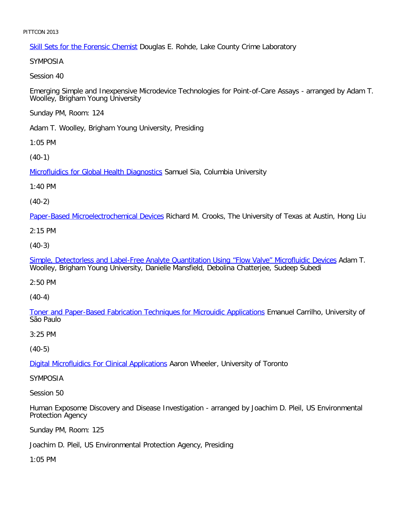Skill Sets for the Forensic Chemist Douglas E. Rohde, Lake County Crime Laboratory

SYMPOSIA

Session 40

Emerging Simple and Inexpensive Microdevice Technologies for Point-of-Care Assays - arranged by Adam T. Woolley, Brigham Young University

Sunday PM, Room: 124

Adam T. Woolley, Brigham Young University, Presiding

1:05 PM

[\(40-1\)](file:///p|/print%20on%20demand%20titles/23101-23200/23133/23133%20source%20materials/papers/40-1.htm)

**Microfluidics for Global Health Diagnostics Samuel Sia, Columbia University** 

1:40 PM

(40-2)

[Paper-Based Microelectrochemical Device](file:///p|/print%20on%20demand%20titles/23101-23200/23133/23133%20source%20materials/papers/40-2.htm)s Richard M. Crooks, The University of Texas at Austin, Hong Liu

2:15 PM

(40-3)

[Simple, Detectorless and Label-Free Analyte Quantitation Using "Flow Valve" Microfluidic Devices](file:///p|/print%20on%20demand%20titles/23101-23200/23133/23133%20source%20materials/papers/40-3.htm) Adam T. Woolley, Brigham Young University, Danielle Mansfield, Debolina Chatterjee, Sudeep Subedi

2:50 PM

(40-4)

[Toner and Paper-Based Fabrication Techniques for Microuidic Applications](file:///p|/print%20on%20demand%20titles/23101-23200/23133/23133%20source%20materials/papers/40-4.htm) Emanuel Carrilho, University of São Paulo

3:25 PM

(40-5)

**Digital Microfluidics For Clinical Applications Aaron Wheeler, University of Toronto** 

[SYMPOSIA](file:///p|/print%20on%20demand%20titles/23101-23200/23133/23133%20source%20materials/papers/40-5.htm)

Session 50

Human Exposome Discovery and Disease Investigation - arranged by Joachim D. Pleil, US Environmental Protection Agency

Sunday PM, Room: 125

Joachim D. Pleil, US Environmental Protection Agency, Presiding

1:05 PM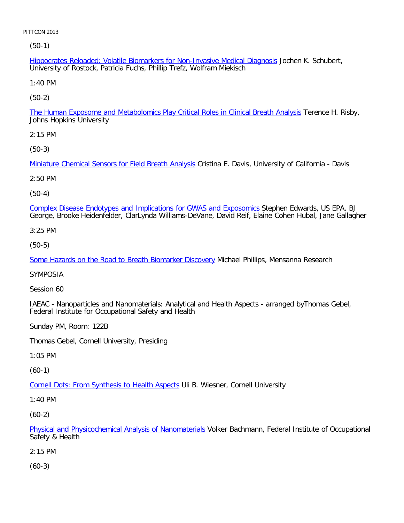(50-1)

Hippocrates Reloaded: Volatile Biomarkers for Non-Invasive Medical Diagnosis Jochen K. Schubert, University of Rostock, Patricia Fuchs, Phillip Trefz, Wolfram Miekisch

1:40 PM

[\(50-2\)](file:///p|/print%20on%20demand%20titles/23101-23200/23133/23133%20source%20materials/papers/50-2.htm)

The Human Exposome and Metabolomics Play Critical Roles in Clinical Breath Analysis Terence H. Risby, Johns Hopkins University

2:15 PM

[\(50-3\)](file:///p|/print%20on%20demand%20titles/23101-23200/23133/23133%20source%20materials/papers/50-3.htm)

Miniature Chemical Sensors for Field Breath Analysis Cristina E. Davis, University of California - Davis

2:50 PM

(50-4)

[Complex Disease Endotypes and Implications for GWAS and Exposomics](file:///p|/print%20on%20demand%20titles/23101-23200/23133/23133%20source%20materials/papers/50-4.htm) Stephen Edwards, US EPA, BJ George, Brooke Heidenfelder, ClarLynda Williams-DeVane, David Reif, Elaine Cohen Hubal, Jane Gallagher

3:25 PM

(50-5)

[Some Hazards on the Road to Breath Biomarker Discovery](file:///p|/print%20on%20demand%20titles/23101-23200/23133/23133%20source%20materials/papers/50-5.htm) Michael Phillips, Mensanna Research

SYMPOSIA

Session 60

IAEAC - Nanoparticles and Nanomaterials: Analytical and Health Aspects - arranged byThomas Gebel, Federal Institute for Occupational Safety and Health

Sunday PM, Room: 122B

Thomas Gebel, Cornell University, Presiding

1:05 PM

(60-1)

Cornell Dots: From Synthesis to Health Aspects Uli B. Wiesner, Cornell University

[1:40 PM](file:///p|/print%20on%20demand%20titles/23101-23200/23133/23133%20source%20materials/papers/60-1.htm)

(60-2)

Physical and Physicochemical Analysis of Nanomaterials Volker Bachmann, Federal Institute of Occupational Safety & Health

[2:15 PM](file:///p|/print%20on%20demand%20titles/23101-23200/23133/23133%20source%20materials/papers/60-2.htm)

(60-3)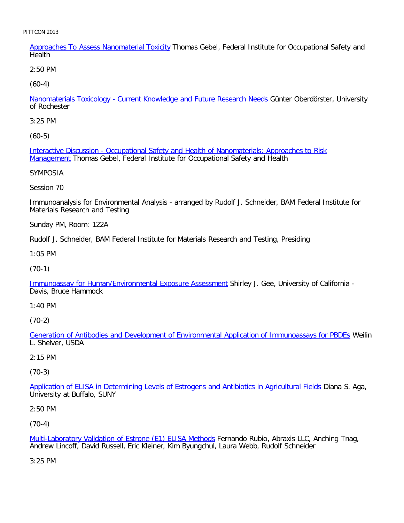Approaches To Assess Nanomaterial Toxicity Thomas Gebel, Federal Institute for Occupational Safety and **Health** 

2:50 PM

[\(60-4\)](file:///p|/print%20on%20demand%20titles/23101-23200/23133/23133%20source%20materials/papers/60-4.htm)

Nanomaterials Toxicology - Current Knowledge and Future Research Needs Günter Oberdörster, University of Rochester

3:25 PM

[\(60-5\)](file:///p|/print%20on%20demand%20titles/23101-23200/23133/23133%20source%20materials/papers/60-5.htm)

[Interactiv](file:///p|/print%20on%20demand%20titles/23101-23200/23133/23133%20source%20materials/papers/60-5.htm)e Discussion - Occupational Safety and Health of Nanomaterials: Approaches to Risk Management Thomas Gebel, Federal Institute for Occupational Safety and Health

SYMPOSIA

Session 70

Immunoanalysis for Environmental Analysis - arranged by Rudolf J. Schneider, BAM Federal Institute for Materials Research and Testing

Sunday PM, Room: 122A

Rudolf J. Schneider, BAM Federal Institute for Materials Research and Testing, Presiding

1:05 PM

(70-1)

[Immunoassay for Human/Environmental Exposure Assessment](file:///p|/print%20on%20demand%20titles/23101-23200/23133/23133%20source%20materials/papers/70-1.htm) Shirley J. Gee, University of California - Davis, Bruce Hammock

1:40 PM

(70-2)

Generation of Antibodies and Development of Environmental Application of Immunoassays for PBDEs Weilin [L. Shelver, USDA](file:///p|/print%20on%20demand%20titles/23101-23200/23133/23133%20source%20materials/papers/70-2.htm)

#### 2:15 PM

(70-3)

Application of ELISA in Determining Levels of Estrogens and Antibiotics in Agricultural Fields Diana S. Aga, [University at Buffalo, SUNY](file:///p|/print%20on%20demand%20titles/23101-23200/23133/23133%20source%20materials/papers/70-3.htm)

2:50 PM

(70-4)

Multi-Laboratory Validation of Estrone (E1) ELISA Methods Fernando Rubio, Abraxis LLC, Anching Tnag, Andrew Lincoff, David Russell, Eric Kleiner, Kim Byungchul, Laura Webb, Rudolf Schneider

[3:25 PM](file:///p|/print%20on%20demand%20titles/23101-23200/23133/23133%20source%20materials/papers/70-4.htm)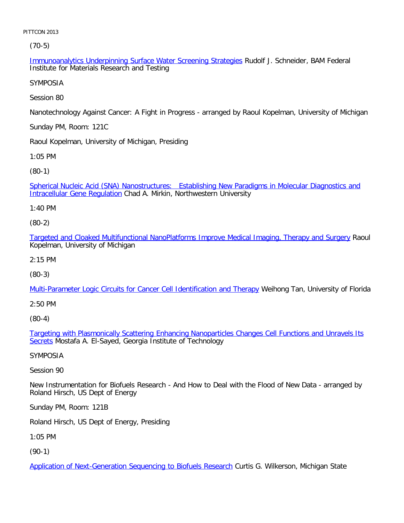(70-5)

Immunoanalytics Underpinning Surface Water Screening Strategies Rudolf J. Schneider, BAM Federal Institute for Materials Research and Testing

SYMPOSIA

Session 80

Nanotechnology Against Cancer: A Fight in Progress - arranged by Raoul Kopelman, University of Michigan

Sunday PM, Room: 121C

Raoul Kopelman, University of Michigan, Presiding

1:05 PM

[\(80-1\)](file:///p|/print%20on%20demand%20titles/23101-23200/23133/23133%20source%20materials/papers/80-1.htm)

[Spherical Nucleic Acid \(SNA](file:///p|/print%20on%20demand%20titles/23101-23200/23133/23133%20source%20materials/papers/80-1.htm)) Nanostructures: Establishing New Paradigms in Molecular Diagnostics and Intracellular Gene Regulation Chad A. Mirkin, Northwestern University

1:40 PM

(80-2)

[Targeted and Cloaked Multifunctional NanoPlatforms Improve Medical Imaging, Therapy and Surgery](file:///p|/print%20on%20demand%20titles/23101-23200/23133/23133%20source%20materials/papers/80-2.htm) Raoul Kopelman, University of Michigan

2:15 PM

(80-3)

[Multi-Parameter Logic Circuits for Cancer Cell Identification and Therapy](file:///p|/print%20on%20demand%20titles/23101-23200/23133/23133%20source%20materials/papers/80-3.htm) Weihong Tan, University of Florida

2:50 PM

(80-4)

Targeting with Plasmonically Scattering Enhancing Nanoparticles Changes Cell Functions and Unravels Its Secrets [Mostafa A. El-Sayed, Georgia Institute of Technology](file:///p|/print%20on%20demand%20titles/23101-23200/23133/23133%20source%20materials/papers/80-4.htm)

[SY](file:///p|/print%20on%20demand%20titles/23101-23200/23133/23133%20source%20materials/papers/80-4.htm)MPOSIA

Session 90

New Instrumentation for Biofuels Research - And How to Deal with the Flood of New Data - arranged by Roland Hirsch, US Dept of Energy

Sunday PM, Room: 121B

Roland Hirsch, US Dept of Energy, Presiding

1:05 PM

(90-1)

Application of Next-Generation Sequencing to Biofuels Research Curtis G. Wilkerson, Michigan State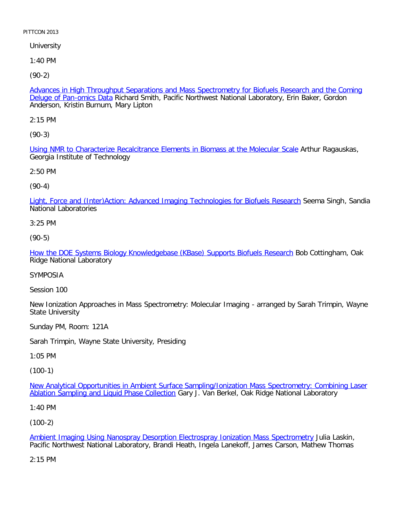**University** 

1:40 PM

[\(90-2\)](file:///p|/print%20on%20demand%20titles/23101-23200/23133/23133%20source%20materials/papers/90-2.htm)

Advances in High Throughput Separations and Mass Spectrometry for Biofuels Research and the Coming Deluge of Pan-omics Data Richard Smith, Pacific Northwest National Laboratory, Erin Baker, Gordon Anderson, Kristin Burnum, Mary Lipton

2:15 PM

[\(90-3\)](file:///p|/print%20on%20demand%20titles/23101-23200/23133/23133%20source%20materials/papers/90-3.htm)

Using NMR to Characterize Recalcitrance Elements in Biomass at the Molecular Scale Arthur Ragauskas, Georgia Institute of Technology

2:50 PM

(90-4)

[Light, Force and \(Inter\)Action: Advanced Imaging Technologies for Biofuels Research](file:///p|/print%20on%20demand%20titles/23101-23200/23133/23133%20source%20materials/papers/90-4.htm) Seema Singh, Sandia National Laboratories

3:25 PM

(90-5)

[How the DOE Systems Biology Knowledgebase \(KBase\) Supports Biofuels Research](file:///p|/print%20on%20demand%20titles/23101-23200/23133/23133%20source%20materials/papers/90-5.htm) Bob Cottingham, Oak Ridge National Laboratory

SYMPOSIA

Session 100

New Ionization Approaches in Mass Spectrometry: Molecular Imaging - arranged by Sarah Trimpin, Wayne State University

Sunday PM, Room: 121A

Sarah Trimpin, Wayne State University, Presiding

1:05 PM

(100-1)

New Analytical Opportunities in Ambient Surface Sampling/Ionization Mass Spectrometry: Combining Laser Ablation Sampling and Liquid Phase Collection [Gary J. Van Berkel, Oak Ridge National Laboratory](file:///p|/print%20on%20demand%20titles/23101-23200/23133/23133%20source%20materials/papers/100-1.htm)

[1:40 PM](file:///p|/print%20on%20demand%20titles/23101-23200/23133/23133%20source%20materials/papers/100-1.htm)

(100-2)

Ambient Imaging Using Nanospray Desorption Electrospray Ionization Mass Spectrometry Julia Laskin, Pacific Northwest National Laboratory, Brandi Heath, Ingela Lanekoff, James Carson, Mathew Thomas

[2:15 PM](file:///p|/print%20on%20demand%20titles/23101-23200/23133/23133%20source%20materials/papers/100-2.htm)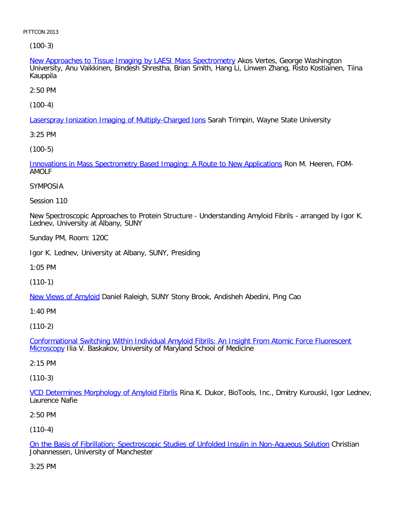(100-3)

New Approaches to Tissue Imaging by LAESI Mass Spectrometry Akos Vertes, George Washington University, Anu Vaikkinen, Bindesh Shrestha, Brian Smith, Hang Li, Linwen Zhang, Risto Kostiainen, Tiina Kauppila

2:50 PM

[\(100-4\)](file:///p|/print%20on%20demand%20titles/23101-23200/23133/23133%20source%20materials/papers/100-4.htm)

**Laserspray Ionization Imaging of Multiply-Charged Ions Sarah Trimpin, Wayne State University** 

3:25 PM

[\(100-5\)](file:///p|/print%20on%20demand%20titles/23101-23200/23133/23133%20source%20materials/papers/100-5.htm)

Innovations in Mass Spectrometry Based Imaging: A Route to New Applications Ron M. Heeren, FOM-AMOLF

SYMPOSIA

Session 110

New Spectroscopic Approaches to Protein Structure - Understanding Amyloid Fibrils - arranged by Igor K. Lednev, University at Albany, SUNY

Sunday PM, Room: 120C

Igor K. Lednev, University at Albany, SUNY, Presiding

1:05 PM

(110-1)

[New Views of Amy](file:///p|/print%20on%20demand%20titles/23101-23200/23133/23133%20source%20materials/papers/110-1.htm)loid Daniel Raleigh, SUNY Stony Brook, Andisheh Abedini, Ping Cao

1:40 PM

(110-2)

Conformational Switching Within Individual Amyloid Fibrils: An Insight From Atomic Force Fluorescent Microscopy [Ilia V. Baskakov, University of Maryland School of Medicine](file:///p|/print%20on%20demand%20titles/23101-23200/23133/23133%20source%20materials/papers/110-2.htm)

[2:15 P](file:///p|/print%20on%20demand%20titles/23101-23200/23133/23133%20source%20materials/papers/110-2.htm)M

(110-3)

VCD Determines Morphology of Amyloid Fibrils Rina K. Dukor, BioTools, Inc., Dmitry Kurouski, Igor Lednev, [Laurence Nafie](file:///p|/print%20on%20demand%20titles/23101-23200/23133/23133%20source%20materials/papers/110-3.htm)

2:50 PM

(110-4)

On the Basis of Fibrillation: Spectroscopic Studies of Unfolded Insulin in Non-Aqueous Solution Christian Johannessen, University of Manchester

[3:25 PM](file:///p|/print%20on%20demand%20titles/23101-23200/23133/23133%20source%20materials/papers/110-4.htm)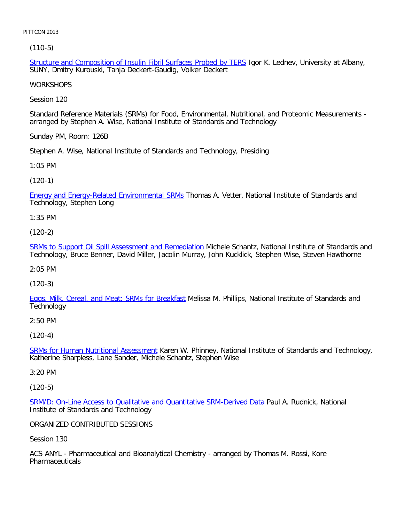[\(110-5\)](file:///p|/print%20on%20demand%20titles/23101-23200/23133/23133%20source%20materials/papers/110-5.htm)

Structure and Composition of Insulin Fibril Surfaces Probed by TERS Igor K. Lednev, University at Albany, SUNY, Dmitry Kurouski, Tanja Deckert-Gaudig, Volker Deckert

**WORKSHOPS** 

Session 120

Standard Reference Materials (SRMs) for Food, Environmental, Nutritional, and Proteomic Measurements arranged by Stephen A. Wise, National Institute of Standards and Technology

Sunday PM, Room: 126B

Stephen A. Wise, National Institute of Standards and Technology, Presiding

1:05 PM

(120-1)

[Energy and Energy-Related Environmental SRMs](file:///p|/print%20on%20demand%20titles/23101-23200/23133/23133%20source%20materials/papers/120-1.htm) Thomas A. Vetter, National Institute of Standards and Technology, Stephen Long

1:35 PM

(120-2)

[SRMs to Support Oil Spill Assessment and Remediation](file:///p|/print%20on%20demand%20titles/23101-23200/23133/23133%20source%20materials/papers/120-2.htm) Michele Schantz, National Institute of Standards and Technology, Bruce Benner, David Miller, Jacolin Murray, John Kucklick, Stephen Wise, Steven Hawthorne

2:05 PM

(120-3)

[Eggs, Milk, Cereal, and Meat: SRMs for Breakfast](file:///p|/print%20on%20demand%20titles/23101-23200/23133/23133%20source%20materials/papers/120-3.htm) Melissa M. Phillips, National Institute of Standards and **Technology** 

2:50 PM

(120-4)

SRMs for Human Nutritional Assessment Karen W. Phinney, National Institute of Standards and Technology, [Katherine Sharpless, Lane Sander, Mich](file:///p|/print%20on%20demand%20titles/23101-23200/23133/23133%20source%20materials/papers/120-4.htm)ele Schantz, Stephen Wise

3:20 PM

(120-5)

SRM/D: On-Line Access to Qualitative and Quantitative SRM-Derived Data Paul A. Rudnick, National Institute of Standards and Technology

[ORGANIZED CONTRIBUTED SESSIONS](file:///p|/print%20on%20demand%20titles/23101-23200/23133/23133%20source%20materials/papers/120-5.htm)

Session 130

ACS ANYL - Pharmaceutical and Bioanalytical Chemistry - arranged by Thomas M. Rossi, Kore Pharmaceuticals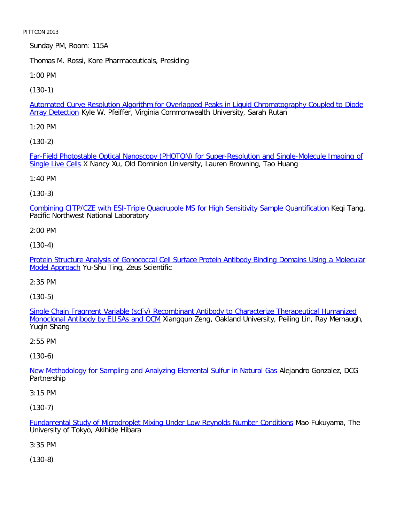Sunday PM, Room: 115A

Thomas M. Rossi, Kore Pharmaceuticals, Presiding

1:00 PM

[\(130-1\)](file:///p|/print%20on%20demand%20titles/23101-23200/23133/23133%20source%20materials/papers/130-1.htm)

Automated Curve Resolution Algorithm for Overlapped Peaks in Liquid Chromatography Coupled to Diode Array Detection Kyle W. Pfeiffer, Virginia Commonwealth University, Sarah Rutan

1:20 PM

[\(130-2\)](file:///p|/print%20on%20demand%20titles/23101-23200/23133/23133%20source%20materials/papers/130-2.htm)

[Far-Field Ph](file:///p|/print%20on%20demand%20titles/23101-23200/23133/23133%20source%20materials/papers/130-2.htm)otostable Optical Nanoscopy (PHOTON) for Super-Resolution and Single-Molecule Imaging of Single Live Cells X Nancy Xu, Old Dominion University, Lauren Browning, Tao Huang

1:40 PM

(130-3)

[Combining CITP/CZE with ESI-Triple Quadrupole MS for High Sensitivity Sample Quantification](file:///p|/print%20on%20demand%20titles/23101-23200/23133/23133%20source%20materials/papers/130-3.htm) Keqi Tang, Pacific Northwest National Laboratory

2:00 PM

(130-4)

[Protein Structure Analysis of Gonococcal Cell Surface Protein Antibody Binding Domains Using a Molecular](file:///p|/print%20on%20demand%20titles/23101-23200/23133/23133%20source%20materials/papers/130-4.htm) [Model Appro](file:///p|/print%20on%20demand%20titles/23101-23200/23133/23133%20source%20materials/papers/130-4.htm)ach Yu-Shu Ting, Zeus Scientific

2:35 PM

(130-5)

Single Chain Fragment Variable (scFv) Recombinant Antibody to Characterize Therapeutical Humanized Monoclonal Antibody by ELISAs and QCM [Xiangqun Zeng, Oakland University, Peiling Lin, Ray Mernaugh,](file:///p|/print%20on%20demand%20titles/23101-23200/23133/23133%20source%20materials/papers/130-5.htm) [Yuqin Shang](file:///p|/print%20on%20demand%20titles/23101-23200/23133/23133%20source%20materials/papers/130-5.htm)

2:55 PM

(130-6)

New Methodology for Sampling and Analyzing Elemental Sulfur in Natural Gas Alejandro Gonzalez, DCG [Partnership](file:///p|/print%20on%20demand%20titles/23101-23200/23133/23133%20source%20materials/papers/130-6.htm)

3:15 PM

(130-7)

Fundamental Study of Microdroplet Mixing Under Low Reynolds Number Conditions Mao Fukuyama, The University of Tokyo, Akihide Hibara

[3:35 PM](file:///p|/print%20on%20demand%20titles/23101-23200/23133/23133%20source%20materials/papers/130-7.htm)

(130-8)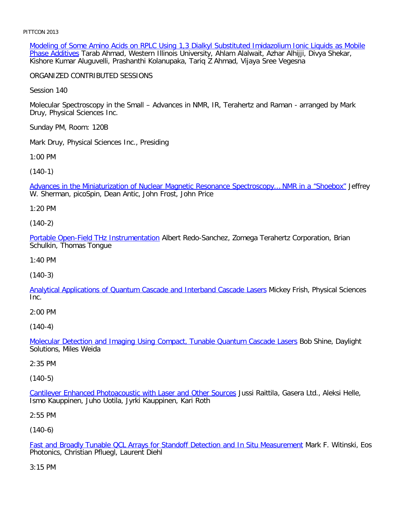Modeling of Some Amino Acids on RPLC Using 1,3 Dialkyl Substituted Imidazolium Ionic Liquids as Mobile Phase Additives Tarab Ahmad, Western Illinois University, Ahlam Alalwait, Azhar Alhijji, Divya Shekar, Kishore Kumar Aluguvelli, Prashanthi Kolanupaka, Tariq Z Ahmad, Vijaya Sree Vegesna

ORGANIZED CONTRIBUTED SESSIONS

Session 140

Molecular Spectroscopy in the Small – Advances in NMR, IR, Terahertz and Raman - arranged by Mark Druy, Physical Sciences Inc.

Sunday PM, Room: 120B

Mark Druy, Physical Sciences Inc., Presiding

1:00 PM

[\(140-1\)](file:///p|/print%20on%20demand%20titles/23101-23200/23133/23133%20source%20materials/papers/140-1.htm)

Advances in the Miniaturization of Nuclear Magnetic Resonance Spectroscopy… NMR in a "Shoebox" Jeffrey W. Sherman, picoSpin, Dean Antic, John Frost, John Price

1:20 PM

(140-2)

[Portable Open-Field THz Instrumentatio](file:///p|/print%20on%20demand%20titles/23101-23200/23133/23133%20source%20materials/papers/140-2.htm)n Albert Redo-Sanchez, Zomega Terahertz Corporation, Brian Schulkin, Thomas Tongue

1:40 PM

(140-3)

[Analytical Applications of Quantum Cascade and Interband Cascade Lasers](file:///p|/print%20on%20demand%20titles/23101-23200/23133/23133%20source%20materials/papers/140-3.htm) Mickey Frish, Physical Sciences Inc.

2:00 PM

(140-4)

Molecular Detection and Imaging Using Compact, Tunable Quantum Cascade Lasers Bob Shine, Daylight [Solutions, Miles Weida](file:///p|/print%20on%20demand%20titles/23101-23200/23133/23133%20source%20materials/papers/140-4.htm)

2:35 PM

(140-5)

Cantilever Enhanced Photoacoustic with Laser and Other Sources Jussi Raittila, Gasera Ltd., Aleksi Helle, [Ismo Kauppinen, Juho Uotila, Jyrki Kauppinen, Kari Roth](file:///p|/print%20on%20demand%20titles/23101-23200/23133/23133%20source%20materials/papers/140-5.htm)

2:55 PM

(140-6)

Fast and Broadly Tunable QCL Arrays for Standoff Detection and In Situ Measurement Mark F. Witinski, Eos Photonics, Christian Pfluegl, Laurent Diehl

[3:15 PM](file:///p|/print%20on%20demand%20titles/23101-23200/23133/23133%20source%20materials/papers/140-6.htm)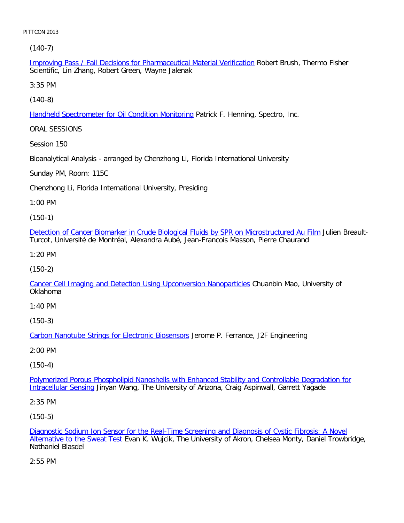[\(140-7\)](file:///p|/print%20on%20demand%20titles/23101-23200/23133/23133%20source%20materials/papers/140-7.htm)

Improving Pass / Fail Decisions for Pharmaceutical Material Verification Robert Brush, Thermo Fisher Scientific, Lin Zhang, Robert Green, Wayne Jalenak

3:35 PM

[\(140-8\)](file:///p|/print%20on%20demand%20titles/23101-23200/23133/23133%20source%20materials/papers/140-8.htm)

Handheld Spectrometer for Oil Condition Monitoring Patrick F. Henning, Spectro, Inc.

ORAL SESSIONS

Session 150

Bioanalytical Analysis - arranged by Chenzhong Li, Florida International University

Sunday PM, Room: 115C

Chenzhong Li, Florida International University, Presiding

1:00 PM

(150-1)

[Detection of Cancer Biomarker in Crude Biological Fluids by SPR on Microstructured Au Film](file:///p|/print%20on%20demand%20titles/23101-23200/23133/23133%20source%20materials/papers/150-1.htm) Julien Breault-Turcot, Université de Montréal, Alexandra Aubé, Jean-Francois Masson, Pierre Chaurand

1:20 PM

(150-2)

[Cancer Cell Imaging and Detection Using Upconversion Nanoparticles](file:///p|/print%20on%20demand%20titles/23101-23200/23133/23133%20source%20materials/papers/150-2.htm) Chuanbin Mao, University of Oklahoma

1:40 PM

(150-3)

Carbon Nanotube Strings for Electronic Biosensors Jerome P. Ferrance, J2F Engineering

[2:00 PM](file:///p|/print%20on%20demand%20titles/23101-23200/23133/23133%20source%20materials/papers/150-3.htm)

(150-4)

Polymerized Porous Phospholipid Nanoshells with Enhanced Stability and Controllable Degradation for Intracellular Sensing [Jinyan Wang, The University of Arizona, Craig Aspinwall, Garrett Yagade](file:///p|/print%20on%20demand%20titles/23101-23200/23133/23133%20source%20materials/papers/150-4.htm)

[2:35 PM](file:///p|/print%20on%20demand%20titles/23101-23200/23133/23133%20source%20materials/papers/150-4.htm)

(150-5)

Diagnostic Sodium Ion Sensor for the Real-Time Screening and Diagnosis of Cystic Fibrosis: A Novel Alternative to the Sweat Test Evan K. Wujcik, The University of Akron, Chelsea Monty, Daniel Trowbridge, [Nathaniel Blasdel](file:///p|/print%20on%20demand%20titles/23101-23200/23133/23133%20source%20materials/papers/150-5.htm)

[2:55 PM](file:///p|/print%20on%20demand%20titles/23101-23200/23133/23133%20source%20materials/papers/150-5.htm)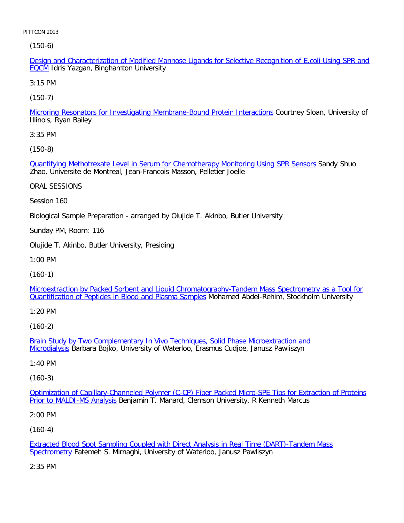[\(](file:///p|/print%20on%20demand%20titles/23101-23200/23133/23133%20source%20materials/papers/150-6.htm)150-6)

Design and Characterization of Modified Mannose Ligands for Selective Recognition of E.coli Using SPR and EQCM Idris Yazgan, Binghamton University

3:15 PM

[\(150-7\)](file:///p|/print%20on%20demand%20titles/23101-23200/23133/23133%20source%20materials/papers/150-7.htm)

Microring Resonators for Investigating Membrane-Bound Protein Interactions Courtney Sloan, University of Illinois, Ryan Bailey

3:35 PM

[\(150-8\)](file:///p|/print%20on%20demand%20titles/23101-23200/23133/23133%20source%20materials/papers/150-8.htm)

Quantifying Methotrexate Level in Serum for Chemotherapy Monitoring Using SPR Sensors Sandy Shuo Zhao, Universite de Montreal, Jean-Francois Masson, Pelletier Joelle

ORAL SESSIONS

Session 160

Biological Sample Preparation - arranged by Olujide T. Akinbo, Butler University

Sunday PM, Room: 116

Olujide T. Akinbo, Butler University, Presiding

1:00 PM

(160-1)

[Microextraction by Packed Sorbent and Liquid Chromatography-Tandem Mass Spectrometry as a Tool for](file:///p|/print%20on%20demand%20titles/23101-23200/23133/23133%20source%20materials/papers/160-1.htm) **[Quantification of Peptides in Blood and Plasma Samples](file:///p|/print%20on%20demand%20titles/23101-23200/23133/23133%20source%20materials/papers/160-1.htm) Mohamed Abdel-Rehim, Stockholm University** 

1:20 PM

(160-2)

Brain Study by Two Complementary In Vivo Techniques, Solid Phase Microextraction and Microdialysis [Barbara Bojko, University of Waterloo, Erasmus Cudjoe, Janusz Pawliszyn](file:///p|/print%20on%20demand%20titles/23101-23200/23133/23133%20source%20materials/papers/160-2.htm)

[1:40 PM](file:///p|/print%20on%20demand%20titles/23101-23200/23133/23133%20source%20materials/papers/160-2.htm)

(160-3)

Optimization of Capillary-Channeled Polymer (C-CP) Fiber Packed Micro-SPE Tips for Extraction of Proteins Prior to MALDI-MS Analysis [Benjamin T. Manard, Clemson University, R Kenneth Marcus](file:///p|/print%20on%20demand%20titles/23101-23200/23133/23133%20source%20materials/papers/160-3.htm)

[2:00 PM](file:///p|/print%20on%20demand%20titles/23101-23200/23133/23133%20source%20materials/papers/160-3.htm)

(160-4)

Extracted Blood Spot Sampling Coupled with Direct Analysis in Real Time (DART)-Tandem Mass Spectrometry Fatemeh S. Mirnaghi, University of Waterloo, Janusz Pawliszyn

[2:35 PM](file:///p|/print%20on%20demand%20titles/23101-23200/23133/23133%20source%20materials/papers/160-4.htm)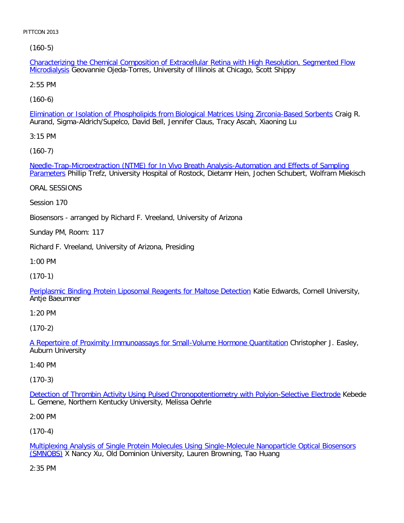[\(160-5\)](file:///p|/print%20on%20demand%20titles/23101-23200/23133/23133%20source%20materials/papers/160-5.htm)

Characterizing the Chemical Composition of Extracellular Retina with High Resolution, Segmented Flow Microdialysis Geovannie Ojeda-Torres, University of Illinois at Chicago, Scott Shippy

2:55 PM

[\(160-6\)](file:///p|/print%20on%20demand%20titles/23101-23200/23133/23133%20source%20materials/papers/160-6.htm)

Elimination or Isolation of Phospholipids from Biological Matrices Using Zirconia-Based Sorbents Craig R. Aurand, Sigma-Aldrich/Supelco, David Bell, Jennifer Claus, Tracy Ascah, Xiaoning Lu

3:15 PM

[\(160-7\)](file:///p|/print%20on%20demand%20titles/23101-23200/23133/23133%20source%20materials/papers/160-7.htm)

[Needle](file:///p|/print%20on%20demand%20titles/23101-23200/23133/23133%20source%20materials/papers/160-7.htm)-Trap-Microextraction (NTME) for In Vivo Breath Analysis-Automation and Effects of Sampling Parameters Phillip Trefz, University Hospital of Rostock, Dietamr Hein, Jochen Schubert, Wolfram Miekisch

ORAL SESSIONS

Session 170

Biosensors - arranged by Richard F. Vreeland, University of Arizona

Sunday PM, Room: 117

Richard F. Vreeland, University of Arizona, Presiding

1:00 PM

(170-1)

[Periplasmic Binding Protein Liposomal Reagents for Maltose Detection](file:///p|/print%20on%20demand%20titles/23101-23200/23133/23133%20source%20materials/papers/170-1.htm) Katie Edwards, Cornell University, Antje Baeumner

1:20 PM

(170-2)

A Repertoire of Proximity Immunoassays for Small-Volume Hormone Quantitation Christopher J. Easley, [Auburn University](file:///p|/print%20on%20demand%20titles/23101-23200/23133/23133%20source%20materials/papers/170-2.htm)

#### 1:40 PM

(170-3)

Detection of Thrombin Activity Using Pulsed Chronopotentiometry with Polyion-Selective Electrode Kebede [L. Gemene, Northern Kentucky University, Melissa Oehrle](file:///p|/print%20on%20demand%20titles/23101-23200/23133/23133%20source%20materials/papers/170-3.htm)

2:00 PM

(170-4)

Multiplexing Analysis of Single Protein Molecules Using Single-Molecule Nanoparticle Optical Biosensors (SMNOBS) X Nancy Xu, Old Dominion University, Lauren Browning, Tao Huang

[2:35 PM](file:///p|/print%20on%20demand%20titles/23101-23200/23133/23133%20source%20materials/papers/170-4.htm)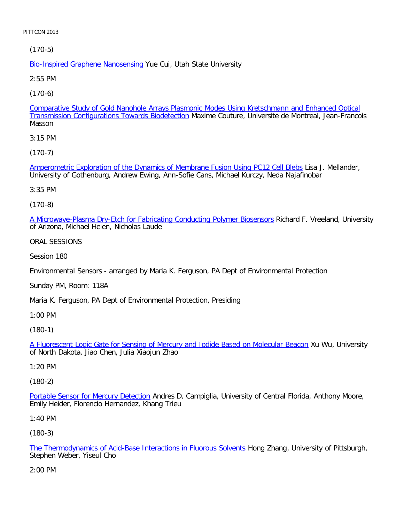[\(170-5\)](file:///p|/print%20on%20demand%20titles/23101-23200/23133/23133%20source%20materials/papers/170-5.htm)

**Bio-Inspired Graphene Nanosensing Yue Cui, Utah State University** 

2:55 PM

[\(170-6\)](file:///p|/print%20on%20demand%20titles/23101-23200/23133/23133%20source%20materials/papers/170-6.htm)

Comparative Study of Gold Nanohole Arrays Plasmonic Modes Using Kretschmann and Enhanced Optical Transmission Configurations Towards Biodetection Maxime Couture, Universite de Montreal, Jean-Francois Masson

3:15 PM

[\(170-7\)](file:///p|/print%20on%20demand%20titles/23101-23200/23133/23133%20source%20materials/papers/170-7.htm)

Amperometric Exploration of the Dynamics of Membrane Fusion Using PC12 Cell Blebs Lisa J. Mellander, University of Gothenburg, Andrew Ewing, Ann-Sofie Cans, Michael Kurczy, Neda Najafinobar

3:35 PM

(170-8)

[A Microwave-Plasma Dry-Etch for Fabricating Conducting Polymer Biosensors](file:///p|/print%20on%20demand%20titles/23101-23200/23133/23133%20source%20materials/papers/170-8.htm) Richard F. Vreeland, University of Arizona, Michael Heien, Nicholas Laude

ORAL SESSIONS

Session 180

Environmental Sensors - arranged by Maria K. Ferguson, PA Dept of Environmental Protection

Sunday PM, Room: 118A

Maria K. Ferguson, PA Dept of Environmental Protection, Presiding

1:00 PM

(180-1)

A Fluorescent Logic Gate for Sensing of Mercury and Iodide Based on Molecular Beacon Xu Wu, University [of North Dakota, Jiao Chen, Julia Xiaojun Zhao](file:///p|/print%20on%20demand%20titles/23101-23200/23133/23133%20source%20materials/papers/180-1.htm)

1:20 PM

(180-2)

Portable Sensor for Mercury Detection Andres D. Campiglia, University of Central Florida, Anthony Moore, [Emily Heider, Florencio Hernandez, K](file:///p|/print%20on%20demand%20titles/23101-23200/23133/23133%20source%20materials/papers/180-2.htm)hang Trieu

1:40 PM

(180-3)

The Thermodynamics of Acid-Base Interactions in Fluorous Solvents Hong Zhang, University of Pittsburgh, Stephen Weber, Yiseul Cho

[2:00 PM](file:///p|/print%20on%20demand%20titles/23101-23200/23133/23133%20source%20materials/papers/180-3.htm)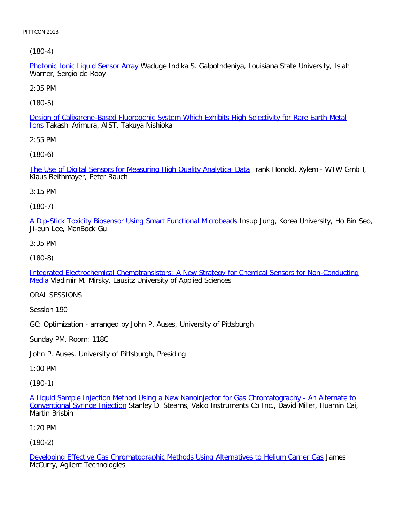[\(180-4\)](file:///p|/print%20on%20demand%20titles/23101-23200/23133/23133%20source%20materials/papers/180-4.htm)

Photonic Ionic Liquid Sensor Array Waduge Indika S. Galpothdeniya, Louisiana State University, Isiah Warner, Sergio de Rooy

2:35 PM

[\(180-5\)](file:///p|/print%20on%20demand%20titles/23101-23200/23133/23133%20source%20materials/papers/180-5.htm)

Design of Calixarene-Based Fluorogenic System Which Exhibits High Selectivity for Rare Earth Metal Ions Takashi Arimura, AIST, Takuya Nishioka

2:55 PM

[\(180-6\)](file:///p|/print%20on%20demand%20titles/23101-23200/23133/23133%20source%20materials/papers/180-6.htm)

The Use of Digital Sensors for Measuring High Quality Analytical Data Frank Honold, Xylem - WTW GmbH, Klaus Reithmayer, Peter Rauch

3:15 PM

(180-7)

[A Dip-Stick Toxicity Biosensor Using Smart Functional Microbeads](file:///p|/print%20on%20demand%20titles/23101-23200/23133/23133%20source%20materials/papers/180-7.htm) Insup Jung, Korea University, Ho Bin Seo, Ji-eun Lee, ManBock Gu

3:35 PM

(180-8)

[Integrated Electrochemical Chemotransistors: A New Strategy for Chemical Sensors for Non-Conducting](file:///p|/print%20on%20demand%20titles/23101-23200/23133/23133%20source%20materials/papers/180-8.htm) [M](file:///p|/print%20on%20demand%20titles/23101-23200/23133/23133%20source%20materials/papers/180-8.htm)edia Vladimir M. Mirsky, Lausitz University of Applied Sciences

ORAL SESSIONS

Session 190

GC: Optimization - arranged by John P. Auses, University of Pittsburgh

Sunday PM, Room: 118C

John P. Auses, University of Pittsburgh, Presiding

1:00 PM

(190-1)

A Liquid Sample Injection Method Using a New Nanoinjector for Gas Chromatography - An Alternate to Conventional Syringe Injection Stanley D. Stearns, Valco Instruments Co Inc., David Miller, Huamin Cai, [Martin Brisbin](file:///p|/print%20on%20demand%20titles/23101-23200/23133/23133%20source%20materials/papers/190-1.htm)

[1:20 PM](file:///p|/print%20on%20demand%20titles/23101-23200/23133/23133%20source%20materials/papers/190-1.htm)

(190-2)

Developing Effective Gas Chromatographic Methods Using Alternatives to Helium Carrier Gas James McCurry, Agilent Technologies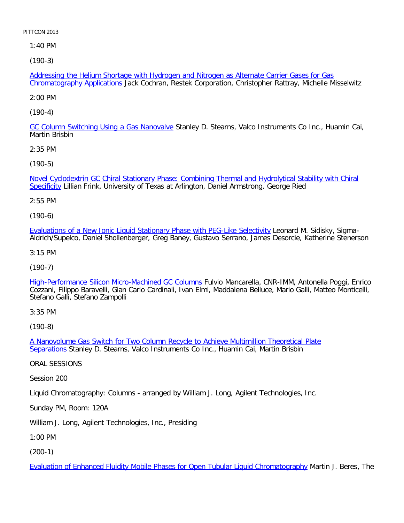1:40 PM

[\(190-3\)](file:///p|/print%20on%20demand%20titles/23101-23200/23133/23133%20source%20materials/papers/190-3.htm)

Addressing the Helium Shortage with Hydrogen and Nitrogen as Alternate Carrier Gases for Gas Chromatography Applications Jack Cochran, Restek Corporation, Christopher Rattray, Michelle Misselwitz

2:00 PM

[\(190-4\)](file:///p|/print%20on%20demand%20titles/23101-23200/23133/23133%20source%20materials/papers/190-4.htm)

GC Column Switching Using a Gas Nanovalve Stanley D. Stearns, Valco Instruments Co Inc., Huamin Cai, Martin Brisbin

2:35 PM

[\(190-5\)](file:///p|/print%20on%20demand%20titles/23101-23200/23133/23133%20source%20materials/papers/190-5.htm)

[Nove](file:///p|/print%20on%20demand%20titles/23101-23200/23133/23133%20source%20materials/papers/190-5.htm)l Cyclodextrin GC Chiral Stationary Phase: Combining Thermal and Hydrolytical Stability with Chiral Specificity Lillian Frink, University of Texas at Arlington, Daniel Armstrong, George Ried

2:55 PM

(190-6)

[Evaluations of a New Ionic Liquid Stationary Phase with PEG-Like Selectivity](file:///p|/print%20on%20demand%20titles/23101-23200/23133/23133%20source%20materials/papers/190-6.htm) Leonard M. Sidisky, Sigma-Aldrich/Supelco, Daniel Shollenberger, Greg Baney, Gustavo Serrano, James Desorcie, Katherine Stenerson

3:15 PM

(190-7)

[High-Performance Silicon Micro-Machined GC Columns](file:///p|/print%20on%20demand%20titles/23101-23200/23133/23133%20source%20materials/papers/190-7.htm) Fulvio Mancarella, CNR-IMM, Antonella Poggi, Enrico Cozzani, Filippo Baravelli, Gian Carlo Cardinali, Ivan Elmi, Maddalena Belluce, Mario Galli, Matteo Monticelli, Stefano Galli, Stefano Zampolli

3:35 PM

(190-8)

A Nanovolume Gas Switch for Two Column Recycle to Achieve Multimillion Theoretical Plate Separations [Stanley D. Stearns, Valco Instruments Co Inc., Huamin Cai, Martin Brisbin](file:///p|/print%20on%20demand%20titles/23101-23200/23133/23133%20source%20materials/papers/190-8.htm)

[ORAL S](file:///p|/print%20on%20demand%20titles/23101-23200/23133/23133%20source%20materials/papers/190-8.htm)ESSIONS

Session 200

Liquid Chromatography: Columns - arranged by William J. Long, Agilent Technologies, Inc.

Sunday PM, Room: 120A

William J. Long, Agilent Technologies, Inc., Presiding

1:00 PM

(200-1)

Evaluation of Enhanced Fluidity Mobile Phases for Open Tubular Liquid Chromatography Martin J. Beres, The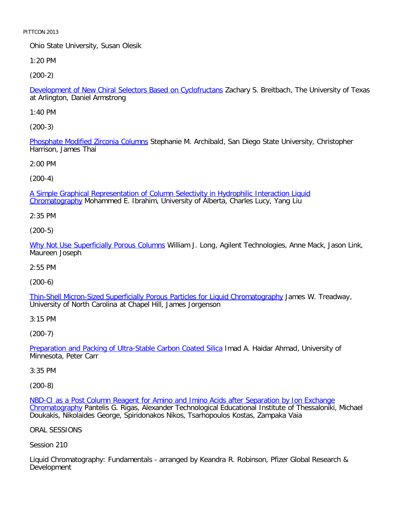Ohio State University, Susan Olesik

1:20 PM

[\(200-2\)](file:///p|/print%20on%20demand%20titles/23101-23200/23133/23133%20source%20materials/papers/200-2.htm)

Development of New Chiral Selectors Based on Cyclofructans Zachary S. Breitbach, The University of Texas at Arlington, Daniel Armstrong

1:40 PM

[\(200-3\)](file:///p|/print%20on%20demand%20titles/23101-23200/23133/23133%20source%20materials/papers/200-3.htm)

Phosphate Modified Zirconia Columns Stephanie M. Archibald, San Diego State University, Christopher Harrison, James Thai

2:00 PM

(200-4)

[A Simple Graphical Representation of Column Selectivity in Hydrophilic Interaction Liquid](file:///p|/print%20on%20demand%20titles/23101-23200/23133/23133%20source%20materials/papers/200-4.htm) Chromatography Mohammed E. Ibrahim, University of Alberta, Charles Lucy, Yang Liu

2:35 PM

(200-5)

[Why Not Use Superficially Porous Column](file:///p|/print%20on%20demand%20titles/23101-23200/23133/23133%20source%20materials/papers/200-5.htm)s William J. Long, Agilent Technologies, Anne Mack, Jason Link, Maureen Joseph

2:55 PM

(200-6)

[Thin-Shell Micron-Sized Superficially Porous Particles for Liquid Chromatography](file:///p|/print%20on%20demand%20titles/23101-23200/23133/23133%20source%20materials/papers/200-6.htm) James W. Treadway, University of North Carolina at Chapel Hill, James Jorgenson

3:15 PM

(200-7)

Preparation and Packing of Ultra-Stable Carbon Coated Silica Imad A. Haidar Ahmad, University of [Minnesota, Peter Carr](file:///p|/print%20on%20demand%20titles/23101-23200/23133/23133%20source%20materials/papers/200-7.htm)

3:35 PM

(200-8)

NBD-CI as a Post Column Reagent for Amino and Imino Acids after Separation by Ion Exchange Chromatography Pantelis G. Rigas, Alexander Technological Educational Institute of Thessaloniki, Michael [Doukakis, Nikolaides George, Spiridonakos Nikos, Tsarhopoulos Kostas, Zampaka Vaia](file:///p|/print%20on%20demand%20titles/23101-23200/23133/23133%20source%20materials/papers/200-8.htm)

[ORAL SESSIO](file:///p|/print%20on%20demand%20titles/23101-23200/23133/23133%20source%20materials/papers/200-8.htm)NS

Session 210

Liquid Chromatography: Fundamentals - arranged by Keandra R. Robinson, Pfizer Global Research & Development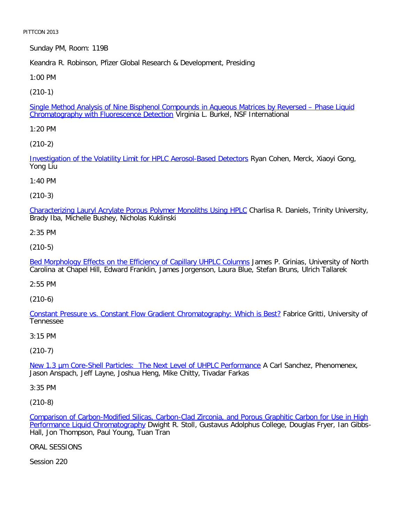Sunday PM, Room: 119B

Keandra R. Robinson, Pfizer Global Research & Development, Presiding

1:00 PM

[\(210-1\)](file:///p|/print%20on%20demand%20titles/23101-23200/23133/23133%20source%20materials/papers/210-1.htm)

Single Method Analysis of Nine Bisphenol Compounds in Aqueous Matrices by Reversed – Phase Liquid Chromatography with Fluorescence Detection Virginia L. Burkel, NSF International

1:20 PM

[\(210-2\)](file:///p|/print%20on%20demand%20titles/23101-23200/23133/23133%20source%20materials/papers/210-2.htm)

Investigation of the Volatility Limit for HPLC Aerosol-Based Detectors Ryan Cohen, Merck, Xiaoyi Gong, Yong Liu

1:40 PM

(210-3)

[Characterizing Lauryl Acrylate Porous Polymer Monoliths Using HPLC](file:///p|/print%20on%20demand%20titles/23101-23200/23133/23133%20source%20materials/papers/210-3.htm) Charlisa R. Daniels, Trinity University, Brady Iba, Michelle Bushey, Nicholas Kuklinski

2:35 PM

(210-5)

[Bed Morphology Effects on the Efficiency of Capillary UHPLC Columns](file:///p|/print%20on%20demand%20titles/23101-23200/23133/23133%20source%20materials/papers/210-5.htm) James P. Grinias, University of North Carolina at Chapel Hill, Edward Franklin, James Jorgenson, Laura Blue, Stefan Bruns, Ulrich Tallarek

2:55 PM

(210-6)

[Constant Pressure vs. Constant Flow Gradient Chromatography: Which is Best?](file:///p|/print%20on%20demand%20titles/23101-23200/23133/23133%20source%20materials/papers/210-6.htm) Fabrice Gritti, University of Tennessee

3:15 PM

(210-7)

New 1.3 um Core-Shell Particles: The Next Level of UHPLC Performance A Carl Sanchez, Phenomenex, [Jason Anspach, Jeff Layne, Joshua Heng, Mike Chitty, Tivadar Farkas](file:///p|/print%20on%20demand%20titles/23101-23200/23133/23133%20source%20materials/papers/210-7.htm)

3:35 PM

(210-8)

Comparison of Carbon-Modified Silicas, Carbon-Clad Zirconia, and Porous Graphitic Carbon for Use in High Performance Liquid Chromatography Dwight R. Stoll, Gustavus Adolphus College, Douglas Fryer, Ian Gibbs-[Hall, Jon Thompson, Paul Young, Tuan Tran](file:///p|/print%20on%20demand%20titles/23101-23200/23133/23133%20source%20materials/papers/210-8.htm)

[ORAL SESSIONS](file:///p|/print%20on%20demand%20titles/23101-23200/23133/23133%20source%20materials/papers/210-8.htm)

Session 220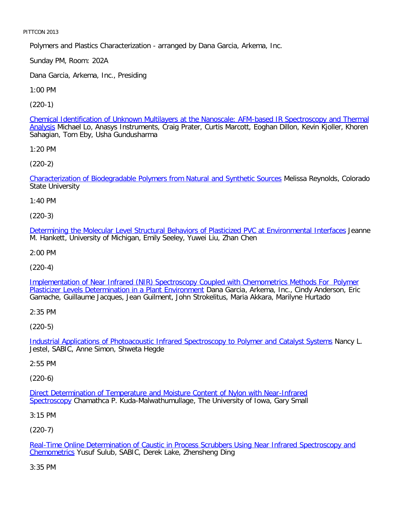Polymers and Plastics Characterization - arranged by Dana Garcia, Arkema, Inc.

Sunday PM, Room: 202A

Dana Garcia, Arkema, Inc., Presiding

1:00 PM

[\(220-1\)](file:///p|/print%20on%20demand%20titles/23101-23200/23133/23133%20source%20materials/papers/220-1.htm)

Chemical Identification of Unknown Multilayers at the Nanoscale: AFM-based IR Spectroscopy and Thermal Analysis Michael Lo, Anasys Instruments, Craig Prater, Curtis Marcott, Eoghan Dillon, Kevin Kjoller, Khoren Sahagian, Tom Eby, Usha Gundusharma

1:20 PM

[\(220-2\)](file:///p|/print%20on%20demand%20titles/23101-23200/23133/23133%20source%20materials/papers/220-2.htm)

Characterization of Biodegradable Polymers from Natural and Synthetic Sources Melissa Reynolds, Colorado State University

1:40 PM

(220-3)

[Determining the Molecular Level Structural Behaviors of Plasticized PVC at Environmental Interfaces](file:///p|/print%20on%20demand%20titles/23101-23200/23133/23133%20source%20materials/papers/220-3.htm) Jeanne M. Hankett, University of Michigan, Emily Seeley, Yuwei Liu, Zhan Chen

2:00 PM

(220-4)

[Implementation of Near Infrared \(NIR\) Spectroscopy Coupled with Chemometrics Methods For Polymer](file:///p|/print%20on%20demand%20titles/23101-23200/23133/23133%20source%20materials/papers/220-4.htm) [Plasticizer Levels Determination in a Plant Environment](file:///p|/print%20on%20demand%20titles/23101-23200/23133/23133%20source%20materials/papers/220-4.htm) Dana Garcia, Arkema, Inc., Cindy Anderson, Eric Gamache, Guillaume Jacques, Jean Guilment, John Strokelitus, Maria Akkara, Marilyne Hurtado

2:35 PM

(220-5)

Industrial Applications of Photoacoustic Infrared Spectroscopy to Polymer and Catalyst Systems Nancy L. [Jestel, SABIC, Anne Simon, Shweta Hegde](file:///p|/print%20on%20demand%20titles/23101-23200/23133/23133%20source%20materials/papers/220-5.htm)

2:55 PM

(220-6)

Direct Determination of Temperature and Moisture Content of Nylon with Near-Infrared Spectroscopy [Chamathca P. Kuda-Malwathumullage, The University of Iowa, Gary Small](file:///p|/print%20on%20demand%20titles/23101-23200/23133/23133%20source%20materials/papers/220-6.htm)

[3:15 PM](file:///p|/print%20on%20demand%20titles/23101-23200/23133/23133%20source%20materials/papers/220-6.htm)

(220-7)

Real-Time Online Determination of Caustic in Process Scrubbers Using Near Infrared Spectroscopy and Chemometrics Yusuf Sulub, SABIC, Derek Lake, Zhensheng Ding

[3:35 PM](file:///p|/print%20on%20demand%20titles/23101-23200/23133/23133%20source%20materials/papers/220-7.htm)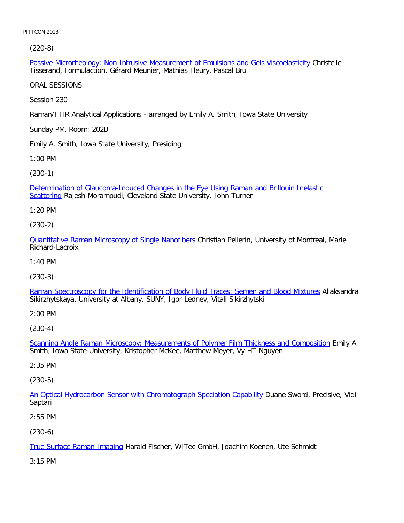[\(220-8\)](file:///p|/print%20on%20demand%20titles/23101-23200/23133/23133%20source%20materials/papers/220-8.htm)

Passive Microrheology: Non Intrusive Measurement of Emulsions and Gels Viscoelasticity Christelle Tisserand, Formulaction, Gérard Meunier, Mathias Fleury, Pascal Bru

ORAL SESSIONS

Session 230

Raman/FTIR Analytical Applications - arranged by Emily A. Smith, Iowa State University

Sunday PM, Room: 202B

Emily A. Smith, Iowa State University, Presiding

1:00 PM

[\(230-1\)](file:///p|/print%20on%20demand%20titles/23101-23200/23133/23133%20source%20materials/papers/230-1.htm)

[Deter](file:///p|/print%20on%20demand%20titles/23101-23200/23133/23133%20source%20materials/papers/230-1.htm)mination of Glaucoma-Induced Changes in the Eye Using Raman and Brillouin Inelastic Scattering Rajesh Morampudi, Cleveland State University, John Turner

1:20 PM

(230-2)

[Quantitative Raman Microscopy of Single Nanofibers](file:///p|/print%20on%20demand%20titles/23101-23200/23133/23133%20source%20materials/papers/230-2.htm) Christian Pellerin, University of Montreal, Marie Richard-Lacroix

1:40 PM

(230-3)

[Raman Spectroscopy for the Identification of Body Fluid Traces: Semen and Blood Mixtures](file:///p|/print%20on%20demand%20titles/23101-23200/23133/23133%20source%20materials/papers/230-3.htm) Aliaksandra Sikirzhytskaya, University at Albany, SUNY, Igor Lednev, Vitali Sikirzhytski

2:00 PM

(230-4)

Scanning Angle Raman Microscopy: Measurements of Polymer Film Thickness and Composition Emily A. [Smith, Iowa State University, Kristopher McKee, Matthew Meyer, Vy HT Nguyen](file:///p|/print%20on%20demand%20titles/23101-23200/23133/23133%20source%20materials/papers/230-4.htm)

2:35 PM

(230-5)

An Optical Hydrocarbon Sensor with Chromatograph Speciation Capability Duane Sword, Precisive, Vidi [Saptari](file:///p|/print%20on%20demand%20titles/23101-23200/23133/23133%20source%20materials/papers/230-5.htm)

2:55 PM

(230-6)

True Surface Raman Imaging Harald Fischer, WITec GmbH, Joachim Koenen, Ute Schmidt

[3:15 PM](file:///p|/print%20on%20demand%20titles/23101-23200/23133/23133%20source%20materials/papers/230-6.htm)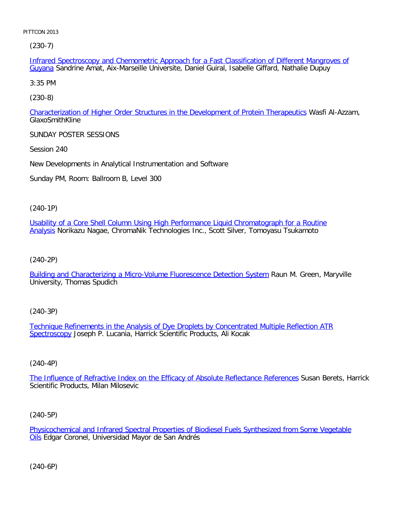[\(23](file:///p|/print%20on%20demand%20titles/23101-23200/23133/23133%20source%20materials/papers/230-7.htm)0-7)

Infrared Spectroscopy and Chemometric Approach for a Fast Classification of Different Mangroves of Guyana Sandrine Amat, Aix-Marseille Universite, Daniel Guiral, Isabelle Giffard, Nathalie Dupuy

3:35 PM

[\(230-8\)](file:///p|/print%20on%20demand%20titles/23101-23200/23133/23133%20source%20materials/papers/230-8.htm)

Characterization of Higher Order Structures in the Development of Protein Therapeutics Wasfi Al-Azzam, GlaxoSmithKline

SUNDAY POSTER SESSIONS

Session 240

New Developments in Analytical Instrumentation and Software

Sunday PM, Room: Ballroom B, Level 300

(240-1P)

[Usability of a Core Shell Column Using High Performance Liquid Chromatograph for a Routine](file:///p|/print%20on%20demand%20titles/23101-23200/23133/23133%20source%20materials/papers/240-1.htm) [Ana](file:///p|/print%20on%20demand%20titles/23101-23200/23133/23133%20source%20materials/papers/240-1.htm)lysis Norikazu Nagae, ChromaNik Technologies Inc., Scott Silver, Tomoyasu Tsukamoto

(240-2P)

[Building and Characterizing a Micro-Volume Fluorescence Detection System](file:///p|/print%20on%20demand%20titles/23101-23200/23133/23133%20source%20materials/papers/240-2.htm) Raun M. Green, Maryville University, Thomas Spudich

(240-3P)

Technique Refinements in the Analysis of Dye Droplets by Concentrated Multiple Reflection ATR [Spectrosc](file:///p|/print%20on%20demand%20titles/23101-23200/23133/23133%20source%20materials/papers/240-3.htm)opy [Joseph P. Lucania, Harrick Scientific Products, Ali Kocak](file:///p|/print%20on%20demand%20titles/23101-23200/23133/23133%20source%20materials/papers/240-3.htm)

#### (240-4P)

The Influence of Refractive Index on the Efficacy of Absolute Reflectance References Susan Berets, Harrick [Scientific Products, Milan Milosevic](file:///p|/print%20on%20demand%20titles/23101-23200/23133/23133%20source%20materials/papers/240-4.htm)

(240-5P)

Physicochemical and Infrared Spectral Properties of Biodiesel Fuels Synthesized from Some Vegetable **Oils Edgar Coronel, Universidad Mayor de San Andrés** 

(240-6P)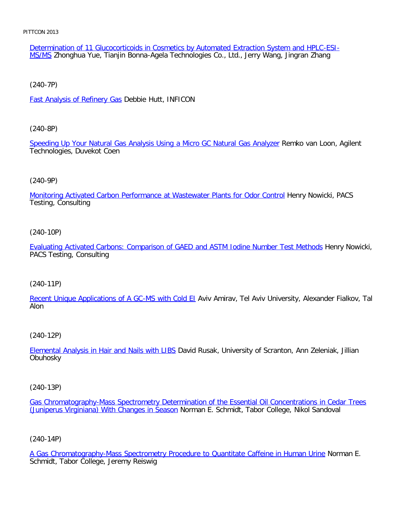Determination of 11 Glucocorticoids in Cosmetics by Automated Extraction System and HPLC-ESI-MS/MS Zhonghua Yue, Tianjin Bonna-Agela Technologies Co., Ltd., Jerry Wang, Jingran Zhang

[\(240-7P\)](file:///p|/print%20on%20demand%20titles/23101-23200/23133/23133%20source%20materials/papers/240-7.htm)

Fast Analysis of Refinery Gas Debbie Hutt, INFICON

[\(240-8P\)](file:///p|/print%20on%20demand%20titles/23101-23200/23133/23133%20source%20materials/papers/240-8.htm)

Speeding Up Your Natural Gas Analysis Using a Micro GC Natural Gas Analyzer Remko van Loon, Agilent Technologies, Duvekot Coen

#### (240-9P)

[Monitoring Activated Carbon Performance at Wastewater Plants for Odor Control](file:///p|/print%20on%20demand%20titles/23101-23200/23133/23133%20source%20materials/papers/240-9.htm) Henry Nowicki, PACS Testing, Consulting

#### (240-10P)

[Evaluating Activated Carbons: Comparison of GAED and ASTM Iodine Number Test Methods](file:///p|/print%20on%20demand%20titles/23101-23200/23133/23133%20source%20materials/papers/240-10.htm) Henry Nowicki, PACS Testing, Consulting

#### (240-11P)

[Recent Unique Applications of A GC-MS with Cold EI](file:///p|/print%20on%20demand%20titles/23101-23200/23133/23133%20source%20materials/papers/240-11.htm) Aviv Amirav, Tel Aviv University, Alexander Fialkov, Tal Alon

#### (240-12P)

Elemental Analysis in Hair and Nails with LIBS David Rusak, University of Scranton, Ann Zeleniak, Jillian **[Obuhosky](file:///p|/print%20on%20demand%20titles/23101-23200/23133/23133%20source%20materials/papers/240-12.htm)** 

(240-13P)

Gas Chromatography-Mass Spectrometry Determination of the Essential Oil Concentrations in Cedar Trees (Juniperus Virginiana) With Changes in Season Norman E. Schmidt, Tabor College, Nikol Sandoval

(240-14P)

A Gas Chromatography-Mass Spectrometry Procedure to Quantitate Caffeine in Human Urine Norman E. Schmidt, Tabor College, Jeremy Reiswig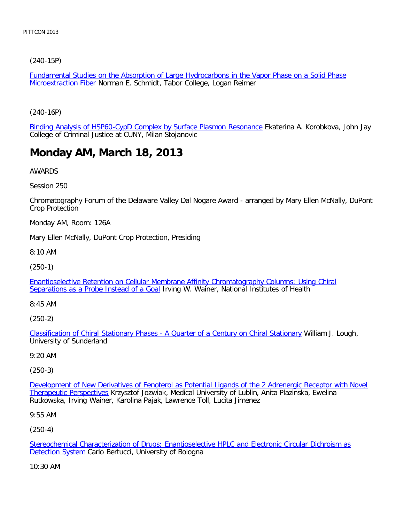[\(240-15P\)](file:///p|/print%20on%20demand%20titles/23101-23200/23133/23133%20source%20materials/papers/240-15.htm)

Fundamental Studies on the Absorption of Large Hydrocarbons in the Vapor Phase on a Solid Phase **Microextraction Fiber Norman E. Schmidt, Tabor College, Logan Reimer** 

[\(240-16P\)](file:///p|/print%20on%20demand%20titles/23101-23200/23133/23133%20source%20materials/papers/240-16.htm)

Binding Analysis of HSP60-CypD Complex by Surface Plasmon Resonance Ekaterina A. Korobkova, John Jay College of Criminal Justice at CUNY, Milan Stojanovic

### **Monday AM, March 18, 2013**

AWARDS

Session 250

Chromatography Forum of the Delaware Valley Dal Nogare Award - arranged by Mary Ellen McNally, DuPont Crop Protection

Monday AM, Room: 126A

Mary Ellen McNally, DuPont Crop Protection, Presiding

8:10 AM

(250-1)

[Enantioselective Retention on Cellular Membrane Affinity Chromatography Columns: Using Chiral](file:///p|/print%20on%20demand%20titles/23101-23200/23133/23133%20source%20materials/papers/250-1.htm) [Separations as a Probe Instead of a Goa](file:///p|/print%20on%20demand%20titles/23101-23200/23133/23133%20source%20materials/papers/250-1.htm)l Irving W. Wainer, National Institutes of Health

8:45 AM

(250-2)

Classification of Chiral Stationary Phases - A Quarter of a Century on Chiral Stationary William J. Lough, [University of Sunderland](file:///p|/print%20on%20demand%20titles/23101-23200/23133/23133%20source%20materials/papers/250-2.htm)

9:20 AM

(250-3)

Development of New Derivatives of Fenoterol as Potential Ligands of the 2 Adrenergic Receptor with Novel Therapeutic Perspectives Krzysztof Jozwiak, Medical University of Lublin, Anita Plazinska, Ewelina [Rutkowska, Irving Wainer, Karolina Pajak, Lawrence Toll, Lucita Jimenez](file:///p|/print%20on%20demand%20titles/23101-23200/23133/23133%20source%20materials/papers/250-3.htm)

9:55 AM

(250-4)

Stereochemical Characterization of Drugs: Enantioselective HPLC and Electronic Circular Dichroism as **Detection System Carlo Bertucci, University of Bologna** 

[10:30 AM](file:///p|/print%20on%20demand%20titles/23101-23200/23133/23133%20source%20materials/papers/250-4.htm)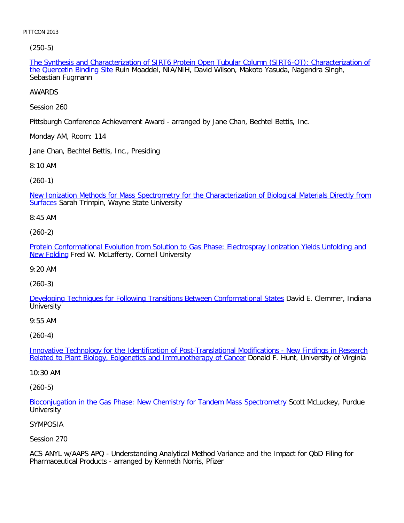[\(250-5\)](file:///p|/print%20on%20demand%20titles/23101-23200/23133/23133%20source%20materials/papers/250-5.htm)

The Synthesis and Characterization of SIRT6 Protein Open Tubular Column (SIRT6-OT): Characterization of the Quercetin Binding Site Ruin Moaddel, NIA/NIH, David Wilson, Makoto Yasuda, Nagendra Singh, Sebastian Fugmann

AWARDS

Session 260

Pittsburgh Conference Achievement Award - arranged by Jane Chan, Bechtel Bettis, Inc.

Monday AM, Room: 114

Jane Chan, Bechtel Bettis, Inc., Presiding

8:10 AM

(260-1)

[New Ionization Methods for Mass Spectrometry for the Characterization of Biological Materials Directly from](file:///p|/print%20on%20demand%20titles/23101-23200/23133/23133%20source%20materials/papers/260-1.htm) Surfaces Sarah Trimpin, Wayne State University

8:45 AM

(260-2)

[Protein Conformational Evolution from Solution to Gas Phase: Electrospray Ionization Yields Unfolding and](file:///p|/print%20on%20demand%20titles/23101-23200/23133/23133%20source%20materials/papers/260-2.htm) [New Fol](file:///p|/print%20on%20demand%20titles/23101-23200/23133/23133%20source%20materials/papers/260-2.htm)ding Fred W. McLafferty, Cornell University

9:20 AM

(260-3)

[Developing Techniques for Following Transitions Between Conformational States](file:///p|/print%20on%20demand%20titles/23101-23200/23133/23133%20source%20materials/papers/260-3.htm) David E. Clemmer, Indiana **University** 

9:55 AM

(260-4)

Innovative Technology for the Identification of Post-Translational Modifications - New Findings in Research [Related to Plant Biology, Eoigenetics and Immunotherapy of Cancer](file:///p|/print%20on%20demand%20titles/23101-23200/23133/23133%20source%20materials/papers/260-4.htm) Donald F. Hunt, University of Virginia

[10:30 AM](file:///p|/print%20on%20demand%20titles/23101-23200/23133/23133%20source%20materials/papers/260-4.htm)

(260-5)

Bioconjugation in the Gas Phase: New Chemistry for Tandem Mass Spectrometry Scott McLuckey, Purdue **University** 

#### [SYMPOSIA](file:///p|/print%20on%20demand%20titles/23101-23200/23133/23133%20source%20materials/papers/260-5.htm)

Session 270

ACS ANYL w/AAPS APQ - Understanding Analytical Method Variance and the Impact for QbD Filing for Pharmaceutical Products - arranged by Kenneth Norris, Pfizer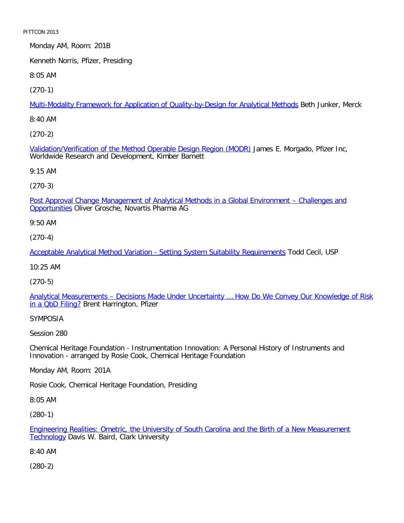Monday AM, Room: 201B

Kenneth Norris, Pfizer, Presiding

8:05 AM

[\(270-1\)](file:///p|/print%20on%20demand%20titles/23101-23200/23133/23133%20source%20materials/papers/270-1.htm)

Multi-Modality Framework for Application of Quality-by-Design for Analytical Methods Beth Junker, Merck

8:40 AM

[\(270-2\)](file:///p|/print%20on%20demand%20titles/23101-23200/23133/23133%20source%20materials/papers/270-2.htm)

Validation/Verification of the Method Operable Design Region (MODR) James E. Morgado, Pfizer Inc, Worldwide Research and Development, Kimber Barnett

9:15 AM

(270-3)

[Post Approval Change Management of Analytical Methods in a Global Environment – Challenges and](file:///p|/print%20on%20demand%20titles/23101-23200/23133/23133%20source%20materials/papers/270-3.htm) Opportunities Oliver Grosche, Novartis Pharma AG

9:50 AM

(270-4)

[Acceptable Analytical Method Variation - Setting System Suitability Requirements](file:///p|/print%20on%20demand%20titles/23101-23200/23133/23133%20source%20materials/papers/270-4.htm) Todd Cecil, USP

10:25 AM

(270-5)

[Analytical Measurements – Decisions Made Under Uncertainty … How Do We Convey Our Knowledge of Risk](file:///p|/print%20on%20demand%20titles/23101-23200/23133/23133%20source%20materials/papers/270-5.htm) in a ObD Filing? Brent Harrington, Pfizer

SYMPOSIA

Session 280

Chemical Heritage Foundation - Instrumentation Innovation: A Personal History of Instruments and Innovation - arranged by Rosie Cook, Chemical Heritage Foundation

Monday AM, Room: 201A

Rosie Cook, Chemical Heritage Foundation, Presiding

8:05 AM

(280-1)

Engineering Realities: Ometric, the University of South Carolina and the Birth of a New Measurement Technology Davis W. Baird, Clark University

[8:40 AM](file:///p|/print%20on%20demand%20titles/23101-23200/23133/23133%20source%20materials/papers/280-1.htm)

(280-2)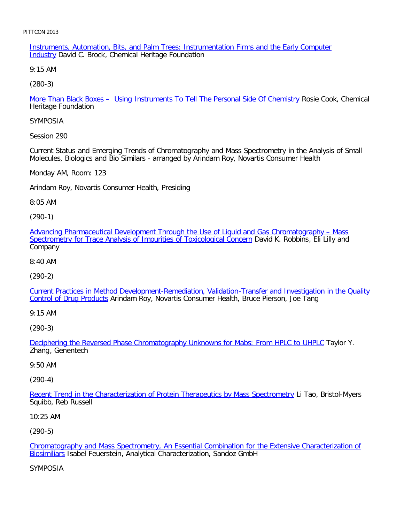Instruments, Automation, Bits, and Palm Trees: Instrumentation Firms and the Early Computer **Industry David C. Brock, Chemical Heritage Foundation** 

9:15 AM

[\(280-3\)](file:///p|/print%20on%20demand%20titles/23101-23200/23133/23133%20source%20materials/papers/280-3.htm)

More Than Black Boxes – Using Instruments To Tell The Personal Side Of Chemistry Rosie Cook, Chemical Heritage Foundation

SYMPOSIA

Session 290

Current Status and Emerging Trends of Chromatography and Mass Spectrometry in the Analysis of Small Molecules, Biologics and Bio Similars - arranged by Arindam Roy, Novartis Consumer Health

Monday AM, Room: 123

Arindam Roy, Novartis Consumer Health, Presiding

8:05 AM

(290-1)

[Advancing Pharmaceutical Development Through the Use of Liquid and Gas Chromatography – Mass](file:///p|/print%20on%20demand%20titles/23101-23200/23133/23133%20source%20materials/papers/290-1.htm) [Spectrometry for Trace Analysis of Impurities of Toxicological Concern](file:///p|/print%20on%20demand%20titles/23101-23200/23133/23133%20source%20materials/papers/290-1.htm) David K. Robbins, Eli Lilly and Company

8:40 AM

(290-2)

[Current Practices in Method Development-Remediation, Validation-Transfer and Investigation in the Quality](file:///p|/print%20on%20demand%20titles/23101-23200/23133/23133%20source%20materials/papers/290-2.htm) [Control of Drug Produ](file:///p|/print%20on%20demand%20titles/23101-23200/23133/23133%20source%20materials/papers/290-2.htm)cts Arindam Roy, Novartis Consumer Health, Bruce Pierson, Joe Tang

9:15 AM

(290-3)

Deciphering the Reversed Phase Chromatography Unknowns for Mabs: From HPLC to UHPLC Taylor Y. [Zhang, Genentech](file:///p|/print%20on%20demand%20titles/23101-23200/23133/23133%20source%20materials/papers/290-3.htm)

#### 9:50 AM

(290-4)

Recent Trend in the Characterization of Protein Therapeutics by Mass Spectrometry Li Tao, Bristol-Myers [Squibb, Reb Russell](file:///p|/print%20on%20demand%20titles/23101-23200/23133/23133%20source%20materials/papers/290-4.htm)

10:25 AM

(290-5)

Chromatography and Mass Spectrometry, An Essential Combination for the Extensive Characterization of Biosimiliars Isabel Feuerstein, Analytical Characterization, Sandoz GmbH

[SYMPOSIA](file:///p|/print%20on%20demand%20titles/23101-23200/23133/23133%20source%20materials/papers/290-5.htm)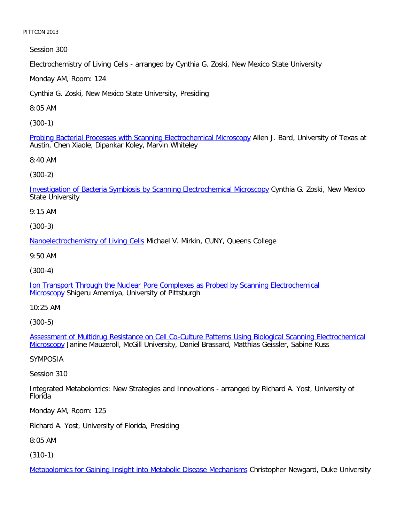Session 300

Electrochemistry of Living Cells - arranged by Cynthia G. Zoski, New Mexico State University

Monday AM, Room: 124

Cynthia G. Zoski, New Mexico State University, Presiding

8:05 AM

[\(300-1\)](file:///p|/print%20on%20demand%20titles/23101-23200/23133/23133%20source%20materials/papers/300-1.htm)

Probing Bacterial Processes with Scanning Electrochemical Microscopy Allen J. Bard, University of Texas at Austin, Chen Xiaole, Dipankar Koley, Marvin Whiteley

8:40 AM

[\(300-2\)](file:///p|/print%20on%20demand%20titles/23101-23200/23133/23133%20source%20materials/papers/300-2.htm)

Investigation of Bacteria Symbiosis by Scanning Electrochemical Microscopy Cynthia G. Zoski, New Mexico State University

9:15 AM

(300-3)

[Nanoelectrochemistry of Living Cel](file:///p|/print%20on%20demand%20titles/23101-23200/23133/23133%20source%20materials/papers/300-3.htm)ls Michael V. Mirkin, CUNY, Queens College

9:50 AM

(300-4)

[Ion Transport Through the Nuclear Pore Complexes as Probed by Scanning Electrochemical](file:///p|/print%20on%20demand%20titles/23101-23200/23133/23133%20source%20materials/papers/300-4.htm) [Micros](file:///p|/print%20on%20demand%20titles/23101-23200/23133/23133%20source%20materials/papers/300-4.htm)copy Shigeru Amemiya, University of Pittsburgh

10:25 AM

(300-5)

Assessment of Multidrug Resistance on Cell Co-Culture Patterns Using Biological Scanning Electrochemical Microscopy [Janine Mauzeroll, McGill University, Daniel Brassard, Matthias Geissler, Sabine Kuss](file:///p|/print%20on%20demand%20titles/23101-23200/23133/23133%20source%20materials/papers/300-5.htm)

[SYMPO](file:///p|/print%20on%20demand%20titles/23101-23200/23133/23133%20source%20materials/papers/300-5.htm)SIA

Session 310

Integrated Metabolomics: New Strategies and Innovations - arranged by Richard A. Yost, University of Florida

Monday AM, Room: 125

Richard A. Yost, University of Florida, Presiding

8:05 AM

(310-1)

Metabolomics for Gaining Insight into Metabolic Disease Mechanisms Christopher Newgard, Duke University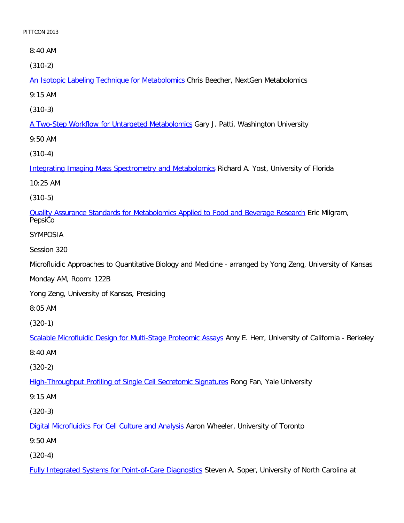8:40 AM

[\(310-2\)](file:///p|/print%20on%20demand%20titles/23101-23200/23133/23133%20source%20materials/papers/310-2.htm)

An Isotopic Labeling Technique for Metabolomics Chris Beecher, NextGen Metabolomics

9:15 AM

[\(310-3\)](file:///p|/print%20on%20demand%20titles/23101-23200/23133/23133%20source%20materials/papers/310-3.htm)

A Two-Step Workflow for Untargeted Metabolomics Gary J. Patti, Washington University

9:50 AM

[\(310-4\)](file:///p|/print%20on%20demand%20titles/23101-23200/23133/23133%20source%20materials/papers/310-4.htm)

Integrating Imaging Mass Spectrometry and Metabolomics Richard A. Yost, University of Florida

10:25 AM

(310-5)

[Quality Assurance Standards for Metabolomics Applied to Food and Beverage Research](file:///p|/print%20on%20demand%20titles/23101-23200/23133/23133%20source%20materials/papers/310-5.htm) Eric Milgram, PepsiCo

SYMPOSIA

Session 320

Microfluidic Approaches to Quantitative Biology and Medicine - arranged by Yong Zeng, University of Kansas

Monday AM, Room: 122B

Yong Zeng, University of Kansas, Presiding

8:05 AM

(320-1)

Scalable Microfluidic Design for Multi-Stage Proteomic Assays Amy E. Herr, University of California - Berkeley

[8:40 AM](file:///p|/print%20on%20demand%20titles/23101-23200/23133/23133%20source%20materials/papers/320-1.htm)

(320-2)

High-Throughput Profiling of Single Cell Secretomic Signatures Rong Fan, Yale University

[9:15 AM](file:///p|/print%20on%20demand%20titles/23101-23200/23133/23133%20source%20materials/papers/320-2.htm)

(320-3)

Digital Microfluidics For Cell Culture and Analysis Aaron Wheeler, University of Toronto

[9:50 AM](file:///p|/print%20on%20demand%20titles/23101-23200/23133/23133%20source%20materials/papers/320-3.htm)

(320-4)

Fully Integrated Systems for Point-of-Care Diagnostics Steven A. Soper, University of North Carolina at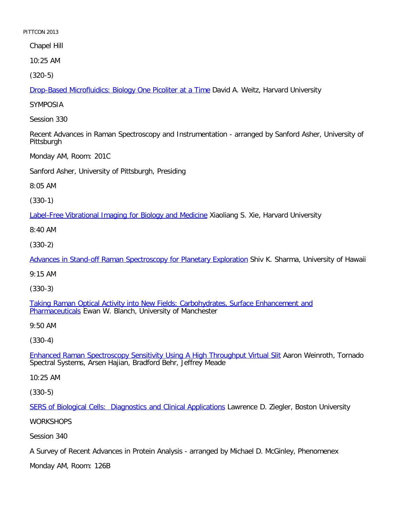Chapel Hill

10:25 AM

[\(320-5\)](file:///p|/print%20on%20demand%20titles/23101-23200/23133/23133%20source%20materials/papers/320-5.htm)

Drop-Based Microfluidics: Biology One Picoliter at a Time David A. Weitz, Harvard University

SYMPOSIA

Session 330

Recent Advances in Raman Spectroscopy and Instrumentation - arranged by Sanford Asher, University of Pittsburgh

Monday AM, Room: 201C

Sanford Asher, University of Pittsburgh, Presiding

8:05 AM

(330-1)

[Label-Free Vibrational Imaging for Biology and Medicine](file:///p|/print%20on%20demand%20titles/23101-23200/23133/23133%20source%20materials/papers/330-1.htm) Xiaoliang S. Xie, Harvard University

8:40 AM

(330-2)

[Advances in Stand-off Raman Spectroscopy for Planetary Exploration](file:///p|/print%20on%20demand%20titles/23101-23200/23133/23133%20source%20materials/papers/330-2.htm) Shiv K. Sharma, University of Hawaii

9:15 AM

(330-3)

[Taking Raman Optical Activity into New Fields: Carbohydrates, Surface Enhancement and](file:///p|/print%20on%20demand%20titles/23101-23200/23133/23133%20source%20materials/papers/330-3.htm) [Pharmaceuti](file:///p|/print%20on%20demand%20titles/23101-23200/23133/23133%20source%20materials/papers/330-3.htm)cals Ewan W. Blanch, University of Manchester

9:50 AM

(330-4)

Enhanced Raman Spectroscopy Sensitivity Using A High Throughput Virtual Slit Aaron Weinroth, Tornado [Spectral Systems, Arsen Hajian, Bradford Behr, Jeffrey Meade](file:///p|/print%20on%20demand%20titles/23101-23200/23133/23133%20source%20materials/papers/330-4.htm)

10:25 AM

(330-5)

SERS of Biological Cells: Diagnostics and Clinical Applications Lawrence D. Ziegler, Boston University

**[WORKSHOPS](file:///p|/print%20on%20demand%20titles/23101-23200/23133/23133%20source%20materials/papers/330-5.htm)** 

Session 340

A Survey of Recent Advances in Protein Analysis - arranged by Michael D. McGinley, Phenomenex

Monday AM, Room: 126B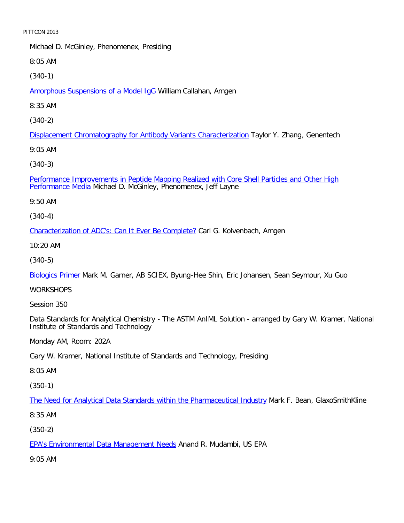Michael D. McGinley, Phenomenex, Presiding

8:05 AM

[\(340-1\)](file:///p|/print%20on%20demand%20titles/23101-23200/23133/23133%20source%20materials/papers/340-1.htm)

Amorphous Suspensions of a Model IgG William Callahan, Amgen

8:35 AM

[\(340-2\)](file:///p|/print%20on%20demand%20titles/23101-23200/23133/23133%20source%20materials/papers/340-2.htm)

Displacement Chromatography for Antibody Variants Characterization Taylor Y. Zhang, Genentech

9:05 AM

[\(340-3\)](file:///p|/print%20on%20demand%20titles/23101-23200/23133/23133%20source%20materials/papers/340-3.htm)

[Performance Im](file:///p|/print%20on%20demand%20titles/23101-23200/23133/23133%20source%20materials/papers/340-3.htm)provements in Peptide Mapping Realized with Core Shell Particles and Other High Performance Media Michael D. McGinley, Phenomenex, Jeff Layne

9:50 AM

(340-4)

[Characterization of ADC's: Can It Ever Be Complete?](file:///p|/print%20on%20demand%20titles/23101-23200/23133/23133%20source%20materials/papers/340-4.htm) Carl G. Kolvenbach, Amgen

10:20 AM

(340-5)

[Biologics Pri](file:///p|/print%20on%20demand%20titles/23101-23200/23133/23133%20source%20materials/papers/340-5.htm)mer Mark M. Garner, AB SCIEX, Byung-Hee Shin, Eric Johansen, Sean Seymour, Xu Guo

**WORKSHOPS** 

Session 350

Data Standards for Analytical Chemistry - The ASTM AnIML Solution - arranged by Gary W. Kramer, National Institute of Standards and Technology

Monday AM, Room: 202A

Gary W. Kramer, National Institute of Standards and Technology, Presiding

8:05 AM

(350-1)

The Need for Analytical Data Standards within the Pharmaceutical Industry Mark F. Bean, GlaxoSmithKline

[8:35 AM](file:///p|/print%20on%20demand%20titles/23101-23200/23133/23133%20source%20materials/papers/350-1.htm)

(350-2)

EPA's Environmental Data Management Needs Anand R. Mudambi, US EPA

[9:05 AM](file:///p|/print%20on%20demand%20titles/23101-23200/23133/23133%20source%20materials/papers/350-2.htm)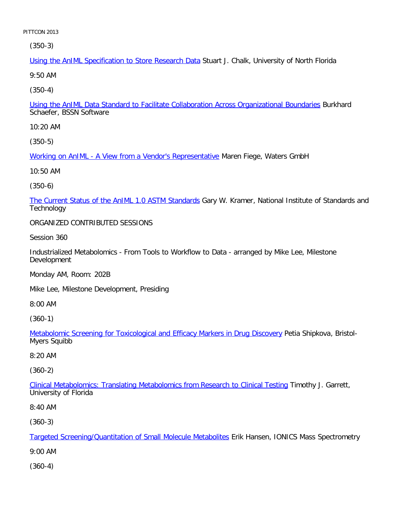(350-3)

Using the AnIML Specification to Store Research Data Stuart J. Chalk, University of North Florida

9:50 AM

[\(350-4\)](file:///p|/print%20on%20demand%20titles/23101-23200/23133/23133%20source%20materials/papers/350-4.htm)

Using the AnIML Data Standard to Facilitate Collaboration Across Organizational Boundaries Burkhard Schaefer, BSSN Software

10:20 AM

[\(350-5\)](file:///p|/print%20on%20demand%20titles/23101-23200/23133/23133%20source%20materials/papers/350-5.htm)

Working on AnIML - A View from a Vendor's Representative Maren Fiege, Waters GmbH

10:50 AM

(350-6)

[The Current Status of the AnIML 1.0 ASTM Standards](file:///p|/print%20on%20demand%20titles/23101-23200/23133/23133%20source%20materials/papers/350-6.htm) Gary W. Kramer, National Institute of Standards and **Technology** 

ORGANIZED CONTRIBUTED SESSIONS

Session 360

Industrialized Metabolomics - From Tools to Workflow to Data - arranged by Mike Lee, Milestone Development

Monday AM, Room: 202B

Mike Lee, Milestone Development, Presiding

8:00 AM

(360-1)

Metabolomic Screening for Toxicological and Efficacy Markers in Drug Discovery Petia Shipkova, Bristol-[Myers Squibb](file:///p|/print%20on%20demand%20titles/23101-23200/23133/23133%20source%20materials/papers/360-1.htm)

8:20 AM

(360-2)

Clinical Metabolomics: Translating Metabolomics from Research to Clinical Testing Timothy J. Garrett, [University of Florida](file:///p|/print%20on%20demand%20titles/23101-23200/23133/23133%20source%20materials/papers/360-2.htm)

8:40 AM

(360-3)

Targeted Screening/Quantitation of Small Molecule Metabolites Erik Hansen, IONICS Mass Spectrometry

[9:00 AM](file:///p|/print%20on%20demand%20titles/23101-23200/23133/23133%20source%20materials/papers/360-3.htm)

(360-4)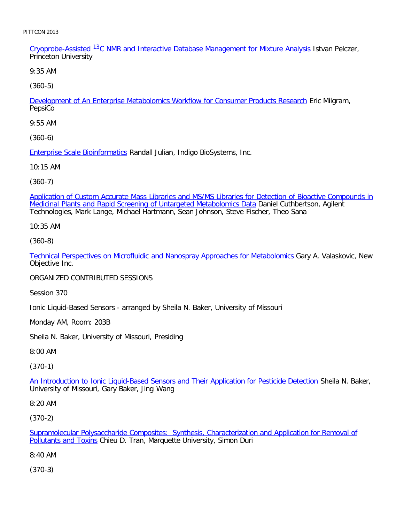Cryoprobe-Assisted <sup>13</sup>C NMR and Interactive Database Management for Mixture Analysis Istvan Pelczer, Princeton University

9:35 AM

[\(360-5\)](file:///p|/print%20on%20demand%20titles/23101-23200/23133/23133%20source%20materials/papers/360-5.htm)

Development of An Enterprise Metabolomics Workflow for Consumer Products Research Eric Milgram, PepsiCo

9:55 AM

[\(360-6\)](file:///p|/print%20on%20demand%20titles/23101-23200/23133/23133%20source%20materials/papers/360-6.htm)

Enterprise Scale Bioinformatics Randall Julian, Indigo BioSystems, Inc.

10:15 AM

(360-7)

[Application of Custom Accurate Mass Libraries and MS/MS Libraries for Detection of Bioactive Compounds in](file:///p|/print%20on%20demand%20titles/23101-23200/23133/23133%20source%20materials/papers/360-7.htm) Medicinal Plants and Rapid Screening of Untargeted Metabolomics Data Daniel Cuthbertson, Agilent Technologies, Mark Lange, Michael Hartmann, Sean Johnson, Steve Fischer, Theo Sana

10:35 AM

(360-8)

[Technical Perspectives on Microfluidic and Nanospray Approaches for Metabolomics](file:///p|/print%20on%20demand%20titles/23101-23200/23133/23133%20source%20materials/papers/360-8.htm) Gary A. Valaskovic, New Objective Inc.

ORGANIZED CONTRIBUTED SESSIONS

Session 370

Ionic Liquid-Based Sensors - arranged by Sheila N. Baker, University of Missouri

Monday AM, Room: 203B

Sheila N. Baker, University of Missouri, Presiding

8:00 AM

(370-1)

An Introduction to Ionic Liquid-Based Sensors and Their Application for Pesticide Detection Sheila N. Baker, [University of Missouri, Gary Baker, Jing Wang](file:///p|/print%20on%20demand%20titles/23101-23200/23133/23133%20source%20materials/papers/370-1.htm)

8:20 AM

(370-2)

Supramolecular Polysaccharide Composites: Synthesis, Characterization and Application for Removal of Pollutants and Toxins Chieu D. Tran, Marquette University, Simon Duri

[8:40 AM](file:///p|/print%20on%20demand%20titles/23101-23200/23133/23133%20source%20materials/papers/370-2.htm)

(370-3)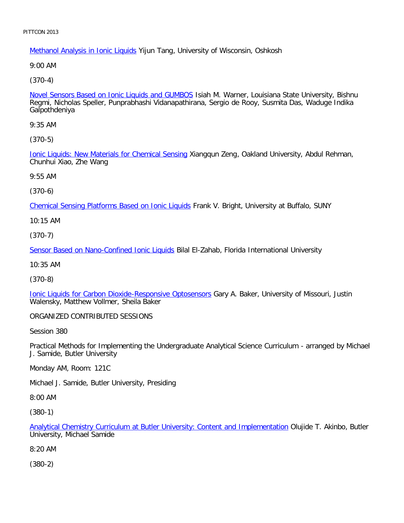Methanol Analysis in Ionic Liquids Yijun Tang, University of Wisconsin, Oshkosh

9:00 AM

[\(370-4\)](file:///p|/print%20on%20demand%20titles/23101-23200/23133/23133%20source%20materials/papers/370-4.htm)

Novel Sensors Based on Ionic Liquids and GUMBOS Isiah M. Warner, Louisiana State University, Bishnu Regmi, Nicholas Speller, Punprabhashi Vidanapathirana, Sergio de Rooy, Susmita Das, Waduge Indika Galpothdeniya

9:35 AM

[\(370-5\)](file:///p|/print%20on%20demand%20titles/23101-23200/23133/23133%20source%20materials/papers/370-5.htm)

Ionic Liquids: New Materials for Chemical Sensing Xiangqun Zeng, Oakland University, Abdul Rehman, Chunhui Xiao, Zhe Wang

9:55 AM

(370-6)

[Chemical Sensing Platforms Based on Ionic Liquids](file:///p|/print%20on%20demand%20titles/23101-23200/23133/23133%20source%20materials/papers/370-6.htm) Frank V. Bright, University at Buffalo, SUNY

10:15 AM

(370-7)

[Sensor Based on Nano-Confined Ionic Liquids](file:///p|/print%20on%20demand%20titles/23101-23200/23133/23133%20source%20materials/papers/370-7.htm) Bilal El-Zahab, Florida International University

10:35 AM

(370-8)

[Ionic Liquids for Carbon Dioxide-Responsive Optosensors](file:///p|/print%20on%20demand%20titles/23101-23200/23133/23133%20source%20materials/papers/370-8.htm) Gary A. Baker, University of Missouri, Justin Walensky, Matthew Vollmer, Sheila Baker

ORGANIZED CONTRIBUTED SESSIONS

Session 380

Practical Methods for Implementing the Undergraduate Analytical Science Curriculum - arranged by Michael J. Samide, Butler University

Monday AM, Room: 121C

Michael J. Samide, Butler University, Presiding

8:00 AM

(380-1)

Analytical Chemistry Curriculum at Butler University: Content and Implementation Olujide T. Akinbo, Butler University, Michael Samide

[8:20 AM](file:///p|/print%20on%20demand%20titles/23101-23200/23133/23133%20source%20materials/papers/380-1.htm)

(380-2)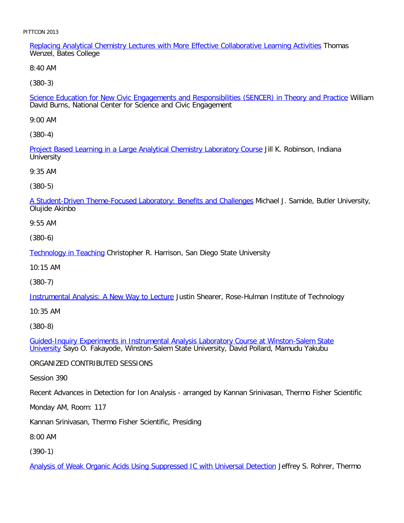Replacing Analytical Chemistry Lectures with More Effective Collaborative Learning Activities Thomas Wenzel, Bates College

8:40 AM

[\(380-3\)](file:///p|/print%20on%20demand%20titles/23101-23200/23133/23133%20source%20materials/papers/380-3.htm)

Science Education for New Civic Engagements and Responsibilities (SENCER) in Theory and Practice William David Burns, National Center for Science and Civic Engagement

9:00 AM

[\(380-4\)](file:///p|/print%20on%20demand%20titles/23101-23200/23133/23133%20source%20materials/papers/380-4.htm)

Project Based Learning in a Large Analytical Chemistry Laboratory Course Jill K. Robinson, Indiana **University** 

9:35 AM

(380-5)

[A Student-Driven Theme-Focused Laboratory: Benefits and Challenges](file:///p|/print%20on%20demand%20titles/23101-23200/23133/23133%20source%20materials/papers/380-5.htm) Michael J. Samide, Butler University, Olujide Akinbo

9:55 AM

(380-6)

[Technology in Teach](file:///p|/print%20on%20demand%20titles/23101-23200/23133/23133%20source%20materials/papers/380-6.htm)ing Christopher R. Harrison, San Diego State University

10:15 AM

(380-7)

[Instrumental Analysis: A New Way to Lecture](file:///p|/print%20on%20demand%20titles/23101-23200/23133/23133%20source%20materials/papers/380-7.htm) Justin Shearer, Rose-Hulman Institute of Technology

10:35 AM

(380-8)

Guided-Inquiry Experiments in Instrumental Analysis Laboratory Course at Winston-Salem State University [Sayo O. Fakayode, Winston-Salem State University, David Pollard, Mamudu Yakubu](file:///p|/print%20on%20demand%20titles/23101-23200/23133/23133%20source%20materials/papers/380-8.htm)

[ORGA](file:///p|/print%20on%20demand%20titles/23101-23200/23133/23133%20source%20materials/papers/380-8.htm)NIZED CONTRIBUTED SESSIONS

Session 390

Recent Advances in Detection for Ion Analysis - arranged by Kannan Srinivasan, Thermo Fisher Scientific

Monday AM, Room: 117

Kannan Srinivasan, Thermo Fisher Scientific, Presiding

8:00 AM

(390-1)

Analysis of Weak Organic Acids Using Suppressed IC with Universal Detection Jeffrey S. Rohrer, Thermo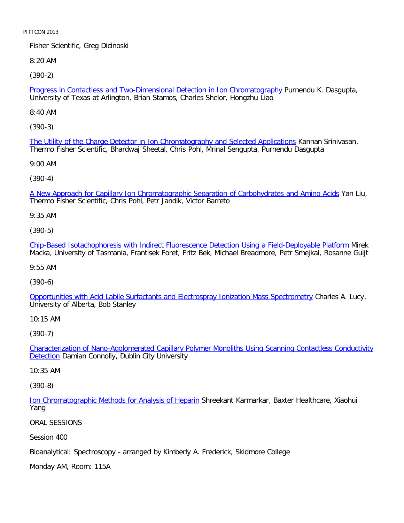Fisher Scientific, Greg Dicinoski

8:20 AM

[\(390-2\)](file:///p|/print%20on%20demand%20titles/23101-23200/23133/23133%20source%20materials/papers/390-2.htm)

Progress in Contactless and Two-Dimensional Detection in Ion Chromatography Purnendu K. Dasgupta, University of Texas at Arlington, Brian Stamos, Charles Shelor, Hongzhu Liao

8:40 AM

[\(390-3\)](file:///p|/print%20on%20demand%20titles/23101-23200/23133/23133%20source%20materials/papers/390-3.htm)

The Utility of the Charge Detector in Ion Chromatography and Selected Applications Kannan Srinivasan, Thermo Fisher Scientific, Bhardwaj Sheetal, Chris Pohl, Mrinal Sengupta, Purnendu Dasgupta

9:00 AM

(390-4)

[A New Approach for Capillary Ion Chromatographic Separation of Carbohydrates and Amino Acids](file:///p|/print%20on%20demand%20titles/23101-23200/23133/23133%20source%20materials/papers/390-4.htm) Yan Liu, Thermo Fisher Scientific, Chris Pohl, Petr Jandik, Victor Barreto

9:35 AM

(390-5)

[Chip-Based Isotachophoresis with Indirect Fluorescence Detection Using a Field-Deployable Platform](file:///p|/print%20on%20demand%20titles/23101-23200/23133/23133%20source%20materials/papers/390-5.htm) Mirek Macka, University of Tasmania, Frantisek Foret, Fritz Bek, Michael Breadmore, Petr Smejkal, Rosanne Guijt

9:55 AM

(390-6)

[Opportunities with Acid Labile Surfactants and Electrospray Ionization Mass Spectrometry](file:///p|/print%20on%20demand%20titles/23101-23200/23133/23133%20source%20materials/papers/390-6.htm) Charles A. Lucy, University of Alberta, Bob Stanley

10:15 AM

(390-7)

Characterization of Nano-Agglomerated Capillary Polymer Monoliths Using Scanning Contactless Conductivity **Detection** [Damian Connolly, Dublin City University](file:///p|/print%20on%20demand%20titles/23101-23200/23133/23133%20source%20materials/papers/390-7.htm)

[10:35](file:///p|/print%20on%20demand%20titles/23101-23200/23133/23133%20source%20materials/papers/390-7.htm) AM

(390-8)

Ion Chromatographic Methods for Analysis of Heparin Shreekant Karmarkar, Baxter Healthcare, Xiaohui Yang

[ORAL SESSIONS](file:///p|/print%20on%20demand%20titles/23101-23200/23133/23133%20source%20materials/papers/390-8.htm)

Session 400

Bioanalytical: Spectroscopy - arranged by Kimberly A. Frederick, Skidmore College

Monday AM, Room: 115A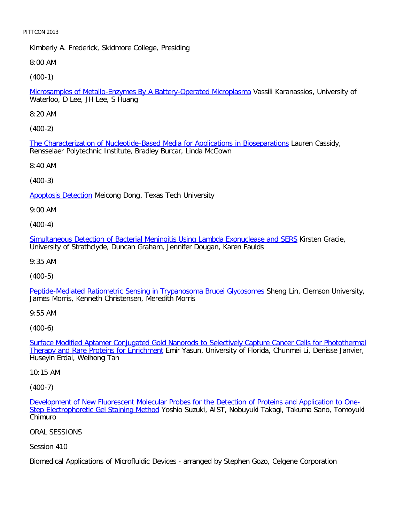Kimberly A. Frederick, Skidmore College, Presiding

8:00 AM

[\(400-1\)](file:///p|/print%20on%20demand%20titles/23101-23200/23133/23133%20source%20materials/papers/400-1.htm)

Microsamples of Metallo-Enzymes By A Battery-Operated Microplasma Vassili Karanassios, University of Waterloo, D Lee, JH Lee, S Huang

8:20 AM

[\(400-2\)](file:///p|/print%20on%20demand%20titles/23101-23200/23133/23133%20source%20materials/papers/400-2.htm)

The Characterization of Nucleotide-Based Media for Applications in Bioseparations Lauren Cassidy, Rensselaer Polytechnic Institute, Bradley Burcar, Linda McGown

8:40 AM

(400-3)

**[Apoptosis Detect](file:///p|/print%20on%20demand%20titles/23101-23200/23133/23133%20source%20materials/papers/400-3.htm)ion Meicong Dong, Texas Tech University** 

9:00 AM

(400-4)

[Simultaneous Detection of Bacterial Meningitis Using Lambda Exonuclease and SERS](file:///p|/print%20on%20demand%20titles/23101-23200/23133/23133%20source%20materials/papers/400-4.htm) Kirsten Gracie, University of Strathclyde, Duncan Graham, Jennifer Dougan, Karen Faulds

9:35 AM

(400-5)

[Peptide-Mediated Ratiometric Sensing in Trypanosoma Brucei Glycosomes](file:///p|/print%20on%20demand%20titles/23101-23200/23133/23133%20source%20materials/papers/400-5.htm) Sheng Lin, Clemson University, James Morris, Kenneth Christensen, Meredith Morris

9:55 AM

(400-6)

Surface Modified Aptamer Conjugated Gold Nanorods to Selectively Capture Cancer Cells for Photothermal Therapy and Rare Proteins for Enrichment [Emir Yasun, University of Florida, Chunmei Li, Denisse Janvier,](file:///p|/print%20on%20demand%20titles/23101-23200/23133/23133%20source%20materials/papers/400-6.htm) [Huseyin Erdal, Weihong Tan](file:///p|/print%20on%20demand%20titles/23101-23200/23133/23133%20source%20materials/papers/400-6.htm)

10:15 AM

(400-7)

Development of New Fluorescent Molecular Probes for the Detection of Proteins and Application to One-Step Electrophoretic Gel Staining Method Yoshio Suzuki, AIST, Nobuyuki Takagi, Takuma Sano, Tomoyuki [Chimuro](file:///p|/print%20on%20demand%20titles/23101-23200/23133/23133%20source%20materials/papers/400-7.htm)

[ORAL SESSIONS](file:///p|/print%20on%20demand%20titles/23101-23200/23133/23133%20source%20materials/papers/400-7.htm)

Session 410

Biomedical Applications of Microfluidic Devices - arranged by Stephen Gozo, Celgene Corporation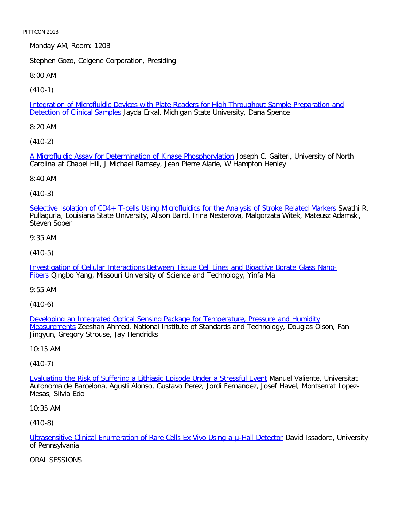Monday AM, Room: 120B

Stephen Gozo, Celgene Corporation, Presiding

8:00 AM

[\(410-1\)](file:///p|/print%20on%20demand%20titles/23101-23200/23133/23133%20source%20materials/papers/410-1.htm)

Integration of Microfluidic Devices with Plate Readers for High Throughput Sample Preparation and Detection of Clinical Samples Jayda Erkal, Michigan State University, Dana Spence

8:20 AM

[\(410-2\)](file:///p|/print%20on%20demand%20titles/23101-23200/23133/23133%20source%20materials/papers/410-2.htm)

A Microfluidic Assay for Determination of Kinase Phosphorylation Joseph C. Gaiteri, University of North Carolina at Chapel Hill, J Michael Ramsey, Jean Pierre Alarie, W Hampton Henley

8:40 AM

(410-3)

[Selective Isolation of CD4+ T-cells Using Microfluidics for the Analysis of Stroke Related Markers](file:///p|/print%20on%20demand%20titles/23101-23200/23133/23133%20source%20materials/papers/410-3.htm) Swathi R. Pullagurla, Louisiana State University, Alison Baird, Irina Nesterova, Malgorzata Witek, Mateusz Adamski, Steven Soper

9:35 AM

(410-5)

[Investigation of Cellular Interactions Between Tissue Cell Lines and Bioactive Borate Glass Nano-](file:///p|/print%20on%20demand%20titles/23101-23200/23133/23133%20source%20materials/papers/410-5.htm)[F](file:///p|/print%20on%20demand%20titles/23101-23200/23133/23133%20source%20materials/papers/410-5.htm)ibers Oingbo Yang, Missouri University of Science and Technology, Yinfa Ma

9:55 AM

(410-6)

Developing an Integrated Optical Sensing Package for Temperature, Pressure and Humidity Measurements [Zeeshan Ahmed, National Institute of Standards and Technology, Douglas Olson,](file:///p|/print%20on%20demand%20titles/23101-23200/23133/23133%20source%20materials/papers/410-6.htm) Fan [Jingyun, G](file:///p|/print%20on%20demand%20titles/23101-23200/23133/23133%20source%20materials/papers/410-6.htm)regory Strouse, Jay Hendricks

10:15 AM

(410-7)

Evaluating the Risk of Suffering a Lithiasic Episode Under a Stressful Event Manuel Valiente, Universitat [Autonoma de Barcelona, Agusti Alonso, Gustavo Perez, Jordi Fernandez, Jose](file:///p|/print%20on%20demand%20titles/23101-23200/23133/23133%20source%20materials/papers/410-7.htm)f Havel, Montserrat Lopez-Mesas, Silvia Edo

10:35 AM

(410-8)

Ultrasensitive Clinical Enumeration of Rare Cells Ex Vivo Using a u-Hall Detector David Issadore, University of Pennsylvania

[ORAL SESSIONS](file:///p|/print%20on%20demand%20titles/23101-23200/23133/23133%20source%20materials/papers/410-8.htm)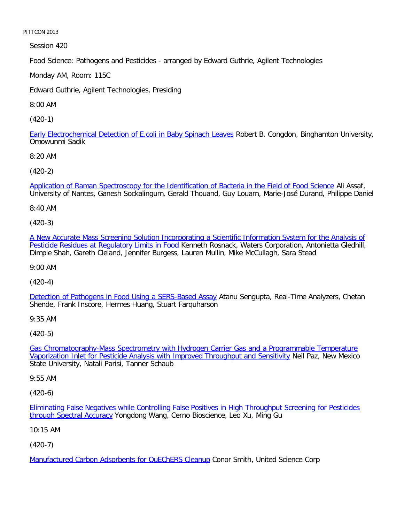Session 420

Food Science: Pathogens and Pesticides - arranged by Edward Guthrie, Agilent Technologies

Monday AM, Room: 115C

Edward Guthrie, Agilent Technologies, Presiding

8:00 AM

[\(420-1\)](file:///p|/print%20on%20demand%20titles/23101-23200/23133/23133%20source%20materials/papers/420-1.htm)

Early Electrochemical Detection of E.coli in Baby Spinach Leaves Robert B. Congdon, Binghamton University, Omowunmi Sadik

8:20 AM

[\(420-2\)](file:///p|/print%20on%20demand%20titles/23101-23200/23133/23133%20source%20materials/papers/420-2.htm)

Application of Raman Spectroscopy for the Identification of Bacteria in the Field of Food Science Ali Assaf, University of Nantes, Ganesh Sockalingum, Gerald Thouand, Guy Louarn, Marie-José Durand, Philippe Daniel

8:40 AM

(420-3)

[A New Accurate Mass Screening Solution Incorporating a Scientific Information System for the Analysis of](file:///p|/print%20on%20demand%20titles/23101-23200/23133/23133%20source%20materials/papers/420-3.htm) [Pesticide Residues at Regulatory Limits in Food](file:///p|/print%20on%20demand%20titles/23101-23200/23133/23133%20source%20materials/papers/420-3.htm) Kenneth Rosnack, Waters Corporation, Antonietta Gledhill, Dimple Shah, Gareth Cleland, Jennifer Burgess, Lauren Mullin, Mike McCullagh, Sara Stead

9:00 AM

(420-4)

Detection of Pathogens in Food Using a SERS-Based Assay Atanu Sengupta, Real-Time Analyzers, Chetan [Shende, Frank Inscore, Hermes Huang, Stuart Farquharson](file:///p|/print%20on%20demand%20titles/23101-23200/23133/23133%20source%20materials/papers/420-4.htm)

9:35 AM

(420-5)

Gas Chromatography-Mass Spectrometry with Hydrogen Carrier Gas and a Programmable Temperature [Vaporization Inlet for Pesticide Analysis with Improved Throughput and Sensitivity](file:///p|/print%20on%20demand%20titles/23101-23200/23133/23133%20source%20materials/papers/420-5.htm) Neil Paz, New Mexico [State University, Natali Parisi, Tanner Schaub](file:///p|/print%20on%20demand%20titles/23101-23200/23133/23133%20source%20materials/papers/420-5.htm)

9:55 AM

(420-6)

Eliminating False Negatives while Controlling False Positives in High Throughput Screening for Pesticides through Spectral Accuracy Yongdong Wang, Cerno Bioscience, Leo Xu, Ming Gu

[10:15 AM](file:///p|/print%20on%20demand%20titles/23101-23200/23133/23133%20source%20materials/papers/420-6.htm)

(420-7)

Manufactured Carbon Adsorbents for QuEChERS Cleanup Conor Smith, United Science Corp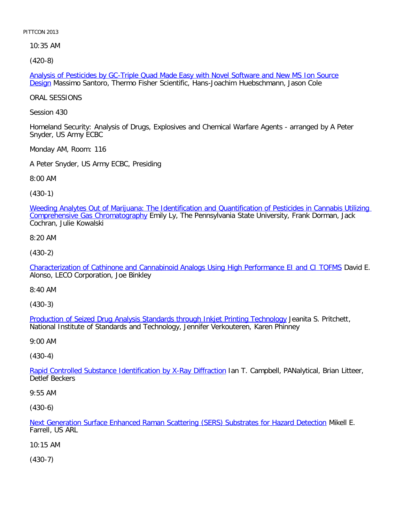10:35 AM

[\(420-8\)](file:///p|/print%20on%20demand%20titles/23101-23200/23133/23133%20source%20materials/papers/420-8.htm)

Analysis of Pesticides by GC-Triple Quad Made Easy with Novel Software and New MS Ion Source Design Massimo Santoro, Thermo Fisher Scientific, Hans-Joachim Huebschmann, Jason Cole

ORAL SESSIONS

Session 430

Homeland Security: Analysis of Drugs, Explosives and Chemical Warfare Agents - arranged by A Peter Snyder, US Army ECBC

Monday AM, Room: 116

A Peter Snyder, US Army ECBC, Presiding

8:00 AM

(430-1)

[Weeding Analytes Out of Marijuana: The Identification and Quantification of Pesticides in Cannabis Utilizing](file:///p|/print%20on%20demand%20titles/23101-23200/23133/23133%20source%20materials/papers/430-1.htm) Comprehensive Gas Chromatography Emily Ly, The Pennsylvania State University, Frank Dorman, Jack Cochran, Julie Kowalski

8:20 AM

(430-2)

[Characterization of Cathinone and Cannabinoid Analogs Using High Performance EI and CI TOFMS](file:///p|/print%20on%20demand%20titles/23101-23200/23133/23133%20source%20materials/papers/430-2.htm) David E. Alonso, LECO Corporation, Joe Binkley

8:40 AM

(430-3)

Production of Seized Drug Analysis Standards through Inkjet Printing Technology Jeanita S. Pritchett, [National Institute of Standards and Technology, Jennifer Verkouteren, Karen Phinney](file:///p|/print%20on%20demand%20titles/23101-23200/23133/23133%20source%20materials/papers/430-3.htm)

9:00 AM

(430-4)

Rapid Controlled Substance Identification by X-Ray Diffraction Ian T. Campbell, PANalytical, Brian Litteer, [Detlef Beckers](file:///p|/print%20on%20demand%20titles/23101-23200/23133/23133%20source%20materials/papers/430-4.htm)

9:55 AM

(430-6)

Next Generation Surface Enhanced Raman Scattering (SERS) Substrates for Hazard Detection Mikell E. Farrell, US ARL

[10:15 AM](file:///p|/print%20on%20demand%20titles/23101-23200/23133/23133%20source%20materials/papers/430-6.htm)

(430-7)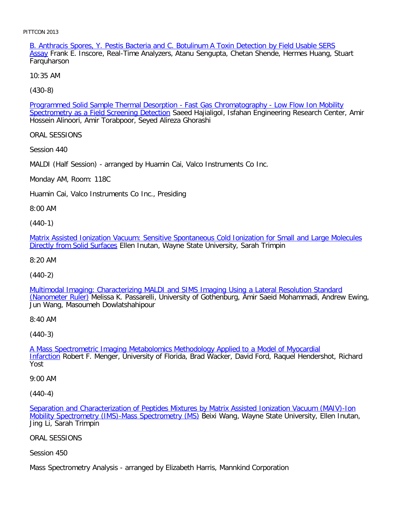B. Anthracis Spores, Y. Pestis Bacteria and C. Botulinum A Toxin Detection by Field Usable SERS Assay Frank E. Inscore, Real-Time Analyzers, Atanu Sengupta, Chetan Shende, Hermes Huang, Stuart **Farquharson** 

10:35 AM

[\(430-8\)](file:///p|/print%20on%20demand%20titles/23101-23200/23133/23133%20source%20materials/papers/430-8.htm)

Programmed Solid Sample Thermal Desorption - Fast Gas Chromatography - Low Flow Ion Mobility Spectrometry as a Field Screening Detection Saeed Hajialigol, Isfahan Engineering Research Center, Amir Hossein Alinoori, Amir Torabpoor, Seyed Alireza Ghorashi

ORAL SESSIONS

Session 440

MALDI (Half Session) - arranged by Huamin Cai, Valco Instruments Co Inc.

Monday AM, Room: 118C

Huamin Cai, Valco Instruments Co Inc., Presiding

8:00 AM

(440-1)

[Matrix Assisted Ionization Vacuum: Sensitive Spontaneous Cold Ionization for Small and Large Molecules](file:///p|/print%20on%20demand%20titles/23101-23200/23133/23133%20source%20materials/papers/440-1.htm) [Directly from Solid Surfac](file:///p|/print%20on%20demand%20titles/23101-23200/23133/23133%20source%20materials/papers/440-1.htm)es Ellen Inutan, Wayne State University, Sarah Trimpin

8:20 AM

(440-2)

[Multimodal Imaging: Characterizing MALDI and SIMS Imaging Using a Lateral Resolution Standard](file:///p|/print%20on%20demand%20titles/23101-23200/23133/23133%20source%20materials/papers/440-2.htm) (Nanometer Ruler) Melissa K. Passarelli, University of Gothenburg, Amir Saeid Mohammadi, Andrew Ewing, [Jun Wang, Mas](file:///p|/print%20on%20demand%20titles/23101-23200/23133/23133%20source%20materials/papers/440-2.htm)oumeh Dowlatshahipour

8:40 AM

(440-3)

A Mass Spectrometric Imaging Metabolomics Methodology Applied to a Model of Myocardial Infarction [Robert F. Menger, University of Florida, Brad Wacker, David Ford, Raquel Hendershot](file:///p|/print%20on%20demand%20titles/23101-23200/23133/23133%20source%20materials/papers/440-3.htm), Richard [Yost](file:///p|/print%20on%20demand%20titles/23101-23200/23133/23133%20source%20materials/papers/440-3.htm)

9:00 AM

(440-4)

Separation and Characterization of Peptides Mixtures by Matrix Assisted Ionization Vacuum (MAIV)-Ion Mobility Spectrometry (IMS)-Mass Spectrometry (MS) Beixi Wang, Wayne State University, Ellen Inutan, [Jing Li, Sarah Trimpin](file:///p|/print%20on%20demand%20titles/23101-23200/23133/23133%20source%20materials/papers/440-4.htm)

[ORAL SESSIONS](file:///p|/print%20on%20demand%20titles/23101-23200/23133/23133%20source%20materials/papers/440-4.htm)

Session 450

Mass Spectrometry Analysis - arranged by Elizabeth Harris, Mannkind Corporation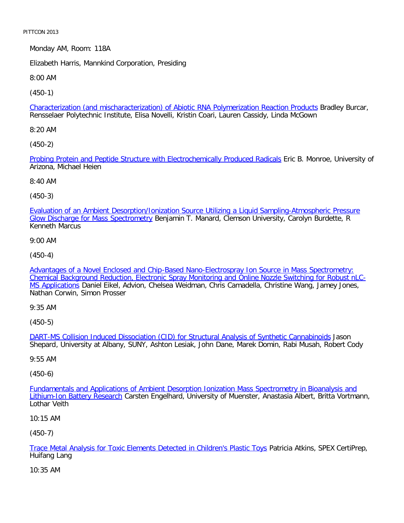Monday AM, Room: 118A

Elizabeth Harris, Mannkind Corporation, Presiding

8:00 AM

[\(450-1\)](file:///p|/print%20on%20demand%20titles/23101-23200/23133/23133%20source%20materials/papers/450-1.htm)

Characterization (and mischaracterization) of Abiotic RNA Polymerization Reaction Products Bradley Burcar, Rensselaer Polytechnic Institute, Elisa Novelli, Kristin Coari, Lauren Cassidy, Linda McGown

8:20 AM

[\(450-2\)](file:///p|/print%20on%20demand%20titles/23101-23200/23133/23133%20source%20materials/papers/450-2.htm)

Probing Protein and Peptide Structure with Electrochemically Produced Radicals Eric B. Monroe, University of Arizona, Michael Heien

8:40 AM

(450-3)

[Evaluation of an Ambient Desorption/Ionization Source Utilizing a Liquid Sampling-Atmospheric Pressure](file:///p|/print%20on%20demand%20titles/23101-23200/23133/23133%20source%20materials/papers/450-3.htm) Glow Discharge for Mass Spectrometry Benjamin T. Manard, Clemson University, Carolyn Burdette, R Kenneth Marcus

9:00 AM

(450-4)

[Advantages of a Novel Enclosed and Chip-Based Nano-Electrospray Ion Source in Mass Spectrometry:](file:///p|/print%20on%20demand%20titles/23101-23200/23133/23133%20source%20materials/papers/450-4.htm) [Chemical Background Reduction, Electronic Spray Monitoring and Online Nozzle Switching for Robust nLC-](file:///p|/print%20on%20demand%20titles/23101-23200/23133/23133%20source%20materials/papers/450-4.htm)[MS Applicat](file:///p|/print%20on%20demand%20titles/23101-23200/23133/23133%20source%20materials/papers/450-4.htm)ions Daniel Eikel, Advion, Chelsea Weidman, Chris Camadella, Christine Wang, Jamey Jones, Nathan Corwin, Simon Prosser

9:35 AM

(450-5)

DART-MS Collision Induced Dissociation (CID) for Structural Analysis of Synthetic Cannabinoids Jason [Shepard, University at Albany, SUNY, Ashton Lesiak, John Dane, Marek Domin, Rabi Musah, Robert](file:///p|/print%20on%20demand%20titles/23101-23200/23133/23133%20source%20materials/papers/450-5.htm) Cody

9:55 AM

(450-6)

Fundamentals and Applications of Ambient Desorption Ionization Mass Spectrometry in Bioanalysis and Lithium-Ion Battery Research [Carsten Engelhard, University of Muenster, Anastasia Albert, Britta Vortmann,](file:///p|/print%20on%20demand%20titles/23101-23200/23133/23133%20source%20materials/papers/450-6.htm) [Lothar Veith](file:///p|/print%20on%20demand%20titles/23101-23200/23133/23133%20source%20materials/papers/450-6.htm)

10:15 AM

(450-7)

Trace Metal Analysis for Toxic Elements Detected in Children's Plastic Toys Patricia Atkins, SPEX CertiPrep, Huifang Lang

[10:35 AM](file:///p|/print%20on%20demand%20titles/23101-23200/23133/23133%20source%20materials/papers/450-7.htm)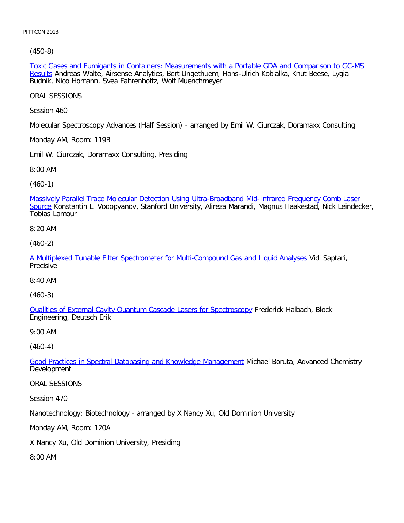[\(450-8\)](file:///p|/print%20on%20demand%20titles/23101-23200/23133/23133%20source%20materials/papers/450-8.htm)

Toxic Gases and Fumigants in Containers: Measurements with a Portable GDA and Comparison to GC-MS Results Andreas Walte, Airsense Analytics, Bert Ungethuem, Hans-Ulrich Kobialka, Knut Beese, Lygia Budnik, Nico Homann, Svea Fahrenholtz, Wolf Muenchmeyer

ORAL SESSIONS

Session 460

Molecular Spectroscopy Advances (Half Session) - arranged by Emil W. Ciurczak, Doramaxx Consulting

Monday AM, Room: 119B

Emil W. Ciurczak, Doramaxx Consulting, Presiding

8:00 AM

(460-1)

[Massively Parallel Trace Molecular Detection Using Ultra-Broadband Mid-Infrared Frequency Comb Laser](file:///p|/print%20on%20demand%20titles/23101-23200/23133/23133%20source%20materials/papers/460-1.htm) Source Konstantin L. Vodopyanov, Stanford University, Alireza Marandi, Magnus Haakestad, Nick Leindecker, Tobias Lamour

8:20 AM

(460-2)

[A Multiplexed Tunable Filter Spectrometer for Multi-Compound Gas and Liquid Analyses](file:///p|/print%20on%20demand%20titles/23101-23200/23133/23133%20source%20materials/papers/460-2.htm) Vidi Saptari, **Precisive** 

8:40 AM

(460-3)

[Qualities of External Cavity Quantum Cascade Lasers for Spectroscopy](file:///p|/print%20on%20demand%20titles/23101-23200/23133/23133%20source%20materials/papers/460-3.htm) Frederick Haibach, Block Engineering, Deutsch Erik

9:00 AM

(460-4)

Good Practices in Spectral Databasing and Knowledge Management Michael Boruta, Advanced Chemistry [Development](file:///p|/print%20on%20demand%20titles/23101-23200/23133/23133%20source%20materials/papers/460-4.htm)

ORAL SESSIONS

Session 470

Nanotechnology: Biotechnology - arranged by X Nancy Xu, Old Dominion University

Monday AM, Room: 120A

X Nancy Xu, Old Dominion University, Presiding

8:00 AM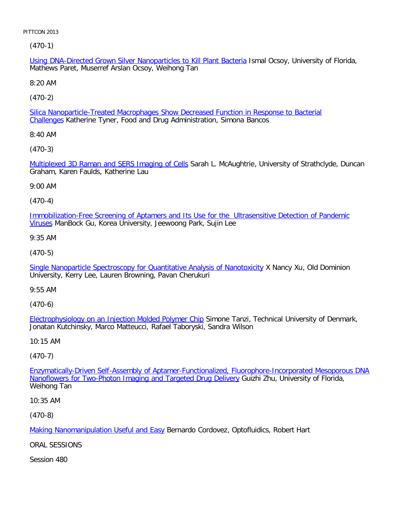(470-1)

Using DNA-Directed Grown Silver Nanoparticles to Kill Plant Bacteria Ismal Ocsoy, University of Florida, Mathews Paret, Muserref Arslan Ocsoy, Weihong Tan

8:20 AM

[\(470-2\)](file:///p|/print%20on%20demand%20titles/23101-23200/23133/23133%20source%20materials/papers/470-2.htm)

Silica Nanoparticle-Treated Macrophages Show Decreased Function in Response to Bacterial Challenges Katherine Tyner, Food and Drug Administration, Simona Bancos

8:40 AM

[\(470-3\)](file:///p|/print%20on%20demand%20titles/23101-23200/23133/23133%20source%20materials/papers/470-3.htm)

Multiplexed 3D Raman and SERS Imaging of Cells Sarah L. McAughtrie, University of Strathclyde, Duncan Graham, Karen Faulds, Katherine Lau

9:00 AM

(470-4)

[Immobilization-Free Screening of Aptamers and Its Use for the Ultrasensitive Detection of Pandemic](file:///p|/print%20on%20demand%20titles/23101-23200/23133/23133%20source%20materials/papers/470-4.htm) Viruses ManBock Gu, Korea University, Jeewoong Park, Sujin Lee

9:35 AM

(470-5)

[Single Nanoparticle Spectroscopy for Quantitative Analysis of Nanotoxicity](file:///p|/print%20on%20demand%20titles/23101-23200/23133/23133%20source%20materials/papers/470-5.htm) X Nancy Xu, Old Dominion University, Kerry Lee, Lauren Browning, Pavan Cherukuri

9:55 AM

(470-6)

Electrophysiology on an Injection Molded Polymer Chip Simone Tanzi, Technical University of Denmark, [Jonatan Kutchinsky, Marco Matteucci, Rafael Taboryski,](file:///p|/print%20on%20demand%20titles/23101-23200/23133/23133%20source%20materials/papers/470-6.htm) Sandra Wilson

10:15 AM

(470-7)

Enzymatically-Driven Self-Assembly of Aptamer-Functionalized, Fluorophore-Incorporated Mesoporous DNA [Nanoflowers for Two-Photon Imaging and Targeted Drug Delivery](file:///p|/print%20on%20demand%20titles/23101-23200/23133/23133%20source%20materials/papers/470-7.htm) Guizhi Zhu, University of Florida, [Weihong Tan](file:///p|/print%20on%20demand%20titles/23101-23200/23133/23133%20source%20materials/papers/470-7.htm)

10:35 AM

(470-8)

Making Nanomanipulation Useful and Easy Bernardo Cordovez, Optofluidics, Robert Hart

[ORAL SESSIONS](file:///p|/print%20on%20demand%20titles/23101-23200/23133/23133%20source%20materials/papers/470-8.htm)

Session 480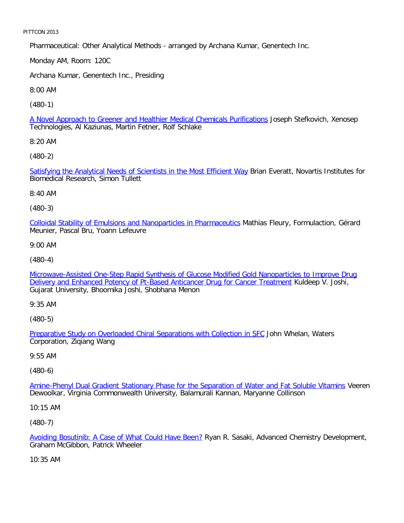Pharmaceutical: Other Analytical Methods - arranged by Archana Kumar, Genentech Inc.

Monday AM, Room: 120C

Archana Kumar, Genentech Inc., Presiding

8:00 AM

[\(480-1\)](file:///p|/print%20on%20demand%20titles/23101-23200/23133/23133%20source%20materials/papers/480-1.htm)

A Novel Approach to Greener and Healthier Medical Chemicals Purifications Joseph Stefkovich, Xenosep Technologies, Al Kaziunas, Martin Fetner, Rolf Schlake

8:20 AM

[\(480-2\)](file:///p|/print%20on%20demand%20titles/23101-23200/23133/23133%20source%20materials/papers/480-2.htm)

Satisfying the Analytical Needs of Scientists in the Most Efficient Way Brian Everatt, Novartis Institutes for Biomedical Research, Simon Tullett

8:40 AM

(480-3)

[Colloidal Stability of Emulsions and Nanoparticles in Pharmaceutics](file:///p|/print%20on%20demand%20titles/23101-23200/23133/23133%20source%20materials/papers/480-3.htm) Mathias Fleury, Formulaction, Gérard Meunier, Pascal Bru, Yoann Lefeuvre

9:00 AM

(480-4)

[Microwave-Assisted One-Step Rapid Synthesis of Glucose Modified Gold Nanoparticles to Improve Drug](file:///p|/print%20on%20demand%20titles/23101-23200/23133/23133%20source%20materials/papers/480-4.htm) [Delivery and Enhanced Potency of Pt-Based Anticancer Drug for Cancer Treatment](file:///p|/print%20on%20demand%20titles/23101-23200/23133/23133%20source%20materials/papers/480-4.htm) Kuldeep V. Joshi, Gujarat University, Bhoomika Joshi, Shobhana Menon

9:35 AM

(480-5)

Preparative Study on Overloaded Chiral Separations with Collection in SFC John Whelan, Waters [Corporation, Ziqiang Wang](file:///p|/print%20on%20demand%20titles/23101-23200/23133/23133%20source%20materials/papers/480-5.htm)

9:55 AM

(480-6)

Amine-Phenyl Dual Gradient Stationary Phase for the Separation of Water and Fat Soluble Vitamins Veeren [Dewoolkar, Virginia Commonwealth University, Balamurali Kannan, Maryanne Collinson](file:///p|/print%20on%20demand%20titles/23101-23200/23133/23133%20source%20materials/papers/480-6.htm)

10:15 AM

(480-7)

Avoiding Bosutinib: A Case of What Could Have Been? Ryan R. Sasaki, Advanced Chemistry Development, Graham McGibbon, Patrick Wheeler

[10:35 AM](file:///p|/print%20on%20demand%20titles/23101-23200/23133/23133%20source%20materials/papers/480-7.htm)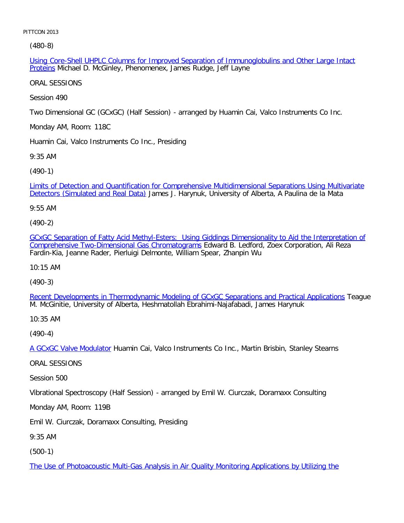[\(48](file:///p|/print%20on%20demand%20titles/23101-23200/23133/23133%20source%20materials/papers/480-8.htm)0-8)

Using Core-Shell UHPLC Columns for Improved Separation of Immunoglobulins and Other Large Intact Proteins Michael D. McGinley, Phenomenex, James Rudge, Jeff Layne

ORAL SESSIONS

Session 490

Two Dimensional GC (GCxGC) (Half Session) - arranged by Huamin Cai, Valco Instruments Co Inc.

Monday AM, Room: 118C

Huamin Cai, Valco Instruments Co Inc., Presiding

9:35 AM

[\(490-1\)](file:///p|/print%20on%20demand%20titles/23101-23200/23133/23133%20source%20materials/papers/490-1.htm)

[Limits of Detection and Quantificati](file:///p|/print%20on%20demand%20titles/23101-23200/23133/23133%20source%20materials/papers/490-1.htm)on for Comprehensive Multidimensional Separations Using Multivariate Detectors (Simulated and Real Data) James J. Harynuk, University of Alberta, A Paulina de la Mata

9:55 AM

(490-2)

[GCxGC Separation of Fatty Acid Methyl-Esters: Using Giddings Dimensionality to Aid the Interpretation of](file:///p|/print%20on%20demand%20titles/23101-23200/23133/23133%20source%20materials/papers/490-2.htm) [Comprehensive Two-Dimensional Gas Chromatograms](file:///p|/print%20on%20demand%20titles/23101-23200/23133/23133%20source%20materials/papers/490-2.htm) Edward B. Ledford, Zoex Corporation, Ali Reza Fardin-Kia, Jeanne Rader, Pierluigi Delmonte, William Spear, Zhanpin Wu

10:15 AM

(490-3)

[Recent Developments in Thermodynamic Modeling of GCxGC Separations and Practical Applications](file:///p|/print%20on%20demand%20titles/23101-23200/23133/23133%20source%20materials/papers/490-3.htm) Teague M. McGinitie, University of Alberta, Heshmatollah Ebrahimi-Najafabadi, James Harynuk

10:35 AM

(490-4)

A GCxGC Valve Modulator Huamin Cai, Valco Instruments Co Inc., Martin Brisbin, Stanley Stearns

[ORAL SESSIONS](file:///p|/print%20on%20demand%20titles/23101-23200/23133/23133%20source%20materials/papers/490-4.htm)

Session 500

Vibrational Spectroscopy (Half Session) - arranged by Emil W. Ciurczak, Doramaxx Consulting

Monday AM, Room: 119B

Emil W. Ciurczak, Doramaxx Consulting, Presiding

9:35 AM

(500-1)

The Use of Photoacoustic Multi-Gas Analysis in Air Quality Monitoring Applications by Utilizing the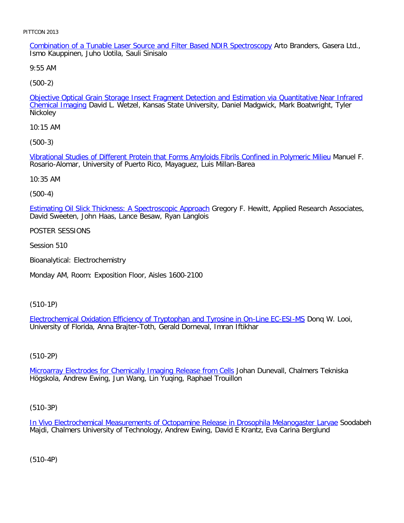Combination of a Tunable Laser Source and Filter Based NDIR Spectroscopy Arto Branders, Gasera Ltd., Ismo Kauppinen, Juho Uotila, Sauli Sinisalo

9:55 AM

[\(500-2\)](file:///p|/print%20on%20demand%20titles/23101-23200/23133/23133%20source%20materials/papers/500-2.htm)

Objective Optical Grain Storage Insect Fragment Detection and Estimation via Quantitative Near Infrared Chemical Imaging David L. Wetzel, Kansas State University, Daniel Madgwick, Mark Boatwright, Tyler Nickoley

10:15 AM

[\(500-3\)](file:///p|/print%20on%20demand%20titles/23101-23200/23133/23133%20source%20materials/papers/500-3.htm)

Vibrational Studies of Different Protein that Forms Amyloids Fibrils Confined in Polymeric Milieu Manuel F. Rosario-Alomar, University of Puerto Rico, Mayaguez, Luis Millan-Barea

10:35 AM

(500-4)

[Estimating Oil Slick Thickness: A Spectroscopic Approach](file:///p|/print%20on%20demand%20titles/23101-23200/23133/23133%20source%20materials/papers/500-4.htm) Gregory F. Hewitt, Applied Research Associates, David Sweeten, John Haas, Lance Besaw, Ryan Langlois

POSTER SESSIONS

Session 510

Bioanalytical: Electrochemistry

Monday AM, Room: Exposition Floor, Aisles 1600-2100

(510-1P)

Electrochemical Oxidation Efficiency of Tryptophan and Tyrosine in On-Line EC-ESI-MS Donq W. Looi, [University of Florida, Anna Brajter-Toth, Gerald Dorneval, Imran Iftikhar](file:///p|/print%20on%20demand%20titles/23101-23200/23133/23133%20source%20materials/papers/510-1.htm)

# (510-2P)

Microarray Electrodes for Chemically Imaging Release from Cells Johan Dunevall, Chalmers Tekniska [Högskola, Andrew Ewing, Jun Wang, Lin Yuqing, Raphael Trouillo](file:///p|/print%20on%20demand%20titles/23101-23200/23133/23133%20source%20materials/papers/510-2.htm)n

(510-3P)

In Vivo Electrochemical Measurements of Octopamine Release in Drosophila Melanogaster Larvae Soodabeh Majdi, Chalmers University of Technology, Andrew Ewing, David E Krantz, Eva Carina Berglund

(510-4P)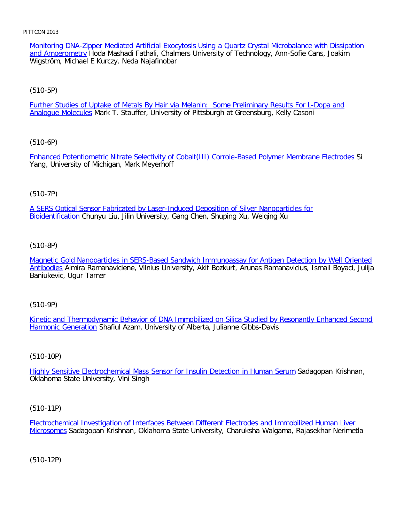Monitoring DNA-Zipper Mediated Artificial Exocytosis Using a Quartz Crystal Microbalance with Dissipation and Amperometry Hoda Mashadi Fathali, Chalmers University of Technology, Ann-Sofie Cans, Joakim Wigström, Michael E Kurczy, Neda Najafinobar

[\(510-5P\)](file:///p|/print%20on%20demand%20titles/23101-23200/23133/23133%20source%20materials/papers/510-5.htm)

Further Studies of Uptake of Metals By Hair via Melanin: Some Preliminary Results For L-Dopa and Analogue Molecules Mark T. Stauffer, University of Pittsburgh at Greensburg, Kelly Casoni

[\(510-6P\)](file:///p|/print%20on%20demand%20titles/23101-23200/23133/23133%20source%20materials/papers/510-6.htm)

Enhanced Potentiometric Nitrate Selectivity of Cobalt(III) Corrole-Based Polymer Membrane Electrodes Si Yang, University of Michigan, Mark Meyerhoff

# (510-7P)

[A SERS Optical Sensor Fabricated by Laser-Induced Deposition of Silver Nanoparticles for](file:///p|/print%20on%20demand%20titles/23101-23200/23133/23133%20source%20materials/papers/510-7.htm) Bioidentification Chunyu Liu, Jilin University, Gang Chen, Shuping Xu, Weiqing Xu

(510-8P)

[Magnetic Gold Nanoparticles in SERS-Based Sandwich Immunoassay for Antigen Detection by Well Oriented](file:///p|/print%20on%20demand%20titles/23101-23200/23133/23133%20source%20materials/papers/510-8.htm) [Antibo](file:///p|/print%20on%20demand%20titles/23101-23200/23133/23133%20source%20materials/papers/510-8.htm)dies Almira Ramanaviciene, Vilnius University, Akif Bozkurt, Arunas Ramanavicius, Ismail Boyaci, Julija Baniukevic, Ugur Tamer

(510-9P)

Kinetic and Thermodynamic Behavior of DNA Immobilized on Silica Studied by Resonantly Enhanced Second [Harmonic Generat](file:///p|/print%20on%20demand%20titles/23101-23200/23133/23133%20source%20materials/papers/510-9.htm)ion [Shafiul Azam, University of Alberta, Julianne Gibbs-Davis](file:///p|/print%20on%20demand%20titles/23101-23200/23133/23133%20source%20materials/papers/510-9.htm)

(510-10P)

Highly Sensitive Electrochemical Mass Sensor for Insulin Detection in Human Serum Sadagopan Krishnan, [Oklahoma State University, Vini Singh](file:///p|/print%20on%20demand%20titles/23101-23200/23133/23133%20source%20materials/papers/510-10.htm)

(510-11P)

Electrochemical Investigation of Interfaces Between Different Electrodes and Immobilized Human Liver Microsomes Sadagopan Krishnan, Oklahoma State University, Charuksha Walgama, Rajasekhar Nerimetla

(510-12P)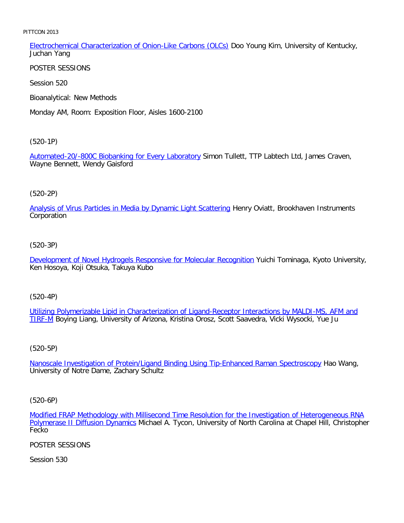Electrochemical Characterization of Onion-Like Carbons (OLCs) Doo Young Kim, University of Kentucky, Juchan Yang

POSTER SESSIONS

Session 520

Bioanalytical: New Methods

Monday AM, Room: Exposition Floor, Aisles 1600-2100

[\(520-1P\)](file:///p|/print%20on%20demand%20titles/23101-23200/23133/23133%20source%20materials/papers/520-1.htm)

Automated-20/-800C Biobanking for Every Laboratory Simon Tullett, TTP Labtech Ltd, James Craven, Wayne Bennett, Wendy Gaisford

# (520-2P)

[Analysis of Virus Particles in Media by Dynamic Light Scattering](file:///p|/print%20on%20demand%20titles/23101-23200/23133/23133%20source%20materials/papers/520-2.htm) Henry Oviatt, Brookhaven Instruments Corporation

(520-3P)

[Development of Novel Hydrogels Responsive for Molecular Recognition](file:///p|/print%20on%20demand%20titles/23101-23200/23133/23133%20source%20materials/papers/520-3.htm) Yuichi Tominaga, Kyoto University, Ken Hosoya, Koji Otsuka, Takuya Kubo

(520-4P)

Utilizing Polymerizable Lipid in Characterization of Ligand-Receptor Interactions by MALDI-MS, AFM and [TIR](file:///p|/print%20on%20demand%20titles/23101-23200/23133/23133%20source%20materials/papers/520-4.htm)F-M [Boying Liang, University of Arizona, Kristina Orosz, Scott Saavedra, Vicki Wysocki, Yue Ju](file:///p|/print%20on%20demand%20titles/23101-23200/23133/23133%20source%20materials/papers/520-4.htm)

(520-5P)

Nanoscale Investigation of Protein/Ligand Binding Using Tip-Enhanced Raman Spectroscopy Hao Wang, [University of Notre Dame, Zachary Schultz](file:///p|/print%20on%20demand%20titles/23101-23200/23133/23133%20source%20materials/papers/520-5.htm)

(520-6P)

Modified FRAP Methodology with Millisecond Time Resolution for the Investigation of Heterogeneous RNA Polymerase II Diffusion Dynamics Michael A. Tycon, University of North Carolina at Chapel Hill, Christopher [Fecko](file:///p|/print%20on%20demand%20titles/23101-23200/23133/23133%20source%20materials/papers/520-6.htm)

[POSTER SESSIONS](file:///p|/print%20on%20demand%20titles/23101-23200/23133/23133%20source%20materials/papers/520-6.htm)

Session 530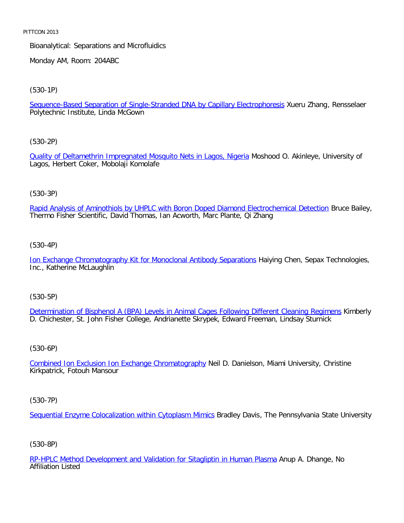Bioanalytical: Separations and Microfluidics

Monday AM, Room: 204ABC

[\(530-1P\)](file:///p|/print%20on%20demand%20titles/23101-23200/23133/23133%20source%20materials/papers/530-1.htm)

Sequence-Based Separation of Single-Stranded DNA by Capillary Electrophoresis Xueru Zhang, Rensselaer Polytechnic Institute, Linda McGown

[\(530-2P\)](file:///p|/print%20on%20demand%20titles/23101-23200/23133/23133%20source%20materials/papers/530-2.htm)

Quality of Deltamethrin Impregnated Mosquito Nets in Lagos, Nigeria Moshood O. Akinleye, University of Lagos, Herbert Coker, Mobolaji Komolafe

# (530-3P)

[Rapid Analysis of Aminothiols by UHPLC with Boron Doped Diamond Electrochemical Detection](file:///p|/print%20on%20demand%20titles/23101-23200/23133/23133%20source%20materials/papers/530-3.htm) Bruce Bailey, Thermo Fisher Scientific, David Thomas, Ian Acworth, Marc Plante, Qi Zhang

(530-4P)

[Ion Exchange Chromatography Kit for Monoclonal Antibody Separations](file:///p|/print%20on%20demand%20titles/23101-23200/23133/23133%20source%20materials/papers/530-4.htm) Haiying Chen, Sepax Technologies, Inc., Katherine McLaughlin

(530-5P)

Determination of Bisphenol A (BPA) Levels in Animal Cages Following Different Cleaning Regimens Kimberly [D. Chichester, St. John Fisher College, Andrianette Skrypek, Edward Freeman, Lindsay Sturnick](file:///p|/print%20on%20demand%20titles/23101-23200/23133/23133%20source%20materials/papers/530-5.htm)

# (530-6P)

Combined Ion Exclusion Ion Exchange Chromatography Neil D. Danielson, Miami University, Christine [Kirkpatrick, Fotouh Mansour](file:///p|/print%20on%20demand%20titles/23101-23200/23133/23133%20source%20materials/papers/530-6.htm)

(530-7P)

Sequential Enzyme Colocalization within Cytoplasm Mimics Bradley Davis, The Pennsylvania State University

# (530-8P)

RP-HPLC Method Development and Validation for Sitagliptin in Human Plasma Anup A. Dhange, No Affiliation Listed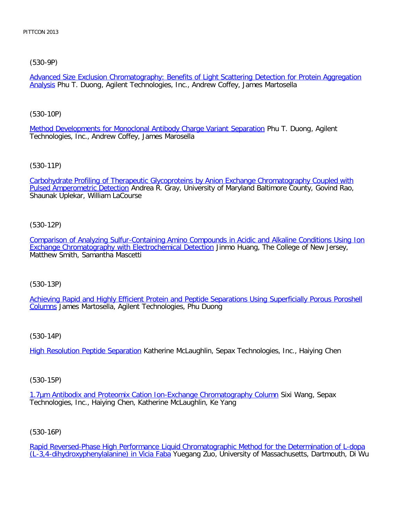[\(530-9P\)](file:///p|/print%20on%20demand%20titles/23101-23200/23133/23133%20source%20materials/papers/530-9.htm)

Advanced Size Exclusion Chromatography: Benefits of Light Scattering Detection for Protein Aggregation Analysis Phu T. Duong, Agilent Technologies, Inc., Andrew Coffey, James Martosella

[\(530-10P\)](file:///p|/print%20on%20demand%20titles/23101-23200/23133/23133%20source%20materials/papers/530-10.htm)

Method Developments for Monoclonal Antibody Charge Variant Separation Phu T. Duong, Agilent Technologies, Inc., Andrew Coffey, James Marosella

[\(530-11P\)](file:///p|/print%20on%20demand%20titles/23101-23200/23133/23133%20source%20materials/papers/530-11.htm)

[Carbohydrate Profiling of The](file:///p|/print%20on%20demand%20titles/23101-23200/23133/23133%20source%20materials/papers/530-11.htm)rapeutic Glycoproteins by Anion Exchange Chromatography Coupled with Pulsed Amperometric Detection Andrea R. Gray, University of Maryland Baltimore County, Govind Rao, Shaunak Uplekar, William LaCourse

(530-12P)

[Comparison of Analyzing Sulfur-Containing Amino Compounds in Acidic and Alkaline Conditions Using Ion](file:///p|/print%20on%20demand%20titles/23101-23200/23133/23133%20source%20materials/papers/530-12.htm) [Exchange Chromatography with Electrochemical Detection](file:///p|/print%20on%20demand%20titles/23101-23200/23133/23133%20source%20materials/papers/530-12.htm) Jinmo Huang, The College of New Jersey, Matthew Smith, Samantha Mascetti

(530-13P)

[Achieving Rapid and Highly Efficient Protein and Peptide Separations Using Superficially Porous Poroshell](file:///p|/print%20on%20demand%20titles/23101-23200/23133/23133%20source%20materials/papers/530-13.htm) [Colu](file:///p|/print%20on%20demand%20titles/23101-23200/23133/23133%20source%20materials/papers/530-13.htm)mns James Martosella, Agilent Technologies, Phu Duong

(530-14P)

High Resolution Peptide Separation Katherine McLaughlin, Sepax Technologies, Inc., Haiying Chen

(530-15P)

1.7µm Antibodix and Proteomix Cation Ion-Exchange Chromatography Column Sixi Wang, Sepax [Technologies, Inc., Haiying Chen, Katherine McLaughlin, Ke Yang](file:///p|/print%20on%20demand%20titles/23101-23200/23133/23133%20source%20materials/papers/530-15.htm)

(530-16P)

Rapid Reversed-Phase High Performance Liquid Chromatographic Method for the Determination of L-dopa (L-3,4-dihydroxyphenylalanine) in Vicia Faba Yuegang Zuo, University of Massachusetts, Dartmouth, Di Wu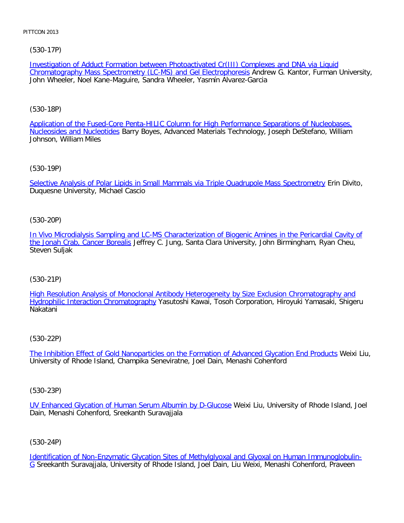# [\(530-17P\)](file:///p|/print%20on%20demand%20titles/23101-23200/23133/23133%20source%20materials/papers/530-17.htm)

Investigation of Adduct Formation between Photoactivated Cr(III) Complexes and DNA via Liquid Chromatography Mass Spectrometry (LC-MS) and Gel Electrophoresis Andrew G. Kantor, Furman University, John Wheeler, Noel Kane-Maguire, Sandra Wheeler, Yasmín Alvarez-Garcia

# [\(530-18P\)](file:///p|/print%20on%20demand%20titles/23101-23200/23133/23133%20source%20materials/papers/530-18.htm)

[Application of the Fused-C](file:///p|/print%20on%20demand%20titles/23101-23200/23133/23133%20source%20materials/papers/530-18.htm)ore Penta-HILIC Column for High Performance Separations of Nucleobases, Nucleosides and Nucleotides Barry Boyes, Advanced Materials Technology, Joseph DeStefano, William Johnson, William Miles

[\(530-19P\)](file:///p|/print%20on%20demand%20titles/23101-23200/23133/23133%20source%20materials/papers/530-19.htm)

Selective Analysis of Polar Lipids in Small Mammals via Triple Quadrupole Mass Spectrometry Erin Divito, Duquesne University, Michael Cascio

(530-20P)

[In Vivo Microdialysis Sampling and LC-MS Characterization of Biogenic Amines in the Pericardial Cavity of](file:///p|/print%20on%20demand%20titles/23101-23200/23133/23133%20source%20materials/papers/530-20.htm) [the Jonah Crab, Cancer Borea](file:///p|/print%20on%20demand%20titles/23101-23200/23133/23133%20source%20materials/papers/530-20.htm)lis Jeffrey C. Jung, Santa Clara University, John Birmingham, Ryan Cheu, Steven Suljak

# (530-21P)

[High Resolution Analysis of Monoclonal Antibody Heterogeneity by Size Exclusion Chromatography and](file:///p|/print%20on%20demand%20titles/23101-23200/23133/23133%20source%20materials/papers/530-21.htm) [Hydrophilic Interaction Chromatograph](file:///p|/print%20on%20demand%20titles/23101-23200/23133/23133%20source%20materials/papers/530-21.htm)y Yasutoshi Kawai, Tosoh Corporation, Hiroyuki Yamasaki, Shigeru Nakatani

# (530-22P)

The Inhibition Effect of Gold Nanoparticles on the Formation of Advanced Glycation End Products Weixi Liu, [University of Rhode Island, Champika Seneviratne, Joel Dain, Menashi Cohenford](file:///p|/print%20on%20demand%20titles/23101-23200/23133/23133%20source%20materials/papers/530-22.htm)

(530-23P)

UV Enhanced Glycation of Human Serum Albumin by D-Glucose Weixi Liu, University of Rhode Island, Joel Dain, Menashi Cohenford, Sreekanth Suravajjala

(530-24P)

Identification of Non-Enzymatic Glycation Sites of Methylglyoxal and Glyoxal on Human Immunoglobulin-G Sreekanth Suravajjala, University of Rhode Island, Joel Dain, Liu Weixi, Menashi Cohenford, Praveen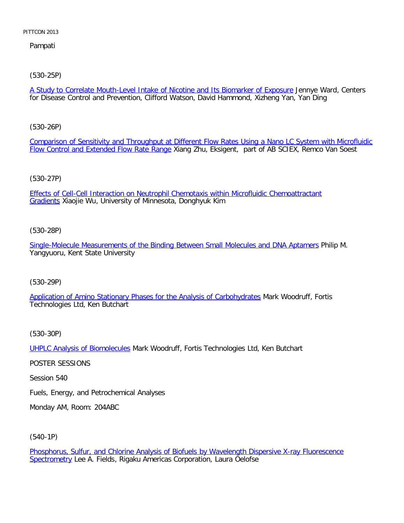Pampati

[\(530-25P\)](file:///p|/print%20on%20demand%20titles/23101-23200/23133/23133%20source%20materials/papers/530-25.htm)

A Study to Correlate Mouth-Level Intake of Nicotine and Its Biomarker of Exposure Jennye Ward, Centers for Disease Control and Prevention, Clifford Watson, David Hammond, Xizheng Yan, Yan Ding

[\(530-26P\)](file:///p|/print%20on%20demand%20titles/23101-23200/23133/23133%20source%20materials/papers/530-26.htm)

[Comparison of Sensitivity and Throughput a](file:///p|/print%20on%20demand%20titles/23101-23200/23133/23133%20source%20materials/papers/530-26.htm)t Different Flow Rates Using a Nano LC System with Microfluidic Flow Control and Extended Flow Rate Range Xiang Zhu, Eksigent, part of AB SCIEX, Remco Van Soest

# (530-27P)

[Effects of Cell-Cell Interaction on Neutrophil Chemotaxis within Microfluidic Chemoattractant](file:///p|/print%20on%20demand%20titles/23101-23200/23133/23133%20source%20materials/papers/530-27.htm) Gradients Xiaojie Wu, University of Minnesota, Donghyuk Kim

# (530-28P)

[Single-Molecule Measurements of the Binding Between Small Molecules and DNA Aptamers](file:///p|/print%20on%20demand%20titles/23101-23200/23133/23133%20source%20materials/papers/530-28.htm) Philip M. Yangyuoru, Kent State University

# (530-29P)

[Application of Amino Stationary Phases for the Analysis of Carbohydrates](file:///p|/print%20on%20demand%20titles/23101-23200/23133/23133%20source%20materials/papers/530-29.htm) Mark Woodruff, Fortis Technologies Ltd, Ken Butchart

(530-30P)

UHPLC Analysis of Biomolecules Mark Woodruff, Fortis Technologies Ltd, Ken Butchart

[POSTER SESSIONS](file:///p|/print%20on%20demand%20titles/23101-23200/23133/23133%20source%20materials/papers/530-30.htm)

Session 540

Fuels, Energy, and Petrochemical Analyses

Monday AM, Room: 204ABC

(540-1P)

Phosphorus, Sulfur, and Chlorine Analysis of Biofuels by Wavelength Dispersive X-ray Fluorescence Spectrometry Lee A. Fields, Rigaku Americas Corporation, Laura Oelofse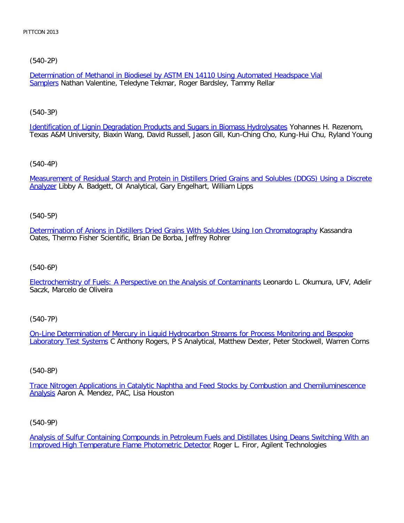# [\(540-2P\)](file:///p|/print%20on%20demand%20titles/23101-23200/23133/23133%20source%20materials/papers/540-2.htm)

Determination of Methanol in Biodiesel by ASTM EN 14110 Using Automated Headspace Vial Samplers Nathan Valentine, Teledyne Tekmar, Roger Bardsley, Tammy Rellar

# [\(540-3P\)](file:///p|/print%20on%20demand%20titles/23101-23200/23133/23133%20source%20materials/papers/540-3.htm)

Identification of Lignin Degradation Products and Sugars in Biomass Hydrolysates Yohannes H. Rezenom, Texas A&M University, Biaxin Wang, David Russell, Jason Gill, Kun-Ching Cho, Kung-Hui Chu, Ryland Young

# [\(540-4P\)](file:///p|/print%20on%20demand%20titles/23101-23200/23133/23133%20source%20materials/papers/540-4.htm)

[Mea](file:///p|/print%20on%20demand%20titles/23101-23200/23133/23133%20source%20materials/papers/540-4.htm)surement of Residual Starch and Protein in Distillers Dried Grains and Solubles (DDGS) Using a Discrete Analyzer Libby A. Badgett, OI Analytical, Gary Engelhart, William Lipps

# (540-5P)

[Determination of Anions in Distillers Dried Grains With Solubles Using Ion Chromatography](file:///p|/print%20on%20demand%20titles/23101-23200/23133/23133%20source%20materials/papers/540-5.htm) Kassandra Oates, Thermo Fisher Scientific, Brian De Borba, Jeffrey Rohrer

# (540-6P)

[Electrochemistry of Fuels: A Perspective on the Analysis of Contaminants](file:///p|/print%20on%20demand%20titles/23101-23200/23133/23133%20source%20materials/papers/540-6.htm) Leonardo L. Okumura, UFV, Adelir Saczk, Marcelo de Oliveira

# (540-7P)

On-Line Determination of Mercury in Liquid Hydrocarbon Streams for Process Monitoring and Bespoke Laboratory Test Systems [C Anthony Rogers, P S Analytical, Matthew Dexter, Peter Stockwell, Warren Corns](file:///p|/print%20on%20demand%20titles/23101-23200/23133/23133%20source%20materials/papers/540-7.htm)

# (540-8P)

Trace Nitrogen Applications in Catalytic Naphtha and Feed Stocks by Combustion and Chemiluminescence Analysis [Aaron A. Mendez, PAC, Lisa Houston](file:///p|/print%20on%20demand%20titles/23101-23200/23133/23133%20source%20materials/papers/540-8.htm)

# (540-9P)

Analysis of Sulfur Containing Compounds in Petroleum Fuels and Distillates Using Deans Switching With an Improved High Temperature Flame Photometric Detector Roger L. Firor, Agilent Technologies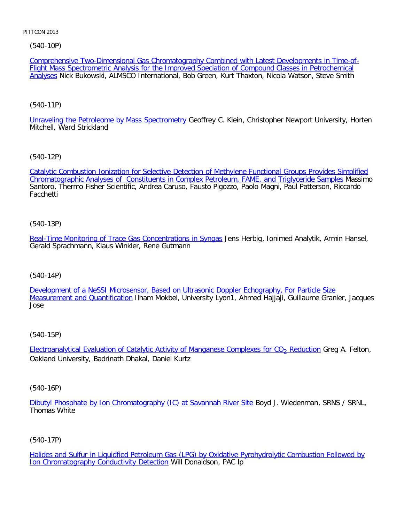[\(540-10P\)](file:///p|/print%20on%20demand%20titles/23101-23200/23133/23133%20source%20materials/papers/540-10.htm)

[Com](file:///p|/print%20on%20demand%20titles/23101-23200/23133/23133%20source%20materials/papers/540-10.htm)prehensive Two-Dimensional Gas Chromatography Combined with Latest Developments in Time-of-Flight Mass Spectrometric Analysis for the Improved Speciation of Compound Classes in Petrochemical Analyses Nick Bukowski, ALMSCO International, Bob Green, Kurt Thaxton, Nicola Watson, Steve Smith

# [\(540-11P\)](file:///p|/print%20on%20demand%20titles/23101-23200/23133/23133%20source%20materials/papers/540-11.htm)

Unraveling the Petroleome by Mass Spectrometry Geoffrey C. Klein, Christopher Newport University, Horten Mitchell, Ward Strickland

# [\(540-12P\)](file:///p|/print%20on%20demand%20titles/23101-23200/23133/23133%20source%20materials/papers/540-12.htm)

[Catalytic Combustion Ionization for Selective Detection of Methylene Functional Groups Provides Simplifi](file:///p|/print%20on%20demand%20titles/23101-23200/23133/23133%20source%20materials/papers/540-12.htm)ed Chromatographic Analyses of Constituents in Complex Petroleum, FAME, and Triglyceride Samples Massimo Santoro, Thermo Fisher Scientific, Andrea Caruso, Fausto Pigozzo, Paolo Magni, Paul Patterson, Riccardo **Facchetti** 

# (540-13P)

[Real-Time Monitoring of Trace Gas Concentrations in Syngas](file:///p|/print%20on%20demand%20titles/23101-23200/23133/23133%20source%20materials/papers/540-13.htm) Jens Herbig, Ionimed Analytik, Armin Hansel, Gerald Sprachmann, Klaus Winkler, Rene Gutmann

# (540-14P)

[Development of a NeSSI Microsensor, Based on Ultrasonic Doppler Echography, For Particle Size](file:///p|/print%20on%20demand%20titles/23101-23200/23133/23133%20source%20materials/papers/540-14.htm) [Measurement and Quantificatio](file:///p|/print%20on%20demand%20titles/23101-23200/23133/23133%20source%20materials/papers/540-14.htm)n Ilham Mokbel, University Lyon1, Ahmed Hajjaji, Guillaume Granier, Jacques Jose

# (540-15P)

Electroanalytical Evaluation of Catalytic Activity of Manganese Complexes for CO<sub>2</sub> Reduction Greg A. Felton, [Oakland University, Badrinath Dhakal, Daniel Kurtz](file:///p|/print%20on%20demand%20titles/23101-23200/23133/23133%20source%20materials/papers/540-15.htm)

# (540-16P)

Dibutyl Phosphate by Ion Chromatography (IC) at Savannah River Site Boyd J. Wiedenman, SRNS / SRNL, Thomas White

# (540-17P)

Halides and Sulfur in Liquidfied Petroleum Gas (LPG) by Oxidative Pyrohydrolytic Combustion Followed by Ion Chromatography Conductivity Detection Will Donaldson, PAC lp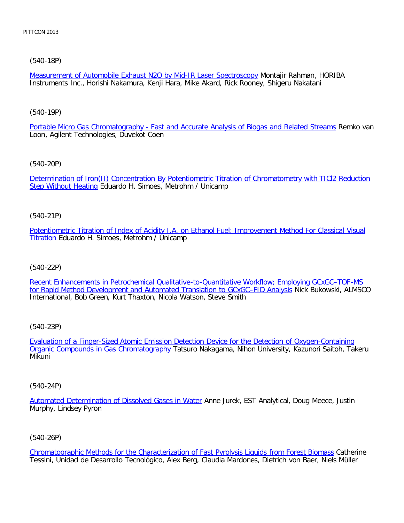[\(540-18P\)](file:///p|/print%20on%20demand%20titles/23101-23200/23133/23133%20source%20materials/papers/540-18.htm)

Measurement of Automobile Exhaust N2O by Mid-IR Laser Spectroscopy Montajir Rahman, HORIBA Instruments Inc., Horishi Nakamura, Kenji Hara, Mike Akard, Rick Rooney, Shigeru Nakatani

[\(540-19P\)](file:///p|/print%20on%20demand%20titles/23101-23200/23133/23133%20source%20materials/papers/540-19.htm)

Portable Micro Gas Chromatography - Fast and Accurate Analysis of Biogas and Related Streams Remko van Loon, Agilent Technologies, Duvekot Coen

[\(540-20P\)](file:///p|/print%20on%20demand%20titles/23101-23200/23133/23133%20source%20materials/papers/540-20.htm)

[Determination of I](file:///p|/print%20on%20demand%20titles/23101-23200/23133/23133%20source%20materials/papers/540-20.htm)ron(II) Concentration By Potentiometric Titration of Chromatometry with TICl2 Reduction Step Without Heating Eduardo H. Simoes, Metrohm / Unicamp

(540-21P)

[Potentiometric Titration of Index of Acidity I.A. on Ethanol Fuel: Improvement Method For Classical Visual](file:///p|/print%20on%20demand%20titles/23101-23200/23133/23133%20source%20materials/papers/540-21.htm) **[Titr](file:///p|/print%20on%20demand%20titles/23101-23200/23133/23133%20source%20materials/papers/540-21.htm)ation Eduardo H. Simoes, Metrohm / Unicamp** 

(540-22P)

[Recent Enhancements in Petrochemical Qualitative-to-Quantitative Workflow; Employing GCxGC–TOF-MS](file:///p|/print%20on%20demand%20titles/23101-23200/23133/23133%20source%20materials/papers/540-22.htm) for Rapid Method Development and Automated Translation to GCxGC-FID Analysis Nick Bukowski, ALMSCO International, Bob Green, Kurt Thaxton, Nicola Watson, Steve Smith

(540-23P)

Evaluation of a Finger-Sized Atomic Emission Detection Device for the Detection of Oxygen-Containing Organic Compounds in Gas Chromatography [Tatsuro Nakagama, Nihon University, Kazunori Saitoh, Takeru](file:///p|/print%20on%20demand%20titles/23101-23200/23133/23133%20source%20materials/papers/540-23.htm) [Mikuni](file:///p|/print%20on%20demand%20titles/23101-23200/23133/23133%20source%20materials/papers/540-23.htm)

(540-24P)

Automated Determination of Dissolved Gases in Water Anne Jurek, EST Analytical, Doug Meece, Justin Murphy, Lindsey Pyron

(540-26P)

Chromatographic Methods for the Characterization of Fast Pyrolysis Liquids from Forest Biomass Catherine Tessini, Unidad de Desarrollo Tecnológico, Alex Berg, Claudia Mardones, Dietrich von Baer, Niels Müller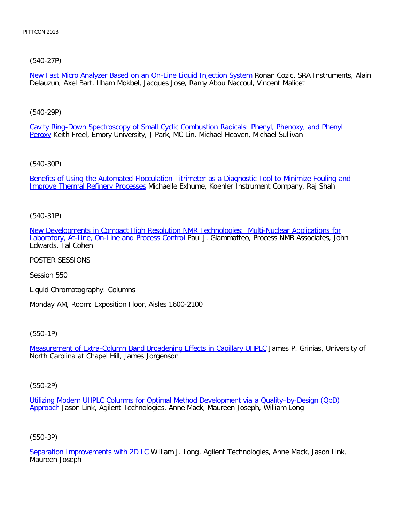# [\(540-27P\)](file:///p|/print%20on%20demand%20titles/23101-23200/23133/23133%20source%20materials/papers/540-27.htm)

New Fast Micro Analyzer Based on an On-Line Liquid Injection System Ronan Cozic, SRA Instruments, Alain Delauzun, Axel Bart, Ilham Mokbel, Jacques Jose, Ramy Abou Naccoul, Vincent Malicet

# [\(540-29P\)](file:///p|/print%20on%20demand%20titles/23101-23200/23133/23133%20source%20materials/papers/540-29.htm)

[Ca](file:///p|/print%20on%20demand%20titles/23101-23200/23133/23133%20source%20materials/papers/540-29.htm)vity Ring-Down Spectroscopy of Small Cyclic Combustion Radicals: Phenyl, Phenoxy, and Phenyl Peroxy Keith Freel, Emory University, J Park, MC Lin, Michael Heaven, Michael Sullivan

# [\(540-30P\)](file:///p|/print%20on%20demand%20titles/23101-23200/23133/23133%20source%20materials/papers/540-30.htm)

[Benefits of Using the Automated Fl](file:///p|/print%20on%20demand%20titles/23101-23200/23133/23133%20source%20materials/papers/540-30.htm)occulation Titrimeter as a Diagnostic Tool to Minimize Fouling and Improve Thermal Refinery Processes Michaelle Exhume, Koehler Instrument Company, Raj Shah

# (540-31P)

[New Developments in Compact High Resolution NMR Technologies: Multi-Nuclear Applications for](file:///p|/print%20on%20demand%20titles/23101-23200/23133/23133%20source%20materials/papers/540-31.htm) [Laboratory, At-Line, On-Line and Process Control](file:///p|/print%20on%20demand%20titles/23101-23200/23133/23133%20source%20materials/papers/540-31.htm) Paul J. Giammatteo, Process NMR Associates, John Edwards, Tal Cohen

POSTER SESSIONS

Session 550

Liquid Chromatography: Columns

Monday AM, Room: Exposition Floor, Aisles 1600-2100

(550-1P)

Measurement of Extra-Column Band Broadening Effects in Capillary UHPLC James P. Grinias, University of [North Carolina at Chapel Hill, James Jorgenson](file:///p|/print%20on%20demand%20titles/23101-23200/23133/23133%20source%20materials/papers/550-1.htm)

(550-2P)

Utilizing Modern UHPLC Columns for Optimal Method Development via a Quality–by-Design (QbD) Approach [Jason Link, Agilent Technologies, Anne Mack, Maureen Joseph, William Long](file:///p|/print%20on%20demand%20titles/23101-23200/23133/23133%20source%20materials/papers/550-2.htm)

(550-3P)

Separation Improvements with 2D LC William J. Long, Agilent Technologies, Anne Mack, Jason Link, Maureen Joseph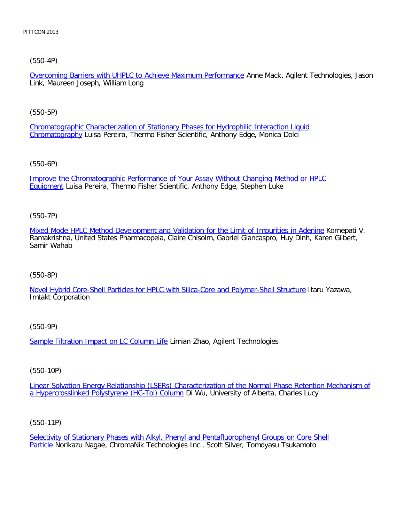[\(550-4P\)](file:///p|/print%20on%20demand%20titles/23101-23200/23133/23133%20source%20materials/papers/550-4.htm)

Overcoming Barriers with UHPLC to Achieve Maximum Performance Anne Mack, Agilent Technologies, Jason Link, Maureen Joseph, William Long

[\(550-5P\)](file:///p|/print%20on%20demand%20titles/23101-23200/23133/23133%20source%20materials/papers/550-5.htm)

[Chromatogra](file:///p|/print%20on%20demand%20titles/23101-23200/23133/23133%20source%20materials/papers/550-5.htm)phic Characterization of Stationary Phases for Hydrophilic Interaction Liquid Chromatography Luisa Pereira, Thermo Fisher Scientific, Anthony Edge, Monica Dolci

[\(550-6P\)](file:///p|/print%20on%20demand%20titles/23101-23200/23133/23133%20source%20materials/papers/550-6.htm)

[Impro](file:///p|/print%20on%20demand%20titles/23101-23200/23133/23133%20source%20materials/papers/550-6.htm)ve the Chromatographic Performance of Your Assay Without Changing Method or HPLC Equipment Luisa Pereira, Thermo Fisher Scientific, Anthony Edge, Stephen Luke

(550-7P)

[Mixed Mode HPLC Method Development and Validation for the Limit of Impurities in Adenine](file:///p|/print%20on%20demand%20titles/23101-23200/23133/23133%20source%20materials/papers/550-7.htm) Kornepati V. Ramakrishna, United States Pharmacopeia, Claire Chisolm, Gabriel Giancaspro, Huy Dinh, Karen Gilbert, Samir Wahab

(550-8P)

[Novel Hybrid Core-Shell Particles for HPLC with Silica-Core and Polymer-Shell Structure](file:///p|/print%20on%20demand%20titles/23101-23200/23133/23133%20source%20materials/papers/550-8.htm) Itaru Yazawa, Imtakt Corporation

(550-9P)

Sample Filtration Impact on LC Column Life Limian Zhao, Agilent Technologies

(550-10P)

Linear Solvation Energy Relationship (LSERs) Characterization of the Normal Phase Retention Mechanism of [a Hypercrosslinked Polystyrene \(HC-Tol\) Column](file:///p|/print%20on%20demand%20titles/23101-23200/23133/23133%20source%20materials/papers/550-10.htm) Di Wu, University of Alberta, Charles Lucy

(550-11P)

Selectivity of Stationary Phases with Alkyl, Phenyl and Pentafluorophenyl Groups on Core Shell Particle Norikazu Nagae, ChromaNik Technologies Inc., Scott Silver, Tomoyasu Tsukamoto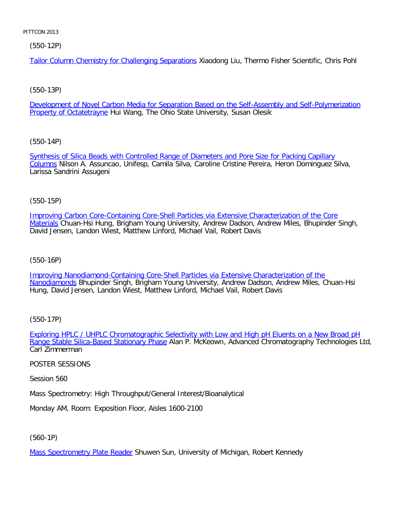(550-12P)

Tailor Column Chemistry for Challenging Separations Xiaodong Liu, Thermo Fisher Scientific, Chris Pohl

# [\(550-13P\)](file:///p|/print%20on%20demand%20titles/23101-23200/23133/23133%20source%20materials/papers/550-13.htm)

Development of Novel Carbon Media for Separation Based on the Self-Assembly and Self-Polymerization Property of Octatetrayne Hui Wang, The Ohio State University, Susan Olesik

# [\(550-14P\)](file:///p|/print%20on%20demand%20titles/23101-23200/23133/23133%20source%20materials/papers/550-14.htm)

[Syn](file:///p|/print%20on%20demand%20titles/23101-23200/23133/23133%20source%20materials/papers/550-14.htm)thesis of Silica Beads with Controlled Range of Diameters and Pore Size for Packing Capillary Columns Nilson A. Assuncao, Unifesp, Camila Silva, Caroline Cristine Pereira, Heron Dominguez Silva, Larissa Sandrini Assugeni

# (550-15P)

[Improving Carbon Core-Containing Core-Shell Particles via Extensive Characterization of the Core](file:///p|/print%20on%20demand%20titles/23101-23200/23133/23133%20source%20materials/papers/550-15.htm) Materials Chuan-Hsi Hung, Brigham Young University, Andrew Dadson, Andrew Miles, Bhupinder Singh, David Jensen, Landon Wiest, Matthew Linford, Michael Vail, Robert Davis

# (550-16P)

[Improving Nanodiamond-Containing Core-Shell Particles via Extensive Characterization of the](file:///p|/print%20on%20demand%20titles/23101-23200/23133/23133%20source%20materials/papers/550-16.htm) [Nanodiamo](file:///p|/print%20on%20demand%20titles/23101-23200/23133/23133%20source%20materials/papers/550-16.htm)nds Bhupinder Singh, Brigham Young University, Andrew Dadson, Andrew Miles, Chuan-Hsi Hung, David Jensen, Landon Wiest, Matthew Linford, Michael Vail, Robert Davis

(550-17P)

Exploring HPLC / UHPLC Chromatographic Selectivity with Low and High pH Eluents on a New Broad pH Range Stable Silica-Based Stationary Phase [Alan P. McKeown, Advanced Chromatography Technologies Ltd,](file:///p|/print%20on%20demand%20titles/23101-23200/23133/23133%20source%20materials/papers/550-17.htm) [Carl Zimmerman](file:///p|/print%20on%20demand%20titles/23101-23200/23133/23133%20source%20materials/papers/550-17.htm)

# POSTER SESSIONS

Session 560

Mass Spectrometry: High Throughput/General Interest/Bioanalytical

Monday AM, Room: Exposition Floor, Aisles 1600-2100

(560-1P)

Mass Spectrometry Plate Reader Shuwen Sun, University of Michigan, Robert Kennedy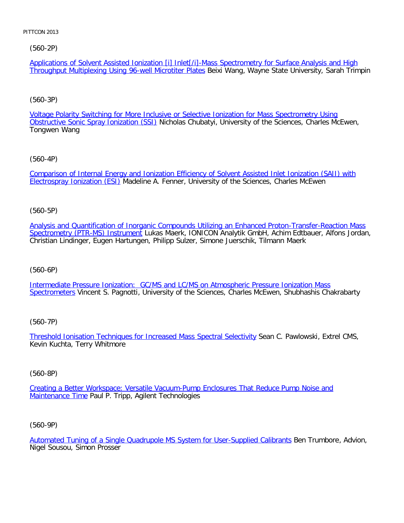[\(560-2P\)](file:///p|/print%20on%20demand%20titles/23101-23200/23133/23133%20source%20materials/papers/560-2.htm)

Applications of Solvent Assisted Ionization [i] Inlet[/i]-Mass Spectrometry for Surface Analysis and High Throughput Multiplexing Using 96-well Microtiter Plates Beixi Wang, Wayne State University, Sarah Trimpin

# [\(560-3P\)](file:///p|/print%20on%20demand%20titles/23101-23200/23133/23133%20source%20materials/papers/560-3.htm)

Voltage Polarity Switching for More Inclusive or Selective Ionization for Mass Spectrometry Using Obstructive Sonic Spray Ionization (SSI) Nicholas Chubatyi, University of the Sciences, Charles McEwen, Tongwen Wang

# [\(560-4P\)](file:///p|/print%20on%20demand%20titles/23101-23200/23133/23133%20source%20materials/papers/560-4.htm)

[Comparison of Internal En](file:///p|/print%20on%20demand%20titles/23101-23200/23133/23133%20source%20materials/papers/560-4.htm)ergy and Ionization Efficiency of Solvent Assisted Inlet Ionization (SAII) with **Electrospray Ionization (ESI)** Madeline A. Fenner, University of the Sciences, Charles McEwen

# (560-5P)

[Analysis and Quantification of Inorganic Compounds Utilizing an Enhanced Proton-Transfer-Reaction Mass](file:///p|/print%20on%20demand%20titles/23101-23200/23133/23133%20source%20materials/papers/560-5.htm) [Spectrometry \(PTR-MS\) Instrumen](file:///p|/print%20on%20demand%20titles/23101-23200/23133/23133%20source%20materials/papers/560-5.htm)t Lukas Maerk, IONICON Analytik GmbH, Achim Edtbauer, Alfons Jordan, Christian Lindinger, Eugen Hartungen, Philipp Sulzer, Simone Juerschik, Tilmann Maerk

# (560-6P)

[Intermediate Pressure Ionization: GC/MS and LC/MS on Atmospheric Pressure Ionization Mass](file:///p|/print%20on%20demand%20titles/23101-23200/23133/23133%20source%20materials/papers/560-6.htm) [Spectrome](file:///p|/print%20on%20demand%20titles/23101-23200/23133/23133%20source%20materials/papers/560-6.htm)ters Vincent S. Pagnotti, University of the Sciences, Charles McEwen, Shubhashis Chakrabarty

# (560-7P)

Threshold Ionisation Techniques for Increased Mass Spectral Selectivity Sean C. Pawlowski, Extrel CMS, [Kevin Kuchta, Terry Whitmore](file:///p|/print%20on%20demand%20titles/23101-23200/23133/23133%20source%20materials/papers/560-7.htm)

# (560-8P)

Creating a Better Workspace: Versatile Vacuum-Pump Enclosures That Reduce Pump Noise and Maintenance Time [Paul P. Tripp, Agilent Technologies](file:///p|/print%20on%20demand%20titles/23101-23200/23133/23133%20source%20materials/papers/560-8.htm)

# (560-9P)

Automated Tuning of a Single Quadrupole MS System for User-Supplied Calibrants Ben Trumbore, Advion, Nigel Sousou, Simon Prosser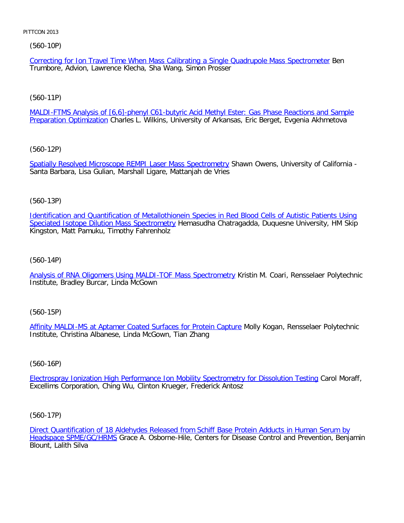(560-10P)

Correcting for Ion Travel Time When Mass Calibrating a Single Quadrupole Mass Spectrometer Ben Trumbore, Advion, Lawrence Klecha, Sha Wang, Simon Prosser

[\(560-11P\)](file:///p|/print%20on%20demand%20titles/23101-23200/23133/23133%20source%20materials/papers/560-11.htm)

MALDI-FTMS Analysis of [6,6]-phenyl C61-butyric Acid Methyl Ester: Gas Phase Reactions and Sample **Preparation Optimization Charles L. Wilkins, University of Arkansas, Eric Berget, Evgenia Akhmetova** 

[\(560-12P\)](file:///p|/print%20on%20demand%20titles/23101-23200/23133/23133%20source%20materials/papers/560-12.htm)

Spatially Resolved Microscope REMPI Laser Mass Spectrometry Shawn Owens, University of California -Santa Barbara, Lisa Gulian, Marshall Ligare, Mattanjah de Vries

(560-13P)

[Identification and Quantification of Metallothionein Species in Red Blood Cells of Autistic Patients Using](file:///p|/print%20on%20demand%20titles/23101-23200/23133/23133%20source%20materials/papers/560-13.htm) Speciated Isotope Dilution Mass Spectrometry Hemasudha Chatragadda, Duquesne University, HM Skip Kingston, Matt Pamuku, Timothy Fahrenholz

(560-14P)

[Analysis of RNA Oligomers Using MALDI-TOF Mass Spectrometry](file:///p|/print%20on%20demand%20titles/23101-23200/23133/23133%20source%20materials/papers/560-14.htm) Kristin M. Coari, Rensselaer Polytechnic Institute, Bradley Burcar, Linda McGown

(560-15P)

Affinity MALDI-MS at Aptamer Coated Surfaces for Protein Capture Molly Kogan, Rensselaer Polytechnic [Institute, Christina Albanese, Linda McGown, Tian Zhang](file:///p|/print%20on%20demand%20titles/23101-23200/23133/23133%20source%20materials/papers/560-15.htm)

(560-16P)

Electrospray Ionization High Performance Ion Mobility Spectrometry for Dissolution Testing Carol Moraff, [Excellims Corporation, Ching Wu, Clinton Krueger, Frederick Antosz](file:///p|/print%20on%20demand%20titles/23101-23200/23133/23133%20source%20materials/papers/560-16.htm)

(560-17P)

Direct Quantification of 18 Aldehydes Released from Schiff Base Protein Adducts in Human Serum by Headspace SPME/GC/HRMS Grace A. Osborne-Hile, Centers for Disease Control and Prevention, Benjamin [Blount, Lalith Silva](file:///p|/print%20on%20demand%20titles/23101-23200/23133/23133%20source%20materials/papers/560-17.htm)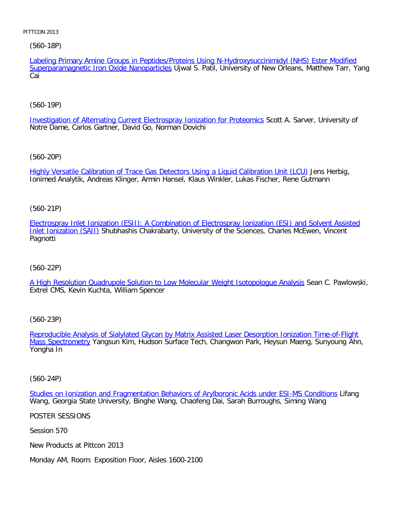# [\(560-18P\)](file:///p|/print%20on%20demand%20titles/23101-23200/23133/23133%20source%20materials/papers/560-18.htm)

Labeling Primary Amine Groups in Peptides/Proteins Using N-Hydroxysuccinimidyl (NHS) Ester Modified Superparamagnetic Iron Oxide Nanoparticles Ujwal S. Patil, University of New Orleans, Matthew Tarr, Yang Cai

# [\(560-19P\)](file:///p|/print%20on%20demand%20titles/23101-23200/23133/23133%20source%20materials/papers/560-19.htm)

Investigation of Alternating Current Electrospray Ionization for Proteomics Scott A. Sarver, University of Notre Dame, Carlos Gartner, David Go, Norman Dovichi

# [\(560-20P\)](file:///p|/print%20on%20demand%20titles/23101-23200/23133/23133%20source%20materials/papers/560-20.htm)

Highly Versatile Calibration of Trace Gas Detectors Using a Liquid Calibration Unit (LCU) Jens Herbig, Ionimed Analytik, Andreas Klinger, Armin Hansel, Klaus Winkler, Lukas Fischer, Rene Gutmann

# (560-21P)

[Electrospray Inlet Ionization \(ESII\): A Combination of Electrospray Ionization \(ESI\) and Solvent Assisted](file:///p|/print%20on%20demand%20titles/23101-23200/23133/23133%20source%20materials/papers/560-21.htm) [Inlet Ionization \(SA](file:///p|/print%20on%20demand%20titles/23101-23200/23133/23133%20source%20materials/papers/560-21.htm)II) Shubhashis Chakrabarty, University of the Sciences, Charles McEwen, Vincent Pagnotti

# (560-22P)

[A High Resolution Quadrupole Solution to Low Molecular Weight Isotopologue Analysis](file:///p|/print%20on%20demand%20titles/23101-23200/23133/23133%20source%20materials/papers/560-22.htm) Sean C. Pawlowski, Extrel CMS, Kevin Kuchta, William Spencer

# (560-23P)

Reproducible Analysis of Sialylated Glycan by Matrix Assisted Laser Desorption Ionization Time-of-Flight Mass Spectrometry [Yangsun Kim, Hudson Surface Tech, Changwon Park, Heysun Maeng, Sunyoung Ahn,](file:///p|/print%20on%20demand%20titles/23101-23200/23133/23133%20source%20materials/papers/560-23.htm) [Yongha In](file:///p|/print%20on%20demand%20titles/23101-23200/23133/23133%20source%20materials/papers/560-23.htm)

# (560-24P)

Studies on Ionization and Fragmentation Behaviors of Arylboronic Acids under ESI-MS Conditions Lifang [Wang, Georgia State University, Binghe Wang, Chaofeng Dai, Sarah Burroughs, Siming Wang](file:///p|/print%20on%20demand%20titles/23101-23200/23133/23133%20source%20materials/papers/560-24.htm)

# POSTER SESSIONS

Session 570

New Products at Pittcon 2013

Monday AM, Room: Exposition Floor, Aisles 1600-2100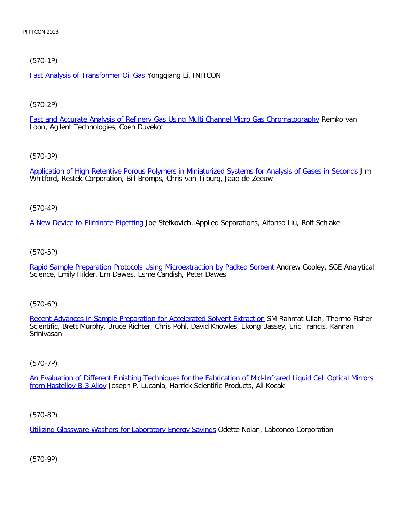# [\(570-1P\)](file:///p|/print%20on%20demand%20titles/23101-23200/23133/23133%20source%20materials/papers/570-1.htm)

Fast Analysis of Transformer Oil Gas Yongqiang Li, INFICON

# [\(570-2P\)](file:///p|/print%20on%20demand%20titles/23101-23200/23133/23133%20source%20materials/papers/570-2.htm)

Fast and Accurate Analysis of Refinery Gas Using Multi Channel Micro Gas Chromatography Remko van Loon, Agilent Technologies, Coen Duvekot

# [\(570-3P\)](file:///p|/print%20on%20demand%20titles/23101-23200/23133/23133%20source%20materials/papers/570-3.htm)

Application of High Retentive Porous Polymers in Miniaturized Systems for Analysis of Gases in Seconds Jim Whitford, Restek Corporation, Bill Bromps, Chris van Tilburg, Jaap de Zeeuw

# (570-4P)

[A New Device to Eliminate Pipettin](file:///p|/print%20on%20demand%20titles/23101-23200/23133/23133%20source%20materials/papers/570-4.htm)g Joe Stefkovich, Applied Separations, Alfonso Liu, Rolf Schlake

# (570-5P)

[Rapid Sample Preparation Protocols Using Microextraction by Packed Sorbent](file:///p|/print%20on%20demand%20titles/23101-23200/23133/23133%20source%20materials/papers/570-5.htm) Andrew Gooley, SGE Analytical Science, Emily Hilder, Ern Dawes, Esme Candish, Peter Dawes

# (570-6P)

Recent Advances in Sample Preparation for Accelerated Solvent Extraction SM Rahmat Ullah, Thermo Fisher [Scientific, Brett Murphy, Bruce Richter, Chris Pohl, David Knowles, Ekong Bas](file:///p|/print%20on%20demand%20titles/23101-23200/23133/23133%20source%20materials/papers/570-6.htm)sey, Eric Francis, Kannan Srinivasan

# (570-7P)

An Evaluation of Different Finishing Techniques for the Fabrication of Mid-Infrared Liquid Cell Optical Mirrors from Hastelloy B-3 Alloy [Joseph P. Lucania, Harrick Scientific Products, Ali Kocak](file:///p|/print%20on%20demand%20titles/23101-23200/23133/23133%20source%20materials/papers/570-7.htm)

# (570-8P)

Utilizing Glassware Washers for Laboratory Energy Savings Odette Nolan, Labconco Corporation

(570-9P)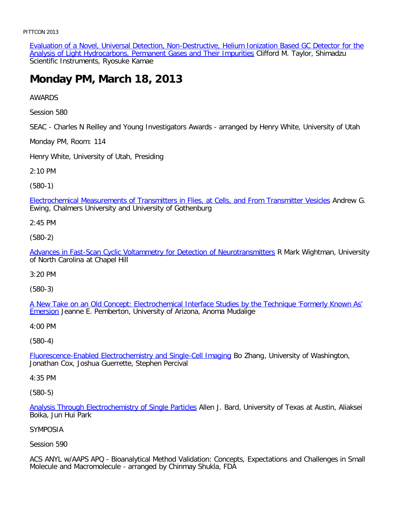Evaluation of a Novel, Universal Detection, Non-Destructive, Helium Ionization Based GC Detector for the Analysis of Light Hydrocarbons, Permanent Gases and Their Impurities Clifford M. Taylor, Shimadzu Scientific Instruments, Ryosuke Kamae

# **Monday PM, March 18, 2013**

AWARDS

Session 580

SEAC - Charles N Reilley and Young Investigators Awards - arranged by Henry White, University of Utah

Monday PM, Room: 114

Henry White, University of Utah, Presiding

2:10 PM

(580-1)

[Electrochemical Measurements of Transmitters in Flies, at Cells, and From Transmitter Vesicles](file:///p|/print%20on%20demand%20titles/23101-23200/23133/23133%20source%20materials/papers/580-1.htm) Andrew G. Ewing, Chalmers University and University of Gothenburg

2:45 PM

(580-2)

[Advances in Fast-Scan Cyclic Voltammetry for Detection of Neurotransmitters](file:///p|/print%20on%20demand%20titles/23101-23200/23133/23133%20source%20materials/papers/580-2.htm) R Mark Wightman, University of North Carolina at Chapel Hill

3:20 PM

(580-3)

[A New Take on an Old Concept: Electrochemical Interface Studies by the Technique 'Formerly Known As'](file:///p|/print%20on%20demand%20titles/23101-23200/23133/23133%20source%20materials/papers/580-3.htm) **[Emer](file:///p|/print%20on%20demand%20titles/23101-23200/23133/23133%20source%20materials/papers/580-3.htm)sion** Jeanne E. Pemberton, University of Arizona, Anoma Mudalige

4:00 PM

(580-4)

Fluorescence-Enabled Electrochemistry and Single-Cell Imaging Bo Zhang, University of Washington, [Jonathan Cox, Joshua Guerrette, Stephen Percival](file:///p|/print%20on%20demand%20titles/23101-23200/23133/23133%20source%20materials/papers/580-4.htm)

4:35 PM

(580-5)

Analysis Through Electrochemistry of Single Particles Allen J. Bard, University of Texas at Austin, Aliaksei Boika, Jun Hui Park

#### [SYMPOSIA](file:///p|/print%20on%20demand%20titles/23101-23200/23133/23133%20source%20materials/papers/580-5.htm)

Session 590

ACS ANYL w/AAPS APQ - Bioanalytical Method Validation: Concepts, Expectations and Challenges in Small Molecule and Macromolecule - arranged by Chinmay Shukla, FDA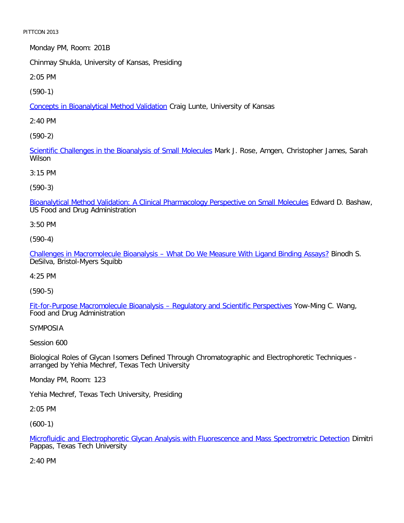Monday PM, Room: 201B

Chinmay Shukla, University of Kansas, Presiding

2:05 PM

[\(590-1\)](file:///p|/print%20on%20demand%20titles/23101-23200/23133/23133%20source%20materials/papers/590-1.htm)

Concepts in Bioanalytical Method Validation Craig Lunte, University of Kansas

2:40 PM

[\(590-2\)](file:///p|/print%20on%20demand%20titles/23101-23200/23133/23133%20source%20materials/papers/590-2.htm)

Scientific Challenges in the Bioanalysis of Small Molecules Mark J. Rose, Amgen, Christopher James, Sarah Wilson

3:15 PM

(590-3)

[Bioanalytical Method Validation: A Clinical Pharmacology Perspective on Small Molecules](file:///p|/print%20on%20demand%20titles/23101-23200/23133/23133%20source%20materials/papers/590-3.htm) Edward D. Bashaw, US Food and Drug Administration

3:50 PM

(590-4)

[Challenges in Macromolecule Bioanalysis – What Do We Measure With Ligand Binding Assays?](file:///p|/print%20on%20demand%20titles/23101-23200/23133/23133%20source%20materials/papers/590-4.htm) Binodh S. DeSilva, Bristol-Myers Squibb

4:25 PM

(590-5)

[Fit-for-Purpose Macromolecule Bioanalysis – Regulatory and Scientific Perspectives](file:///p|/print%20on%20demand%20titles/23101-23200/23133/23133%20source%20materials/papers/590-5.htm) Yow-Ming C. Wang, Food and Drug Administration

SYMPOSIA

Session 600

Biological Roles of Glycan Isomers Defined Through Chromatographic and Electrophoretic Techniques arranged by Yehia Mechref, Texas Tech University

Monday PM, Room: 123

Yehia Mechref, Texas Tech University, Presiding

2:05 PM

(600-1)

Microfluidic and Electrophoretic Glycan Analysis with Fluorescence and Mass Spectrometric Detection Dimitri Pappas, Texas Tech University

[2:40 PM](file:///p|/print%20on%20demand%20titles/23101-23200/23133/23133%20source%20materials/papers/600-1.htm)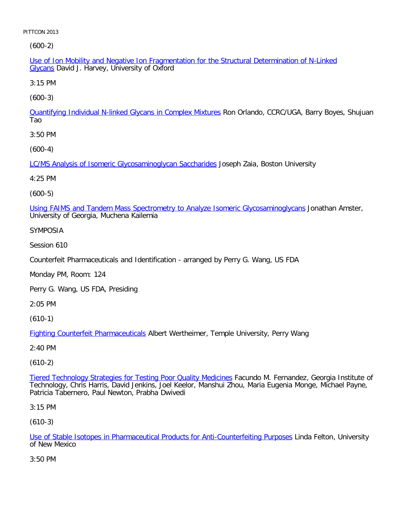[\(60](file:///p|/print%20on%20demand%20titles/23101-23200/23133/23133%20source%20materials/papers/600-2.htm)0-2)

Use of Ion Mobility and Negative Ion Fragmentation for the Structural Determination of N-Linked Glycans David J. Harvey, University of Oxford

3:15 PM

[\(600-3\)](file:///p|/print%20on%20demand%20titles/23101-23200/23133/23133%20source%20materials/papers/600-3.htm)

Quantifying Individual N-linked Glycans in Complex Mixtures Ron Orlando, CCRC/UGA, Barry Boyes, Shujuan Tao

3:50 PM

[\(600-4\)](file:///p|/print%20on%20demand%20titles/23101-23200/23133/23133%20source%20materials/papers/600-4.htm)

LC/MS Analysis of Isomeric Glycosaminoglycan Saccharides Joseph Zaia, Boston University

4:25 PM

(600-5)

[Using FAIMS and Tandem Mass Spectrometry to Analyze Isomeric Glycosaminoglycans](file:///p|/print%20on%20demand%20titles/23101-23200/23133/23133%20source%20materials/papers/600-5.htm) Jonathan Amster, University of Georgia, Muchena Kailemia

SYMPOSIA

Session 610

Counterfeit Pharmaceuticals and Identification - arranged by Perry G. Wang, US FDA

Monday PM, Room: 124

Perry G. Wang, US FDA, Presiding

2:05 PM

(610-1)

Fighting Counterfeit Pharmaceuticals Albert Wertheimer, Temple University, Perry Wang

[2:40 PM](file:///p|/print%20on%20demand%20titles/23101-23200/23133/23133%20source%20materials/papers/610-1.htm)

(610-2)

Tiered Technology Strategies for Testing Poor Quality Medicines Facundo M. Fernandez, Georgia Institute of Technology, Chris Harris, David Jenkins, Joel Keelor, Manshui Zhou, Maria Eugenia Monge, Michael Payne, [Patricia Tabernero, Paul Newton, Prabha Dwivedi](file:///p|/print%20on%20demand%20titles/23101-23200/23133/23133%20source%20materials/papers/610-2.htm)

3:15 PM

(610-3)

Use of Stable Isotopes in Pharmaceutical Products for Anti-Counterfeiting Purposes Linda Felton, University of New Mexico

[3:50 PM](file:///p|/print%20on%20demand%20titles/23101-23200/23133/23133%20source%20materials/papers/610-3.htm)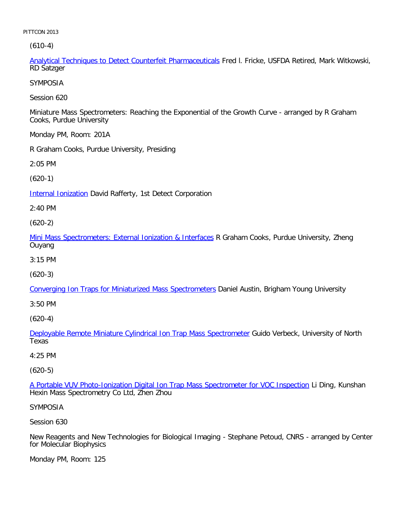(610-4)

Analytical Techniques to Detect Counterfeit Pharmaceuticals Fred l. Fricke, USFDA Retired, Mark Witkowski, RD Satzger

SYMPOSIA

Session 620

Miniature Mass Spectrometers: Reaching the Exponential of the Growth Curve - arranged by R Graham Cooks, Purdue University

Monday PM, Room: 201A

R Graham Cooks, Purdue University, Presiding

2:05 PM

[\(620-1\)](file:///p|/print%20on%20demand%20titles/23101-23200/23133/23133%20source%20materials/papers/620-1.htm)

**Internal Ionization** David Rafferty, 1st Detect Corporation

2:40 PM

(620-2)

[Mini Mass Spectrometers: External Ionization & Interfaces](file:///p|/print%20on%20demand%20titles/23101-23200/23133/23133%20source%20materials/papers/620-2.htm) R Graham Cooks, Purdue University, Zheng Ouyang

3:15 PM

(620-3)

[Converging Ion Traps for Miniaturized Mass Spectrometers](file:///p|/print%20on%20demand%20titles/23101-23200/23133/23133%20source%20materials/papers/620-3.htm) Daniel Austin, Brigham Young University

3:50 PM

(620-4)

Deployable Remote Miniature Cylindrical Ion Trap Mass Spectrometer Guido Verbeck, University of North [Texas](file:///p|/print%20on%20demand%20titles/23101-23200/23133/23133%20source%20materials/papers/620-4.htm)

# 4:25 PM

(620-5)

A Portable VUV Photo-Ionization Digital Ion Trap Mass Spectrometer for VOC Inspection Li Ding, Kunshan [Hexin Mass Spectrometry Co Ltd, Zhen Zhou](file:///p|/print%20on%20demand%20titles/23101-23200/23133/23133%20source%20materials/papers/620-5.htm)

SYMPOSIA

Session 630

New Reagents and New Technologies for Biological Imaging - Stephane Petoud, CNRS - arranged by Center for Molecular Biophysics

Monday PM, Room: 125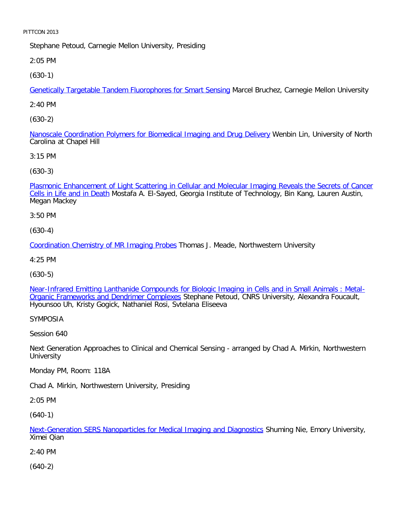Stephane Petoud, Carnegie Mellon University, Presiding

2:05 PM

[\(630-1\)](file:///p|/print%20on%20demand%20titles/23101-23200/23133/23133%20source%20materials/papers/630-1.htm)

Genetically Targetable Tandem Fluorophores for Smart Sensing Marcel Bruchez, Carnegie Mellon University

2:40 PM

[\(630-2\)](file:///p|/print%20on%20demand%20titles/23101-23200/23133/23133%20source%20materials/papers/630-2.htm)

Nanoscale Coordination Polymers for Biomedical Imaging and Drug Delivery Wenbin Lin, University of North Carolina at Chapel Hill

3:15 PM

[\(630-3\)](file:///p|/print%20on%20demand%20titles/23101-23200/23133/23133%20source%20materials/papers/630-3.htm)

[Plasmonic Enhanceme](file:///p|/print%20on%20demand%20titles/23101-23200/23133/23133%20source%20materials/papers/630-3.htm)nt of Light Scattering in Cellular and Molecular Imaging Reveals the Secrets of Cancer Cells in Life and in Death Mostafa A. El-Sayed, Georgia Institute of Technology, Bin Kang, Lauren Austin, Megan Mackey

3:50 PM

(630-4)

[Coordination Chemistry of MR Imaging Probes](file:///p|/print%20on%20demand%20titles/23101-23200/23133/23133%20source%20materials/papers/630-4.htm) Thomas J. Meade, Northwestern University

4:25 PM

(630-5)

[Near-Infrared Emitting Lanthanide Compounds for Biologic Imaging in Cells and in Small Animals : Metal-](file:///p|/print%20on%20demand%20titles/23101-23200/23133/23133%20source%20materials/papers/630-5.htm)[Organic Frameworks and Dendrimer Complexes](file:///p|/print%20on%20demand%20titles/23101-23200/23133/23133%20source%20materials/papers/630-5.htm) Stephane Petoud, CNRS University, Alexandra Foucault, Hyounsoo Uh, Kristy Gogick, Nathaniel Rosi, Svtelana Eliseeva

SYMPOSIA

Session 640

Next Generation Approaches to Clinical and Chemical Sensing - arranged by Chad A. Mirkin, Northwestern **University** 

Monday PM, Room: 118A

Chad A. Mirkin, Northwestern University, Presiding

2:05 PM

(640-1)

Next-Generation SERS Nanoparticles for Medical Imaging and Diagnostics Shuming Nie, Emory University, Ximei Qian

[2:40 PM](file:///p|/print%20on%20demand%20titles/23101-23200/23133/23133%20source%20materials/papers/640-1.htm)

(640-2)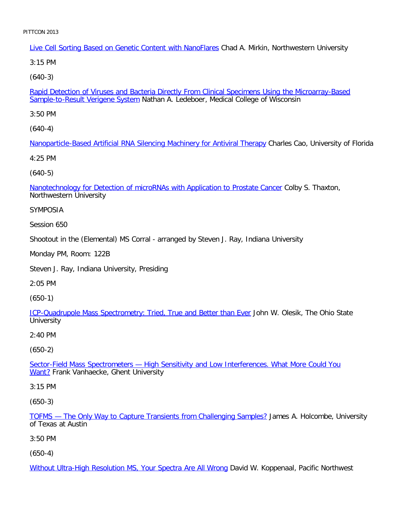Live Cell Sorting Based on Genetic Content with NanoFlares Chad A. Mirkin, Northwestern University

3:15 PM

[\(640-3\)](file:///p|/print%20on%20demand%20titles/23101-23200/23133/23133%20source%20materials/papers/640-3.htm)

Rapid Detection of Viruses and Bacteria Directly From Clinical Specimens Using the Microarray-Based Sample-to-Result Verigene System Nathan A. Ledeboer, Medical College of Wisconsin

3:50 PM

[\(640-4\)](file:///p|/print%20on%20demand%20titles/23101-23200/23133/23133%20source%20materials/papers/640-4.htm)

Nanoparticle-Based Artificial RNA Silencing Machinery for Antiviral Therapy Charles Cao, University of Florida

4:25 PM

[\(640-5\)](file:///p|/print%20on%20demand%20titles/23101-23200/23133/23133%20source%20materials/papers/640-5.htm)

Nanotechnology for Detection of microRNAs with Application to Prostate Cancer Colby S. Thaxton, Northwestern University

SYMPOSIA

Session 650

Shootout in the (Elemental) MS Corral - arranged by Steven J. Ray, Indiana University

Monday PM, Room: 122B

Steven J. Ray, Indiana University, Presiding

2:05 PM

(650-1)

[ICP-Quadrupole Mass Spectrometry: Tried, True and Better than Ever](file:///p|/print%20on%20demand%20titles/23101-23200/23133/23133%20source%20materials/papers/650-1.htm) John W. Olesik, The Ohio State **University** 

2:40 PM

(650-2)

Sector-Field Mass Spectrometers — High Sensitivity and Low Interferences. What More Could You Want? [Frank Vanhaecke, Ghent University](file:///p|/print%20on%20demand%20titles/23101-23200/23133/23133%20source%20materials/papers/650-2.htm)

[3:](file:///p|/print%20on%20demand%20titles/23101-23200/23133/23133%20source%20materials/papers/650-2.htm)15 PM

(650-3)

TOFMS — The Only Way to Capture Transients from Challenging Samples? James A. Holcombe, University of Texas at Austin

[3:50 PM](file:///p|/print%20on%20demand%20titles/23101-23200/23133/23133%20source%20materials/papers/650-3.htm)

(650-4)

Without Ultra-High Resolution MS, Your Spectra Are All Wrong David W. Koppenaal, Pacific Northwest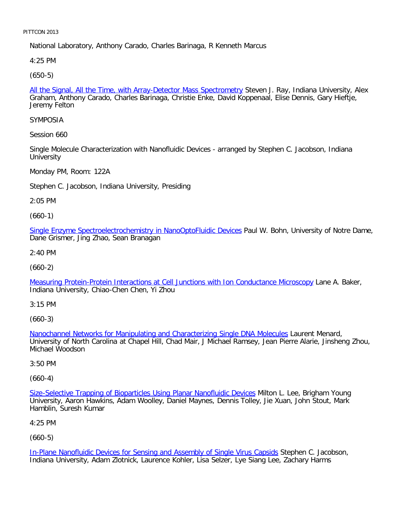National Laboratory, Anthony Carado, Charles Barinaga, R Kenneth Marcus

4:25 PM

[\(650-5\)](file:///p|/print%20on%20demand%20titles/23101-23200/23133/23133%20source%20materials/papers/650-5.htm)

All the Signal, All the Time, with Array-Detector Mass Spectrometry Steven J. Ray, Indiana University, Alex Graham, Anthony Carado, Charles Barinaga, Christie Enke, David Koppenaal, Elise Dennis, Gary Hieftje, Jeremy Felton

SYMPOSIA

Session 660

Single Molecule Characterization with Nanofluidic Devices - arranged by Stephen C. Jacobson, Indiana **University** 

Monday PM, Room: 122A

Stephen C. Jacobson, Indiana University, Presiding

2:05 PM

(660-1)

[Single Enzyme Spectroelectrochemistry in NanoOptoFluidic Devices](file:///p|/print%20on%20demand%20titles/23101-23200/23133/23133%20source%20materials/papers/660-1.htm) Paul W. Bohn, University of Notre Dame, Dane Grismer, Jing Zhao, Sean Branagan

2:40 PM

(660-2)

[Measuring Protein-Protein Interactions at Cell Junctions with Ion Conductance Microscopy](file:///p|/print%20on%20demand%20titles/23101-23200/23133/23133%20source%20materials/papers/660-2.htm) Lane A. Baker, Indiana University, Chiao-Chen Chen, Yi Zhou

3:15 PM

(660-3)

Nanochannel Networks for Manipulating and Characterizing Single DNA Molecules Laurent Menard, [University of North Carolina at Chapel Hill, Chad Mair, J Michael Ramsey, Jean Pierre](file:///p|/print%20on%20demand%20titles/23101-23200/23133/23133%20source%20materials/papers/660-3.htm) Alarie, Jinsheng Zhou, Michael Woodson

3:50 PM

(660-4)

Size-Selective Trapping of Bioparticles Using Planar Nanofluidic Devices Milton L. Lee, Brigham Young University, Aaron Hawkins, Adam Woolley, Daniel Maynes, Dennis Tolley, Jie Xuan, John Stout, Mark [Hamblin, Suresh Kumar](file:///p|/print%20on%20demand%20titles/23101-23200/23133/23133%20source%20materials/papers/660-4.htm)

4:25 PM

(660-5)

In-Plane Nanofluidic Devices for Sensing and Assembly of Single Virus Capsids Stephen C. Jacobson, Indiana University, Adam Zlotnick, Laurence Kohler, Lisa Selzer, Lye Siang Lee, Zachary Harms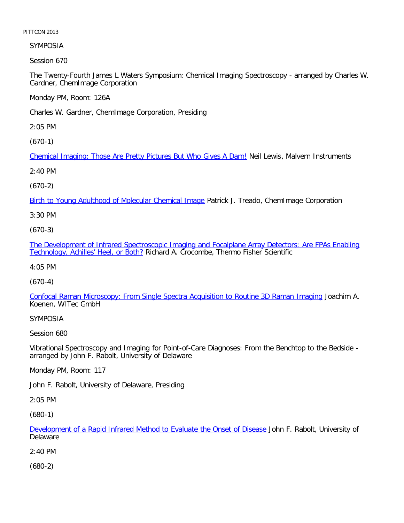SYMPOSIA

Session 670

The Twenty-Fourth James L Waters Symposium: Chemical Imaging Spectroscopy - arranged by Charles W. Gardner, ChemImage Corporation

Monday PM, Room: 126A

Charles W. Gardner, ChemImage Corporation, Presiding

2:05 PM

[\(670-1\)](file:///p|/print%20on%20demand%20titles/23101-23200/23133/23133%20source%20materials/papers/670-1.htm)

Chemical Imaging: Those Are Pretty Pictures But Who Gives A Darn! Neil Lewis, Malvern Instruments

2:40 PM

(670-2)

[Birth to Young Adulthood of Molecular Chemical Image](file:///p|/print%20on%20demand%20titles/23101-23200/23133/23133%20source%20materials/papers/670-2.htm) Patrick J. Treado, ChemImage Corporation

3:30 PM

(670-3)

[The Development of Infrared Spectroscopic Imaging and Focalplane Array Detectors: Are FPAs Enabling](file:///p|/print%20on%20demand%20titles/23101-23200/23133/23133%20source%20materials/papers/670-3.htm) [Technology, Achilles' Heel, or Both](file:///p|/print%20on%20demand%20titles/23101-23200/23133/23133%20source%20materials/papers/670-3.htm)? Richard A. Crocombe, Thermo Fisher Scientific

4:05 PM

(670-4)

[Confocal Raman Microscopy: From Single Spectra Acquisition to Routine 3D Raman Imaging](file:///p|/print%20on%20demand%20titles/23101-23200/23133/23133%20source%20materials/papers/670-4.htm) Joachim A. Koenen, WITec GmbH

SYMPOSIA

Session 680

Vibrational Spectroscopy and Imaging for Point-of-Care Diagnoses: From the Benchtop to the Bedside arranged by John F. Rabolt, University of Delaware

Monday PM, Room: 117

John F. Rabolt, University of Delaware, Presiding

2:05 PM

(680-1)

Development of a Rapid Infrared Method to Evaluate the Onset of Disease John F. Rabolt, University of **Delaware** 

[2:40 PM](file:///p|/print%20on%20demand%20titles/23101-23200/23133/23133%20source%20materials/papers/680-1.htm)

(680-2)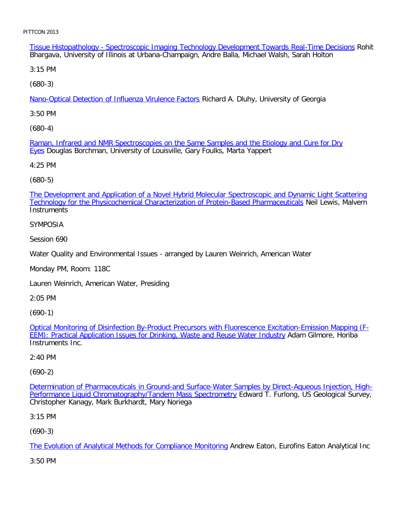Tissue Histopathology - Spectroscopic Imaging Technology Development Towards Real-Time Decisions Rohit Bhargava, University of Illinois at Urbana-Champaign, Andre Balla, Michael Walsh, Sarah Holton

3:15 PM

[\(680-3\)](file:///p|/print%20on%20demand%20titles/23101-23200/23133/23133%20source%20materials/papers/680-3.htm)

Nano-Optical Detection of Influenza Virulence Factors Richard A. Dluhy, University of Georgia

3:50 PM

[\(680-4\)](file:///p|/print%20on%20demand%20titles/23101-23200/23133/23133%20source%20materials/papers/680-4.htm)

Raman, Infrared and NMR Spectroscopies on the Same Samples and the Etiology and Cure for Dry Eyes Douglas Borchman, University of Louisville, Gary Foulks, Marta Yappert

4:25 PM

(680-5)

[The Development and Application of a Novel Hybrid Molecular Spectroscopic and Dynamic Light Scattering](file:///p|/print%20on%20demand%20titles/23101-23200/23133/23133%20source%20materials/papers/680-5.htm) Technology for the Physicochemical Characterization of Protein-Based Pharmaceuticals Neil Lewis, Malvern **Instruments** 

SYMPOSIA

Session 690

Water Quality and Environmental Issues - arranged by Lauren Weinrich, American Water

Monday PM, Room: 118C

Lauren Weinrich, American Water, Presiding

2:05 PM

(690-1)

Optical Monitoring of Disinfection By-Product Precursors with Fluorescence Excitation-Emission Mapping (F-[EEM\): Practical Application Issues for Drinking, Waste and Reuse Water Industry](file:///p|/print%20on%20demand%20titles/23101-23200/23133/23133%20source%20materials/papers/690-1.htm) Adam Gilmore, Horiba [Instruments Inc.](file:///p|/print%20on%20demand%20titles/23101-23200/23133/23133%20source%20materials/papers/690-1.htm)

2:40 PM

(690-2)

Determination of Pharmaceuticals in Ground-and Surface-Water Samples by Direct-Aqueous Injection, High-Performance Liquid Chromatography/Tandem Mass Spectrometry Edward T. Furlong, US Geological Survey, [Christopher Kanagy, Mark Burkhardt, Mary Noriega](file:///p|/print%20on%20demand%20titles/23101-23200/23133/23133%20source%20materials/papers/690-2.htm)

3:15 PM

(690-3)

The Evolution of Analytical Methods for Compliance Monitoring Andrew Eaton, Eurofins Eaton Analytical Inc

[3:50 PM](file:///p|/print%20on%20demand%20titles/23101-23200/23133/23133%20source%20materials/papers/690-3.htm)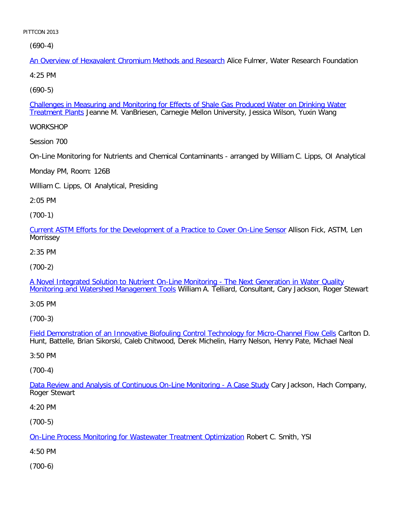(690-4)

An Overview of Hexavalent Chromium Methods and Research Alice Fulmer, Water Research Foundation

4:25 PM

[\(690-5\)](file:///p|/print%20on%20demand%20titles/23101-23200/23133/23133%20source%20materials/papers/690-5.htm)

Challenges in Measuring and Monitoring for Effects of Shale Gas Produced Water on Drinking Water Treatment Plants Jeanne M. VanBriesen, Carnegie Mellon University, Jessica Wilson, Yuxin Wang

**WORKSHOP** 

Session 700

On-Line Monitoring for Nutrients and Chemical Contaminants - arranged by William C. Lipps, OI Analytical

Monday PM, Room: 126B

William C. Lipps, OI Analytical, Presiding

2:05 PM

(700-1)

[Current ASTM Efforts for the Development of a Practice to Cover On-Line Sensor](file:///p|/print%20on%20demand%20titles/23101-23200/23133/23133%20source%20materials/papers/700-1.htm) Allison Fick, ASTM, Len Morrissey

2:35 PM

(700-2)

[A Novel Integrated Solution to Nutrient On-Line Monitoring - The Next Generation in Water Quality](file:///p|/print%20on%20demand%20titles/23101-23200/23133/23133%20source%20materials/papers/700-2.htm) [Monitoring and Watershed Management Tools](file:///p|/print%20on%20demand%20titles/23101-23200/23133/23133%20source%20materials/papers/700-2.htm) William A. Telliard, Consultant, Cary Jackson, Roger Stewart

3:05 PM

(700-3)

Field Demonstration of an Innovative Biofouling Control Technology for Micro-Channel Flow Cells Carlton D. [Hunt, Battelle, Brian Sikorski, Caleb Chitwood, Derek Michelin, Harry Nelson, Henry Pate, Michael Nea](file:///p|/print%20on%20demand%20titles/23101-23200/23133/23133%20source%20materials/papers/700-3.htm)l

3:50 PM

(700-4)

Data Review and Analysis of Continuous On-Line Monitoring - A Case Study Cary Jackson, Hach Company, [Roger Stewart](file:///p|/print%20on%20demand%20titles/23101-23200/23133/23133%20source%20materials/papers/700-4.htm)

4:20 PM

(700-5)

On-Line Process Monitoring for Wastewater Treatment Optimization Robert C. Smith, YSI

[4:50 PM](file:///p|/print%20on%20demand%20titles/23101-23200/23133/23133%20source%20materials/papers/700-5.htm)

(700-6)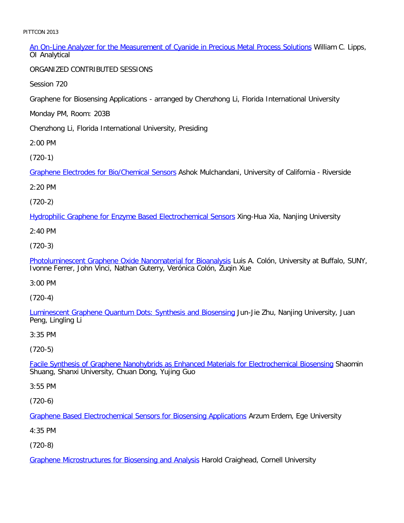| An On-Line Analyzer for the Measurement of Cyanide in Precious Metal Process Solutions William C. Lipps, |  |  |  |
|----------------------------------------------------------------------------------------------------------|--|--|--|
| OI Analytical                                                                                            |  |  |  |

ORGANIZED CONTRIBUTED SESSIONS

Session 720

Graphene for Biosensing Applications - arranged by Chenzhong Li, Florida International University

Monday PM, Room: 203B

Chenzhong Li, Florida International University, Presiding

2:00 PM

[\(720-1\)](file:///p|/print%20on%20demand%20titles/23101-23200/23133/23133%20source%20materials/papers/720-1.htm)

Graphene Electrodes for Bio/Chemical Sensors Ashok Mulchandani, University of California - Riverside

2:20 PM

(720-2)

[Hydrophilic Graphene for Enzyme Based Electrochemical Sensors](file:///p|/print%20on%20demand%20titles/23101-23200/23133/23133%20source%20materials/papers/720-2.htm) Xing-Hua Xia, Nanjing University

2:40 PM

(720-3)

[Photoluminescent Graphene Oxide Nanomaterial for Bioanalysis](file:///p|/print%20on%20demand%20titles/23101-23200/23133/23133%20source%20materials/papers/720-3.htm) Luis A. Colón, University at Buffalo, SUNY, Ivonne Ferrer, John Vinci, Nathan Guterry, Verónica Colón, Zuqin Xue

3:00 PM

(720-4)

[Luminescent Graphene Quantum Dots: Synthesis and Biosensing](file:///p|/print%20on%20demand%20titles/23101-23200/23133/23133%20source%20materials/papers/720-4.htm) Jun-Jie Zhu, Nanjing University, Juan Peng, Lingling Li

3:35 PM

(720-5)

Facile Synthesis of Graphene Nanohybrids as Enhanced Materials for Electrochemical Biosensing Shaomin [Shuang, Shanxi University, Chuan Dong, Yujing Guo](file:///p|/print%20on%20demand%20titles/23101-23200/23133/23133%20source%20materials/papers/720-5.htm)

3:55 PM

(720-6)

Graphene Based Electrochemical Sensors for Biosensing Applications Arzum Erdem, Ege University

[4:35 PM](file:///p|/print%20on%20demand%20titles/23101-23200/23133/23133%20source%20materials/papers/720-6.htm)

(720-8)

Graphene Microstructures for Biosensing and Analysis Harold Craighead, Cornell University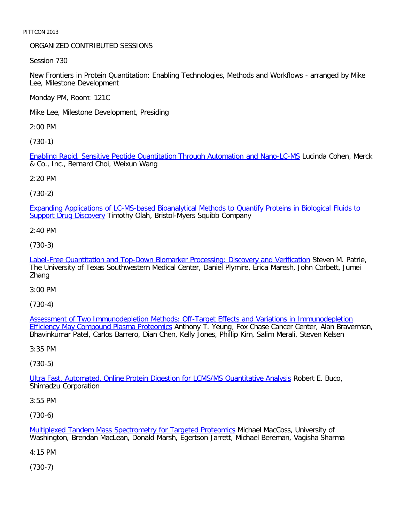## ORGANIZED CONTRIBUTED SESSIONS

Session 730

New Frontiers in Protein Quantitation: Enabling Technologies, Methods and Workflows - arranged by Mike Lee, Milestone Development

Monday PM, Room: 121C

Mike Lee, Milestone Development, Presiding

2:00 PM

[\(730-1\)](file:///p|/print%20on%20demand%20titles/23101-23200/23133/23133%20source%20materials/papers/730-1.htm)

Enabling Rapid, Sensitive Peptide Quantitation Through Automation and Nano-LC-MS Lucinda Cohen, Merck & Co., Inc., Bernard Choi, Weixun Wang

2:20 PM

(730-2)

[Expanding Applications of LC-MS-based Bioanalytical Methods to Quantify Proteins in Biological Fluids to](file:///p|/print%20on%20demand%20titles/23101-23200/23133/23133%20source%20materials/papers/730-2.htm) Support Drug Discovery Timothy Olah, Bristol-Myers Squibb Company

2:40 PM

(730-3)

[Label-Free Quantitation and Top-Down Biomarker Processing: Discovery and Verification](file:///p|/print%20on%20demand%20titles/23101-23200/23133/23133%20source%20materials/papers/730-3.htm) Steven M. Patrie, The University of Texas Southwestern Medical Center, Daniel Plymire, Erica Maresh, John Corbett, Jumei Zhang

3:00 PM

(730-4)

Assessment of Two Immunodepletion Methods: Off-Target Effects and Variations in Immunodepletion Efficiency May Compound Plasma Proteomics [Anthony T. Yeung, Fox Chase Cancer Center, Alan Braverman](file:///p|/print%20on%20demand%20titles/23101-23200/23133/23133%20source%20materials/papers/730-4.htm), [Bhavinkumar Patel, Carlos Barrero, Dian Che](file:///p|/print%20on%20demand%20titles/23101-23200/23133/23133%20source%20materials/papers/730-4.htm)n, Kelly Jones, Phillip Kim, Salim Merali, Steven Kelsen

3:35 PM

(730-5)

Ultra Fast, Automated, Online Protein Digestion for LCMS/MS Quantitative Analysis Robert E. Buco, [Shimadzu Corporation](file:///p|/print%20on%20demand%20titles/23101-23200/23133/23133%20source%20materials/papers/730-5.htm)

3:55 PM

(730-6)

Multiplexed Tandem Mass Spectrometry for Targeted Proteomics Michael MacCoss, University of Washington, Brendan MacLean, Donald Marsh, Egertson Jarrett, Michael Bereman, Vagisha Sharma

[4:15 PM](file:///p|/print%20on%20demand%20titles/23101-23200/23133/23133%20source%20materials/papers/730-6.htm)

(730-7)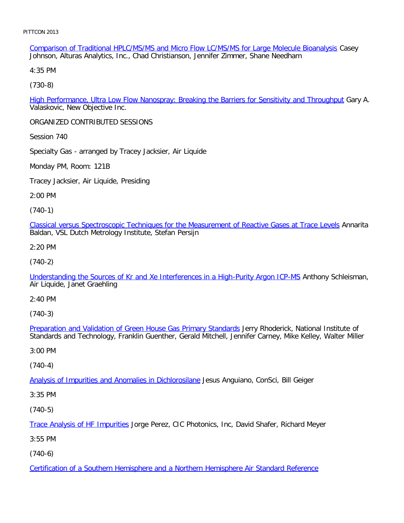Comparison of Traditional HPLC/MS/MS and Micro Flow LC/MS/MS for Large Molecule Bioanalysis Casey Johnson, Alturas Analytics, Inc., Chad Christianson, Jennifer Zimmer, Shane Needham

4:35 PM

[\(730-8\)](file:///p|/print%20on%20demand%20titles/23101-23200/23133/23133%20source%20materials/papers/730-8.htm)

High Performance, Ultra Low Flow Nanospray: Breaking the Barriers for Sensitivity and Throughput Gary A. Valaskovic, New Objective Inc.

ORGANIZED CONTRIBUTED SESSIONS

Session 740

Specialty Gas - arranged by Tracey Jacksier, Air Liquide

Monday PM, Room: 121B

Tracey Jacksier, Air Liquide, Presiding

2:00 PM

(740-1)

[Classical versus Spectroscopic Techniques for the Measurement of Reactive Gases at Trace Levels](file:///p|/print%20on%20demand%20titles/23101-23200/23133/23133%20source%20materials/papers/740-1.htm) Annarita Baldan, VSL Dutch Metrology Institute, Stefan Persijn

2:20 PM

(740-2)

[Understanding the Sources of Kr and Xe Interferences in a High-Purity Argon ICP-MS](file:///p|/print%20on%20demand%20titles/23101-23200/23133/23133%20source%20materials/papers/740-2.htm) Anthony Schleisman, Air Liquide, Janet Graehling

2:40 PM

(740-3)

Preparation and Validation of Green House Gas Primary Standards Jerry Rhoderick, National Institute of [Standards and Technology, Franklin Guenther, Gerald Mitchell, Jenn](file:///p|/print%20on%20demand%20titles/23101-23200/23133/23133%20source%20materials/papers/740-3.htm)ifer Carney, Mike Kelley, Walter Miller

3:00 PM

(740-4)

Analysis of Impurities and Anomalies in Dichlorosilane Jesus Anguiano, ConSci, Bill Geiger

[3:35 PM](file:///p|/print%20on%20demand%20titles/23101-23200/23133/23133%20source%20materials/papers/740-4.htm)

(740-5)

Trace Analysis of HF Impurities Jorge Perez, CIC Photonics, Inc, David Shafer, Richard Meyer

[3:55 PM](file:///p|/print%20on%20demand%20titles/23101-23200/23133/23133%20source%20materials/papers/740-5.htm)

(740-6)

Certification of a Southern Hemisphere and a Northern Hemisphere Air Standard Reference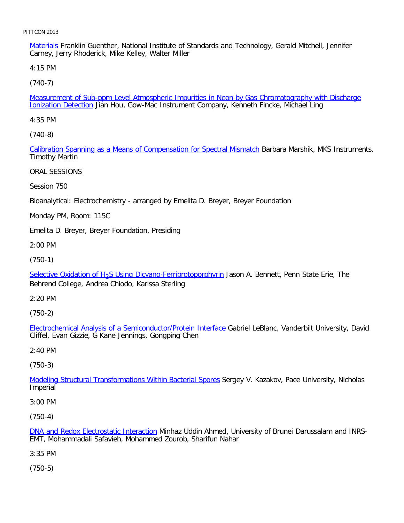Materials Franklin Guenther, National Institute of Standards and Technology, Gerald Mitchell, Jennifer Carney, Jerry Rhoderick, Mike Kelley, Walter Miller

4:15 PM

[\(740-7\)](file:///p|/print%20on%20demand%20titles/23101-23200/23133/23133%20source%20materials/papers/740-7.htm)

Measurement of Sub-ppm Level Atmospheric Impurities in Neon by Gas Chromatography with Discharge **Ionization Detection** Jian Hou, Gow-Mac Instrument Company, Kenneth Fincke, Michael Ling

4:35 PM

[\(740-8\)](file:///p|/print%20on%20demand%20titles/23101-23200/23133/23133%20source%20materials/papers/740-8.htm)

Calibration Spanning as a Means of Compensation for Spectral Mismatch Barbara Marshik, MKS Instruments, Timothy Martin

ORAL SESSIONS

Session 750

Bioanalytical: Electrochemistry - arranged by Emelita D. Breyer, Breyer Foundation

Monday PM, Room: 115C

Emelita D. Breyer, Breyer Foundation, Presiding

2:00 PM

(750-1)

Selective Oxidation of H<sub>2</sub>S Using Dicyano-Ferriprotoporphyrin Jason A. Bennett, Penn State Erie, The Behrend College, Andrea Chiodo, Karissa Sterling

2:20 PM

(750-2)

Electrochemical Analysis of a Semiconductor/Protein Interface Gabriel LeBlanc, Vanderbilt University, David [Cliffel, Evan Gizzie, G Kane Jennings, Gongping Chen](file:///p|/print%20on%20demand%20titles/23101-23200/23133/23133%20source%20materials/papers/750-2.htm)

2:40 PM

(750-3)

Modeling Structural Transformations Within Bacterial Spores Sergey V. Kazakov, Pace University, Nicholas **[Imperial](file:///p|/print%20on%20demand%20titles/23101-23200/23133/23133%20source%20materials/papers/750-3.htm)** 

3:00 PM

(750-4)

DNA and Redox Electrostatic Interaction Minhaz Uddin Ahmed, University of Brunei Darussalam and INRS-EMT, Mohammadali Safavieh, Mohammed Zourob, Sharifun Nahar

[3:35 PM](file:///p|/print%20on%20demand%20titles/23101-23200/23133/23133%20source%20materials/papers/750-4.htm)

(750-5)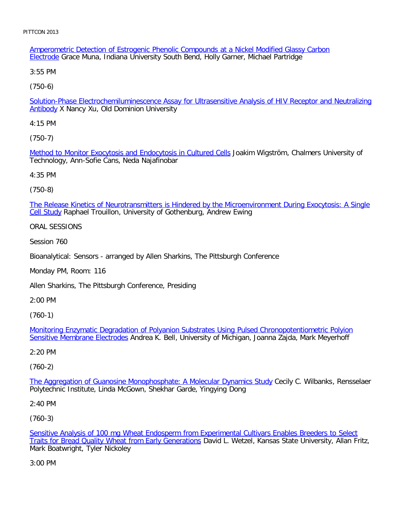Amperometric Detection of Estrogenic Phenolic Compounds at a Nickel Modified Glassy Carbon Electrode Grace Muna, Indiana University South Bend, Holly Garner, Michael Partridge

3:55 PM

[\(750-6\)](file:///p|/print%20on%20demand%20titles/23101-23200/23133/23133%20source%20materials/papers/750-6.htm)

Solution-Phase Electrochemiluminescence Assay for Ultrasensitive Analysis of HIV Receptor and Neutralizing Antibody X Nancy Xu, Old Dominion University

4:15 PM

[\(750-7\)](file:///p|/print%20on%20demand%20titles/23101-23200/23133/23133%20source%20materials/papers/750-7.htm)

Method to Monitor Exocytosis and Endocytosis in Cultured Cells Joakim Wigström, Chalmers University of Technology, Ann-Sofie Cans, Neda Najafinobar

4:35 PM

(750-8)

[The Release Kinetics of Neurotransmitters is Hindered by the Microenvironment During Exocytosis: A Single](file:///p|/print%20on%20demand%20titles/23101-23200/23133/23133%20source%20materials/papers/750-8.htm) Cell Study Raphael Trouillon, University of Gothenburg, Andrew Ewing

ORAL SESSIONS

Session 760

Bioanalytical: Sensors - arranged by Allen Sharkins, The Pittsburgh Conference

Monday PM, Room: 116

Allen Sharkins, The Pittsburgh Conference, Presiding

2:00 PM

(760-1)

Monitoring Enzymatic Degradation of Polyanion Substrates Using Pulsed Chronopotentiometric Polyion Sensitive Membrane Electrodes [Andrea K. Bell, University of Michigan, Joanna Zajda, Mark Meyerhoff](file:///p|/print%20on%20demand%20titles/23101-23200/23133/23133%20source%20materials/papers/760-1.htm)

[2:20 PM](file:///p|/print%20on%20demand%20titles/23101-23200/23133/23133%20source%20materials/papers/760-1.htm)

(760-2)

The Aggregation of Guanosine Monophosphate: A Molecular Dynamics Study Cecily C. Wilbanks, Rensselaer [Polytechnic Institute, Linda McGown, Shekhar Garde, Yingying Dong](file:///p|/print%20on%20demand%20titles/23101-23200/23133/23133%20source%20materials/papers/760-2.htm)

2:40 PM

(760-3)

Sensitive Analysis of 100 mg Wheat Endosperm from Experimental Cultivars Enables Breeders to Select Traits for Bread Quality Wheat from Early Generations David L. Wetzel, Kansas State University, Allan Fritz, [Mark Boatwright, Tyler Nickoley](file:///p|/print%20on%20demand%20titles/23101-23200/23133/23133%20source%20materials/papers/760-3.htm)

[3:00 PM](file:///p|/print%20on%20demand%20titles/23101-23200/23133/23133%20source%20materials/papers/760-3.htm)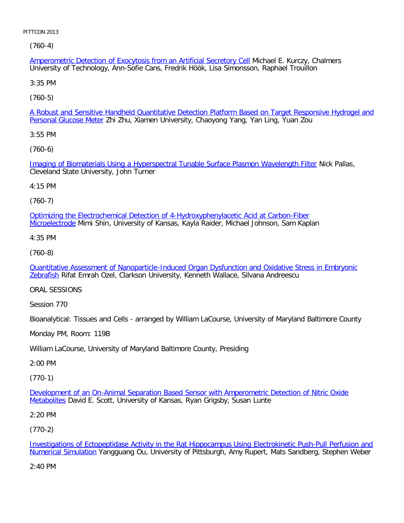(760-4)

Amperometric Detection of Exocytosis from an Artificial Secretory Cell Michael E. Kurczy, Chalmers University of Technology, Ann-Sofie Cans, Fredrik Höök, Lisa Simonsson, Raphael Trouillon

3:35 PM

[\(760-5\)](file:///p|/print%20on%20demand%20titles/23101-23200/23133/23133%20source%20materials/papers/760-5.htm)

A Robust and Sensitive Handheld Quantitative Detection Platform Based on Target Responsive Hydrogel and Personal Glucose Meter Zhi Zhu, Xiamen University, Chaoyong Yang, Yan Ling, Yuan Zou

3:55 PM

[\(760-6\)](file:///p|/print%20on%20demand%20titles/23101-23200/23133/23133%20source%20materials/papers/760-6.htm)

Imaging of Biomaterials Using a Hyperspectral Tunable Surface Plasmon Wavelength Filter Nick Pallas, Cleveland State University, John Turner

4:15 PM

(760-7)

[Optimizing the Electrochemical Detection of 4-Hydroxyphenylacetic Acid at Carbon-Fiber](file:///p|/print%20on%20demand%20titles/23101-23200/23133/23133%20source%20materials/papers/760-7.htm) Microelectrode Mimi Shin, University of Kansas, Kayla Raider, Michael Johnson, Sam Kaplan

4:35 PM

(760-8)

[Quantitative Assessment of Nanoparticle-Induced Organ Dysfunction and Oxidative Stress in Embryonic](file:///p|/print%20on%20demand%20titles/23101-23200/23133/23133%20source%20materials/papers/760-8.htm) [Zebr](file:///p|/print%20on%20demand%20titles/23101-23200/23133/23133%20source%20materials/papers/760-8.htm)afish Rifat Emrah Ozel, Clarkson University, Kenneth Wallace, Silvana Andreescu

ORAL SESSIONS

Session 770

Bioanalytical: Tissues and Cells - arranged by William LaCourse, University of Maryland Baltimore County

Monday PM, Room: 119B

William LaCourse, University of Maryland Baltimore County, Presiding

2:00 PM

(770-1)

Development of an On-Animal Separation Based Sensor with Amperometric Detection of Nitric Oxide Metabolites [David E. Scott, University of Kansas, Ryan Grigsby, Susan Lunte](file:///p|/print%20on%20demand%20titles/23101-23200/23133/23133%20source%20materials/papers/770-1.htm)

[2:20 PM](file:///p|/print%20on%20demand%20titles/23101-23200/23133/23133%20source%20materials/papers/770-1.htm)

(770-2)

Investigations of Ectopeptidase Activity in the Rat Hippocampus Using Electrokinetic Push-Pull Perfusion and Numerical Simulation Yangguang Ou, University of Pittsburgh, Amy Rupert, Mats Sandberg, Stephen Weber

[2:40 PM](file:///p|/print%20on%20demand%20titles/23101-23200/23133/23133%20source%20materials/papers/770-2.htm)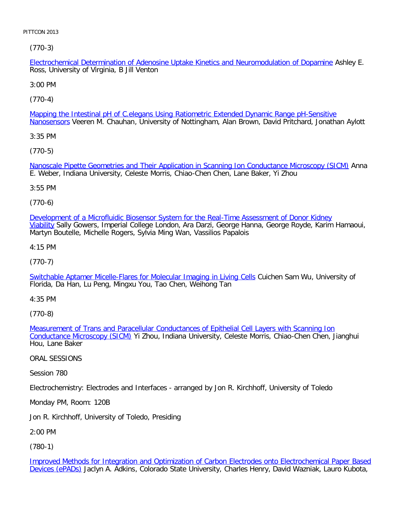[\(770-3\)](file:///p|/print%20on%20demand%20titles/23101-23200/23133/23133%20source%20materials/papers/770-3.htm)

Electrochemical Determination of Adenosine Uptake Kinetics and Neuromodulation of Dopamine Ashley E. Ross, University of Virginia, B Jill Venton

3:00 PM

[\(770-4\)](file:///p|/print%20on%20demand%20titles/23101-23200/23133/23133%20source%20materials/papers/770-4.htm)

Mapping the Intestinal pH of C.elegans Using Ratiometric Extended Dynamic Range pH-Sensitive Nanosensors Veeren M. Chauhan, University of Nottingham, Alan Brown, David Pritchard, Jonathan Aylott

3:35 PM

[\(770-5\)](file:///p|/print%20on%20demand%20titles/23101-23200/23133/23133%20source%20materials/papers/770-5.htm)

Nanoscale Pipette Geometries and Their Application in Scanning Ion Conductance Microscopy (SICM) Anna E. Weber, Indiana University, Celeste Morris, Chiao-Chen Chen, Lane Baker, Yi Zhou

3:55 PM

(770-6)

[Development of a Microfluidic Biosensor System for the Real-Time Assessment of Donor Kidney](file:///p|/print%20on%20demand%20titles/23101-23200/23133/23133%20source%20materials/papers/770-6.htm) Viability Sally Gowers, Imperial College London, Ara Darzi, George Hanna, George Royde, Karim Hamaoui, Martyn Boutelle, Michelle Rogers, Sylvia Ming Wan, Vassilios Papalois

4:15 PM

(770-7)

[Switchable Aptamer Micelle-Flares for Molecular Imaging in Living Cells](file:///p|/print%20on%20demand%20titles/23101-23200/23133/23133%20source%20materials/papers/770-7.htm) Cuichen Sam Wu, University of Florida, Da Han, Lu Peng, Mingxu You, Tao Chen, Weihong Tan

4:35 PM

(770-8)

Measurement of Trans and Paracellular Conductances of Epithelial Cell Layers with Scanning Ion Conductance Microscopy (SICM) [Yi Zhou, Indiana University, Celeste Morris, Chiao-Chen Chen, Jiangh](file:///p|/print%20on%20demand%20titles/23101-23200/23133/23133%20source%20materials/papers/770-8.htm)ui [Hou, Lane Baker](file:///p|/print%20on%20demand%20titles/23101-23200/23133/23133%20source%20materials/papers/770-8.htm)

ORAL SESSIONS

Session 780

Electrochemistry: Electrodes and Interfaces - arranged by Jon R. Kirchhoff, University of Toledo

Monday PM, Room: 120B

Jon R. Kirchhoff, University of Toledo, Presiding

2:00 PM

(780-1)

Improved Methods for Integration and Optimization of Carbon Electrodes onto Electrochemical Paper Based Devices (ePADs) Jaclyn A. Adkins, Colorado State University, Charles Henry, David Wazniak, Lauro Kubota,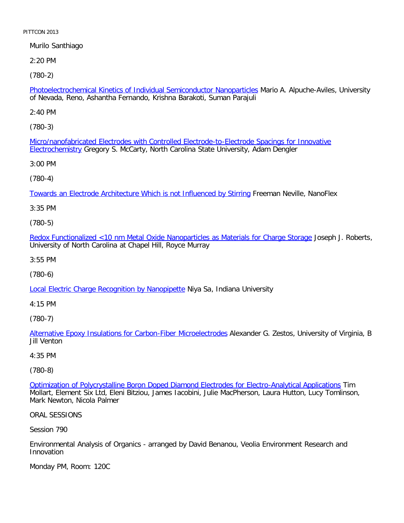Murilo Santhiago

2:20 PM

[\(780-2\)](file:///p|/print%20on%20demand%20titles/23101-23200/23133/23133%20source%20materials/papers/780-2.htm)

Photoelectrochemical Kinetics of Individual Semiconductor Nanoparticles Mario A. Alpuche-Aviles, University of Nevada, Reno, Ashantha Fernando, Krishna Barakoti, Suman Parajuli

2:40 PM

[\(780-3\)](file:///p|/print%20on%20demand%20titles/23101-23200/23133/23133%20source%20materials/papers/780-3.htm)

[Micro/nanofa](file:///p|/print%20on%20demand%20titles/23101-23200/23133/23133%20source%20materials/papers/780-3.htm)bricated Electrodes with Controlled Electrode-to-Electrode Spacings for Innovative Electrochemistry Gregory S. McCarty, North Carolina State University, Adam Dengler

3:00 PM

(780-4)

[Towards an Electrode Architecture Which is not Influenced by Stirring](file:///p|/print%20on%20demand%20titles/23101-23200/23133/23133%20source%20materials/papers/780-4.htm) Freeman Neville, NanoFlex

3:35 PM

(780-5)

[Redox Functionalized <10 nm Metal Oxide Nanoparticles as Materials for Charge Storage](file:///p|/print%20on%20demand%20titles/23101-23200/23133/23133%20source%20materials/papers/780-5.htm) Joseph J. Roberts, University of North Carolina at Chapel Hill, Royce Murray

3:55 PM

(780-6)

[Local Electric Charge Recognition by Nanopipette](file:///p|/print%20on%20demand%20titles/23101-23200/23133/23133%20source%20materials/papers/780-6.htm) Niya Sa, Indiana University

4:15 PM

(780-7)

Alternative Epoxy Insulations for Carbon-Fiber Microelectrodes Alexander G. Zestos, University of Virginia, B [Jill Venton](file:///p|/print%20on%20demand%20titles/23101-23200/23133/23133%20source%20materials/papers/780-7.htm)

4:35 PM

(780-8)

Optimization of Polycrystalline Boron Doped Diamond Electrodes for Electro-Analytical Applications Tim Mollart, Element Six Ltd, Eleni Bitziou, James Iacobini, Julie MacPherson, Laura Hutton, Lucy Tomlinson, [Mark Newton, Nicola Palmer](file:///p|/print%20on%20demand%20titles/23101-23200/23133/23133%20source%20materials/papers/780-8.htm)

ORAL SESSIONS

Session 790

Environmental Analysis of Organics - arranged by David Benanou, Veolia Environment Research and Innovation

Monday PM, Room: 120C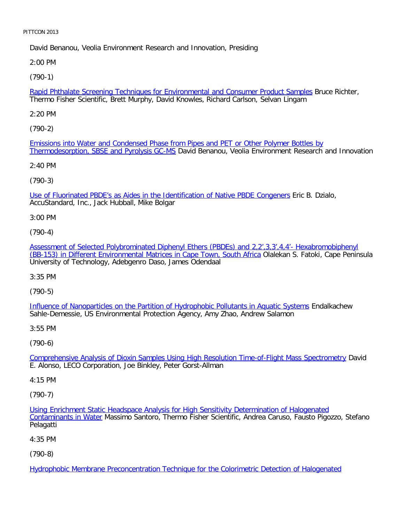David Benanou, Veolia Environment Research and Innovation, Presiding

2:00 PM

[\(790-1\)](file:///p|/print%20on%20demand%20titles/23101-23200/23133/23133%20source%20materials/papers/790-1.htm)

Rapid Phthalate Screening Techniques for Environmental and Consumer Product Samples Bruce Richter, Thermo Fisher Scientific, Brett Murphy, David Knowles, Richard Carlson, Selvan Lingam

2:20 PM

[\(790-2\)](file:///p|/print%20on%20demand%20titles/23101-23200/23133/23133%20source%20materials/papers/790-2.htm)

[Emissions into Water and Condensed Phase fr](file:///p|/print%20on%20demand%20titles/23101-23200/23133/23133%20source%20materials/papers/790-2.htm)om Pipes and PET or Other Polymer Bottles by Thermodesorption, SBSE and Pyrolysis GC-MS David Benanou, Veolia Environment Research and Innovation

2:40 PM

(790-3)

[Use of Fluorinated PBDE's as Aides in the Identification of Native PBDE Congeners](file:///p|/print%20on%20demand%20titles/23101-23200/23133/23133%20source%20materials/papers/790-3.htm) Eric B. Dzialo, AccuStandard, Inc., Jack Hubball, Mike Bolgar

3:00 PM

(790-4)

[Assessment of Selected Polybrominated Diphenyl Ethers \(PBDEs\) and 2,2',3,3',4,4'- Hexabromobiphenyl](file:///p|/print%20on%20demand%20titles/23101-23200/23133/23133%20source%20materials/papers/790-4.htm) [\(BB-153\) in Different Environmental Matrices in Cape Town, South Africa](file:///p|/print%20on%20demand%20titles/23101-23200/23133/23133%20source%20materials/papers/790-4.htm) Olalekan S. Fatoki, Cape Peninsula University of Technology, Adebgenro Daso, James Odendaal

3:35 PM

(790-5)

Influence of Nanoparticles on the Partition of Hydrophobic Pollutants in Aquatic Systems Endalkachew [Sahle-Demessie, US Environmental Protection Agency, Amy Zhao, Andrew Salamon](file:///p|/print%20on%20demand%20titles/23101-23200/23133/23133%20source%20materials/papers/790-5.htm)

3:55 PM

(790-6)

Comprehensive Analysis of Dioxin Samples Using High Resolution Time-of-Flight Mass Spectrometry David [E. Alonso, LECO Corporation, Joe Binkley, Peter Gorst-Allman](file:///p|/print%20on%20demand%20titles/23101-23200/23133/23133%20source%20materials/papers/790-6.htm)

4:15 PM

(790-7)

Using Enrichment Static Headspace Analysis for High Sensitivity Determination of Halogenated Contaminants in Water Massimo Santoro, Thermo Fisher Scientific, Andrea Caruso, Fausto Pigozzo, Stefano [Pelagatti](file:///p|/print%20on%20demand%20titles/23101-23200/23133/23133%20source%20materials/papers/790-7.htm)

[4:35 PM](file:///p|/print%20on%20demand%20titles/23101-23200/23133/23133%20source%20materials/papers/790-7.htm)

(790-8)

Hydrophobic Membrane Preconcentration Technique for the Colorimetric Detection of Halogenated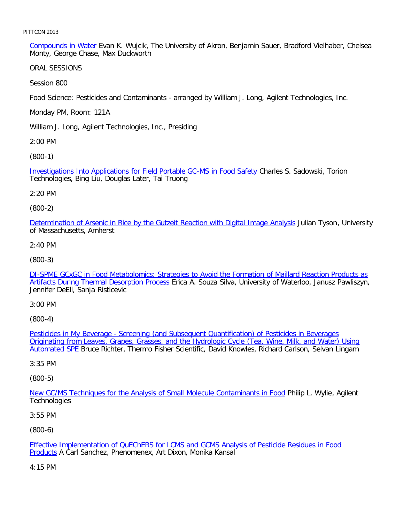Compounds in Water Evan K. Wujcik, The University of Akron, Benjamin Sauer, Bradford Vielhaber, Chelsea Monty, George Chase, Max Duckworth

ORAL SESSIONS

Session 800

Food Science: Pesticides and Contaminants - arranged by William J. Long, Agilent Technologies, Inc.

Monday PM, Room: 121A

William J. Long, Agilent Technologies, Inc., Presiding

2:00 PM

[\(800-1\)](file:///p|/print%20on%20demand%20titles/23101-23200/23133/23133%20source%20materials/papers/800-1.htm)

Investigations Into Applications for Field Portable GC-MS in Food Safety Charles S. Sadowski, Torion Technologies, Bing Liu, Douglas Later, Tai Truong

2:20 PM

(800-2)

[Determination of Arsenic in Rice by the Gutzeit Reaction with Digital Image Analysis](file:///p|/print%20on%20demand%20titles/23101-23200/23133/23133%20source%20materials/papers/800-2.htm) Julian Tyson, University of Massachusetts, Amherst

2:40 PM

(800-3)

[DI-SPME GCxGC in Food Metabolomics: Strategies to Avoid the Formation of Maillard Reaction Products as](file:///p|/print%20on%20demand%20titles/23101-23200/23133/23133%20source%20materials/papers/800-3.htm) [Artifacts During Thermal Desorption Process](file:///p|/print%20on%20demand%20titles/23101-23200/23133/23133%20source%20materials/papers/800-3.htm) Erica A. Souza Silva, University of Waterloo, Janusz Pawliszyn, Jennifer DeEll, Sanja Risticevic

3:00 PM

(800-4)

Pesticides in My Beverage - Screening (and Subsequent Quantification) of Pesticides in Beverages [Originating from Leaves, Grapes, Grasses, and the Hydrologic Cycle \(Tea, Wine, Milk, and Water\) Usin](file:///p|/print%20on%20demand%20titles/23101-23200/23133/23133%20source%20materials/papers/800-4.htm)g Automated SPE [Bruce Richter, Thermo Fisher Scientific, David Knowles, Richard Carlson, Selvan Lingam](file:///p|/print%20on%20demand%20titles/23101-23200/23133/23133%20source%20materials/papers/800-4.htm)

[3:35 PM](file:///p|/print%20on%20demand%20titles/23101-23200/23133/23133%20source%20materials/papers/800-4.htm)

(800-5)

New GC/MS Techniques for the Analysis of Small Molecule Contaminants in Food Philip L. Wylie, Agilent **[Technologies](file:///p|/print%20on%20demand%20titles/23101-23200/23133/23133%20source%20materials/papers/800-5.htm)** 

3:55 PM

(800-6)

Effective Implementation of QuEChERS for LCMS and GCMS Analysis of Pesticide Residues in Food Products A Carl Sanchez, Phenomenex, Art Dixon, Monika Kansal

[4:15 PM](file:///p|/print%20on%20demand%20titles/23101-23200/23133/23133%20source%20materials/papers/800-6.htm)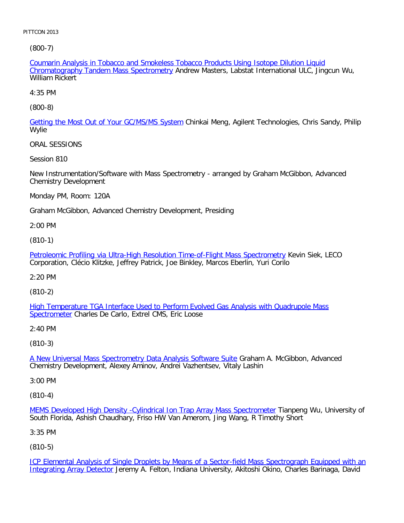[\(800-7\)](file:///p|/print%20on%20demand%20titles/23101-23200/23133/23133%20source%20materials/papers/800-7.htm)

Coumarin Analysis in Tobacco and Smokeless Tobacco Products Using Isotope Dilution Liquid Chromatography Tandem Mass Spectrometry Andrew Masters, Labstat International ULC, Jingcun Wu, William Rickert

4:35 PM

[\(800-8\)](file:///p|/print%20on%20demand%20titles/23101-23200/23133/23133%20source%20materials/papers/800-8.htm)

Getting the Most Out of Your GC/MS/MS System Chinkai Meng, Agilent Technologies, Chris Sandy, Philip Wylie

ORAL SESSIONS

Session 810

New Instrumentation/Software with Mass Spectrometry - arranged by Graham McGibbon, Advanced Chemistry Development

Monday PM, Room: 120A

Graham McGibbon, Advanced Chemistry Development, Presiding

2:00 PM

(810-1)

[Petroleomic Profiling via Ultra-High Resolution Time-of-Flight Mass Spectrometry](file:///p|/print%20on%20demand%20titles/23101-23200/23133/23133%20source%20materials/papers/810-1.htm) Kevin Siek, LECO Corporation, Clécio Klitzke, Jeffrey Patrick, Joe Binkley, Marcos Eberlin, Yuri Corilo

2:20 PM

(810-2)

[High Temperature TGA Interface Used to Perform Evolved Gas Analysis with Quadrupole Mass](file:///p|/print%20on%20demand%20titles/23101-23200/23133/23133%20source%20materials/papers/810-2.htm) [Spectrom](file:///p|/print%20on%20demand%20titles/23101-23200/23133/23133%20source%20materials/papers/810-2.htm)eter Charles De Carlo, Extrel CMS, Eric Loose

2:40 PM

(810-3)

A New Universal Mass Spectrometry Data Analysis Software Suite Graham A. McGibbon, Advanced [Chemistry Development, Alexey Aminov, Andrei Vazhentsev, Vitaly](file:///p|/print%20on%20demand%20titles/23101-23200/23133/23133%20source%20materials/papers/810-3.htm) Lashin

3:00 PM

(810-4)

MEMS Developed High Density - Cylindrical Ion Trap Array Mass Spectrometer Tianpeng Wu, University of South Florida, Ashish Chaudhary, Friso HW Van Amerom, Jing Wang, R Timothy Short

[3:35 PM](file:///p|/print%20on%20demand%20titles/23101-23200/23133/23133%20source%20materials/papers/810-4.htm)

(810-5)

ICP Elemental Analysis of Single Droplets by Means of a Sector-field Mass Spectrograph Equipped with an Integrating Array Detector Jeremy A. Felton, Indiana University, Akitoshi Okino, Charles Barinaga, David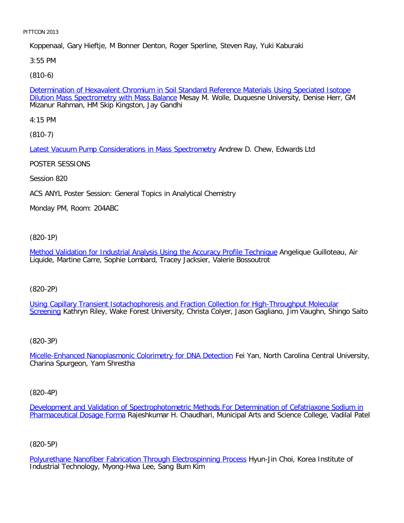Koppenaal, Gary Hieftje, M Bonner Denton, Roger Sperline, Steven Ray, Yuki Kaburaki

3:55 PM

[\(810-6\)](file:///p|/print%20on%20demand%20titles/23101-23200/23133/23133%20source%20materials/papers/810-6.htm)

Determination of Hexavalent Chromium in Soil Standard Reference Materials Using Speciated Isotope Dilution Mass Spectrometry with Mass Balance Mesay M. Wolle, Duquesne University, Denise Herr, GM Mizanur Rahman, HM Skip Kingston, Jay Gandhi

4:15 PM

[\(810-7\)](file:///p|/print%20on%20demand%20titles/23101-23200/23133/23133%20source%20materials/papers/810-7.htm)

Latest Vacuum Pump Considerations in Mass Spectrometry Andrew D. Chew, Edwards Ltd

POSTER SESSIONS

Session 820

ACS ANYL Poster Session: General Topics in Analytical Chemistry

Monday PM, Room: 204ABC

(820-1P)

[Method Validation for Industrial Analysis Using the Accuracy Profile Technique](file:///p|/print%20on%20demand%20titles/23101-23200/23133/23133%20source%20materials/papers/820-1.htm) Angelique Guilloteau, Air Liquide, Martine Carre, Sophie Lombard, Tracey Jacksier, Valerie Bossoutrot

(820-2P)

Using Capillary Transient Isotachophoresis and Fraction Collection for High-Throughput Molecular [Scree](file:///p|/print%20on%20demand%20titles/23101-23200/23133/23133%20source%20materials/papers/820-2.htm)ning [Kathryn Riley, Wake Forest University, Christa Colyer, Jason Gagliano, Jim Vaughn, Shingo S](file:///p|/print%20on%20demand%20titles/23101-23200/23133/23133%20source%20materials/papers/820-2.htm)aito

# (820-3P)

Micelle-Enhanced Nanoplasmonic Colorimetry for DNA Detection Fei Yan, North Carolina Central University, [Charina Spurgeon, Yam Shrestha](file:///p|/print%20on%20demand%20titles/23101-23200/23133/23133%20source%20materials/papers/820-3.htm)

(820-4P)

Development and Validation of Spectrophotometric Methods For Determination of Cefatriaxone Sodium in Pharmaceutical Dosage Forma Rajeshkumar H. Chaudhari, Municipal Arts and Science College, Vadilal Patel

(820-5P)

Polyurethane Nanofiber Fabrication Through Electrospinning Process Hyun-Jin Choi, Korea Institute of Industrial Technology, Myong-Hwa Lee, Sang Bum Kim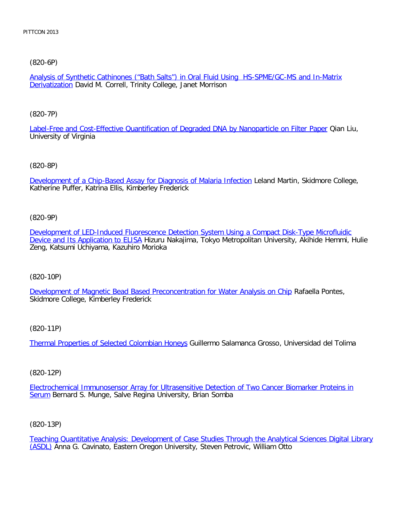[\(820-6P\)](file:///p|/print%20on%20demand%20titles/23101-23200/23133/23133%20source%20materials/papers/820-6.htm)

Analysis of Synthetic Cathinones ("Bath Salts") in Oral Fluid Using HS-SPME/GC-MS and In-Matrix **Derivatization** David M. Correll, Trinity College, Janet Morrison

[\(820-7P\)](file:///p|/print%20on%20demand%20titles/23101-23200/23133/23133%20source%20materials/papers/820-7.htm)

Label-Free and Cost-Effective Quantification of Degraded DNA by Nanoparticle on Filter Paper Qian Liu, University of Virginia

[\(820-8P\)](file:///p|/print%20on%20demand%20titles/23101-23200/23133/23133%20source%20materials/papers/820-8.htm)

Development of a Chip-Based Assay for Diagnosis of Malaria Infection Leland Martin, Skidmore College, Katherine Puffer, Katrina Ellis, Kimberley Frederick

(820-9P)

[Development of LED-Induced Fluorescence Detection System Using a Compact Disk-Type Microfluidic](file:///p|/print%20on%20demand%20titles/23101-23200/23133/23133%20source%20materials/papers/820-9.htm) [Device and Its Application to ELIS](file:///p|/print%20on%20demand%20titles/23101-23200/23133/23133%20source%20materials/papers/820-9.htm)A Hizuru Nakajima, Tokyo Metropolitan University, Akihide Hemmi, Hulie Zeng, Katsumi Uchiyama, Kazuhiro Morioka

(820-10P)

[Development of Magnetic Bead Based Preconcentration for Water Analysis on Chip](file:///p|/print%20on%20demand%20titles/23101-23200/23133/23133%20source%20materials/papers/820-10.htm) Rafaella Pontes, Skidmore College, Kimberley Frederick

(820-11P)

Thermal Properties of Selected Colombian Honeys Guillermo Salamanca Grosso, Universidad del Tolima

(820-12P)

Electrochemical Immunosensor Array for Ultrasensitive Detection of Two Cancer Biomarker Proteins in Serum [Bernard S. Munge, Salve Regina University, Brian Somba](file:///p|/print%20on%20demand%20titles/23101-23200/23133/23133%20source%20materials/papers/820-12.htm)

(820-13P)

Teaching Quantitative Analysis: Development of Case Studies Through the Analytical Sciences Digital Library (ASDL) Anna G. Cavinato, Eastern Oregon University, Steven Petrovic, William Otto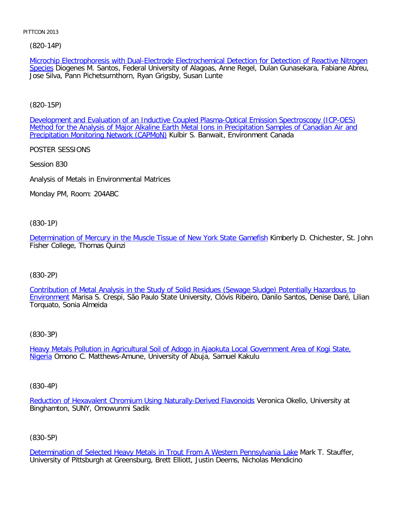[\(82](file:///p|/print%20on%20demand%20titles/23101-23200/23133/23133%20source%20materials/papers/820-14.htm)0-14P)

Microchip Electrophoresis with Dual-Electrode Electrochemical Detection for Detection of Reactive Nitrogen Species Diogenes M. Santos, Federal University of Alagoas, Anne Regel, Dulan Gunasekara, Fabiane Abreu, Jose Silva, Pann Pichetsurnthorn, Ryan Grigsby, Susan Lunte

[\(820-15P\)](file:///p|/print%20on%20demand%20titles/23101-23200/23133/23133%20source%20materials/papers/820-15.htm)

[Development and Evaluation of an Inductive Coupled Plasma-Optical Emission Spectroscopy \(ICP-OES\)](file:///p|/print%20on%20demand%20titles/23101-23200/23133/23133%20source%20materials/papers/820-15.htm) Method for the Analysis of Major Alkaline Earth Metal Ions in Precipitation Samples of Canadian Air and Precipitation Monitoring Network (CAPMoN) Kulbir S. Banwait, Environment Canada

POSTER SESSIONS

Session 830

Analysis of Metals in Environmental Matrices

Monday PM, Room: 204ABC

(830-1P)

[Determination of Mercury in the Muscle Tissue of New York State Gamefish](file:///p|/print%20on%20demand%20titles/23101-23200/23133/23133%20source%20materials/papers/830-1.htm) Kimberly D. Chichester, St. John Fisher College, Thomas Quinzi

(830-2P)

[Contribution of Metal Analysis in the Study of Solid Residues \(Sewage Sludge\) Potentially Hazardous to](file:///p|/print%20on%20demand%20titles/23101-23200/23133/23133%20source%20materials/papers/830-2.htm) Environment Marisa S. Crespi, São Paulo State University, Clóvis Ribeiro, Danilo Santos, Denise Daré, Lilian [Torquato](file:///p|/print%20on%20demand%20titles/23101-23200/23133/23133%20source%20materials/papers/830-2.htm), Sonia Almeida

(830-3P)

Heavy Metals Pollution in Agricultural Soil of Adogo in Ajaokuta Local Government Area of Kogi State, Nigeria [Omono C. Matthews-Amune, University of Abuja, Samuel Kakulu](file:///p|/print%20on%20demand%20titles/23101-23200/23133/23133%20source%20materials/papers/830-3.htm)

(830-4P)

Reduction of Hexavalent Chromium Using Naturally-Derived Flavonoids Veronica Okello, University at Binghamton, SUNY, Omowunmi Sadik

(830-5P)

Determination of Selected Heavy Metals in Trout From A Western Pennsylvania Lake Mark T. Stauffer, University of Pittsburgh at Greensburg, Brett Elliott, Justin Deems, Nicholas Mendicino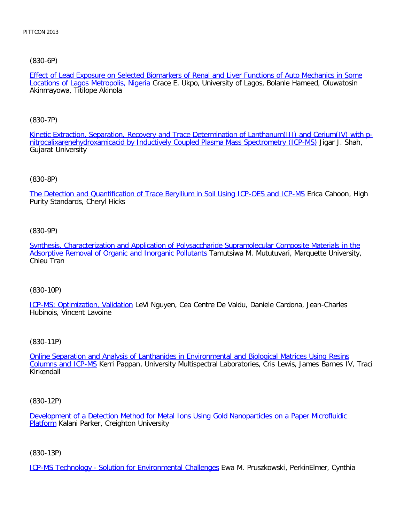[\(830-6P\)](file:///p|/print%20on%20demand%20titles/23101-23200/23133/23133%20source%20materials/papers/830-6.htm)

Effect of Lead Exposure on Selected Biomarkers of Renal and Liver Functions of Auto Mechanics in Some Locations of Lagos Metropolis, Nigeria Grace E. Ukpo, University of Lagos, Bolanle Hameed, Oluwatosin Akinmayowa, Titilope Akinola

[\(830-7P\)](file:///p|/print%20on%20demand%20titles/23101-23200/23133/23133%20source%20materials/papers/830-7.htm)

[Kinetic Extraction, Separation, Recovery and Trace Determination of Lanthanum\(III\) and Cerium](file:///p|/print%20on%20demand%20titles/23101-23200/23133/23133%20source%20materials/papers/830-7.htm)(IV) with pnitrocalixarenehydroxamicacid by Inductively Coupled Plasma Mass Spectrometry (ICP-MS) Jigar J. Shah, Gujarat University

#### (830-8P)

[The Detection and Quantification of Trace Beryllium in Soil Using ICP-OES and ICP-MS](file:///p|/print%20on%20demand%20titles/23101-23200/23133/23133%20source%20materials/papers/830-8.htm) Erica Cahoon, High Purity Standards, Cheryl Hicks

## (830-9P)

[Synthesis, Characterization and Application of Polysaccharide Supramolecular Composite Materials in the](file:///p|/print%20on%20demand%20titles/23101-23200/23133/23133%20source%20materials/papers/830-9.htm) [Adsorptive Removal of Organic and Inorganic Pollutants](file:///p|/print%20on%20demand%20titles/23101-23200/23133/23133%20source%20materials/papers/830-9.htm) Tamutsiwa M. Mututuvari, Marquette University, Chieu Tran

#### (830-10P)

ICP-MS: Optimization, Validation LeVi Nguyen, Cea Centre De Valdu, Daniele Cardona, Jean-Charles [Hubinois, Vincent Lavoine](file:///p|/print%20on%20demand%20titles/23101-23200/23133/23133%20source%20materials/papers/830-10.htm)

#### (830-11P)

Online Separation and Analysis of Lanthanides in Environmental and Biological Matrices Using Resins Columns and ICP-MS [Kerri Pappan, University Multispectral Laboratories, Cris Lewis, James Barnes IV, Tra](file:///p|/print%20on%20demand%20titles/23101-23200/23133/23133%20source%20materials/papers/830-11.htm)ci [Kirkendall](file:///p|/print%20on%20demand%20titles/23101-23200/23133/23133%20source%20materials/papers/830-11.htm)

(830-12P)

Development of a Detection Method for Metal Ions Using Gold Nanoparticles on a Paper Microfluidic **Platform Kalani Parker, Creighton University** 

#### (830-13P)

ICP-MS Technology - Solution for Environmental Challenges Ewa M. Pruszkowski, PerkinElmer, Cynthia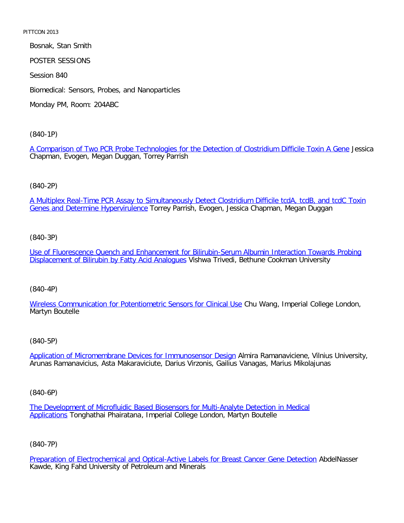Bosnak, Stan Smith POSTER SESSIONS Session 840 Biomedical: Sensors, Probes, and Nanoparticles Monday PM, Room: 204ABC

[\(840-1P\)](file:///p|/print%20on%20demand%20titles/23101-23200/23133/23133%20source%20materials/papers/840-1.htm)

A Comparison of Two PCR Probe Technologies for the Detection of Clostridium Difficile Toxin A Gene Jessica Chapman, Evogen, Megan Duggan, Torrey Parrish

(840-2P)

[A Multiplex Real-Time PCR Assay to Simultaneously Detect Clostridium Difficile tcdA, tcdB, and tcdC Toxin](file:///p|/print%20on%20demand%20titles/23101-23200/23133/23133%20source%20materials/papers/840-2.htm) Genes and Determine Hypervirulence Torrey Parrish, Evogen, Jessica Chapman, Megan Duggan

(840-3P)

[Use of Fluorescence Quench and Enhancement for Bilirubin-Serum Albumin Interaction Towards Probing](file:///p|/print%20on%20demand%20titles/23101-23200/23133/23133%20source%20materials/papers/840-3.htm) [Displacement of Bilirubin by Fatty Acid Analogues](file:///p|/print%20on%20demand%20titles/23101-23200/23133/23133%20source%20materials/papers/840-3.htm) Vishwa Trivedi, Bethune Cookman University

(840-4P)

[Wireless Communication for Potentiometric Sensors for Clinical Use](file:///p|/print%20on%20demand%20titles/23101-23200/23133/23133%20source%20materials/papers/840-4.htm) Chu Wang, Imperial College London, Martyn Boutelle

(840-5P)

Application of Micromembrane Devices for Immunosensor Design Almira Ramanaviciene, Vilnius University, [Arunas Ramanavicius, Asta Makaraviciute, Darius Virzonis, Gailius V](file:///p|/print%20on%20demand%20titles/23101-23200/23133/23133%20source%20materials/papers/840-5.htm)anagas, Marius Mikolajunas

(840-6P)

The Development of Microfluidic Based Biosensors for Multi-Analyte Detection in Medical Applications Tonghathai Phairatana, Imperial College London, Martyn Boutelle

(840-7P)

Preparation of Electrochemical and Optical-Active Labels for Breast Cancer Gene Detection AbdelNasser Kawde, King Fahd University of Petroleum and Minerals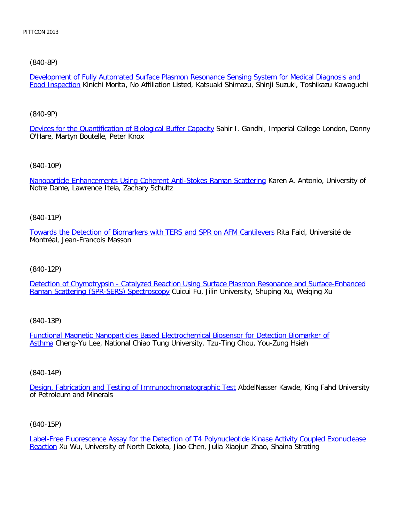## [\(840-8P\)](file:///p|/print%20on%20demand%20titles/23101-23200/23133/23133%20source%20materials/papers/840-8.htm)

Development of Fully Automated Surface Plasmon Resonance Sensing System for Medical Diagnosis and Food Inspection Kinichi Morita, No Affiliation Listed, Katsuaki Shimazu, Shinji Suzuki, Toshikazu Kawaguchi

#### [\(840-9P\)](file:///p|/print%20on%20demand%20titles/23101-23200/23133/23133%20source%20materials/papers/840-9.htm)

Devices for the Quantification of Biological Buffer Capacity Sahir I. Gandhi, Imperial College London, Danny O'Hare, Martyn Boutelle, Peter Knox

## [\(840-10P\)](file:///p|/print%20on%20demand%20titles/23101-23200/23133/23133%20source%20materials/papers/840-10.htm)

Nanoparticle Enhancements Using Coherent Anti-Stokes Raman Scattering Karen A. Antonio, University of Notre Dame, Lawrence Itela, Zachary Schultz

## (840-11P)

[Towards the Detection of Biomarkers with TERS and SPR on AFM Cantilevers](file:///p|/print%20on%20demand%20titles/23101-23200/23133/23133%20source%20materials/papers/840-11.htm) Rita Faid, Université de Montréal, Jean-Francois Masson

# (840-12P)

[Detection of Chymotrypsin - Catalyzed Reaction Using Surface Plasmon Resonance and Surface-Enhanced](file:///p|/print%20on%20demand%20titles/23101-23200/23133/23133%20source%20materials/papers/840-12.htm) [Raman Scattering \(SPR-SERS\) Spectroscopy](file:///p|/print%20on%20demand%20titles/23101-23200/23133/23133%20source%20materials/papers/840-12.htm) Cuicui Fu, Jilin University, Shuping Xu, Weiqing Xu

# (840-13P)

Functional Magnetic Nanoparticles Based Electrochemical Biosensor for Detection Biomarker of Asthma [Cheng-Yu Lee, National Chiao Tung University, Tzu-Ting Chou, You-Zung Hsieh](file:///p|/print%20on%20demand%20titles/23101-23200/23133/23133%20source%20materials/papers/840-13.htm)

#### (840-14P)

Design, Fabrication and Testing of Immunochromatographic Test AbdelNasser Kawde, King Fahd University [of Petroleum and Minerals](file:///p|/print%20on%20demand%20titles/23101-23200/23133/23133%20source%20materials/papers/840-14.htm)

# (840-15P)

Label-Free Fluorescence Assay for the Detection of T4 Polynucleotide Kinase Activity Coupled Exonuclease Reaction Xu Wu, University of North Dakota, Jiao Chen, Julia Xiaojun Zhao, Shaina Strating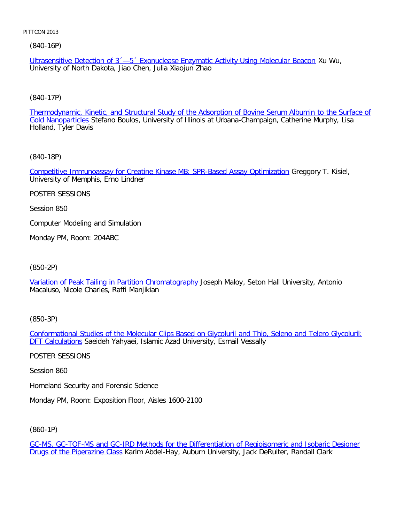(840-16P)

Ultrasensitive Detection of 3´—5´ Exonuclease Enzymatic Activity Using Molecular Beacon Xu Wu, University of North Dakota, Jiao Chen, Julia Xiaojun Zhao

[\(840-17P\)](file:///p|/print%20on%20demand%20titles/23101-23200/23133/23133%20source%20materials/papers/840-17.htm)

Thermodynamic, Kinetic, and Structural Study of the Adsorption of Bovine Serum Albumin to the Surface of Gold Nanoparticles Stefano Boulos, University of Illinois at Urbana-Champaign, Catherine Murphy, Lisa Holland, Tyler Davis

[\(840-18P\)](file:///p|/print%20on%20demand%20titles/23101-23200/23133/23133%20source%20materials/papers/840-18.htm)

Competitive Immunoassay for Creatine Kinase MB: SPR-Based Assay Optimization Greggory T. Kisiel, University of Memphis, Erno Lindner

POSTER SESSIONS

Session 850

Computer Modeling and Simulation

Monday PM, Room: 204ABC

(850-2P)

[Variation of Peak Tailing in Partition Chromatography](file:///p|/print%20on%20demand%20titles/23101-23200/23133/23133%20source%20materials/papers/850-2.htm) Joseph Maloy, Seton Hall University, Antonio Macaluso, Nicole Charles, Raffi Manjikian

(850-3P)

Conformational Studies of the Molecular Clips Based on Glycoluril and Thio, Seleno and Telero Glycoluril: **DFT Calculations [Saeideh Yahyaei, Islamic Azad University, Esmail Vessally](file:///p|/print%20on%20demand%20titles/23101-23200/23133/23133%20source%20materials/papers/850-3.htm)** 

[POSTER SES](file:///p|/print%20on%20demand%20titles/23101-23200/23133/23133%20source%20materials/papers/850-3.htm)SIONS

Session 860

Homeland Security and Forensic Science

Monday PM, Room: Exposition Floor, Aisles 1600-2100

(860-1P)

GC-MS, GC-TOF-MS and GC-IRD Methods for the Differentiation of Regioisomeric and Isobaric Designer Drugs of the Piperazine Class Karim Abdel-Hay, Auburn University, Jack DeRuiter, Randall Clark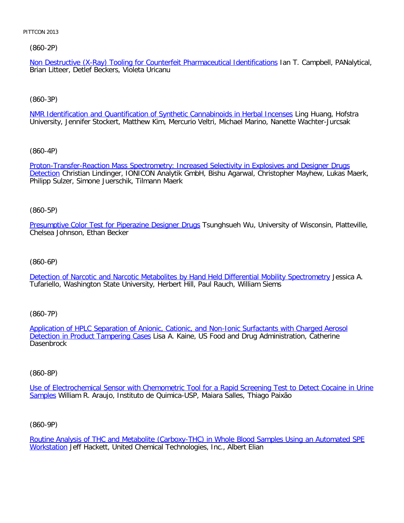[\(860-2P\)](file:///p|/print%20on%20demand%20titles/23101-23200/23133/23133%20source%20materials/papers/860-2.htm)

Non Destructive (X-Ray) Tooling for Counterfeit Pharmaceutical Identifications Ian T. Campbell, PANalytical, Brian Litteer, Detlef Beckers, Violeta Uricanu

[\(860-3P\)](file:///p|/print%20on%20demand%20titles/23101-23200/23133/23133%20source%20materials/papers/860-3.htm)

NMR Identification and Quantification of Synthetic Cannabinoids in Herbal Incenses Ling Huang, Hofstra University, Jennifer Stockert, Matthew Kim, Mercurio Veltri, Michael Marino, Nanette Wachter-Jurcsak

[\(860-4P\)](file:///p|/print%20on%20demand%20titles/23101-23200/23133/23133%20source%20materials/papers/860-4.htm)

[Proto](file:///p|/print%20on%20demand%20titles/23101-23200/23133/23133%20source%20materials/papers/860-4.htm)n-Transfer-Reaction Mass Spectrometry: Increased Selectivity in Explosives and Designer Drugs Detection Christian Lindinger, IONICON Analytik GmbH, Bishu Agarwal, Christopher Mayhew, Lukas Maerk, Philipp Sulzer, Simone Juerschik, Tilmann Maerk

(860-5P)

[Presumptive Color Test for Piperazine Designer Drugs](file:///p|/print%20on%20demand%20titles/23101-23200/23133/23133%20source%20materials/papers/860-5.htm) Tsunghsueh Wu, University of Wisconsin, Platteville, Chelsea Johnson, Ethan Becker

# (860-6P)

[Detection of Narcotic and Narcotic Metabolites by Hand Held Differential Mobility Spectrometry](file:///p|/print%20on%20demand%20titles/23101-23200/23133/23133%20source%20materials/papers/860-6.htm) Jessica A. Tufariello, Washington State University, Herbert Hill, Paul Rauch, William Siems

(860-7P)

Application of HPLC Separation of Anionic, Cationic, and Non-Ionic Surfactants with Charged Aerosol Detection in Product Tampering Cases [Lisa A. Kaine, US Food and Drug Administration, Catherine](file:///p|/print%20on%20demand%20titles/23101-23200/23133/23133%20source%20materials/papers/860-7.htm) **[Dasenbrock](file:///p|/print%20on%20demand%20titles/23101-23200/23133/23133%20source%20materials/papers/860-7.htm)** 

#### (860-8P)

Use of Electrochemical Sensor with Chemometric Tool for a Rapid Screening Test to Detect Cocaine in Urine Samples [William R. Araujo, Instituto de Quimica-USP, Maiara Salles, Thiago Paixão](file:///p|/print%20on%20demand%20titles/23101-23200/23133/23133%20source%20materials/papers/860-8.htm)

(860-9P)

Routine Analysis of THC and Metabolite (Carboxy-THC) in Whole Blood Samples Using an Automated SPE Workstation Jeff Hackett, United Chemical Technologies, Inc., Albert Elian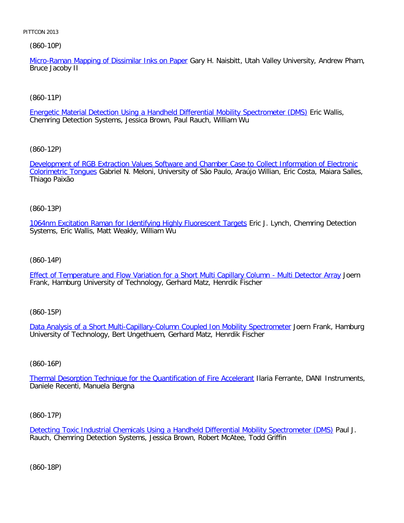(860-10P)

Micro-Raman Mapping of Dissimilar Inks on Paper Gary H. Naisbitt, Utah Valley University, Andrew Pham, Bruce Jacoby II

[\(860-11P\)](file:///p|/print%20on%20demand%20titles/23101-23200/23133/23133%20source%20materials/papers/860-11.htm)

Energetic Material Detection Using a Handheld Differential Mobility Spectrometer (DMS) Eric Wallis, Chemring Detection Systems, Jessica Brown, Paul Rauch, William Wu

[\(860-12P\)](file:///p|/print%20on%20demand%20titles/23101-23200/23133/23133%20source%20materials/papers/860-12.htm)

[Development of R](file:///p|/print%20on%20demand%20titles/23101-23200/23133/23133%20source%20materials/papers/860-12.htm)GB Extraction Values Software and Chamber Case to Collect Information of Electronic Colorimetric Tongues Gabriel N. Meloni, University of São Paulo, Araújo Willian, Eric Costa, Maiara Salles, Thiago Paixão

(860-13P)

[1064nm Excitation Raman for Identifying Highly Fluorescent Targets](file:///p|/print%20on%20demand%20titles/23101-23200/23133/23133%20source%20materials/papers/860-13.htm) Eric J. Lynch, Chemring Detection Systems, Eric Wallis, Matt Weakly, William Wu

(860-14P)

[Effect of Temperature and Flow Variation for a Short Multi Capillary Column - Multi Detector Array](file:///p|/print%20on%20demand%20titles/23101-23200/23133/23133%20source%20materials/papers/860-14.htm) Joern Frank, Hamburg University of Technology, Gerhard Matz, Henrdik Fischer

(860-15P)

Data Analysis of a Short Multi-Capillary-Column Coupled Ion Mobility Spectrometer Joern Frank, Hamburg [University of Technology, Bert Ungethuem, Gerhard Matz, Henrdik Fischer](file:///p|/print%20on%20demand%20titles/23101-23200/23133/23133%20source%20materials/papers/860-15.htm)

(860-16P)

Thermal Desorption Technique for the Quantification of Fire Accelerant Ilaria Ferrante, DANI Instruments, [Daniele Recenti, Manuela Bergna](file:///p|/print%20on%20demand%20titles/23101-23200/23133/23133%20source%20materials/papers/860-16.htm)

(860-17P)

Detecting Toxic Industrial Chemicals Using a Handheld Differential Mobility Spectrometer (DMS) Paul J. Rauch, Chemring Detection Systems, Jessica Brown, Robert McAtee, Todd Griffin

(860-18P)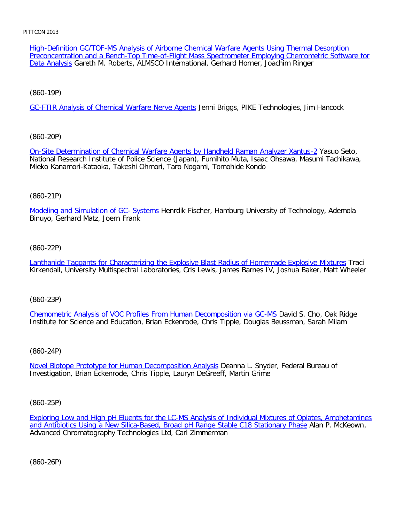[High-Def](file:///p|/print%20on%20demand%20titles/23101-23200/23133/23133%20source%20materials/papers/860-18.htm)inition GC/TOF-MS Analysis of Airborne Chemical Warfare Agents Using Thermal Desorption Preconcentration and a Bench-Top Time-of-Flight Mass Spectrometer Employing Chemometric Software for Data Analysis Gareth M. Roberts, ALMSCO International, Gerhard Horner, Joachim Ringer

[\(860-19P\)](file:///p|/print%20on%20demand%20titles/23101-23200/23133/23133%20source%20materials/papers/860-19.htm)

GC-FTIR Analysis of Chemical Warfare Nerve Agents Jenni Briggs, PIKE Technologies, Jim Hancock

[\(860-20P\)](file:///p|/print%20on%20demand%20titles/23101-23200/23133/23133%20source%20materials/papers/860-20.htm)

On-Site Determination of Chemical Warfare Agents by Handheld Raman Analyzer Xantus-2 Yasuo Seto, National Research Institute of Police Science (Japan), Fumihito Muta, Isaac Ohsawa, Masumi Tachikawa, Mieko Kanamori-Kataoka, Takeshi Ohmori, Taro Nogami, Tomohide Kondo

## (860-21P)

[Modeling and Simulation of GC- System](file:///p|/print%20on%20demand%20titles/23101-23200/23133/23133%20source%20materials/papers/860-21.htm)s Henrdik Fischer, Hamburg University of Technology, Ademola Binuyo, Gerhard Matz, Joern Frank

## (860-22P)

[Lanthanide Taggants for Characterizing the Explosive Blast Radius of Homemade Explosive Mixtures](file:///p|/print%20on%20demand%20titles/23101-23200/23133/23133%20source%20materials/papers/860-22.htm) Traci Kirkendall, University Multispectral Laboratories, Cris Lewis, James Barnes IV, Joshua Baker, Matt Wheeler

(860-23P)

Chemometric Analysis of VOC Profiles From Human Decomposition via GC-MS David S. Cho, Oak Ridge [Institute for Science and Education, Brian Eckenrode, Chris Tipple, Douglas Beus](file:///p|/print%20on%20demand%20titles/23101-23200/23133/23133%20source%20materials/papers/860-23.htm)sman, Sarah Milam

# (860-24P)

Novel Biotope Prototype for Human Decomposition Analysis Deanna L. Snyder, Federal Bureau of [Investigation, Brian Eckenrode, Chris Tipple, Lauryn DeGreef](file:///p|/print%20on%20demand%20titles/23101-23200/23133/23133%20source%20materials/papers/860-24.htm)f, Martin Grime

(860-25P)

Exploring Low and High pH Eluents for the LC-MS Analysis of Individual Mixtures of Opiates, Amphetamines and Antibiotics Using a New Silica-Based, Broad pH Range Stable C18 Stationary Phase Alan P. McKeown, [Advanced Chromatography Technologies Ltd, Carl Zimmerman](file:///p|/print%20on%20demand%20titles/23101-23200/23133/23133%20source%20materials/papers/860-25.htm)

(860-26P)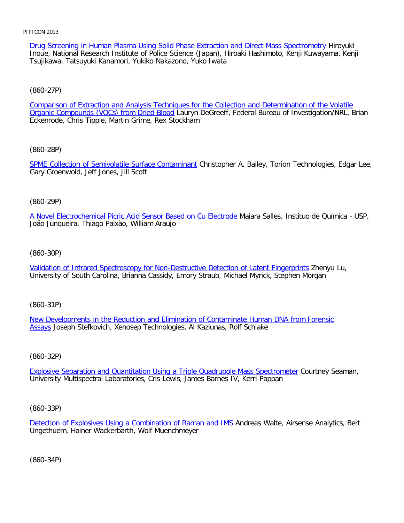Drug Screening in Human Plasma Using Solid Phase Extraction and Direct Mass Spectrometry Hiroyuki Inoue, National Research Institute of Police Science (Japan), Hiroaki Hashimoto, Kenji Kuwayama, Kenji Tsujikawa, Tatsuyuki Kanamori, Yukiko Nakazono, Yuko Iwata

## [\(860-27P\)](file:///p|/print%20on%20demand%20titles/23101-23200/23133/23133%20source%20materials/papers/860-27.htm)

Comparison of Extraction and Analysis Techniques for the Collection and Determination of the Volatile Organic Compounds (VOCs) from Dried Blood Lauryn DeGreeff, Federal Bureau of Investigation/NRL, Brian Eckenrode, Chris Tipple, Martin Grime, Rex Stockham

## [\(860-28P\)](file:///p|/print%20on%20demand%20titles/23101-23200/23133/23133%20source%20materials/papers/860-28.htm)

SPME Collection of Semivolatile Surface Contaminant Christopher A. Bailey, Torion Technologies, Edgar Lee, Gary Groenwold, Jeff Jones, Jill Scott

## (860-29P)

[A Novel Electrochemical Picric Acid Sensor Based on Cu Electrode](file:///p|/print%20on%20demand%20titles/23101-23200/23133/23133%20source%20materials/papers/860-29.htm) Maiara Salles, Instituo de Química - USP, João Junqueira, Thiago Paixão, William Araujo

## (860-30P)

[Validation of Infrared Spectroscopy for Non-Destructive Detection of Latent Fingerprints](file:///p|/print%20on%20demand%20titles/23101-23200/23133/23133%20source%20materials/papers/860-30.htm) Zhenyu Lu, University of South Carolina, Brianna Cassidy, Emory Straub, Michael Myrick, Stephen Morgan

(860-31P)

New Developments in the Reduction and Elimination of Contaminate Human DNA from Forensic [As](file:///p|/print%20on%20demand%20titles/23101-23200/23133/23133%20source%20materials/papers/860-31.htm)says [Joseph Stefkovich, Xenosep Technologies, Al Kaziunas, Rolf Schlake](file:///p|/print%20on%20demand%20titles/23101-23200/23133/23133%20source%20materials/papers/860-31.htm)

# (860-32P)

Explosive Separation and Quantitation Using a Triple Quadrupole Mass Spectrometer Courtney Seaman, [University Multispectral Laboratories, Cris Lewis, James Barnes IV, Kerri Pappan](file:///p|/print%20on%20demand%20titles/23101-23200/23133/23133%20source%20materials/papers/860-32.htm)

# (860-33P)

Detection of Explosives Using a Combination of Raman and IMS Andreas Walte, Airsense Analytics, Bert Ungethuem, Hainer Wackerbarth, Wolf Muenchmeyer

(860-34P)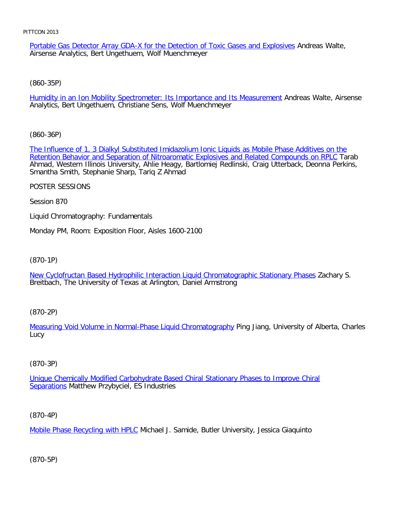Portable Gas Detector Array GDA-X for the Detection of Toxic Gases and Explosives Andreas Walte, Airsense Analytics, Bert Ungethuem, Wolf Muenchmeyer

[\(860-35P\)](file:///p|/print%20on%20demand%20titles/23101-23200/23133/23133%20source%20materials/papers/860-35.htm)

Humidity in an Ion Mobility Spectrometer: Its Importance and Its Measurement Andreas Walte, Airsense Analytics, Bert Ungethuem, Christiane Sens, Wolf Muenchmeyer

[\(860-36P\)](file:///p|/print%20on%20demand%20titles/23101-23200/23133/23133%20source%20materials/papers/860-36.htm)

[The Influence of 1, 3 Dialkyl Substituted Imidazolium Ionic Liquids as Mobile Phase Additives on the](file:///p|/print%20on%20demand%20titles/23101-23200/23133/23133%20source%20materials/papers/860-36.htm) Retention Behavior and Separation of Nitroaromatic Explosives and Related Compounds on RPLC Tarab Ahmad, Western Illinois University, Ahlie Heagy, Bartlomiej Redlinski, Craig Utterback, Deonna Perkins, Smantha Smith, Stephanie Sharp, Tariq Z Ahmad

POSTER SESSIONS

Session 870

Liquid Chromatography: Fundamentals

Monday PM, Room: Exposition Floor, Aisles 1600-2100

(870-1P)

[New Cyclofructan Based Hydrophilic Interaction Liquid Chromatographic Stationary Phases](file:///p|/print%20on%20demand%20titles/23101-23200/23133/23133%20source%20materials/papers/870-1.htm) Zachary S. Breitbach, The University of Texas at Arlington, Daniel Armstrong

(870-2P)

[Measuring Void Volume in Normal-Phase Liquid Chromatography](file:///p|/print%20on%20demand%20titles/23101-23200/23133/23133%20source%20materials/papers/870-2.htm) Ping Jiang, University of Alberta, Charles Lucy

# (870-3P)

Unique Chemically Modified Carbohydrate Based Chiral Stationary Phases to Improve Chiral Separations [Matthew Przybyciel, ES Industries](file:///p|/print%20on%20demand%20titles/23101-23200/23133/23133%20source%20materials/papers/870-3.htm)

(870-4P)

Mobile Phase Recycling with HPLC Michael J. Samide, Butler University, Jessica Giaquinto

(870-5P)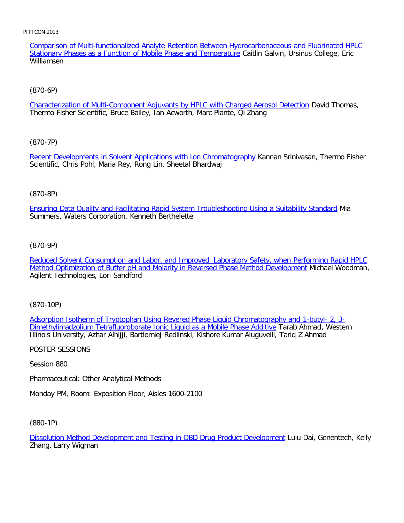Comparison of Multi-functionalized Analyte Retention Between Hydrocarbonaceous and Fluorinated HPLC Stationary Phases as a Function of Mobile Phase and Temperature Caitlin Galvin, Ursinus College, Eric Williamsen

# [\(870-6P\)](file:///p|/print%20on%20demand%20titles/23101-23200/23133/23133%20source%20materials/papers/870-6.htm)

Characterization of Multi-Component Adjuvants by HPLC with Charged Aerosol Detection David Thomas, Thermo Fisher Scientific, Bruce Bailey, Ian Acworth, Marc Plante, Qi Zhang

# [\(870-7P\)](file:///p|/print%20on%20demand%20titles/23101-23200/23133/23133%20source%20materials/papers/870-7.htm)

Recent Developments in Solvent Applications with Ion Chromatography Kannan Srinivasan, Thermo Fisher Scientific, Chris Pohl, Maria Rey, Rong Lin, Sheetal Bhardwaj

# (870-8P)

[Ensuring Data Quality and Facilitating Rapid System Troubleshooting Using a Suitability Standard](file:///p|/print%20on%20demand%20titles/23101-23200/23133/23133%20source%20materials/papers/870-8.htm) Mia Summers, Waters Corporation, Kenneth Berthelette

# (870-9P)

[Reduced Solvent Consumption and Labor, and Improved Laboratory Safety, when Performing Rapid HPLC](file:///p|/print%20on%20demand%20titles/23101-23200/23133/23133%20source%20materials/papers/870-9.htm) [Method Optimization of Buffer pH and Molarity in Reversed Phase Method Development](file:///p|/print%20on%20demand%20titles/23101-23200/23133/23133%20source%20materials/papers/870-9.htm) Michael Woodman, Agilent Technologies, Lori Sandford

(870-10P)

Adsorption Isotherm of Tryptophan Using Revered Phase Liquid Chromatography and 1-butyl- 2, 3- [Dimethylimadzolium Tetrafluoroborate Ionic Liquid as a Mobile Phase Additive](file:///p|/print%20on%20demand%20titles/23101-23200/23133/23133%20source%20materials/papers/870-10.htm) Tarab Ahmad, Western [Illinois University, Azhar Alhijji, Bartlomiej Redlinski, Kishore Kumar Aluguvelli, Ta](file:///p|/print%20on%20demand%20titles/23101-23200/23133/23133%20source%20materials/papers/870-10.htm)riq Z Ahmad

POSTER SESSIONS

Session 880

Pharmaceutical: Other Analytical Methods

Monday PM, Room: Exposition Floor, Aisles 1600-2100

(880-1P)

Dissolution Method Development and Testing in QBD Drug Product Development Lulu Dai, Genentech, Kelly Zhang, Larry Wigman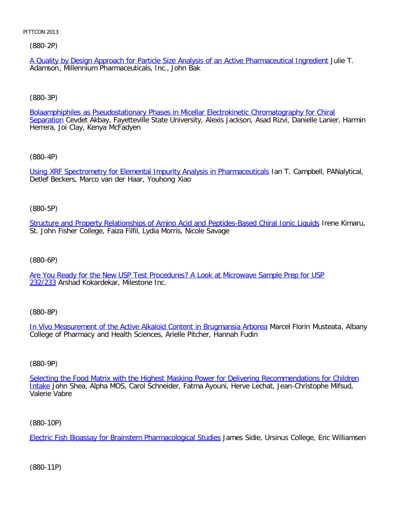(880-2P)

A Quality by Design Approach for Particle Size Analysis of an Active Pharmaceutical Ingredient Julie T. Adamson, Millennium Pharmaceuticals, Inc., John Bak

[\(880-3P\)](file:///p|/print%20on%20demand%20titles/23101-23200/23133/23133%20source%20materials/papers/880-3.htm)

Bolaamphiphiles as Pseudostationary Phases in Micellar Electrokinetic Chromatography for Chiral Separation Cevdet Akbay, Fayetteville State University, Alexis Jackson, Asad Rizvi, Danielle Lanier, Harmin Herrera, Joi Clay, Kenya McFadyen

[\(880-4P\)](file:///p|/print%20on%20demand%20titles/23101-23200/23133/23133%20source%20materials/papers/880-4.htm)

Using XRF Spectrometry for Elemental Impurity Analysis in Pharmaceuticals Ian T. Campbell, PANalytical, Detlef Beckers, Marco van der Haar, Youhong Xiao

(880-5P)

[Structure and Property Relationships of Amino Acid and Peptides-Based Chiral Ionic Liquids](file:///p|/print%20on%20demand%20titles/23101-23200/23133/23133%20source%20materials/papers/880-5.htm) Irene Kimaru, St. John Fisher College, Faiza Filfil, Lydia Morris, Nicole Savage

(880-6P)

[Are You Ready for the New USP Test Procedures? A Look at Microwave Sample Prep for USP](file:///p|/print%20on%20demand%20titles/23101-23200/23133/23133%20source%20materials/papers/880-6.htm) [232](file:///p|/print%20on%20demand%20titles/23101-23200/23133/23133%20source%20materials/papers/880-6.htm)/233 Arshad Kokardekar, Milestone Inc.

(880-8P)

In Vivo Measurement of the Active Alkaloid Content in Brugmansia Arborea Marcel Florin Musteata, Albany [College of Pharmacy and Health Sciences, Arielle Pitcher, Hannah Fudin](file:///p|/print%20on%20demand%20titles/23101-23200/23133/23133%20source%20materials/papers/880-8.htm)

(880-9P)

Selecting the Food Matrix with the Highest Masking Power for Delivering Recommendations for Children Intake [John Shea, Alpha MOS, Carol Schneider, Fatma Ayouni, Herve Lechat, Jean-Christophe Mifsud,](file:///p|/print%20on%20demand%20titles/23101-23200/23133/23133%20source%20materials/papers/880-9.htm) [V](file:///p|/print%20on%20demand%20titles/23101-23200/23133/23133%20source%20materials/papers/880-9.htm)alerie Vabre

(880-10P)

Electric Fish Bioassay for Brainstem Pharmacological Studies James Sidie, Ursinus College, Eric Williamsen

(880-11P)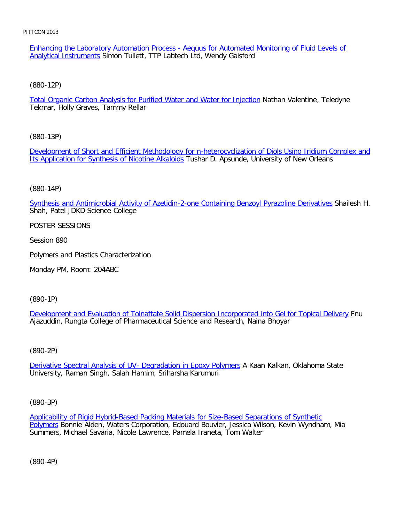Enhancing the Laboratory Automation Process - Aequus for Automated Monitoring of Fluid Levels of Analytical Instruments Simon Tullett, TTP Labtech Ltd, Wendy Gaisford

[\(880-12P\)](file:///p|/print%20on%20demand%20titles/23101-23200/23133/23133%20source%20materials/papers/880-12.htm)

Total Organic Carbon Analysis for Purified Water and Water for Injection Nathan Valentine, Teledyne Tekmar, Holly Graves, Tammy Rellar

[\(880-13P\)](file:///p|/print%20on%20demand%20titles/23101-23200/23133/23133%20source%20materials/papers/880-13.htm)

[Development of Short and Efficient Methodology](file:///p|/print%20on%20demand%20titles/23101-23200/23133/23133%20source%20materials/papers/880-13.htm) for n-heterocyclization of Diols Using Iridium Complex and Its Application for Synthesis of Nicotine Alkaloids Tushar D. Apsunde, University of New Orleans

(880-14P)

[Synthesis and Antimicrobial Activity of Azetidin-2-one Containing Benzoyl Pyrazoline Derivatives](file:///p|/print%20on%20demand%20titles/23101-23200/23133/23133%20source%20materials/papers/880-14.htm) Shailesh H. Shah, Patel JDKD Science College

POSTER SESSIONS

Session 890

Polymers and Plastics Characterization

Monday PM, Room: 204ABC

(890-1P)

Development and Evaluation of Tolnaftate Solid Dispersion Incorporated into Gel for Topical Delivery Fnu [Ajazuddin, Rungta College of Pharmaceutical Science and Research, Naina Bhoyar](file:///p|/print%20on%20demand%20titles/23101-23200/23133/23133%20source%20materials/papers/890-1.htm)

(890-2P)

Derivative Spectral Analysis of UV- Degradation in Epoxy Polymers A Kaan Kalkan, Oklahoma State [University, Raman Singh, Salah Hamim, Sriharsha Karumuri](file:///p|/print%20on%20demand%20titles/23101-23200/23133/23133%20source%20materials/papers/890-2.htm)

(890-3P)

Applicability of Rigid Hybrid-Based Packing Materials for Size-Based Separations of Synthetic Polymers Bonnie Alden, Waters Corporation, Edouard Bouvier, Jessica Wilson, Kevin Wyndham, Mia [Summers, Michael Savaria, Nicole Lawrence, Pamela Iraneta, Tom Walter](file:///p|/print%20on%20demand%20titles/23101-23200/23133/23133%20source%20materials/papers/890-3.htm)

(890-4P)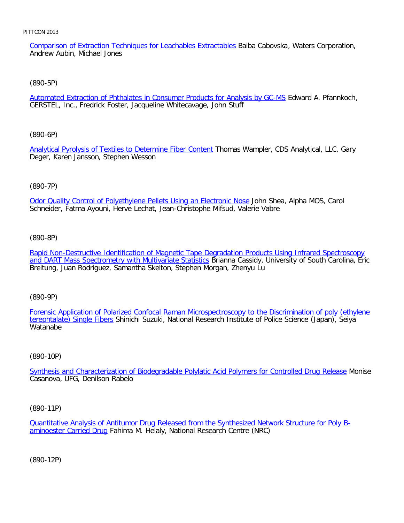Comparison of Extraction Techniques for Leachables Extractables Baiba Cabovska, Waters Corporation, Andrew Aubin, Michael Jones

#### [\(890-5P\)](file:///p|/print%20on%20demand%20titles/23101-23200/23133/23133%20source%20materials/papers/890-5.htm)

Automated Extraction of Phthalates in Consumer Products for Analysis by GC-MS Edward A. Pfannkoch, GERSTEL, Inc., Fredrick Foster, Jacqueline Whitecavage, John Stuff

[\(890-6P\)](file:///p|/print%20on%20demand%20titles/23101-23200/23133/23133%20source%20materials/papers/890-6.htm)

Analytical Pyrolysis of Textiles to Determine Fiber Content Thomas Wampler, CDS Analytical, LLC, Gary Deger, Karen Jansson, Stephen Wesson

## (890-7P)

[Odor Quality Control of Polyethylene Pellets Using an Electronic Nose](file:///p|/print%20on%20demand%20titles/23101-23200/23133/23133%20source%20materials/papers/890-7.htm) John Shea, Alpha MOS, Carol Schneider, Fatma Ayouni, Herve Lechat, Jean-Christophe Mifsud, Valerie Vabre

(890-8P)

[Rapid Non-Destructive Identification of Magnetic Tape Degradation Products Using Infrared Spectroscopy](file:///p|/print%20on%20demand%20titles/23101-23200/23133/23133%20source%20materials/papers/890-8.htm) [and DART Mass Spectrometry with Multivariate Statistics](file:///p|/print%20on%20demand%20titles/23101-23200/23133/23133%20source%20materials/papers/890-8.htm) Brianna Cassidy, University of South Carolina, Eric Breitung, Juan Rodriguez, Samantha Skelton, Stephen Morgan, Zhenyu Lu

(890-9P)

Forensic Application of Polarized Confocal Raman Microspectroscopy to the Discrimination of poly (ethylene terephtalate) Single Fibers [Shinichi Suzuki, National Research Institute of Police Science \(Japan\), Seiya](file:///p|/print%20on%20demand%20titles/23101-23200/23133/23133%20source%20materials/papers/890-9.htm) **[Watanabe](file:///p|/print%20on%20demand%20titles/23101-23200/23133/23133%20source%20materials/papers/890-9.htm)** 

#### (890-10P)

Synthesis and Characterization of Biodegradable Polylatic Acid Polymers for Controlled Drug Release Monise [Casanova, UFG, Denilson Rabelo](file:///p|/print%20on%20demand%20titles/23101-23200/23133/23133%20source%20materials/papers/890-10.htm)

(890-11P)

Quantitative Analysis of Antitumor Drug Released from the Synthesized Network Structure for Poly Baminoester Carried Drug Fahima M. Helaly, National Research Centre (NRC)

(890-12P)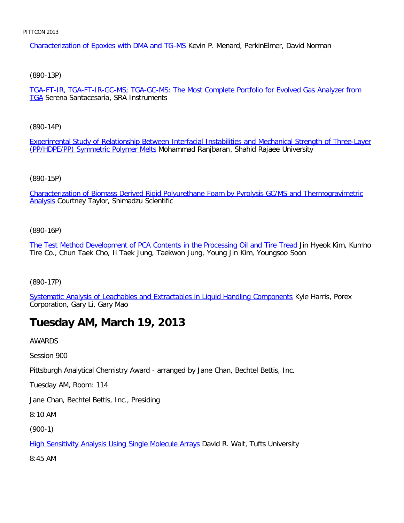Characterization of Epoxies with DMA and TG-MS Kevin P. Menard, PerkinElmer, David Norman

[\(890-13P\)](file:///p|/print%20on%20demand%20titles/23101-23200/23133/23133%20source%20materials/papers/890-13.htm)

TGA-FT-IR, TGA-FT-IR-GC-MS; TGA-GC-MS: The Most Complete Portfolio for Evolved Gas Analyzer from **TGA** Serena Santacesaria, SRA Instruments

[\(890-14P\)](file:///p|/print%20on%20demand%20titles/23101-23200/23133/23133%20source%20materials/papers/890-14.htm)

[Experimental Study of Relationship Bet](file:///p|/print%20on%20demand%20titles/23101-23200/23133/23133%20source%20materials/papers/890-14.htm)ween Interfacial Instabilities and Mechanical Strength of Three-Layer (PP/HDPE/PP) Symmetric Polymer Melts Mohammad Ranjbaran, Shahid Rajaee University

(890-15P)

[Characterization of Biomass Derived Rigid Polyurethane Foam by Pyrolysis GC/MS and Thermogravimetric](file:///p|/print%20on%20demand%20titles/23101-23200/23133/23133%20source%20materials/papers/890-15.htm) Analysis Courtney Taylor, Shimadzu Scientific

(890-16P)

[The Test Method Development of PCA Contents in the Processing Oil and Tire Tread](file:///p|/print%20on%20demand%20titles/23101-23200/23133/23133%20source%20materials/papers/890-16.htm) Jin Hyeok Kim, Kumho Tire Co., Chun Taek Cho, Il Taek Jung, Taekwon Jung, Young Jin Kim, Youngsoo Soon

(890-17P)

[Systematic Analysis of Leachables and Extractables in Liquid Handling Components](file:///p|/print%20on%20demand%20titles/23101-23200/23133/23133%20source%20materials/papers/890-17.htm) Kyle Harris, Porex Corporation, Gary Li, Gary Mao

# **Tuesday AM, March 19, 2013**

AWARDS

Session 900

Pittsburgh Analytical Chemistry Award - arranged by Jane Chan, Bechtel Bettis, Inc.

Tuesday AM, Room: 114

Jane Chan, Bechtel Bettis, Inc., Presiding

8:10 AM

(900-1)

**High Sensitivity Analysis Using Single Molecule Arrays David R. Walt, Tufts University** 

[8:45 AM](file:///p|/print%20on%20demand%20titles/23101-23200/23133/23133%20source%20materials/papers/900-1.htm)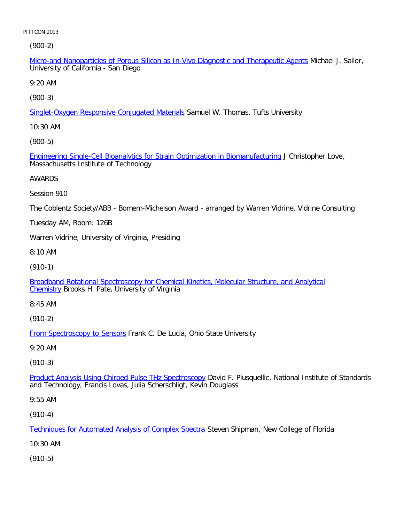(900-2)

Micro-and Nanoparticles of Porous Silicon as In-Vivo Diagnostic and Therapeutic Agents Michael J. Sailor, University of California - San Diego

9:20 AM

[\(900-3\)](file:///p|/print%20on%20demand%20titles/23101-23200/23133/23133%20source%20materials/papers/900-3.htm)

Singlet-Oxygen Responsive Conjugated Materials Samuel W. Thomas, Tufts University

10:30 AM

[\(900-5\)](file:///p|/print%20on%20demand%20titles/23101-23200/23133/23133%20source%20materials/papers/900-5.htm)

Engineering Single-Cell Bioanalytics for Strain Optimization in Biomanufacturing J Christopher Love, Massachusetts Institute of Technology

AWARDS

Session 910

The Coblentz Society/ABB - Bomem-Michelson Award - arranged by Warren Vidrine, Vidrine Consulting

Tuesday AM, Room: 126B

Warren Vidrine, University of Virginia, Presiding

8:10 AM

(910-1)

[Broadband Rotational Spectroscopy for Chemical Kinetics, Molecular Structure, and Analytical](file:///p|/print%20on%20demand%20titles/23101-23200/23133/23133%20source%20materials/papers/910-1.htm) [Chem](file:///p|/print%20on%20demand%20titles/23101-23200/23133/23133%20source%20materials/papers/910-1.htm)istry Brooks H. Pate, University of Virginia

8:45 AM

(910-2)

From Spectroscopy to Sensors Frank C. De Lucia, Ohio State University

[9:20 AM](file:///p|/print%20on%20demand%20titles/23101-23200/23133/23133%20source%20materials/papers/910-2.htm)

(910-3)

Product Analysis Using Chirped Pulse THz Spectroscopy David F. Plusquellic, National Institute of Standards [and Technology, Francis Lovas, Julia Scherschligt, Kevin](file:///p|/print%20on%20demand%20titles/23101-23200/23133/23133%20source%20materials/papers/910-3.htm) Douglass

9:55 AM

(910-4)

Techniques for Automated Analysis of Complex Spectra Steven Shipman, New College of Florida

[10:30 AM](file:///p|/print%20on%20demand%20titles/23101-23200/23133/23133%20source%20materials/papers/910-4.htm)

(910-5)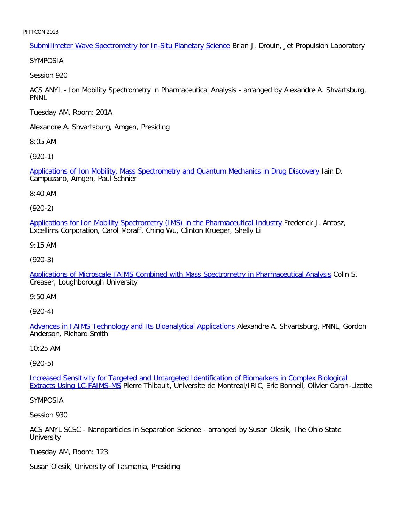Submillimeter Wave Spectrometry for In-Situ Planetary Science Brian J. Drouin, Jet Propulsion Laboratory

SYMPOSIA

Session 920

ACS ANYL - Ion Mobility Spectrometry in Pharmaceutical Analysis - arranged by Alexandre A. Shvartsburg, PNNL

Tuesday AM, Room: 201A

Alexandre A. Shvartsburg, Amgen, Presiding

8:05 AM

[\(920-1\)](file:///p|/print%20on%20demand%20titles/23101-23200/23133/23133%20source%20materials/papers/920-1.htm)

Applications of Ion Mobility, Mass Spectrometry and Quantum Mechanics in Drug Discovery Iain D. Campuzano, Amgen, Paul Schnier

8:40 AM

(920-2)

[Applications for Ion Mobility Spectrometry \(IMS\) in the Pharmaceutical Industry](file:///p|/print%20on%20demand%20titles/23101-23200/23133/23133%20source%20materials/papers/920-2.htm) Frederick J. Antosz, Excellims Corporation, Carol Moraff, Ching Wu, Clinton Krueger, Shelly Li

9:15 AM

(920-3)

[Applications of Microscale FAIMS Combined with Mass Spectrometry in Pharmaceutical Analysis](file:///p|/print%20on%20demand%20titles/23101-23200/23133/23133%20source%20materials/papers/920-3.htm) Colin S. Creaser, Loughborough University

9:50 AM

(920-4)

Advances in FAIMS Technology and Its Bioanalytical Applications Alexandre A. Shvartsburg, PNNL, Gordon [Anderson, Richard Smith](file:///p|/print%20on%20demand%20titles/23101-23200/23133/23133%20source%20materials/papers/920-4.htm)

10:25 AM

(920-5)

Increased Sensitivity for Targeted and Untargeted Identification of Biomarkers in Complex Biological Extracts Using LC-FAIMS-MS [Pierre Thibault, Universite de Montreal/IRIC, Eric Bonneil, Olivier Caron-Lizot](file:///p|/print%20on%20demand%20titles/23101-23200/23133/23133%20source%20materials/papers/920-5.htm)te

[SYMPOSIA](file:///p|/print%20on%20demand%20titles/23101-23200/23133/23133%20source%20materials/papers/920-5.htm)

Session 930

ACS ANYL SCSC - Nanoparticles in Separation Science - arranged by Susan Olesik, The Ohio State **University** 

Tuesday AM, Room: 123

Susan Olesik, University of Tasmania, Presiding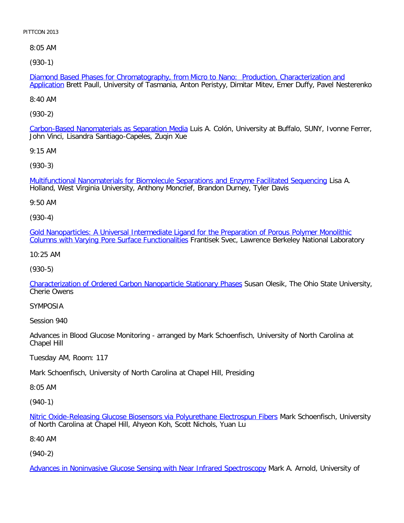8:05 AM

[\(930-1\)](file:///p|/print%20on%20demand%20titles/23101-23200/23133/23133%20source%20materials/papers/930-1.htm)

Diamond Based Phases for Chromatography, from Micro to Nano: Production, Characterization and Application Brett Paull, University of Tasmania, Anton Peristyy, Dimitar Mitev, Emer Duffy, Pavel Nesterenko

8:40 AM

[\(930-2\)](file:///p|/print%20on%20demand%20titles/23101-23200/23133/23133%20source%20materials/papers/930-2.htm)

Carbon-Based Nanomaterials as Separation Media Luis A. Colón, University at Buffalo, SUNY, Ivonne Ferrer, John Vinci, Lisandra Santiago-Capeles, Zuqin Xue

9:15 AM

[\(930-3\)](file:///p|/print%20on%20demand%20titles/23101-23200/23133/23133%20source%20materials/papers/930-3.htm)

Multifunctional Nanomaterials for Biomolecule Separations and Enzyme Facilitated Sequencing Lisa A. Holland, West Virginia University, Anthony Moncrief, Brandon Durney, Tyler Davis

9:50 AM

(930-4)

[Gold Nanoparticles: A Universal Intermediate Ligand for the Preparation of Porous Polymer Monolithic](file:///p|/print%20on%20demand%20titles/23101-23200/23133/23133%20source%20materials/papers/930-4.htm) [Columns with Varying Pore Surface Functionalities](file:///p|/print%20on%20demand%20titles/23101-23200/23133/23133%20source%20materials/papers/930-4.htm) Frantisek Svec, Lawrence Berkeley National Laboratory

10:25 AM

(930-5)

[Characterization of Ordered Carbon Nanoparticle Stationary Phases](file:///p|/print%20on%20demand%20titles/23101-23200/23133/23133%20source%20materials/papers/930-5.htm) Susan Olesik, The Ohio State University, Cherie Owens

## SYMPOSIA

Session 940

Advances in Blood Glucose Monitoring - arranged by Mark Schoenfisch, University of North Carolina at Chapel Hill

Tuesday AM, Room: 117

Mark Schoenfisch, University of North Carolina at Chapel Hill, Presiding

8:05 AM

(940-1)

Nitric Oxide-Releasing Glucose Biosensors via Polyurethane Electrospun Fibers Mark Schoenfisch, University of North Carolina at Chapel Hill, Ahyeon Koh, Scott Nichols, Yuan Lu

[8:40 AM](file:///p|/print%20on%20demand%20titles/23101-23200/23133/23133%20source%20materials/papers/940-1.htm)

(940-2)

Advances in Noninvasive Glucose Sensing with Near Infrared Spectroscopy Mark A. Arnold, University of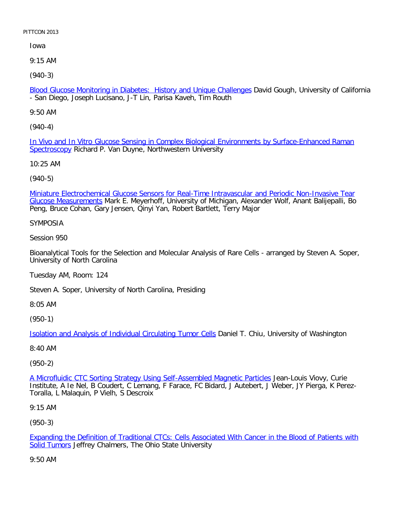Iowa

9:15 AM

[\(940-3\)](file:///p|/print%20on%20demand%20titles/23101-23200/23133/23133%20source%20materials/papers/940-3.htm)

Blood Glucose Monitoring in Diabetes: History and Unique Challenges David Gough, University of California - San Diego, Joseph Lucisano, J-T Lin, Parisa Kaveh, Tim Routh

9:50 AM

[\(940-4\)](file:///p|/print%20on%20demand%20titles/23101-23200/23133/23133%20source%20materials/papers/940-4.htm)

[In Vivo a](file:///p|/print%20on%20demand%20titles/23101-23200/23133/23133%20source%20materials/papers/940-4.htm)nd In Vitro Glucose Sensing in Complex Biological Environments by Surface-Enhanced Raman Spectroscopy Richard P. Van Duyne, Northwestern University

10:25 AM

(940-5)

[Miniature Electrochemical Glucose Sensors for Real-Time Intravascular and Periodic Non-Invasive Tear](file:///p|/print%20on%20demand%20titles/23101-23200/23133/23133%20source%20materials/papers/940-5.htm) Glucose Measurements Mark E. Meyerhoff, University of Michigan, Alexander Wolf, Anant Balijepalli, Bo Peng, Bruce Cohan, Gary Jensen, Qinyi Yan, Robert Bartlett, Terry Major

SYMPOSIA

Session 950

Bioanalytical Tools for the Selection and Molecular Analysis of Rare Cells - arranged by Steven A. Soper, University of North Carolina

Tuesday AM, Room: 124

Steven A. Soper, University of North Carolina, Presiding

8:05 AM

(950-1)

[Isolation and Analysis of Individual Circulating Tumor Cells](file:///p|/print%20on%20demand%20titles/23101-23200/23133/23133%20source%20materials/papers/950-1.htm) Daniel T. Chiu, University of Washington

8:40 AM

(950-2)

A Microfluidic CTC Sorting Strategy Using Self-Assembled Magnetic Particles Jean-Louis Viovy, Curie Institute, A Ie Nel, B Coudert, C Lemang, F Farace, FC Bidard, J Autebert, J Weber, JY Pierga, K Perez-[Toralla, L Malaquin, P Vielh, S Descroix](file:///p|/print%20on%20demand%20titles/23101-23200/23133/23133%20source%20materials/papers/950-2.htm)

9:15 AM

(950-3)

Expanding the Definition of Traditional CTCs: Cells Associated With Cancer in the Blood of Patients with Solid Tumors Jeffrey Chalmers, The Ohio State University

[9:50 AM](file:///p|/print%20on%20demand%20titles/23101-23200/23133/23133%20source%20materials/papers/950-3.htm)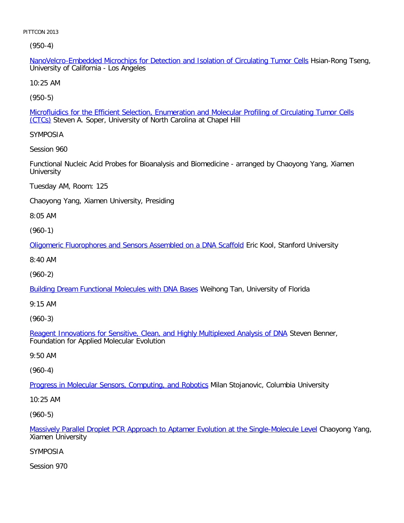(950-4)

NanoVelcro-Embedded Microchips for Detection and Isolation of Circulating Tumor Cells Hsian-Rong Tseng, University of California - Los Angeles

10:25 AM

[\(950-5\)](file:///p|/print%20on%20demand%20titles/23101-23200/23133/23133%20source%20materials/papers/950-5.htm)

Microfluidics for the Efficient Selection, Enumeration and Molecular Profiling of Circulating Tumor Cells (CTCs) Steven A. Soper, University of North Carolina at Chapel Hill

SYMPOSIA

Session 960

Functional Nucleic Acid Probes for Bioanalysis and Biomedicine - arranged by Chaoyong Yang, Xiamen **University** 

Tuesday AM, Room: 125

Chaoyong Yang, Xiamen University, Presiding

8:05 AM

(960-1)

[Oligomeric Fluorophores and Sensors Assembled on a DNA Scaffold](file:///p|/print%20on%20demand%20titles/23101-23200/23133/23133%20source%20materials/papers/960-1.htm) Eric Kool, Stanford University

8:40 AM

(960-2)

**[Building Dream Functional Molecules with DNA Bases](file:///p|/print%20on%20demand%20titles/23101-23200/23133/23133%20source%20materials/papers/960-2.htm) Weihong Tan, University of Florida** 

9:15 AM

(960-3)

Reagent Innovations for Sensitive, Clean, and Highly Multiplexed Analysis of DNA Steven Benner, [Foundation for Applied Molecular Evolution](file:///p|/print%20on%20demand%20titles/23101-23200/23133/23133%20source%20materials/papers/960-3.htm)

9:50 AM

(960-4)

Progress in Molecular Sensors, Computing, and Robotics Milan Stojanovic, Columbia University

[10:25 AM](file:///p|/print%20on%20demand%20titles/23101-23200/23133/23133%20source%20materials/papers/960-4.htm)

(960-5)

Massively Parallel Droplet PCR Approach to Aptamer Evolution at the Single-Molecule Level Chaoyong Yang, Xiamen University

# [SYMPOSIA](file:///p|/print%20on%20demand%20titles/23101-23200/23133/23133%20source%20materials/papers/960-5.htm)

Session 970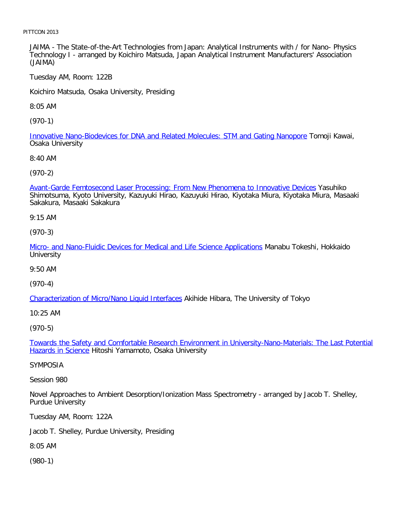JAIMA - The State-of-the-Art Technologies from Japan: Analytical Instruments with / for Nano- Physics Technology I - arranged by Koichiro Matsuda, Japan Analytical Instrument Manufacturers' Association (JAIMA)

Tuesday AM, Room: 122B

Koichiro Matsuda, Osaka University, Presiding

8:05 AM

[\(970-1\)](file:///p|/print%20on%20demand%20titles/23101-23200/23133/23133%20source%20materials/papers/970-1.htm)

Innovative Nano-Biodevices for DNA and Related Molecules: STM and Gating Nanopore Tomoji Kawai, Osaka University

8:40 AM

[\(970-2\)](file:///p|/print%20on%20demand%20titles/23101-23200/23133/23133%20source%20materials/papers/970-2.htm)

Avant-Garde Femtosecond Laser Processing: From New Phenomena to Innovative Devices Yasuhiko Shimotsuma, Kyoto University, Kazuyuki Hirao, Kazuyuki Hirao, Kiyotaka Miura, Kiyotaka Miura, Masaaki Sakakura, Masaaki Sakakura

9:15 AM

(970-3)

[Micro- and Nano-Fluidic Devices for Medical and Life Science Applications](file:///p|/print%20on%20demand%20titles/23101-23200/23133/23133%20source%20materials/papers/970-3.htm) Manabu Tokeshi, Hokkaido **University** 

9:50 AM

(970-4)

[Characterization of Micro/Nano Liquid Interfaces](file:///p|/print%20on%20demand%20titles/23101-23200/23133/23133%20source%20materials/papers/970-4.htm) Akihide Hibara, The University of Tokyo

10:25 AM

(970-5)

Towards the Safety and Comfortable Research Environment in University-Nano-Materials: The Last Potential **Hazards in Science [Hitoshi Yamamoto, Osaka University](file:///p|/print%20on%20demand%20titles/23101-23200/23133/23133%20source%20materials/papers/970-5.htm)** 

## [SYMPOSIA](file:///p|/print%20on%20demand%20titles/23101-23200/23133/23133%20source%20materials/papers/970-5.htm)

Session 980

Novel Approaches to Ambient Desorption/Ionization Mass Spectrometry - arranged by Jacob T. Shelley, Purdue University

Tuesday AM, Room: 122A

Jacob T. Shelley, Purdue University, Presiding

8:05 AM

(980-1)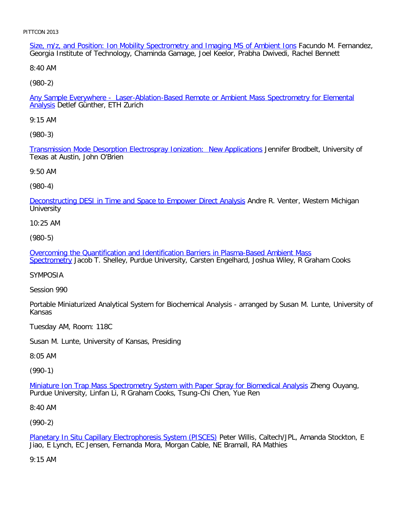Size, m/z, and Position: Ion Mobility Spectrometry and Imaging MS of Ambient Ions Facundo M. Fernandez, Georgia Institute of Technology, Chaminda Gamage, Joel Keelor, Prabha Dwivedi, Rachel Bennett

8:40 AM

[\(980-2\)](file:///p|/print%20on%20demand%20titles/23101-23200/23133/23133%20source%20materials/papers/980-2.htm)

Any Sample Everywhere - Laser-Ablation-Based Remote or Ambient Mass Spectrometry for Elemental Analysis Detlef Günther, ETH Zurich

9:15 AM

[\(980-3\)](file:///p|/print%20on%20demand%20titles/23101-23200/23133/23133%20source%20materials/papers/980-3.htm)

Transmission Mode Desorption Electrospray Ionization: New Applications Jennifer Brodbelt, University of Texas at Austin, John O'Brien

9:50 AM

(980-4)

[Deconstructing DESI in Time and Space to Empower Direct Analysis](file:///p|/print%20on%20demand%20titles/23101-23200/23133/23133%20source%20materials/papers/980-4.htm) Andre R. Venter, Western Michigan **University** 

10:25 AM

(980-5)

[Overcoming the Quantification and Identification Barriers in Plasma-Based Ambient Mass](file:///p|/print%20on%20demand%20titles/23101-23200/23133/23133%20source%20materials/papers/980-5.htm) [Spectrom](file:///p|/print%20on%20demand%20titles/23101-23200/23133/23133%20source%20materials/papers/980-5.htm)etry Jacob T. Shelley, Purdue University, Carsten Engelhard, Joshua Wiley, R Graham Cooks

SYMPOSIA

Session 990

Portable Miniaturized Analytical System for Biochemical Analysis - arranged by Susan M. Lunte, University of Kansas

Tuesday AM, Room: 118C

Susan M. Lunte, University of Kansas, Presiding

8:05 AM

(990-1)

Miniature Ion Trap Mass Spectrometry System with Paper Spray for Biomedical Analysis Zheng Ouyang, [Purdue University, Linfan Li, R Graham Cooks, Tsung-Chi Chen, Yue Ren](file:///p|/print%20on%20demand%20titles/23101-23200/23133/23133%20source%20materials/papers/990-1.htm)

8:40 AM

(990-2)

Planetary In Situ Capillary Electrophoresis System (PISCES) Peter Willis, Caltech/JPL, Amanda Stockton, E Jiao, E Lynch, EC Jensen, Fernanda Mora, Morgan Cable, NE Bramall, RA Mathies

[9:15 AM](file:///p|/print%20on%20demand%20titles/23101-23200/23133/23133%20source%20materials/papers/990-2.htm)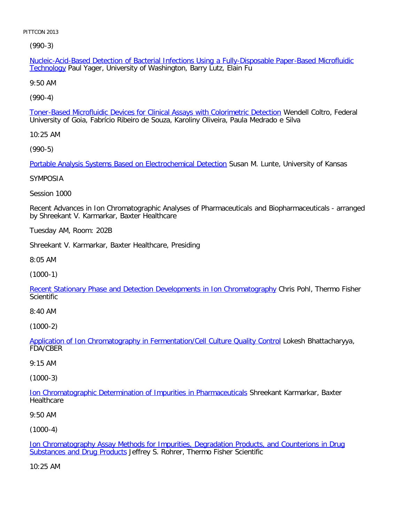[\(990-3](file:///p|/print%20on%20demand%20titles/23101-23200/23133/23133%20source%20materials/papers/990-3.htm))

Nucleic-Acid-Based Detection of Bacterial Infections Using a Fully-Disposable Paper-Based Microfluidic Technology Paul Yager, University of Washington, Barry Lutz, Elain Fu

9:50 AM

[\(990-4\)](file:///p|/print%20on%20demand%20titles/23101-23200/23133/23133%20source%20materials/papers/990-4.htm)

Toner-Based Microfluidic Devices for Clinical Assays with Colorimetric Detection Wendell Coltro, Federal University of Goia, Fabrício Ribeiro de Souza, Karoliny Oliveira, Paula Medrado e Silva

10:25 AM

[\(990-5\)](file:///p|/print%20on%20demand%20titles/23101-23200/23133/23133%20source%20materials/papers/990-5.htm)

Portable Analysis Systems Based on Electrochemical Detection Susan M. Lunte, University of Kansas

SYMPOSIA

Session 1000

Recent Advances in Ion Chromatographic Analyses of Pharmaceuticals and Biopharmaceuticals - arranged by Shreekant V. Karmarkar, Baxter Healthcare

Tuesday AM, Room: 202B

Shreekant V. Karmarkar, Baxter Healthcare, Presiding

8:05 AM

(1000-1)

[Recent Stationary Phase and Detection Developments in Ion Chromatography](file:///p|/print%20on%20demand%20titles/23101-23200/23133/23133%20source%20materials/papers/1000-1.htm) Chris Pohl, Thermo Fisher **Scientific** 

8:40 AM

(1000-2)

Application of Ion Chromatography in Fermentation/Cell Culture Quality Control Lokesh Bhattacharyya, [FDA/CBER](file:///p|/print%20on%20demand%20titles/23101-23200/23133/23133%20source%20materials/papers/1000-2.htm)

# 9:15 AM

(1000-3)

Ion Chromatographic Determination of Impurities in Pharmaceuticals Shreekant Karmarkar, Baxter **[Healthcare](file:///p|/print%20on%20demand%20titles/23101-23200/23133/23133%20source%20materials/papers/1000-3.htm)** 

9:50 AM

(1000-4)

Ion Chromatography Assay Methods for Impurities, Degradation Products, and Counterions in Drug Substances and Drug Products Jeffrey S. Rohrer, Thermo Fisher Scientific

[10:25 AM](file:///p|/print%20on%20demand%20titles/23101-23200/23133/23133%20source%20materials/papers/1000-4.htm)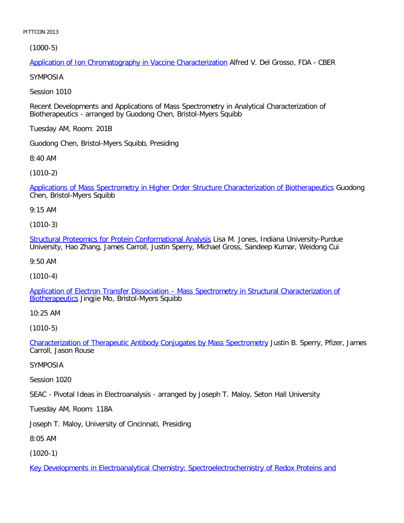[\(1000-5\)](file:///p|/print%20on%20demand%20titles/23101-23200/23133/23133%20source%20materials/papers/1000-5.htm)

Application of Ion Chromatography in Vaccine Characterization Alfred V. Del Grosso, FDA - CBER

SYMPOSIA

Session 1010

Recent Developments and Applications of Mass Spectrometry in Analytical Characterization of Biotherapeutics - arranged by Guodong Chen, Bristol-Myers Squibb

Tuesday AM, Room: 201B

Guodong Chen, Bristol-Myers Squibb, Presiding

8:40 AM

[\(1010-2\)](file:///p|/print%20on%20demand%20titles/23101-23200/23133/23133%20source%20materials/papers/1010-2.htm)

Applications of Mass Spectrometry in Higher Order Structure Characterization of Biotherapeutics Guodong Chen, Bristol-Myers Squibb

9:15 AM

(1010-3)

[Structural Proteomics for Protein Conformational Analysis](file:///p|/print%20on%20demand%20titles/23101-23200/23133/23133%20source%20materials/papers/1010-3.htm) Lisa M. Jones, Indiana University-Purdue University, Hao Zhang, James Carroll, Justin Sperry, Michael Gross, Sandeep Kumar, Weidong Cui

9:50 AM

(1010-4)

[Application of Electron Transfer Dissociation – Mass Spectrometry in Structural Characterization of](file:///p|/print%20on%20demand%20titles/23101-23200/23133/23133%20source%20materials/papers/1010-4.htm) [Biotherapeu](file:///p|/print%20on%20demand%20titles/23101-23200/23133/23133%20source%20materials/papers/1010-4.htm)tics Jingjie Mo, Bristol-Myers Squibb

10:25 AM

(1010-5)

Characterization of Therapeutic Antibody Conjugates by Mass Spectrometry Justin B. Sperry, Pfizer, James [Carroll, Jason Rouse](file:///p|/print%20on%20demand%20titles/23101-23200/23133/23133%20source%20materials/papers/1010-5.htm)

SYMPOSIA

Session 1020

SEAC - Pivotal Ideas in Electroanalysis - arranged by Joseph T. Maloy, Seton Hall University

Tuesday AM, Room: 118A

Joseph T. Maloy, University of Cincinnati, Presiding

8:05 AM

(1020-1)

Key Developments in Electroanalytical Chemistry: Spectroelectrochemistry of Redox Proteins and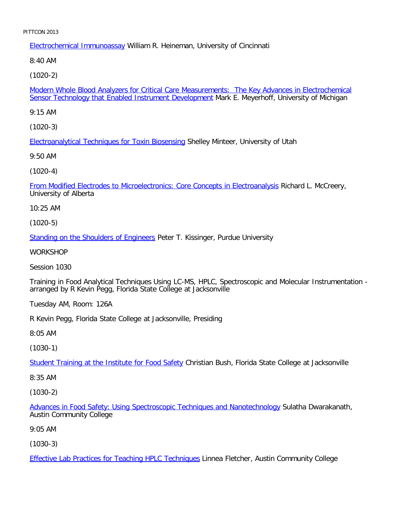Electrochemical Immunoassay William R. Heineman, University of Cincinnati

8:40 AM

[\(1020-2\)](file:///p|/print%20on%20demand%20titles/23101-23200/23133/23133%20source%20materials/papers/1020-2.htm)

Modern Whole Blood Analyzers for Critical Care Measurements: The Key Advances in Electrochemical Sensor Technology that Enabled Instrument Development Mark E. Meyerhoff, University of Michigan

9:15 AM

[\(1020-3\)](file:///p|/print%20on%20demand%20titles/23101-23200/23133/23133%20source%20materials/papers/1020-3.htm)

Electroanalytical Techniques for Toxin Biosensing Shelley Minteer, University of Utah

9:50 AM

[\(1020-4\)](file:///p|/print%20on%20demand%20titles/23101-23200/23133/23133%20source%20materials/papers/1020-4.htm)

From Modified Electrodes to Microelectronics: Core Concepts in Electroanalysis Richard L. McCreery, University of Alberta

10:25 AM

(1020-5)

[Standing on the Shoulders of Engineer](file:///p|/print%20on%20demand%20titles/23101-23200/23133/23133%20source%20materials/papers/1020-5.htm)s Peter T. Kissinger, Purdue University

WORKSHOP

Session 1030

Training in Food Analytical Techniques Using LC-MS, HPLC, Spectroscopic and Molecular Instrumentation arranged by R Kevin Pegg, Florida State College at Jacksonville

Tuesday AM, Room: 126A

R Kevin Pegg, Florida State College at Jacksonville, Presiding

8:05 AM

(1030-1)

Student Training at the Institute for Food Safety Christian Bush, Florida State College at Jacksonville

[8:35 AM](file:///p|/print%20on%20demand%20titles/23101-23200/23133/23133%20source%20materials/papers/1030-1.htm)

(1030-2)

Advances in Food Safety: Using Spectroscopic Techniques and Nanotechnology Sulatha Dwarakanath, Austin Community College

[9:05 AM](file:///p|/print%20on%20demand%20titles/23101-23200/23133/23133%20source%20materials/papers/1030-2.htm)

(1030-3)

Effective Lab Practices for Teaching HPLC Techniques Linnea Fletcher, Austin Community College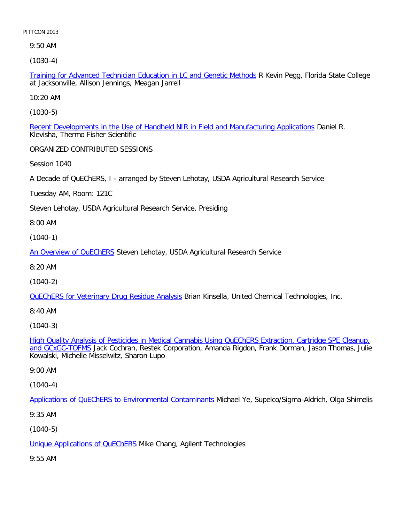9:50 AM

[\(1030-4\)](file:///p|/print%20on%20demand%20titles/23101-23200/23133/23133%20source%20materials/papers/1030-4.htm)

Training for Advanced Technician Education in LC and Genetic Methods R Kevin Pegg, Florida State College at Jacksonville, Allison Jennings, Meagan Jarrell

10:20 AM

[\(1030-5\)](file:///p|/print%20on%20demand%20titles/23101-23200/23133/23133%20source%20materials/papers/1030-5.htm)

Recent Developments in the Use of Handheld NIR in Field and Manufacturing Applications Daniel R. Klevisha, Thermo Fisher Scientific

ORGANIZED CONTRIBUTED SESSIONS

Session 1040

A Decade of QuEChERS, I - arranged by Steven Lehotay, USDA Agricultural Research Service

Tuesday AM, Room: 121C

Steven Lehotay, USDA Agricultural Research Service, Presiding

8:00 AM

(1040-1)

[An Overview of QuEChE](file:///p|/print%20on%20demand%20titles/23101-23200/23133/23133%20source%20materials/papers/1040-1.htm)RS Steven Lehotay, USDA Agricultural Research Service

8:20 AM

(1040-2)

[QuEChERS for Veterinary Drug Residue Analysis](file:///p|/print%20on%20demand%20titles/23101-23200/23133/23133%20source%20materials/papers/1040-2.htm) Brian Kinsella, United Chemical Technologies, Inc.

8:40 AM

(1040-3)

High Quality Analysis of Pesticides in Medical Cannabis Using QuEChERS Extraction, Cartridge SPE Cleanup, and GCxGC-TOFMS [Jack Cochran, Restek Corporation, Amanda Rigdon, Frank Dorman, Jason Thomas, Julie](file:///p|/print%20on%20demand%20titles/23101-23200/23133/23133%20source%20materials/papers/1040-3.htm) [Kowalski, Miche](file:///p|/print%20on%20demand%20titles/23101-23200/23133/23133%20source%20materials/papers/1040-3.htm)lle Misselwitz, Sharon Lupo

9:00 AM

(1040-4)

Applications of QuEChERS to Environmental Contaminants Michael Ye, Supelco/Sigma-Aldrich, Olga Shimelis

[9:35 AM](file:///p|/print%20on%20demand%20titles/23101-23200/23133/23133%20source%20materials/papers/1040-4.htm)

(1040-5)

Unique Applications of QuEChERS Mike Chang, Agilent Technologies

[9:55 AM](file:///p|/print%20on%20demand%20titles/23101-23200/23133/23133%20source%20materials/papers/1040-5.htm)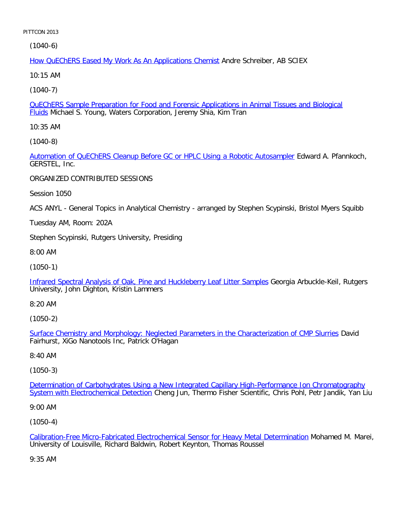(1040-6)

How QuEChERS Eased My Work As An Applications Chemist Andre Schreiber, AB SCIEX

10:15 AM

[\(1040-7\)](file:///p|/print%20on%20demand%20titles/23101-23200/23133/23133%20source%20materials/papers/1040-7.htm)

QuEChERS Sample Preparation for Food and Forensic Applications in Animal Tissues and Biological Fluids Michael S. Young, Waters Corporation, Jeremy Shia, Kim Tran

10:35 AM

[\(1040-8\)](file:///p|/print%20on%20demand%20titles/23101-23200/23133/23133%20source%20materials/papers/1040-8.htm)

Automation of QuEChERS Cleanup Before GC or HPLC Using a Robotic Autosampler Edward A. Pfannkoch, GERSTEL, Inc.

ORGANIZED CONTRIBUTED SESSIONS

Session 1050

ACS ANYL - General Topics in Analytical Chemistry - arranged by Stephen Scypinski, Bristol Myers Squibb

Tuesday AM, Room: 202A

Stephen Scypinski, Rutgers University, Presiding

8:00 AM

(1050-1)

[Infrared Spectral Analysis of Oak, Pine and Huckleberry Leaf Litter Samples](file:///p|/print%20on%20demand%20titles/23101-23200/23133/23133%20source%20materials/papers/1050-1.htm) Georgia Arbuckle-Keil, Rutgers University, John Dighton, Kristin Lammers

8:20 AM

(1050-2)

Surface Chemistry and Morphology: Neglected Parameters in the Characterization of CMP Slurries David [Fairhurst, XiGo Nanotools Inc, Patrick O'Hagan](file:///p|/print%20on%20demand%20titles/23101-23200/23133/23133%20source%20materials/papers/1050-2.htm)

8:40 AM

(1050-3)

Determination of Carbohydrates Using a New Integrated Capillary High-Performance Ion Chromatography System with Electrochemical Detection [Cheng Jun, Thermo Fisher Scientific, Chris Pohl, Petr Jandik, Yan Liu](file:///p|/print%20on%20demand%20titles/23101-23200/23133/23133%20source%20materials/papers/1050-3.htm)

[9:00 AM](file:///p|/print%20on%20demand%20titles/23101-23200/23133/23133%20source%20materials/papers/1050-3.htm)

(1050-4)

Calibration-Free Micro-Fabricated Electrochemical Sensor for Heavy Metal Determination Mohamed M. Marei, University of Louisville, Richard Baldwin, Robert Keynton, Thomas Roussel

[9:35 AM](file:///p|/print%20on%20demand%20titles/23101-23200/23133/23133%20source%20materials/papers/1050-4.htm)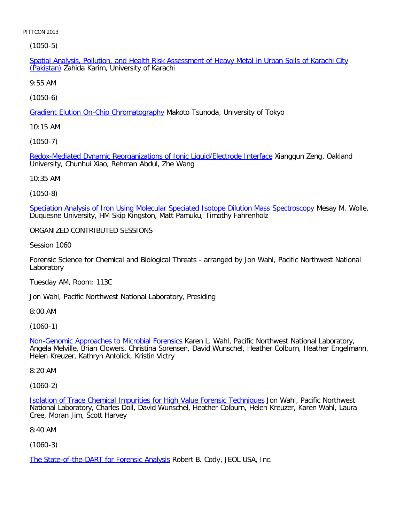[\(1050](file:///p|/print%20on%20demand%20titles/23101-23200/23133/23133%20source%20materials/papers/1050-5.htm)-5)

Spatial Analysis, Pollution, and Health Risk Assessment of Heavy Metal in Urban Soils of Karachi City (Pakistan) Zahida Karim, University of Karachi

9:55 AM

[\(1050-6\)](file:///p|/print%20on%20demand%20titles/23101-23200/23133/23133%20source%20materials/papers/1050-6.htm)

Gradient Elution On-Chip Chromatography Makoto Tsunoda, University of Tokyo

10:15 AM

[\(1050-7\)](file:///p|/print%20on%20demand%20titles/23101-23200/23133/23133%20source%20materials/papers/1050-7.htm)

Redox-Mediated Dynamic Reorganizations of Ionic Liquid/Electrode Interface Xiangqun Zeng, Oakland University, Chunhui Xiao, Rehman Abdul, Zhe Wang

10:35 AM

(1050-8)

[Speciation Analysis of Iron Using Molecular Speciated Isotope Dilution Mass Spectroscopy](file:///p|/print%20on%20demand%20titles/23101-23200/23133/23133%20source%20materials/papers/1050-8.htm) Mesay M. Wolle, Duquesne University, HM Skip Kingston, Matt Pamuku, Timothy Fahrenholz

ORGANIZED CONTRIBUTED SESSIONS

Session 1060

Forensic Science for Chemical and Biological Threats - arranged by Jon Wahl, Pacific Northwest National Laboratory

Tuesday AM, Room: 113C

Jon Wahl, Pacific Northwest National Laboratory, Presiding

8:00 AM

(1060-1)

Non-Genomic Approaches to Microbial Forensics Karen L. Wahl, Pacific Northwest National Laboratory, [Angela Melville, Brian Clowers, Christina Sorense](file:///p|/print%20on%20demand%20titles/23101-23200/23133/23133%20source%20materials/papers/1060-1.htm)n, David Wunschel, Heather Colburn, Heather Engelmann, Helen Kreuzer, Kathryn Antolick, Kristin Victry

8:20 AM

(1060-2)

Isolation of Trace Chemical Impurities for High Value Forensic Techniques Jon Wahl, Pacific Northwest National Laboratory, Charles Doll, David Wunschel, Heather Colburn, Helen Kreuzer, Karen Wahl, Laura [Cree, Moran Jim, Scott Harvey](file:///p|/print%20on%20demand%20titles/23101-23200/23133/23133%20source%20materials/papers/1060-2.htm)

8:40 AM

(1060-3)

The State-of-the-DART for Forensic Analysis Robert B. Cody, JEOL USA, Inc.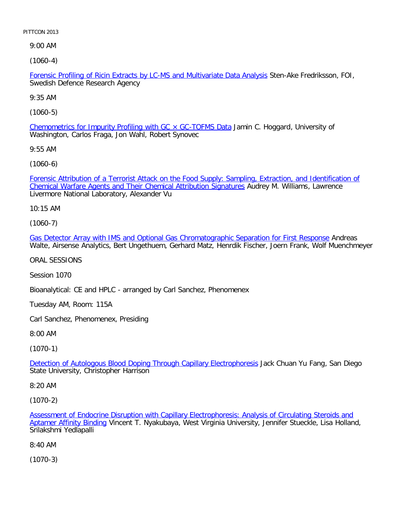9:00 AM

[\(1060-4\)](file:///p|/print%20on%20demand%20titles/23101-23200/23133/23133%20source%20materials/papers/1060-4.htm)

Forensic Profiling of Ricin Extracts by LC-MS and Multivariate Data Analysis Sten-Ake Fredriksson, FOI, Swedish Defence Research Agency

9:35 AM

[\(1060-5\)](file:///p|/print%20on%20demand%20titles/23101-23200/23133/23133%20source%20materials/papers/1060-5.htm)

Chemometrics for Impurity Profiling with GC  $\times$  GC-TOFMS Data Jamin C. Hoggard, University of Washington, Carlos Fraga, Jon Wahl, Robert Synovec

9:55 AM

[\(1060-6\)](file:///p|/print%20on%20demand%20titles/23101-23200/23133/23133%20source%20materials/papers/1060-6.htm)

[Forensic Attribution of a Terrorist Attack on the Food Supply: Samplin](file:///p|/print%20on%20demand%20titles/23101-23200/23133/23133%20source%20materials/papers/1060-6.htm)g, Extraction, and Identification of Chemical Warfare Agents and Their Chemical Attribution Signatures Audrey M. Williams, Lawrence Livermore National Laboratory, Alexander Vu

10:15 AM

(1060-7)

[Gas Detector Array with IMS and Optional Gas Chromatographic Separation for First Response](file:///p|/print%20on%20demand%20titles/23101-23200/23133/23133%20source%20materials/papers/1060-7.htm) Andreas Walte, Airsense Analytics, Bert Ungethuem, Gerhard Matz, Henrdik Fischer, Joern Frank, Wolf Muenchmeyer

ORAL SESSIONS

Session 1070

Bioanalytical: CE and HPLC - arranged by Carl Sanchez, Phenomenex

Tuesday AM, Room: 115A

Carl Sanchez, Phenomenex, Presiding

8:00 AM

(1070-1)

Detection of Autologous Blood Doping Through Capillary Electrophoresis Jack Chuan Yu Fang, San Diego [State University, Christopher Harrison](file:///p|/print%20on%20demand%20titles/23101-23200/23133/23133%20source%20materials/papers/1070-1.htm)

8:20 AM

(1070-2)

Assessment of Endocrine Disruption with Capillary Electrophoresis: Analysis of Circulating Steroids and Aptamer Affinity Binding Vincent T. Nyakubaya, West Virginia University, Jennifer Stueckle, Lisa Holland, [Srilakshmi Yedlapalli](file:///p|/print%20on%20demand%20titles/23101-23200/23133/23133%20source%20materials/papers/1070-2.htm)

[8:40 AM](file:///p|/print%20on%20demand%20titles/23101-23200/23133/23133%20source%20materials/papers/1070-2.htm)

(1070-3)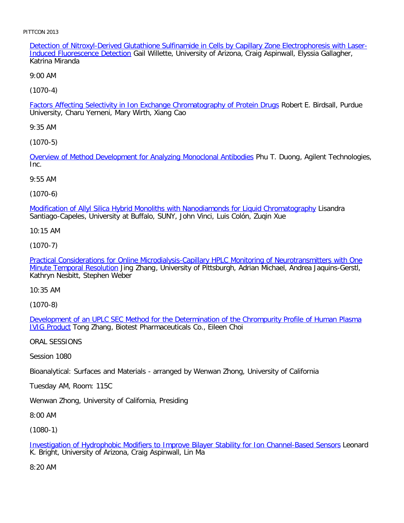Detection of Nitroxyl-Derived Glutathione Sulfinamide in Cells by Capillary Zone Electrophoresis with Laser-Induced Fluorescence Detection Gail Willette, University of Arizona, Craig Aspinwall, Elyssia Gallagher, Katrina Miranda

9:00 AM

[\(1070-4\)](file:///p|/print%20on%20demand%20titles/23101-23200/23133/23133%20source%20materials/papers/1070-4.htm)

Factors Affecting Selectivity in Ion Exchange Chromatography of Protein Drugs Robert E. Birdsall, Purdue University, Charu Yerneni, Mary Wirth, Xiang Cao

9:35 AM

[\(1070-5\)](file:///p|/print%20on%20demand%20titles/23101-23200/23133/23133%20source%20materials/papers/1070-5.htm)

Overview of Method Development for Analyzing Monoclonal Antibodies Phu T. Duong, Agilent Technologies, Inc.

9:55 AM

(1070-6)

[Modification of Allyl Silica Hybrid Monoliths with Nanodiamonds for Liquid Chromatography](file:///p|/print%20on%20demand%20titles/23101-23200/23133/23133%20source%20materials/papers/1070-6.htm) Lisandra Santiago-Capeles, University at Buffalo, SUNY, John Vinci, Luis Colón, Zuqin Xue

10:15 AM

(1070-7)

[Practical Considerations for Online Microdialysis-Capillary HPLC Monitoring of Neurotransmitters with One](file:///p|/print%20on%20demand%20titles/23101-23200/23133/23133%20source%20materials/papers/1070-7.htm) [Minute Temporal Resoluti](file:///p|/print%20on%20demand%20titles/23101-23200/23133/23133%20source%20materials/papers/1070-7.htm)on Jing Zhang, University of Pittsburgh, Adrian Michael, Andrea Jaquins-Gerstl, Kathryn Nesbitt, Stephen Weber

10:35 AM

(1070-8)

Development of an UPLC SEC Method for the Determination of the Chrompurity Profile of Human Plasma [IVIG Pro](file:///p|/print%20on%20demand%20titles/23101-23200/23133/23133%20source%20materials/papers/1070-8.htm)duct [Tong Zhang, Biotest Pharmaceuticals Co., Eileen Choi](file:///p|/print%20on%20demand%20titles/23101-23200/23133/23133%20source%20materials/papers/1070-8.htm)

ORAL SESSIONS

Session 1080

Bioanalytical: Surfaces and Materials - arranged by Wenwan Zhong, University of California

Tuesday AM, Room: 115C

Wenwan Zhong, University of California, Presiding

8:00 AM

(1080-1)

Investigation of Hydrophobic Modifiers to Improve Bilayer Stability for Ion Channel-Based Sensors Leonard K. Bright, University of Arizona, Craig Aspinwall, Lin Ma

[8:20 AM](file:///p|/print%20on%20demand%20titles/23101-23200/23133/23133%20source%20materials/papers/1080-1.htm)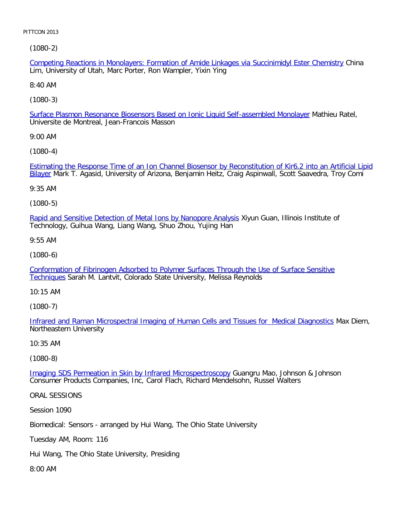[\(1080-2\)](file:///p|/print%20on%20demand%20titles/23101-23200/23133/23133%20source%20materials/papers/1080-2.htm)

Competing Reactions in Monolayers: Formation of Amide Linkages via Succinimidyl Ester Chemistry China Lim, University of Utah, Marc Porter, Ron Wampler, Yixin Ying

8:40 AM

[\(1080-3\)](file:///p|/print%20on%20demand%20titles/23101-23200/23133/23133%20source%20materials/papers/1080-3.htm)

Surface Plasmon Resonance Biosensors Based on Ionic Liquid Self-assembled Monolayer Mathieu Ratel, Universite de Montreal, Jean-Francois Masson

9:00 AM

[\(1080-4\)](file:///p|/print%20on%20demand%20titles/23101-23200/23133/23133%20source%20materials/papers/1080-4.htm)

[Es](file:///p|/print%20on%20demand%20titles/23101-23200/23133/23133%20source%20materials/papers/1080-4.htm)timating the Response Time of an Ion Channel Biosensor by Reconstitution of Kir6.2 into an Artificial Lipid Bilayer Mark T. Agasid, University of Arizona, Benjamin Heitz, Craig Aspinwall, Scott Saavedra, Troy Comi

9:35 AM

(1080-5)

[Rapid and Sensitive Detection of Metal Ions by Nanopore Analysis](file:///p|/print%20on%20demand%20titles/23101-23200/23133/23133%20source%20materials/papers/1080-5.htm) Xiyun Guan, Illinois Institute of Technology, Guihua Wang, Liang Wang, Shuo Zhou, Yujing Han

9:55 AM

(1080-6)

[Conformation of Fibrinogen Adsorbed to Polymer Surfaces Through the Use of Surface Sensitive](file:///p|/print%20on%20demand%20titles/23101-23200/23133/23133%20source%20materials/papers/1080-6.htm) [Techni](file:///p|/print%20on%20demand%20titles/23101-23200/23133/23133%20source%20materials/papers/1080-6.htm)ques Sarah M. Lantvit, Colorado State University, Melissa Reynolds

10:15 AM

(1080-7)

Infrared and Raman Microspectral Imaging of Human Cells and Tissues for Medical Diagnostics Max Diem, [Northeastern University](file:///p|/print%20on%20demand%20titles/23101-23200/23133/23133%20source%20materials/papers/1080-7.htm)

10:35 AM

(1080-8)

Imaging SDS Permeation in Skin by Infrared Microspectroscopy Guangru Mao, Johnson & Johnson [Consumer Products Companies, Inc, Carol Flach, Richard Mendel](file:///p|/print%20on%20demand%20titles/23101-23200/23133/23133%20source%20materials/papers/1080-8.htm)sohn, Russel Walters

ORAL SESSIONS

Session 1090

Biomedical: Sensors - arranged by Hui Wang, The Ohio State University

Tuesday AM, Room: 116

Hui Wang, The Ohio State University, Presiding

8:00 AM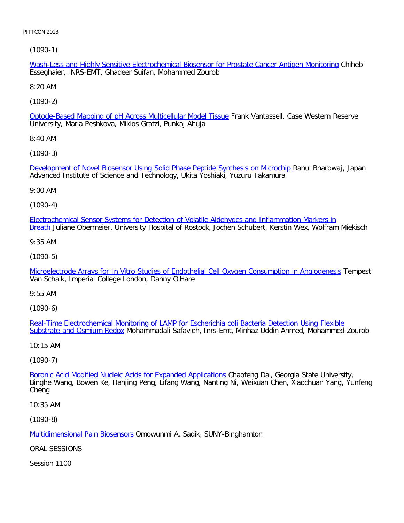[\(1090-1\)](file:///p|/print%20on%20demand%20titles/23101-23200/23133/23133%20source%20materials/papers/1090-1.htm)

Wash-Less and Highly Sensitive Electrochemical Biosensor for Prostate Cancer Antigen Monitoring Chiheb Esseghaier, INRS-EMT, Ghadeer Suifan, Mohammed Zourob

8:20 AM

[\(1090-2\)](file:///p|/print%20on%20demand%20titles/23101-23200/23133/23133%20source%20materials/papers/1090-2.htm)

Optode-Based Mapping of pH Across Multicellular Model Tissue Frank Vantassell, Case Western Reserve University, Maria Peshkova, Miklos Gratzl, Punkaj Ahuja

8:40 AM

[\(1090-3\)](file:///p|/print%20on%20demand%20titles/23101-23200/23133/23133%20source%20materials/papers/1090-3.htm)

Development of Novel Biosensor Using Solid Phase Peptide Synthesis on Microchip Rahul Bhardwaj, Japan Advanced Institute of Science and Technology, Ukita Yoshiaki, Yuzuru Takamura

9:00 AM

(1090-4)

[Electrochemical Sensor Systems for Detection of Volatile Aldehydes and Inflammation Markers in](file:///p|/print%20on%20demand%20titles/23101-23200/23133/23133%20source%20materials/papers/1090-4.htm) Breath Juliane Obermeier, University Hospital of Rostock, Jochen Schubert, Kerstin Wex, Wolfram Miekisch

9:35 AM

(1090-5)

[Microelectrode Arrays for In Vitro Studies of Endothelial Cell Oxygen Consumption in Angiogenesis](file:///p|/print%20on%20demand%20titles/23101-23200/23133/23133%20source%20materials/papers/1090-5.htm) Tempest Van Schaik, Imperial College London, Danny O'Hare

9:55 AM

(1090-6)

Real-Time Electrochemical Monitoring of LAMP for Escherichia coli Bacteria Detection Using Flexible [Substrate and Osmium Red](file:///p|/print%20on%20demand%20titles/23101-23200/23133/23133%20source%20materials/papers/1090-6.htm)ox [Mohammadali Safavieh, Inrs-Emt, Minhaz Uddin Ahmed, Mohammed Zour](file:///p|/print%20on%20demand%20titles/23101-23200/23133/23133%20source%20materials/papers/1090-6.htm)ob

10:15 AM

(1090-7)

Boronic Acid Modified Nucleic Acids for Expanded Applications Chaofeng Dai, Georgia State University, [Binghe Wang, Bowen Ke, Hanjing Peng, Lifang Wang, Nanting](file:///p|/print%20on%20demand%20titles/23101-23200/23133/23133%20source%20materials/papers/1090-7.htm) Ni, Weixuan Chen, Xiaochuan Yang, Yunfeng Cheng

10:35 AM

(1090-8)

Multidimensional Pain Biosensors Omowunmi A. Sadik, SUNY-Binghamton

[ORAL SESSIONS](file:///p|/print%20on%20demand%20titles/23101-23200/23133/23133%20source%20materials/papers/1090-8.htm)

Session 1100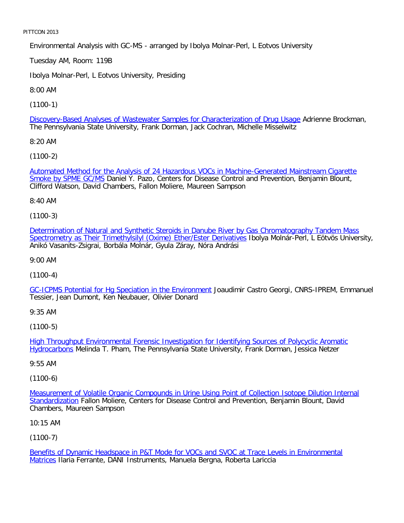Environmental Analysis with GC-MS - arranged by Ibolya Molnar-Perl, L Eotvos University

Tuesday AM, Room: 119B

Ibolya Molnar-Perl, L Eotvos University, Presiding

8:00 AM

[\(1100-1\)](file:///p|/print%20on%20demand%20titles/23101-23200/23133/23133%20source%20materials/papers/1100-1.htm)

Discovery-Based Analyses of Wastewater Samples for Characterization of Drug Usage Adrienne Brockman, The Pennsylvania State University, Frank Dorman, Jack Cochran, Michelle Misselwitz

8:20 AM

[\(1100-2\)](file:///p|/print%20on%20demand%20titles/23101-23200/23133/23133%20source%20materials/papers/1100-2.htm)

[Automated Method f](file:///p|/print%20on%20demand%20titles/23101-23200/23133/23133%20source%20materials/papers/1100-2.htm)or the Analysis of 24 Hazardous VOCs in Machine-Generated Mainstream Cigarette Smoke by SPME GC/MS Daniel Y. Pazo, Centers for Disease Control and Prevention, Benjamin Blount, Clifford Watson, David Chambers, Fallon Moliere, Maureen Sampson

8:40 AM

(1100-3)

[Determination of Natural and Synthetic Steroids in Danube River by Gas Chromatography Tandem Mass](file:///p|/print%20on%20demand%20titles/23101-23200/23133/23133%20source%20materials/papers/1100-3.htm) [Spectrometry as Their Trimethylsilyl \(Oxime\) Ether/Ester Derivatives](file:///p|/print%20on%20demand%20titles/23101-23200/23133/23133%20source%20materials/papers/1100-3.htm) Ibolya Molnár-Perl, L Eötvös University, Anikó Vasanits-Zsigrai, Borbála Molnár, Gyula Záray, Nóra Andrási

9:00 AM

(1100-4)

[GC-ICPMS Potential for Hg Speciation in the Environment](file:///p|/print%20on%20demand%20titles/23101-23200/23133/23133%20source%20materials/papers/1100-4.htm) Joaudimir Castro Georgi, CNRS-IPREM, Emmanuel Tessier, Jean Dumont, Ken Neubauer, Olivier Donard

9:35 AM

(1100-5)

High Throughput Environmental Forensic Investigation for Identifying Sources of Polycyclic Aromatic Hydrocarbons [Melinda T. Pham, The Pennsylvania State University, Frank Dorman, Jessica Netzer](file:///p|/print%20on%20demand%20titles/23101-23200/23133/23133%20source%20materials/papers/1100-5.htm)

[9:55 AM](file:///p|/print%20on%20demand%20titles/23101-23200/23133/23133%20source%20materials/papers/1100-5.htm)

(1100-6)

Measurement of Volatile Organic Compounds in Urine Using Point of Collection Isotope Dilution Internal Standardization Fallon Moliere, Centers for Disease Control and Prevention, Benjamin Blount, David [Chambers, Maureen Sampson](file:///p|/print%20on%20demand%20titles/23101-23200/23133/23133%20source%20materials/papers/1100-6.htm)

[10:15 AM](file:///p|/print%20on%20demand%20titles/23101-23200/23133/23133%20source%20materials/papers/1100-6.htm)

(1100-7)

Benefits of Dynamic Headspace in P&T Mode for VOCs and SVOC at Trace Levels in Environmental Matrices Ilaria Ferrante, DANI Instruments, Manuela Bergna, Roberta Lariccia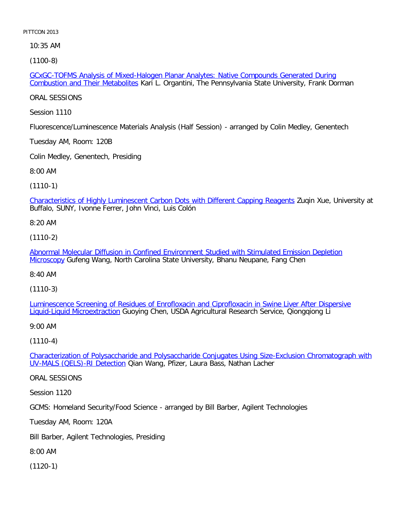10:35 AM

[\(1100-8\)](file:///p|/print%20on%20demand%20titles/23101-23200/23133/23133%20source%20materials/papers/1100-8.htm)

GCxGC-TOFMS Analysis of Mixed-Halogen Planar Analytes: Native Compounds Generated During Combustion and Their Metabolites Kari L. Organtini, The Pennsylvania State University, Frank Dorman

ORAL SESSIONS

Session 1110

Fluorescence/Luminescence Materials Analysis (Half Session) - arranged by Colin Medley, Genentech

Tuesday AM, Room: 120B

Colin Medley, Genentech, Presiding

8:00 AM

(1110-1)

[Characteristics of Highly Luminescent Carbon Dots with Different Capping Reagents](file:///p|/print%20on%20demand%20titles/23101-23200/23133/23133%20source%20materials/papers/1110-1.htm) Zuqin Xue, University at Buffalo, SUNY, Ivonne Ferrer, John Vinci, Luis Colón

8:20 AM

(1110-2)

[Abnormal Molecular Diffusion in Confined Environment Studied with Stimulated Emission Depletion](file:///p|/print%20on%20demand%20titles/23101-23200/23133/23133%20source%20materials/papers/1110-2.htm) [Micros](file:///p|/print%20on%20demand%20titles/23101-23200/23133/23133%20source%20materials/papers/1110-2.htm)copy Gufeng Wang, North Carolina State University, Bhanu Neupane, Fang Chen

8:40 AM

(1110-3)

[Luminescence Screening of Residues of Enrofloxacin and Ciprofloxacin in Swine Liver After Dispersive](file:///p|/print%20on%20demand%20titles/23101-23200/23133/23133%20source%20materials/papers/1110-3.htm) [Liquid-Liquid Microextracti](file:///p|/print%20on%20demand%20titles/23101-23200/23133/23133%20source%20materials/papers/1110-3.htm)on Guoying Chen, USDA Agricultural Research Service, Qiongqiong Li

9:00 AM

(1110-4)

Characterization of Polysaccharide and Polysaccharide Conjugates Using Size-Exclusion Chromatograph with UV-MALS (QELS)-RI Detection [Qian Wang, Pfizer, Laura Bass, Nathan Lacher](file:///p|/print%20on%20demand%20titles/23101-23200/23133/23133%20source%20materials/papers/1110-4.htm)

[ORAL SESSIONS](file:///p|/print%20on%20demand%20titles/23101-23200/23133/23133%20source%20materials/papers/1110-4.htm)

Session 1120

GCMS: Homeland Security/Food Science - arranged by Bill Barber, Agilent Technologies

Tuesday AM, Room: 120A

Bill Barber, Agilent Technologies, Presiding

8:00 AM

(1120-1)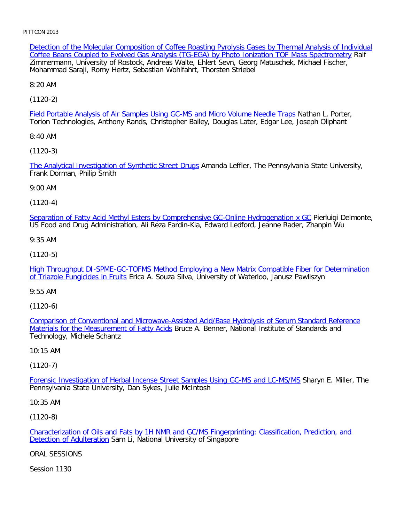Detection of the Molecular Composition of Coffee Roasting Pyrolysis Gases by Thermal Analysis of Individual Coffee Beans Coupled to Evolved Gas Analysis (TG-EGA) by Photo Ionization TOF Mass Spectrometry Ralf Zimmermann, University of Rostock, Andreas Walte, Ehlert Sevn, Georg Matuschek, Michael Fischer, Mohammad Saraji, Romy Hertz, Sebastian Wohlfahrt, Thorsten Striebel

8:20 AM

[\(1120-2\)](file:///p|/print%20on%20demand%20titles/23101-23200/23133/23133%20source%20materials/papers/1120-2.htm)

Field Portable Analysis of Air Samples Using GC-MS and Micro Volume Needle Traps Nathan L. Porter, Torion Technologies, Anthony Rands, Christopher Bailey, Douglas Later, Edgar Lee, Joseph Oliphant

8:40 AM

[\(1120-3\)](file:///p|/print%20on%20demand%20titles/23101-23200/23133/23133%20source%20materials/papers/1120-3.htm)

The Analytical Investigation of Synthetic Street Drugs Amanda Leffler, The Pennsylvania State University, Frank Dorman, Philip Smith

9:00 AM

(1120-4)

[Separation of Fatty Acid Methyl Esters by Comprehensive GC-Online Hydrogenation x GC](file:///p|/print%20on%20demand%20titles/23101-23200/23133/23133%20source%20materials/papers/1120-4.htm) Pierluigi Delmonte, US Food and Drug Administration, Ali Reza Fardin-Kia, Edward Ledford, Jeanne Rader, Zhanpin Wu

9:35 AM

(1120-5)

[High Throughput DI-SPME-GC-TOFMS Method Employing a New Matrix Compatible Fiber for Determination](file:///p|/print%20on%20demand%20titles/23101-23200/23133/23133%20source%20materials/papers/1120-5.htm) [of Triazole Fungicides in Fru](file:///p|/print%20on%20demand%20titles/23101-23200/23133/23133%20source%20materials/papers/1120-5.htm)its Erica A. Souza Silva, University of Waterloo, Janusz Pawliszyn

9:55 AM

(1120-6)

Comparison of Conventional and Microwave-Assisted Acid/Base Hydrolysis of Serum Standard Reference Materials for the Measurement of Fatty Acids [Bruce A. Benner, National Institute of Standards and](file:///p|/print%20on%20demand%20titles/23101-23200/23133/23133%20source%20materials/papers/1120-6.htm) [Technology, Michele Schantz](file:///p|/print%20on%20demand%20titles/23101-23200/23133/23133%20source%20materials/papers/1120-6.htm)

10:15 AM

(1120-7)

Forensic Investigation of Herbal Incense Street Samples Using GC-MS and LC-MS/MS Sharyn E. Miller, The [Pennsylvania State University, Dan Sykes, Julie McIntosh](file:///p|/print%20on%20demand%20titles/23101-23200/23133/23133%20source%20materials/papers/1120-7.htm)

10:35 AM

(1120-8)

Characterization of Oils and Fats by 1H NMR and GC/MS Fingerprinting: Classification, Prediction, and Detection of Adulteration Sam Li, National University of Singapore

[ORAL SESSIONS](file:///p|/print%20on%20demand%20titles/23101-23200/23133/23133%20source%20materials/papers/1120-8.htm)

Session 1130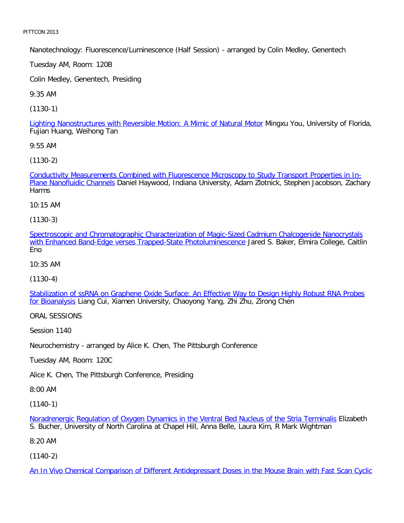Nanotechnology: Fluorescence/Luminescence (Half Session) - arranged by Colin Medley, Genentech

Tuesday AM, Room: 120B

Colin Medley, Genentech, Presiding

9:35 AM

[\(1130-1\)](file:///p|/print%20on%20demand%20titles/23101-23200/23133/23133%20source%20materials/papers/1130-1.htm)

Lighting Nanostructures with Reversible Motion: A Mimic of Natural Motor Mingxu You, University of Florida, Fujian Huang, Weihong Tan

9:55 AM

[\(1130-2\)](file:///p|/print%20on%20demand%20titles/23101-23200/23133/23133%20source%20materials/papers/1130-2.htm)

[Conductivity Measureme](file:///p|/print%20on%20demand%20titles/23101-23200/23133/23133%20source%20materials/papers/1130-2.htm)nts Combined with Fluorescence Microscopy to Study Transport Properties in In-Plane Nanofluidic Channels Daniel Haywood, Indiana University, Adam Zlotnick, Stephen Jacobson, Zachary **Harms** 

10:15 AM

(1130-3)

[Spectroscopic and Chromatographic Characterization of Magic-Sized Cadmium Chalcogenide Nanocrystals](file:///p|/print%20on%20demand%20titles/23101-23200/23133/23133%20source%20materials/papers/1130-3.htm) [with Enhanced Band-Edge verses Trapped-State Photoluminescence](file:///p|/print%20on%20demand%20titles/23101-23200/23133/23133%20source%20materials/papers/1130-3.htm) Jared S. Baker, Elmira College, Caitlin Eno

10:35 AM

(1130-4)

[Stabilization of ssRNA on Graphene Oxide Surface: An Effective Way to Design Highly Robust RNA Probes](file:///p|/print%20on%20demand%20titles/23101-23200/23133/23133%20source%20materials/papers/1130-4.htm) [for Bioana](file:///p|/print%20on%20demand%20titles/23101-23200/23133/23133%20source%20materials/papers/1130-4.htm)lysis Liang Cui, Xiamen University, Chaoyong Yang, Zhi Zhu, Zirong Chen

ORAL SESSIONS

Session 1140

Neurochemistry - arranged by Alice K. Chen, The Pittsburgh Conference

Tuesday AM, Room: 120C

Alice K. Chen, The Pittsburgh Conference, Presiding

8:00 AM

(1140-1)

Noradrenergic Regulation of Oxygen Dynamics in the Ventral Bed Nucleus of the Stria Terminalis Elizabeth S. Bucher, University of North Carolina at Chapel Hill, Anna Belle, Laura Kim, R Mark Wightman

[8:20 AM](file:///p|/print%20on%20demand%20titles/23101-23200/23133/23133%20source%20materials/papers/1140-1.htm)

(1140-2)

An In Vivo Chemical Comparison of Different Antidepressant Doses in the Mouse Brain with Fast Scan Cyclic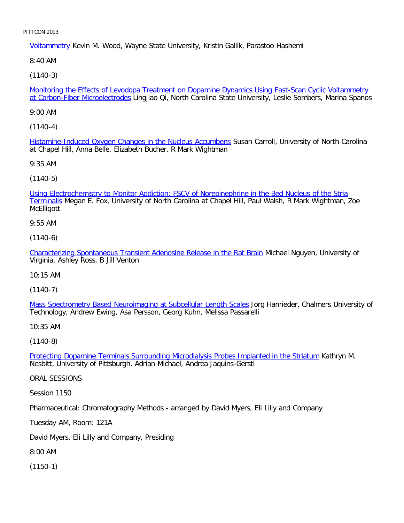Voltammetry Kevin M. Wood, Wayne State University, Kristin Gallik, Parastoo Hashemi

8:40 AM

[\(1140-3\)](file:///p|/print%20on%20demand%20titles/23101-23200/23133/23133%20source%20materials/papers/1140-3.htm)

Monitoring the Effects of Levodopa Treatment on Dopamine Dynamics Using Fast-Scan Cyclic Voltammetry at Carbon-Fiber Microelectrodes Lingjiao Qi, North Carolina State University, Leslie Sombers, Marina Spanos

9:00 AM

[\(1140-4\)](file:///p|/print%20on%20demand%20titles/23101-23200/23133/23133%20source%20materials/papers/1140-4.htm)

Histamine-Induced Oxygen Changes in the Nucleus Accumbens Susan Carroll, University of North Carolina at Chapel Hill, Anna Belle, Elizabeth Bucher, R Mark Wightman

9:35 AM

(1140-5)

[Using Electrochemistry to Monitor Addiction: FSCV of Norepinephrine in the Bed Nucleus of the Stria](file:///p|/print%20on%20demand%20titles/23101-23200/23133/23133%20source%20materials/papers/1140-5.htm) Terminalis Megan E. Fox, University of North Carolina at Chapel Hill, Paul Walsh, R Mark Wightman, Zoe **McElligott** 

9:55 AM

(1140-6)

[Characterizing Spontaneous Transient Adenosine Release in the Rat Brain](file:///p|/print%20on%20demand%20titles/23101-23200/23133/23133%20source%20materials/papers/1140-6.htm) Michael Nguyen, University of Virginia, Ashley Ross, B Jill Venton

10:15 AM

(1140-7)

Mass Spectrometry Based Neuroimaging at Subcellular Length Scales Jorg Hanrieder, Chalmers University of [Technology, Andrew Ewing, Asa Persson, Georg Kuhn, Melissa Passare](file:///p|/print%20on%20demand%20titles/23101-23200/23133/23133%20source%20materials/papers/1140-7.htm)lli

10:35 AM

(1140-8)

Protecting Dopamine Terminals Surrounding Microdialysis Probes Implanted in the Striatum Kathryn M. [Nesbitt, University of Pittsburgh, Adrian Michael, Andrea Jaquins-Gerstl](file:///p|/print%20on%20demand%20titles/23101-23200/23133/23133%20source%20materials/papers/1140-8.htm)

ORAL SESSIONS

Session 1150

Pharmaceutical: Chromatography Methods - arranged by David Myers, Eli Lilly and Company

Tuesday AM, Room: 121A

David Myers, Eli Lilly and Company, Presiding

8:00 AM

(1150-1)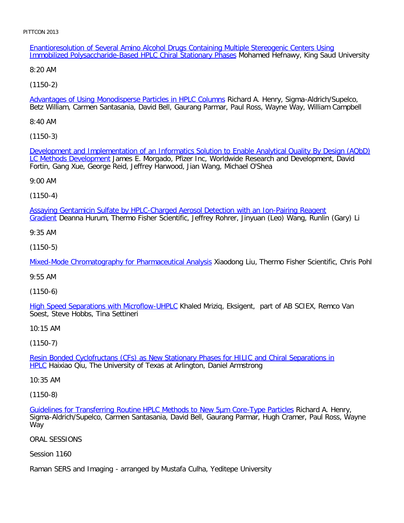Enantioresolution of Several Amino Alcohol Drugs Containing Multiple Stereogenic Centers Using Immobilized Polysaccharide-Based HPLC Chiral Stationary Phases Mohamed Hefnawy, King Saud University

8:20 AM

[\(1150-2\)](file:///p|/print%20on%20demand%20titles/23101-23200/23133/23133%20source%20materials/papers/1150-2.htm)

Advantages of Using Monodisperse Particles in HPLC Columns Richard A. Henry, Sigma-Aldrich/Supelco, Betz William, Carmen Santasania, David Bell, Gaurang Parmar, Paul Ross, Wayne Way, William Campbell

8:40 AM

[\(1150-3\)](file:///p|/print%20on%20demand%20titles/23101-23200/23133/23133%20source%20materials/papers/1150-3.htm)

[Development and Impl](file:///p|/print%20on%20demand%20titles/23101-23200/23133/23133%20source%20materials/papers/1150-3.htm)ementation of an Informatics Solution to Enable Analytical Quality By Design (AQbD) LC Methods Development James E. Morgado, Pfizer Inc, Worldwide Research and Development, David Fortin, Gang Xue, George Reid, Jeffrey Harwood, Jian Wang, Michael O'Shea

9:00 AM

(1150-4)

[Assaying Gentamicin Sulfate by HPLC-Charged Aerosol Detection with an Ion-Pairing Reagent](file:///p|/print%20on%20demand%20titles/23101-23200/23133/23133%20source%20materials/papers/1150-4.htm) Gradient Deanna Hurum, Thermo Fisher Scientific, Jeffrey Rohrer, Jinyuan (Leo) Wang, Runlin (Gary) Li

9:35 AM

(1150-5)

[Mixed-Mode Chromatography for Pharmaceutical Analysis](file:///p|/print%20on%20demand%20titles/23101-23200/23133/23133%20source%20materials/papers/1150-5.htm) Xiaodong Liu, Thermo Fisher Scientific, Chris Pohl

9:55 AM

(1150-6)

High Speed Separations with Microflow-UHPLC Khaled Mriziq, Eksigent, part of AB SCIEX, Remco Van [Soest, Steve Hobbs, Tina Settineri](file:///p|/print%20on%20demand%20titles/23101-23200/23133/23133%20source%20materials/papers/1150-6.htm)

10:15 AM

(1150-7)

Resin Bonded Cyclofructans (CFs) as New Stationary Phases for HILIC and Chiral Separations in **HPLC** [Haixiao Qiu, The University of Texas at Arlington, Daniel Armstrong](file:///p|/print%20on%20demand%20titles/23101-23200/23133/23133%20source%20materials/papers/1150-7.htm)

[1](file:///p|/print%20on%20demand%20titles/23101-23200/23133/23133%20source%20materials/papers/1150-7.htm)0:35 AM

(1150-8)

Guidelines for Transferring Routine HPLC Methods to New 5µm Core-Type Particles Richard A. Henry, Sigma-Aldrich/Supelco, Carmen Santasania, David Bell, Gaurang Parmar, Hugh Cramer, Paul Ross, Wayne [Way](file:///p|/print%20on%20demand%20titles/23101-23200/23133/23133%20source%20materials/papers/1150-8.htm)

ORAL SESSIONS

Session 1160

Raman SERS and Imaging - arranged by Mustafa Culha, Yeditepe University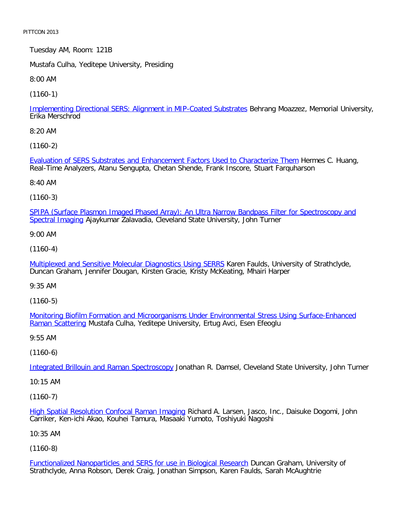Tuesday AM, Room: 121B

Mustafa Culha, Yeditepe University, Presiding

8:00 AM

[\(1160-1\)](file:///p|/print%20on%20demand%20titles/23101-23200/23133/23133%20source%20materials/papers/1160-1.htm)

Implementing Directional SERS: Alignment in MIP-Coated Substrates Behrang Moazzez, Memorial University, Erika Merschrod

8:20 AM

[\(1160-2\)](file:///p|/print%20on%20demand%20titles/23101-23200/23133/23133%20source%20materials/papers/1160-2.htm)

Evaluation of SERS Substrates and Enhancement Factors Used to Characterize Them Hermes C. Huang, Real-Time Analyzers, Atanu Sengupta, Chetan Shende, Frank Inscore, Stuart Farquharson

8:40 AM

(1160-3)

[SPIPA \(Surface Plasmon Imaged Phased Array\): An Ultra Narrow Bandpass Filter for Spectroscopy and](file:///p|/print%20on%20demand%20titles/23101-23200/23133/23133%20source%20materials/papers/1160-3.htm) Spectral Imaging Ajaykumar Zalavadia, Cleveland State University, John Turner

9:00 AM

(1160-4)

[Multiplexed and Sensitive Molecular Diagnostics Using SERRS](file:///p|/print%20on%20demand%20titles/23101-23200/23133/23133%20source%20materials/papers/1160-4.htm) Karen Faulds, University of Strathclyde, Duncan Graham, Jennifer Dougan, Kirsten Gracie, Kristy McKeating, Mhairi Harper

9:35 AM

(1160-5)

Monitoring Biofilm Formation and Microorganisms Under Environmental Stress Using Surface-Enhanced [Raman Scatte](file:///p|/print%20on%20demand%20titles/23101-23200/23133/23133%20source%20materials/papers/1160-5.htm)ring [Mustafa Culha, Yeditepe University, Ertug Avci, Esen Efeoglu](file:///p|/print%20on%20demand%20titles/23101-23200/23133/23133%20source%20materials/papers/1160-5.htm)

9:55 AM

(1160-6)

Integrated Brillouin and Raman Spectroscopy Jonathan R. Damsel, Cleveland State University, John Turner

[10:15 AM](file:///p|/print%20on%20demand%20titles/23101-23200/23133/23133%20source%20materials/papers/1160-6.htm)

(1160-7)

High Spatial Resolution Confocal Raman Imaging Richard A. Larsen, Jasco, Inc., Daisuke Dogomi, John Carriker, Ken-ichi Akao, Kouhei Tamura, Masaaki Yumoto, Toshiyuki Nagoshi

[10:35 AM](file:///p|/print%20on%20demand%20titles/23101-23200/23133/23133%20source%20materials/papers/1160-7.htm)

(1160-8)

Functionalized Nanoparticles and SERS for use in Biological Research Duncan Graham, University of Strathclyde, Anna Robson, Derek Craig, Jonathan Simpson, Karen Faulds, Sarah McAughtrie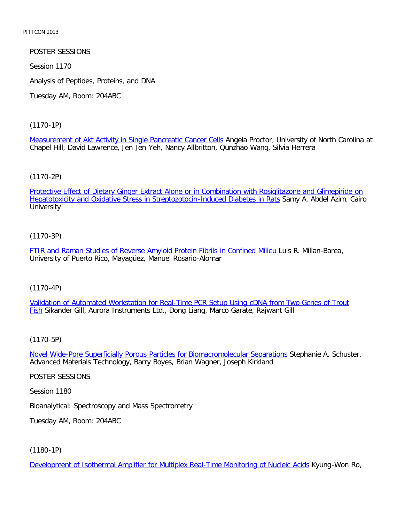# POSTER SESSIONS

Session 1170

Analysis of Peptides, Proteins, and DNA

Tuesday AM, Room: 204ABC

#### [\(1170-1P\)](file:///p|/print%20on%20demand%20titles/23101-23200/23133/23133%20source%20materials/papers/1170-1.htm)

Measurement of Akt Activity in Single Pancreatic Cancer Cells Angela Proctor, University of North Carolina at Chapel Hill, David Lawrence, Jen Jen Yeh, Nancy Allbritton, Qunzhao Wang, Silvia Herrera

## [\(1170-2P\)](file:///p|/print%20on%20demand%20titles/23101-23200/23133/23133%20source%20materials/papers/1170-2.htm)

[Protective Effect of Dietary Ginger Extract Alone or in Combination with Rosiglitazo](file:///p|/print%20on%20demand%20titles/23101-23200/23133/23133%20source%20materials/papers/1170-2.htm)ne and Glimepiride on Hepatotoxicity and Oxidative Stress in Streptozotocin-Induced Diabetes in Rats Samy A. Abdel Azim, Cairo **University** 

# (1170-3P)

[FTIR and Raman Studies of Reverse Amyloid Protein Fibrils in Confined Milieu](file:///p|/print%20on%20demand%20titles/23101-23200/23133/23133%20source%20materials/papers/1170-3.htm) Luis R. Millan-Barea, University of Puerto Rico, Mayagüez, Manuel Rosario-Alomar

## (1170-4P)

Validation of Automated Workstation for Real-Time PCR Setup Using cDNA from Two Genes of Trout Fish [Sikander Gill, Aurora Instruments Ltd., Dong Liang, Marco Garate, Rajwant Gill](file:///p|/print%20on%20demand%20titles/23101-23200/23133/23133%20source%20materials/papers/1170-4.htm)

## (1170-5P)

Novel Wide-Pore Superficially Porous Particles for Biomacromolecular Separations Stephanie A. Schuster, [Advanced Materials Technology, Barry Boyes, Brian Wagner, Joseph Kirkland](file:///p|/print%20on%20demand%20titles/23101-23200/23133/23133%20source%20materials/papers/1170-5.htm)

#### POSTER SESSIONS

Session 1180

Bioanalytical: Spectroscopy and Mass Spectrometry

Tuesday AM, Room: 204ABC

# (1180-1P)

Development of Isothermal Amplifier for Multiplex Real-Time Monitoring of Nucleic Acids Kyung-Won Ro,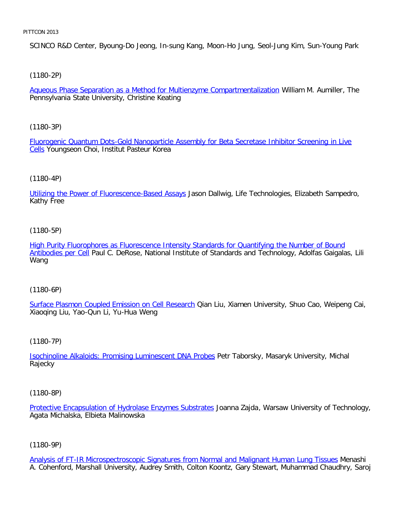SCINCO R&D Center, Byoung-Do Jeong, In-sung Kang, Moon-Ho Jung, Seol-Jung Kim, Sun-Young Park

[\(1180-2P\)](file:///p|/print%20on%20demand%20titles/23101-23200/23133/23133%20source%20materials/papers/1180-2.htm)

Aqueous Phase Separation as a Method for Multienzyme Compartmentalization William M. Aumiller, The Pennsylvania State University, Christine Keating

[\(1180-3P\)](file:///p|/print%20on%20demand%20titles/23101-23200/23133/23133%20source%20materials/papers/1180-3.htm)

Fluorogenic Quantum Dots-Gold Nanoparticle Assembly for Beta Secretase Inhibitor Screening in Live Cells Youngseon Choi, Institut Pasteur Korea

## [\(1180-4P\)](file:///p|/print%20on%20demand%20titles/23101-23200/23133/23133%20source%20materials/papers/1180-4.htm)

Utilizing the Power of Fluorescence-Based Assays Jason Dallwig, Life Technologies, Elizabeth Sampedro, Kathy Free

## (1180-5P)

[High Purity Fluorophores as Fluorescence Intensity Standards for Quantifying the Number of Bound](file:///p|/print%20on%20demand%20titles/23101-23200/23133/23133%20source%20materials/papers/1180-5.htm) [Antibodies per](file:///p|/print%20on%20demand%20titles/23101-23200/23133/23133%20source%20materials/papers/1180-5.htm) Cell Paul C. DeRose, National Institute of Standards and Technology, Adolfas Gaigalas, Lili Wang

## (1180-6P)

Surface Plasmon Coupled Emission on Cell Research Qian Liu, Xiamen University, Shuo Cao, Weipeng Cai, [Xiaoqing Liu, Yao-Qun Li, Yu-Hua Weng](file:///p|/print%20on%20demand%20titles/23101-23200/23133/23133%20source%20materials/papers/1180-6.htm)

## (1180-7P)

Isochinoline Alkaloids: Promising Luminescent DNA Probes Petr Taborsky, Masaryk University, Michal [Rajecky](file:///p|/print%20on%20demand%20titles/23101-23200/23133/23133%20source%20materials/papers/1180-7.htm)

(1180-8P)

Protective Encapsulation of Hydrolase Enzymes Substrates Joanna Zajda, Warsaw University of Technology, Agata Michalska, Elbieta Malinowska

# (1180-9P)

Analysis of FT-IR Microspectroscopic Signatures from Normal and Malignant Human Lung Tissues Menashi A. Cohenford, Marshall University, Audrey Smith, Colton Koontz, Gary Stewart, Muhammad Chaudhry, Saroj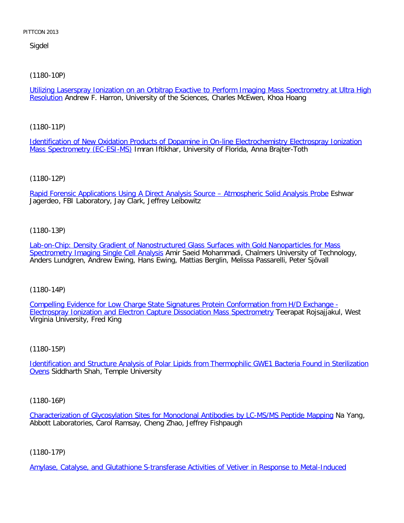Sigdel

[\(1180-10P\)](file:///p|/print%20on%20demand%20titles/23101-23200/23133/23133%20source%20materials/papers/1180-10.htm)

Utilizing Laserspray Ionization on an Orbitrap Exactive to Perform Imaging Mass Spectrometry at Ultra High Resolution Andrew F. Harron, University of the Sciences, Charles McEwen, Khoa Hoang

[\(1180-11P\)](file:///p|/print%20on%20demand%20titles/23101-23200/23133/23133%20source%20materials/papers/1180-11.htm)

[Identification of New Oxidation](file:///p|/print%20on%20demand%20titles/23101-23200/23133/23133%20source%20materials/papers/1180-11.htm) Products of Dopamine in On-line Electrochemistry Electrospray Ionization Mass Spectrometry (EC-ESI-MS) Imran Iftikhar, University of Florida, Anna Brajter-Toth

(1180-12P)

[Rapid Forensic Applications Using A Direct Analysis Source – Atmospheric Solid Analysis Probe](file:///p|/print%20on%20demand%20titles/23101-23200/23133/23133%20source%20materials/papers/1180-12.htm) Eshwar Jagerdeo, FBI Laboratory, Jay Clark, Jeffrey Leibowitz

(1180-13P)

[Lab-on-Chip: Density Gradient of Nanostructured Glass Surfaces with Gold Nanoparticles for Mass](file:///p|/print%20on%20demand%20titles/23101-23200/23133/23133%20source%20materials/papers/1180-13.htm) [Spectrometry Imaging Single Cell Analysi](file:///p|/print%20on%20demand%20titles/23101-23200/23133/23133%20source%20materials/papers/1180-13.htm)s Amir Saeid Mohammadi, Chalmers University of Technology, Anders Lundgren, Andrew Ewing, Hans Ewing, Mattias Berglin, Melissa Passarelli, Peter Sjövall

(1180-14P)

Compelling Evidence for Low Charge State Signatures Protein Conformation from H/D Exchange - **[Electrospray Ionization and Electron Capture Dissociation Mass Spectrometry](file:///p|/print%20on%20demand%20titles/23101-23200/23133/23133%20source%20materials/papers/1180-14.htm) Teerapat Rojsajjakul, West** [Virginia University, Fred King](file:///p|/print%20on%20demand%20titles/23101-23200/23133/23133%20source%20materials/papers/1180-14.htm)

(1180-15P)

Identification and Structure Analysis of Polar Lipids from Thermophilic GWE1 Bacteria Found in Sterilization Ovens [Siddharth Shah, Temple University](file:///p|/print%20on%20demand%20titles/23101-23200/23133/23133%20source%20materials/papers/1180-15.htm)

(1180-16P)

Characterization of Glycosylation Sites for Monoclonal Antibodies by LC-MS/MS Peptide Mapping Na Yang, Abbott Laboratories, Carol Ramsay, Cheng Zhao, Jeffrey Fishpaugh

(1180-17P)

Amylase, Catalyse, and Glutathione S-transferase Activities of Vetiver in Response to Metal-Induced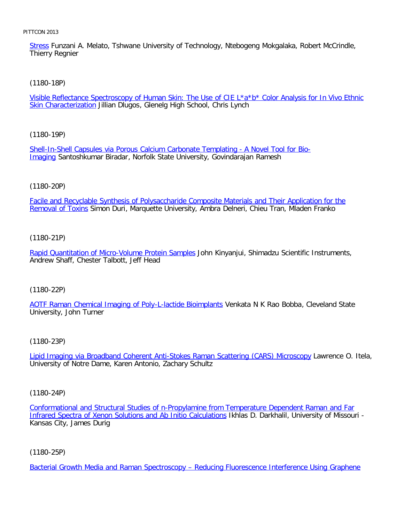Stress Funzani A. Melato, Tshwane University of Technology, Ntebogeng Mokgalaka, Robert McCrindle, Thierry Regnier

[\(1180-18P\)](file:///p|/print%20on%20demand%20titles/23101-23200/23133/23133%20source%20materials/papers/1180-18.htm)

Visible Reflectance Spectroscopy of Human Skin: The Use of CIE L\*a\*b\* Color Analysis for In Vivo Ethnic Skin Characterization Jillian Dlugos, Glenelg High School, Chris Lynch

[\(1180-19P\)](file:///p|/print%20on%20demand%20titles/23101-23200/23133/23133%20source%20materials/papers/1180-19.htm)

[She](file:///p|/print%20on%20demand%20titles/23101-23200/23133/23133%20source%20materials/papers/1180-19.htm)ll-In-Shell Capsules via Porous Calcium Carbonate Templating - A Novel Tool for Bio-Imaging Santoshkumar Biradar, Norfolk State University, Govindarajan Ramesh

# (1180-20P)

[Facile and Recyclable Synthesis of Polysaccharide Composite Materials and Their Application for the](file:///p|/print%20on%20demand%20titles/23101-23200/23133/23133%20source%20materials/papers/1180-20.htm) Removal of Toxins Simon Duri, Marquette University, Ambra Delneri, Chieu Tran, Mladen Franko

(1180-21P)

[Rapid Quantitation of Micro-Volume Protein Samples](file:///p|/print%20on%20demand%20titles/23101-23200/23133/23133%20source%20materials/papers/1180-21.htm) John Kinyanjui, Shimadzu Scientific Instruments, Andrew Shaff, Chester Talbott, Jeff Head

(1180-22P)

[AOTF Raman Chemical Imaging of Poly-L-lactide Bioimplants](file:///p|/print%20on%20demand%20titles/23101-23200/23133/23133%20source%20materials/papers/1180-22.htm) Venkata N K Rao Bobba, Cleveland State University, John Turner

(1180-23P)

Lipid Imaging via Broadband Coherent Anti-Stokes Raman Scattering (CARS) Microscopy Lawrence O. Itela, [University of Notre Dame, Karen Antonio, Zachary Schultz](file:///p|/print%20on%20demand%20titles/23101-23200/23133/23133%20source%20materials/papers/1180-23.htm)

(1180-24P)

Conformational and Structural Studies of n-Propylamine from Temperature Dependent Raman and Far Infrared Spectra of Xenon Solutions and Ab Initio Calculations Ikhlas D. Darkhalil, University of Missouri - [Kansas City, James Durig](file:///p|/print%20on%20demand%20titles/23101-23200/23133/23133%20source%20materials/papers/1180-24.htm)

(1180-25P)

Bacterial Growth Media and Raman Spectroscopy – Reducing Fluorescence Interference Using Graphene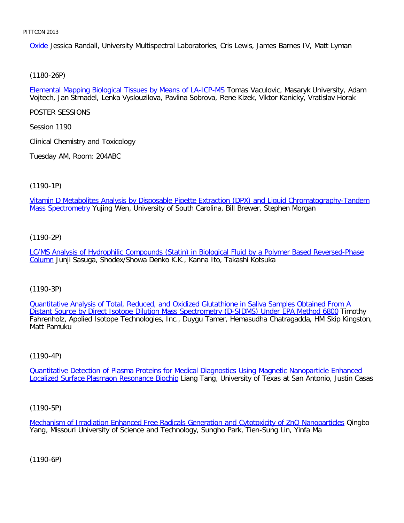Oxide Jessica Randall, University Multispectral Laboratories, Cris Lewis, James Barnes IV, Matt Lyman

[\(1180-26P\)](file:///p|/print%20on%20demand%20titles/23101-23200/23133/23133%20source%20materials/papers/1180-26.htm)

Elemental Mapping Biological Tissues by Means of LA-ICP-MS Tomas Vaculovic, Masaryk University, Adam Vojtech, Jan Strnadel, Lenka Vyslouzilova, Pavlina Sobrova, Rene Kizek, Viktor Kanicky, Vratislav Horak

POSTER SESSIONS

Session 1190

Clinical Chemistry and Toxicology

Tuesday AM, Room: 204ABC

(1190-1P)

[Vitamin D Metabolites Analysis by Disposable Pipette Extraction \(DPX\) and Liquid Chromatography-Tandem](file:///p|/print%20on%20demand%20titles/23101-23200/23133/23133%20source%20materials/papers/1190-1.htm) Mass Spectrometry Yujing Wen, University of South Carolina, Bill Brewer, Stephen Morgan

(1190-2P)

[LC/MS Analysis of Hydrophilic Compounds \(Statin\) in Biological Fluid by a Polymer Based Reversed-Phase](file:///p|/print%20on%20demand%20titles/23101-23200/23133/23133%20source%20materials/papers/1190-2.htm) [Co](file:///p|/print%20on%20demand%20titles/23101-23200/23133/23133%20source%20materials/papers/1190-2.htm)lumn Junji Sasuga, Shodex/Showa Denko K.K., Kanna Ito, Takashi Kotsuka

(1190-3P)

Quantitative Analysis of Total, Reduced, and Oxidized Glutathione in Saliva Samples Obtained From A [Distant Source by Direct Isotope Dilution Mass Spectrometry \(D-SIDMS\) Under EPA Method 6800](file:///p|/print%20on%20demand%20titles/23101-23200/23133/23133%20source%20materials/papers/1190-3.htm) Timothy [Fahrenholz, Applied Isotope Technologies, Inc., Duygu Tamer, Hemasudha Chatragadda, HM Skip King](file:///p|/print%20on%20demand%20titles/23101-23200/23133/23133%20source%20materials/papers/1190-3.htm)ston, Matt Pamuku

(1190-4P)

Quantitative Detection of Plasma Proteins for Medical Diagnostics Using Magnetic Nanoparticle Enhanced Localized Surface Plasmaon Resonance Biochip [Liang Tang, University of Texas at San Antonio, Justin Casas](file:///p|/print%20on%20demand%20titles/23101-23200/23133/23133%20source%20materials/papers/1190-4.htm)

(1190-5P)

Mechanism of Irradiation Enhanced Free Radicals Generation and Cytotoxicity of ZnO Nanoparticles Qingbo Yang, Missouri University of Science and Technology, Sungho Park, Tien-Sung Lin, Yinfa Ma

(1190-6P)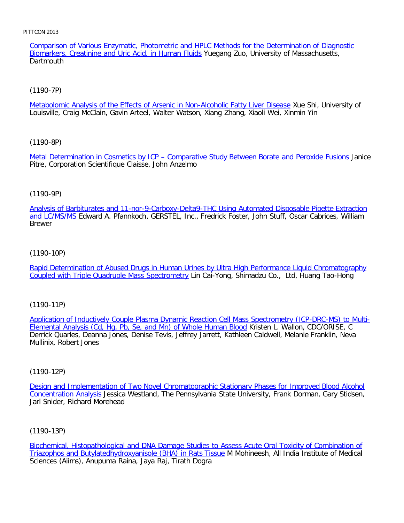Comparison of Various Enzymatic, Photometric and HPLC Methods for the Determination of Diagnostic Biomarkers, Creatinine and Uric Acid, in Human Fluids Yuegang Zuo, University of Massachusetts, **Dartmouth** 

# [\(1190-7P\)](file:///p|/print%20on%20demand%20titles/23101-23200/23133/23133%20source%20materials/papers/1190-7.htm)

Metabolomic Analysis of the Effects of Arsenic in Non-Alcoholic Fatty Liver Disease Xue Shi, University of Louisville, Craig McClain, Gavin Arteel, Walter Watson, Xiang Zhang, Xiaoli Wei, Xinmin Yin

# [\(1190-8P\)](file:///p|/print%20on%20demand%20titles/23101-23200/23133/23133%20source%20materials/papers/1190-8.htm)

Metal Determination in Cosmetics by ICP - Comparative Study Between Borate and Peroxide Fusions Janice Pitre, Corporation Scientifique Claisse, John Anzelmo

# (1190-9P)

[Analysis of Barbiturates and 11-nor-9-Carboxy-Delta9-THC Using Automated Disposable Pipette Extraction](file:///p|/print%20on%20demand%20titles/23101-23200/23133/23133%20source%20materials/papers/1190-9.htm) and LC/MS/MS Edward A. Pfannkoch, GERSTEL, Inc., Fredrick Foster, John Stuff, Oscar Cabrices, William Brewer

## (1190-10P)

[Rapid Determination of Abused Drugs in Human Urines by Ultra High Performance Liquid Chromatography](file:///p|/print%20on%20demand%20titles/23101-23200/23133/23133%20source%20materials/papers/1190-10.htm) [Coupled with Triple Quadruple Mass Spectrometry](file:///p|/print%20on%20demand%20titles/23101-23200/23133/23133%20source%20materials/papers/1190-10.htm) Lin Cai-Yong, Shimadzu Co., Ltd, Huang Tao-Hong

## (1190-11P)

Application of Inductively Couple Plasma Dynamic Reaction Cell Mass Spectrometry (ICP-DRC-MS) to Multi-[Elemental Analysis \(Cd, Hg, Pb, Se, and Mn\) of Whole Human Blood](file:///p|/print%20on%20demand%20titles/23101-23200/23133/23133%20source%20materials/papers/1190-11.htm) Kristen L. Wallon, CDC/ORISE, C [Derrick Quarles, Deanna Jones, Denise Tevis, Jeffrey Jarrett, Kathleen](file:///p|/print%20on%20demand%20titles/23101-23200/23133/23133%20source%20materials/papers/1190-11.htm) Caldwell, Melanie Franklin, Neva Mullinix, Robert Jones

## (1190-12P)

Design and Implementation of Two Novel Chromatographic Stationary Phases for Improved Blood Alcohol Concentration Analysis Jessica Westland, The Pennsylvania State University, Frank Dorman, Gary Stidsen, [Jarl Snider, Richard Morehead](file:///p|/print%20on%20demand%20titles/23101-23200/23133/23133%20source%20materials/papers/1190-12.htm)

(1190-13P)

Biochemical, Histopathological and DNA Damage Studies to Assess Acute Oral Toxicity of Combination of Triazophos and Butylatedhydroxyanisole (BHA) in Rats Tissue M Mohineesh, All India Institute of Medical [Sciences \(Aiims\), Anupuma Raina, Jaya Raj, Tirath Dogra](file:///p|/print%20on%20demand%20titles/23101-23200/23133/23133%20source%20materials/papers/1190-13.htm)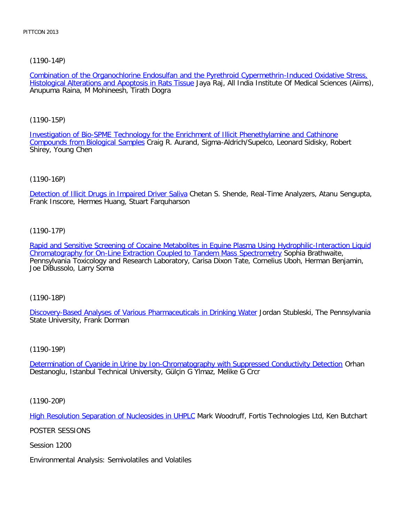[\(1190-14P\)](file:///p|/print%20on%20demand%20titles/23101-23200/23133/23133%20source%20materials/papers/1190-14.htm)

Combination of the Organochlorine Endosulfan and the Pyrethroid Cypermethrin-Induced Oxidative Stress, Histological Alterations and Apoptosis in Rats Tissue Jaya Raj, All India Institute Of Medical Sciences (Aiims), Anupuma Raina, M Mohineesh, Tirath Dogra

[\(1190-15P\)](file:///p|/print%20on%20demand%20titles/23101-23200/23133/23133%20source%20materials/papers/1190-15.htm)

[Investigation of Bio-SPME Technolo](file:///p|/print%20on%20demand%20titles/23101-23200/23133/23133%20source%20materials/papers/1190-15.htm)gy for the Enrichment of Illicit Phenethylamine and Cathinone Compounds from Biological Samples Craig R. Aurand, Sigma-Aldrich/Supelco, Leonard Sidisky, Robert Shirey, Young Chen

(1190-16P)

[Detection of Illicit Drugs in Impaired Driver Saliva](file:///p|/print%20on%20demand%20titles/23101-23200/23133/23133%20source%20materials/papers/1190-16.htm) Chetan S. Shende, Real-Time Analyzers, Atanu Sengupta, Frank Inscore, Hermes Huang, Stuart Farquharson

(1190-17P)

[Rapid and Sensitive Screening of Cocaine Metabolites in Equine Plasma Using Hydrophilic-Interaction Liquid](file:///p|/print%20on%20demand%20titles/23101-23200/23133/23133%20source%20materials/papers/1190-17.htm) [Chromatography for On-Line Extraction Coupled to Tandem Mass Spectrometry](file:///p|/print%20on%20demand%20titles/23101-23200/23133/23133%20source%20materials/papers/1190-17.htm) Sophia Brathwaite, Pennsylvania Toxicology and Research Laboratory, Carisa Dixon Tate, Cornelius Uboh, Herman Benjamin, Joe DiBussolo, Larry Soma

(1190-18P)

[Discovery-Based Analyses of Various Pharmaceuticals in Drinking Water](file:///p|/print%20on%20demand%20titles/23101-23200/23133/23133%20source%20materials/papers/1190-18.htm) Jordan Stubleski, The Pennsylvania State University, Frank Dorman

(1190-19P)

Determination of Cyanide in Urine by Ion-Chromatography with Suppressed Conductivity Detection Orhan [Destanoglu, Istanbul Technical University, Gülçin G Ylmaz, Melike G Crcr](file:///p|/print%20on%20demand%20titles/23101-23200/23133/23133%20source%20materials/papers/1190-19.htm)

(1190-20P)

High Resolution Separation of Nucleosides in UHPLC Mark Woodruff, Fortis Technologies Ltd, Ken Butchart

[POSTER SESSIONS](file:///p|/print%20on%20demand%20titles/23101-23200/23133/23133%20source%20materials/papers/1190-20.htm)

Session 1200

Environmental Analysis: Semivolatiles and Volatiles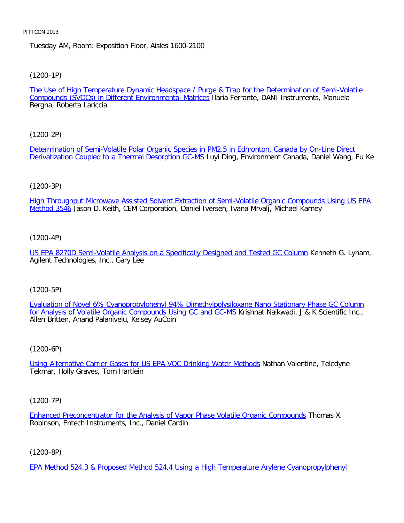# Tuesday AM, Room: Exposition Floor, Aisles 1600-2100

[\(1200-1P\)](file:///p|/print%20on%20demand%20titles/23101-23200/23133/23133%20source%20materials/papers/1200-1.htm)

The Use of High Temperature Dynamic Headspace / Purge & Trap for the Determination of Semi-Volatile Compounds (SVOCs) in Different Environmental Matrices Ilaria Ferrante, DANI Instruments, Manuela Bergna, Roberta Lariccia

[\(1200-2P\)](file:///p|/print%20on%20demand%20titles/23101-23200/23133/23133%20source%20materials/papers/1200-2.htm)

[Determination of Semi-Volatile Polar Organic Species in](file:///p|/print%20on%20demand%20titles/23101-23200/23133/23133%20source%20materials/papers/1200-2.htm) PM2.5 in Edmonton, Canada by On-Line Direct Derivatization Coupled to a Thermal Desorption GC-MS Luyi Ding, Environment Canada, Daniel Wang, Fu Ke

# (1200-3P)

[High Throughput Microwave Assisted Solvent Extraction of Semi-Volatile Organic Compounds Using US EPA](file:///p|/print%20on%20demand%20titles/23101-23200/23133/23133%20source%20materials/papers/1200-3.htm) Method 3546 Jason D. Keith, CEM Corporation, Daniel Iversen, Ivana Mrvalj, Michael Karney

## (1200-4P)

[US EPA 8270D Semi-Volatile Analysis on a Specifically Designed and Tested GC Column](file:///p|/print%20on%20demand%20titles/23101-23200/23133/23133%20source%20materials/papers/1200-4.htm) Kenneth G. Lynam, Agilent Technologies, Inc., Gary Lee

# (1200-5P)

Evaluation of Novel 6% Cyanopropylphenyl 94% Dimethylpolysiloxane Nano Stationary Phase GC Column [for Analysis of Volatile Organic Compounds Using GC and GC-MS](file:///p|/print%20on%20demand%20titles/23101-23200/23133/23133%20source%20materials/papers/1200-5.htm) Krishnat Naikwadi, J & K Scientific Inc., [Allen Britten, Anand Palanivelu, Kelsey AuCoin](file:///p|/print%20on%20demand%20titles/23101-23200/23133/23133%20source%20materials/papers/1200-5.htm)

(1200-6P)

Using Alternative Carrier Gases for US EPA VOC Drinking Water Methods Nathan Valentine, Teledyne [Tekmar, Holly Graves, Tom Hartlein](file:///p|/print%20on%20demand%20titles/23101-23200/23133/23133%20source%20materials/papers/1200-6.htm)

(1200-7P)

Enhanced Preconcentrator for the Analysis of Vapor Phase Volatile Organic Compounds Thomas X. Robinson, Entech Instruments, Inc., Daniel Cardin

(1200-8P)

EPA Method 524.3 & Proposed Method 524.4 Using a High Temperature Arylene Cyanopropylphenyl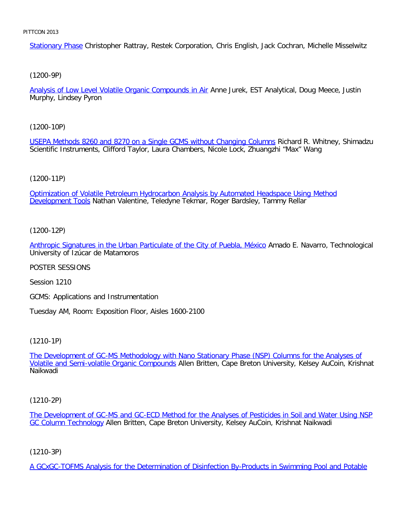Stationary Phase Christopher Rattray, Restek Corporation, Chris English, Jack Cochran, Michelle Misselwitz

[\(1200-9P\)](file:///p|/print%20on%20demand%20titles/23101-23200/23133/23133%20source%20materials/papers/1200-9.htm)

Analysis of Low Level Volatile Organic Compounds in Air Anne Jurek, EST Analytical, Doug Meece, Justin Murphy, Lindsey Pyron

[\(1200-10P\)](file:///p|/print%20on%20demand%20titles/23101-23200/23133/23133%20source%20materials/papers/1200-10.htm)

USEPA Methods 8260 and 8270 on a Single GCMS without Changing Columns Richard R. Whitney, Shimadzu Scientific Instruments, Clifford Taylor, Laura Chambers, Nicole Lock, Zhuangzhi "Max" Wang

(1200-11P)

[Optimization of Volatile Petroleum Hydrocarbon Analysis by Automated Headspace Using Method](file:///p|/print%20on%20demand%20titles/23101-23200/23133/23133%20source%20materials/papers/1200-11.htm) Development Tools Nathan Valentine, Teledyne Tekmar, Roger Bardsley, Tammy Rellar

(1200-12P)

[Anthropic Signatures in the Urban Particulate of the City of Puebla, México](file:///p|/print%20on%20demand%20titles/23101-23200/23133/23133%20source%20materials/papers/1200-12.htm) Amado E. Navarro, Technological University of Izúcar de Matamoros

POSTER SESSIONS

Session 1210

GCMS: Applications and Instrumentation

Tuesday AM, Room: Exposition Floor, Aisles 1600-2100

(1210-1P)

The Development of GC-MS Methodology with Nano Stationary Phase (NSP) Columns for the Analyses of Volatile and Semi-volatile Organic Compounds [Allen Britten, Cape Breton University, Kelsey AuCoin, Krishnat](file:///p|/print%20on%20demand%20titles/23101-23200/23133/23133%20source%20materials/papers/1210-1.htm) [Naikwadi](file:///p|/print%20on%20demand%20titles/23101-23200/23133/23133%20source%20materials/papers/1210-1.htm)

(1210-2P)

The Development of GC-MS and GC-ECD Method for the Analyses of Pesticides in Soil and Water Using NSP GC Column Technology Allen Britten, Cape Breton University, Kelsey AuCoin, Krishnat Naikwadi

(1210-3P)

A GCxGC-TOFMS Analysis for the Determination of Disinfection By-Products in Swimming Pool and Potable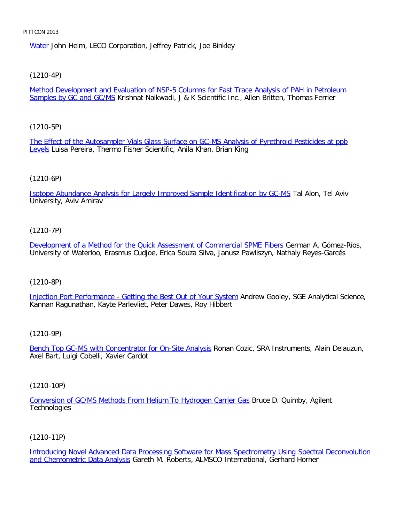Water John Heim, LECO Corporation, Jeffrey Patrick, Joe Binkley

# [\(1210-4P\)](file:///p|/print%20on%20demand%20titles/23101-23200/23133/23133%20source%20materials/papers/1210-4.htm)

Method Development and Evaluation of NSP-5 Columns for Fast Trace Analysis of PAH in Petroleum Samples by GC and GC/MS Krishnat Naikwadi, J & K Scientific Inc., Allen Britten, Thomas Ferrier

# [\(1210-5P\)](file:///p|/print%20on%20demand%20titles/23101-23200/23133/23133%20source%20materials/papers/1210-5.htm)

[T](file:///p|/print%20on%20demand%20titles/23101-23200/23133/23133%20source%20materials/papers/1210-5.htm)he Effect of the Autosampler Vials Glass Surface on GC-MS Analysis of Pyrethroid Pesticides at ppb Levels Luisa Pereira, Thermo Fisher Scientific, Anila Khan, Brian King

## (1210-6P)

[Isotope Abundance Analysis for Largely Improved Sample Identification by GC-MS](file:///p|/print%20on%20demand%20titles/23101-23200/23133/23133%20source%20materials/papers/1210-6.htm) Tal Alon, Tel Aviv University, Aviv Amirav

# (1210-7P)

[Development of a Method for the Quick Assessment of Commercial SPME Fibers](file:///p|/print%20on%20demand%20titles/23101-23200/23133/23133%20source%20materials/papers/1210-7.htm) German A. Gómez-Ríos, University of Waterloo, Erasmus Cudjoe, Erica Souza Silva, Janusz Pawliszyn, Nathaly Reyes-Garcés

## (1210-8P)

[Injection Port Performance - Getting the Best Out of Your System](file:///p|/print%20on%20demand%20titles/23101-23200/23133/23133%20source%20materials/papers/1210-8.htm) Andrew Gooley, SGE Analytical Science, Kannan Ragunathan, Kayte Parlevliet, Peter Dawes, Roy Hibbert

## (1210-9P)

Bench Top GC-MS with Concentrator for On-Site Analysis Ronan Cozic, SRA Instruments, Alain Delauzun, [Axel Bart, Luigi Cobelli, Xavier Cardot](file:///p|/print%20on%20demand%20titles/23101-23200/23133/23133%20source%20materials/papers/1210-9.htm)

(1210-10P)

Conversion of GC/MS Methods From Helium To Hydrogen Carrier Gas Bruce D. Quimby, Agilent **[Technologies](file:///p|/print%20on%20demand%20titles/23101-23200/23133/23133%20source%20materials/papers/1210-10.htm)** 

# (1210-11P)

Introducing Novel Advanced Data Processing Software for Mass Spectrometry Using Spectral Deconvolution and Chemometric Data Analysis Gareth M. Roberts, ALMSCO International, Gerhard Horner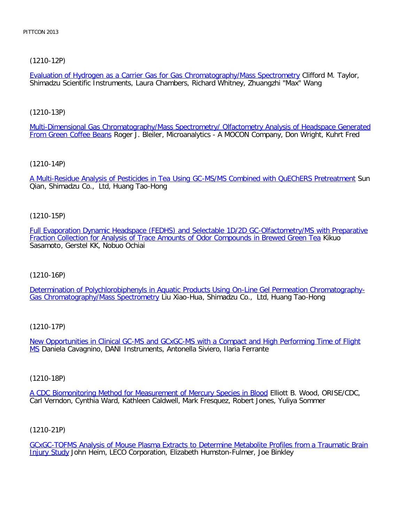[\(1210-12P\)](file:///p|/print%20on%20demand%20titles/23101-23200/23133/23133%20source%20materials/papers/1210-12.htm)

Evaluation of Hydrogen as a Carrier Gas for Gas Chromatography/Mass Spectrometry Clifford M. Taylor, Shimadzu Scientific Instruments, Laura Chambers, Richard Whitney, Zhuangzhi "Max" Wang

[\(1210-13P\)](file:///p|/print%20on%20demand%20titles/23101-23200/23133/23133%20source%20materials/papers/1210-13.htm)

[Multi-Dimensional Gas](file:///p|/print%20on%20demand%20titles/23101-23200/23133/23133%20source%20materials/papers/1210-13.htm) Chromatography/Mass Spectrometry/ Olfactometry Analysis of Headspace Generated From Green Coffee Beans Roger J. Bleiler, Microanalytics - A MOCON Company, Don Wright, Kuhrt Fred

[\(1210-14P\)](file:///p|/print%20on%20demand%20titles/23101-23200/23133/23133%20source%20materials/papers/1210-14.htm)

A Multi-Residue Analysis of Pesticides in Tea Using GC-MS/MS Combined with QuEChERS Pretreatment Sun Qian, Shimadzu Co., Ltd, Huang Tao-Hong

(1210-15P)

[Full Evaporation Dynamic Headspace \(FEDHS\) and Selectable 1D/2D GC-Olfactometry/MS with Preparative](file:///p|/print%20on%20demand%20titles/23101-23200/23133/23133%20source%20materials/papers/1210-15.htm) [Fraction Collection for Analysis of Trace Amounts of Odor Compounds in Brewed Green Tea](file:///p|/print%20on%20demand%20titles/23101-23200/23133/23133%20source%20materials/papers/1210-15.htm) Kikuo Sasamoto, Gerstel KK, Nobuo Ochiai

(1210-16P)

[Determination of Polychlorobiphenyls in Aquatic Products Using On-Line Gel Permeation Chromatography-](file:///p|/print%20on%20demand%20titles/23101-23200/23133/23133%20source%20materials/papers/1210-16.htm)[Gas Chromatography/Mass Spectrometr](file:///p|/print%20on%20demand%20titles/23101-23200/23133/23133%20source%20materials/papers/1210-16.htm)y Liu Xiao-Hua, Shimadzu Co., Ltd, Huang Tao-Hong

(1210-17P)

New Opportunities in Clinical GC-MS and GCxGC-MS with a Compact and High Performing Time of Flight MS [Daniela Cavagnino, DANI Instruments, Antonella Siviero, Ilaria Ferrante](file:///p|/print%20on%20demand%20titles/23101-23200/23133/23133%20source%20materials/papers/1210-17.htm)

(1210-18P)

A CDC Biomonitoring Method for Measurement of Mercury Species in Blood Elliott B. Wood, ORISE/CDC, [Carl Verndon, Cynthia Ward, Kathleen Caldwell, Mark Fresquez, Robert Jones,](file:///p|/print%20on%20demand%20titles/23101-23200/23133/23133%20source%20materials/papers/1210-18.htm) Yuliya Sommer

(1210-21P)

GCxGC-TOFMS Analysis of Mouse Plasma Extracts to Determine Metabolite Profiles from a Traumatic Brain Injury Study John Heim, LECO Corporation, Elizabeth Humston-Fulmer, Joe Binkley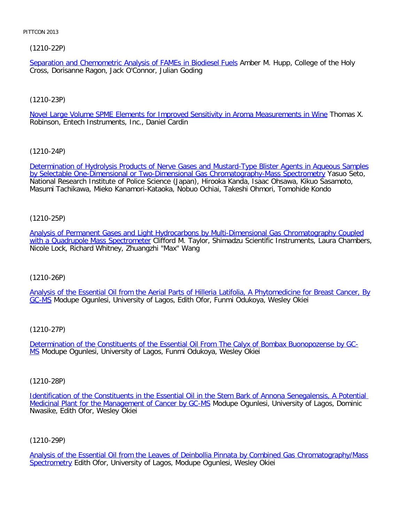# [\(1210-22P\)](file:///p|/print%20on%20demand%20titles/23101-23200/23133/23133%20source%20materials/papers/1210-22.htm)

Separation and Chemometric Analysis of FAMEs in Biodiesel Fuels Amber M. Hupp, College of the Holy Cross, Dorisanne Ragon, Jack O'Connor, Julian Goding

# [\(1210-23P\)](file:///p|/print%20on%20demand%20titles/23101-23200/23133/23133%20source%20materials/papers/1210-23.htm)

Novel Large Volume SPME Elements for Improved Sensitivity in Aroma Measurements in Wine Thomas X. Robinson, Entech Instruments, Inc., Daniel Cardin

[\(1210-24P\)](file:///p|/print%20on%20demand%20titles/23101-23200/23133/23133%20source%20materials/papers/1210-24.htm)

[Determination of Hydrolysis Products of Nerve Gases and Mustard-Type Blister Agents in Aqueous](file:///p|/print%20on%20demand%20titles/23101-23200/23133/23133%20source%20materials/papers/1210-24.htm) Samples by Selectable One-Dimensional or Two-Dimensional Gas Chromatography-Mass Spectrometry Yasuo Seto, National Research Institute of Police Science (Japan), Hirooka Kanda, Isaac Ohsawa, Kikuo Sasamoto, Masumi Tachikawa, Mieko Kanamori-Kataoka, Nobuo Ochiai, Takeshi Ohmori, Tomohide Kondo

# (1210-25P)

[Analysis of Permanent Gases and Light Hydrocarbons by Multi-Dimensional Gas Chromatography Coupled](file:///p|/print%20on%20demand%20titles/23101-23200/23133/23133%20source%20materials/papers/1210-25.htm) [with a Quadrupole Mass Spectromete](file:///p|/print%20on%20demand%20titles/23101-23200/23133/23133%20source%20materials/papers/1210-25.htm)r Clifford M. Taylor, Shimadzu Scientific Instruments, Laura Chambers, Nicole Lock, Richard Whitney, Zhuangzhi "Max" Wang

# (1210-26P)

[Analysis of the Essential Oil from the Aerial Parts of Hilleria Latifolia, A Phytomedicine for Breast Cancer, By](file:///p|/print%20on%20demand%20titles/23101-23200/23133/23133%20source%20materials/papers/1210-26.htm) [GC](file:///p|/print%20on%20demand%20titles/23101-23200/23133/23133%20source%20materials/papers/1210-26.htm)-MS Modupe Ogunlesi, University of Lagos, Edith Ofor, Funmi Odukoya, Wesley Okiei

## (1210-27P)

Determination of the Constituents of the Essential Oil From The Calyx of Bombax Buonopozense by GC-MS [Modupe Ogunlesi, University of Lagos, Funmi Odukoya, Wesley Okiei](file:///p|/print%20on%20demand%20titles/23101-23200/23133/23133%20source%20materials/papers/1210-27.htm)

## (1210-28P)

Identification of the Constituents in the Essential Oil in the Stem Bark of Annona Senegalensis, A Potential Medicinal Plant for the Management of Cancer by GC-MS Modupe Ogunlesi, University of Lagos, Dominic [Nwasike, Edith Ofor, Wesley Okiei](file:///p|/print%20on%20demand%20titles/23101-23200/23133/23133%20source%20materials/papers/1210-28.htm)

# (1210-29P)

Analysis of the Essential Oil from the Leaves of Deinbollia Pinnata by Combined Gas Chromatography/Mass Spectrometry Edith Ofor, University of Lagos, Modupe Ogunlesi, Wesley Okiei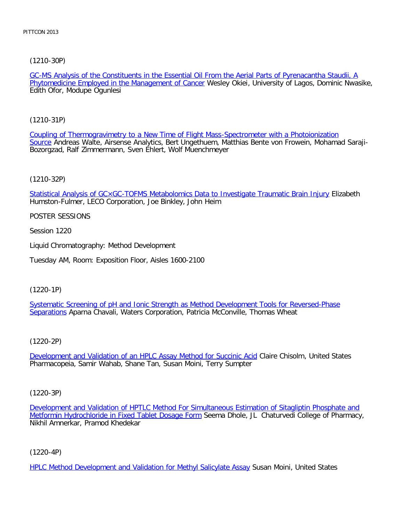[\(1210-30P\)](file:///p|/print%20on%20demand%20titles/23101-23200/23133/23133%20source%20materials/papers/1210-30.htm)

GC-MS Analysis of the Constituents in the Essential Oil From the Aerial Parts of Pyrenacantha Staudii, A Phytomedicine Employed in the Management of Cancer Wesley Okiei, University of Lagos, Dominic Nwasike, Edith Ofor, Modupe Ogunlesi

[\(1210-31P\)](file:///p|/print%20on%20demand%20titles/23101-23200/23133/23133%20source%20materials/papers/1210-31.htm)

[Co](file:///p|/print%20on%20demand%20titles/23101-23200/23133/23133%20source%20materials/papers/1210-31.htm)upling of Thermogravimetry to a New Time of Flight Mass-Spectrometer with a Photoionization Source Andreas Walte, Airsense Analytics, Bert Ungethuem, Matthias Bente von Frowein, Mohamad Saraji-Bozorgzad, Ralf Zimmermann, Sven Ehlert, Wolf Muenchmeyer

(1210-32P)

[Statistical Analysis of GC×GC-TOFMS Metabolomics Data to Investigate Traumatic Brain Injury](file:///p|/print%20on%20demand%20titles/23101-23200/23133/23133%20source%20materials/papers/1210-32.htm) Elizabeth Humston-Fulmer, LECO Corporation, Joe Binkley, John Heim

POSTER SESSIONS

Session 1220

Liquid Chromatography: Method Development

Tuesday AM, Room: Exposition Floor, Aisles 1600-2100

(1220-1P)

Systematic Screening of pH and Ionic Strength as Method Development Tools for Reversed-Phase [Separat](file:///p|/print%20on%20demand%20titles/23101-23200/23133/23133%20source%20materials/papers/1220-1.htm)ions [Aparna Chavali, Waters Corporation, Patricia McConville, Thomas Wheat](file:///p|/print%20on%20demand%20titles/23101-23200/23133/23133%20source%20materials/papers/1220-1.htm)

(1220-2P)

Development and Validation of an HPLC Assay Method for Succinic Acid Claire Chisolm, United States [Pharmacopeia, Samir Wahab, Shane Tan, Susan Moini, Terry Sumpter](file:///p|/print%20on%20demand%20titles/23101-23200/23133/23133%20source%20materials/papers/1220-2.htm)

(1220-3P)

Development and Validation of HPTLC Method For Simultaneous Estimation of Sitagliptin Phosphate and Metformin Hydrochloride in Fixed Tablet Dosage Form Seema Dhole, JL Chaturvedi College of Pharmacy, [Nikhil Amnerkar, Pramod Khedekar](file:///p|/print%20on%20demand%20titles/23101-23200/23133/23133%20source%20materials/papers/1220-3.htm)

(1220-4P)

HPLC Method Development and Validation for Methyl Salicylate Assay Susan Moini, United States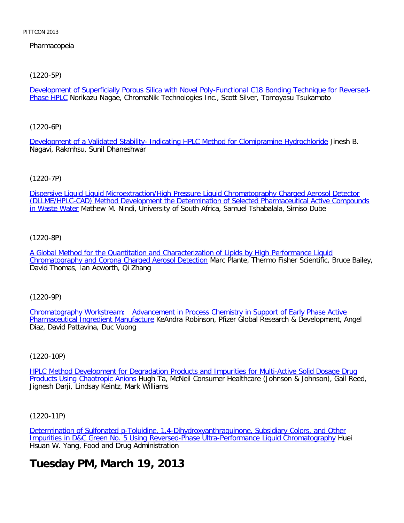# Pharmacopeia

[\(1220-5P\)](file:///p|/print%20on%20demand%20titles/23101-23200/23133/23133%20source%20materials/papers/1220-5.htm)

Development of Superficially Porous Silica with Novel Poly-Functional C18 Bonding Technique for Reversed-Phase HPLC Norikazu Nagae, ChromaNik Technologies Inc., Scott Silver, Tomoyasu Tsukamoto

[\(1220-6P\)](file:///p|/print%20on%20demand%20titles/23101-23200/23133/23133%20source%20materials/papers/1220-6.htm)

Development of a Validated Stability- Indicating HPLC Method for Clomipramine Hydrochloride Jinesh B. Nagavi, Rakmhsu, Sunil Dhaneshwar

(1220-7P)

[Dispersive Liquid Liquid Microextraction/High Pressure Liquid Chromatography Charged Aerosol Detector](file:///p|/print%20on%20demand%20titles/23101-23200/23133/23133%20source%20materials/papers/1220-7.htm) [\(DLLME/HPL](file:///p|/print%20on%20demand%20titles/23101-23200/23133/23133%20source%20materials/papers/1220-7.htm)C-CAD) Method Development the Determination of Selected Pharmaceutical Active Compounds in Waste Water Mathew M. Nindi, University of South Africa, Samuel Tshabalala, Simiso Dube

(1220-8P)

[A Global Method for the Quantitation and Characterization of Lipids by High Performance Liquid](file:///p|/print%20on%20demand%20titles/23101-23200/23133/23133%20source%20materials/papers/1220-8.htm) [Chromatography and Corona Charged Aerosol Detection](file:///p|/print%20on%20demand%20titles/23101-23200/23133/23133%20source%20materials/papers/1220-8.htm) Marc Plante, Thermo Fisher Scientific, Bruce Bailey, David Thomas, Ian Acworth, Qi Zhang

(1220-9P)

Chromatography Workstream: Advancement in Process Chemistry in Support of Early Phase Active Pharmaceutical Ingredient Manufacture [KeAndra Robinson, Pfizer Global Research & Development, Angel](file:///p|/print%20on%20demand%20titles/23101-23200/23133/23133%20source%20materials/papers/1220-9.htm) [Diaz, David Pattavina, Duc Vuong](file:///p|/print%20on%20demand%20titles/23101-23200/23133/23133%20source%20materials/papers/1220-9.htm)

(1220-10P)

HPLC Method Development for Degradation Products and Impurities for Multi-Active Solid Dosage Drug Products Using Chaotropic Anions [Hugh Ta, McNeil Consumer Healthcare \(Johnson & Johnson\), Gail Reed,](file:///p|/print%20on%20demand%20titles/23101-23200/23133/23133%20source%20materials/papers/1220-10.htm) [Jignesh Darji, Lindsay Keintz, M](file:///p|/print%20on%20demand%20titles/23101-23200/23133/23133%20source%20materials/papers/1220-10.htm)ark Williams

(1220-11P)

Determination of Sulfonated p-Toluidine, 1,4-Dihydroxyanthraquinone, Subsidiary Colors, and Other Impurities in D&C Green No. 5 Using Reversed-Phase Ultra-Performance Liquid Chromatography Huei [Hsuan W. Yang, Food and Drug Administration](file:///p|/print%20on%20demand%20titles/23101-23200/23133/23133%20source%20materials/papers/1220-11.htm)

# **[Tuesday PM, March 19, 2013](file:///p|/print%20on%20demand%20titles/23101-23200/23133/23133%20source%20materials/papers/1220-11.htm)**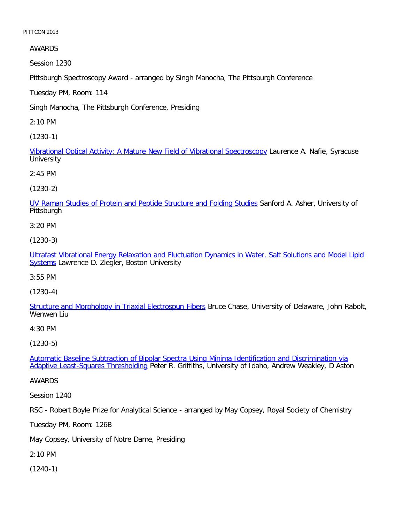AWARDS

Session 1230

Pittsburgh Spectroscopy Award - arranged by Singh Manocha, The Pittsburgh Conference

Tuesday PM, Room: 114

Singh Manocha, The Pittsburgh Conference, Presiding

2:10 PM

[\(1230-1\)](file:///p|/print%20on%20demand%20titles/23101-23200/23133/23133%20source%20materials/papers/1230-1.htm)

Vibrational Optical Activity: A Mature New Field of Vibrational Spectroscopy Laurence A. Nafie, Syracuse **University** 

2:45 PM

(1230-2)

[UV Raman Studies of Protein and Peptide Structure and Folding Studies](file:///p|/print%20on%20demand%20titles/23101-23200/23133/23133%20source%20materials/papers/1230-2.htm) Sanford A. Asher, University of Pittsburgh

3:20 PM

(1230-3)

[Ultrafast Vibrational Energy Relaxation and Fluctuation Dynamics in Water, Salt Solutions and Model Lipid](file:///p|/print%20on%20demand%20titles/23101-23200/23133/23133%20source%20materials/papers/1230-3.htm) [Sys](file:///p|/print%20on%20demand%20titles/23101-23200/23133/23133%20source%20materials/papers/1230-3.htm)tems Lawrence D. Ziegler, Boston University

3:55 PM

(1230-4)

[Structure and Morphology in Triaxial Electrospun Fibers](file:///p|/print%20on%20demand%20titles/23101-23200/23133/23133%20source%20materials/papers/1230-4.htm) Bruce Chase, University of Delaware, John Rabolt, Wenwen Liu

4:30 PM

(1230-5)

Automatic Baseline Subtraction of Bipolar Spectra Using Minima Identification and Discrimination via Adaptive Least-Squares Thresholding [Peter R. Griffiths, University of Idaho, Andrew Weakley, D Aston](file:///p|/print%20on%20demand%20titles/23101-23200/23133/23133%20source%20materials/papers/1230-5.htm)

[AWARDS](file:///p|/print%20on%20demand%20titles/23101-23200/23133/23133%20source%20materials/papers/1230-5.htm)

Session 1240

RSC - Robert Boyle Prize for Analytical Science - arranged by May Copsey, Royal Society of Chemistry

Tuesday PM, Room: 126B

May Copsey, University of Notre Dame, Presiding

2:10 PM

(1240-1)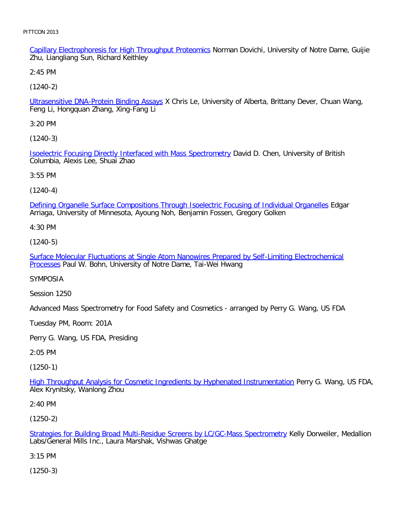Capillary Electrophoresis for High Throughput Proteomics Norman Dovichi, University of Notre Dame, Guijie Zhu, Liangliang Sun, Richard Keithley

2:45 PM

[\(1240-2\)](file:///p|/print%20on%20demand%20titles/23101-23200/23133/23133%20source%20materials/papers/1240-2.htm)

Ultrasensitive DNA-Protein Binding Assays X Chris Le, University of Alberta, Brittany Dever, Chuan Wang, Feng Li, Hongquan Zhang, Xing-Fang Li

3:20 PM

[\(1240-3\)](file:///p|/print%20on%20demand%20titles/23101-23200/23133/23133%20source%20materials/papers/1240-3.htm)

Isoelectric Focusing Directly Interfaced with Mass Spectrometry David D. Chen, University of British Columbia, Alexis Lee, Shuai Zhao

3:55 PM

(1240-4)

[Defining Organelle Surface Compositions Through Isoelectric Focusing of Individual Organelles](file:///p|/print%20on%20demand%20titles/23101-23200/23133/23133%20source%20materials/papers/1240-4.htm) Edgar Arriaga, University of Minnesota, Ayoung Noh, Benjamin Fossen, Gregory Golken

4:30 PM

(1240-5)

[Surface Molecular Fluctuations at Single Atom Nanowires Prepared by Self-Limiting Electrochemical](file:///p|/print%20on%20demand%20titles/23101-23200/23133/23133%20source%20materials/papers/1240-5.htm) [Proce](file:///p|/print%20on%20demand%20titles/23101-23200/23133/23133%20source%20materials/papers/1240-5.htm)sses Paul W. Bohn, University of Notre Dame, Tai-Wei Hwang

SYMPOSIA

Session 1250

Advanced Mass Spectrometry for Food Safety and Cosmetics - arranged by Perry G. Wang, US FDA

Tuesday PM, Room: 201A

Perry G. Wang, US FDA, Presiding

2:05 PM

(1250-1)

High Throughput Analysis for Cosmetic Ingredients by Hyphenated Instrumentation Perry G. Wang, US FDA, [Alex Krynitsky, Wanlong Zhou](file:///p|/print%20on%20demand%20titles/23101-23200/23133/23133%20source%20materials/papers/1250-1.htm)

2:40 PM

(1250-2)

Strategies for Building Broad Multi-Residue Screens by LC/GC-Mass Spectrometry Kelly Dorweiler, Medallion Labs/General Mills Inc., Laura Marshak, Vishwas Ghatge

[3:15 PM](file:///p|/print%20on%20demand%20titles/23101-23200/23133/23133%20source%20materials/papers/1250-2.htm)

(1250-3)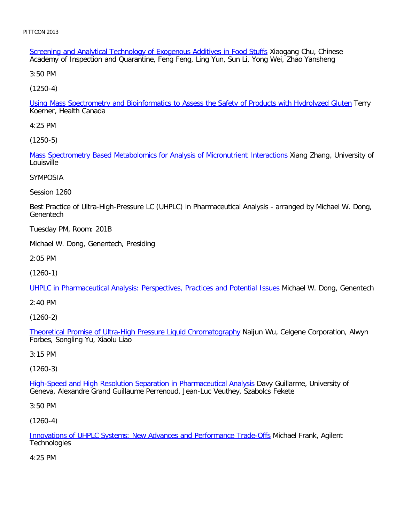Screening and Analytical Technology of Exogenous Additives in Food Stuffs Xiaogang Chu, Chinese Academy of Inspection and Quarantine, Feng Feng, Ling Yun, Sun Li, Yong Wei, Zhao Yansheng

3:50 PM

[\(1250-4\)](file:///p|/print%20on%20demand%20titles/23101-23200/23133/23133%20source%20materials/papers/1250-4.htm)

Using Mass Spectrometry and Bioinformatics to Assess the Safety of Products with Hydrolyzed Gluten Terry Koerner, Health Canada

4:25 PM

[\(1250-5\)](file:///p|/print%20on%20demand%20titles/23101-23200/23133/23133%20source%20materials/papers/1250-5.htm)

Mass Spectrometry Based Metabolomics for Analysis of Micronutrient Interactions Xiang Zhang, University of Louisville

SYMPOSIA

Session 1260

Best Practice of Ultra-High-Pressure LC (UHPLC) in Pharmaceutical Analysis - arranged by Michael W. Dong, **Genentech** 

Tuesday PM, Room: 201B

Michael W. Dong, Genentech, Presiding

2:05 PM

(1260-1)

[UHPLC in Pharmaceutical Analysis: Perspectives, Practices and Potential Issues](file:///p|/print%20on%20demand%20titles/23101-23200/23133/23133%20source%20materials/papers/1260-1.htm) Michael W. Dong, Genentech

2:40 PM

(1260-2)

Theoretical Promise of Ultra-High Pressure Liquid Chromatography Naijun Wu, Celgene Corporation, Alwyn [Forbes, Songling Yu, Xiaolu Liao](file:///p|/print%20on%20demand%20titles/23101-23200/23133/23133%20source%20materials/papers/1260-2.htm)

3:15 PM

(1260-3)

High-Speed and High Resolution Separation in Pharmaceutical Analysis Davy Guillarme, University of [Geneva, Alexandre Grand Guillaume Perrenoud, Jean-Luc Veuthey, Szabo](file:///p|/print%20on%20demand%20titles/23101-23200/23133/23133%20source%20materials/papers/1260-3.htm)lcs Fekete

3:50 PM

(1260-4)

Innovations of UHPLC Systems: New Advances and Performance Trade-Offs Michael Frank, Agilent **Technologies** 

[4:25 PM](file:///p|/print%20on%20demand%20titles/23101-23200/23133/23133%20source%20materials/papers/1260-4.htm)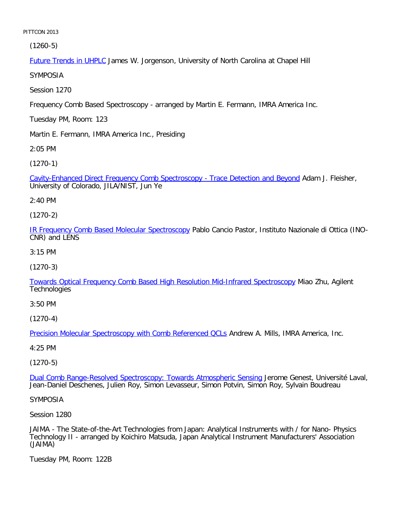(1260-5)

Future Trends in UHPLC James W. Jorgenson, University of North Carolina at Chapel Hill

SYMPOSIA

Session 1270

Frequency Comb Based Spectroscopy - arranged by Martin E. Fermann, IMRA America Inc.

Tuesday PM, Room: 123

Martin E. Fermann, IMRA America Inc., Presiding

2:05 PM

[\(1270-1\)](file:///p|/print%20on%20demand%20titles/23101-23200/23133/23133%20source%20materials/papers/1270-1.htm)

Cavity-Enhanced Direct Frequency Comb Spectroscopy - Trace Detection and Beyond Adam J. Fleisher, University of Colorado, JILA/NIST, Jun Ye

2:40 PM

(1270-2)

[IR Frequency Comb Based Molecular Spectroscopy](file:///p|/print%20on%20demand%20titles/23101-23200/23133/23133%20source%20materials/papers/1270-2.htm) Pablo Cancio Pastor, Instituto Nazionale di Ottica (INO-CNR) and LENS

3:15 PM

(1270-3)

[Towards Optical Frequency Comb Based High Resolution Mid-Infrared Spectroscopy](file:///p|/print%20on%20demand%20titles/23101-23200/23133/23133%20source%20materials/papers/1270-3.htm) Miao Zhu, Agilent **Technologies** 

3:50 PM

(1270-4)

Precision Molecular Spectroscopy with Comb Referenced QCLs Andrew A. Mills, IMRA America, Inc.

[4:25 PM](file:///p|/print%20on%20demand%20titles/23101-23200/23133/23133%20source%20materials/papers/1270-4.htm)

(1270-5)

Dual Comb Range-Resolved Spectroscopy: Towards Atmospheric Sensing Jerome Genest, Université Laval, [Jean-Daniel Deschenes, Julien Roy, Simon Levasseur, Simon Potvin, Simon](file:///p|/print%20on%20demand%20titles/23101-23200/23133/23133%20source%20materials/papers/1270-5.htm) Roy, Sylvain Boudreau

SYMPOSIA

Session 1280

JAIMA - The State-of-the-Art Technologies from Japan: Analytical Instruments with / for Nano- Physics Technology II - arranged by Koichiro Matsuda, Japan Analytical Instrument Manufacturers' Association (JAIMA)

Tuesday PM, Room: 122B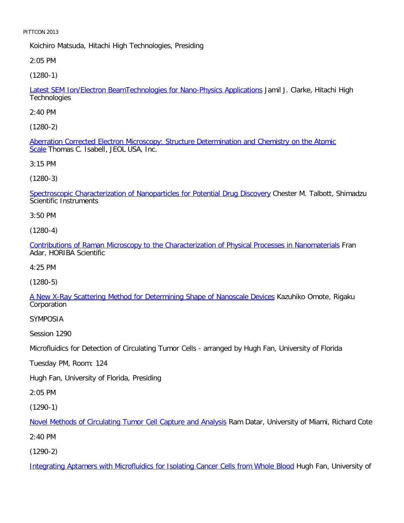Koichiro Matsuda, Hitachi High Technologies, Presiding

2:05 PM

[\(1280-1\)](file:///p|/print%20on%20demand%20titles/23101-23200/23133/23133%20source%20materials/papers/1280-1.htm)

Latest SEM Ion/Electron BeamTechnologies for Nano-Physics Applications Jamil J. Clarke, Hitachi High **Technologies** 

2:40 PM

[\(1280-2\)](file:///p|/print%20on%20demand%20titles/23101-23200/23133/23133%20source%20materials/papers/1280-2.htm)

Aberration Corrected Electron Microscopy: Structure Determination and Chemistry on the Atomic Scale Thomas C. Isabell, JEOL USA, Inc.

3:15 PM

(1280-3)

[Spectroscopic Characterization of Nanoparticles for Potential Drug Discovery](file:///p|/print%20on%20demand%20titles/23101-23200/23133/23133%20source%20materials/papers/1280-3.htm) Chester M. Talbott, Shimadzu Scientific Instruments

3:50 PM

(1280-4)

[Contributions of Raman Microscopy to the Characterization of Physical Processes in Nanomaterials](file:///p|/print%20on%20demand%20titles/23101-23200/23133/23133%20source%20materials/papers/1280-4.htm) Fran Adar, HORIBA Scientific

4:25 PM

(1280-5)

[A New X-Ray Scattering Method for Determining Shape of Nanoscale Devices](file:///p|/print%20on%20demand%20titles/23101-23200/23133/23133%20source%20materials/papers/1280-5.htm) Kazuhiko Omote, Rigaku Corporation

SYMPOSIA

Session 1290

Microfluidics for Detection of Circulating Tumor Cells - arranged by Hugh Fan, University of Florida

Tuesday PM, Room: 124

Hugh Fan, University of Florida, Presiding

2:05 PM

(1290-1)

Novel Methods of Circulating Tumor Cell Capture and Analysis Ram Datar, University of Miami, Richard Cote

[2:40 PM](file:///p|/print%20on%20demand%20titles/23101-23200/23133/23133%20source%20materials/papers/1290-1.htm)

(1290-2)

Integrating Aptamers with Microfluidics for Isolating Cancer Cells from Whole Blood Hugh Fan, University of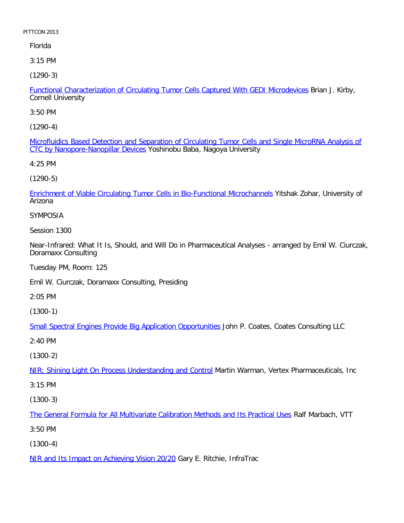# Florida

3:15 PM

[\(1290-3\)](file:///p|/print%20on%20demand%20titles/23101-23200/23133/23133%20source%20materials/papers/1290-3.htm)

Functional Characterization of Circulating Tumor Cells Captured With GEDI Microdevices Brian J. Kirby, Cornell University

3:50 PM

[\(1290-4\)](file:///p|/print%20on%20demand%20titles/23101-23200/23133/23133%20source%20materials/papers/1290-4.htm)

[Microfluidics Based Detection and S](file:///p|/print%20on%20demand%20titles/23101-23200/23133/23133%20source%20materials/papers/1290-4.htm)eparation of Circulating Tumor Cells and Single MicroRNA Analysis of CTC by Nanopore-Nanopillar Devices Yoshinobu Baba, Nagoya University

4:25 PM

(1290-5)

[Enrichment of Viable Circulating Tumor Cells in Bio-Functional Microchannels](file:///p|/print%20on%20demand%20titles/23101-23200/23133/23133%20source%20materials/papers/1290-5.htm) Yitshak Zohar, University of Arizona

SYMPOSIA

Session 1300

Near-Infrared: What It Is, Should, and Will Do in Pharmaceutical Analyses - arranged by Emil W. Ciurczak, Doramaxx Consulting

Tuesday PM, Room: 125

Emil W. Ciurczak, Doramaxx Consulting, Presiding

2:05 PM

(1300-1)

[Small Spectral Engines Provide Big Application Opportunities](file:///p|/print%20on%20demand%20titles/23101-23200/23133/23133%20source%20materials/papers/1300-1.htm) John P. Coates, Coates Consulting LLC

2:40 PM

(1300-2)

NIR: Shining Light On Process Understanding and Control Martin Warman, Vertex Pharmaceuticals, Inc

[3:15 PM](file:///p|/print%20on%20demand%20titles/23101-23200/23133/23133%20source%20materials/papers/1300-2.htm)

(1300-3)

The General Formula for All Multivariate Calibration Methods and Its Practical Uses Ralf Marbach, VTT

[3:50 PM](file:///p|/print%20on%20demand%20titles/23101-23200/23133/23133%20source%20materials/papers/1300-3.htm)

(1300-4)

NIR and Its Impact on Achieving Vision 20/20 Gary E. Ritchie, InfraTrac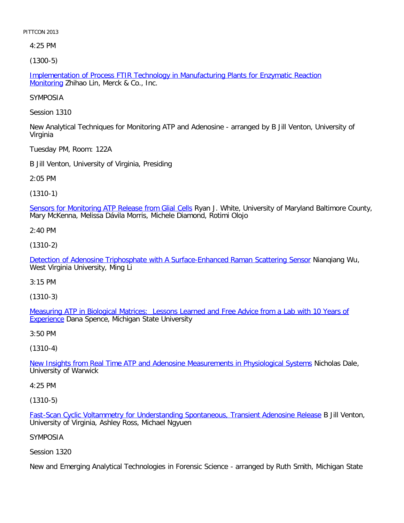4:25 PM

[\(1300-5\)](file:///p|/print%20on%20demand%20titles/23101-23200/23133/23133%20source%20materials/papers/1300-5.htm)

Implementation of Process FTIR Technology in Manufacturing Plants for Enzymatic Reaction Monitoring Zhihao Lin, Merck & Co., Inc.

SYMPOSIA

Session 1310

New Analytical Techniques for Monitoring ATP and Adenosine - arranged by B Jill Venton, University of Virginia

Tuesday PM, Room: 122A

B Jill Venton, University of Virginia, Presiding

2:05 PM

(1310-1)

[Sensors for Monitoring ATP Release from Glial Cells](file:///p|/print%20on%20demand%20titles/23101-23200/23133/23133%20source%20materials/papers/1310-1.htm) Ryan J. White, University of Maryland Baltimore County, Mary McKenna, Melissa Dávila Morris, Michele Diamond, Rotimi Olojo

2:40 PM

(1310-2)

[Detection of Adenosine Triphosphate with A Surface-Enhanced Raman Scattering Sensor](file:///p|/print%20on%20demand%20titles/23101-23200/23133/23133%20source%20materials/papers/1310-2.htm) Nianqiang Wu, West Virginia University, Ming Li

3:15 PM

(1310-3)

Measuring ATP in Biological Matrices: Lessons Learned and Free Advice from a Lab with 10 Years of [Experi](file:///p|/print%20on%20demand%20titles/23101-23200/23133/23133%20source%20materials/papers/1310-3.htm)ence [Dana Spence, Michigan State University](file:///p|/print%20on%20demand%20titles/23101-23200/23133/23133%20source%20materials/papers/1310-3.htm)

3:50 PM

(1310-4)

New Insights from Real Time ATP and Adenosine Measurements in Physiological Systems Nicholas Dale, [University of Warwick](file:///p|/print%20on%20demand%20titles/23101-23200/23133/23133%20source%20materials/papers/1310-4.htm)

4:25 PM

(1310-5)

Fast-Scan Cyclic Voltammetry for Understanding Spontaneous, Transient Adenosine Release B Jill Venton, University of Virginia, Ashley Ross, Michael Ngyuen

## [SYMPOSIA](file:///p|/print%20on%20demand%20titles/23101-23200/23133/23133%20source%20materials/papers/1310-5.htm)

Session 1320

New and Emerging Analytical Technologies in Forensic Science - arranged by Ruth Smith, Michigan State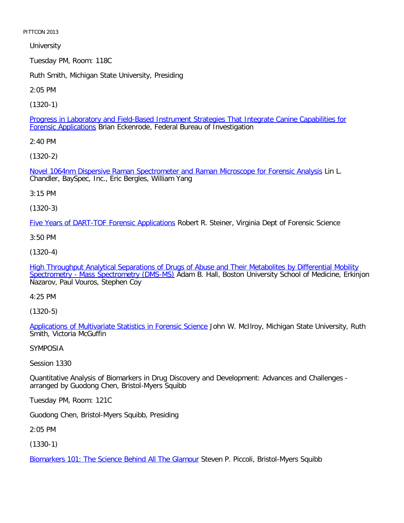**University** 

Tuesday PM, Room: 118C

Ruth Smith, Michigan State University, Presiding

2:05 PM

[\(1320-1\)](file:///p|/print%20on%20demand%20titles/23101-23200/23133/23133%20source%20materials/papers/1320-1.htm)

Progress in Laboratory and Field-Based Instrument Strategies That Integrate Canine Capabilities for Forensic Applications Brian Eckenrode, Federal Bureau of Investigation

2:40 PM

[\(1320-2\)](file:///p|/print%20on%20demand%20titles/23101-23200/23133/23133%20source%20materials/papers/1320-2.htm)

Novel 1064nm Dispersive Raman Spectrometer and Raman Microscope for Forensic Analysis Lin L. Chandler, BaySpec, Inc., Eric Bergles, William Yang

3:15 PM

(1320-3)

[Five Years of DART-TOF Forensic Applications](file:///p|/print%20on%20demand%20titles/23101-23200/23133/23133%20source%20materials/papers/1320-3.htm) Robert R. Steiner, Virginia Dept of Forensic Science

3:50 PM

(1320-4)

[High Throughput Analytical Separations of Drugs of Abuse and Their Metabolites by Differential Mobility](file:///p|/print%20on%20demand%20titles/23101-23200/23133/23133%20source%20materials/papers/1320-4.htm) [Spectrometry - Mass Spectrometry \(DMS-MS\)](file:///p|/print%20on%20demand%20titles/23101-23200/23133/23133%20source%20materials/papers/1320-4.htm) Adam B. Hall, Boston University School of Medicine, Erkinjon Nazarov, Paul Vouros, Stephen Coy

4:25 PM

(1320-5)

Applications of Multivariate Statistics in Forensic Science John W. McIlroy, Michigan State University, Ruth [Smith, Victoria McGuffin](file:///p|/print%20on%20demand%20titles/23101-23200/23133/23133%20source%20materials/papers/1320-5.htm)

SYMPOSIA

Session 1330

Quantitative Analysis of Biomarkers in Drug Discovery and Development: Advances and Challenges arranged by Guodong Chen, Bristol-Myers Squibb

Tuesday PM, Room: 121C

Guodong Chen, Bristol-Myers Squibb, Presiding

2:05 PM

(1330-1)

Biomarkers 101: The Science Behind All The Glamour Steven P. Piccoli, Bristol-Myers Squibb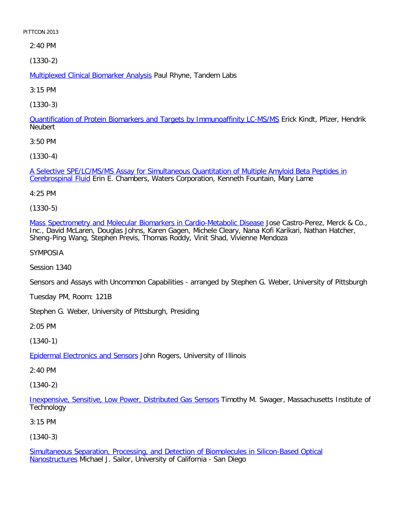2:40 PM

[\(1330-2\)](file:///p|/print%20on%20demand%20titles/23101-23200/23133/23133%20source%20materials/papers/1330-2.htm)

Multiplexed Clinical Biomarker Analysis Paul Rhyne, Tandem Labs

3:15 PM

[\(1330-3\)](file:///p|/print%20on%20demand%20titles/23101-23200/23133/23133%20source%20materials/papers/1330-3.htm)

Quantification of Protein Biomarkers and Targets by Immunoaffinity LC-MS/MS Erick Kindt, Pfizer, Hendrik **Neubert** 

3:50 PM

[\(1330-4\)](file:///p|/print%20on%20demand%20titles/23101-23200/23133/23133%20source%20materials/papers/1330-4.htm)

[A Selective SPE](file:///p|/print%20on%20demand%20titles/23101-23200/23133/23133%20source%20materials/papers/1330-4.htm)/LC/MS/MS Assay for Simultaneous Quantitation of Multiple Amyloid Beta Peptides in Cerebrospinal Fluid Erin E. Chambers, Waters Corporation, Kenneth Fountain, Mary Lame

4:25 PM

(1330-5)

[Mass Spectrometry and Molecular Biomarkers in Cardio-Metabolic Disease](file:///p|/print%20on%20demand%20titles/23101-23200/23133/23133%20source%20materials/papers/1330-5.htm) Jose Castro-Perez, Merck & Co., Inc., David McLaren, Douglas Johns, Karen Gagen, Michele Cleary, Nana Kofi Karikari, Nathan Hatcher, Sheng-Ping Wang, Stephen Previs, Thomas Roddy, Vinit Shad, Vivienne Mendoza

SYMPOSIA

Session 1340

Sensors and Assays with Uncommon Capabilities - arranged by Stephen G. Weber, University of Pittsburgh

Tuesday PM, Room: 121B

Stephen G. Weber, University of Pittsburgh, Presiding

2:05 PM

(1340-1)

Epidermal Electronics and Sensors John Rogers, University of Illinois

[2:40 PM](file:///p|/print%20on%20demand%20titles/23101-23200/23133/23133%20source%20materials/papers/1340-1.htm)

(1340-2)

Inexpensive, Sensitive, Low Power, Distributed Gas Sensors Timothy M. Swager, Massachusetts Institute of **Technology** 

[3:15 PM](file:///p|/print%20on%20demand%20titles/23101-23200/23133/23133%20source%20materials/papers/1340-2.htm)

(1340-3)

Simultaneous Separation, Processing, and Detection of Biomolecules in Silicon-Based Optical Nanostructures Michael J. Sailor, University of California - San Diego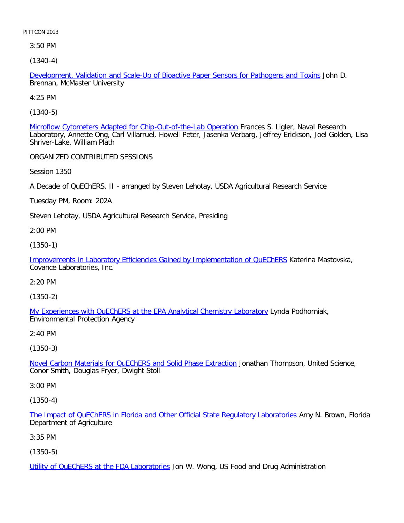3:50 PM

[\(1340-4\)](file:///p|/print%20on%20demand%20titles/23101-23200/23133/23133%20source%20materials/papers/1340-4.htm)

Development, Validation and Scale-Up of Bioactive Paper Sensors for Pathogens and Toxins John D. Brennan, McMaster University

4:25 PM

[\(1340-5\)](file:///p|/print%20on%20demand%20titles/23101-23200/23133/23133%20source%20materials/papers/1340-5.htm)

Microflow Cytometers Adapted for Chip-Out-of-the-Lab Operation Frances S. Ligler, Naval Research Laboratory, Annette Ong, Carl Villarruel, Howell Peter, Jasenka Verbarg, Jeffrey Erickson, Joel Golden, Lisa Shriver-Lake, William Plath

ORGANIZED CONTRIBUTED SESSIONS

Session 1350

A Decade of QuEChERS, II - arranged by Steven Lehotay, USDA Agricultural Research Service

Tuesday PM, Room: 202A

Steven Lehotay, USDA Agricultural Research Service, Presiding

2:00 PM

(1350-1)

[Improvements in Laboratory Efficiencies Gained by Implementation of QuEChERS](file:///p|/print%20on%20demand%20titles/23101-23200/23133/23133%20source%20materials/papers/1350-1.htm) Katerina Mastovska, Covance Laboratories, Inc.

2:20 PM

(1350-2)

My Experiences with QuEChERS at the EPA Analytical Chemistry Laboratory Lynda Podhorniak, [Environmental Protection Agency](file:///p|/print%20on%20demand%20titles/23101-23200/23133/23133%20source%20materials/papers/1350-2.htm)

2:40 PM

(1350-3)

Novel Carbon Materials for QuEChERS and Solid Phase Extraction Jonathan Thompson, United Science, [Conor Smith, Douglas Fryer, Dwight Stoll](file:///p|/print%20on%20demand%20titles/23101-23200/23133/23133%20source%20materials/papers/1350-3.htm)

3:00 PM

(1350-4)

The Impact of QuEChERS in Florida and Other Official State Regulatory Laboratories Amy N. Brown, Florida Department of Agriculture

[3:35 PM](file:///p|/print%20on%20demand%20titles/23101-23200/23133/23133%20source%20materials/papers/1350-4.htm)

(1350-5)

Utility of QuEChERS at the FDA Laboratories Jon W. Wong, US Food and Drug Administration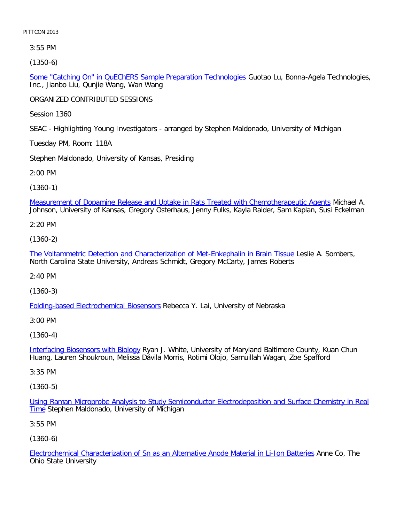3:55 PM

[\(1350-6\)](file:///p|/print%20on%20demand%20titles/23101-23200/23133/23133%20source%20materials/papers/1350-6.htm)

Some "Catching On" in QuEChERS Sample Preparation Technologies Guotao Lu, Bonna-Agela Technologies, Inc., Jianbo Liu, Qunjie Wang, Wan Wang

ORGANIZED CONTRIBUTED SESSIONS

Session 1360

SEAC - Highlighting Young Investigators - arranged by Stephen Maldonado, University of Michigan

Tuesday PM, Room: 118A

Stephen Maldonado, University of Kansas, Presiding

2:00 PM

(1360-1)

[Measurement of Dopamine Release and Uptake in Rats Treated with Chemotherapeutic Agents](file:///p|/print%20on%20demand%20titles/23101-23200/23133/23133%20source%20materials/papers/1360-1.htm) Michael A. Johnson, University of Kansas, Gregory Osterhaus, Jenny Fulks, Kayla Raider, Sam Kaplan, Susi Eckelman

2:20 PM

(1360-2)

[The Voltammetric Detection and Characterization of Met-Enkephalin in Brain Tissue](file:///p|/print%20on%20demand%20titles/23101-23200/23133/23133%20source%20materials/papers/1360-2.htm) Leslie A. Sombers, North Carolina State University, Andreas Schmidt, Gregory McCarty, James Roberts

2:40 PM

(1360-3)

[Folding-based Electrochemical Biosensor](file:///p|/print%20on%20demand%20titles/23101-23200/23133/23133%20source%20materials/papers/1360-3.htm)s Rebecca Y. Lai, University of Nebraska

3:00 PM

(1360-4)

Interfacing Biosensors with Biology Ryan J. White, University of Maryland Baltimore County, Kuan Chun [Huang, Lauren Shoukroun, Meliss](file:///p|/print%20on%20demand%20titles/23101-23200/23133/23133%20source%20materials/papers/1360-4.htm)a Dávila Morris, Rotimi Olojo, Samuillah Wagan, Zoe Spafford

3:35 PM

(1360-5)

Using Raman Microprobe Analysis to Study Semiconductor Electrodeposition and Surface Chemistry in Real **Time [Stephen Maldonado, University of Michigan](file:///p|/print%20on%20demand%20titles/23101-23200/23133/23133%20source%20materials/papers/1360-5.htm)** 

3:55 PM

(1360-6)

Electrochemical Characterization of Sn as an Alternative Anode Material in Li-Ion Batteries Anne Co, The Ohio State University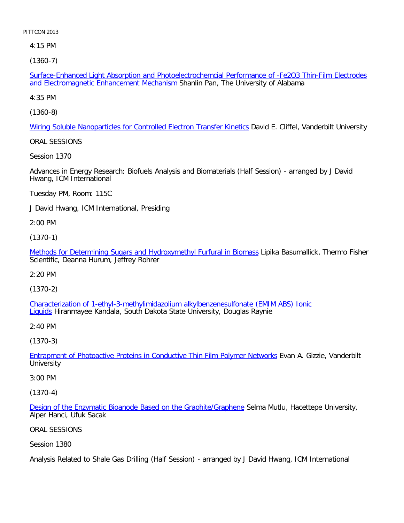4:15 PM

[\(1360-7\)](file:///p|/print%20on%20demand%20titles/23101-23200/23133/23133%20source%20materials/papers/1360-7.htm)

Surface-Enhanced Light Absorption and Photoelectrochemcial Performance of -Fe2O3 Thin-Film Electrodes and Electromagnetic Enhancement Mechanism Shanlin Pan, The University of Alabama

4:35 PM

[\(1360-8\)](file:///p|/print%20on%20demand%20titles/23101-23200/23133/23133%20source%20materials/papers/1360-8.htm)

Wiring Soluble Nanoparticles for Controlled Electron Transfer Kinetics David E. Cliffel, Vanderbilt University

ORAL SESSIONS

Session 1370

Advances in Energy Research: Biofuels Analysis and Biomaterials (Half Session) - arranged by J David Hwang, ICM International

Tuesday PM, Room: 115C

J David Hwang, ICM International, Presiding

2:00 PM

(1370-1)

[Methods for Determining Sugars and Hydroxymethyl Furfural in Biomass](file:///p|/print%20on%20demand%20titles/23101-23200/23133/23133%20source%20materials/papers/1370-1.htm) Lipika Basumallick, Thermo Fisher Scientific, Deanna Hurum, Jeffrey Rohrer

2:20 PM

(1370-2)

Characterization of 1-ethyl-3-methylimidazolium alkylbenzenesulfonate (EMIM ABS) Ionic [Liq](file:///p|/print%20on%20demand%20titles/23101-23200/23133/23133%20source%20materials/papers/1370-2.htm)uids [Hiranmayee Kandala, South Dakota State University, Douglas Raynie](file:///p|/print%20on%20demand%20titles/23101-23200/23133/23133%20source%20materials/papers/1370-2.htm)

2:40 PM

(1370-3)

Entrapment of Photoactive Proteins in Conductive Thin Film Polymer Networks Evan A. Gizzie, Vanderbilt **[University](file:///p|/print%20on%20demand%20titles/23101-23200/23133/23133%20source%20materials/papers/1370-3.htm)** 

3:00 PM

(1370-4)

Design of the Enzymatic Bioanode Based on the Graphite/Graphene Selma Mutlu, Hacettepe University, Alper Hanci, Ufuk Sacak

[ORAL SESSIONS](file:///p|/print%20on%20demand%20titles/23101-23200/23133/23133%20source%20materials/papers/1370-4.htm)

Session 1380

Analysis Related to Shale Gas Drilling (Half Session) - arranged by J David Hwang, ICM International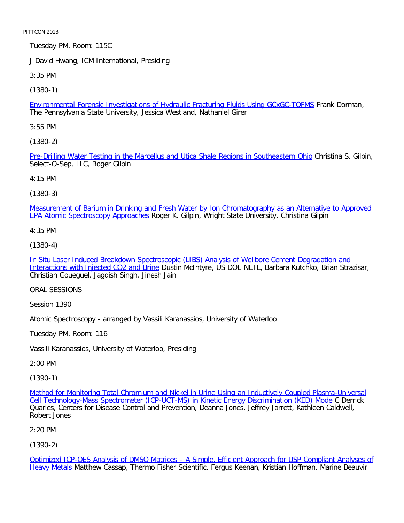Tuesday PM, Room: 115C

J David Hwang, ICM International, Presiding

3:35 PM

[\(1380-1\)](file:///p|/print%20on%20demand%20titles/23101-23200/23133/23133%20source%20materials/papers/1380-1.htm)

Environmental Forensic Investigations of Hydraulic Fracturing Fluids Using GCxGC-TOFMS Frank Dorman, The Pennsylvania State University, Jessica Westland, Nathaniel Girer

3:55 PM

[\(1380-2\)](file:///p|/print%20on%20demand%20titles/23101-23200/23133/23133%20source%20materials/papers/1380-2.htm)

Pre-Drilling Water Testing in the Marcellus and Utica Shale Regions in Southeastern Ohio Christina S. Gilpin, Select-O-Sep, LLC, Roger Gilpin

4:15 PM

(1380-3)

[Measurement of Barium in Drinking and Fresh Water by Ion Chromatography as an Alternative to Approved](file:///p|/print%20on%20demand%20titles/23101-23200/23133/23133%20source%20materials/papers/1380-3.htm) EPA Atomic Spectroscopy Approaches Roger K. Gilpin, Wright State University, Christina Gilpin

4:35 PM

(1380-4)

[In Situ Laser Induced Breakdown Spectroscopic \(LIBS\) Analysis of Wellbore Cement Degradation and](file:///p|/print%20on%20demand%20titles/23101-23200/23133/23133%20source%20materials/papers/1380-4.htm) [Interactions with Injected CO2 and Brin](file:///p|/print%20on%20demand%20titles/23101-23200/23133/23133%20source%20materials/papers/1380-4.htm)e Dustin McIntyre, US DOE NETL, Barbara Kutchko, Brian Strazisar, Christian Goueguel, Jagdish Singh, Jinesh Jain

ORAL SESSIONS

Session 1390

Atomic Spectroscopy - arranged by Vassili Karanassios, University of Waterloo

Tuesday PM, Room: 116

Vassili Karanassios, University of Waterloo, Presiding

2:00 PM

(1390-1)

Method for Monitoring Total Chromium and Nickel in Urine Using an Inductively Coupled Plasma-Universal Cell Technology-Mass Spectrometer (ICP-UCT-MS) in Kinetic Energy Discrimination (KED) Mode C Derrick [Quarles, Centers for Disease Control and Prevention, Deanna Jones, Jeffrey Jarrett, Kathleen Caldwell,](file:///p|/print%20on%20demand%20titles/23101-23200/23133/23133%20source%20materials/papers/1390-1.htm) [Robert Jones](file:///p|/print%20on%20demand%20titles/23101-23200/23133/23133%20source%20materials/papers/1390-1.htm)

2:20 PM

(1390-2)

Optimized ICP-OES Analysis of DMSO Matrices – A Simple, Efficient Approach for USP Compliant Analyses of Heavy Metals Matthew Cassap, Thermo Fisher Scientific, Fergus Keenan, Kristian Hoffman, Marine Beauvir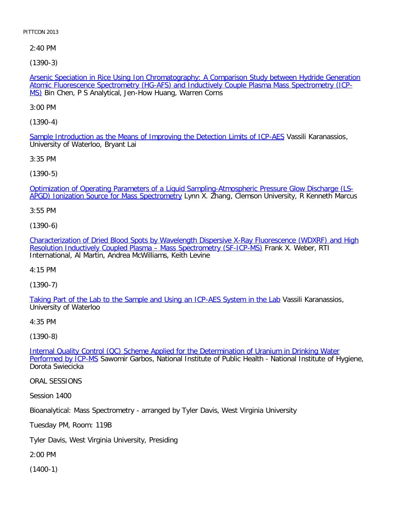2:40 PM

[\(1390-3\)](file:///p|/print%20on%20demand%20titles/23101-23200/23133/23133%20source%20materials/papers/1390-3.htm)

Arsenic Speciation in Rice Using Ion Chromatography: A Comparison Study between Hydride Generation Atomic Fluorescence Spectrometry (HG-AFS) and Inductively Couple Plasma Mass Spectrometry (ICP-MS) Bin Chen, P S Analytical, Jen-How Huang, Warren Corns

3:00 PM

[\(1390-4\)](file:///p|/print%20on%20demand%20titles/23101-23200/23133/23133%20source%20materials/papers/1390-4.htm)

Sample Introduction as the Means of Improving the Detection Limits of ICP-AES Vassili Karanassios, University of Waterloo, Bryant Lai

3:35 PM

[\(1390-5\)](file:///p|/print%20on%20demand%20titles/23101-23200/23133/23133%20source%20materials/papers/1390-5.htm)

[Optimization of Operating Parameters of a Liqui](file:///p|/print%20on%20demand%20titles/23101-23200/23133/23133%20source%20materials/papers/1390-5.htm)d Sampling-Atmospheric Pressure Glow Discharge (LS-APGD) Ionization Source for Mass Spectrometry Lynn X. Zhang, Clemson University, R Kenneth Marcus

3:55 PM

(1390-6)

[Characterization of Dried Blood Spots by Wavelength Dispersive X-Ray Fluorescence \(WDXRF\) and High](file:///p|/print%20on%20demand%20titles/23101-23200/23133/23133%20source%20materials/papers/1390-6.htm) [Resolution Inductively Coupled Plasma – Mass Spectrometry \(SF-ICP-MS\)](file:///p|/print%20on%20demand%20titles/23101-23200/23133/23133%20source%20materials/papers/1390-6.htm) Frank X. Weber, RTI International, Al Martin, Andrea McWilliams, Keith Levine

4:15 PM

(1390-7)

[Taking Part of the Lab to the Sample and Using an ICP-AES System in the Lab](file:///p|/print%20on%20demand%20titles/23101-23200/23133/23133%20source%20materials/papers/1390-7.htm) Vassili Karanassios, University of Waterloo

4:35 PM

(1390-8)

Internal Quality Control (QC) Scheme Applied for the Determination of Uranium in Drinking Water Performed by ICP-MS [Sawomir Garbos, National Institute of Public Health - National Institute of Hygien](file:///p|/print%20on%20demand%20titles/23101-23200/23133/23133%20source%20materials/papers/1390-8.htm)e, [Dorota Swiecicka](file:///p|/print%20on%20demand%20titles/23101-23200/23133/23133%20source%20materials/papers/1390-8.htm)

ORAL SESSIONS

Session 1400

Bioanalytical: Mass Spectrometry - arranged by Tyler Davis, West Virginia University

Tuesday PM, Room: 119B

Tyler Davis, West Virginia University, Presiding

2:00 PM

(1400-1)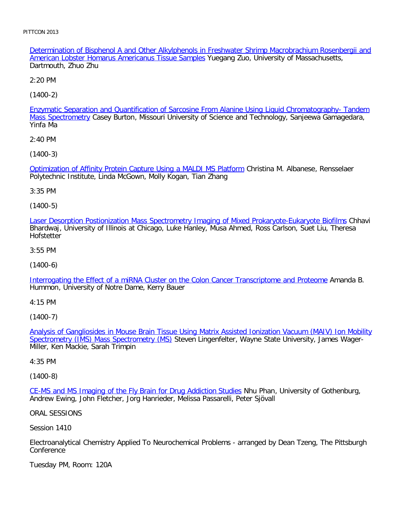Determination of Bisphenol A and Other Alkylphenols in Freshwater Shrimp Macrobrachium Rosenbergii and American Lobster Homarus Americanus Tissue Samples Yuegang Zuo, University of Massachusetts, Dartmouth, Zhuo Zhu

2:20 PM

[\(1400-2\)](file:///p|/print%20on%20demand%20titles/23101-23200/23133/23133%20source%20materials/papers/1400-2.htm)

Enzymatic Separation and Quantification of Sarcosine From Alanine Using Liquid Chromatography- Tandem Mass Spectrometry Casey Burton, Missouri University of Science and Technology, Sanjeewa Gamagedara, Yinfa Ma

2:40 PM

[\(1400-3\)](file:///p|/print%20on%20demand%20titles/23101-23200/23133/23133%20source%20materials/papers/1400-3.htm)

Optimization of Affinity Protein Capture Using a MALDI MS Platform Christina M. Albanese, Rensselaer Polytechnic Institute, Linda McGown, Molly Kogan, Tian Zhang

3:35 PM

(1400-5)

[Laser Desorption Postionization Mass Spectrometry Imaging of Mixed Prokaryote-Eukaryote Biofilms](file:///p|/print%20on%20demand%20titles/23101-23200/23133/23133%20source%20materials/papers/1400-5.htm) Chhavi Bhardwaj, University of Illinois at Chicago, Luke Hanley, Musa Ahmed, Ross Carlson, Suet Liu, Theresa **Hofstetter** 

3:55 PM

(1400-6)

[Interrogating the Effect of a miRNA Cluster on the Colon Cancer Transcriptome and Proteome](file:///p|/print%20on%20demand%20titles/23101-23200/23133/23133%20source%20materials/papers/1400-6.htm) Amanda B. Hummon, University of Notre Dame, Kerry Bauer

4:15 PM

(1400-7)

Analysis of Gangliosides in Mouse Brain Tissue Using Matrix Assisted Ionization Vacuum (MAIV) Ion Mobility Spectrometry (IMS) Mass Spectrometry (MS) [Steven Lingenfelter, Wayne State University, James Wager-](file:///p|/print%20on%20demand%20titles/23101-23200/23133/23133%20source%20materials/papers/1400-7.htm)[Miller, Ken Mackie, Sarah Trimpin](file:///p|/print%20on%20demand%20titles/23101-23200/23133/23133%20source%20materials/papers/1400-7.htm)

4:35 PM

(1400-8)

CE-MS and MS Imaging of the Fly Brain for Drug Addiction Studies Nhu Phan, University of Gothenburg, [Andrew Ewing, John Fletcher, Jorg Hanrieder, Melissa Passarelli, Pete](file:///p|/print%20on%20demand%20titles/23101-23200/23133/23133%20source%20materials/papers/1400-8.htm)r Sjövall

ORAL SESSIONS

Session 1410

Electroanalytical Chemistry Applied To Neurochemical Problems - arranged by Dean Tzeng, The Pittsburgh **Conference** 

Tuesday PM, Room: 120A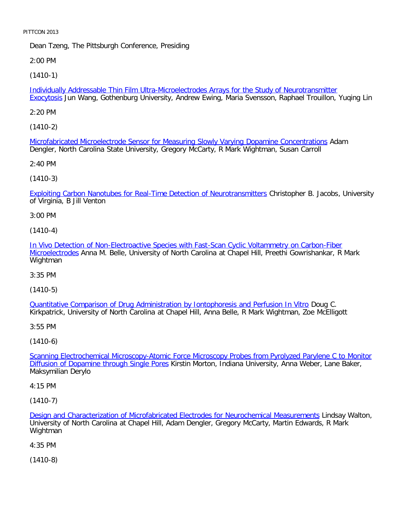Dean Tzeng, The Pittsburgh Conference, Presiding

2:00 PM

[\(1410-1\)](file:///p|/print%20on%20demand%20titles/23101-23200/23133/23133%20source%20materials/papers/1410-1.htm)

Individually Addressable Thin Film Ultra-Microelectrodes Arrays for the Study of Neurotransmitter Exocytosis Jun Wang, Gothenburg University, Andrew Ewing, Maria Svensson, Raphael Trouillon, Yuqing Lin

2:20 PM

[\(1410-2\)](file:///p|/print%20on%20demand%20titles/23101-23200/23133/23133%20source%20materials/papers/1410-2.htm)

Microfabricated Microelectrode Sensor for Measuring Slowly Varying Dopamine Concentrations Adam Dengler, North Carolina State University, Gregory McCarty, R Mark Wightman, Susan Carroll

2:40 PM

(1410-3)

[Exploiting Carbon Nanotubes for Real-Time Detection of Neurotransmitters](file:///p|/print%20on%20demand%20titles/23101-23200/23133/23133%20source%20materials/papers/1410-3.htm) Christopher B. Jacobs, University of Virginia, B Jill Venton

3:00 PM

(1410-4)

[In Vivo Detection of Non-Electroactive Species with Fast-Scan Cyclic Voltammetry on Carbon-Fiber](file:///p|/print%20on%20demand%20titles/23101-23200/23133/23133%20source%20materials/papers/1410-4.htm) [Microelectro](file:///p|/print%20on%20demand%20titles/23101-23200/23133/23133%20source%20materials/papers/1410-4.htm)des Anna M. Belle, University of North Carolina at Chapel Hill, Preethi Gowrishankar, R Mark Wightman

3:35 PM

(1410-5)

Quantitative Comparison of Drug Administration by Iontophoresis and Perfusion In Vitro Doug C. [Kirkpatrick, University of North Carolina at Chapel Hill, Anna Belle, R Mark Wightman, Zoe M](file:///p|/print%20on%20demand%20titles/23101-23200/23133/23133%20source%20materials/papers/1410-5.htm)cElligott

3:55 PM

(1410-6)

Scanning Electrochemical Microscopy-Atomic Force Microscopy Probes from Pyrolyzed Parylene C to Monitor Diffusion of Dopamine through Single Pores [Kirstin Morton, Indiana University, Anna Weber, Lane Baker,](file:///p|/print%20on%20demand%20titles/23101-23200/23133/23133%20source%20materials/papers/1410-6.htm) [Maksymilian Derylo](file:///p|/print%20on%20demand%20titles/23101-23200/23133/23133%20source%20materials/papers/1410-6.htm)

4:15 PM

(1410-7)

Design and Characterization of Microfabricated Electrodes for Neurochemical Measurements Lindsay Walton, University of North Carolina at Chapel Hill, Adam Dengler, Gregory McCarty, Martin Edwards, R Mark [Wightman](file:///p|/print%20on%20demand%20titles/23101-23200/23133/23133%20source%20materials/papers/1410-7.htm)

4:35 PM

(1410-8)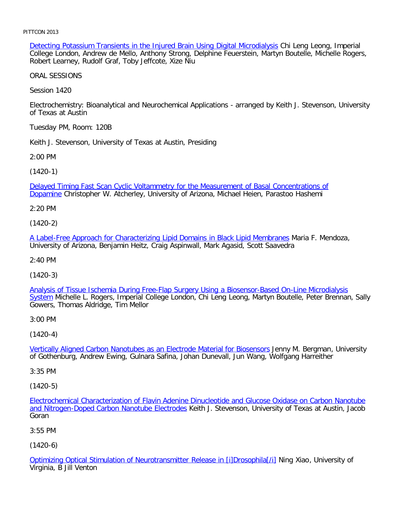Detecting Potassium Transients in the Injured Brain Using Digital Microdialysis Chi Leng Leong, Imperial College London, Andrew de Mello, Anthony Strong, Delphine Feuerstein, Martyn Boutelle, Michelle Rogers, Robert Learney, Rudolf Graf, Toby Jeffcote, Xize Niu

ORAL SESSIONS

Session 1420

Electrochemistry: Bioanalytical and Neurochemical Applications - arranged by Keith J. Stevenson, University of Texas at Austin

Tuesday PM, Room: 120B

Keith J. Stevenson, University of Texas at Austin, Presiding

2:00 PM

[\(1420-1\)](file:///p|/print%20on%20demand%20titles/23101-23200/23133/23133%20source%20materials/papers/1420-1.htm)

[Delay](file:///p|/print%20on%20demand%20titles/23101-23200/23133/23133%20source%20materials/papers/1420-1.htm)ed Timing Fast Scan Cyclic Voltammetry for the Measurement of Basal Concentrations of Dopamine Christopher W. Atcherley, University of Arizona, Michael Heien, Parastoo Hashemi

2:20 PM

(1420-2)

[A Label-Free Approach for Characterizing Lipid Domains in Black Lipid Membranes](file:///p|/print%20on%20demand%20titles/23101-23200/23133/23133%20source%20materials/papers/1420-2.htm) Maria F. Mendoza, University of Arizona, Benjamin Heitz, Craig Aspinwall, Mark Agasid, Scott Saavedra

2:40 PM

(1420-3)

[Analysis of Tissue Ischemia During Free-Flap Surgery Using a Biosensor-Based On-Line Microdialysis](file:///p|/print%20on%20demand%20titles/23101-23200/23133/23133%20source%20materials/papers/1420-3.htm) System Michelle L. Rogers, Imperial College London, Chi Leng Leong, Martyn Boutelle, Peter Brennan, Sally [Go](file:///p|/print%20on%20demand%20titles/23101-23200/23133/23133%20source%20materials/papers/1420-3.htm)wers, Thomas Aldridge, Tim Mellor

3:00 PM

(1420-4)

Vertically Aligned Carbon Nanotubes as an Electrode Material for Biosensors Jenny M. Bergman, University [of Gothenburg, Andrew Ewing, Gulnara Safina, Johan Dunevall, Jun Wang, Wo](file:///p|/print%20on%20demand%20titles/23101-23200/23133/23133%20source%20materials/papers/1420-4.htm)lfgang Harreither

3:35 PM

(1420-5)

Electrochemical Characterization of Flavin Adenine Dinucleotide and Glucose Oxidase on Carbon Nanotube and Nitrogen-Doped Carbon Nanotube Electrodes Keith J. Stevenson, University of Texas at Austin, Jacob [Goran](file:///p|/print%20on%20demand%20titles/23101-23200/23133/23133%20source%20materials/papers/1420-5.htm)

[3:55 PM](file:///p|/print%20on%20demand%20titles/23101-23200/23133/23133%20source%20materials/papers/1420-5.htm)

(1420-6)

Optimizing Optical Stimulation of Neurotransmitter Release in [i]Drosophila[/i] Ning Xiao, University of Virginia, B Jill Venton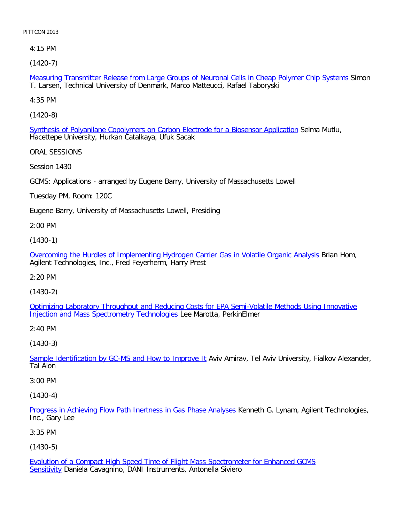4:15 PM

[\(1420-7\)](file:///p|/print%20on%20demand%20titles/23101-23200/23133/23133%20source%20materials/papers/1420-7.htm)

Measuring Transmitter Release from Large Groups of Neuronal Cells in Cheap Polymer Chip Systems Simon T. Larsen, Technical University of Denmark, Marco Matteucci, Rafael Taboryski

4:35 PM

[\(1420-8\)](file:///p|/print%20on%20demand%20titles/23101-23200/23133/23133%20source%20materials/papers/1420-8.htm)

Synthesis of Polyanilane Copolymers on Carbon Electrode for a Biosensor Application Selma Mutlu, Hacettepe University, Hurkan Catalkaya, Ufuk Sacak

ORAL SESSIONS

Session 1430

GCMS: Applications - arranged by Eugene Barry, University of Massachusetts Lowell

Tuesday PM, Room: 120C

Eugene Barry, University of Massachusetts Lowell, Presiding

2:00 PM

(1430-1)

[Overcoming the Hurdles of Implementing Hydrogen Carrier Gas in Volatile Organic Analysis](file:///p|/print%20on%20demand%20titles/23101-23200/23133/23133%20source%20materials/papers/1430-1.htm) Brian Hom, Agilent Technologies, Inc., Fred Feyerherm, Harry Prest

2:20 PM

(1430-2)

[Optimizing Laboratory Throughput and Reducing Costs for EPA Semi-Volatile Methods Using Innovative](file:///p|/print%20on%20demand%20titles/23101-23200/23133/23133%20source%20materials/papers/1430-2.htm) [Injection and Mass Spectrometry Technologies](file:///p|/print%20on%20demand%20titles/23101-23200/23133/23133%20source%20materials/papers/1430-2.htm) Lee Marotta, PerkinElmer

2:40 PM

(1430-3)

Sample Identification by GC-MS and How to Improve It</u> Aviv Amirav, Tel Aviv University, Fialkov Alexander, [Tal Alon](file:///p|/print%20on%20demand%20titles/23101-23200/23133/23133%20source%20materials/papers/1430-3.htm)

3:00 PM

(1430-4)

Progress in Achieving Flow Path Inertness in Gas Phase Analyses Kenneth G. Lynam, Agilent Technologies, Inc., Gary Lee

[3:35 PM](file:///p|/print%20on%20demand%20titles/23101-23200/23133/23133%20source%20materials/papers/1430-4.htm)

(1430-5)

Evolution of a Compact High Speed Time of Flight Mass Spectrometer for Enhanced GCMS Sensitivity Daniela Cavagnino, DANI Instruments, Antonella Siviero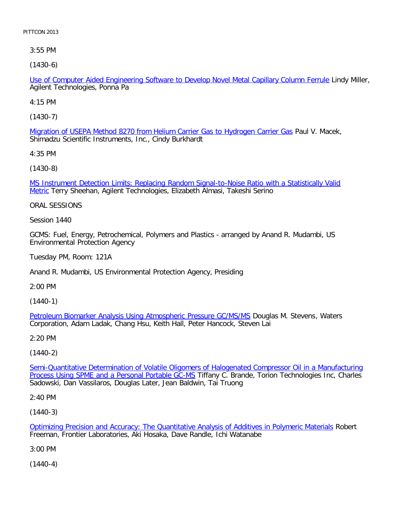3:55 PM

[\(1430-6\)](file:///p|/print%20on%20demand%20titles/23101-23200/23133/23133%20source%20materials/papers/1430-6.htm)

Use of Computer Aided Engineering Software to Develop Novel Metal Capillary Column Ferrule Lindy Miller, Agilent Technologies, Ponna Pa

4:15 PM

[\(1430-7\)](file:///p|/print%20on%20demand%20titles/23101-23200/23133/23133%20source%20materials/papers/1430-7.htm)

Migration of USEPA Method 8270 from Helium Carrier Gas to Hydrogen Carrier Gas Paul V. Macek, Shimadzu Scientific Instruments, Inc., Cindy Burkhardt

4:35 PM

[\(1430-8\)](file:///p|/print%20on%20demand%20titles/23101-23200/23133/23133%20source%20materials/papers/1430-8.htm)

[M](file:///p|/print%20on%20demand%20titles/23101-23200/23133/23133%20source%20materials/papers/1430-8.htm)S Instrument Detection Limits: Replacing Random Signal-to-Noise Ratio with a Statistically Valid Metric Terry Sheehan, Agilent Technologies, Elizabeth Almasi, Takeshi Serino

ORAL SESSIONS

Session 1440

GCMS: Fuel, Energy, Petrochemical, Polymers and Plastics - arranged by Anand R. Mudambi, US Environmental Protection Agency

Tuesday PM, Room: 121A

Anand R. Mudambi, US Environmental Protection Agency, Presiding

2:00 PM

(1440-1)

Petroleum Biomarker Analysis Using Atmospheric Pressure GC/MS/MS Douglas M. Stevens, Waters [Corporation, Adam Ladak, Chang Hsu, Keith Hall, Peter Hancock, Steven](file:///p|/print%20on%20demand%20titles/23101-23200/23133/23133%20source%20materials/papers/1440-1.htm) Lai

2:20 PM

(1440-2)

Semi-Quantitative Determination of Volatile Oligomers of Halogenated Compressor Oil in a Manufacturing Process Using SPME and a Personal Portable GC-MS Tiffany C. Brande, Torion Technologies Inc, Charles [Sadowski, Dan Vassilaros, Douglas Later, Jean Baldwin, Tai Truong](file:///p|/print%20on%20demand%20titles/23101-23200/23133/23133%20source%20materials/papers/1440-2.htm)

2:40 PM

(1440-3)

Optimizing Precision and Accuracy: The Quantitative Analysis of Additives in Polymeric Materials Robert Freeman, Frontier Laboratories, Aki Hosaka, Dave Randle, Ichi Watanabe

[3:00 PM](file:///p|/print%20on%20demand%20titles/23101-23200/23133/23133%20source%20materials/papers/1440-3.htm)

(1440-4)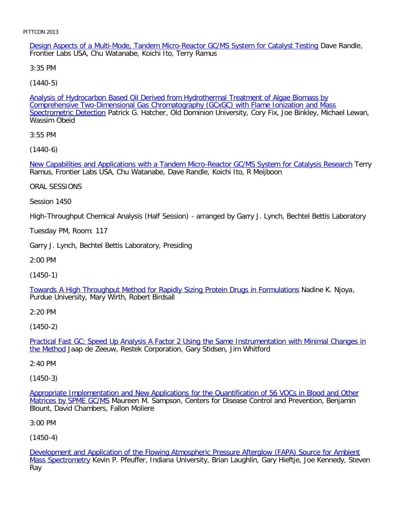Design Aspects of a Multi-Mode, Tandem Micro-Reactor GC/MS System for Catalyst Testing Dave Randle, Frontier Labs USA, Chu Watanabe, Koichi Ito, Terry Ramus

3:35 PM

[\(1440-5\)](file:///p|/print%20on%20demand%20titles/23101-23200/23133/23133%20source%20materials/papers/1440-5.htm)

[Analysis of Hydrocarb](file:///p|/print%20on%20demand%20titles/23101-23200/23133/23133%20source%20materials/papers/1440-5.htm)on Based Oil Derived from Hydrothermal Treatment of Algae Biomass by Comprehensive Two-Dimensional Gas Chromatography (GCxGC) with Flame Ionization and Mass Spectrometric Detection Patrick G. Hatcher, Old Dominion University, Cory Fix, Joe Binkley, Michael Lewan, Wassim Obeid

3:55 PM

[\(1440-6\)](file:///p|/print%20on%20demand%20titles/23101-23200/23133/23133%20source%20materials/papers/1440-6.htm)

New Capabilities and Applications with a Tandem Micro-Reactor GC/MS System for Catalysis Research Terry Ramus, Frontier Labs USA, Chu Watanabe, Dave Randle, Koichi Ito, R Meijboon

ORAL SESSIONS

Session 1450

High-Throughput Chemical Analysis (Half Session) - arranged by Garry J. Lynch, Bechtel Bettis Laboratory

Tuesday PM, Room: 117

Garry J. Lynch, Bechtel Bettis Laboratory, Presiding

2:00 PM

(1450-1)

[Towards A High Throughput Method for Rapidly Sizing Protein Drugs in Formulations](file:///p|/print%20on%20demand%20titles/23101-23200/23133/23133%20source%20materials/papers/1450-1.htm) Nadine K. Njoya, Purdue University, Mary Wirth, Robert Birdsall

2:20 PM

(1450-2)

Practical Fast GC: Speed Up Analysis A Factor 2 Using the Same Instrumentation with Minimal Changes in the Method [Jaap de Zeeuw, Restek Corporation, Gary Stidsen, Jim Whitford](file:///p|/print%20on%20demand%20titles/23101-23200/23133/23133%20source%20materials/papers/1450-2.htm)

## [2:40 PM](file:///p|/print%20on%20demand%20titles/23101-23200/23133/23133%20source%20materials/papers/1450-2.htm)

(1450-3)

Appropriate Implementation and New Applications for the Quantification of 56 VOCs in Blood and Other Matrices by SPME GC/MS Maureen M. Sampson, Centers for Disease Control and Prevention, Benjamin [Blount, David Chambers, Fallon Moliere](file:///p|/print%20on%20demand%20titles/23101-23200/23133/23133%20source%20materials/papers/1450-3.htm)

[3:00 PM](file:///p|/print%20on%20demand%20titles/23101-23200/23133/23133%20source%20materials/papers/1450-3.htm)

(1450-4)

Development and Application of the Flowing Atmospheric Pressure Afterglow (FAPA) Source for Ambient Mass Spectrometry Kevin P. Pfeuffer, Indiana University, Brian Laughlin, Gary Hieftje, Joe Kennedy, Steven [Ray](file:///p|/print%20on%20demand%20titles/23101-23200/23133/23133%20source%20materials/papers/1450-4.htm)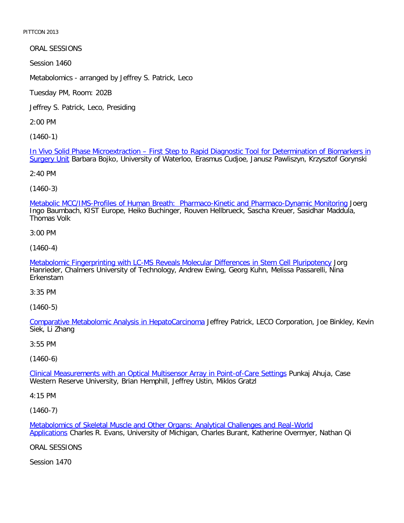ORAL SESSIONS

Session 1460

Metabolomics - arranged by Jeffrey S. Patrick, Leco

Tuesday PM, Room: 202B

Jeffrey S. Patrick, Leco, Presiding

2:00 PM

[\(1460-1\)](file:///p|/print%20on%20demand%20titles/23101-23200/23133/23133%20source%20materials/papers/1460-1.htm)

[In Vivo S](file:///p|/print%20on%20demand%20titles/23101-23200/23133/23133%20source%20materials/papers/1460-1.htm)olid Phase Microextraction – First Step to Rapid Diagnostic Tool for Determination of Biomarkers in Surgery Unit Barbara Bojko, University of Waterloo, Erasmus Cudjoe, Janusz Pawliszyn, Krzysztof Gorynski

2:40 PM

(1460-3)

[Metabolic MCC/IMS-Profiles of Human Breath: Pharmaco-Kinetic and Pharmaco-Dynamic Monitoring](file:///p|/print%20on%20demand%20titles/23101-23200/23133/23133%20source%20materials/papers/1460-3.htm) Joerg Ingo Baumbach, KIST Europe, Heiko Buchinger, Rouven Hellbrueck, Sascha Kreuer, Sasidhar Maddula, Thomas Volk

3:00 PM

(1460-4)

[Metabolomic Fingerprinting with LC-MS Reveals Molecular Differences in Stem Cell Pluripotency](file:///p|/print%20on%20demand%20titles/23101-23200/23133/23133%20source%20materials/papers/1460-4.htm) Jorg Hanrieder, Chalmers University of Technology, Andrew Ewing, Georg Kuhn, Melissa Passarelli, Nina Erkenstam

3:35 PM

(1460-5)

Comparative Metabolomic Analysis in HepatoCarcinoma Jeffrey Patrick, LECO Corporation, Joe Binkley, Kevin [Siek, Li Zhang](file:///p|/print%20on%20demand%20titles/23101-23200/23133/23133%20source%20materials/papers/1460-5.htm)

3:55 PM

(1460-6)

Clinical Measurements with an Optical Multisensor Array in Point-of-Care Settings Punkaj Ahuja, Case [Western Reserve University, Brian Hemphill, Jeffrey Ustin, Miklos Gratzl](file:///p|/print%20on%20demand%20titles/23101-23200/23133/23133%20source%20materials/papers/1460-6.htm)

4:15 PM

(1460-7)

Metabolomics of Skeletal Muscle and Other Organs: Analytical Challenges and Real-World Applications Charles R. Evans, University of Michigan, Charles Burant, Katherine Overmyer, Nathan Qi

[ORAL SESSIONS](file:///p|/print%20on%20demand%20titles/23101-23200/23133/23133%20source%20materials/papers/1460-7.htm)

Session 1470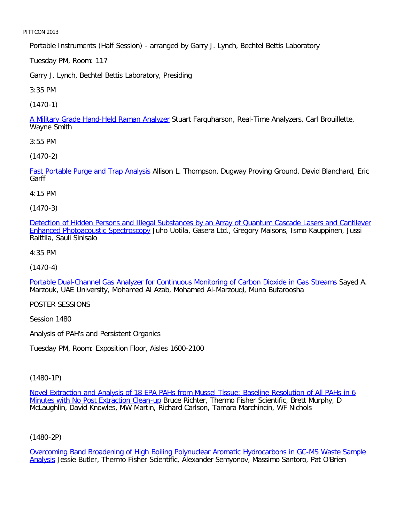Portable Instruments (Half Session) - arranged by Garry J. Lynch, Bechtel Bettis Laboratory

Tuesday PM, Room: 117

Garry J. Lynch, Bechtel Bettis Laboratory, Presiding

3:35 PM

[\(1470-1\)](file:///p|/print%20on%20demand%20titles/23101-23200/23133/23133%20source%20materials/papers/1470-1.htm)

A Military Grade Hand-Held Raman Analyzer Stuart Farquharson, Real-Time Analyzers, Carl Brouillette, Wayne Smith

3:55 PM

[\(1470-2\)](file:///p|/print%20on%20demand%20titles/23101-23200/23133/23133%20source%20materials/papers/1470-2.htm)

Fast Portable Purge and Trap Analysis Allison L. Thompson, Dugway Proving Ground, David Blanchard, Eric **Garff** 

4:15 PM

(1470-3)

[Detection of Hidden Persons and Illegal Substances by an Array of Quantum Cascade Lasers and Cantilever](file:///p|/print%20on%20demand%20titles/23101-23200/23133/23133%20source%20materials/papers/1470-3.htm) [Enhanced Photoacoustic Spectroscop](file:///p|/print%20on%20demand%20titles/23101-23200/23133/23133%20source%20materials/papers/1470-3.htm)y Juho Uotila, Gasera Ltd., Gregory Maisons, Ismo Kauppinen, Jussi Raittila, Sauli Sinisalo

4:35 PM

(1470-4)

[Portable Dual-Channel Gas Analyzer for Continuous Monitoring of Carbon Dioxide in Gas Streams](file:///p|/print%20on%20demand%20titles/23101-23200/23133/23133%20source%20materials/papers/1470-4.htm) Sayed A. Marzouk, UAE University, Mohamed Al Azab, Mohamed Al-Marzouqi, Muna Bufaroosha

POSTER SESSIONS

Session 1480

Analysis of PAH's and Persistent Organics

Tuesday PM, Room: Exposition Floor, Aisles 1600-2100

(1480-1P)

Novel Extraction and Analysis of 18 EPA PAHs from Mussel Tissue: Baseline Resolution of All PAHs in 6 Minutes with No Post Extraction Clean-up Bruce Richter, Thermo Fisher Scientific, Brett Murphy, D [McLaughlin, David Knowles, MW Martin, Richard Carlson, Tamara Marchincin, WF Nichols](file:///p|/print%20on%20demand%20titles/23101-23200/23133/23133%20source%20materials/papers/1480-1.htm)

(1480-2P)

Overcoming Band Broadening of High Boiling Polynuclear Aromatic Hydrocarbons in GC-MS Waste Sample Analysis Jessie Butler, Thermo Fisher Scientific, Alexander Semyonov, Massimo Santoro, Pat O'Brien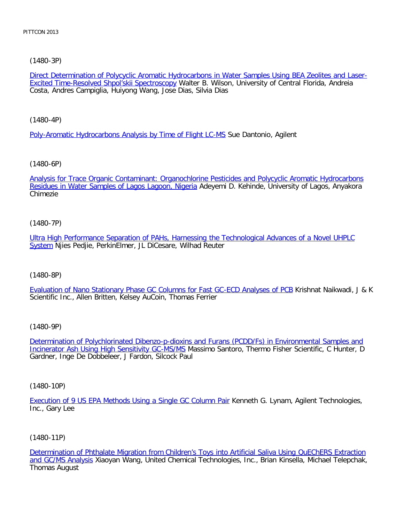[\(1480-3P\)](file:///p|/print%20on%20demand%20titles/23101-23200/23133/23133%20source%20materials/papers/1480-3.htm)

Direct Determination of Polycyclic Aromatic Hydrocarbons in Water Samples Using BEA Zeolites and Laser-Excited Time-Resolved Shpol'skii Spectroscopy Walter B. Wilson, University of Central Florida, Andreia Costa, Andres Campiglia, Huiyong Wang, Jose Dias, Silvia Dias

[\(1480-4P\)](file:///p|/print%20on%20demand%20titles/23101-23200/23133/23133%20source%20materials/papers/1480-4.htm)

Poly-Aromatic Hydrocarbons Analysis by Time of Flight LC-MS Sue Dantonio, Agilent

[\(1480-6P\)](file:///p|/print%20on%20demand%20titles/23101-23200/23133/23133%20source%20materials/papers/1480-6.htm)

[Analysis for Trace Organic Contaminant: Organochlor](file:///p|/print%20on%20demand%20titles/23101-23200/23133/23133%20source%20materials/papers/1480-6.htm)ine Pesticides and Polycyclic Aromatic Hydrocarbons Residues in Water Samples of Lagos Lagoon, Nigeria Adeyemi D. Kehinde, University of Lagos, Anyakora Chimezie

(1480-7P)

[Ultra High Performance Separation of PAHs, Harnessing the Technological Advances of a Novel UHPLC](file:///p|/print%20on%20demand%20titles/23101-23200/23133/23133%20source%20materials/papers/1480-7.htm) [Sy](file:///p|/print%20on%20demand%20titles/23101-23200/23133/23133%20source%20materials/papers/1480-7.htm)stem Njies Pedjie, PerkinElmer, JL DiCesare, Wilhad Reuter

(1480-8P)

[Evaluation of Nano Stationary Phase GC Columns for Fast GC-ECD Analyses of PCB](file:///p|/print%20on%20demand%20titles/23101-23200/23133/23133%20source%20materials/papers/1480-8.htm) Krishnat Naikwadi, J & K Scientific Inc., Allen Britten, Kelsey AuCoin, Thomas Ferrier

(1480-9P)

Determination of Polychlorinated Dibenzo-p-dioxins and Furans (PCDD/Fs) in Environmental Samples and Incinerator Ash Using High Sensitivity GC-MS/MS [Massimo Santoro, Thermo Fisher Scientific, C Hunter, D](file:///p|/print%20on%20demand%20titles/23101-23200/23133/23133%20source%20materials/papers/1480-9.htm) [Gardner, Inge De Dobbeleer, J Fardon, Silcock Pa](file:///p|/print%20on%20demand%20titles/23101-23200/23133/23133%20source%20materials/papers/1480-9.htm)ul

(1480-10P)

Execution of 9 US EPA Methods Using a Single GC Column Pair Kenneth G. Lynam, Agilent Technologies, Inc., Gary Lee

(1480-11P)

Determination of Phthalate Migration from Children's Toys into Artificial Saliva Using QuEChERS Extraction and GC/MS Analysis Xiaoyan Wang, United Chemical Technologies, Inc., Brian Kinsella, Michael Telepchak, [Thomas August](file:///p|/print%20on%20demand%20titles/23101-23200/23133/23133%20source%20materials/papers/1480-11.htm)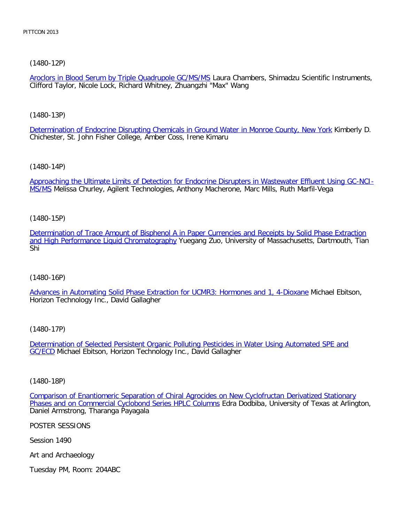[\(1480-12P\)](file:///p|/print%20on%20demand%20titles/23101-23200/23133/23133%20source%20materials/papers/1480-12.htm)

Aroclors in Blood Serum by Triple Quadrupole GC/MS/MS Laura Chambers, Shimadzu Scientific Instruments, Clifford Taylor, Nicole Lock, Richard Whitney, Zhuangzhi "Max" Wang

[\(1480-13P\)](file:///p|/print%20on%20demand%20titles/23101-23200/23133/23133%20source%20materials/papers/1480-13.htm)

Determination of Endocrine Disrupting Chemicals in Ground Water in Monroe County, New York Kimberly D. Chichester, St. John Fisher College, Amber Coss, Irene Kimaru

[\(1480-14P\)](file:///p|/print%20on%20demand%20titles/23101-23200/23133/23133%20source%20materials/papers/1480-14.htm)

[Ap](file:///p|/print%20on%20demand%20titles/23101-23200/23133/23133%20source%20materials/papers/1480-14.htm)proaching the Ultimate Limits of Detection for Endocrine Disrupters in Wastewater Effluent Using GC-NCI-MS/MS Melissa Churley, Agilent Technologies, Anthony Macherone, Marc Mills, Ruth Marfil-Vega

(1480-15P)

[Determination of Trace Amount of Bisphenol A in Paper Currencies and Receipts by Solid Phase Extraction](file:///p|/print%20on%20demand%20titles/23101-23200/23133/23133%20source%20materials/papers/1480-15.htm) [and High Performance Liquid Chromatography](file:///p|/print%20on%20demand%20titles/23101-23200/23133/23133%20source%20materials/papers/1480-15.htm) Yuegang Zuo, University of Massachusetts, Dartmouth, Tian Shi

(1480-16P)

[Advances in Automating Solid Phase Extraction for UCMR3: Hormones and 1, 4-Dioxane](file:///p|/print%20on%20demand%20titles/23101-23200/23133/23133%20source%20materials/papers/1480-16.htm) Michael Ebitson, Horizon Technology Inc., David Gallagher

(1480-17P)

Determination of Selected Persistent Organic Polluting Pesticides in Water Using Automated SPE and **GC/ECD** [Michael Ebitson, Horizon Technology Inc., David Gallagher](file:///p|/print%20on%20demand%20titles/23101-23200/23133/23133%20source%20materials/papers/1480-17.htm)

(1480-18P)

Comparison of Enantiomeric Separation of Chiral Agrocides on New Cyclofructan Derivatized Stationary Phases and on Commercial Cyclobond Series HPLC Columns Edra Dodbiba, University of Texas at Arlington, [Daniel Armstrong, Tharanga Payagala](file:///p|/print%20on%20demand%20titles/23101-23200/23133/23133%20source%20materials/papers/1480-18.htm)

[POSTER SESSIONS](file:///p|/print%20on%20demand%20titles/23101-23200/23133/23133%20source%20materials/papers/1480-18.htm)

Session 1490

Art and Archaeology

Tuesday PM, Room: 204ABC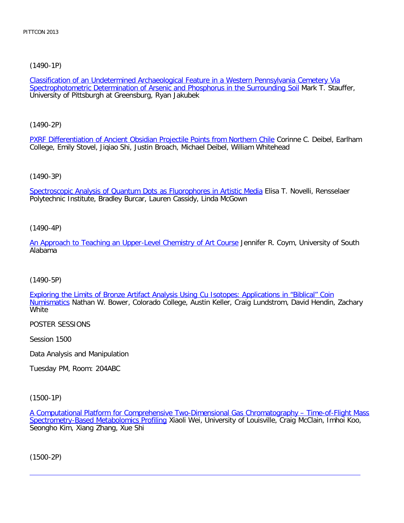[\(1490-1P\)](file:///p|/print%20on%20demand%20titles/23101-23200/23133/23133%20source%20materials/papers/1490-1.htm)

Classification of an Undetermined Archaeological Feature in a Western Pennsylvania Cemetery Via Spectrophotometric Determination of Arsenic and Phosphorus in the Surrounding Soil Mark T. Stauffer, University of Pittsburgh at Greensburg, Ryan Jakubek

[\(1490-2P\)](file:///p|/print%20on%20demand%20titles/23101-23200/23133/23133%20source%20materials/papers/1490-2.htm)

PXRF Differentiation of Ancient Obsidian Projectile Points from Northern Chile Corinne C. Deibel, Earlham College, Emily Stovel, Jiqiao Shi, Justin Broach, Michael Deibel, William Whitehead

# [\(1490-3P\)](file:///p|/print%20on%20demand%20titles/23101-23200/23133/23133%20source%20materials/papers/1490-3.htm)

Spectroscopic Analysis of Quantum Dots as Fluorophores in Artistic Media Elisa T. Novelli, Rensselaer Polytechnic Institute, Bradley Burcar, Lauren Cassidy, Linda McGown

## (1490-4P)

[An Approach to Teaching an Upper-Level Chemistry of Art Course](file:///p|/print%20on%20demand%20titles/23101-23200/23133/23133%20source%20materials/papers/1490-4.htm) Jennifer R. Coym, University of South Alabama

## (1490-5P)

[Exploring the Limits of Bronze Artifact Analysis Using Cu Isotopes: Applications in "Biblical" Coin](file:///p|/print%20on%20demand%20titles/23101-23200/23133/23133%20source%20materials/papers/1490-5.htm) [Numisma](file:///p|/print%20on%20demand%20titles/23101-23200/23133/23133%20source%20materials/papers/1490-5.htm)tics Nathan W. Bower, Colorado College, Austin Keller, Craig Lundstrom, David Hendin, Zachary **White** 

POSTER SESSIONS

Session 1500

Data Analysis and Manipulation

Tuesday PM, Room: 204ABC

(1500-1P)

A Computational Platform for Comprehensive Two-Dimensional Gas Chromatography – Time-of-Flight Mass Spectrometry-Based Metabolomics Profiling Xiaoli Wei, University of Louisville, Craig McClain, Imhoi Koo, [Seongho Kim, Xiang Zhang, Xue Shi](file:///p|/print%20on%20demand%20titles/23101-23200/23133/23133%20source%20materials/papers/1500-1.htm)

(1500-2P)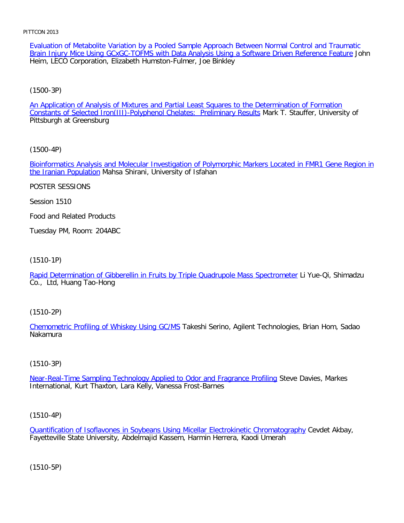Evaluation of Metabolite Variation by a Pooled Sample Approach Between Normal Control and Traumatic Brain Injury Mice Using GCxGC-TOFMS with Data Analysis Using a Software Driven Reference Feature John Heim, LECO Corporation, Elizabeth Humston-Fulmer, Joe Binkley

# [\(1500-3P\)](file:///p|/print%20on%20demand%20titles/23101-23200/23133/23133%20source%20materials/papers/1500-3.htm)

An Application of Analysis of Mixtures and Partial Least Squares to the Determination of Formation Constants of Selected Iron(III)-Polyphenol Chelates: Preliminary Results Mark T. Stauffer, University of Pittsburgh at Greensburg

# [\(1500-4P\)](file:///p|/print%20on%20demand%20titles/23101-23200/23133/23133%20source%20materials/papers/1500-4.htm)

[Bioinformatics Anal](file:///p|/print%20on%20demand%20titles/23101-23200/23133/23133%20source%20materials/papers/1500-4.htm)ysis and Molecular Investigation of Polymorphic Markers Located in FMR1 Gene Region in the Iranian Population Mahsa Shirani, University of Isfahan

# POSTER SESSIONS

Session 1510

Food and Related Products

Tuesday PM, Room: 204ABC

# (1510-1P)

[Rapid Determination of Gibberellin in Fruits by Triple Quadrupole Mass Spectrometer](file:///p|/print%20on%20demand%20titles/23101-23200/23133/23133%20source%20materials/papers/1510-1.htm) Li Yue-Qi, Shimadzu Co., Ltd, Huang Tao-Hong

# (1510-2P)

Chemometric Profiling of Whiskey Using GC/MS Takeshi Serino, Agilent Technologies, Brian Hom, Sadao [Nakamura](file:///p|/print%20on%20demand%20titles/23101-23200/23133/23133%20source%20materials/papers/1510-2.htm)

# (1510-3P)

Near-Real-Time Sampling Technology Applied to Odor and Fragrance Profiling Steve Davies, Markes [International, Kurt Thaxton, Lara Kelly, Vanessa Frost-Barnes](file:///p|/print%20on%20demand%20titles/23101-23200/23133/23133%20source%20materials/papers/1510-3.htm)

# (1510-4P)

Quantification of Isoflavones in Soybeans Using Micellar Electrokinetic Chromatography Cevdet Akbay, Fayetteville State University, Abdelmajid Kassem, Harmin Herrera, Kaodi Umerah

(1510-5P)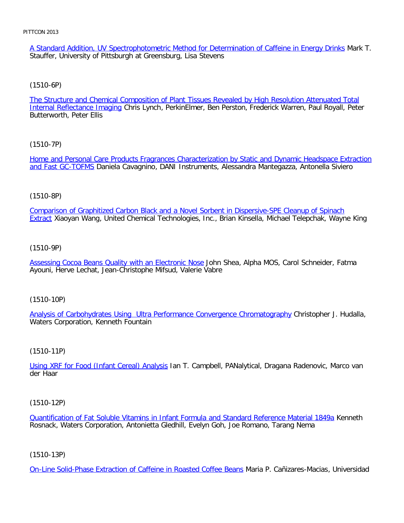A Standard Addition, UV Spectrophotometric Method for Determination of Caffeine in Energy Drinks Mark T. Stauffer, University of Pittsburgh at Greensburg, Lisa Stevens

## [\(1510-6P\)](file:///p|/print%20on%20demand%20titles/23101-23200/23133/23133%20source%20materials/papers/1510-6.htm)

The Structure and Chemical Composition of Plant Tissues Revealed by High Resolution Attenuated Total Internal Reflectance Imaging Chris Lynch, PerkinElmer, Ben Perston, Frederick Warren, Paul Royall, Peter Butterworth, Peter Ellis

#### [\(1510-7P\)](file:///p|/print%20on%20demand%20titles/23101-23200/23133/23133%20source%20materials/papers/1510-7.htm)

[Home and Person](file:///p|/print%20on%20demand%20titles/23101-23200/23133/23133%20source%20materials/papers/1510-7.htm)al Care Products Fragrances Characterization by Static and Dynamic Headspace Extraction and Fast GC-TOFMS Daniela Cavagnino, DANI Instruments, Alessandra Mantegazza, Antonella Siviero

#### (1510-8P)

[Comparison of Graphitized Carbon Black and a Novel Sorbent in Dispersive-SPE Cleanup of Spinach](file:///p|/print%20on%20demand%20titles/23101-23200/23133/23133%20source%20materials/papers/1510-8.htm) Extract Xiaoyan Wang, United Chemical Technologies, Inc., Brian Kinsella, Michael Telepchak, Wayne King

#### (1510-9P)

[Assessing Cocoa Beans Quality with an Electronic Nose](file:///p|/print%20on%20demand%20titles/23101-23200/23133/23133%20source%20materials/papers/1510-9.htm) John Shea, Alpha MOS, Carol Schneider, Fatma Ayouni, Herve Lechat, Jean-Christophe Mifsud, Valerie Vabre

(1510-10P)

Analysis of Carbohydrates Using Ultra Performance Convergence Chromatography Christopher J. Hudalla, [Waters Corporation, Kenneth Fountain](file:///p|/print%20on%20demand%20titles/23101-23200/23133/23133%20source%20materials/papers/1510-10.htm)

#### (1510-11P)

Using XRF for Food (Infant Cereal) Analysis Ian T. Campbell, PANalytical, Dragana Radenovic, Marco van [der Haar](file:///p|/print%20on%20demand%20titles/23101-23200/23133/23133%20source%20materials/papers/1510-11.htm)

(1510-12P)

Quantification of Fat Soluble Vitamins in Infant Formula and Standard Reference Material 1849a Kenneth Rosnack, Waters Corporation, Antonietta Gledhill, Evelyn Goh, Joe Romano, Tarang Nema

#### (1510-13P)

On-Line Solid-Phase Extraction of Caffeine in Roasted Coffee Beans Maria P. Cañizares-Macias, Universidad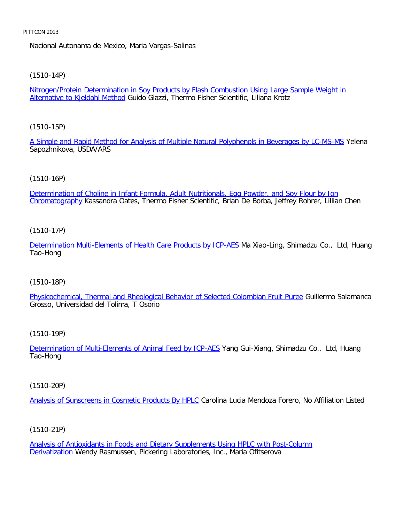Nacional Autonama de Mexico, Maria Vargas-Salinas

#### [\(1510-14P\)](file:///p|/print%20on%20demand%20titles/23101-23200/23133/23133%20source%20materials/papers/1510-14.htm)

Nitrogen/Protein Determination in Soy Products by Flash Combustion Using Large Sample Weight in Alternative to Kjeldahl Method Guido Giazzi, Thermo Fisher Scientific, Liliana Krotz

#### [\(1510-15P\)](file:///p|/print%20on%20demand%20titles/23101-23200/23133/23133%20source%20materials/papers/1510-15.htm)

A Simple and Rapid Method for Analysis of Multiple Natural Polyphenols in Beverages by LC-MS-MS Yelena Sapozhnikova, USDA/ARS

#### (1510-16P)

[Determination of Choline in Infant Formula, Adult Nutritionals, Egg Powder, and Soy Flour by Ion](file:///p|/print%20on%20demand%20titles/23101-23200/23133/23133%20source%20materials/papers/1510-16.htm) Chromatography Kassandra Oates, Thermo Fisher Scientific, Brian De Borba, Jeffrey Rohrer, Lillian Chen

## (1510-17P)

[Determination Multi-Elements of Health Care Products by ICP-AES](file:///p|/print%20on%20demand%20titles/23101-23200/23133/23133%20source%20materials/papers/1510-17.htm) Ma Xiao-Ling, Shimadzu Co., Ltd, Huang Tao-Hong

#### (1510-18P)

[Physicochemical, Thermal and Rheological Behavior of Selected Colombian Fruit Puree](file:///p|/print%20on%20demand%20titles/23101-23200/23133/23133%20source%20materials/papers/1510-18.htm) Guillermo Salamanca Grosso, Universidad del Tolima, T Osorio

#### (1510-19P)

Determination of Multi-Elements of Animal Feed by ICP-AES Yang Gui-Xiang, Shimadzu Co., Ltd, Huang [Tao-Hong](file:///p|/print%20on%20demand%20titles/23101-23200/23133/23133%20source%20materials/papers/1510-19.htm)

(1510-20P)

Analysis of Sunscreens in Cosmetic Products By HPLC Carolina Lucia Mendoza Forero, No Affiliation Listed

(1510-21P)

Analysis of Antioxidants in Foods and Dietary Supplements Using HPLC with Post-Column **Derivatization Wendy Rasmussen, Pickering Laboratories, Inc., Maria Ofitserova**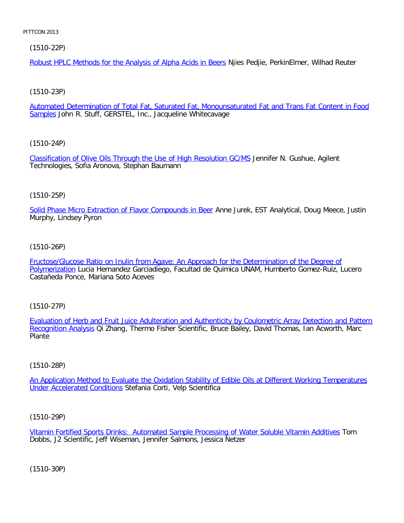[\(1510-22P\)](file:///p|/print%20on%20demand%20titles/23101-23200/23133/23133%20source%20materials/papers/1510-22.htm)

Robust HPLC Methods for the Analysis of Alpha Acids in Beers Njies Pedjie, PerkinElmer, Wilhad Reuter

## [\(1510-23P\)](file:///p|/print%20on%20demand%20titles/23101-23200/23133/23133%20source%20materials/papers/1510-23.htm)

Automated Determination of Total Fat, Saturated Fat, Monounsaturated Fat and Trans Fat Content in Food Samples John R. Stuff, GERSTEL, Inc., Jacqueline Whitecavage

# [\(1510-24P\)](file:///p|/print%20on%20demand%20titles/23101-23200/23133/23133%20source%20materials/papers/1510-24.htm)

Classification of Olive Oils Through the Use of High Resolution GC/MS Jennifer N. Gushue, Agilent Technologies, Sofia Aronova, Stephan Baumann

## (1510-25P)

[Solid Phase Micro Extraction of Flavor Compounds in Beer](file:///p|/print%20on%20demand%20titles/23101-23200/23133/23133%20source%20materials/papers/1510-25.htm) Anne Jurek, EST Analytical, Doug Meece, Justin Murphy, Lindsey Pyron

# (1510-26P)

[Fructose/Glucose Ratio on Inulin from Agave: An Approach for the Determination of the Degree of](file:///p|/print%20on%20demand%20titles/23101-23200/23133/23133%20source%20materials/papers/1510-26.htm) [Polymeriza](file:///p|/print%20on%20demand%20titles/23101-23200/23133/23133%20source%20materials/papers/1510-26.htm)tion Lucia Hernandez Garciadiego, Facultad de Quimica UNAM, Humberto Gomez-Ruiz, Lucero Castañeda Ponce, Mariana Soto Aceves

## (1510-27P)

Evaluation of Herb and Fruit Juice Adulteration and Authenticity by Coulometric Array Detection and Pattern Recognition Analysis [Qi Zhang, Thermo Fisher Scientific, Bruce Bailey, David Thomas, Ian Acworth, Marc](file:///p|/print%20on%20demand%20titles/23101-23200/23133/23133%20source%20materials/papers/1510-27.htm) **[Plante](file:///p|/print%20on%20demand%20titles/23101-23200/23133/23133%20source%20materials/papers/1510-27.htm)** 

## (1510-28P)

An Application Method to Evaluate the Oxidation Stability of Edible Oils at Different Working Temperatures Under Accelerated Conditions [Stefania Corti, Velp Scientifica](file:///p|/print%20on%20demand%20titles/23101-23200/23133/23133%20source%20materials/papers/1510-28.htm)

## (1510-29P)

Vitamin Fortified Sports Drinks: Automated Sample Processing of Water Soluble Vitamin Additives Tom Dobbs, J2 Scientific, Jeff Wiseman, Jennifer Salmons, Jessica Netzer

(1510-30P)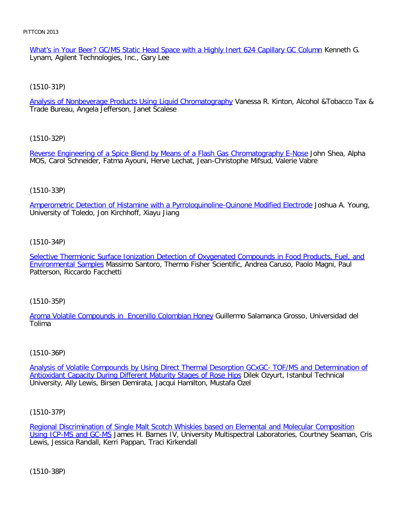What's in Your Beer? GC/MS Static Head Space with a Highly Inert 624 Capillary GC Column Kenneth G. Lynam, Agilent Technologies, Inc., Gary Lee

[\(1510-31P\)](file:///p|/print%20on%20demand%20titles/23101-23200/23133/23133%20source%20materials/papers/1510-31.htm)

Analysis of Nonbeverage Products Using Liquid Chromatography Vanessa R. Kinton, Alcohol & Tobacco Tax & Trade Bureau, Angela Jefferson, Janet Scalese

[\(1510-32P\)](file:///p|/print%20on%20demand%20titles/23101-23200/23133/23133%20source%20materials/papers/1510-32.htm)

Reverse Engineering of a Spice Blend by Means of a Flash Gas Chromatography E-Nose John Shea, Alpha MOS, Carol Schneider, Fatma Ayouni, Herve Lechat, Jean-Christophe Mifsud, Valerie Vabre

## (1510-33P)

[Amperometric Detection of Histamine with a Pyrroloquinoline-Quinone Modified Electrode](file:///p|/print%20on%20demand%20titles/23101-23200/23133/23133%20source%20materials/papers/1510-33.htm) Joshua A. Young, University of Toledo, Jon Kirchhoff, Xiayu Jiang

# (1510-34P)

[Selective Thermionic Surface Ionization Detection of Oxygenated Compounds in Food Products, Fuel, and](file:///p|/print%20on%20demand%20titles/23101-23200/23133/23133%20source%20materials/papers/1510-34.htm) [Environmental Samp](file:///p|/print%20on%20demand%20titles/23101-23200/23133/23133%20source%20materials/papers/1510-34.htm)les Massimo Santoro, Thermo Fisher Scientific, Andrea Caruso, Paolo Magni, Paul Patterson, Riccardo Facchetti

## (1510-35P)

[Aroma Volatile Compounds in Encenillo Colombian Honey](file:///p|/print%20on%20demand%20titles/23101-23200/23133/23133%20source%20materials/papers/1510-35.htm) Guillermo Salamanca Grosso, Universidad del Tolima

## (1510-36P)

Analysis of Volatile Compounds by Using Direct Thermal Desorption GCxGC- TOF/MS and Determination of Antioxidant Capacity During Different Maturity Stages of Rose Hips Dilek Ozyurt, Istanbul Technical [University, Ally Lewis, Birsen Demirata, Jacqui Hamilton, Mustafa Ozel](file:///p|/print%20on%20demand%20titles/23101-23200/23133/23133%20source%20materials/papers/1510-36.htm)

(1510-37P)

Regional Discrimination of Single Malt Scotch Whiskies based on Elemental and Molecular Composition Using ICP-MS and GC-MS James H. Barnes IV, University Multispectral Laboratories, Courtney Seaman, Cris [Lewis, Jessica Randall, Kerri Pappan, Traci Kirkendall](file:///p|/print%20on%20demand%20titles/23101-23200/23133/23133%20source%20materials/papers/1510-37.htm)

(1510-38P)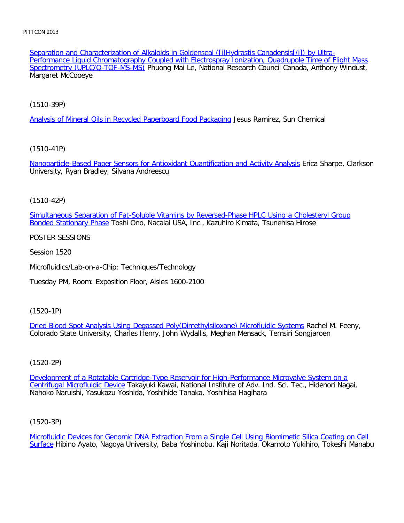[Separation and Characterization of](file:///p|/print%20on%20demand%20titles/23101-23200/23133/23133%20source%20materials/papers/1510-38.htm) Alkaloids in Goldenseal ([i]Hydrastis Canadensis[/i]) by Ultra-Performance Liquid Chromatography Coupled with Electrospray Ionization, Quadrupole Time of Flight Mass Spectrometry (UPLC/Q-TOF-MS-MS) Phuong Mai Le, National Research Council Canada, Anthony Windust, Margaret McCooeye

[\(1510-39P\)](file:///p|/print%20on%20demand%20titles/23101-23200/23133/23133%20source%20materials/papers/1510-39.htm)

Analysis of Mineral Oils in Recycled Paperboard Food Packaging Jesus Ramirez, Sun Chemical

# [\(1510-41P\)](file:///p|/print%20on%20demand%20titles/23101-23200/23133/23133%20source%20materials/papers/1510-41.htm)

Nanoparticle-Based Paper Sensors for Antioxidant Quantification and Activity Analysis Erica Sharpe, Clarkson University, Ryan Bradley, Silvana Andreescu

# (1510-42P)

[Simultaneous Separation of Fat-Soluble Vitamins by Reversed-Phase HPLC Using a Cholesteryl Group](file:///p|/print%20on%20demand%20titles/23101-23200/23133/23133%20source%20materials/papers/1510-42.htm) Bonded Stationary Phase Toshi Ono, Nacalai USA, Inc., Kazuhiro Kimata, Tsunehisa Hirose

## POSTER SESSIONS

Session 1520

Microfluidics/Lab-on-a-Chip: Techniques/Technology

Tuesday PM, Room: Exposition Floor, Aisles 1600-2100

## (1520-1P)

Dried Blood Spot Analysis Using Degassed Poly(Dimethylsiloxane) Microfluidic Systems Rachel M. Feeny, [Colorado State University, Charles Henry, John Wydallis, Meghan Mensack, Temsiri Songja](file:///p|/print%20on%20demand%20titles/23101-23200/23133/23133%20source%20materials/papers/1520-1.htm)roen

# (1520-2P)

Development of a Rotatable Cartridge-Type Reservoir for High-Performance Microvalve System on a Centrifugal Microfluidic Device Takayuki Kawai, National Institute of Adv. Ind. Sci. Tec., Hidenori Nagai, [Nahoko Naruishi, Yasukazu Yoshida, Yoshihide Tanaka, Yoshihisa Hagihara](file:///p|/print%20on%20demand%20titles/23101-23200/23133/23133%20source%20materials/papers/1520-2.htm)

## (1520-3P)

Microfluidic Devices for Genomic DNA Extraction From a Single Cell Using Biomimetic Silica Coating on Cell Surface Hibino Ayato, Nagoya University, Baba Yoshinobu, Kaji Noritada, Okamoto Yukihiro, Tokeshi Manabu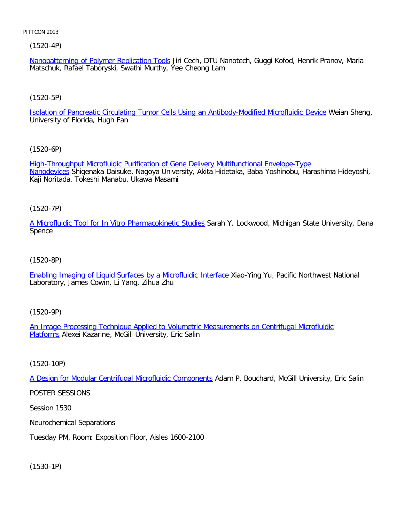(1520-4P)

Nanopatterning of Polymer Replication Tools Jiri Cech, DTU Nanotech, Guggi Kofod, Henrik Pranov, Maria Matschuk, Rafael Taboryski, Swathi Murthy, Yee Cheong Lam

# [\(1520-5P\)](file:///p|/print%20on%20demand%20titles/23101-23200/23133/23133%20source%20materials/papers/1520-5.htm)

Isolation of Pancreatic Circulating Tumor Cells Using an Antibody-Modified Microfluidic Device Weian Sheng, University of Florida, Hugh Fan

# [\(1520-6P\)](file:///p|/print%20on%20demand%20titles/23101-23200/23133/23133%20source%20materials/papers/1520-6.htm)

[High-Th](file:///p|/print%20on%20demand%20titles/23101-23200/23133/23133%20source%20materials/papers/1520-6.htm)roughput Microfluidic Purification of Gene Delivery Multifunctional Envelope-Type Nanodevices Shigenaka Daisuke, Nagoya University, Akita Hidetaka, Baba Yoshinobu, Harashima Hideyoshi, Kaji Noritada, Tokeshi Manabu, Ukawa Masami

# (1520-7P)

[A Microfluidic Tool for In Vitro Pharmacokinetic Studies](file:///p|/print%20on%20demand%20titles/23101-23200/23133/23133%20source%20materials/papers/1520-7.htm) Sarah Y. Lockwood, Michigan State University, Dana Spence

## (1520-8P)

[Enabling Imaging of Liquid Surfaces by a Microfluidic Interface](file:///p|/print%20on%20demand%20titles/23101-23200/23133/23133%20source%20materials/papers/1520-8.htm) Xiao-Ying Yu, Pacific Northwest National Laboratory, James Cowin, Li Yang, Zihua Zhu

# (1520-9P)

An Image Processing Technique Applied to Volumetric Measurements on Centrifugal Microfluidic Platforms [Alexei Kazarine, McGill University, Eric Salin](file:///p|/print%20on%20demand%20titles/23101-23200/23133/23133%20source%20materials/papers/1520-9.htm)

(1520-10P)

A Design for Modular Centrifugal Microfluidic Components Adam P. Bouchard, McGill University, Eric Salin

[POSTER SESSIONS](file:///p|/print%20on%20demand%20titles/23101-23200/23133/23133%20source%20materials/papers/1520-10.htm)

Session 1530

Neurochemical Separations

Tuesday PM, Room: Exposition Floor, Aisles 1600-2100

(1530-1P)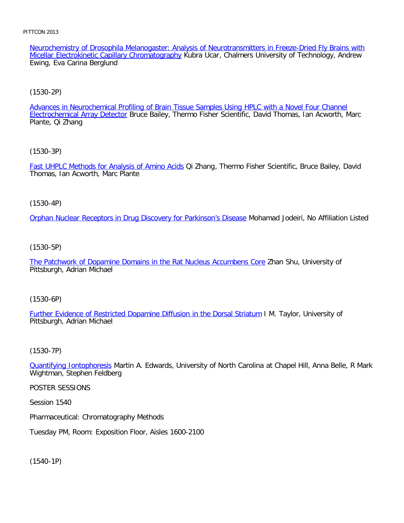Neurochemistry of Drosophila Melanogaster: Analysis of Neurotransmitters in Freeze-Dried Fly Brains with Micellar Electrokinetic Capillary Chromatography Kubra Ucar, Chalmers University of Technology, Andrew Ewing, Eva Carina Berglund

## [\(1530-2P\)](file:///p|/print%20on%20demand%20titles/23101-23200/23133/23133%20source%20materials/papers/1530-2.htm)

Advances in Neurochemical Profiling of Brain Tissue Samples Using HPLC with a Novel Four Channel Electrochemical Array Detector Bruce Bailey, Thermo Fisher Scientific, David Thomas, Ian Acworth, Marc Plante, Qi Zhang

[\(1530-3P\)](file:///p|/print%20on%20demand%20titles/23101-23200/23133/23133%20source%20materials/papers/1530-3.htm)

Fast UHPLC Methods for Analysis of Amino Acids Qi Zhang, Thermo Fisher Scientific, Bruce Bailey, David Thomas, Ian Acworth, Marc Plante

(1530-4P)

[Orphan Nuclear Receptors in Drug Discovery for Parkinson's Disease](file:///p|/print%20on%20demand%20titles/23101-23200/23133/23133%20source%20materials/papers/1530-4.htm) Mohamad Jodeiri, No Affiliation Listed

## (1530-5P)

[The Patchwork of Dopamine Domains in the Rat Nucleus Accumbens Core](file:///p|/print%20on%20demand%20titles/23101-23200/23133/23133%20source%20materials/papers/1530-5.htm) Zhan Shu, University of Pittsburgh, Adrian Michael

(1530-6P)

Further Evidence of Restricted Dopamine Diffusion in the Dorsal Striatum I M. Taylor, University of [Pittsburgh, Adrian Michael](file:///p|/print%20on%20demand%20titles/23101-23200/23133/23133%20source%20materials/papers/1530-6.htm)

## (1530-7P)

Quantifying Iontophoresis Martin A. Edwards, University of North Carolina at Chapel Hill, Anna Belle, R Mark [Wightman, Stephen Fe](file:///p|/print%20on%20demand%20titles/23101-23200/23133/23133%20source%20materials/papers/1530-7.htm)ldberg

POSTER SESSIONS

Session 1540

Pharmaceutical: Chromatography Methods

Tuesday PM, Room: Exposition Floor, Aisles 1600-2100

(1540-1P)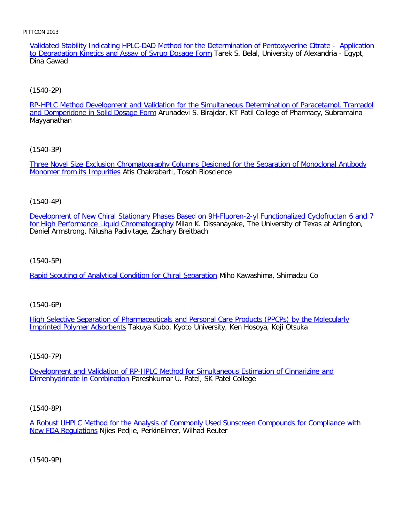Validated Stability Indicating HPLC-DAD Method for the Determination of Pentoxyverine Citrate - Application to Degradation Kinetics and Assay of Syrup Dosage Form Tarek S. Belal, University of Alexandria - Egypt, Dina Gawad

# [\(1540-2P\)](file:///p|/print%20on%20demand%20titles/23101-23200/23133/23133%20source%20materials/papers/1540-2.htm)

RP-HPLC Method Development and Validation for the Simultaneous Determination of Paracetamol, Tramadol and Domperidone in Solid Dosage Form Arunadevi S. Birajdar, KT Patil College of Pharmacy, Subramaina Mayyanathan

[\(1540-3P\)](file:///p|/print%20on%20demand%20titles/23101-23200/23133/23133%20source%20materials/papers/1540-3.htm)

[Three Novel Size Exclusion](file:///p|/print%20on%20demand%20titles/23101-23200/23133/23133%20source%20materials/papers/1540-3.htm) Chromatography Columns Designed for the Separation of Monoclonal Antibody Monomer from its Impurities Atis Chakrabarti, Tosoh Bioscience

## (1540-4P)

[Development of New Chiral Stationary Phases Based on 9H-Fluoren-2-yl Functionalized Cyclofructan 6 and 7](file:///p|/print%20on%20demand%20titles/23101-23200/23133/23133%20source%20materials/papers/1540-4.htm) for High Performance Liquid Chromatography Milan K. Dissanayake, The University of Texas at Arlington, Daniel Armstrong, Nilusha Padivitage, Zachary Breitbach

(1540-5P)

[Rapid Scouting of Analytical Condition for Chiral Separation](file:///p|/print%20on%20demand%20titles/23101-23200/23133/23133%20source%20materials/papers/1540-5.htm) Miho Kawashima, Shimadzu Co

(1540-6P)

High Selective Separation of Pharmaceuticals and Personal Care Products (PPCPs) by the Molecularly [Imprinted Polymer Adsorben](file:///p|/print%20on%20demand%20titles/23101-23200/23133/23133%20source%20materials/papers/1540-6.htm)ts [Takuya Kubo, Kyoto University, Ken Hosoya, Koji Otsuka](file:///p|/print%20on%20demand%20titles/23101-23200/23133/23133%20source%20materials/papers/1540-6.htm)

## (1540-7P)

Development and Validation of RP-HPLC Method for Simultaneous Estimation of Cinnarizine and Dimenhydrinate in Combination [Pareshkumar U. Patel, SK Patel College](file:///p|/print%20on%20demand%20titles/23101-23200/23133/23133%20source%20materials/papers/1540-7.htm)

## (1540-8P)

A Robust UHPLC Method for the Analysis of Commonly Used Sunscreen Compounds for Compliance with New FDA Regulations Njies Pedjie, PerkinElmer, Wilhad Reuter

(1540-9P)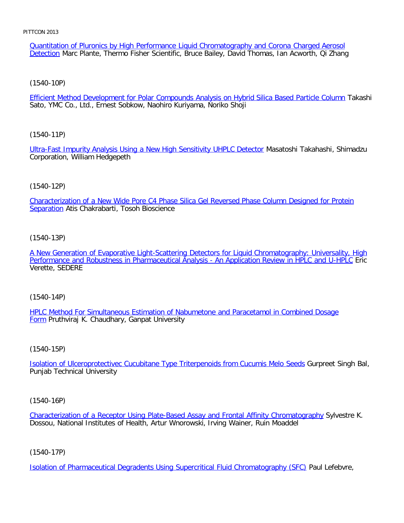Quantitation of Pluronics by High Performance Liquid Chromatography and Corona Charged Aerosol Detection Marc Plante, Thermo Fisher Scientific, Bruce Bailey, David Thomas, Ian Acworth, Qi Zhang

[\(1540-10P\)](file:///p|/print%20on%20demand%20titles/23101-23200/23133/23133%20source%20materials/papers/1540-10.htm)

Efficient Method Development for Polar Compounds Analysis on Hybrid Silica Based Particle Column Takashi Sato, YMC Co., Ltd., Ernest Sobkow, Naohiro Kuriyama, Noriko Shoji

[\(1540-11P\)](file:///p|/print%20on%20demand%20titles/23101-23200/23133/23133%20source%20materials/papers/1540-11.htm)

Ultra-Fast Impurity Analysis Using a New High Sensitivity UHPLC Detector Masatoshi Takahashi, Shimadzu Corporation, William Hedgepeth

# (1540-12P)

[Characterization of a New Wide Pore C4 Phase Silica Gel Reversed Phase Column Designed for Protein](file:///p|/print%20on%20demand%20titles/23101-23200/23133/23133%20source%20materials/papers/1540-12.htm) Separation Atis Chakrabarti, Tosoh Bioscience

(1540-13P)

[A New Generation of Evaporative Light-Scattering Detectors for Liquid Chromatography: Universality, High](file:///p|/print%20on%20demand%20titles/23101-23200/23133/23133%20source%20materials/papers/1540-13.htm) [Performance and Robustness in Pharmaceutical Analysis - An Application Review in HPLC and U-HPLC](file:///p|/print%20on%20demand%20titles/23101-23200/23133/23133%20source%20materials/papers/1540-13.htm) Eric Verette, SEDERE

(1540-14P)

HPLC Method For Simultaneous Estimation of Nabumetone and Paracetamol in Combined Dosage Form [Pruthviraj K. Chaudhary, Ganpat University](file:///p|/print%20on%20demand%20titles/23101-23200/23133/23133%20source%20materials/papers/1540-14.htm)

(1540-15P)

Isolation of Ulceroprotectivec Cucubitane Type Triterpenoids from Cucumis Melo Seeds Gurpreet Singh Bal, [Punjab Technical University](file:///p|/print%20on%20demand%20titles/23101-23200/23133/23133%20source%20materials/papers/1540-15.htm)

(1540-16P)

Characterization of a Receptor Using Plate-Based Assay and Frontal Affinity Chromatography Sylvestre K. Dossou, National Institutes of Health, Artur Wnorowski, Irving Wainer, Ruin Moaddel

(1540-17P)

Isolation of Pharmaceutical Degradents Using Supercritical Fluid Chromatography (SFC) Paul Lefebvre,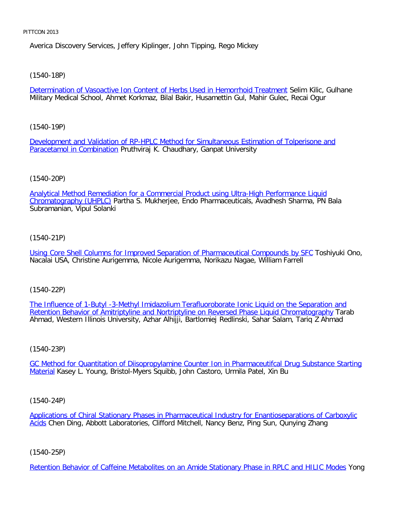Averica Discovery Services, Jeffery Kiplinger, John Tipping, Rego Mickey

[\(1540-18P\)](file:///p|/print%20on%20demand%20titles/23101-23200/23133/23133%20source%20materials/papers/1540-18.htm)

Determination of Vasoactive Ion Content of Herbs Used in Hemorrhoid Treatment Selim Kilic, Gulhane Military Medical School, Ahmet Korkmaz, Bilal Bakir, Husamettin Gul, Mahir Gulec, Recai Ogur

[\(1540-19P\)](file:///p|/print%20on%20demand%20titles/23101-23200/23133/23133%20source%20materials/papers/1540-19.htm)

[Development and Validat](file:///p|/print%20on%20demand%20titles/23101-23200/23133/23133%20source%20materials/papers/1540-19.htm)ion of RP-HPLC Method for Simultaneous Estimation of Tolperisone and **Paracetamol in Combination Pruthviraj K. Chaudhary, Ganpat University** 

# (1540-20P)

[Analytical Method Remediation for a Commercial Product using Ultra-High Performance Liquid](file:///p|/print%20on%20demand%20titles/23101-23200/23133/23133%20source%20materials/papers/1540-20.htm) Chromatography (UHPLC) Partha S. Mukherjee, Endo Pharmaceuticals, Avadhesh Sharma, PN Bala Subramanian, Vipul Solanki

# (1540-21P)

[Using Core Shell Columns for Improved Separation of Pharmaceutical Compounds by SFC](file:///p|/print%20on%20demand%20titles/23101-23200/23133/23133%20source%20materials/papers/1540-21.htm) Toshiyuki Ono, Nacalai USA, Christine Aurigemma, Nicole Aurigemma, Norikazu Nagae, William Farrell

(1540-22P)

The Influence of 1-Butyl -3-Methyl Imidazolium Terafluoroborate Ionic Liquid on the Separation and [Retention Behavior of Amitriptyline and Nortriptyline on Reversed Phase Liquid Chromatography](file:///p|/print%20on%20demand%20titles/23101-23200/23133/23133%20source%20materials/papers/1540-22.htm) Tarab [Ahmad, Western Illinois University, Azhar Alhijji, Bartlomiej Redlinski, Sahar Salam, Tariq Z Ahmad](file:///p|/print%20on%20demand%20titles/23101-23200/23133/23133%20source%20materials/papers/1540-22.htm)

## (1540-23P)

GC Method for Quantitation of Diisopropylamine Counter Ion in Pharmaceutifcal Drug Substance Starting Material [Kasey L. Young, Bristol-Myers Squibb, John Castoro, Urmila Patel, Xin Bu](file:///p|/print%20on%20demand%20titles/23101-23200/23133/23133%20source%20materials/papers/1540-23.htm)

## (1540-24P)

Applications of Chiral Stationary Phases in Pharmaceutical Industry for Enantioseparations of Carboxylic Acids Chen Ding, Abbott Laboratories, Clifford Mitchell, Nancy Benz, Ping Sun, Qunying Zhang

## (1540-25P)

Retention Behavior of Caffeine Metabolites on an Amide Stationary Phase in RPLC and HILIC Modes Yong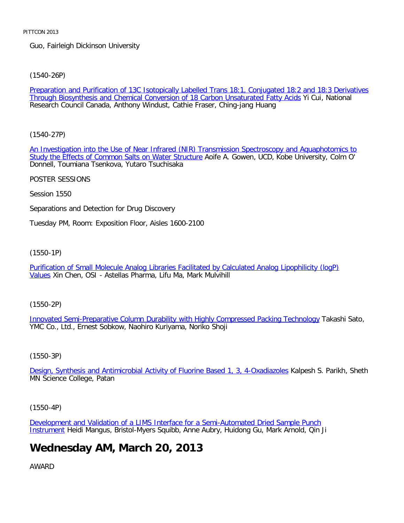Guo, Fairleigh Dickinson University

[\(1540-26P\)](file:///p|/print%20on%20demand%20titles/23101-23200/23133/23133%20source%20materials/papers/1540-26.htm)

Preparation and Purification of 13C Isotopically Labelled Trans 18:1, Conjugated 18:2 and 18:3 Derivatives Through Biosynthesis and Chemical Conversion of 18 Carbon Unsaturated Fatty Acids Yi Cui, National Research Council Canada, Anthony Windust, Cathie Fraser, Ching-jang Huang

[\(1540-27P\)](file:///p|/print%20on%20demand%20titles/23101-23200/23133/23133%20source%20materials/papers/1540-27.htm)

[An Investigation into the Use of Near Infrared \(NIR\) Tr](file:///p|/print%20on%20demand%20titles/23101-23200/23133/23133%20source%20materials/papers/1540-27.htm)ansmission Spectroscopy and Aquaphotomics to Study the Effects of Common Salts on Water Structure Aoife A. Gowen, UCD, Kobe University, Colm O' Donnell, Toumiana Tsenkova, Yutaro Tsuchisaka

POSTER SESSIONS

Session 1550

Separations and Detection for Drug Discovery

Tuesday PM, Room: Exposition Floor, Aisles 1600-2100

(1550-1P)

[Purification of Small Molecule Analog Libraries Facilitated by Calculated Analog Lipophilicity \(logP\)](file:///p|/print%20on%20demand%20titles/23101-23200/23133/23133%20source%20materials/papers/1550-1.htm) [V](file:///p|/print%20on%20demand%20titles/23101-23200/23133/23133%20source%20materials/papers/1550-1.htm)alues Xin Chen, OSI - Astellas Pharma, Lifu Ma, Mark Mulvihill

(1550-2P)

Innovated Semi-Preparative Column Durability with Highly Compressed Packing Technology Takashi Sato, [YMC Co., Ltd., Ernest Sobkow, Naohiro Kuriyama, Noriko Shoji](file:///p|/print%20on%20demand%20titles/23101-23200/23133/23133%20source%20materials/papers/1550-2.htm)

# (1550-3P)

Design, Synthesis and Antimicrobial Activity of Fluorine Based 1, 3, 4-Oxadiazoles Kalpesh S. Parikh, Sheth [MN Science College, Patan](file:///p|/print%20on%20demand%20titles/23101-23200/23133/23133%20source%20materials/papers/1550-3.htm)

(1550-4P)

Development and Validation of a LIMS Interface for a Semi-Automated Dried Sample Punch Instrument Heidi Mangus, Bristol-Myers Squibb, Anne Aubry, Huidong Gu, Mark Arnold, Qin Ji

# **[Wednesday AM, March 20, 2013](file:///p|/print%20on%20demand%20titles/23101-23200/23133/23133%20source%20materials/papers/1550-4.htm)**

AWARD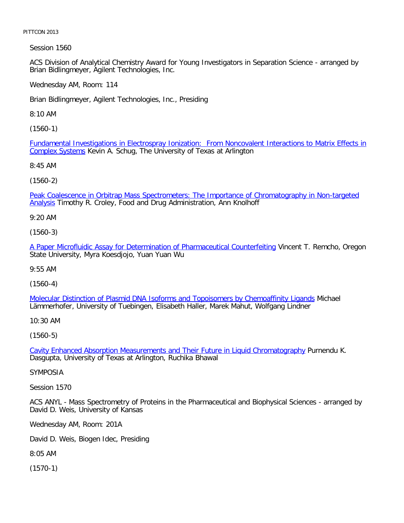Session 1560

ACS Division of Analytical Chemistry Award for Young Investigators in Separation Science - arranged by Brian Bidlingmeyer, Agilent Technologies, Inc.

Wednesday AM, Room: 114

Brian Bidlingmeyer, Agilent Technologies, Inc., Presiding

8:10 AM

[\(1560-1\)](file:///p|/print%20on%20demand%20titles/23101-23200/23133/23133%20source%20materials/papers/1560-1.htm)

[Fundamental](file:///p|/print%20on%20demand%20titles/23101-23200/23133/23133%20source%20materials/papers/1560-1.htm) Investigations in Electrospray Ionization: From Noncovalent Interactions to Matrix Effects in Complex Systems Kevin A. Schug, The University of Texas at Arlington

8:45 AM

(1560-2)

[Peak Coalescence in Orbitrap Mass Spectrometers: The Importance of Chromatography in Non-targeted](file:///p|/print%20on%20demand%20titles/23101-23200/23133/23133%20source%20materials/papers/1560-2.htm) Analysis Timothy R. Croley, Food and Drug Administration, Ann Knolhoff

9:20 AM

(1560-3)

[A Paper Microfluidic Assay for Determination of Pharmaceutical Counterfeiting](file:///p|/print%20on%20demand%20titles/23101-23200/23133/23133%20source%20materials/papers/1560-3.htm) Vincent T. Remcho, Oregon State University, Myra Koesdjojo, Yuan Yuan Wu

9:55 AM

(1560-4)

Molecular Distinction of Plasmid DNA Isoforms and Topoisomers by Chemoaffinity Ligands Michael [Lämmerhofer, University of Tuebingen, Elisabeth Haller, Marek Mahut, Wolfgang Lindner](file:///p|/print%20on%20demand%20titles/23101-23200/23133/23133%20source%20materials/papers/1560-4.htm)

10:30 AM

(1560-5)

Cavity Enhanced Absorption Measurements and Their Future in Liquid Chromatography Purnendu K. [Dasgupta, University of Texas at Arlington, Ruchika Bhawal](file:///p|/print%20on%20demand%20titles/23101-23200/23133/23133%20source%20materials/papers/1560-5.htm)

SYMPOSIA

Session 1570

ACS ANYL - Mass Spectrometry of Proteins in the Pharmaceutical and Biophysical Sciences - arranged by David D. Weis, University of Kansas

Wednesday AM, Room: 201A

David D. Weis, Biogen Idec, Presiding

8:05 AM

(1570-1)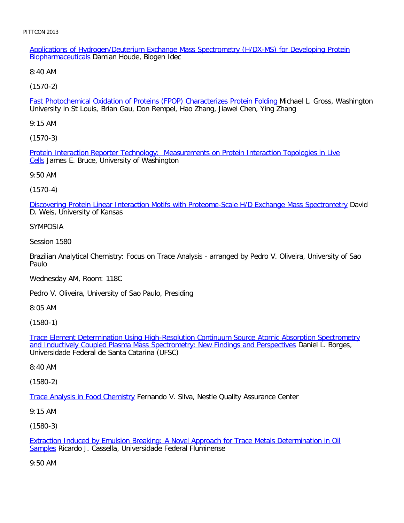Applications of Hydrogen/Deuterium Exchange Mass Spectrometry (H/DX-MS) for Developing Protein Biopharmaceuticals Damian Houde, Biogen Idec

8:40 AM

[\(1570-2\)](file:///p|/print%20on%20demand%20titles/23101-23200/23133/23133%20source%20materials/papers/1570-2.htm)

Fast Photochemical Oxidation of Proteins (FPOP) Characterizes Protein Folding Michael L. Gross, Washington University in St Louis, Brian Gau, Don Rempel, Hao Zhang, Jiawei Chen, Ying Zhang

9:15 AM

[\(1570-3\)](file:///p|/print%20on%20demand%20titles/23101-23200/23133/23133%20source%20materials/papers/1570-3.htm)

Protein Interaction Reporter Technology: Measurements on Protein Interaction Topologies in Live Cells James E. Bruce, University of Washington

9:50 AM

(1570-4)

[Discovering Protein Linear Interaction Motifs with Proteome-Scale H/D Exchange Mass Spectrometry](file:///p|/print%20on%20demand%20titles/23101-23200/23133/23133%20source%20materials/papers/1570-4.htm) David D. Weis, University of Kansas

## SYMPOSIA

Session 1580

Brazilian Analytical Chemistry: Focus on Trace Analysis - arranged by Pedro V. Oliveira, University of Sao Paulo

Wednesday AM, Room: 118C

Pedro V. Oliveira, University of Sao Paulo, Presiding

8:05 AM

(1580-1)

Trace Element Determination Using High-Resolution Continuum Source Atomic Absorption Spectrometry [and Inductively Coupled Plasma Mass Spectrometry: New Findings and Perspectives](file:///p|/print%20on%20demand%20titles/23101-23200/23133/23133%20source%20materials/papers/1580-1.htm) Daniel L. Borges, [Universidade Federal de Santa Catarina \(UFSC\)](file:///p|/print%20on%20demand%20titles/23101-23200/23133/23133%20source%20materials/papers/1580-1.htm)

8:40 AM

(1580-2)

Trace Analysis in Food Chemistry Fernando V. Silva, Nestle Quality Assurance Center

[9:15 AM](file:///p|/print%20on%20demand%20titles/23101-23200/23133/23133%20source%20materials/papers/1580-2.htm)

(1580-3)

Extraction Induced by Emulsion Breaking: A Novel Approach for Trace Metals Determination in Oil Samples Ricardo J. Cassella, Universidade Federal Fluminense

[9:50 AM](file:///p|/print%20on%20demand%20titles/23101-23200/23133/23133%20source%20materials/papers/1580-3.htm)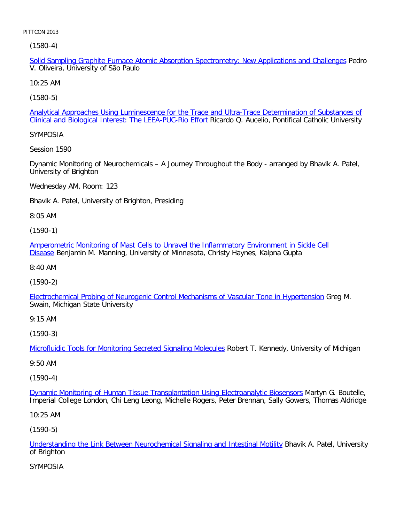(1580-4)

Solid Sampling Graphite Furnace Atomic Absorption Spectrometry: New Applications and Challenges Pedro V. Oliveira, University of São Paulo

10:25 AM

[\(1580-5\)](file:///p|/print%20on%20demand%20titles/23101-23200/23133/23133%20source%20materials/papers/1580-5.htm)

Analytical Approaches Using Luminescence for the Trace and Ultra-Trace Determination of Substances of Clinical and Biological Interest: The LEEA-PUC-Rio Effort Ricardo Q. Aucelio, Pontifical Catholic University

SYMPOSIA

Session 1590

Dynamic Monitoring of Neurochemicals – A Journey Throughout the Body - arranged by Bhavik A. Patel, University of Brighton

Wednesday AM, Room: 123

Bhavik A. Patel, University of Brighton, Presiding

8:05 AM

(1590-1)

[Amperometric Monitoring of Mast Cells to Unravel the Inflammatory Environment in Sickle Cell](file:///p|/print%20on%20demand%20titles/23101-23200/23133/23133%20source%20materials/papers/1590-1.htm) [Dis](file:///p|/print%20on%20demand%20titles/23101-23200/23133/23133%20source%20materials/papers/1590-1.htm)ease Benjamin M. Manning, University of Minnesota, Christy Haynes, Kalpna Gupta

8:40 AM

(1590-2)

[Electrochemical Probing of Neurogenic Control Mechanisms of Vascular Tone in Hypertension](file:///p|/print%20on%20demand%20titles/23101-23200/23133/23133%20source%20materials/papers/1590-2.htm) Greg M. Swain, Michigan State University

9:15 AM

(1590-3)

Microfluidic Tools for Monitoring Secreted Signaling Molecules Robert T. Kennedy, University of Michigan

[9:50 AM](file:///p|/print%20on%20demand%20titles/23101-23200/23133/23133%20source%20materials/papers/1590-3.htm)

(1590-4)

Dynamic Monitoring of Human Tissue Transplantation Using Electroanalytic Biosensors Martyn G. Boutelle, [Imperial College London, Chi Leng Leong, Michelle Rogers, Peter Brennan, Sally Gowers, T](file:///p|/print%20on%20demand%20titles/23101-23200/23133/23133%20source%20materials/papers/1590-4.htm)homas Aldridge

10:25 AM

(1590-5)

Understanding the Link Between Neurochemical Signaling and Intestinal Motility Bhavik A. Patel, University of Brighton

[SYMPOSIA](file:///p|/print%20on%20demand%20titles/23101-23200/23133/23133%20source%20materials/papers/1590-5.htm)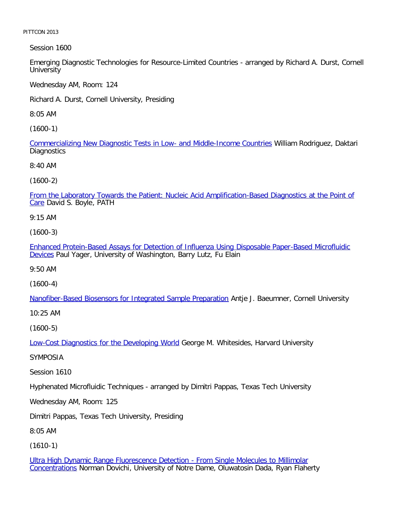Session 1600

Emerging Diagnostic Technologies for Resource-Limited Countries - arranged by Richard A. Durst, Cornell **University** 

Wednesday AM, Room: 124

Richard A. Durst, Cornell University, Presiding

8:05 AM

[\(1600-1\)](file:///p|/print%20on%20demand%20titles/23101-23200/23133/23133%20source%20materials/papers/1600-1.htm)

Commercializing New Diagnostic Tests in Low- and Middle-Income Countries William Rodriguez, Daktari **Diagnostics** 

8:40 AM

(1600-2)

[From the Laboratory Towards the Patient: Nucleic Acid Amplification-Based Diagnostics at the Point of](file:///p|/print%20on%20demand%20titles/23101-23200/23133/23133%20source%20materials/papers/1600-2.htm) Care David S. Boyle, PATH

9:15 AM

(1600-3)

[Enhanced Protein-Based Assays for Detection of Influenza Using Disposable Paper-Based Microfluidic](file:///p|/print%20on%20demand%20titles/23101-23200/23133/23133%20source%20materials/papers/1600-3.htm) [De](file:///p|/print%20on%20demand%20titles/23101-23200/23133/23133%20source%20materials/papers/1600-3.htm)vices Paul Yager, University of Washington, Barry Lutz, Fu Elain

9:50 AM

(1600-4)

[Nanofiber-Based Biosensors for Integrated Sample Preparation](file:///p|/print%20on%20demand%20titles/23101-23200/23133/23133%20source%20materials/papers/1600-4.htm) Antje J. Baeumner, Cornell University

10:25 AM

(1600-5)

Low-Cost Diagnostics for the Developing World George M. Whitesides, Harvard University

[SYMPOSIA](file:///p|/print%20on%20demand%20titles/23101-23200/23133/23133%20source%20materials/papers/1600-5.htm)

Session 1610

Hyphenated Microfluidic Techniques - arranged by Dimitri Pappas, Texas Tech University

Wednesday AM, Room: 125

Dimitri Pappas, Texas Tech University, Presiding

8:05 AM

(1610-1)

Ultra High Dynamic Range Fluorescence Detection - From Single Molecules to Millimolar Concentrations Norman Dovichi, University of Notre Dame, Oluwatosin Dada, Ryan Flaherty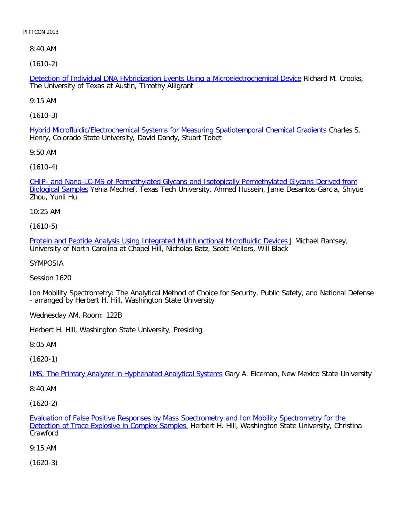8:40 AM

[\(1610-2\)](file:///p|/print%20on%20demand%20titles/23101-23200/23133/23133%20source%20materials/papers/1610-2.htm)

Detection of Individual DNA Hybridization Events Using a Microelectrochemical Device Richard M. Crooks, The University of Texas at Austin, Timothy Alligrant

9:15 AM

[\(1610-3\)](file:///p|/print%20on%20demand%20titles/23101-23200/23133/23133%20source%20materials/papers/1610-3.htm)

Hybrid Microfluidic/Electrochemical Systems for Measuring Spatiotemporal Chemical Gradients Charles S. Henry, Colorado State University, David Dandy, Stuart Tobet

9:50 AM

[\(1610-4\)](file:///p|/print%20on%20demand%20titles/23101-23200/23133/23133%20source%20materials/papers/1610-4.htm)

[CHIP- and Nan](file:///p|/print%20on%20demand%20titles/23101-23200/23133/23133%20source%20materials/papers/1610-4.htm)o-LC-MS of Permethylated Glycans and Isotopically Permethylated Glycans Derived from Biological Samples Yehia Mechref, Texas Tech University, Ahmed Hussein, Janie Desantos-Garcia, Shiyue Zhou, Yunli Hu

10:25 AM

(1610-5)

[Protein and Peptide Analysis Using Integrated Multifunctional Microfluidic Devices](file:///p|/print%20on%20demand%20titles/23101-23200/23133/23133%20source%20materials/papers/1610-5.htm) J Michael Ramsey, University of North Carolina at Chapel Hill, Nicholas Batz, Scott Mellors, Will Black

SYMPOSIA

Session 1620

Ion Mobility Spectrometry: The Analytical Method of Choice for Security, Public Safety, and National Defense - arranged by Herbert H. Hill, Washington State University

Wednesday AM, Room: 122B

Herbert H. Hill, Washington State University, Presiding

8:05 AM

(1620-1)

IMS, The Primary Analyzer in Hyphenated Analytical Systems Gary A. Eiceman, New Mexico State University

[8:40 AM](file:///p|/print%20on%20demand%20titles/23101-23200/23133/23133%20source%20materials/papers/1620-1.htm)

(1620-2)

Evaluation of False Positive Responses by Mass Spectrometry and Ion Mobility Spectrometry for the Detection of Trace Explosive in Complex Samples. Herbert H. Hill, Washington State University, Christina [Crawford](file:///p|/print%20on%20demand%20titles/23101-23200/23133/23133%20source%20materials/papers/1620-2.htm)

[9:15 AM](file:///p|/print%20on%20demand%20titles/23101-23200/23133/23133%20source%20materials/papers/1620-2.htm)

(1620-3)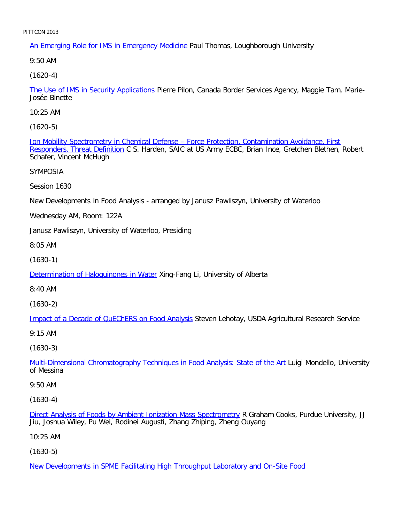An Emerging Role for IMS in Emergency Medicine Paul Thomas, Loughborough University

9:50 AM

[\(1620-4\)](file:///p|/print%20on%20demand%20titles/23101-23200/23133/23133%20source%20materials/papers/1620-4.htm)

The Use of IMS in Security Applications Pierre Pilon, Canada Border Services Agency, Maggie Tam, Marie-Josée Binette

10:25 AM

[\(1620-5\)](file:///p|/print%20on%20demand%20titles/23101-23200/23133/23133%20source%20materials/papers/1620-5.htm)

[Ion Mobility Spectrometry i](file:///p|/print%20on%20demand%20titles/23101-23200/23133/23133%20source%20materials/papers/1620-5.htm)n Chemical Defense – Force Protection, Contamination Avoidance, First Responders, Threat Definition C S. Harden, SAIC at US Army ECBC, Brian Ince, Gretchen Blethen, Robert Schafer, Vincent McHugh

SYMPOSIA

Session 1630

New Developments in Food Analysis - arranged by Janusz Pawliszyn, University of Waterloo

Wednesday AM, Room: 122A

Janusz Pawliszyn, University of Waterloo, Presiding

8:05 AM

(1630-1)

[Determination of Haloquinones in Wate](file:///p|/print%20on%20demand%20titles/23101-23200/23133/23133%20source%20materials/papers/1630-1.htm)r Xing-Fang Li, University of Alberta

8:40 AM

(1630-2)

[Impact of a Decade of QuEChERS on Food Analysis](file:///p|/print%20on%20demand%20titles/23101-23200/23133/23133%20source%20materials/papers/1630-2.htm) Steven Lehotay, USDA Agricultural Research Service

9:15 AM

(1630-3)

Multi-Dimensional Chromatography Techniques in Food Analysis: State of the Art Luigi Mondello, University [of Messina](file:///p|/print%20on%20demand%20titles/23101-23200/23133/23133%20source%20materials/papers/1630-3.htm)

9:50 AM

(1630-4)

Direct Analysis of Foods by Ambient Ionization Mass Spectrometry R Graham Cooks, Purdue University, JJ Jiu, Joshua Wiley, Pu Wei, Rodinei Augusti, Zhang Zhiping, Zheng Ouyang

[10:25 AM](file:///p|/print%20on%20demand%20titles/23101-23200/23133/23133%20source%20materials/papers/1630-4.htm)

(1630-5)

New Developments in SPME Facilitating High Throughput Laboratory and On-Site Food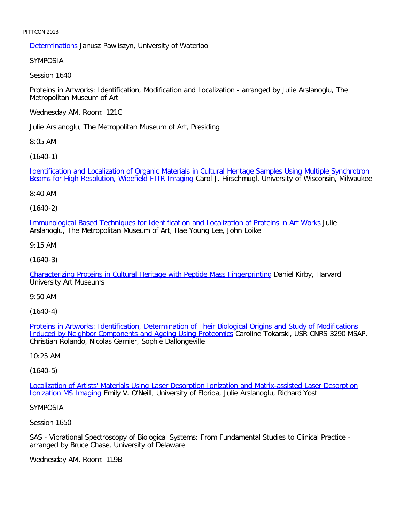Determinations Janusz Pawliszyn, University of Waterloo

SYMPOSIA

Session 1640

Proteins in Artworks: Identification, Modification and Localization - arranged by Julie Arslanoglu, The Metropolitan Museum of Art

Wednesday AM, Room: 121C

Julie Arslanoglu, The Metropolitan Museum of Art, Presiding

8:05 AM

[\(1640-1\)](file:///p|/print%20on%20demand%20titles/23101-23200/23133/23133%20source%20materials/papers/1640-1.htm)

[Identification and Localization of Organic Materials i](file:///p|/print%20on%20demand%20titles/23101-23200/23133/23133%20source%20materials/papers/1640-1.htm)n Cultural Heritage Samples Using Multiple Synchrotron Beams for High Resolution, Widefield FTIR Imaging Carol J. Hirschmugl, University of Wisconsin, Milwaukee

8:40 AM

(1640-2)

[Immunological Based Techniques for Identification and Localization of Proteins in Art Works](file:///p|/print%20on%20demand%20titles/23101-23200/23133/23133%20source%20materials/papers/1640-2.htm) Julie Arslanoglu, The Metropolitan Museum of Art, Hae Young Lee, John Loike

9:15 AM

(1640-3)

[Characterizing Proteins in Cultural Heritage with Peptide Mass Fingerprinting](file:///p|/print%20on%20demand%20titles/23101-23200/23133/23133%20source%20materials/papers/1640-3.htm) Daniel Kirby, Harvard University Art Museums

9:50 AM

(1640-4)

Proteins in Artworks: Identification, Determination of Their Biological Origins and Study of Modifications [Induced by Neighbor Components and Ageing Using Proteomics](file:///p|/print%20on%20demand%20titles/23101-23200/23133/23133%20source%20materials/papers/1640-4.htm) Caroline Tokarski, USR CNRS 3290 MSAP, [Christian Rolando, Nicolas Garnier, Sophie Dallongeville](file:///p|/print%20on%20demand%20titles/23101-23200/23133/23133%20source%20materials/papers/1640-4.htm)

10:25 AM

(1640-5)

Localization of Artists' Materials Using Laser Desorption Ionization and Matrix-assisted Laser Desorption Ionization MS Imaging [Emily V. O](file:///p|/print%20on%20demand%20titles/23101-23200/23133/23133%20source%20materials/papers/1640-5.htm)'[Neill, University of Florida, Julie Arslanoglu, Richard Yost](file:///p|/print%20on%20demand%20titles/23101-23200/23133/23133%20source%20materials/papers/1640-5.htm)

#### [SYMPOSIA](file:///p|/print%20on%20demand%20titles/23101-23200/23133/23133%20source%20materials/papers/1640-5.htm)

Session 1650

SAS - Vibrational Spectroscopy of Biological Systems: From Fundamental Studies to Clinical Practice arranged by Bruce Chase, University of Delaware

Wednesday AM, Room: 119B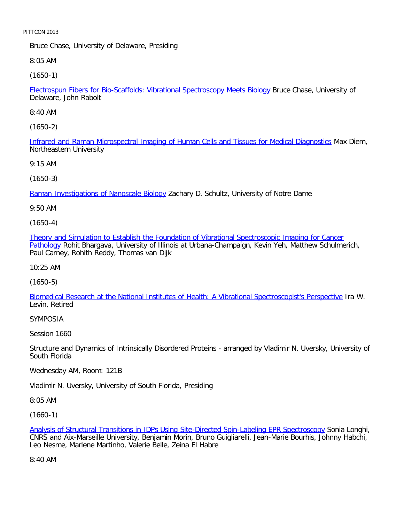Bruce Chase, University of Delaware, Presiding

8:05 AM

[\(1650-1\)](file:///p|/print%20on%20demand%20titles/23101-23200/23133/23133%20source%20materials/papers/1650-1.htm)

Electrospun Fibers for Bio-Scaffolds: Vibrational Spectroscopy Meets Biology Bruce Chase, University of Delaware, John Rabolt

8:40 AM

[\(1650-2\)](file:///p|/print%20on%20demand%20titles/23101-23200/23133/23133%20source%20materials/papers/1650-2.htm)

Infrared and Raman Microspectral Imaging of Human Cells and Tissues for Medical Diagnostics Max Diem, Northeastern University

9:15 AM

[\(1650-3\)](file:///p|/print%20on%20demand%20titles/23101-23200/23133/23133%20source%20materials/papers/1650-3.htm)

Raman Investigations of Nanoscale Biology Zachary D. Schultz, University of Notre Dame

9:50 AM

(1650-4)

[Theory and Simulation to Establish the Foundation of Vibrational Spectroscopic Imaging for Cancer](file:///p|/print%20on%20demand%20titles/23101-23200/23133/23133%20source%20materials/papers/1650-4.htm) [Patho](file:///p|/print%20on%20demand%20titles/23101-23200/23133/23133%20source%20materials/papers/1650-4.htm)logy Rohit Bhargava, University of Illinois at Urbana-Champaign, Kevin Yeh, Matthew Schulmerich, Paul Carney, Rohith Reddy, Thomas van Dijk

10:25 AM

(1650-5)

[Biomedical Research at the National Institutes of Health: A Vibrational Spectroscopist](file:///p|/print%20on%20demand%20titles/23101-23200/23133/23133%20source%20materials/papers/1650-5.htm)'[s Perspective](file:///p|/print%20on%20demand%20titles/23101-23200/23133/23133%20source%20materials/papers/1650-5.htm) Ira W. Levin, Retired

SYMPOSIA

Session 1660

Structure and Dynamics of Intrinsically Disordered Proteins - arranged by Vladimir N. Uversky, University of South Florida

Wednesday AM, Room: 121B

Vladimir N. Uversky, University of South Florida, Presiding

8:05 AM

(1660-1)

Analysis of Structural Transitions in IDPs Using Site-Directed Spin-Labeling EPR Spectroscopy Sonia Longhi, CNRS and Aix-Marseille University, Benjamin Morin, Bruno Guigliarelli, Jean-Marie Bourhis, Johnny Habchi, [Leo Nesme, Marlene Martinho, Valerie Belle, Zeina El Habre](file:///p|/print%20on%20demand%20titles/23101-23200/23133/23133%20source%20materials/papers/1660-1.htm)

8:40 AM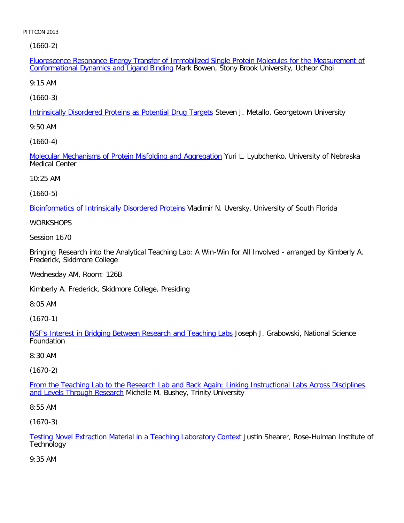[\(1660-2\)](file:///p|/print%20on%20demand%20titles/23101-23200/23133/23133%20source%20materials/papers/1660-2.htm)

Fluorescence Resonance Energy Transfer of Immobilized Single Protein Molecules for the Measurement of Conformational Dynamics and Ligand Binding Mark Bowen, Stony Brook University, Ucheor Choi

9:15 AM

[\(1660-3\)](file:///p|/print%20on%20demand%20titles/23101-23200/23133/23133%20source%20materials/papers/1660-3.htm)

Intrinsically Disordered Proteins as Potential Drug Targets Steven J. Metallo, Georgetown University

9:50 AM

[\(1660-4\)](file:///p|/print%20on%20demand%20titles/23101-23200/23133/23133%20source%20materials/papers/1660-4.htm)

Molecular Mechanisms of Protein Misfolding and Aggregation Yuri L. Lyubchenko, University of Nebraska Medical Center

10:25 AM

(1660-5)

[Bioinformatics of Intrinsically Disordered Proteins](file:///p|/print%20on%20demand%20titles/23101-23200/23133/23133%20source%20materials/papers/1660-5.htm) Vladimir N. Uversky, University of South Florida

**WORKSHOPS** 

Session 1670

Bringing Research into the Analytical Teaching Lab: A Win-Win for All Involved - arranged by Kimberly A. Frederick, Skidmore College

Wednesday AM, Room: 126B

Kimberly A. Frederick, Skidmore College, Presiding

8:05 AM

(1670-1)

NSF's Interest in Bridging Between Research and Teaching Labs Joseph J. Grabowski, National Science [Foundation](file:///p|/print%20on%20demand%20titles/23101-23200/23133/23133%20source%20materials/papers/1670-1.htm)

8:30 AM

(1670-2)

From the Teaching Lab to the Research Lab and Back Again: Linking Instructional Labs Across Disciplines and Levels Through Research [Michelle M. Bushey, Trinity University](file:///p|/print%20on%20demand%20titles/23101-23200/23133/23133%20source%20materials/papers/1670-2.htm)

[8:55 AM](file:///p|/print%20on%20demand%20titles/23101-23200/23133/23133%20source%20materials/papers/1670-2.htm)

(1670-3)

Testing Novel Extraction Material in a Teaching Laboratory Context Justin Shearer, Rose-Hulman Institute of **Technology** 

[9:35 AM](file:///p|/print%20on%20demand%20titles/23101-23200/23133/23133%20source%20materials/papers/1670-3.htm)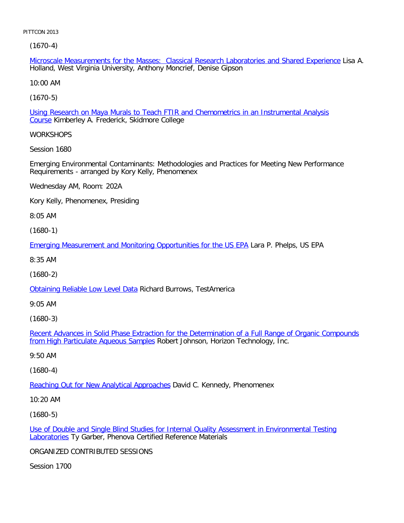(1670-4)

Microscale Measurements for the Masses: Classical Research Laboratories and Shared Experience Lisa A. Holland, West Virginia University, Anthony Moncrief, Denise Gipson

10:00 AM

[\(1670-5\)](file:///p|/print%20on%20demand%20titles/23101-23200/23133/23133%20source%20materials/papers/1670-5.htm)

Using Research on Maya Murals to Teach FTIR and Chemometrics in an Instrumental Analysis Course Kimberley A. Frederick, Skidmore College

**WORKSHOPS** 

Session 1680

Emerging Environmental Contaminants: Methodologies and Practices for Meeting New Performance Requirements - arranged by Kory Kelly, Phenomenex

Wednesday AM, Room: 202A

Kory Kelly, Phenomenex, Presiding

8:05 AM

(1680-1)

[Emerging Measurement and Monitoring Opportunities for the US EPA](file:///p|/print%20on%20demand%20titles/23101-23200/23133/23133%20source%20materials/papers/1680-1.htm) Lara P. Phelps, US EPA

8:35 AM

(1680-2)

[Obtaining Reliable Low Level Da](file:///p|/print%20on%20demand%20titles/23101-23200/23133/23133%20source%20materials/papers/1680-2.htm)ta Richard Burrows, TestAmerica

9:05 AM

(1680-3)

Recent Advances in Solid Phase Extraction for the Determination of a Full Range of Organic Compounds from High Particulate Aqueous Samples [Robert Johnson, Horizon Technology, Inc.](file:///p|/print%20on%20demand%20titles/23101-23200/23133/23133%20source%20materials/papers/1680-3.htm)

[9:50 AM](file:///p|/print%20on%20demand%20titles/23101-23200/23133/23133%20source%20materials/papers/1680-3.htm)

(1680-4)

Reaching Out for New Analytical Approaches David C. Kennedy, Phenomenex

[10:20 AM](file:///p|/print%20on%20demand%20titles/23101-23200/23133/23133%20source%20materials/papers/1680-4.htm)

(1680-5)

Use of Double and Single Blind Studies for Internal Quality Assessment in Environmental Testing Laboratories Ty Garber, Phenova Certified Reference Materials

[ORGANIZED CONTRIBUTED SESSIONS](file:///p|/print%20on%20demand%20titles/23101-23200/23133/23133%20source%20materials/papers/1680-5.htm)

Session 1700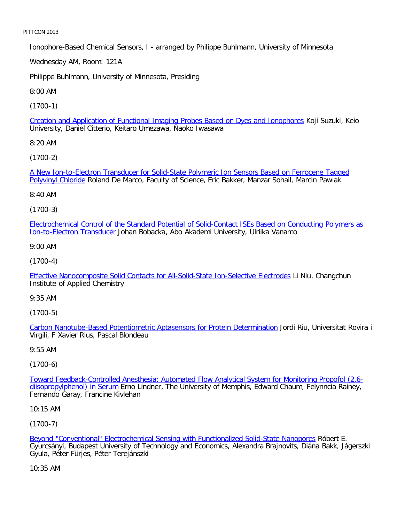Ionophore-Based Chemical Sensors, I - arranged by Philippe Buhlmann, University of Minnesota

Wednesday AM, Room: 121A

Philippe Buhlmann, University of Minnesota, Presiding

8:00 AM

[\(1700-1\)](file:///p|/print%20on%20demand%20titles/23101-23200/23133/23133%20source%20materials/papers/1700-1.htm)

Creation and Application of Functional Imaging Probes Based on Dyes and Ionophores Koji Suzuki, Keio University, Daniel Citterio, Keitaro Umezawa, Naoko Iwasawa

8:20 AM

[\(1700-2\)](file:///p|/print%20on%20demand%20titles/23101-23200/23133/23133%20source%20materials/papers/1700-2.htm)

[A New Ion-to-](file:///p|/print%20on%20demand%20titles/23101-23200/23133/23133%20source%20materials/papers/1700-2.htm)Electron Transducer for Solid-State Polymeric Ion Sensors Based on Ferrocene Tagged Polyvinyl Chloride Roland De Marco, Faculty of Science, Eric Bakker, Manzar Sohail, Marcin Pawlak

8:40 AM

(1700-3)

[Electrochemical Control of the Standard Potential of Solid-Contact ISEs Based on Conducting Polymers as](file:///p|/print%20on%20demand%20titles/23101-23200/23133/23133%20source%20materials/papers/1700-3.htm) [Ion-to-Electron Transduc](file:///p|/print%20on%20demand%20titles/23101-23200/23133/23133%20source%20materials/papers/1700-3.htm)er Johan Bobacka, Abo Akademi University, Ulriika Vanamo

9:00 AM

(1700-4)

[Effective Nanocomposite Solid Contacts for All-Solid-State Ion-Selective Electrodes](file:///p|/print%20on%20demand%20titles/23101-23200/23133/23133%20source%20materials/papers/1700-4.htm) Li Niu, Changchun Institute of Applied Chemistry

9:35 AM

(1700-5)

Carbon Nanotube-Based Potentiometric Aptasensors for Protein Determination Jordi Riu, Universitat Rovira i [Virgili, F Xavier Rius, Pascal Blondeau](file:///p|/print%20on%20demand%20titles/23101-23200/23133/23133%20source%20materials/papers/1700-5.htm)

9:55 AM

(1700-6)

Toward Feedback-Controlled Anesthesia: Automated Flow Analytical System for Monitoring Propofol (2,6 diisopropylphenol) in Serum Erno Lindner, The University of Memphis, Edward Chaum, Felynncia Rainey, [Fernando Garay, Francine Kivlehan](file:///p|/print%20on%20demand%20titles/23101-23200/23133/23133%20source%20materials/papers/1700-6.htm)

10:15 AM

(1700-7)

Beyond "Conventional" Electrochemical Sensing with Functionalized Solid-State Nanopores Róbert E. Gyurcsányi, Budapest University of Technology and Economics, Alexandra Brajnovits, Diána Bakk, Jágerszki [Gyula, Péter Fürjes, Péter Terejánszki](file:///p|/print%20on%20demand%20titles/23101-23200/23133/23133%20source%20materials/papers/1700-7.htm)

10:35 AM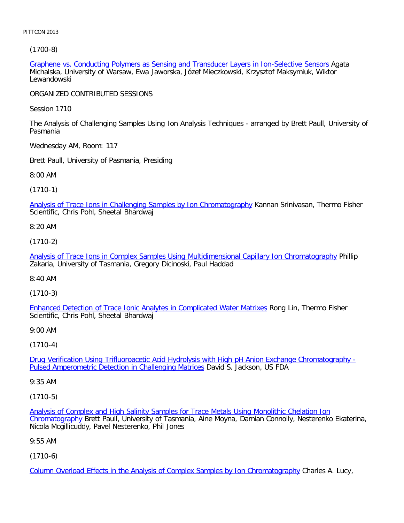[\(1700-8\)](file:///p|/print%20on%20demand%20titles/23101-23200/23133/23133%20source%20materials/papers/1700-8.htm)

Graphene vs. Conducting Polymers as Sensing and Transducer Layers in Ion-Selective Sensors Agata Michalska, University of Warsaw, Ewa Jaworska, Józef Mieczkowski, Krzysztof Maksymiuk, Wiktor Lewandowski

ORGANIZED CONTRIBUTED SESSIONS

Session 1710

The Analysis of Challenging Samples Using Ion Analysis Techniques - arranged by Brett Paull, University of Pasmania

Wednesday AM, Room: 117

Brett Paull, University of Pasmania, Presiding

8:00 AM

(1710-1)

[Analysis of Trace Ions in Challenging Samples by Ion Chromatography](file:///p|/print%20on%20demand%20titles/23101-23200/23133/23133%20source%20materials/papers/1710-1.htm) Kannan Srinivasan, Thermo Fisher Scientific, Chris Pohl, Sheetal Bhardwaj

8:20 AM

(1710-2)

[Analysis of Trace Ions in Complex Samples Using Multidimensional Capillary Ion Chromatography](file:///p|/print%20on%20demand%20titles/23101-23200/23133/23133%20source%20materials/papers/1710-2.htm) Phillip Zakaria, University of Tasmania, Gregory Dicinoski, Paul Haddad

8:40 AM

(1710-3)

Enhanced Detection of Trace Ionic Analytes in Complicated Water Matrixes Rong Lin, Thermo Fisher [Scientific, Chris Pohl, Sheetal Bhardwaj](file:///p|/print%20on%20demand%20titles/23101-23200/23133/23133%20source%20materials/papers/1710-3.htm)

9:00 AM

(1710-4)

Drug Verification Using Trifluoroacetic Acid Hydrolysis with High pH Anion Exchange Chromatography - [Pulsed Amperometric Detection in Challenging Matrices](file:///p|/print%20on%20demand%20titles/23101-23200/23133/23133%20source%20materials/papers/1710-4.htm) David S. Jackson, US FDA

[9:35 AM](file:///p|/print%20on%20demand%20titles/23101-23200/23133/23133%20source%20materials/papers/1710-4.htm)

(1710-5)

Analysis of Complex and High Salinity Samples for Trace Metals Using Monolithic Chelation Ion Chromatography Brett Paull, University of Tasmania, Aine Moyna, Damian Connolly, Nesterenko Ekaterina, [Nicola Mcgillicuddy, Pavel Nesterenko, Phil Jones](file:///p|/print%20on%20demand%20titles/23101-23200/23133/23133%20source%20materials/papers/1710-5.htm)

[9:55 AM](file:///p|/print%20on%20demand%20titles/23101-23200/23133/23133%20source%20materials/papers/1710-5.htm)

(1710-6)

Column Overload Effects in the Analysis of Complex Samples by Ion Chromatography Charles A. Lucy,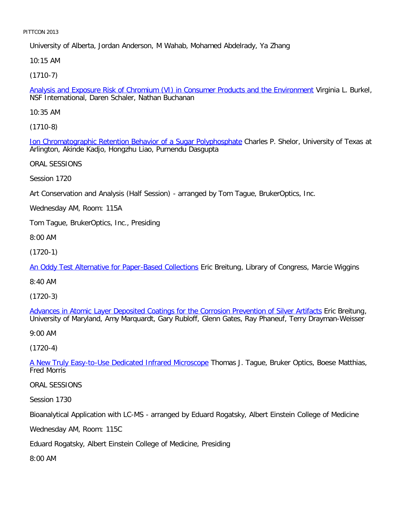University of Alberta, Jordan Anderson, M Wahab, Mohamed Abdelrady, Ya Zhang

10:15 AM

[\(1710-7\)](file:///p|/print%20on%20demand%20titles/23101-23200/23133/23133%20source%20materials/papers/1710-7.htm)

Analysis and Exposure Risk of Chromium (VI) in Consumer Products and the Environment Virginia L. Burkel, NSF International, Daren Schaler, Nathan Buchanan

10:35 AM

[\(1710-8\)](file:///p|/print%20on%20demand%20titles/23101-23200/23133/23133%20source%20materials/papers/1710-8.htm)

Ion Chromatographic Retention Behavior of a Sugar Polyphosphate Charles P. Shelor, University of Texas at Arlington, Akinde Kadjo, Hongzhu Liao, Purnendu Dasgupta

ORAL SESSIONS

Session 1720

Art Conservation and Analysis (Half Session) - arranged by Tom Tague, BrukerOptics, Inc.

Wednesday AM, Room: 115A

Tom Tague, BrukerOptics, Inc., Presiding

8:00 AM

(1720-1)

[An Oddy Test Alternative for Paper-Based Collections](file:///p|/print%20on%20demand%20titles/23101-23200/23133/23133%20source%20materials/papers/1720-1.htm) Eric Breitung, Library of Congress, Marcie Wiggins

8:40 AM

(1720-3)

Advances in Atomic Layer Deposited Coatings for the Corrosion Prevention of Silver Artifacts Eric Breitung, [University of Maryland, Amy Marquardt, Gary Rubloff, Glenn Gates, Ray Phaneuf, Terry Drayman](file:///p|/print%20on%20demand%20titles/23101-23200/23133/23133%20source%20materials/papers/1720-3.htm)-Weisser

9:00 AM

(1720-4)

A New Truly Easy-to-Use Dedicated Infrared Microscope Thomas J. Tague, Bruker Optics, Boese Matthias, [Fred Morris](file:///p|/print%20on%20demand%20titles/23101-23200/23133/23133%20source%20materials/papers/1720-4.htm)

ORAL SESSIONS

Session 1730

Bioanalytical Application with LC-MS - arranged by Eduard Rogatsky, Albert Einstein College of Medicine

Wednesday AM, Room: 115C

Eduard Rogatsky, Albert Einstein College of Medicine, Presiding

8:00 AM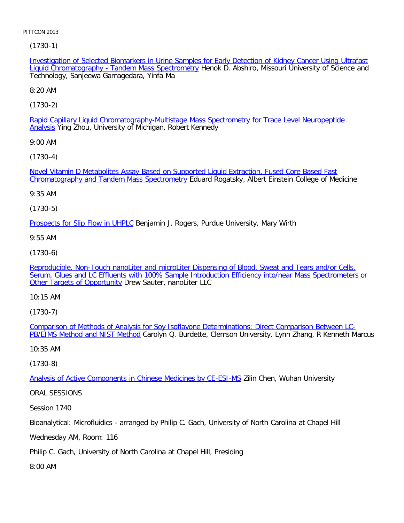[\(1730-1\)](file:///p|/print%20on%20demand%20titles/23101-23200/23133/23133%20source%20materials/papers/1730-1.htm)

Investigation of Selected Biomarkers in Urine Samples for Early Detection of Kidney Cancer Using Ultrafast Liquid Chromatography - Tandem Mass Spectrometry Henok D. Abshiro, Missouri University of Science and Technology, Sanjeewa Gamagedara, Yinfa Ma

8:20 AM

[\(1730-2\)](file:///p|/print%20on%20demand%20titles/23101-23200/23133/23133%20source%20materials/papers/1730-2.htm)

Rapid Capillary Liquid Chromatography-Multistage Mass Spectrometry for Trace Level Neuropeptide Analysis Ying Zhou, University of Michigan, Robert Kennedy

9:00 AM

[\(1730-4\)](file:///p|/print%20on%20demand%20titles/23101-23200/23133/23133%20source%20materials/papers/1730-4.htm)

[Novel Vitamin D Metabolites Assay Based on Supp](file:///p|/print%20on%20demand%20titles/23101-23200/23133/23133%20source%20materials/papers/1730-4.htm)orted Liquid Extraction, Fused Core Based Fast Chromatography and Tandem Mass Spectrometry Eduard Rogatsky, Albert Einstein College of Medicine

9:35 AM

(1730-5)

**[Prospects for Slip Flow in UHPL](file:///p|/print%20on%20demand%20titles/23101-23200/23133/23133%20source%20materials/papers/1730-5.htm)C Benjamin J. Rogers, Purdue University, Mary Wirth** 

9:55 AM

(1730-6)

[Reproducible, Non-Touch nanoLiter and microLiter Dispensing of Blood, Sweat and Tears and/or Cells,](file:///p|/print%20on%20demand%20titles/23101-23200/23133/23133%20source%20materials/papers/1730-6.htm) [Serum, Glues and LC Effluents with 100% Sample Introduction Efficiency into/near Mass Spectrometers or](file:///p|/print%20on%20demand%20titles/23101-23200/23133/23133%20source%20materials/papers/1730-6.htm) [Other Targets of Opportun](file:///p|/print%20on%20demand%20titles/23101-23200/23133/23133%20source%20materials/papers/1730-6.htm)ity Drew Sauter, nanoLiter LLC

10:15 AM

(1730-7)

Comparison of Methods of Analysis for Soy Isoflavone Determinations: Direct Comparison Between LC-**PB/EIMS Method and NIST Method** [Carolyn Q. Burdette, Clemson University, Lynn Zhang, R Kenneth Marcus](file:///p|/print%20on%20demand%20titles/23101-23200/23133/23133%20source%20materials/papers/1730-7.htm)

[10:35 AM](file:///p|/print%20on%20demand%20titles/23101-23200/23133/23133%20source%20materials/papers/1730-7.htm)

(1730-8)

Analysis of Active Components in Chinese Medicines by CE-ESI-MS Zilin Chen, Wuhan University

[ORAL SESSIONS](file:///p|/print%20on%20demand%20titles/23101-23200/23133/23133%20source%20materials/papers/1730-8.htm)

Session 1740

Bioanalytical: Microfluidics - arranged by Philip C. Gach, University of North Carolina at Chapel Hill

Wednesday AM, Room: 116

Philip C. Gach, University of North Carolina at Chapel Hill, Presiding

8:00 AM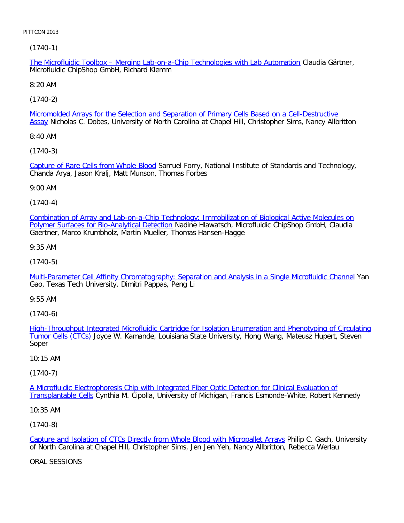[\(1740-1\)](file:///p|/print%20on%20demand%20titles/23101-23200/23133/23133%20source%20materials/papers/1740-1.htm)

The Microfluidic Toolbox – Merging Lab-on-a-Chip Technologies with Lab Automation Claudia Gärtner, Microfluidic ChipShop GmbH, Richard Klemm

8:20 AM

[\(1740-2\)](file:///p|/print%20on%20demand%20titles/23101-23200/23133/23133%20source%20materials/papers/1740-2.htm)

Micromolded Arrays for the Selection and Separation of Primary Cells Based on a Cell-Destructive Assay Nicholas C. Dobes, University of North Carolina at Chapel Hill, Christopher Sims, Nancy Allbritton

8:40 AM

[\(1740-3\)](file:///p|/print%20on%20demand%20titles/23101-23200/23133/23133%20source%20materials/papers/1740-3.htm)

Capture of Rare Cells from Whole Blood Samuel Forry, National Institute of Standards and Technology, Chanda Arya, Jason Kralj, Matt Munson, Thomas Forbes

9:00 AM

(1740-4)

[Combination of Array and Lab-on-a-Chip Technology: Immobilization of Biological Active Molecules on](file:///p|/print%20on%20demand%20titles/23101-23200/23133/23133%20source%20materials/papers/1740-4.htm) Polymer Surfaces for Bio-Analytical Detection Nadine Hlawatsch, Microfluidic ChipShop GmbH, Claudia Gaertner, Marco Krumbholz, Martin Mueller, Thomas Hansen-Hagge

9:35 AM

(1740-5)

[Multi-Parameter Cell Affinity Chromatography: Separation and Analysis in a Single Microfluidic Channel](file:///p|/print%20on%20demand%20titles/23101-23200/23133/23133%20source%20materials/papers/1740-5.htm) Yan Gao, Texas Tech University, Dimitri Pappas, Peng Li

9:55 AM

(1740-6)

High-Throughput Integrated Microfluidic Cartridge for Isolation Enumeration and Phenotyping of Circulating Tumor Cells (CTCs) [Joyce W. Kamande, Louisiana State University, Hong Wang, Mateusz Hupert, Steven](file:///p|/print%20on%20demand%20titles/23101-23200/23133/23133%20source%20materials/papers/1740-6.htm) [Soper](file:///p|/print%20on%20demand%20titles/23101-23200/23133/23133%20source%20materials/papers/1740-6.htm)

# 10:15 AM

(1740-7)

A Microfluidic Electrophoresis Chip with Integrated Fiber Optic Detection for Clinical Evaluation of Transplantable Cells [Cynthia M. Cipolla, University of Michigan, Francis Esmonde-White, Robert Kenne](file:///p|/print%20on%20demand%20titles/23101-23200/23133/23133%20source%20materials/papers/1740-7.htm)dy

[10:35 AM](file:///p|/print%20on%20demand%20titles/23101-23200/23133/23133%20source%20materials/papers/1740-7.htm)

(1740-8)

Capture and Isolation of CTCs Directly from Whole Blood with Micropallet Arrays Philip C. Gach, University of North Carolina at Chapel Hill, Christopher Sims, Jen Jen Yeh, Nancy Allbritton, Rebecca Werlau

[ORAL SESSIONS](file:///p|/print%20on%20demand%20titles/23101-23200/23133/23133%20source%20materials/papers/1740-8.htm)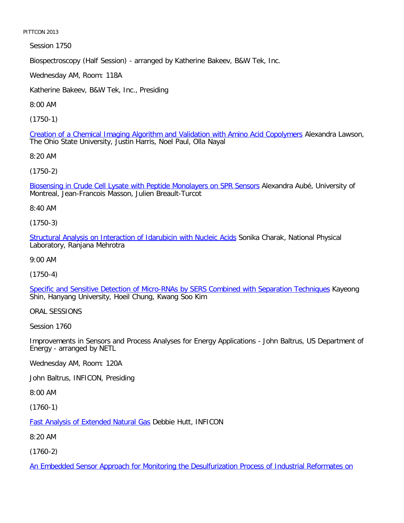Session 1750

Biospectroscopy (Half Session) - arranged by Katherine Bakeev, B&W Tek, Inc.

Wednesday AM, Room: 118A

Katherine Bakeev, B&W Tek, Inc., Presiding

8:00 AM

[\(1750-1\)](file:///p|/print%20on%20demand%20titles/23101-23200/23133/23133%20source%20materials/papers/1750-1.htm)

Creation of a Chemical Imaging Algorithm and Validation with Amino Acid Copolymers Alexandra Lawson, The Ohio State University, Justin Harris, Noel Paul, Olla Nayal

8:20 AM

[\(1750-2\)](file:///p|/print%20on%20demand%20titles/23101-23200/23133/23133%20source%20materials/papers/1750-2.htm)

Biosensing in Crude Cell Lysate with Peptide Monolayers on SPR Sensors Alexandra Aubé, University of Montreal, Jean-Francois Masson, Julien Breault-Turcot

8:40 AM

(1750-3)

[Structural Analysis on Interaction of Idarubicin with Nucleic Acids](file:///p|/print%20on%20demand%20titles/23101-23200/23133/23133%20source%20materials/papers/1750-3.htm) Sonika Charak, National Physical Laboratory, Ranjana Mehrotra

9:00 AM

(1750-4)

[Specific and Sensitive Detection of Micro-RNAs by SERS Combined with Separation Techniques](file:///p|/print%20on%20demand%20titles/23101-23200/23133/23133%20source%20materials/papers/1750-4.htm) Kayeong Shin, Hanyang University, Hoeil Chung, Kwang Soo Kim

ORAL SESSIONS

Session 1760

Improvements in Sensors and Process Analyses for Energy Applications - John Baltrus, US Department of Energy - arranged by NETL

Wednesday AM, Room: 120A

John Baltrus, INFICON, Presiding

8:00 AM

(1760-1)

Fast Analysis of Extended Natural Gas Debbie Hutt, INFICON

[8:20 AM](file:///p|/print%20on%20demand%20titles/23101-23200/23133/23133%20source%20materials/papers/1760-1.htm)

(1760-2)

An Embedded Sensor Approach for Monitoring the Desulfurization Process of Industrial Reformates on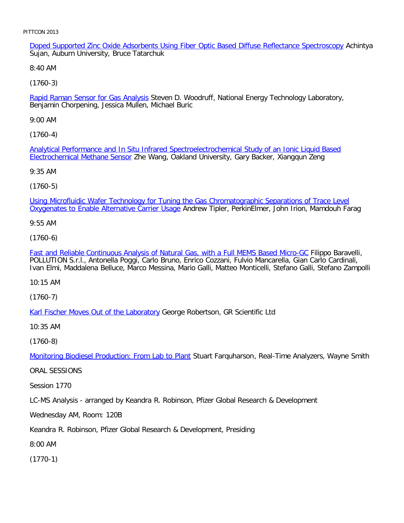Doped Supported Zinc Oxide Adsorbents Using Fiber Optic Based Diffuse Reflectance Spectroscopy Achintya Sujan, Auburn University, Bruce Tatarchuk

8:40 AM

[\(1760-3\)](file:///p|/print%20on%20demand%20titles/23101-23200/23133/23133%20source%20materials/papers/1760-3.htm)

Rapid Raman Sensor for Gas Analysis Steven D. Woodruff, National Energy Technology Laboratory, Benjamin Chorpening, Jessica Mullen, Michael Buric

9:00 AM

[\(1760-4\)](file:///p|/print%20on%20demand%20titles/23101-23200/23133/23133%20source%20materials/papers/1760-4.htm)

[Analytical Performance and In](file:///p|/print%20on%20demand%20titles/23101-23200/23133/23133%20source%20materials/papers/1760-4.htm) Situ Infrared Spectroelectrochemical Study of an Ionic Liquid Based Electrochemical Methane Sensor Zhe Wang, Oakland University, Gary Backer, Xiangqun Zeng

9:35 AM

(1760-5)

[Using Microfluidic Wafer Technology for Tuning the Gas Chromatographic Separations of Trace Level](file:///p|/print%20on%20demand%20titles/23101-23200/23133/23133%20source%20materials/papers/1760-5.htm) Oxygenates to Enable Alternative Carrier Usage Andrew Tipler, PerkinElmer, John Irion, Mamdouh Farag

9:55 AM

(1760-6)

[Fast and Reliable Continuous Analysis of Natural Gas, with a Full MEMS Based Micro-GC](file:///p|/print%20on%20demand%20titles/23101-23200/23133/23133%20source%20materials/papers/1760-6.htm) Filippo Baravelli, POLLUTION S.r.l., Antonella Poggi, Carlo Bruno, Enrico Cozzani, Fulvio Mancarella, Gian Carlo Cardinali, Ivan Elmi, Maddalena Belluce, Marco Messina, Mario Galli, Matteo Monticelli, Stefano Galli, Stefano Zampolli

10:15 AM

(1760-7)

[Karl Fischer Moves Out of the Laborator](file:///p|/print%20on%20demand%20titles/23101-23200/23133/23133%20source%20materials/papers/1760-7.htm)y George Robertson, GR Scientific Ltd

10:35 AM

(1760-8)

Monitoring Biodiesel Production: From Lab to Plant Stuart Farquharson, Real-Time Analyzers, Wayne Smith

[ORAL SESSIONS](file:///p|/print%20on%20demand%20titles/23101-23200/23133/23133%20source%20materials/papers/1760-8.htm)

Session 1770

LC-MS Analysis - arranged by Keandra R. Robinson, Pfizer Global Research & Development

Wednesday AM, Room: 120B

Keandra R. Robinson, Pfizer Global Research & Development, Presiding

8:00 AM

(1770-1)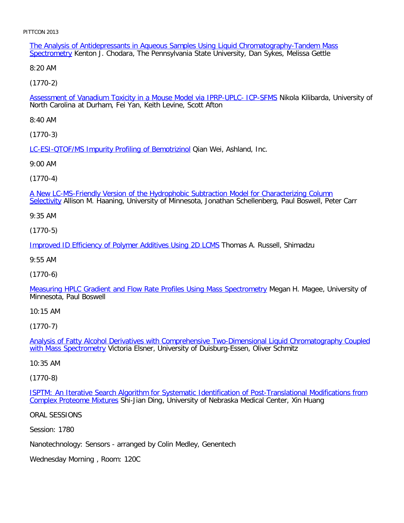The Analysis of Antidepressants in Aqueous Samples Using Liquid Chromatography-Tandem Mass Spectrometry Kenton J. Chodara, The Pennsylvania State University, Dan Sykes, Melissa Gettle

8:20 AM

[\(1770-2\)](file:///p|/print%20on%20demand%20titles/23101-23200/23133/23133%20source%20materials/papers/1770-2.htm)

Assessment of Vanadium Toxicity in a Mouse Model via IPRP-UPLC- ICP-SFMS Nikola Kilibarda, University of North Carolina at Durham, Fei Yan, Keith Levine, Scott Afton

8:40 AM

[\(1770-3\)](file:///p|/print%20on%20demand%20titles/23101-23200/23133/23133%20source%20materials/papers/1770-3.htm)

LC-ESI-QTOF/MS Impurity Profiling of Bemotrizinol Qian Wei, Ashland, Inc.

9:00 AM

(1770-4)

[A New LC-MS-Friendly Version of the Hydrophobic Subtraction Model for Characterizing Column](file:///p|/print%20on%20demand%20titles/23101-23200/23133/23133%20source%20materials/papers/1770-4.htm) Selectivity Allison M. Haaning, University of Minnesota, Jonathan Schellenberg, Paul Boswell, Peter Carr

9:35 AM

(1770-5)

[Improved ID Efficiency of Polymer Additives Using 2D LCMS](file:///p|/print%20on%20demand%20titles/23101-23200/23133/23133%20source%20materials/papers/1770-5.htm) Thomas A. Russell, Shimadzu

9:55 AM

(1770-6)

[Measuring HPLC Gradient and Flow Rate Profiles Using Mass Spectrometry](file:///p|/print%20on%20demand%20titles/23101-23200/23133/23133%20source%20materials/papers/1770-6.htm) Megan H. Magee, University of Minnesota, Paul Boswell

10:15 AM

(1770-7)

Analysis of Fatty Alcohol Derivatives with Comprehensive Two-Dimensional Liquid Chromatography Coupled with Mass Spectrometry [Victoria Elsner, University of Duisburg-Essen, Oliver Schmitz](file:///p|/print%20on%20demand%20titles/23101-23200/23133/23133%20source%20materials/papers/1770-7.htm)

[10:35 AM](file:///p|/print%20on%20demand%20titles/23101-23200/23133/23133%20source%20materials/papers/1770-7.htm)

(1770-8)

ISPTM: An Iterative Search Algorithm for Systematic Identification of Post-Translational Modifications from Complex Proteome Mixtures [Shi-Jian Ding, University of Nebraska Medical Center, Xin Huang](file:///p|/print%20on%20demand%20titles/23101-23200/23133/23133%20source%20materials/papers/1770-8.htm)

[ORAL SESSIONS](file:///p|/print%20on%20demand%20titles/23101-23200/23133/23133%20source%20materials/papers/1770-8.htm)

Session: 1780

Nanotechnology: Sensors - arranged by Colin Medley, Genentech

Wednesday Morning , Room: 120C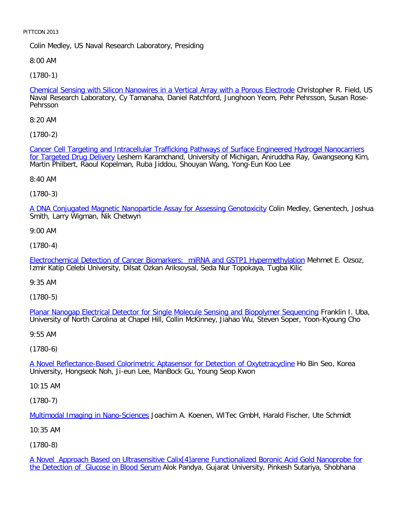Colin Medley, US Naval Research Laboratory, Presiding

8:00 AM

[\(1780-1\)](file:///p|/print%20on%20demand%20titles/23101-23200/23133/23133%20source%20materials/papers/1780-1.htm)

Chemical Sensing with Silicon Nanowires in a Vertical Array with a Porous Electrode Christopher R. Field, US Naval Research Laboratory, Cy Tamanaha, Daniel Ratchford, Junghoon Yeom, Pehr Pehrsson, Susan Rose-Pehrsson

8:20 AM

[\(1780-2\)](file:///p|/print%20on%20demand%20titles/23101-23200/23133/23133%20source%20materials/papers/1780-2.htm)

[Cancer Cell Targeting an](file:///p|/print%20on%20demand%20titles/23101-23200/23133/23133%20source%20materials/papers/1780-2.htm)d Intracellular Trafficking Pathways of Surface Engineered Hydrogel Nanocarriers for Targeted Drug Delivery Leshern Karamchand, University of Michigan, Aniruddha Ray, Gwangseong Kim, Martin Philbert, Raoul Kopelman, Ruba Jiddou, Shouyan Wang, Yong-Eun Koo Lee

8:40 AM

(1780-3)

[A DNA Conjugated Magnetic Nanoparticle Assay for Assessing Genotoxicity](file:///p|/print%20on%20demand%20titles/23101-23200/23133/23133%20source%20materials/papers/1780-3.htm) Colin Medley, Genentech, Joshua Smith, Larry Wigman, Nik Chetwyn

9:00 AM

(1780-4)

[Electrochemical Detection of Cancer Biomarkers: miRNA and GSTP1 Hypermethylation](file:///p|/print%20on%20demand%20titles/23101-23200/23133/23133%20source%20materials/papers/1780-4.htm) Mehmet E. Ozsoz, Izmir Katip Celebi University, Dilsat Ozkan Ariksoysal, Seda Nur Topokaya, Tugba Kilic

9:35 AM

(1780-5)

Planar Nanogap Electrical Detector for Single Molecule Sensing and Biopolymer Sequencing Franklin I. Uba, [University of North Carolina at Chapel Hill, Collin McKinney, Jiahao Wu, Steven Soper, Yoon-Kyo](file:///p|/print%20on%20demand%20titles/23101-23200/23133/23133%20source%20materials/papers/1780-5.htm)ung Cho

9:55 AM

(1780-6)

A Novel Reflectance-Based Colorimetric Aptasensor for Detection of Oxytetracycline Ho Bin Seo, Korea [University, Hongseok Noh, Ji-eun Lee, ManBock Gu, Young Seop Kwon](file:///p|/print%20on%20demand%20titles/23101-23200/23133/23133%20source%20materials/papers/1780-6.htm)

10:15 AM

(1780-7)

Multimodal Imaging in Nano-Sciences Joachim A. Koenen, WITec GmbH, Harald Fischer, Ute Schmidt

[10:35 AM](file:///p|/print%20on%20demand%20titles/23101-23200/23133/23133%20source%20materials/papers/1780-7.htm)

(1780-8)

A Novel Approach Based on Ultrasensitive Calix[4]arene Functionalized Boronic Acid Gold Nanoprobe for the Detection of Glucose in Blood Serum Alok Pandya, Gujarat University, Pinkesh Sutariya, Shobhana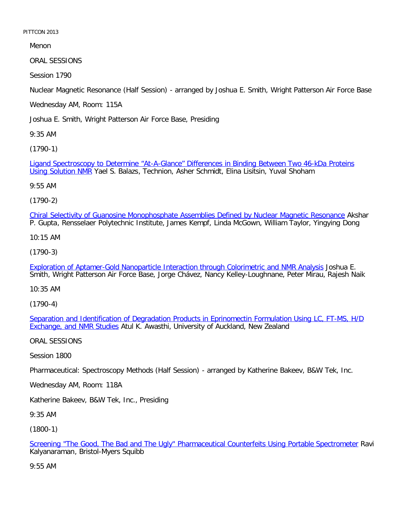Menon

ORAL SESSIONS

Session 1790

Nuclear Magnetic Resonance (Half Session) - arranged by Joshua E. Smith, Wright Patterson Air Force Base

Wednesday AM, Room: 115A

Joshua E. Smith, Wright Patterson Air Force Base, Presiding

9:35 AM

[\(1790-1\)](file:///p|/print%20on%20demand%20titles/23101-23200/23133/23133%20source%20materials/papers/1790-1.htm)

[Ligand Spectrosc](file:///p|/print%20on%20demand%20titles/23101-23200/23133/23133%20source%20materials/papers/1790-1.htm)opy to Determine "At-A-Glance" Differences in Binding Between Two 46-kDa Proteins Using Solution NMR Yael S. Balazs, Technion, Asher Schmidt, Elina Lisitsin, Yuval Shoham

9:55 AM

(1790-2)

[Chiral Selectivity of Guanosine Monophosphate Assemblies Defined by Nuclear Magnetic Resonance](file:///p|/print%20on%20demand%20titles/23101-23200/23133/23133%20source%20materials/papers/1790-2.htm) Akshar P. Gupta, Rensselaer Polytechnic Institute, James Kempf, Linda McGown, William Taylor, Yingying Dong

10:15 AM

(1790-3)

[Exploration of Aptamer-Gold Nanoparticle Interaction through Colorimetric and NMR Analysis](file:///p|/print%20on%20demand%20titles/23101-23200/23133/23133%20source%20materials/papers/1790-3.htm) Joshua E. Smith, Wright Patterson Air Force Base, Jorge Chávez, Nancy Kelley-Loughnane, Peter Mirau, Rajesh Naik

10:35 AM

(1790-4)

Separation and Identification of Degradation Products in Eprinomectin Formulation Using LC, FT-MS, H/D **[Exchange, and NMR Stud](file:///p|/print%20on%20demand%20titles/23101-23200/23133/23133%20source%20materials/papers/1790-4.htm)ies Atul K.** Awasthi, University of Auckland, New Zealand

ORAL SESSIONS

Session 1800

Pharmaceutical: Spectroscopy Methods (Half Session) - arranged by Katherine Bakeev, B&W Tek, Inc.

Wednesday AM, Room: 118A

Katherine Bakeev, B&W Tek, Inc., Presiding

9:35 AM

(1800-1)

Screening "The Good, The Bad and The Ugly" Pharmaceutical Counterfeits Using Portable Spectrometer Ravi Kalyanaraman, Bristol-Myers Squibb

[9:55 AM](file:///p|/print%20on%20demand%20titles/23101-23200/23133/23133%20source%20materials/papers/1800-1.htm)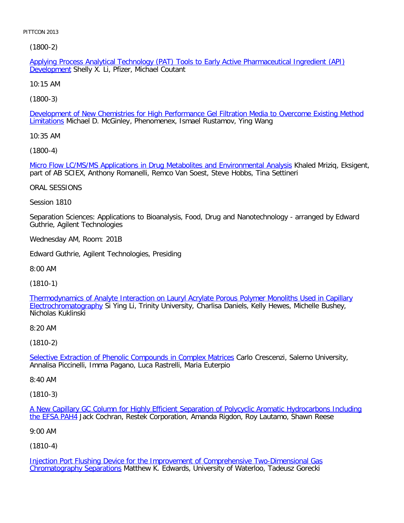[\(1800-2\)](file:///p|/print%20on%20demand%20titles/23101-23200/23133/23133%20source%20materials/papers/1800-2.htm)

Applying Process Analytical Technology (PAT) Tools to Early Active Pharmaceutical Ingredient (API) Development Shelly X. Li, Pfizer, Michael Coutant

10:15 AM

[\(1800-3\)](file:///p|/print%20on%20demand%20titles/23101-23200/23133/23133%20source%20materials/papers/1800-3.htm)

Development of New Chemistries for High Performance Gel Filtration Media to Overcome Existing Method Limitations Michael D. McGinley, Phenomenex, Ismael Rustamov, Ying Wang

10:35 AM

[\(1800-4\)](file:///p|/print%20on%20demand%20titles/23101-23200/23133/23133%20source%20materials/papers/1800-4.htm)

Micro Flow LC/MS/MS Applications in Drug Metabolites and Environmental Analysis Khaled Mriziq, Eksigent, part of AB SCIEX, Anthony Romanelli, Remco Van Soest, Steve Hobbs, Tina Settineri

ORAL SESSIONS

Session 1810

Separation Sciences: Applications to Bioanalysis, Food, Drug and Nanotechnology - arranged by Edward Guthrie, Agilent Technologies

Wednesday AM, Room: 201B

Edward Guthrie, Agilent Technologies, Presiding

8:00 AM

(1810-1)

[Thermodynamics of Analyte Interaction on Lauryl Acrylate Porous Polymer Monoliths Used in Capillary](file:///p|/print%20on%20demand%20titles/23101-23200/23133/23133%20source%20materials/papers/1810-1.htm) Electrochromatography Si Ying Li, Trinity University, Charlisa Daniels, Kelly Hewes, Michelle Bushey, [Nicholas Kuklinski](file:///p|/print%20on%20demand%20titles/23101-23200/23133/23133%20source%20materials/papers/1810-1.htm)

8:20 AM

(1810-2)

Selective Extraction of Phenolic Compounds in Complex Matrices Carlo Crescenzi, Salerno University, [Annalisa Piccinelli, Imma Pagano, Luca Rastrelli, Maria Euterpio](file:///p|/print%20on%20demand%20titles/23101-23200/23133/23133%20source%20materials/papers/1810-2.htm)

8:40 AM

(1810-3)

A New Capillary GC Column for Highly Efficient Separation of Polycyclic Aromatic Hydrocarbons Including the EFSA PAH4 Jack Cochran, Restek Corporation, Amanda Rigdon, Roy Lautamo, Shawn Reese

[9:00 AM](file:///p|/print%20on%20demand%20titles/23101-23200/23133/23133%20source%20materials/papers/1810-3.htm)

(1810-4)

Injection Port Flushing Device for the Improvement of Comprehensive Two-Dimensional Gas Chromatography Separations Matthew K. Edwards, University of Waterloo, Tadeusz Gorecki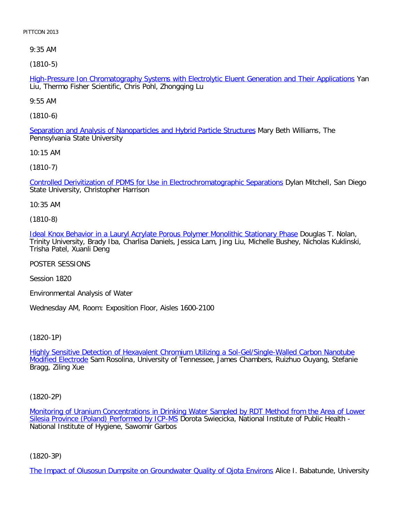9:35 AM

[\(1810-5\)](file:///p|/print%20on%20demand%20titles/23101-23200/23133/23133%20source%20materials/papers/1810-5.htm)

High-Pressure Ion Chromatography Systems with Electrolytic Eluent Generation and Their Applications Yan Liu, Thermo Fisher Scientific, Chris Pohl, Zhongqing Lu

9:55 AM

[\(1810-6\)](file:///p|/print%20on%20demand%20titles/23101-23200/23133/23133%20source%20materials/papers/1810-6.htm)

Separation and Analysis of Nanoparticles and Hybrid Particle Structures Mary Beth Williams, The Pennsylvania State University

10:15 AM

[\(1810-7\)](file:///p|/print%20on%20demand%20titles/23101-23200/23133/23133%20source%20materials/papers/1810-7.htm)

Controlled Derivitization of PDMS for Use in Electrochromatographic Separations Dylan Mitchell, San Diego State University, Christopher Harrison

10:35 AM

(1810-8)

[Ideal Knox Behavior in a Lauryl Acrylate Porous Polymer Monolithic Stationary Phase](file:///p|/print%20on%20demand%20titles/23101-23200/23133/23133%20source%20materials/papers/1810-8.htm) Douglas T. Nolan, Trinity University, Brady Iba, Charlisa Daniels, Jessica Lam, Jing Liu, Michelle Bushey, Nicholas Kuklinski, Trisha Patel, Xuanli Deng

POSTER SESSIONS

Session 1820

Environmental Analysis of Water

Wednesday AM, Room: Exposition Floor, Aisles 1600-2100

(1820-1P)

Highly Sensitive Detection of Hexavalent Chromium Utilizing a Sol-Gel/Single-Walled Carbon Nanotube Modified Electrode [Sam Rosolina, University of Tennessee, James Chambers, Ruizhuo Ouyang, Stefanie](file:///p|/print%20on%20demand%20titles/23101-23200/23133/23133%20source%20materials/papers/1820-1.htm) [Bragg, Ziling X](file:///p|/print%20on%20demand%20titles/23101-23200/23133/23133%20source%20materials/papers/1820-1.htm)ue

(1820-2P)

Monitoring of Uranium Concentrations in Drinking Water Sampled by RDT Method from the Area of Lower Silesia Province (Poland) Performed by ICP-MS Dorota Swiecicka, National Institute of Public Health -[National Institute of Hygiene, Sawomir Garbos](file:///p|/print%20on%20demand%20titles/23101-23200/23133/23133%20source%20materials/papers/1820-2.htm)

(1820-3P)

The Impact of Olusosun Dumpsite on Groundwater Quality of Ojota Environs Alice I. Babatunde, University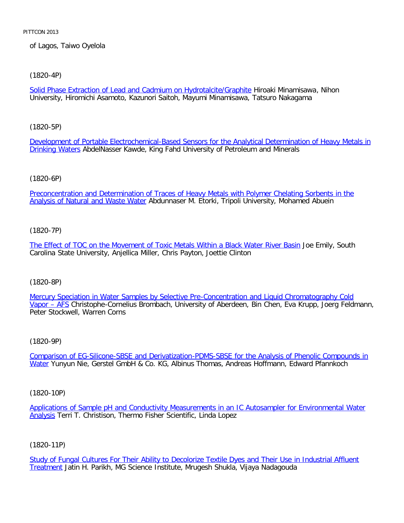of Lagos, Taiwo Oyelola

# [\(1820-4P\)](file:///p|/print%20on%20demand%20titles/23101-23200/23133/23133%20source%20materials/papers/1820-4.htm)

Solid Phase Extraction of Lead and Cadmium on Hydrotalcite/Graphite Hiroaki Minamisawa, Nihon University, Hiromichi Asamoto, Kazunori Saitoh, Mayumi Minamisawa, Tatsuro Nakagama

[\(1820-5P\)](file:///p|/print%20on%20demand%20titles/23101-23200/23133/23133%20source%20materials/papers/1820-5.htm)

[Developmen](file:///p|/print%20on%20demand%20titles/23101-23200/23133/23133%20source%20materials/papers/1820-5.htm)t of Portable Electrochemical-Based Sensors for the Analytical Determination of Heavy Metals in Drinking Waters AbdelNasser Kawde, King Fahd University of Petroleum and Minerals

# (1820-6P)

[Preconcentration and Determination of Traces of Heavy Metals with Polymer Chelating Sorbents in the](file:///p|/print%20on%20demand%20titles/23101-23200/23133/23133%20source%20materials/papers/1820-6.htm) Analysis of Natural and Waste Water Abdunnaser M. Etorki, Tripoli University, Mohamed Abuein

# (1820-7P)

[The Effect of TOC on the Movement of Toxic Metals Within a Black Water River Basin](file:///p|/print%20on%20demand%20titles/23101-23200/23133/23133%20source%20materials/papers/1820-7.htm) Joe Emily, South Carolina State University, Anjellica Miller, Chris Payton, Joettie Clinton

# (1820-8P)

[Mercury Speciation in Water Samples by Selective Pre-Concentration and Liquid Chromatography Cold](file:///p|/print%20on%20demand%20titles/23101-23200/23133/23133%20source%20materials/papers/1820-8.htm) Vapor – AFS Christophe-Cornelius Brombach, University of Aberdeen, Bin Chen, Eva Krupp, Joerg Feldmann, [Peter St](file:///p|/print%20on%20demand%20titles/23101-23200/23133/23133%20source%20materials/papers/1820-8.htm)ockwell, Warren Corns

# (1820-9P)

Comparison of EG-Silicone-SBSE and Derivatization-PDMS-SBSE for the Analysis of Phenolic Compounds in Water [Yunyun Nie, Gerstel GmbH & Co. KG, Albinus Thomas, Andreas Hoffmann, Edward Pfannkoch](file:///p|/print%20on%20demand%20titles/23101-23200/23133/23133%20source%20materials/papers/1820-9.htm)

# (1820-10P)

Applications of Sample pH and Conductivity Measurements in an IC Autosampler for Environmental Water Analysis Terri T. Christison, Thermo Fisher Scientific, Linda Lopez

# (1820-11P)

Study of Fungal Cultures For Their Ability to Decolorize Textile Dyes and Their Use in Industrial Affluent Treatment Jatin H. Parikh, MG Science Institute, Mrugesh Shukla, Vijaya Nadagouda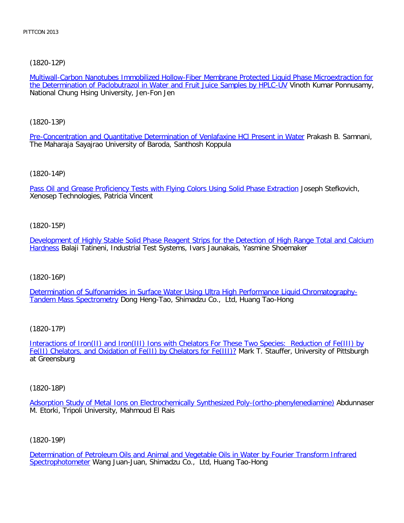[\(1820-12P\)](file:///p|/print%20on%20demand%20titles/23101-23200/23133/23133%20source%20materials/papers/1820-12.htm)

Multiwall-Carbon Nanotubes Immobilized Hollow-Fiber Membrane Protected Liquid Phase Microextraction for the Determination of Paclobutrazol in Water and Fruit Juice Samples by HPLC-UV Vinoth Kumar Ponnusamy, National Chung Hsing University, Jen-Fon Jen

[\(1820-13P\)](file:///p|/print%20on%20demand%20titles/23101-23200/23133/23133%20source%20materials/papers/1820-13.htm)

Pre-Concentration and Quantitative Determination of Venlafaxine HCl Present in Water Prakash B. Samnani, The Maharaja Sayajrao University of Baroda, Santhosh Koppula

[\(1820-14P\)](file:///p|/print%20on%20demand%20titles/23101-23200/23133/23133%20source%20materials/papers/1820-14.htm)

Pass Oil and Grease Proficiency Tests with Flying Colors Using Solid Phase Extraction Joseph Stefkovich, Xenosep Technologies, Patricia Vincent

(1820-15P)

[Development of Highly Stable Solid Phase Reagent Strips for the Detection of High Range Total and Calcium](file:///p|/print%20on%20demand%20titles/23101-23200/23133/23133%20source%20materials/papers/1820-15.htm) [Hard](file:///p|/print%20on%20demand%20titles/23101-23200/23133/23133%20source%20materials/papers/1820-15.htm)ness Balaji Tatineni, Industrial Test Systems, Ivars Jaunakais, Yasmine Shoemaker

(1820-16P)

[Determination of Sulfonamides in Surface Water Using Ultra High Performance Liquid Chromatography-](file:///p|/print%20on%20demand%20titles/23101-23200/23133/23133%20source%20materials/papers/1820-16.htm)[Tandem Mass Spectrome](file:///p|/print%20on%20demand%20titles/23101-23200/23133/23133%20source%20materials/papers/1820-16.htm)try Dong Heng-Tao, Shimadzu Co., Ltd, Huang Tao-Hong

(1820-17P)

Interactions of Iron(II) and Iron(III) Ions with Chelators For These Two Species: Reduction of Fe(III) by [Fe\(II\) Chelators, and Oxidation of Fe\(II\) by Chelators for Fe\(III\)?](file:///p|/print%20on%20demand%20titles/23101-23200/23133/23133%20source%20materials/papers/1820-17.htm) Mark T. Stauffer, University of Pittsburgh [at Greensburg](file:///p|/print%20on%20demand%20titles/23101-23200/23133/23133%20source%20materials/papers/1820-17.htm)

(1820-18P)

Adsorption Study of Metal Ions on Electrochemically Synthesized Poly-(ortho-phenylenediamine) Abdunnaser M. Etorki, Tripoli University, Mahmoud El Rais

(1820-19P)

Determination of Petroleum Oils and Animal and Vegetable Oils in Water by Fourier Transform Infrared Spectrophotometer Wang Juan-Juan, Shimadzu Co., Ltd, Huang Tao-Hong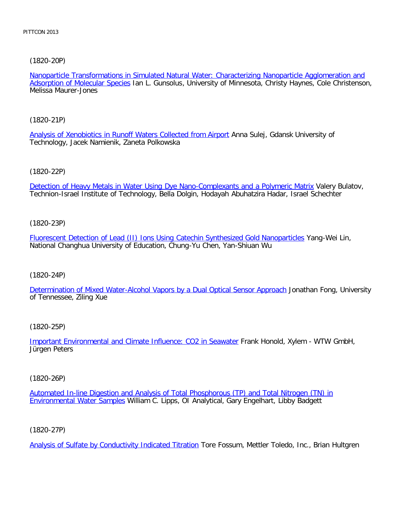# [\(1820-20P\)](file:///p|/print%20on%20demand%20titles/23101-23200/23133/23133%20source%20materials/papers/1820-20.htm)

Nanoparticle Transformations in Simulated Natural Water: Characterizing Nanoparticle Agglomeration and Adsorption of Molecular Species Ian L. Gunsolus, University of Minnesota, Christy Haynes, Cole Christenson, Melissa Maurer-Jones

[\(1820-21P\)](file:///p|/print%20on%20demand%20titles/23101-23200/23133/23133%20source%20materials/papers/1820-21.htm)

Analysis of Xenobiotics in Runoff Waters Collected from Airport Anna Sulej, Gdansk University of Technology, Jacek Namienik, Zaneta Polkowska

[\(1820-22P\)](file:///p|/print%20on%20demand%20titles/23101-23200/23133/23133%20source%20materials/papers/1820-22.htm)

Detection of Heavy Metals in Water Using Dye Nano-Complexants and a Polymeric Matrix Valery Bulatov, Technion-Israel Institute of Technology, Bella Dolgin, Hodayah Abuhatzira Hadar, Israel Schechter

(1820-23P)

[Fluorescent Detection of Lead \(II\) Ions Using Catechin Synthesized Gold Nanoparticles](file:///p|/print%20on%20demand%20titles/23101-23200/23133/23133%20source%20materials/papers/1820-23.htm) Yang-Wei Lin, National Changhua University of Education, Chung-Yu Chen, Yan-Shiuan Wu

#### (1820-24P)

[Determination of Mixed Water-Alcohol Vapors by a Dual Optical Sensor Approach](file:///p|/print%20on%20demand%20titles/23101-23200/23133/23133%20source%20materials/papers/1820-24.htm) Jonathan Fong, University of Tennessee, Ziling Xue

(1820-25P)

Important Environmental and Climate Influence: CO2 in Seawater Frank Honold, Xylem - WTW GmbH, [Jürgen Peters](file:///p|/print%20on%20demand%20titles/23101-23200/23133/23133%20source%20materials/papers/1820-25.htm)

(1820-26P)

Automated In-line Digestion and Analysis of Total Phosphorous (TP) and Total Nitrogen (TN) in Environmental Water Samples [William C. Lipps, OI Analytical, Gary Engelhart, Libby Badgett](file:///p|/print%20on%20demand%20titles/23101-23200/23133/23133%20source%20materials/papers/1820-26.htm)

(1820-27P)

Analysis of Sulfate by Conductivity Indicated Titration Tore Fossum, Mettler Toledo, Inc., Brian Hultgren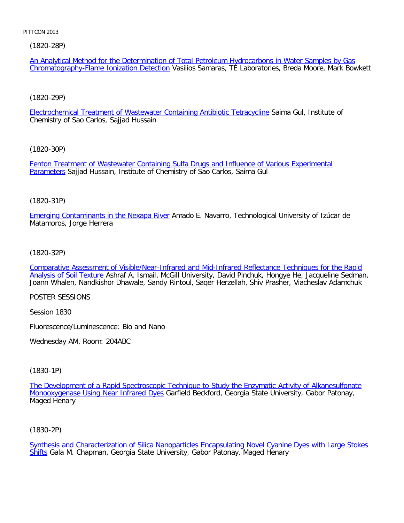[\(1820-28P\)](file:///p|/print%20on%20demand%20titles/23101-23200/23133/23133%20source%20materials/papers/1820-28.htm)

An Analytical Method for the Determination of Total Petroleum Hydrocarbons in Water Samples by Gas Chromatography-Flame Ionization Detection Vasilios Samaras, TE Laboratories, Breda Moore, Mark Bowkett

[\(1820-29P\)](file:///p|/print%20on%20demand%20titles/23101-23200/23133/23133%20source%20materials/papers/1820-29.htm)

Electrochemical Treatment of Wastewater Containing Antibiotic Tetracycline Saima Gul, Institute of Chemistry of Sao Carlos, Sajjad Hussain

[\(1820-30P\)](file:///p|/print%20on%20demand%20titles/23101-23200/23133/23133%20source%20materials/papers/1820-30.htm)

[Fenton](file:///p|/print%20on%20demand%20titles/23101-23200/23133/23133%20source%20materials/papers/1820-30.htm) Treatment of Wastewater Containing Sulfa Drugs and Influence of Various Experimental **Parameters Sajjad Hussain, Institute of Chemistry of Sao Carlos, Saima Gul** 

# (1820-31P)

[Emerging Contaminants in the Nexapa Rive](file:///p|/print%20on%20demand%20titles/23101-23200/23133/23133%20source%20materials/papers/1820-31.htm)r Amado E. Navarro, Technological University of Izúcar de Matamoros, Jorge Herrera

### (1820-32P)

[Comparative Assessment of Visible/Near-Infrared and Mid-Infrared Reflectance Techniques for the Rapid](file:///p|/print%20on%20demand%20titles/23101-23200/23133/23133%20source%20materials/papers/1820-32.htm) [Analysis of Soil Textu](file:///p|/print%20on%20demand%20titles/23101-23200/23133/23133%20source%20materials/papers/1820-32.htm)re Ashraf A. Ismail, McGill University, David Pinchuk, Hongye He, Jacqueline Sedman, Joann Whalen, Nandkishor Dhawale, Sandy Rintoul, Saqer Herzellah, Shiv Prasher, Viacheslav Adamchuk

POSTER SESSIONS

Session 1830

Fluorescence/Luminescence: Bio and Nano

Wednesday AM, Room: 204ABC

(1830-1P)

The Development of a Rapid Spectroscopic Technique to Study the Enzymatic Activity of Alkanesulfonate Monooxygenase Using Near Infrared Dyes [Garfield Beckford, Georgia State University, Gabor Patonay,](file:///p|/print%20on%20demand%20titles/23101-23200/23133/23133%20source%20materials/papers/1830-1.htm) [Maged Henary](file:///p|/print%20on%20demand%20titles/23101-23200/23133/23133%20source%20materials/papers/1830-1.htm)

(1830-2P)

Synthesis and Characterization of Silica Nanoparticles Encapsulating Novel Cyanine Dyes with Large Stokes Shifts Gala M. Chapman, Georgia State University, Gabor Patonay, Maged Henary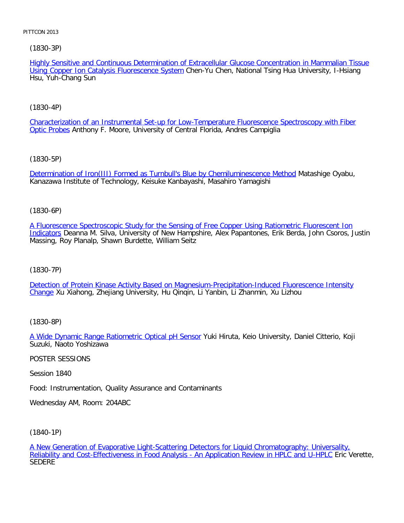# [\(1830-3P\)](file:///p|/print%20on%20demand%20titles/23101-23200/23133/23133%20source%20materials/papers/1830-3.htm)

Highly Sensitive and Continuous Determination of Extracellular Glucose Concentration in Mammalian Tissue Using Copper Ion Catalysis Fluorescence System Chen-Yu Chen, National Tsing Hua University, I-Hsiang Hsu, Yuh-Chang Sun

# [\(1830-4P\)](file:///p|/print%20on%20demand%20titles/23101-23200/23133/23133%20source%20materials/papers/1830-4.htm)

[Characte](file:///p|/print%20on%20demand%20titles/23101-23200/23133/23133%20source%20materials/papers/1830-4.htm)rization of an Instrumental Set-up for Low-Temperature Fluorescence Spectroscopy with Fiber Optic Probes Anthony F. Moore, University of Central Florida, Andres Campiglia

# [\(1830-5P\)](file:///p|/print%20on%20demand%20titles/23101-23200/23133/23133%20source%20materials/papers/1830-5.htm)

Determination of Iron(III) Formed as Turnbull's Blue by Chemiluminescence Method Matashige Oyabu, Kanazawa Institute of Technology, Keisuke Kanbayashi, Masahiro Yamagishi

# (1830-6P)

[A Fluorescence Spectroscopic Study for the Sensing of Free Copper Using Ratiometric Fluorescent Ion](file:///p|/print%20on%20demand%20titles/23101-23200/23133/23133%20source%20materials/papers/1830-6.htm) [Indica](file:///p|/print%20on%20demand%20titles/23101-23200/23133/23133%20source%20materials/papers/1830-6.htm)tors Deanna M. Silva, University of New Hampshire, Alex Papantones, Erik Berda, John Csoros, Justin Massing, Roy Planalp, Shawn Burdette, William Seitz

# (1830-7P)

[Detection of Protein Kinase Activity Based on Magnesium-Precipitation-Induced Fluorescence Intensity](file:///p|/print%20on%20demand%20titles/23101-23200/23133/23133%20source%20materials/papers/1830-7.htm) [Ch](file:///p|/print%20on%20demand%20titles/23101-23200/23133/23133%20source%20materials/papers/1830-7.htm)ange Xu Xiahong, Zhejiang University, Hu Qinqin, Li Yanbin, Li Zhanmin, Xu Lizhou

# (1830-8P)

A Wide Dynamic Range Ratiometric Optical pH Sensor Yuki Hiruta, Keio University, Daniel Citterio, Koji [Suzuki, Naoto Yoshizawa](file:///p|/print%20on%20demand%20titles/23101-23200/23133/23133%20source%20materials/papers/1830-8.htm)

# POSTER SESSIONS

Session 1840

Food: Instrumentation, Quality Assurance and Contaminants

Wednesday AM, Room: 204ABC

(1840-1P)

A New Generation of Evaporative Light-Scattering Detectors for Liquid Chromatography: Universality, Reliability and Cost-Effectiveness in Food Analysis - An Application Review in HPLC and U-HPLC Eric Verette, **[SEDERE](file:///p|/print%20on%20demand%20titles/23101-23200/23133/23133%20source%20materials/papers/1840-1.htm)**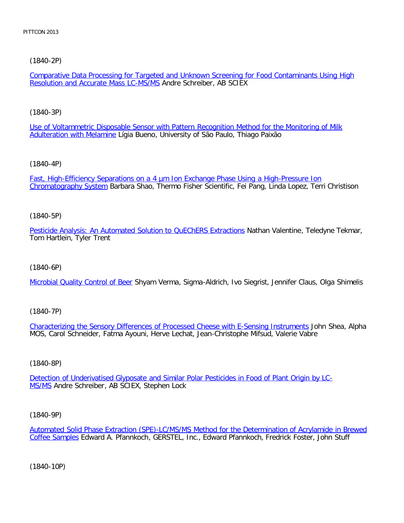# [\(1840-2P\)](file:///p|/print%20on%20demand%20titles/23101-23200/23133/23133%20source%20materials/papers/1840-2.htm)

Comparative Data Processing for Targeted and Unknown Screening for Food Contaminants Using High Resolution and Accurate Mass LC-MS/MS Andre Schreiber, AB SCIEX

# [\(1840-3P\)](file:///p|/print%20on%20demand%20titles/23101-23200/23133/23133%20source%20materials/papers/1840-3.htm)

[Use of Voltammetric Disp](file:///p|/print%20on%20demand%20titles/23101-23200/23133/23133%20source%20materials/papers/1840-3.htm)osable Sensor with Pattern Recognition Method for the Monitoring of Milk Adulteration with Melamine Lígia Bueno, University of São Paulo, Thiago Paixão

# [\(1840-4P\)](file:///p|/print%20on%20demand%20titles/23101-23200/23133/23133%20source%20materials/papers/1840-4.htm)

[Fast, High-Efficiency S](file:///p|/print%20on%20demand%20titles/23101-23200/23133/23133%20source%20materials/papers/1840-4.htm)eparations on a 4 µm Ion Exchange Phase Using a High-Pressure Ion Chromatography System Barbara Shao, Thermo Fisher Scientific, Fei Pang, Linda Lopez, Terri Christison

# (1840-5P)

[Pesticide Analysis: An Automated Solution to QuEChERS Extractions](file:///p|/print%20on%20demand%20titles/23101-23200/23133/23133%20source%20materials/papers/1840-5.htm) Nathan Valentine, Teledyne Tekmar, Tom Hartlein, Tyler Trent

# (1840-6P)

[Microbial Quality Control of Be](file:///p|/print%20on%20demand%20titles/23101-23200/23133/23133%20source%20materials/papers/1840-6.htm)er Shyam Verma, Sigma-Aldrich, Ivo Siegrist, Jennifer Claus, Olga Shimelis

# (1840-7P)

Characterizing the Sensory Differences of Processed Cheese with E-Sensing Instruments John Shea, Alpha [MOS, Carol Schneider, Fatma Ayouni, Herve Lechat, Jean-Christophe Mifsud, Valerie Vabre](file:///p|/print%20on%20demand%20titles/23101-23200/23133/23133%20source%20materials/papers/1840-7.htm)

# (1840-8P)

Detection of Underivatised Glyposate and Similar Polar Pesticides in Food of Plant Origin by LC-MS/MS [Andre Schreiber, AB SCIEX, Stephen Lock](file:///p|/print%20on%20demand%20titles/23101-23200/23133/23133%20source%20materials/papers/1840-8.htm)

# (1840-9P)

Automated Solid Phase Extraction (SPE)-LC/MS/MS Method for the Determination of Acrylamide in Brewed Coffee Samples Edward A. Pfannkoch, GERSTEL, Inc., Edward Pfannkoch, Fredrick Foster, John Stuff

(1840-10P)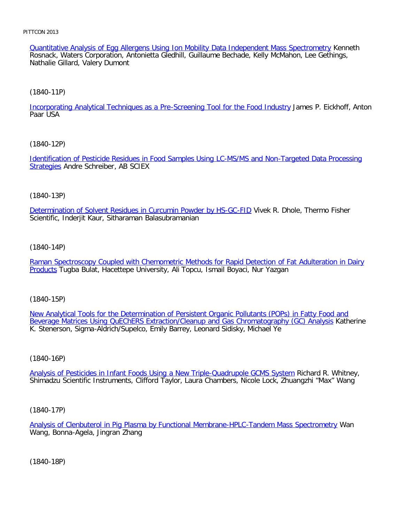Quantitative Analysis of Egg Allergens Using Ion Mobility Data Independent Mass Spectrometry Kenneth Rosnack, Waters Corporation, Antonietta Gledhill, Guillaume Bechade, Kelly McMahon, Lee Gethings, Nathalie Gillard, Valery Dumont

### [\(1840-11P\)](file:///p|/print%20on%20demand%20titles/23101-23200/23133/23133%20source%20materials/papers/1840-11.htm)

Incorporating Analytical Techniques as a Pre-Screening Tool for the Food Industry James P. Eickhoff, Anton Paar USA

### [\(1840-12P\)](file:///p|/print%20on%20demand%20titles/23101-23200/23133/23133%20source%20materials/papers/1840-12.htm)

[Ident](file:///p|/print%20on%20demand%20titles/23101-23200/23133/23133%20source%20materials/papers/1840-12.htm)ification of Pesticide Residues in Food Samples Using LC-MS/MS and Non-Targeted Data Processing Strategies Andre Schreiber, AB SCIEX

### (1840-13P)

[Determination of Solvent Residues in Curcumin Powder by HS-GC-FID](file:///p|/print%20on%20demand%20titles/23101-23200/23133/23133%20source%20materials/papers/1840-13.htm) Vivek R. Dhole, Thermo Fisher Scientific, Inderjit Kaur, Sitharaman Balasubramanian

### (1840-14P)

[Raman Spectroscopy Coupled with Chemometric Methods for Rapid Detection of Fat Adulteration in Dairy](file:///p|/print%20on%20demand%20titles/23101-23200/23133/23133%20source%20materials/papers/1840-14.htm) [Prod](file:///p|/print%20on%20demand%20titles/23101-23200/23133/23133%20source%20materials/papers/1840-14.htm)ucts Tugba Bulat, Hacettepe University, Ali Topcu, Ismail Boyaci, Nur Yazgan

(1840-15P)

New Analytical Tools for the Determination of Persistent Organic Pollutants (POPs) in Fatty Food and [Beverage Matrices Using QuEChERS Extraction/Cleanup and Gas Chromatography \(GC\) Analysis](file:///p|/print%20on%20demand%20titles/23101-23200/23133/23133%20source%20materials/papers/1840-15.htm) Katherine [K. Stenerson, Sigma-Aldrich/Supelco, Emily Barrey, Leonard Sidisky, Michael Ye](file:///p|/print%20on%20demand%20titles/23101-23200/23133/23133%20source%20materials/papers/1840-15.htm)

# (1840-16P)

Analysis of Pesticides in Infant Foods Using a New Triple-Quadrupole GCMS System Richard R. Whitney, [Shimadzu Scientific Instruments, Clifford Taylor, Laura Chambers, Nicole Lock, Zhuangz](file:///p|/print%20on%20demand%20titles/23101-23200/23133/23133%20source%20materials/papers/1840-16.htm)hi "Max" Wang

# (1840-17P)

Analysis of Clenbuterol in Pig Plasma by Functional Membrane-HPLC-Tandem Mass Spectrometry Wan Wang, Bonna-Agela, Jingran Zhang

(1840-18P)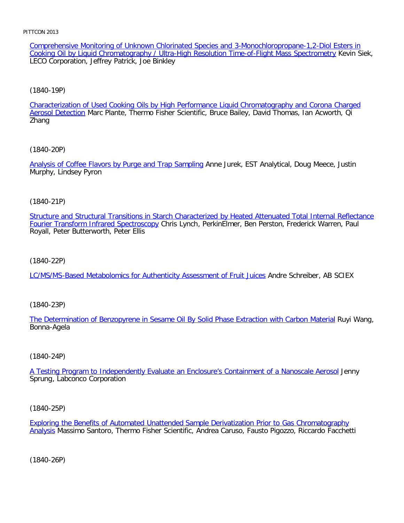Comprehensive Monitoring of Unknown Chlorinated Species and 3-Monochloropropane-1,2-Diol Esters in Cooking Oil by Liquid Chromatography / Ultra-High Resolution Time-of-Flight Mass Spectrometry Kevin Siek, LECO Corporation, Jeffrey Patrick, Joe Binkley

[\(1840-19P\)](file:///p|/print%20on%20demand%20titles/23101-23200/23133/23133%20source%20materials/papers/1840-19.htm)

Characterization of Used Cooking Oils by High Performance Liquid Chromatography and Corona Charged Aerosol Detection Marc Plante, Thermo Fisher Scientific, Bruce Bailey, David Thomas, Ian Acworth, Qi Zhang

[\(1840-20P\)](file:///p|/print%20on%20demand%20titles/23101-23200/23133/23133%20source%20materials/papers/1840-20.htm)

Analysis of Coffee Flavors by Purge and Trap Sampling Anne Jurek, EST Analytical, Doug Meece, Justin Murphy, Lindsey Pyron

(1840-21P)

[Structure and Structural Transitions in Starch Characterized by Heated Attenuated Total Internal Reflectance](file:///p|/print%20on%20demand%20titles/23101-23200/23133/23133%20source%20materials/papers/1840-21.htm) Fourier Transform Infrared Spectroscopy Chris Lynch, PerkinElmer, Ben Perston, Frederick Warren, Paul Royall, Peter Butterworth, Peter Ellis

(1840-22P)

[LC/MS/MS-Based Metabolomics for Authenticity Assessment of Fruit Juices](file:///p|/print%20on%20demand%20titles/23101-23200/23133/23133%20source%20materials/papers/1840-22.htm) Andre Schreiber, AB SCIEX

(1840-23P)

[The Determination of Benzopyrene in Sesame Oil By Solid Phase Extraction with Carbon Material](file:///p|/print%20on%20demand%20titles/23101-23200/23133/23133%20source%20materials/papers/1840-23.htm) Ruyi Wang, Bonna-Agela

#### (1840-24P)

A Testing Program to Independently Evaluate an Enclosure's Containment of a Nanoscale Aerosol Jenny [Sprung, Labconco Corporation](file:///p|/print%20on%20demand%20titles/23101-23200/23133/23133%20source%20materials/papers/1840-24.htm)

(1840-25P)

Exploring the Benefits of Automated Unattended Sample Derivatization Prior to Gas Chromatography Analysis Massimo Santoro, Thermo Fisher Scientific, Andrea Caruso, Fausto Pigozzo, Riccardo Facchetti

(1840-26P)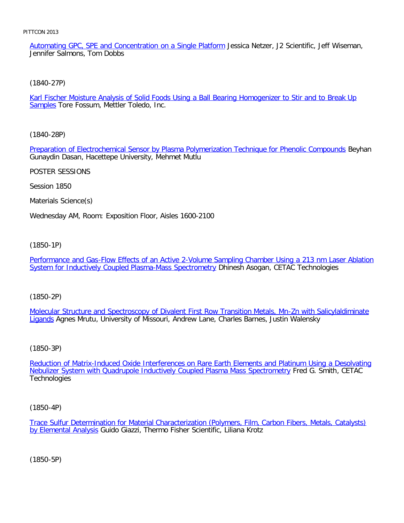Automating GPC, SPE and Concentration on a Single Platform Jessica Netzer, J2 Scientific, Jeff Wiseman, Jennifer Salmons, Tom Dobbs

[\(1840-27P\)](file:///p|/print%20on%20demand%20titles/23101-23200/23133/23133%20source%20materials/papers/1840-27.htm)

Karl Fischer Moisture Analysis of Solid Foods Using a Ball Bearing Homogenizer to Stir and to Break Up Samples Tore Fossum, Mettler Toledo, Inc.

[\(1840-28P\)](file:///p|/print%20on%20demand%20titles/23101-23200/23133/23133%20source%20materials/papers/1840-28.htm)

Preparation of Electrochemical Sensor by Plasma Polymerization Technique for Phenolic Compounds Beyhan Gunaydin Dasan, Hacettepe University, Mehmet Mutlu

POSTER SESSIONS

Session 1850

Materials Science(s)

Wednesday AM, Room: Exposition Floor, Aisles 1600-2100

(1850-1P)

[Performance and Gas-Flow Effects of an Active 2-Volume Sampling Chamber Using a 213 nm Laser Ablation](file:///p|/print%20on%20demand%20titles/23101-23200/23133/23133%20source%20materials/papers/1850-1.htm) [System for Inductively Coupled Plasma-Mass Spectrometry](file:///p|/print%20on%20demand%20titles/23101-23200/23133/23133%20source%20materials/papers/1850-1.htm) Dhinesh Asogan, CETAC Technologies

(1850-2P)

Molecular Structure and Spectroscopy of Divalent First Row Transition Metals, Mn-Zn with Salicylaldiminate [Lig](file:///p|/print%20on%20demand%20titles/23101-23200/23133/23133%20source%20materials/papers/1850-2.htm)ands [Agnes Mrutu, University of Missouri, Andrew Lane, Charles Barnes, Justin Walensky](file:///p|/print%20on%20demand%20titles/23101-23200/23133/23133%20source%20materials/papers/1850-2.htm)

(1850-3P)

Reduction of Matrix-Induced Oxide Interferences on Rare Earth Elements and Platinum Using a Desolvating [Nebulizer System with Quadrupole Inductively Coupled Plasma Mass Spectrometry](file:///p|/print%20on%20demand%20titles/23101-23200/23133/23133%20source%20materials/papers/1850-3.htm) Fred G. Smith, CETAC **[Technologies](file:///p|/print%20on%20demand%20titles/23101-23200/23133/23133%20source%20materials/papers/1850-3.htm)** 

(1850-4P)

Trace Sulfur Determination for Material Characterization (Polymers, Film, Carbon Fibers, Metals, Catalysts) by Elemental Analysis Guido Giazzi, Thermo Fisher Scientific, Liliana Krotz

(1850-5P)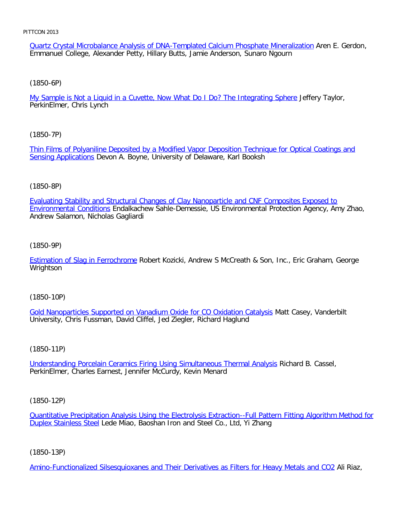Quartz Crystal Microbalance Analysis of DNA-Templated Calcium Phosphate Mineralization Aren E. Gerdon, Emmanuel College, Alexander Petty, Hillary Butts, Jamie Anderson, Sunaro Ngourn

[\(1850-6P\)](file:///p|/print%20on%20demand%20titles/23101-23200/23133/23133%20source%20materials/papers/1850-6.htm)

My Sample is Not a Liquid in a Cuvette, Now What Do I Do? The Integrating Sphere Jeffery Taylor, PerkinElmer, Chris Lynch

[\(1850-7P\)](file:///p|/print%20on%20demand%20titles/23101-23200/23133/23133%20source%20materials/papers/1850-7.htm)

[Thin Films of Poly](file:///p|/print%20on%20demand%20titles/23101-23200/23133/23133%20source%20materials/papers/1850-7.htm)aniline Deposited by a Modified Vapor Deposition Technique for Optical Coatings and Sensing Applications Devon A. Boyne, University of Delaware, Karl Booksh

# (1850-8P)

[Evaluating Stability and Structural Changes of Clay Nanoparticle and CNF Composites Exposed to](file:///p|/print%20on%20demand%20titles/23101-23200/23133/23133%20source%20materials/papers/1850-8.htm) Environmental Conditions Endalkachew Sahle-Demessie, US Environmental Protection Agency, Amy Zhao, Andrew Salamon, Nicholas Gagliardi

(1850-9P)

[Estimation of Slag in Ferrochrom](file:///p|/print%20on%20demand%20titles/23101-23200/23133/23133%20source%20materials/papers/1850-9.htm)e Robert Kozicki, Andrew S McCreath & Son, Inc., Eric Graham, George **Wrightson** 

(1850-10P)

Gold Nanoparticles Supported on Vanadium Oxide for CO Oxidation Catalysis Matt Casey, Vanderbilt [University, Chris Fussman, David Cliffel, Jed Ziegler, Richard Haglund](file:///p|/print%20on%20demand%20titles/23101-23200/23133/23133%20source%20materials/papers/1850-10.htm)

# (1850-11P)

Understanding Porcelain Ceramics Firing Using Simultaneous Thermal Analysis Richard B. Cassel, [PerkinElmer, Charles Earnest, Jennifer McCurdy, Kevin Menard](file:///p|/print%20on%20demand%20titles/23101-23200/23133/23133%20source%20materials/papers/1850-11.htm)

# (1850-12P)

Quantitative Precipitation Analysis Using the Electrolysis Extraction--Full Pattern Fitting Algorithm Method for Duplex Stainless Steel Lede Miao, Baoshan Iron and Steel Co., Ltd, Yi Zhang

# (1850-13P)

Amino-Functionalized Silsesquioxanes and Their Derivatives as Filters for Heavy Metals and CO2 Ali Riaz,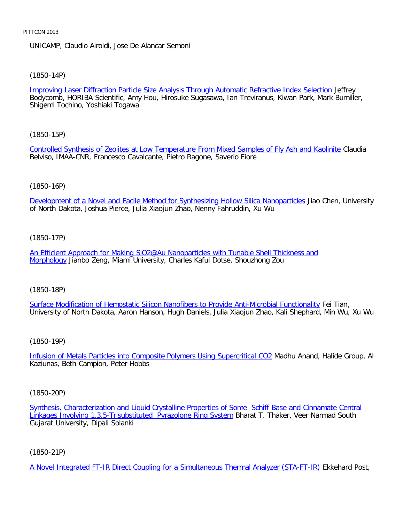UNICAMP, Claudio Airoldi, Jose De Alancar Semoni

[\(1850-14P\)](file:///p|/print%20on%20demand%20titles/23101-23200/23133/23133%20source%20materials/papers/1850-14.htm)

Improving Laser Diffraction Particle Size Analysis Through Automatic Refractive Index Selection Jeffrey Bodycomb, HORIBA Scientific, Amy Hou, Hirosuke Sugasawa, Ian Treviranus, Kiwan Park, Mark Bumiller, Shigemi Tochino, Yoshiaki Togawa

[\(1850-15P\)](file:///p|/print%20on%20demand%20titles/23101-23200/23133/23133%20source%20materials/papers/1850-15.htm)

Controlled Synthesis of Zeolites at Low Temperature From Mixed Samples of Fly Ash and Kaolinite Claudia Belviso, IMAA-CNR, Francesco Cavalcante, Pietro Ragone, Saverio Fiore

### (1850-16P)

[Development of a Novel and Facile Method for Synthesizing Hollow Silica Nanoparticles](file:///p|/print%20on%20demand%20titles/23101-23200/23133/23133%20source%20materials/papers/1850-16.htm) Jiao Chen, University of North Dakota, Joshua Pierce, Julia Xiaojun Zhao, Nenny Fahruddin, Xu Wu

### (1850-17P)

[An Efficient Approach for Making SiO2@Au Nanoparticles with Tunable Shell Thickness and](file:///p|/print%20on%20demand%20titles/23101-23200/23133/23133%20source%20materials/papers/1850-17.htm) [Morpho](file:///p|/print%20on%20demand%20titles/23101-23200/23133/23133%20source%20materials/papers/1850-17.htm)logy Jianbo Zeng, Miami University, Charles Kafui Dotse, Shouzhong Zou

(1850-18P)

Surface Modification of Hemostatic Silicon Nanofibers to Provide Anti-Microbial Functionality Fei Tian, [University of North Dakota, Aaron Hanson, Hugh Daniels, Julia Xiaojun Zhao, Kali Shephard, Min](file:///p|/print%20on%20demand%20titles/23101-23200/23133/23133%20source%20materials/papers/1850-18.htm) Wu, Xu Wu

(1850-19P)

Infusion of Metals Particles into Composite Polymers Using Supercritical CO2 Madhu Anand, Halide Group, Al [Kaziunas, Beth Campion, Peter Hobbs](file:///p|/print%20on%20demand%20titles/23101-23200/23133/23133%20source%20materials/papers/1850-19.htm)

(1850-20P)

Synthesis, Characterization and Liquid Crystalline Properties of Some Schiff Base and Cinnamate Central Linkages Involving 1,3,5-Trisubstituted Pyrazolone Ring System Bharat T. Thaker, Veer Narmad South [Gujarat University, Dipali Solanki](file:///p|/print%20on%20demand%20titles/23101-23200/23133/23133%20source%20materials/papers/1850-20.htm)

(1850-21P)

A Novel Integrated FT-IR Direct Coupling for a Simultaneous Thermal Analyzer (STA-FT-IR) Ekkehard Post,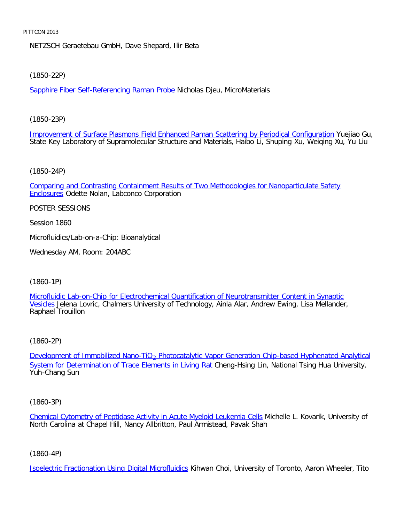NETZSCH Geraetebau GmbH, Dave Shepard, Ilir Beta

[\(1850-22P\)](file:///p|/print%20on%20demand%20titles/23101-23200/23133/23133%20source%20materials/papers/1850-22.htm)

Sapphire Fiber Self-Referencing Raman Probe Nicholas Djeu, MicroMaterials

[\(1850-23P\)](file:///p|/print%20on%20demand%20titles/23101-23200/23133/23133%20source%20materials/papers/1850-23.htm)

Improvement of Surface Plasmons Field Enhanced Raman Scattering by Periodical Configuration Yuejiao Gu, State Key Laboratory of Supramolecular Structure and Materials, Haibo Li, Shuping Xu, Weiqing Xu, Yu Liu

[\(1850-24P\)](file:///p|/print%20on%20demand%20titles/23101-23200/23133/23133%20source%20materials/papers/1850-24.htm)

[Compa](file:///p|/print%20on%20demand%20titles/23101-23200/23133/23133%20source%20materials/papers/1850-24.htm)ring and Contrasting Containment Results of Two Methodologies for Nanoparticulate Safety **Enclosures Odette Nolan, Labconco Corporation** 

POSTER SESSIONS

Session 1860

Microfluidics/Lab-on-a-Chip: Bioanalytical

Wednesday AM, Room: 204ABC

(1860-1P)

[Microfluidic Lab-on-Chip for Electrochemical Quantification of Neurotransmitter Content in Synaptic](file:///p|/print%20on%20demand%20titles/23101-23200/23133/23133%20source%20materials/papers/1860-1.htm) Vesicles Jelena Lovric, Chalmers University of Technology, Ainla Alar, Andrew Ewing, Lisa Mellander, [Rap](file:///p|/print%20on%20demand%20titles/23101-23200/23133/23133%20source%20materials/papers/1860-1.htm)hael Trouillon

(1860-2P)

Development of Immobilized Nano-TiO<sub>2</sub> Photocatalytic Vapor Generation Chip-based Hyphenated Analytical [System for Determination of Trace Elem](file:///p|/print%20on%20demand%20titles/23101-23200/23133/23133%20source%20materials/papers/1860-2.htm)ents in Living Rat [Cheng-Hsing Lin, National Tsing Hua University,](file:///p|/print%20on%20demand%20titles/23101-23200/23133/23133%20source%20materials/papers/1860-2.htm) [Yuh-Chang Sun](file:///p|/print%20on%20demand%20titles/23101-23200/23133/23133%20source%20materials/papers/1860-2.htm)

(1860-3P)

Chemical Cytometry of Peptidase Activity in Acute Myeloid Leukemia Cells Michelle L. Kovarik, University of North Carolina at Chapel Hill, Nancy Allbritton, Paul Armistead, Pavak Shah

(1860-4P)

Isoelectric Fractionation Using Digital Microfluidics Kihwan Choi, University of Toronto, Aaron Wheeler, Tito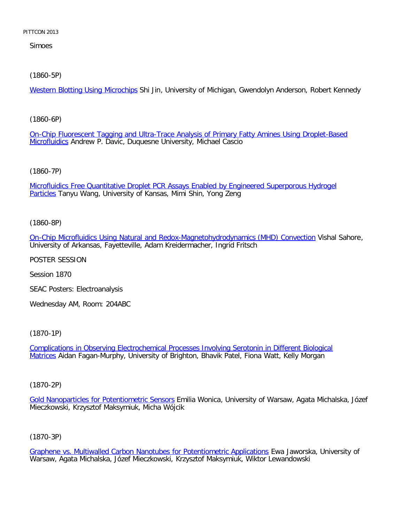Simoes

[\(1860-5P\)](file:///p|/print%20on%20demand%20titles/23101-23200/23133/23133%20source%20materials/papers/1860-5.htm)

Western Blotting Using Microchips Shi Jin, University of Michigan, Gwendolyn Anderson, Robert Kennedy

[\(1860-6P\)](file:///p|/print%20on%20demand%20titles/23101-23200/23133/23133%20source%20materials/papers/1860-6.htm)

[On-Chip](file:///p|/print%20on%20demand%20titles/23101-23200/23133/23133%20source%20materials/papers/1860-6.htm) Fluorescent Tagging and Ultra-Trace Analysis of Primary Fatty Amines Using Droplet-Based Microfluidics Andrew P. Davic, Duquesne University, Michael Cascio

[\(1860-7P\)](file:///p|/print%20on%20demand%20titles/23101-23200/23133/23133%20source%20materials/papers/1860-7.htm)

[Mic](file:///p|/print%20on%20demand%20titles/23101-23200/23133/23133%20source%20materials/papers/1860-7.htm)rofluidics Free Quantitative Droplet PCR Assays Enabled by Engineered Superporous Hydrogel Particles Tanyu Wang, University of Kansas, Mimi Shin, Yong Zeng

(1860-8P)

[On-Chip Microfluidics Using Natural and Redox-Magnetohydrodynamics \(MHD\) Convection](file:///p|/print%20on%20demand%20titles/23101-23200/23133/23133%20source%20materials/papers/1860-8.htm) Vishal Sahore, University of Arkansas, Fayetteville, Adam Kreidermacher, Ingrid Fritsch

POSTER SESSION

Session 1870

SEAC Posters: Electroanalysis

Wednesday AM, Room: 204ABC

(1870-1P)

Complications in Observing Electrochemical Processes Involving Serotonin in Different Biological Matrices [Aidan Fagan-Murphy, University of Brighton, Bhavik Patel, Fiona Watt, Kelly Morgan](file:///p|/print%20on%20demand%20titles/23101-23200/23133/23133%20source%20materials/papers/1870-1.htm)

(1870-2P)

Gold Nanoparticles for Potentiometric Sensors Emilia Wonica, University of Warsaw, Agata Michalska, Józef [Mieczkowski, Krzysztof Maksymiuk, Micha Wó](file:///p|/print%20on%20demand%20titles/23101-23200/23133/23133%20source%20materials/papers/1870-2.htm)jcik

(1870-3P)

Graphene vs. Multiwalled Carbon Nanotubes for Potentiometric Applications Ewa Jaworska, University of Warsaw, Agata Michalska, Józef Mieczkowski, Krzysztof Maksymiuk, Wiktor Lewandowski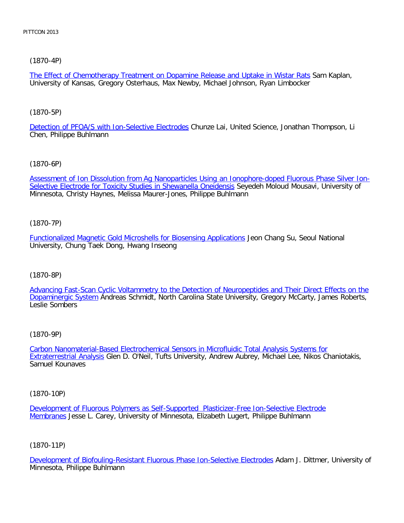# [\(1870-4P\)](file:///p|/print%20on%20demand%20titles/23101-23200/23133/23133%20source%20materials/papers/1870-4.htm)

The Effect of Chemotherapy Treatment on Dopamine Release and Uptake in Wistar Rats Sam Kaplan, University of Kansas, Gregory Osterhaus, Max Newby, Michael Johnson, Ryan Limbocker

# [\(1870-5P\)](file:///p|/print%20on%20demand%20titles/23101-23200/23133/23133%20source%20materials/papers/1870-5.htm)

Detection of PFOA/S with Ion-Selective Electrodes Chunze Lai, United Science, Jonathan Thompson, Li Chen, Philippe Buhlmann

# [\(1870-6P\)](file:///p|/print%20on%20demand%20titles/23101-23200/23133/23133%20source%20materials/papers/1870-6.htm)

[Assessment of Ion Dissolution from Ag Nanoparticles Using an Ion](file:///p|/print%20on%20demand%20titles/23101-23200/23133/23133%20source%20materials/papers/1870-6.htm)ophore-doped Fluorous Phase Silver Ion-Selective Electrode for Toxicity Studies in Shewanella Oneidensis Seyedeh Moloud Mousavi, University of Minnesota, Christy Haynes, Melissa Maurer-Jones, Philippe Buhlmann

# (1870-7P)

[Functionalized Magnetic Gold Microshells for Biosensing Applications](file:///p|/print%20on%20demand%20titles/23101-23200/23133/23133%20source%20materials/papers/1870-7.htm) Jeon Chang Su, Seoul National University, Chung Taek Dong, Hwang Inseong

# (1870-8P)

[Advancing Fast-Scan Cyclic Voltammetry to the Detection of Neuropeptides and Their Direct Effects on the](file:///p|/print%20on%20demand%20titles/23101-23200/23133/23133%20source%20materials/papers/1870-8.htm) [Dopaminergic Syst](file:///p|/print%20on%20demand%20titles/23101-23200/23133/23133%20source%20materials/papers/1870-8.htm)em Andreas Schmidt, North Carolina State University, Gregory McCarty, James Roberts, Leslie Sombers

# (1870-9P)

Carbon Nanomaterial-Based Electrochemical Sensors in Microfluidic Total Analysis Systems for Extraterrestrial Analysis [Glen D. O'Neil, Tufts University, Andrew Aubrey, Michael Lee, Nikos Chanio](file:///p|/print%20on%20demand%20titles/23101-23200/23133/23133%20source%20materials/papers/1870-9.htm)takis, [Samuel Kounaves](file:///p|/print%20on%20demand%20titles/23101-23200/23133/23133%20source%20materials/papers/1870-9.htm)

(1870-10P)

Development of Fluorous Polymers as Self-Supported Plasticizer-Free Ion-Selective Electrode Membranes Jesse L. Carey, University of Minnesota, Elizabeth Lugert, Philippe Buhlmann

# (1870-11P)

Development of Biofouling-Resistant Fluorous Phase Ion-Selective Electrodes Adam J. Dittmer, University of Minnesota, Philippe Buhlmann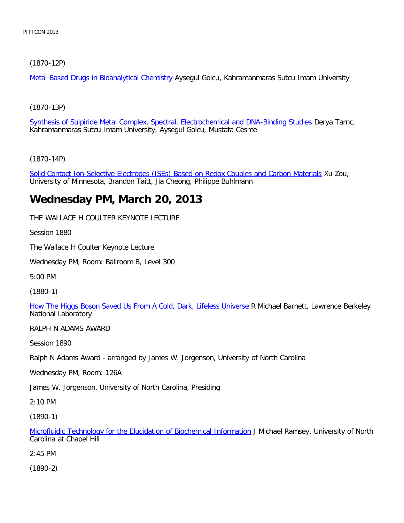# [\(1870-12P\)](file:///p|/print%20on%20demand%20titles/23101-23200/23133/23133%20source%20materials/papers/1870-12.htm)

Metal Based Drugs in Bioanalytical Chemistry Aysegul Golcu, Kahramanmaras Sutcu Imam University

[\(1870-13P\)](file:///p|/print%20on%20demand%20titles/23101-23200/23133/23133%20source%20materials/papers/1870-13.htm)

Synthesis of Sulpiride Metal Complex, Spectral, Electrochemical and DNA-Binding Studies Derya Tarnc, Kahramanmaras Sutcu Imam University, Aysegul Golcu, Mustafa Cesme

[\(1870-14P\)](file:///p|/print%20on%20demand%20titles/23101-23200/23133/23133%20source%20materials/papers/1870-14.htm)

Solid Contact Ion-Selective Electrodes (ISEs) Based on Redox Couples and Carbon Materials Xu Zou, University of Minnesota, Brandon Taitt, Jia Cheong, Philippe Buhlmann

# **Wednesday PM, March 20, 2013**

THE WALLACE H COULTER KEYNOTE LECTURE

Session 1880

The Wallace H Coulter Keynote Lecture

Wednesday PM, Room: Ballroom B, Level 300

5:00 PM

(1880-1)

[How The Higgs Boson Saved Us From A Cold, Dark, Lifeless Universe](file:///p|/print%20on%20demand%20titles/23101-23200/23133/23133%20source%20materials/papers/1880-1.htm) R Michael Barnett, Lawrence Berkeley National Laboratory

RALPH N ADAMS AWARD

Session 1890

Ralph N Adams Award - arranged by James W. Jorgenson, University of North Carolina

Wednesday PM, Room: 126A

James W. Jorgenson, University of North Carolina, Presiding

2:10 PM

(1890-1)

Microfluidic Technology for the Elucidation of Biochemical Information J Michael Ramsey, University of North Carolina at Chapel Hill

[2:45 PM](file:///p|/print%20on%20demand%20titles/23101-23200/23133/23133%20source%20materials/papers/1890-1.htm)

(1890-2)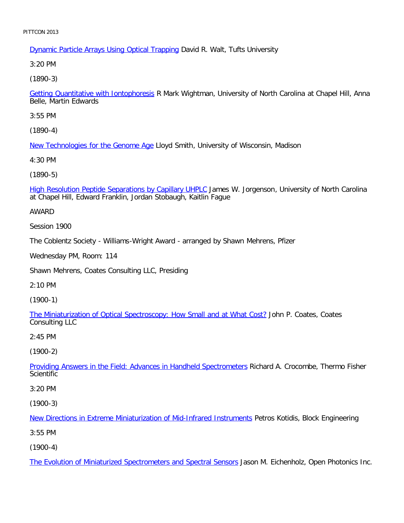# **Dynamic Particle Arrays Using Optical Trapping David R. Walt, Tufts University**

3:20 PM

[\(1890-3\)](file:///p|/print%20on%20demand%20titles/23101-23200/23133/23133%20source%20materials/papers/1890-3.htm)

Getting Quantitative with Iontophoresis R Mark Wightman, University of North Carolina at Chapel Hill, Anna Belle, Martin Edwards

3:55 PM

[\(1890-4\)](file:///p|/print%20on%20demand%20titles/23101-23200/23133/23133%20source%20materials/papers/1890-4.htm)

New Technologies for the Genome Age Lloyd Smith, University of Wisconsin, Madison

4:30 PM

[\(1890-5\)](file:///p|/print%20on%20demand%20titles/23101-23200/23133/23133%20source%20materials/papers/1890-5.htm)

High Resolution Peptide Separations by Capillary UHPLC James W. Jorgenson, University of North Carolina at Chapel Hill, Edward Franklin, Jordan Stobaugh, Kaitlin Fague

AWARD

Session 1900

The Coblentz Society - Williams-Wright Award - arranged by Shawn Mehrens, Pfizer

Wednesday PM, Room: 114

Shawn Mehrens, Coates Consulting LLC, Presiding

2:10 PM

(1900-1)

[The Miniaturization of Optical Spectroscopy: How Small and at What Cost?](file:///p|/print%20on%20demand%20titles/23101-23200/23133/23133%20source%20materials/papers/1900-1.htm) John P. Coates, Coates Consulting LLC

2:45 PM

(1900-2)

Providing Answers in the Field: Advances in Handheld Spectrometers Richard A. Crocombe, Thermo Fisher **[Scientific](file:///p|/print%20on%20demand%20titles/23101-23200/23133/23133%20source%20materials/papers/1900-2.htm)** 

3:20 PM

(1900-3)

New Directions in Extreme Miniaturization of Mid-Infrared Instruments Petros Kotidis, Block Engineering

[3:55 PM](file:///p|/print%20on%20demand%20titles/23101-23200/23133/23133%20source%20materials/papers/1900-3.htm)

(1900-4)

The Evolution of Miniaturized Spectrometers and Spectral Sensors Jason M. Eichenholz, Open Photonics Inc.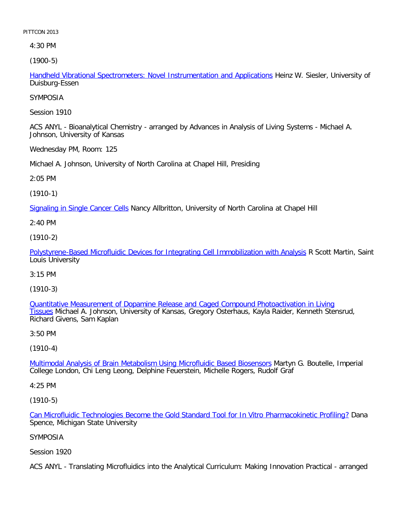4:30 PM

[\(1900-5\)](file:///p|/print%20on%20demand%20titles/23101-23200/23133/23133%20source%20materials/papers/1900-5.htm)

Handheld Vibrational Spectrometers: Novel Instrumentation and Applications Heinz W. Siesler, University of Duisburg-Essen

SYMPOSIA

Session 1910

ACS ANYL - Bioanalytical Chemistry - arranged by Advances in Analysis of Living Systems - Michael A. Johnson, University of Kansas

Wednesday PM, Room: 125

Michael A. Johnson, University of North Carolina at Chapel Hill, Presiding

2:05 PM

(1910-1)

[Signaling in Single Cancer Ce](file:///p|/print%20on%20demand%20titles/23101-23200/23133/23133%20source%20materials/papers/1910-1.htm)lls Nancy Allbritton, University of North Carolina at Chapel Hill

2:40 PM

(1910-2)

[Polystyrene-Based Microfluidic Devices for Integrating Cell Immobilization with Analysis](file:///p|/print%20on%20demand%20titles/23101-23200/23133/23133%20source%20materials/papers/1910-2.htm) R Scott Martin, Saint Louis University

3:15 PM

(1910-3)

Quantitative Measurement of Dopamine Release and Caged Compound Photoactivation in Living Tissues [Michael A. Johnson, University of Kansas, Gregory Osterhaus, Kayla Raider, Kenneth Stensrud](file:///p|/print%20on%20demand%20titles/23101-23200/23133/23133%20source%20materials/papers/1910-3.htm), [Ric](file:///p|/print%20on%20demand%20titles/23101-23200/23133/23133%20source%20materials/papers/1910-3.htm)hard Givens, Sam Kaplan

3:50 PM

(1910-4)

Multimodal Analysis of Brain Metabolism Using Microfluidic Based Biosensors Martyn G. Boutelle, Imperial [College London, Chi Leng Leong, Delphine Feuerstein, Michelle Rogers, Rudolf](file:///p|/print%20on%20demand%20titles/23101-23200/23133/23133%20source%20materials/papers/1910-4.htm) Graf

4:25 PM

(1910-5)

Can Microfluidic Technologies Become the Gold Standard Tool for In Vitro Pharmacokinetic Profiling? Dana Spence, Michigan State University

[SYMPOSIA](file:///p|/print%20on%20demand%20titles/23101-23200/23133/23133%20source%20materials/papers/1910-5.htm)

Session 1920

ACS ANYL - Translating Microfluidics into the Analytical Curriculum: Making Innovation Practical - arranged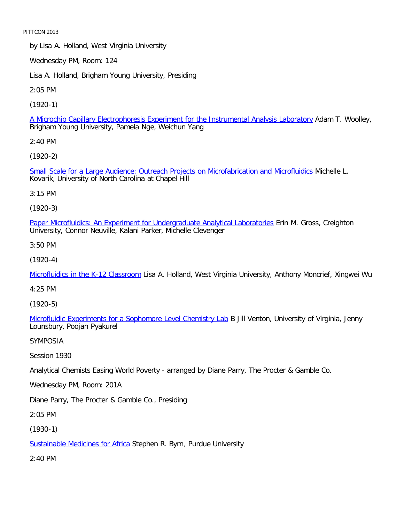by Lisa A. Holland, West Virginia University

Wednesday PM, Room: 124

Lisa A. Holland, Brigham Young University, Presiding

2:05 PM

[\(1920-1\)](file:///p|/print%20on%20demand%20titles/23101-23200/23133/23133%20source%20materials/papers/1920-1.htm)

A Microchip Capillary Electrophoresis Experiment for the Instrumental Analysis Laboratory Adam T. Woolley, Brigham Young University, Pamela Nge, Weichun Yang

2:40 PM

[\(1920-2\)](file:///p|/print%20on%20demand%20titles/23101-23200/23133/23133%20source%20materials/papers/1920-2.htm)

Small Scale for a Large Audience: Outreach Projects on Microfabrication and Microfluidics Michelle L. Kovarik, University of North Carolina at Chapel Hill

3:15 PM

(1920-3)

[Paper Microfluidics: An Experiment for Undergraduate Analytical Laboratories](file:///p|/print%20on%20demand%20titles/23101-23200/23133/23133%20source%20materials/papers/1920-3.htm) Erin M. Gross, Creighton University, Connor Neuville, Kalani Parker, Michelle Clevenger

3:50 PM

(1920-4)

[Microfluidics in the K-12 Classroo](file:///p|/print%20on%20demand%20titles/23101-23200/23133/23133%20source%20materials/papers/1920-4.htm)m Lisa A. Holland, West Virginia University, Anthony Moncrief, Xingwei Wu

4:25 PM

(1920-5)

Microfluidic Experiments for a Sophomore Level Chemistry Lab B Jill Venton, University of Virginia, Jenny [Lounsbury, Poojan Pyakurel](file:///p|/print%20on%20demand%20titles/23101-23200/23133/23133%20source%20materials/papers/1920-5.htm)

SYMPOSIA

Session 1930

Analytical Chemists Easing World Poverty - arranged by Diane Parry, The Procter & Gamble Co.

Wednesday PM, Room: 201A

Diane Parry, The Procter & Gamble Co., Presiding

2:05 PM

(1930-1)

Sustainable Medicines for Africa Stephen R. Byrn, Purdue University

[2:40 PM](file:///p|/print%20on%20demand%20titles/23101-23200/23133/23133%20source%20materials/papers/1930-1.htm)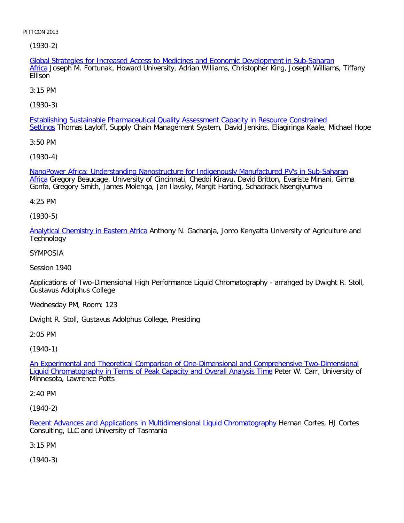[\(](file:///p|/print%20on%20demand%20titles/23101-23200/23133/23133%20source%20materials/papers/1930-2.htm)1930-2)

Global Strategies for Increased Access to Medicines and Economic Development in Sub-Saharan Africa Joseph M. Fortunak, Howard University, Adrian Williams, Christopher King, Joseph Williams, Tiffany Ellison

3:15 PM

[\(1930-3\)](file:///p|/print%20on%20demand%20titles/23101-23200/23133/23133%20source%20materials/papers/1930-3.htm)

Establishing Sustainable Pharmaceutical Quality Assessment Capacity in Resource Constrained Settings Thomas Layloff, Supply Chain Management System, David Jenkins, Eliagiringa Kaale, Michael Hope

3:50 PM

[\(1930-4\)](file:///p|/print%20on%20demand%20titles/23101-23200/23133/23133%20source%20materials/papers/1930-4.htm)

[N](file:///p|/print%20on%20demand%20titles/23101-23200/23133/23133%20source%20materials/papers/1930-4.htm)anoPower Africa: Understanding Nanostructure for Indigenously Manufactured PV's in Sub-Saharan Africa Gregory Beaucage, University of Cincinnati, Cheddi Kiravu, David Britton, Evariste Minani, Girma Gonfa, Gregory Smith, James Molenga, Jan Ilavsky, Margit Harting, Schadrack Nsengiyumva

4:25 PM

(1930-5)

[Analytical Chemistry in Eastern Afric](file:///p|/print%20on%20demand%20titles/23101-23200/23133/23133%20source%20materials/papers/1930-5.htm)a Anthony N. Gachanja, Jomo Kenyatta University of Agriculture and **Technology** 

SYMPOSIA

Session 1940

Applications of Two-Dimensional High Performance Liquid Chromatography - arranged by Dwight R. Stoll, Gustavus Adolphus College

Wednesday PM, Room: 123

Dwight R. Stoll, Gustavus Adolphus College, Presiding

2:05 PM

(1940-1)

An Experimental and Theoretical Comparison of One-Dimensional and Comprehensive Two-Dimensional [Liquid Chromatography in Terms of Peak Capacity and Overall Analysis Time](file:///p|/print%20on%20demand%20titles/23101-23200/23133/23133%20source%20materials/papers/1940-1.htm) Peter W. Carr, University of [Minnesota, Lawrence Potts](file:///p|/print%20on%20demand%20titles/23101-23200/23133/23133%20source%20materials/papers/1940-1.htm)

2:40 PM

(1940-2)

Recent Advances and Applications in Multidimensional Liquid Chromatography Hernan Cortes, HJ Cortes Consulting, LLC and University of Tasmania

[3:15 PM](file:///p|/print%20on%20demand%20titles/23101-23200/23133/23133%20source%20materials/papers/1940-2.htm)

(1940-3)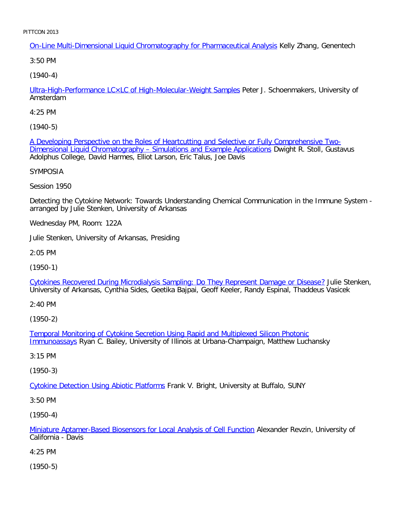On-Line Multi-Dimensional Liquid Chromatography for Pharmaceutical Analysis Kelly Zhang, Genentech

3:50 PM

[\(1940-4\)](file:///p|/print%20on%20demand%20titles/23101-23200/23133/23133%20source%20materials/papers/1940-4.htm)

Ultra-High-Performance LC×LC of High-Molecular-Weight Samples Peter J. Schoenmakers, University of Amsterdam

4:25 PM

[\(1940-5\)](file:///p|/print%20on%20demand%20titles/23101-23200/23133/23133%20source%20materials/papers/1940-5.htm)

[A Developing Perspective on the Roles of Heartcutting and Selective or Fully Co](file:///p|/print%20on%20demand%20titles/23101-23200/23133/23133%20source%20materials/papers/1940-5.htm)mprehensive Two-Dimensional Liquid Chromatography - Simulations and Example Applications Dwight R. Stoll, Gustavus Adolphus College, David Harmes, Elliot Larson, Eric Talus, Joe Davis

SYMPOSIA

Session 1950

Detecting the Cytokine Network: Towards Understanding Chemical Communication in the Immune System arranged by Julie Stenken, University of Arkansas

Wednesday PM, Room: 122A

Julie Stenken, University of Arkansas, Presiding

2:05 PM

(1950-1)

[Cytokines Recovered During Microdialysis Sampling: Do They Represent Damage or Disease?](file:///p|/print%20on%20demand%20titles/23101-23200/23133/23133%20source%20materials/papers/1950-1.htm) Julie Stenken, University of Arkansas, Cynthia Sides, Geetika Bajpai, Geoff Keeler, Randy Espinal, Thaddeus Vasicek

2:40 PM

(1950-2)

Temporal Monitoring of Cytokine Secretion Using Rapid and Multiplexed Silicon Photonic Immunoassays [Ryan C. Bailey, University of Illinois at Urbana-Champaign, Matthew Luchans](file:///p|/print%20on%20demand%20titles/23101-23200/23133/23133%20source%20materials/papers/1950-2.htm)ky

[3:15 PM](file:///p|/print%20on%20demand%20titles/23101-23200/23133/23133%20source%20materials/papers/1950-2.htm)

(1950-3)

Cytokine Detection Using Abiotic Platforms Frank V. Bright, University at Buffalo, SUNY

[3:50 PM](file:///p|/print%20on%20demand%20titles/23101-23200/23133/23133%20source%20materials/papers/1950-3.htm)

(1950-4)

Miniature Aptamer-Based Biosensors for Local Analysis of Cell Function Alexander Revzin, University of California - Davis

[4:25 PM](file:///p|/print%20on%20demand%20titles/23101-23200/23133/23133%20source%20materials/papers/1950-4.htm)

(1950-5)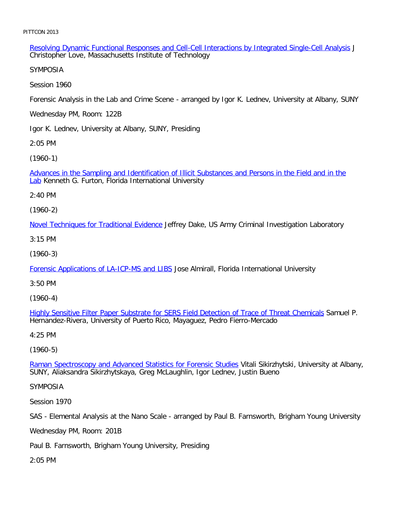Resolving Dynamic Functional Responses and Cell-Cell Interactions by Integrated Single-Cell Analysis J Christopher Love, Massachusetts Institute of Technology

SYMPOSIA

Session 1960

Forensic Analysis in the Lab and Crime Scene - arranged by Igor K. Lednev, University at Albany, SUNY

Wednesday PM, Room: 122B

Igor K. Lednev, University at Albany, SUNY, Presiding

2:05 PM

[\(1960-1\)](file:///p|/print%20on%20demand%20titles/23101-23200/23133/23133%20source%20materials/papers/1960-1.htm)

Advances in the Sampling and Identification of Illicit Substances and Persons in the Field and in the **Lab** Kenneth G. Furton, Florida International University

2:40 PM

(1960-2)

**[Novel Techniques for Traditional Evidenc](file:///p|/print%20on%20demand%20titles/23101-23200/23133/23133%20source%20materials/papers/1960-2.htm)e** Jeffrey Dake, US Army Criminal Investigation Laboratory

3:15 PM

(1960-3)

[Forensic Applications of LA-ICP-MS and LIBS](file:///p|/print%20on%20demand%20titles/23101-23200/23133/23133%20source%20materials/papers/1960-3.htm) Jose Almirall, Florida International University

3:50 PM

(1960-4)

Highly Sensitive Filter Paper Substrate for SERS Field Detection of Trace of Threat Chemicals Samuel P. [Hernandez-Rivera, University of Puerto Rico, Mayaguez, Pedro Fierro-Mercado](file:///p|/print%20on%20demand%20titles/23101-23200/23133/23133%20source%20materials/papers/1960-4.htm)

4:25 PM

(1960-5)

Raman Spectroscopy and Advanced Statistics for Forensic Studies Vitali Sikirzhytski, University at Albany, [SUNY, Aliaksandra Sikirzhytskaya, Greg McLaughlin, Igor Lednev, Ju](file:///p|/print%20on%20demand%20titles/23101-23200/23133/23133%20source%20materials/papers/1960-5.htm)stin Bueno

SYMPOSIA

Session 1970

SAS - Elemental Analysis at the Nano Scale - arranged by Paul B. Farnsworth, Brigham Young University

Wednesday PM, Room: 201B

Paul B. Farnsworth, Brigham Young University, Presiding

2:05 PM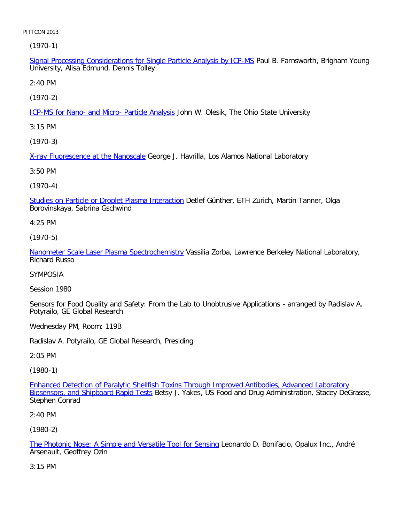(1970-1)

Signal Processing Considerations for Single Particle Analysis by ICP-MS Paul B. Farnsworth, Brigham Young University, Alisa Edmund, Dennis Tolley

2:40 PM

[\(1970-2\)](file:///p|/print%20on%20demand%20titles/23101-23200/23133/23133%20source%20materials/papers/1970-2.htm)

ICP-MS for Nano- and Micro- Particle Analysis John W. Olesik, The Ohio State University

3:15 PM

[\(1970-3\)](file:///p|/print%20on%20demand%20titles/23101-23200/23133/23133%20source%20materials/papers/1970-3.htm)

X-ray Fluorescence at the Nanoscale George J. Havrilla, Los Alamos National Laboratory

3:50 PM

(1970-4)

[Studies on Particle or Droplet Plasma Interaction](file:///p|/print%20on%20demand%20titles/23101-23200/23133/23133%20source%20materials/papers/1970-4.htm) Detlef Günther, ETH Zurich, Martin Tanner, Olga Borovinskaya, Sabrina Gschwind

4:25 PM

(1970-5)

[Nanometer Scale Laser Plasma Spectrochemistry](file:///p|/print%20on%20demand%20titles/23101-23200/23133/23133%20source%20materials/papers/1970-5.htm) Vassilia Zorba, Lawrence Berkeley National Laboratory, Richard Russo

SYMPOSIA

Session 1980

Sensors for Food Quality and Safety: From the Lab to Unobtrusive Applications - arranged by Radislav A. Potyrailo, GE Global Research

Wednesday PM, Room: 119B

Radislav A. Potyrailo, GE Global Research, Presiding

2:05 PM

(1980-1)

Enhanced Detection of Paralytic Shellfish Toxins Through Improved Antibodies, Advanced Laboratory Biosensors, and Shipboard Rapid Tests Betsy J. Yakes, US Food and Drug Administration, Stacey DeGrasse, [Stephen Conrad](file:///p|/print%20on%20demand%20titles/23101-23200/23133/23133%20source%20materials/papers/1980-1.htm)

2:40 PM

(1980-2)

The Photonic Nose: A Simple and Versatile Tool for Sensing Leonardo D. Bonifacio, Opalux Inc., André Arsenault, Geoffrey Ozin

[3:15 PM](file:///p|/print%20on%20demand%20titles/23101-23200/23133/23133%20source%20materials/papers/1980-2.htm)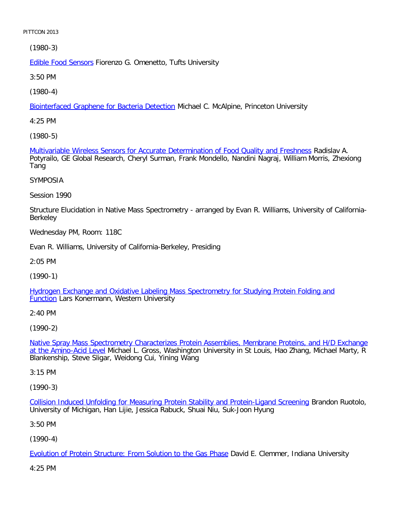[\(1980-3\)](file:///p|/print%20on%20demand%20titles/23101-23200/23133/23133%20source%20materials/papers/1980-3.htm)

Edible Food Sensors Fiorenzo G. Omenetto, Tufts University

3:50 PM

[\(1980-4\)](file:///p|/print%20on%20demand%20titles/23101-23200/23133/23133%20source%20materials/papers/1980-4.htm)

Biointerfaced Graphene for Bacteria Detection Michael C. McAlpine, Princeton University

4:25 PM

[\(1980-5\)](file:///p|/print%20on%20demand%20titles/23101-23200/23133/23133%20source%20materials/papers/1980-5.htm)

Multivariable Wireless Sensors for Accurate Determination of Food Quality and Freshness Radislav A. Potyrailo, GE Global Research, Cheryl Surman, Frank Mondello, Nandini Nagraj, William Morris, Zhexiong Tang

SYMPOSIA

Session 1990

Structure Elucidation in Native Mass Spectrometry - arranged by Evan R. Williams, University of California-Berkeley

Wednesday PM, Room: 118C

Evan R. Williams, University of California-Berkeley, Presiding

2:05 PM

(1990-1)

[Hydrogen Exchange and Oxidative Labeling Mass Spectrometry for Studying Protein Folding and](file:///p|/print%20on%20demand%20titles/23101-23200/23133/23133%20source%20materials/papers/1990-1.htm) **[Fun](file:///p|/print%20on%20demand%20titles/23101-23200/23133/23133%20source%20materials/papers/1990-1.htm)ction** Lars Konermann, Western University

2:40 PM

(1990-2)

Native Spray Mass Spectrometry Characterizes Protein Assemblies, Membrane Proteins, and H/D Exchange at the Amino-Acid Level [Michael L. Gross, Washington University in St Louis, Hao Zhang, Michael Marty, R](file:///p|/print%20on%20demand%20titles/23101-23200/23133/23133%20source%20materials/papers/1990-2.htm) [Blankenship, Steve S](file:///p|/print%20on%20demand%20titles/23101-23200/23133/23133%20source%20materials/papers/1990-2.htm)ligar, Weidong Cui, Yining Wang

3:15 PM

(1990-3)

Collision Induced Unfolding for Measuring Protein Stability and Protein-Ligand Screening Brandon Ruotolo, University of Michigan, Han Lijie, Jessica Rabuck, Shuai Niu, Suk-Joon Hyung

[3:50 PM](file:///p|/print%20on%20demand%20titles/23101-23200/23133/23133%20source%20materials/papers/1990-3.htm)

(1990-4)

Evolution of Protein Structure: From Solution to the Gas Phase David E. Clemmer, Indiana University

[4:25 PM](file:///p|/print%20on%20demand%20titles/23101-23200/23133/23133%20source%20materials/papers/1990-4.htm)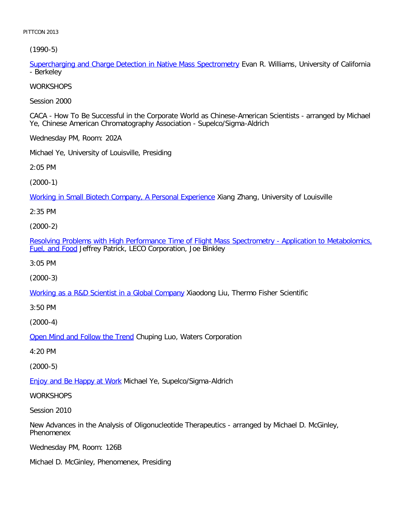[\(1990-5\)](file:///p|/print%20on%20demand%20titles/23101-23200/23133/23133%20source%20materials/papers/1990-5.htm)

Supercharging and Charge Detection in Native Mass Spectrometry Evan R. Williams, University of California - Berkeley

**WORKSHOPS** 

Session 2000

CACA - How To Be Successful in the Corporate World as Chinese-American Scientists - arranged by Michael Ye, Chinese American Chromatography Association - Supelco/Sigma-Aldrich

Wednesday PM, Room: 202A

Michael Ye, University of Louisville, Presiding

2:05 PM

(2000-1)

[Working in Small Biotech Company, A Personal Experience](file:///p|/print%20on%20demand%20titles/23101-23200/23133/23133%20source%20materials/papers/2000-1.htm) Xiang Zhang, University of Louisville

2:35 PM

(2000-2)

[Resolving Problems with High Performance Time of Flight Mass Spectrometry - Application to Metabolomics,](file:///p|/print%20on%20demand%20titles/23101-23200/23133/23133%20source%20materials/papers/2000-2.htm) [Fuel, and F](file:///p|/print%20on%20demand%20titles/23101-23200/23133/23133%20source%20materials/papers/2000-2.htm)ood Jeffrey Patrick, LECO Corporation, Joe Binkley

3:05 PM

(2000-3)

[Working as a R&D Scientist in a Global Company](file:///p|/print%20on%20demand%20titles/23101-23200/23133/23133%20source%20materials/papers/2000-3.htm) Xiaodong Liu, Thermo Fisher Scientific

3:50 PM

(2000-4)

Open Mind and Follow the Trend Chuping Luo, Waters Corporation

[4:20 PM](file:///p|/print%20on%20demand%20titles/23101-23200/23133/23133%20source%20materials/papers/2000-4.htm)

(2000-5)

**Enjoy and Be Happy at Work Michael Ye, Supelco/Sigma-Aldrich** 

**[WORKSHOPS](file:///p|/print%20on%20demand%20titles/23101-23200/23133/23133%20source%20materials/papers/2000-5.htm)** 

Session 2010

New Advances in the Analysis of Oligonucleotide Therapeutics - arranged by Michael D. McGinley, Phenomenex

Wednesday PM, Room: 126B

Michael D. McGinley, Phenomenex, Presiding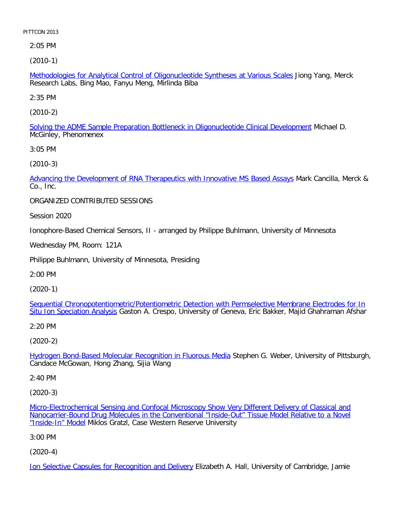2:05 PM

[\(2010-1\)](file:///p|/print%20on%20demand%20titles/23101-23200/23133/23133%20source%20materials/papers/2010-1.htm)

Methodologies for Analytical Control of Oligonucleotide Syntheses at Various Scales Jiong Yang, Merck Research Labs, Bing Mao, Fanyu Meng, Mirlinda Biba

2:35 PM

[\(2010-2\)](file:///p|/print%20on%20demand%20titles/23101-23200/23133/23133%20source%20materials/papers/2010-2.htm)

Solving the ADME Sample Preparation Bottleneck in Oligonucleotide Clinical Development Michael D. McGinley, Phenomenex

3:05 PM

[\(2010-3\)](file:///p|/print%20on%20demand%20titles/23101-23200/23133/23133%20source%20materials/papers/2010-3.htm)

Advancing the Development of RNA Therapeutics with Innovative MS Based Assays Mark Cancilla, Merck & Co., Inc.

ORGANIZED CONTRIBUTED SESSIONS

Session 2020

Ionophore-Based Chemical Sensors, II - arranged by Philippe Buhlmann, University of Minnesota

Wednesday PM, Room: 121A

Philippe Buhlmann, University of Minnesota, Presiding

2:00 PM

(2020-1)

Sequential Chronopotentiometric/Potentiometric Detection with Permselective Membrane Electrodes for In [Situ Ion Speciation Analy](file:///p|/print%20on%20demand%20titles/23101-23200/23133/23133%20source%20materials/papers/2020-1.htm)sis [Gaston A. Crespo, University of Geneva, Eric Bakker, Majid Ghahraman Afshar](file:///p|/print%20on%20demand%20titles/23101-23200/23133/23133%20source%20materials/papers/2020-1.htm)

2:20 PM

(2020-2)

Hydrogen Bond-Based Molecular Recognition in Fluorous Media Stephen G. Weber, University of Pittsburgh, [Candace McGowan, Hong Zhang, Sijia Wang](file:///p|/print%20on%20demand%20titles/23101-23200/23133/23133%20source%20materials/papers/2020-2.htm)

2:40 PM

(2020-3)

Micro-Electrochemical Sensing and Confocal Microscopy Show Very Different Delivery of Classical and Nanocarrier-Bound Drug Molecules in the Conventional "Inside-Out" Tissue Model Relative to a Novel "Inside-In" Model [Miklos Gratzl, Case Western Reserve University](file:///p|/print%20on%20demand%20titles/23101-23200/23133/23133%20source%20materials/papers/2020-3.htm)

[3:00 PM](file:///p|/print%20on%20demand%20titles/23101-23200/23133/23133%20source%20materials/papers/2020-3.htm)

(2020-4)

Ion Selective Capsules for Recognition and Delivery Elizabeth A. Hall, University of Cambridge, Jamie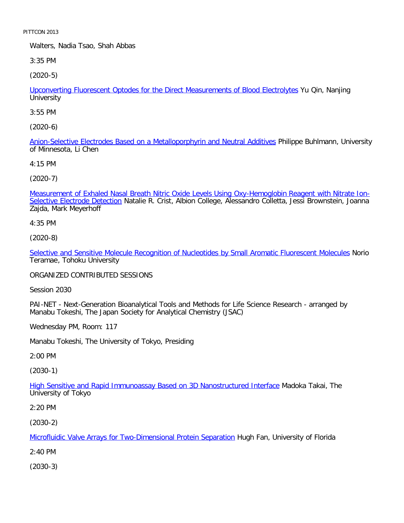Walters, Nadia Tsao, Shah Abbas

3:35 PM

[\(2020-5\)](file:///p|/print%20on%20demand%20titles/23101-23200/23133/23133%20source%20materials/papers/2020-5.htm)

Upconverting Fluorescent Optodes for the Direct Measurements of Blood Electrolytes Yu Qin, Nanjing **University** 

3:55 PM

[\(2020-6\)](file:///p|/print%20on%20demand%20titles/23101-23200/23133/23133%20source%20materials/papers/2020-6.htm)

Anion-Selective Electrodes Based on a Metalloporphyrin and Neutral Additives Philippe Buhlmann, University of Minnesota, Li Chen

4:15 PM

(2020-7)

[Measurement of Exhaled Nasal Breath Nitric Oxide Levels Using Oxy-Hemoglobin Reagent with Nitrate Ion-](file:///p|/print%20on%20demand%20titles/23101-23200/23133/23133%20source%20materials/papers/2020-7.htm)Selective Electrode Detection Natalie R. Crist, Albion College, Alessandro Colletta, Jessi Brownstein, Joanna Zajda, Mark Meyerhoff

4:35 PM

(2020-8)

[Selective and Sensitive Molecule Recognition of Nucleotides by Small Aromatic Fluorescent Molecules](file:///p|/print%20on%20demand%20titles/23101-23200/23133/23133%20source%20materials/papers/2020-8.htm) Norio Teramae, Tohoku University

ORGANIZED CONTRIBUTED SESSIONS

Session 2030

PAI-NET - Next-Generation Bioanalytical Tools and Methods for Life Science Research - arranged by Manabu Tokeshi, The Japan Society for Analytical Chemistry (JSAC)

Wednesday PM, Room: 117

Manabu Tokeshi, The University of Tokyo, Presiding

2:00 PM

(2030-1)

High Sensitive and Rapid Immunoassay Based on 3D Nanostructured Interface Madoka Takai, The [University of Tokyo](file:///p|/print%20on%20demand%20titles/23101-23200/23133/23133%20source%20materials/papers/2030-1.htm)

2:20 PM

(2030-2)

Microfluidic Valve Arrays for Two-Dimensional Protein Separation Hugh Fan, University of Florida

[2:40 PM](file:///p|/print%20on%20demand%20titles/23101-23200/23133/23133%20source%20materials/papers/2030-2.htm)

(2030-3)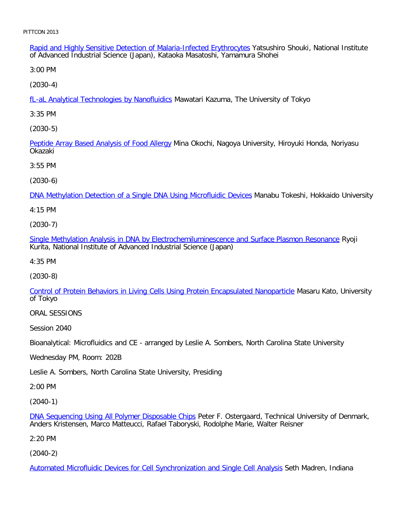Rapid and Highly Sensitive Detection of Malaria-Infected Erythrocytes Yatsushiro Shouki, National Institute of Advanced Industrial Science (Japan), Kataoka Masatoshi, Yamamura Shohei

3:00 PM

[\(2030-4\)](file:///p|/print%20on%20demand%20titles/23101-23200/23133/23133%20source%20materials/papers/2030-4.htm)

fL-aL Analytical Technologies by Nanofluidics Mawatari Kazuma, The University of Tokyo

3:35 PM

[\(2030-5\)](file:///p|/print%20on%20demand%20titles/23101-23200/23133/23133%20source%20materials/papers/2030-5.htm)

Peptide Array Based Analysis of Food Allergy Mina Okochi, Nagoya University, Hiroyuki Honda, Noriyasu Okazaki

3:55 PM

(2030-6)

[DNA Methylation Detection of a Single DNA Using Microfluidic Devices](file:///p|/print%20on%20demand%20titles/23101-23200/23133/23133%20source%20materials/papers/2030-6.htm) Manabu Tokeshi, Hokkaido University

4:15 PM

(2030-7)

[Single Methylation Analysis in DNA by Electrochemiluminescence and Surface Plasmon Resonance](file:///p|/print%20on%20demand%20titles/23101-23200/23133/23133%20source%20materials/papers/2030-7.htm) Ryoji Kurita, National Institute of Advanced Industrial Science (Japan)

4:35 PM

(2030-8)

[Control of Protein Behaviors in Living Cells Using Protein Encapsulated Nanoparticle](file:///p|/print%20on%20demand%20titles/23101-23200/23133/23133%20source%20materials/papers/2030-8.htm) Masaru Kato, University of Tokyo

ORAL SESSIONS

Session 2040

Bioanalytical: Microfluidics and CE - arranged by Leslie A. Sombers, North Carolina State University

Wednesday PM, Room: 202B

Leslie A. Sombers, North Carolina State University, Presiding

2:00 PM

(2040-1)

DNA Sequencing Using All Polymer Disposable Chips Peter F. Ostergaard, Technical University of Denmark, Anders Kristensen, Marco Matteucci, Rafael Taboryski, Rodolphe Marie, Walter Reisner

[2:20 PM](file:///p|/print%20on%20demand%20titles/23101-23200/23133/23133%20source%20materials/papers/2040-1.htm)

(2040-2)

Automated Microfluidic Devices for Cell Synchronization and Single Cell Analysis Seth Madren, Indiana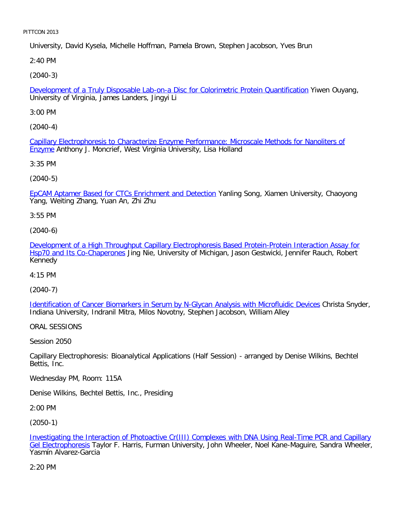University, David Kysela, Michelle Hoffman, Pamela Brown, Stephen Jacobson, Yves Brun

2:40 PM

[\(2040-3\)](file:///p|/print%20on%20demand%20titles/23101-23200/23133/23133%20source%20materials/papers/2040-3.htm)

Development of a Truly Disposable Lab-on-a Disc for Colorimetric Protein Quantification Yiwen Ouyang, University of Virginia, James Landers, Jingyi Li

3:00 PM

[\(2040-4\)](file:///p|/print%20on%20demand%20titles/23101-23200/23133/23133%20source%20materials/papers/2040-4.htm)

[Ca](file:///p|/print%20on%20demand%20titles/23101-23200/23133/23133%20source%20materials/papers/2040-4.htm)pillary Electrophoresis to Characterize Enzyme Performance: Microscale Methods for Nanoliters of **Enzyme** Anthony J. Moncrief, West Virginia University, Lisa Holland

3:35 PM

(2040-5)

[EpCAM Aptamer Based for CTCs Enrichment and Detection](file:///p|/print%20on%20demand%20titles/23101-23200/23133/23133%20source%20materials/papers/2040-5.htm) Yanling Song, Xiamen University, Chaoyong Yang, Weiting Zhang, Yuan An, Zhi Zhu

3:55 PM

(2040-6)

[Development of a High Throughput Capillary Electrophoresis Based Protein-Protein Interaction Assay for](file:///p|/print%20on%20demand%20titles/23101-23200/23133/23133%20source%20materials/papers/2040-6.htm) [Hsp70 and Its Co-Chaperon](file:///p|/print%20on%20demand%20titles/23101-23200/23133/23133%20source%20materials/papers/2040-6.htm)es Jing Nie, University of Michigan, Jason Gestwicki, Jennifer Rauch, Robert Kennedy

4:15 PM

(2040-7)

Identification of Cancer Biomarkers in Serum by N-Glycan Analysis with Microfluidic Devices Christa Snyder, [Indiana University, Indranil Mitra, Milos Novotny, Stephen Jacobson, William Alley](file:///p|/print%20on%20demand%20titles/23101-23200/23133/23133%20source%20materials/papers/2040-7.htm)

ORAL SESSIONS

Session 2050

Capillary Electrophoresis: Bioanalytical Applications (Half Session) - arranged by Denise Wilkins, Bechtel Bettis, Inc.

Wednesday PM, Room: 115A

Denise Wilkins, Bechtel Bettis, Inc., Presiding

2:00 PM

(2050-1)

Investigating the Interaction of Photoactive Cr(III) Complexes with DNA Using Real-Time PCR and Capillary Gel Electrophoresis Taylor F. Harris, Furman University, John Wheeler, Noel Kane-Maguire, Sandra Wheeler, [Yasmín Alvarez-Garcia](file:///p|/print%20on%20demand%20titles/23101-23200/23133/23133%20source%20materials/papers/2050-1.htm)

[2:20 PM](file:///p|/print%20on%20demand%20titles/23101-23200/23133/23133%20source%20materials/papers/2050-1.htm)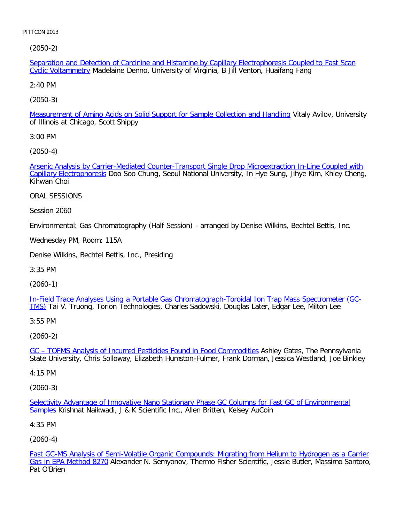[\(2050-2\)](file:///p|/print%20on%20demand%20titles/23101-23200/23133/23133%20source%20materials/papers/2050-2.htm)

Separation and Detection of Carcinine and Histamine by Capillary Electrophoresis Coupled to Fast Scan Cyclic Voltammetry Madelaine Denno, University of Virginia, B Jill Venton, Huaifang Fang

2:40 PM

[\(2050-3\)](file:///p|/print%20on%20demand%20titles/23101-23200/23133/23133%20source%20materials/papers/2050-3.htm)

Measurement of Amino Acids on Solid Support for Sample Collection and Handling Vitaly Avilov, University of Illinois at Chicago, Scott Shippy

3:00 PM

[\(2050-4\)](file:///p|/print%20on%20demand%20titles/23101-23200/23133/23133%20source%20materials/papers/2050-4.htm)

[Arsenic Analysis by C](file:///p|/print%20on%20demand%20titles/23101-23200/23133/23133%20source%20materials/papers/2050-4.htm)arrier-Mediated Counter-Transport Single Drop Microextraction In-Line Coupled with Capillary Electrophoresis Doo Soo Chung, Seoul National University, In Hye Sung, Jihye Kim, Khley Cheng, Kihwan Choi

ORAL SESSIONS

Session 2060

Environmental: Gas Chromatography (Half Session) - arranged by Denise Wilkins, Bechtel Bettis, Inc.

Wednesday PM, Room: 115A

Denise Wilkins, Bechtel Bettis, Inc., Presiding

3:35 PM

(2060-1)

In-Field Trace Analyses Using a Portable Gas Chromatograph-Toroidal Ion Trap Mass Spectrometer (GC-TMS) [Tai V. Truong, Torion Technologies, Charles Sadowski, Douglas Later, Edgar Lee, Milton Lee](file:///p|/print%20on%20demand%20titles/23101-23200/23133/23133%20source%20materials/papers/2060-1.htm)

3:55 PM

(2060-2)

GC – TOFMS Analysis of Incurred Pesticides Found in Food Commodities Ashley Gates, The Pennsylvania [State University, Chris Solloway, Elizabeth Humston-Fulmer, Frank Dorman](file:///p|/print%20on%20demand%20titles/23101-23200/23133/23133%20source%20materials/papers/2060-2.htm), Jessica Westland, Joe Binkley

4:15 PM

(2060-3)

Selectivity Advantage of Innovative Nano Stationary Phase GC Columns for Fast GC of Environmental Samples Krishnat Naikwadi, J & K Scientific Inc., Allen Britten, Kelsey AuCoin

[4:35 PM](file:///p|/print%20on%20demand%20titles/23101-23200/23133/23133%20source%20materials/papers/2060-3.htm)

(2060-4)

Fast GC-MS Analysis of Semi-Volatile Organic Compounds: Migrating from Helium to Hydrogen as a Carrier Gas in EPA Method 8270 Alexander N. Semyonov, Thermo Fisher Scientific, Jessie Butler, Massimo Santoro, [Pat O](file:///p|/print%20on%20demand%20titles/23101-23200/23133/23133%20source%20materials/papers/2060-4.htm)'[Brien](file:///p|/print%20on%20demand%20titles/23101-23200/23133/23133%20source%20materials/papers/2060-4.htm)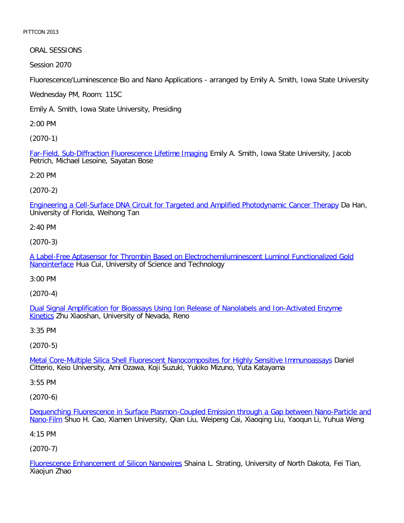ORAL SESSIONS

Session 2070

Fluorescence/Luminescence Bio and Nano Applications - arranged by Emily A. Smith, Iowa State University

Wednesday PM, Room: 115C

Emily A. Smith, Iowa State University, Presiding

2:00 PM

[\(2070-1\)](file:///p|/print%20on%20demand%20titles/23101-23200/23133/23133%20source%20materials/papers/2070-1.htm)

Far-Field, Sub-Diffraction Fluorescence Lifetime Imaging Emily A. Smith, Iowa State University, Jacob Petrich, Michael Lesoine, Sayatan Bose

2:20 PM

(2070-2)

[Engineering a Cell-Surface DNA Circuit for Targeted and Amplified Photodynamic Cancer Therapy](file:///p|/print%20on%20demand%20titles/23101-23200/23133/23133%20source%20materials/papers/2070-2.htm) Da Han, University of Florida, Weihong Tan

2:40 PM

(2070-3)

[A Label-Free Aptasensor for Thrombin Based on Electrochemiluminescent Luminol Functionalized Gold](file:///p|/print%20on%20demand%20titles/23101-23200/23133/23133%20source%20materials/papers/2070-3.htm) [Nanointer](file:///p|/print%20on%20demand%20titles/23101-23200/23133/23133%20source%20materials/papers/2070-3.htm)face Hua Cui, University of Science and Technology

3:00 PM

(2070-4)

[Dual Signal Amplification for Bioassays Using Ion Release of Nanolabels and Ion-Activated Enzyme](file:///p|/print%20on%20demand%20titles/23101-23200/23133/23133%20source%20materials/papers/2070-4.htm) [Kin](file:///p|/print%20on%20demand%20titles/23101-23200/23133/23133%20source%20materials/papers/2070-4.htm)etics Zhu Xiaoshan, University of Nevada, Reno

3:35 PM

(2070-5)

Metal Core-Multiple Silica Shell Fluorescent Nanocomposites for Highly Sensitive Immunoassays Daniel [Citterio, Keio University, Ami Ozawa, Koji Suzuki, Yukiko Mizuno, Yuta Katayama](file:///p|/print%20on%20demand%20titles/23101-23200/23133/23133%20source%20materials/papers/2070-5.htm)

3:55 PM

(2070-6)

Dequenching Fluorescence in Surface Plasmon-Coupled Emission through a Gap between Nano-Particle and Nano-Film Shuo H. Cao, Xiamen University, Qian Liu, Weipeng Cai, Xiaoqing Liu, Yaoqun Li, Yuhua Weng

[4:15 PM](file:///p|/print%20on%20demand%20titles/23101-23200/23133/23133%20source%20materials/papers/2070-6.htm)

(2070-7)

Fluorescence Enhancement of Silicon Nanowires Shaina L. Strating, University of North Dakota, Fei Tian, Xiaojun Zhao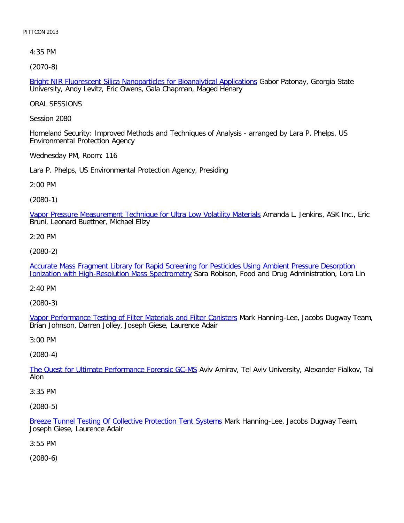4:35 PM

[\(2070-8\)](file:///p|/print%20on%20demand%20titles/23101-23200/23133/23133%20source%20materials/papers/2070-8.htm)

Bright NIR Fluorescent Silica Nanoparticles for Bioanalytical Applications Gabor Patonay, Georgia State University, Andy Levitz, Eric Owens, Gala Chapman, Maged Henary

ORAL SESSIONS

Session 2080

Homeland Security: Improved Methods and Techniques of Analysis - arranged by Lara P. Phelps, US Environmental Protection Agency

Wednesday PM, Room: 116

Lara P. Phelps, US Environmental Protection Agency, Presiding

2:00 PM

(2080-1)

[Vapor Pressure Measurement Technique for Ultra Low Volatility Materials](file:///p|/print%20on%20demand%20titles/23101-23200/23133/23133%20source%20materials/papers/2080-1.htm) Amanda L. Jenkins, ASK Inc., Eric Bruni, Leonard Buettner, Michael Ellzy

2:20 PM

(2080-2)

[Accurate Mass Fragment Library for Rapid Screening for Pesticides Using Ambient Pressure Desorption](file:///p|/print%20on%20demand%20titles/23101-23200/23133/23133%20source%20materials/papers/2080-2.htm) [Ionization with High-Resolution Mass Spectrometry](file:///p|/print%20on%20demand%20titles/23101-23200/23133/23133%20source%20materials/papers/2080-2.htm) Sara Robison, Food and Drug Administration, Lora Lin

2:40 PM

(2080-3)

Vapor Performance Testing of Filter Materials and Filter Canisters Mark Hanning-Lee, Jacobs Dugway Team, [Brian Johnson, Darren Jolley, Joseph Giese, Laurence Adair](file:///p|/print%20on%20demand%20titles/23101-23200/23133/23133%20source%20materials/papers/2080-3.htm)

3:00 PM

(2080-4)

The Quest for Ultimate Performance Forensic GC-MS Aviv Amirav, Tel Aviv University, Alexander Fialkov, Tal [Alon](file:///p|/print%20on%20demand%20titles/23101-23200/23133/23133%20source%20materials/papers/2080-4.htm)

3:35 PM

(2080-5)

Breeze Tunnel Testing Of Collective Protection Tent Systems Mark Hanning-Lee, Jacobs Dugway Team, Joseph Giese, Laurence Adair

[3:55 PM](file:///p|/print%20on%20demand%20titles/23101-23200/23133/23133%20source%20materials/papers/2080-5.htm)

(2080-6)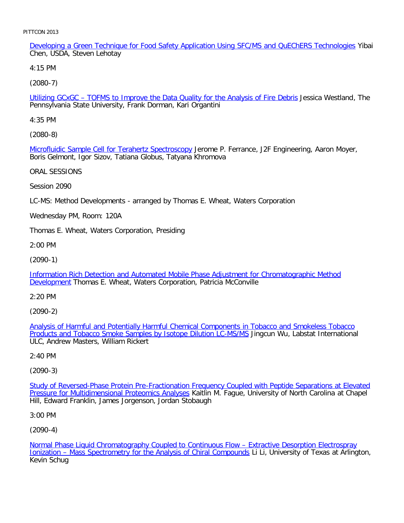Developing a Green Technique for Food Safety Application Using SFC/MS and QuEChERS Technologies Yibai Chen, USDA, Steven Lehotay

4:15 PM

[\(2080-7\)](file:///p|/print%20on%20demand%20titles/23101-23200/23133/23133%20source%20materials/papers/2080-7.htm)

Utilizing GCxGC – TOFMS to Improve the Data Quality for the Analysis of Fire Debris Jessica Westland, The Pennsylvania State University, Frank Dorman, Kari Organtini

4:35 PM

[\(2080-8\)](file:///p|/print%20on%20demand%20titles/23101-23200/23133/23133%20source%20materials/papers/2080-8.htm)

Microfluidic Sample Cell for Terahertz Spectroscopy Jerome P. Ferrance, J2F Engineering, Aaron Moyer, Boris Gelmont, Igor Sizov, Tatiana Globus, Tatyana Khromova

ORAL SESSIONS

Session 2090

LC-MS: Method Developments - arranged by Thomas E. Wheat, Waters Corporation

Wednesday PM, Room: 120A

Thomas E. Wheat, Waters Corporation, Presiding

2:00 PM

(2090-1)

[Information Rich Detection and Automated Mobile Phase Adjustment for Chromatographic Method](file:///p|/print%20on%20demand%20titles/23101-23200/23133/23133%20source%20materials/papers/2090-1.htm) [Developm](file:///p|/print%20on%20demand%20titles/23101-23200/23133/23133%20source%20materials/papers/2090-1.htm)ent Thomas E. Wheat, Waters Corporation, Patricia McConville

2:20 PM

(2090-2)

Analysis of Harmful and Potentially Harmful Chemical Components in Tobacco and Smokeless Tobacco **[Products and Tobacco Smoke Samples by Isotope Dilution LC-MS/MS](file:///p|/print%20on%20demand%20titles/23101-23200/23133/23133%20source%20materials/papers/2090-2.htm) Jingcun Wu, Labstat International** [ULC, Andrew Masters, William Rickert](file:///p|/print%20on%20demand%20titles/23101-23200/23133/23133%20source%20materials/papers/2090-2.htm)

2:40 PM

(2090-3)

Study of Reversed-Phase Protein Pre-Fractionation Frequency Coupled with Peptide Separations at Elevated Pressure for Multidimensional Proteomics Analyses Kaitlin M. Fague, University of North Carolina at Chapel [Hill, Edward Franklin, James Jorgenson, Jordan Stobaugh](file:///p|/print%20on%20demand%20titles/23101-23200/23133/23133%20source%20materials/papers/2090-3.htm)

3:00 PM

(2090-4)

Normal Phase Liquid Chromatography Coupled to Continuous Flow – Extractive Desorption Electrospray Ionization – Mass Spectrometry for the Analysis of Chiral Compounds Li Li, University of Texas at Arlington, [Kevin Schug](file:///p|/print%20on%20demand%20titles/23101-23200/23133/23133%20source%20materials/papers/2090-4.htm)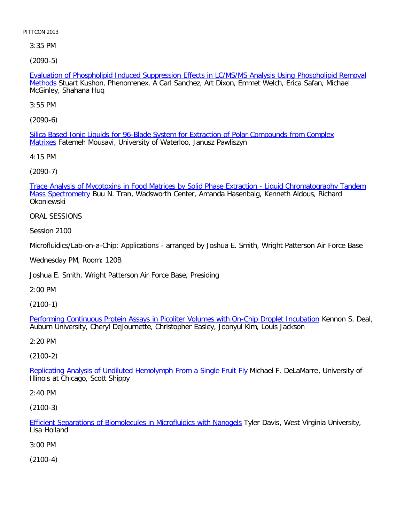3:35 PM

[\(2090-5\)](file:///p|/print%20on%20demand%20titles/23101-23200/23133/23133%20source%20materials/papers/2090-5.htm)

Evaluation of Phospholipid Induced Suppression Effects in LC/MS/MS Analysis Using Phospholipid Removal Methods Stuart Kushon, Phenomenex, A Carl Sanchez, Art Dixon, Emmet Welch, Erica Safan, Michael McGinley, Shahana Huq

3:55 PM

[\(2090-6\)](file:///p|/print%20on%20demand%20titles/23101-23200/23133/23133%20source%20materials/papers/2090-6.htm)

[Silic](file:///p|/print%20on%20demand%20titles/23101-23200/23133/23133%20source%20materials/papers/2090-6.htm)a Based Ionic Liquids for 96-Blade System for Extraction of Polar Compounds from Complex Matrixes Fatemeh Mousavi, University of Waterloo, Janusz Pawliszyn

4:15 PM

[\(2090-7\)](file:///p|/print%20on%20demand%20titles/23101-23200/23133/23133%20source%20materials/papers/2090-7.htm)

[Trace Analysis o](file:///p|/print%20on%20demand%20titles/23101-23200/23133/23133%20source%20materials/papers/2090-7.htm)f Mycotoxins in Food Matrices by Solid Phase Extraction - Liquid Chromatography Tandem Mass Spectrometry Buu N. Tran, Wadsworth Center, Amanda Hasenbalg, Kenneth Aldous, Richard Okoniewski

ORAL SESSIONS

Session 2100

Microfluidics/Lab-on-a-Chip: Applications - arranged by Joshua E. Smith, Wright Patterson Air Force Base

Wednesday PM, Room: 120B

Joshua E. Smith, Wright Patterson Air Force Base, Presiding

2:00 PM

(2100-1)

Performing Continuous Protein Assays in Picoliter Volumes with On-Chip Droplet Incubation Kennon S. Deal, [Auburn University, Cheryl DeJournette, Christopher Easley, Joonyul Kim, Louis Jackson](file:///p|/print%20on%20demand%20titles/23101-23200/23133/23133%20source%20materials/papers/2100-1.htm)

2:20 PM

(2100-2)

Replicating Analysis of Undiluted Hemolymph From a Single Fruit Fly Michael F. DeLaMarre, University of [Illinois at Chicago, Scott Shippy](file:///p|/print%20on%20demand%20titles/23101-23200/23133/23133%20source%20materials/papers/2100-2.htm)

2:40 PM

(2100-3)

Efficient Separations of Biomolecules in Microfluidics with Nanogels Tyler Davis, West Virginia University, Lisa Holland

[3:00 PM](file:///p|/print%20on%20demand%20titles/23101-23200/23133/23133%20source%20materials/papers/2100-3.htm)

(2100-4)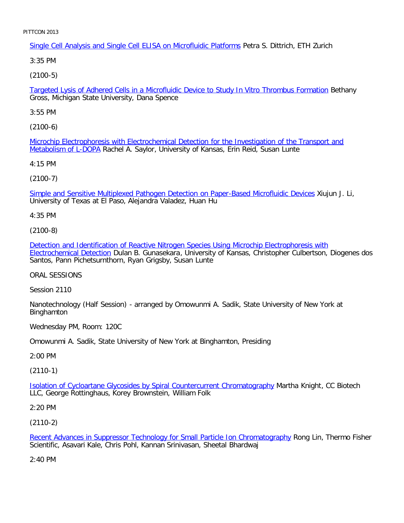Single Cell Analysis and Single Cell ELISA on Microfluidic Platforms Petra S. Dittrich, ETH Zurich

3:35 PM

[\(2100-5\)](file:///p|/print%20on%20demand%20titles/23101-23200/23133/23133%20source%20materials/papers/2100-5.htm)

Targeted Lysis of Adhered Cells in a Microfluidic Device to Study In Vitro Thrombus Formation Bethany Gross, Michigan State University, Dana Spence

3:55 PM

[\(2100-6\)](file:///p|/print%20on%20demand%20titles/23101-23200/23133/23133%20source%20materials/papers/2100-6.htm)

[Microchip Electroph](file:///p|/print%20on%20demand%20titles/23101-23200/23133/23133%20source%20materials/papers/2100-6.htm)oresis with Electrochemical Detection for the Investigation of the Transport and Metabolism of L-DOPA Rachel A. Saylor, University of Kansas, Erin Reid, Susan Lunte

4:15 PM

(2100-7)

[Simple and Sensitive Multiplexed Pathogen Detection on Paper-Based Microfluidic Devices](file:///p|/print%20on%20demand%20titles/23101-23200/23133/23133%20source%20materials/papers/2100-7.htm) Xiujun J. Li, University of Texas at El Paso, Alejandra Valadez, Huan Hu

4:35 PM

(2100-8)

[Detection and Identification of Reactive Nitrogen Species Using Microchip Electrophoresis with](file:///p|/print%20on%20demand%20titles/23101-23200/23133/23133%20source%20materials/papers/2100-8.htm) [Electrochemical Detect](file:///p|/print%20on%20demand%20titles/23101-23200/23133/23133%20source%20materials/papers/2100-8.htm)ion Dulan B. Gunasekara, University of Kansas, Christopher Culbertson, Diogenes dos Santos, Pann Pichetsurnthorn, Ryan Grigsby, Susan Lunte

ORAL SESSIONS

Session 2110

Nanotechnology (Half Session) - arranged by Omowunmi A. Sadik, State University of New York at Binghamton

Wednesday PM, Room: 120C

Omowunmi A. Sadik, State University of New York at Binghamton, Presiding

2:00 PM

(2110-1)

Isolation of Cycloartane Glycosides by Spiral Countercurrent Chromatography Martha Knight, CC Biotech [LLC, George Rottinghaus, Korey Brownstein, William Folk](file:///p|/print%20on%20demand%20titles/23101-23200/23133/23133%20source%20materials/papers/2110-1.htm)

2:20 PM

(2110-2)

Recent Advances in Suppressor Technology for Small Particle Ion Chromatography Rong Lin, Thermo Fisher Scientific, Asavari Kale, Chris Pohl, Kannan Srinivasan, Sheetal Bhardwaj

[2:40 PM](file:///p|/print%20on%20demand%20titles/23101-23200/23133/23133%20source%20materials/papers/2110-2.htm)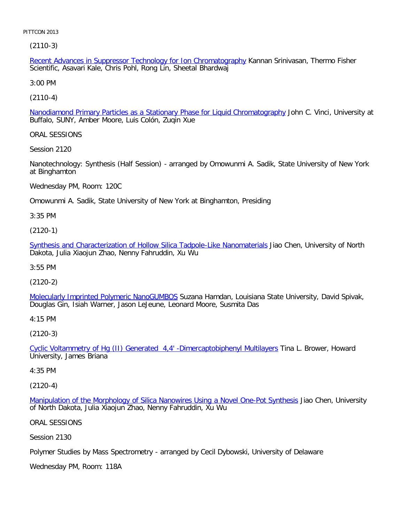(2110-3)

Recent Advances in Suppressor Technology for Ion Chromatography Kannan Srinivasan, Thermo Fisher Scientific, Asavari Kale, Chris Pohl, Rong Lin, Sheetal Bhardwaj

3:00 PM

[\(2110-4\)](file:///p|/print%20on%20demand%20titles/23101-23200/23133/23133%20source%20materials/papers/2110-4.htm)

Nanodiamond Primary Particles as a Stationary Phase for Liquid Chromatography John C. Vinci, University at Buffalo, SUNY, Amber Moore, Luis Colón, Zuqin Xue

ORAL SESSIONS

Session 2120

Nanotechnology: Synthesis (Half Session) - arranged by Omowunmi A. Sadik, State University of New York at Binghamton

Wednesday PM, Room: 120C

Omowunmi A. Sadik, State University of New York at Binghamton, Presiding

3:35 PM

(2120-1)

[Synthesis and Characterization of Hollow Silica Tadpole-Like Nanomaterials](file:///p|/print%20on%20demand%20titles/23101-23200/23133/23133%20source%20materials/papers/2120-1.htm) Jiao Chen, University of North Dakota, Julia Xiaojun Zhao, Nenny Fahruddin, Xu Wu

3:55 PM

(2120-2)

[Molecularly Imprinted Polymeric NanoGUMBOS](file:///p|/print%20on%20demand%20titles/23101-23200/23133/23133%20source%20materials/papers/2120-2.htm) Suzana Hamdan, Louisiana State University, David Spivak, Douglas Gin, Isiah Warner, Jason LeJeune, Leonard Moore, Susmita Das

4:15 PM

(2120-3)

Cyclic Voltammetry of Hg (II) Generated 4,4' -Dimercaptobiphenyl Multilayers Tina L. Brower, Howard [University, James Briana](file:///p|/print%20on%20demand%20titles/23101-23200/23133/23133%20source%20materials/papers/2120-3.htm)

4:35 PM

(2120-4)

Manipulation of the Morphology of Silica Nanowires Using a Novel One-Pot Synthesis Jiao Chen, University of North Dakota, Julia Xiaojun Zhao, Nenny Fahruddin, Xu Wu

[ORAL SESSIONS](file:///p|/print%20on%20demand%20titles/23101-23200/23133/23133%20source%20materials/papers/2120-4.htm)

Session 2130

Polymer Studies by Mass Spectrometry - arranged by Cecil Dybowski, University of Delaware

Wednesday PM, Room: 118A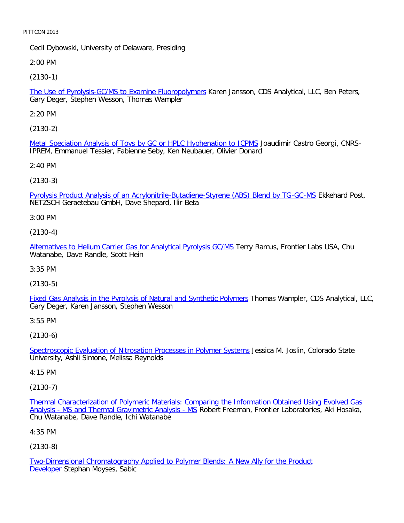Cecil Dybowski, University of Delaware, Presiding

2:00 PM

[\(2130-1\)](file:///p|/print%20on%20demand%20titles/23101-23200/23133/23133%20source%20materials/papers/2130-1.htm)

The Use of Pyrolysis-GC/MS to Examine Fluoropolymers Karen Jansson, CDS Analytical, LLC, Ben Peters, Gary Deger, Stephen Wesson, Thomas Wampler

2:20 PM

[\(2130-2\)](file:///p|/print%20on%20demand%20titles/23101-23200/23133/23133%20source%20materials/papers/2130-2.htm)

Metal Speciation Analysis of Toys by GC or HPLC Hyphenation to ICPMS Joaudimir Castro Georgi, CNRS-IPREM, Emmanuel Tessier, Fabienne Seby, Ken Neubauer, Olivier Donard

2:40 PM

(2130-3)

[Pyrolysis Product Analysis of an Acrylonitrile-Butadiene-Styrene \(ABS\) Blend by TG-GC-MS](file:///p|/print%20on%20demand%20titles/23101-23200/23133/23133%20source%20materials/papers/2130-3.htm) Ekkehard Post, NETZSCH Geraetebau GmbH, Dave Shepard, Ilir Beta

3:00 PM

(2130-4)

[Alternatives to Helium Carrier Gas for Analytical Pyrolysis GC/MS](file:///p|/print%20on%20demand%20titles/23101-23200/23133/23133%20source%20materials/papers/2130-4.htm) Terry Ramus, Frontier Labs USA, Chu Watanabe, Dave Randle, Scott Hein

3:35 PM

(2130-5)

[Fixed Gas Analysis in the Pyrolysis of Natural and Synthetic Polymers](file:///p|/print%20on%20demand%20titles/23101-23200/23133/23133%20source%20materials/papers/2130-5.htm) Thomas Wampler, CDS Analytical, LLC, Gary Deger, Karen Jansson, Stephen Wesson

3:55 PM

(2130-6)

Spectroscopic Evaluation of Nitrosation Processes in Polymer Systems Jessica M. Joslin, Colorado State [University, Ashli Simone, Melissa Reynolds](file:///p|/print%20on%20demand%20titles/23101-23200/23133/23133%20source%20materials/papers/2130-6.htm)

4:15 PM

(2130-7)

Thermal Characterization of Polymeric Materials: Comparing the Information Obtained Using Evolved Gas Analysis - MS and Thermal Gravimetric Analysis - MS Robert Freeman, Frontier Laboratories, Aki Hosaka, [Chu Watanabe, Dave Randle, Ichi Watanabe](file:///p|/print%20on%20demand%20titles/23101-23200/23133/23133%20source%20materials/papers/2130-7.htm)

[4:35 PM](file:///p|/print%20on%20demand%20titles/23101-23200/23133/23133%20source%20materials/papers/2130-7.htm)

(2130-8)

Two-Dimensional Chromatography Applied to Polymer Blends: A New Ally for the Product Developer Stephan Moyses, Sabic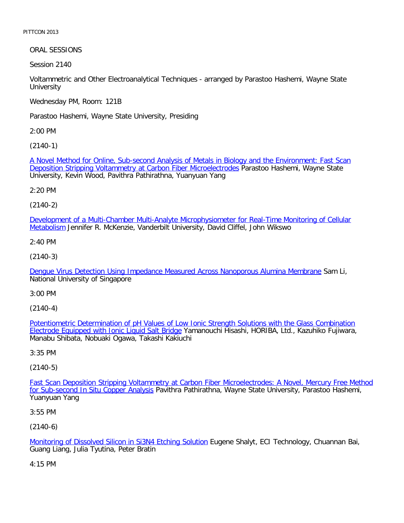ORAL SESSIONS

Session 2140

Voltammetric and Other Electroanalytical Techniques - arranged by Parastoo Hashemi, Wayne State **University** 

Wednesday PM, Room: 121B

Parastoo Hashemi, Wayne State University, Presiding

2:00 PM

[\(2140-1\)](file:///p|/print%20on%20demand%20titles/23101-23200/23133/23133%20source%20materials/papers/2140-1.htm)

[A Novel Method for Online, Sub-second Analysis of Metals in Biology](file:///p|/print%20on%20demand%20titles/23101-23200/23133/23133%20source%20materials/papers/2140-1.htm) and the Environment: Fast Scan **Deposition Stripping Voltammetry at Carbon Fiber Microelectrodes Parastoo Hashemi, Wayne State** University, Kevin Wood, Pavithra Pathirathna, Yuanyuan Yang

2:20 PM

(2140-2)

[Development of a Multi-Chamber Multi-Analyte Microphysiometer for Real-Time Monitoring of Cellular](file:///p|/print%20on%20demand%20titles/23101-23200/23133/23133%20source%20materials/papers/2140-2.htm) Metabolism Jennifer R. McKenzie, Vanderbilt University, David Cliffel, John Wikswo

2:40 PM

(2140-3)

[Dengue Virus Detection Using Impedance Measured Across Nanoporous Alumina Membrane](file:///p|/print%20on%20demand%20titles/23101-23200/23133/23133%20source%20materials/papers/2140-3.htm) Sam Li, National University of Singapore

3:00 PM

(2140-4)

Potentiometric Determination of pH Values of Low Ionic Strength Solutions with the Glass Combination Electrode Equipped with Ionic Liquid Salt Bridge [Yamanouchi Hisashi, HORIBA, Ltd., Kazuhiko Fujiwara,](file:///p|/print%20on%20demand%20titles/23101-23200/23133/23133%20source%20materials/papers/2140-4.htm) [Manabu Shibata, Nobuaki Ogawa, Takashi Kakiu](file:///p|/print%20on%20demand%20titles/23101-23200/23133/23133%20source%20materials/papers/2140-4.htm)chi

3:35 PM

(2140-5)

Fast Scan Deposition Stripping Voltammetry at Carbon Fiber Microelectrodes: A Novel, Mercury Free Method for Sub-second In Situ Copper Analysis [Pavithra Pathirathna, Wayne State University, Parastoo Hashemi,](file:///p|/print%20on%20demand%20titles/23101-23200/23133/23133%20source%20materials/papers/2140-5.htm) [Yuanyuan Yang](file:///p|/print%20on%20demand%20titles/23101-23200/23133/23133%20source%20materials/papers/2140-5.htm)

3:55 PM

(2140-6)

Monitoring of Dissolved Silicon in Si3N4 Etching Solution Eugene Shalyt, ECI Technology, Chuannan Bai, Guang Liang, Julia Tyutina, Peter Bratin

[4:15 PM](file:///p|/print%20on%20demand%20titles/23101-23200/23133/23133%20source%20materials/papers/2140-6.htm)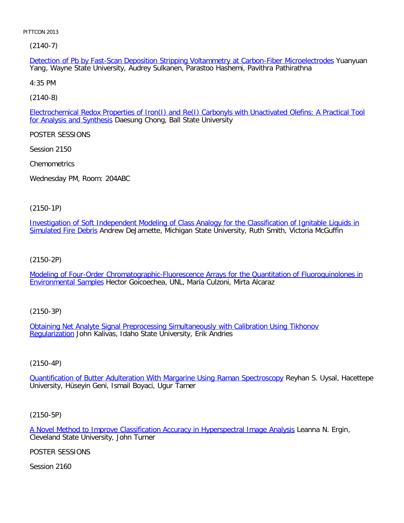(2140-7)

Detection of Pb by Fast-Scan Deposition Stripping Voltammetry at Carbon-Fiber Microelectrodes Yuanyuan Yang, Wayne State University, Audrey Sulkanen, Parastoo Hashemi, Pavithra Pathirathna

4:35 PM

[\(2140-8\)](file:///p|/print%20on%20demand%20titles/23101-23200/23133/23133%20source%20materials/papers/2140-8.htm)

Electrochemical Redox Properties of Iron(I) and Re(I) Carbonyls with Unactivated Olefins: A Practical Tool for Analysis and Synthesis Daesung Chong, Ball State University

POSTER SESSIONS

Session 2150

**Chemometrics** 

Wednesday PM, Room: 204ABC

(2150-1P)

[Investigation of Soft Independent Modeling of Class Analogy for the Classification of Ignitable Liquids in](file:///p|/print%20on%20demand%20titles/23101-23200/23133/23133%20source%20materials/papers/2150-1.htm) [Simulated Fire De](file:///p|/print%20on%20demand%20titles/23101-23200/23133/23133%20source%20materials/papers/2150-1.htm)bris Andrew DeJarnette, Michigan State University, Ruth Smith, Victoria McGuffin

(2150-2P)

[Modeling of Four-Order Chromatographic-Fluorescence Arrays for the Quantitation of Fluoroquinolones in](file:///p|/print%20on%20demand%20titles/23101-23200/23133/23133%20source%20materials/papers/2150-2.htm) [Environmental Samp](file:///p|/print%20on%20demand%20titles/23101-23200/23133/23133%20source%20materials/papers/2150-2.htm)les Hector Goicoechea, UNL, María Culzoni, Mirta Alcaraz

(2150-3P)

Obtaining Net Analyte Signal Preprocessing Simultaneously with Calibration Using Tikhonov [Regulariza](file:///p|/print%20on%20demand%20titles/23101-23200/23133/23133%20source%20materials/papers/2150-3.htm)tion [John Kalivas, Idaho State University, Erik Andries](file:///p|/print%20on%20demand%20titles/23101-23200/23133/23133%20source%20materials/papers/2150-3.htm)

## (2150-4P)

Quantification of Butter Adulteration With Margarine Using Raman Spectroscopy Reyhan S. Uysal, Hacettepe [University, Hüseyin Geni, Ismail Boyaci, Ugur Tamer](file:///p|/print%20on%20demand%20titles/23101-23200/23133/23133%20source%20materials/papers/2150-4.htm)

(2150-5P)

A Novel Method to Improve Classification Accuracy in Hyperspectral Image Analysis Leanna N. Ergin, Cleveland State University, John Turner

[POSTER SESSIONS](file:///p|/print%20on%20demand%20titles/23101-23200/23133/23133%20source%20materials/papers/2150-5.htm)

Session 2160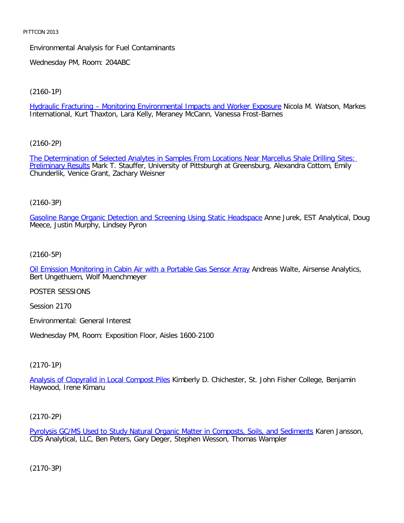Environmental Analysis for Fuel Contaminants

Wednesday PM, Room: 204ABC

[\(2160-1P\)](file:///p|/print%20on%20demand%20titles/23101-23200/23133/23133%20source%20materials/papers/2160-1.htm)

Hydraulic Fracturing – Monitoring Environmental Impacts and Worker Exposure Nicola M. Watson, Markes International, Kurt Thaxton, Lara Kelly, Meraney McCann, Vanessa Frost-Barnes

[\(2160-2P\)](file:///p|/print%20on%20demand%20titles/23101-23200/23133/23133%20source%20materials/papers/2160-2.htm)

[The Determinat](file:///p|/print%20on%20demand%20titles/23101-23200/23133/23133%20source%20materials/papers/2160-2.htm)ion of Selected Analytes in Samples From Locations Near Marcellus Shale Drilling Sites: Preliminary Results Mark T. Stauffer, University of Pittsburgh at Greensburg, Alexandra Cottom, Emily Chunderlik, Venice Grant, Zachary Weisner

### (2160-3P)

[Gasoline Range Organic Detection and Screening Using Static Headspace](file:///p|/print%20on%20demand%20titles/23101-23200/23133/23133%20source%20materials/papers/2160-3.htm) Anne Jurek, EST Analytical, Doug Meece, Justin Murphy, Lindsey Pyron

### (2160-5P)

[Oil Emission Monitoring in Cabin Air with a Portable Gas Sensor Array](file:///p|/print%20on%20demand%20titles/23101-23200/23133/23133%20source%20materials/papers/2160-5.htm) Andreas Walte, Airsense Analytics, Bert Ungethuem, Wolf Muenchmeyer

POSTER SESSIONS

Session 2170

Environmental: General Interest

Wednesday PM, Room: Exposition Floor, Aisles 1600-2100

### (2170-1P)

Analysis of Clopyralid in Local Compost Piles Kimberly D. Chichester, St. John Fisher College, Benjamin [Haywood, Irene Kimaru](file:///p|/print%20on%20demand%20titles/23101-23200/23133/23133%20source%20materials/papers/2170-1.htm)

### (2170-2P)

Pyrolysis GC/MS Used to Study Natural Organic Matter in Composts, Soils, and Sediments Karen Jansson, CDS Analytical, LLC, Ben Peters, Gary Deger, Stephen Wesson, Thomas Wampler

(2170-3P)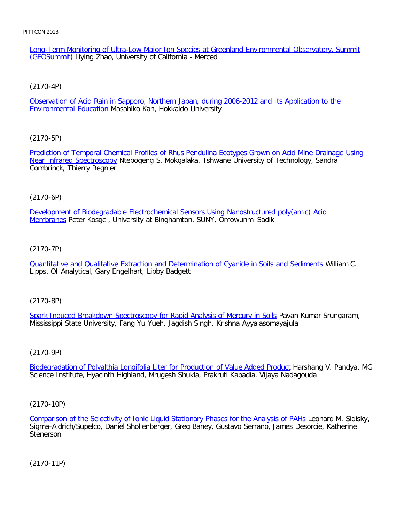Long-Term Monitoring of Ultra-Low Major Ion Species at Greenland Environmental Observatory, Summit (GEOSummit) Liying Zhao, University of California - Merced

[\(2170-4P\)](file:///p|/print%20on%20demand%20titles/23101-23200/23133/23133%20source%20materials/papers/2170-4.htm)

Observation of Acid Rain in Sapporo, Northern Japan, during 2006-2012 and Its Application to the **Environmental Education Masahiko Kan, Hokkaido University** 

[\(2170-5P\)](file:///p|/print%20on%20demand%20titles/23101-23200/23133/23133%20source%20materials/papers/2170-5.htm)

[Prediction of Temporal C](file:///p|/print%20on%20demand%20titles/23101-23200/23133/23133%20source%20materials/papers/2170-5.htm)hemical Profiles of Rhus Pendulina Ecotypes Grown on Acid Mine Drainage Using Near Infrared Spectroscopy Ntebogeng S. Mokgalaka, Tshwane University of Technology, Sandra Combrinck, Thierry Regnier

# (2170-6P)

[Development of Biodegradable Electrochemical Sensors Using Nanostructured poly\(amic\) Acid](file:///p|/print%20on%20demand%20titles/23101-23200/23133/23133%20source%20materials/papers/2170-6.htm) Membranes Peter Kosgei, University at Binghamton, SUNY, Omowunmi Sadik

# (2170-7P)

[Quantitative and Qualitative Extraction and Determination of Cyanide in Soils and Sediments](file:///p|/print%20on%20demand%20titles/23101-23200/23133/23133%20source%20materials/papers/2170-7.htm) William C. Lipps, OI Analytical, Gary Engelhart, Libby Badgett

(2170-8P)

Spark Induced Breakdown Spectroscopy for Rapid Analysis of Mercury in Soils Pavan Kumar Srungaram, [Mississippi State University, Fang Yu Yueh, Jagdish Singh, Krishna Ayyalasomaya](file:///p|/print%20on%20demand%20titles/23101-23200/23133/23133%20source%20materials/papers/2170-8.htm)jula

(2170-9P)

Biodegradation of Polyalthia Longifolia Liter for Production of Value Added Product Harshang V. Pandya, MG [Science Institute, Hyacinth Highland, Mrugesh Shukla, Prakruti Kapadia, Vijaya Nadag](file:///p|/print%20on%20demand%20titles/23101-23200/23133/23133%20source%20materials/papers/2170-9.htm)ouda

(2170-10P)

Comparison of the Selectivity of Ionic Liquid Stationary Phases for the Analysis of PAHs Leonard M. Sidisky, Sigma-Aldrich/Supelco, Daniel Shollenberger, Greg Baney, Gustavo Serrano, James Desorcie, Katherine [Stenerson](file:///p|/print%20on%20demand%20titles/23101-23200/23133/23133%20source%20materials/papers/2170-10.htm)

(2170-11P)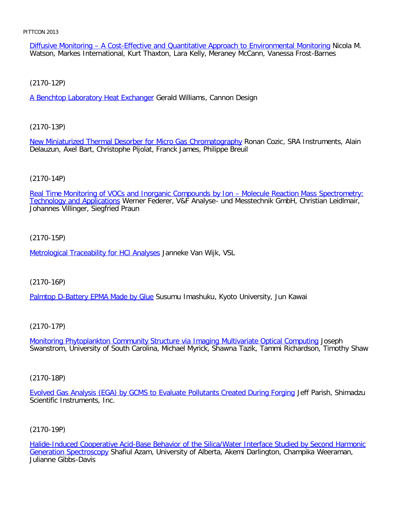Diffusive Monitoring – A Cost-Effective and Quantitative Approach to Environmental Monitoring Nicola M. Watson, Markes International, Kurt Thaxton, Lara Kelly, Meraney McCann, Vanessa Frost-Barnes

[\(2170-12P\)](file:///p|/print%20on%20demand%20titles/23101-23200/23133/23133%20source%20materials/papers/2170-12.htm)

A Benchtop Laboratory Heat Exchanger Gerald Williams, Cannon Design

[\(2170-13P\)](file:///p|/print%20on%20demand%20titles/23101-23200/23133/23133%20source%20materials/papers/2170-13.htm)

New Miniaturized Thermal Desorber for Micro Gas Chromatography Ronan Cozic, SRA Instruments, Alain Delauzun, Axel Bart, Christophe Pijolat, Franck James, Philippe Breuil

## (2170-14P)

[Real Time Monitoring of VOCs and Inorganic Compounds by Ion – Molecule Reaction Mass Spectrometry:](file:///p|/print%20on%20demand%20titles/23101-23200/23133/23133%20source%20materials/papers/2170-14.htm) Technology and Applications Werner Federer, V&F Analyse- und Messtechnik GmbH, Christian Leidlmair, Johannes Villinger, Siegfried Praun

# (2170-15P)

[Metrological Traceability for HCl Analyse](file:///p|/print%20on%20demand%20titles/23101-23200/23133/23133%20source%20materials/papers/2170-15.htm)s Janneke Van Wijk, VSL

## (2170-16P)

[Palmtop D-Battery EPMA Made by Glu](file:///p|/print%20on%20demand%20titles/23101-23200/23133/23133%20source%20materials/papers/2170-16.htm)e Susumu Imashuku, Kyoto University, Jun Kawai

(2170-17P)

Monitoring Phytoplankton Community Structure via Imaging Multivariate Optical Computing Joseph [Swanstrom, University of South Carolina, Michael Myrick, Shawna Tazik, Tammi Richardson, Tim](file:///p|/print%20on%20demand%20titles/23101-23200/23133/23133%20source%20materials/papers/2170-17.htm)othy Shaw

(2170-18P)

Evolved Gas Analysis (EGA) by GCMS to Evaluate Pollutants Created During Forging Jeff Parish, Shimadzu [Scientific Instruments, Inc.](file:///p|/print%20on%20demand%20titles/23101-23200/23133/23133%20source%20materials/papers/2170-18.htm)

## (2170-19P)

Halide-Induced Cooperative Acid-Base Behavior of the Silica/Water Interface Studied by Second Harmonic Generation Spectroscopy Shafiul Azam, University of Alberta, Akemi Darlington, Champika Weeraman, [Julianne Gibbs-Davis](file:///p|/print%20on%20demand%20titles/23101-23200/23133/23133%20source%20materials/papers/2170-19.htm)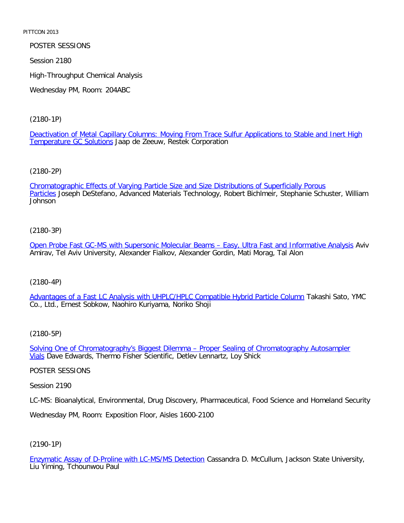POSTER SESSIONS

Session 2180

High-Throughput Chemical Analysis

Wednesday PM, Room: 204ABC

[\(2180-1P\)](file:///p|/print%20on%20demand%20titles/23101-23200/23133/23133%20source%20materials/papers/2180-1.htm)

[Deactivation of Metal C](file:///p|/print%20on%20demand%20titles/23101-23200/23133/23133%20source%20materials/papers/2180-1.htm)apillary Columns: Moving From Trace Sulfur Applications to Stable and Inert High Temperature GC Solutions Jaap de Zeeuw, Restek Corporation

[\(2180-2P\)](file:///p|/print%20on%20demand%20titles/23101-23200/23133/23133%20source%20materials/papers/2180-2.htm)

[Chr](file:///p|/print%20on%20demand%20titles/23101-23200/23133/23133%20source%20materials/papers/2180-2.htm)omatographic Effects of Varying Particle Size and Size Distributions of Superficially Porous Particles Joseph DeStefano, Advanced Materials Technology, Robert Bichlmeir, Stephanie Schuster, William Johnson

### (2180-3P)

[Open Probe Fast GC-MS with Supersonic Molecular Beams – Easy, Ultra Fast and Informative Analysis](file:///p|/print%20on%20demand%20titles/23101-23200/23133/23133%20source%20materials/papers/2180-3.htm) Aviv Amirav, Tel Aviv University, Alexander Fialkov, Alexander Gordin, Mati Morag, Tal Alon

### (2180-4P)

[Advantages of a Fast LC Analysis with UHPLC/HPLC Compatible Hybrid Particle Column](file:///p|/print%20on%20demand%20titles/23101-23200/23133/23133%20source%20materials/papers/2180-4.htm) Takashi Sato, YMC Co., Ltd., Ernest Sobkow, Naohiro Kuriyama, Noriko Shoji

### (2180-5P)

Solving One of Chromatography's Biggest Dilemma - Proper Sealing of Chromatography Autosampler Vials [Dave Edwards, Thermo Fisher Scientific, Detlev Lennartz, Loy Shick](file:///p|/print%20on%20demand%20titles/23101-23200/23133/23133%20source%20materials/papers/2180-5.htm)

POSTER SESSIONS

Session 2190

LC-MS: Bioanalytical, Environmental, Drug Discovery, Pharmaceutical, Food Science and Homeland Security

Wednesday PM, Room: Exposition Floor, Aisles 1600-2100

# (2190-1P)

Enzymatic Assay of D-Proline with LC-MS/MS Detection Cassandra D. McCullum, Jackson State University, Liu Yiming, Tchounwou Paul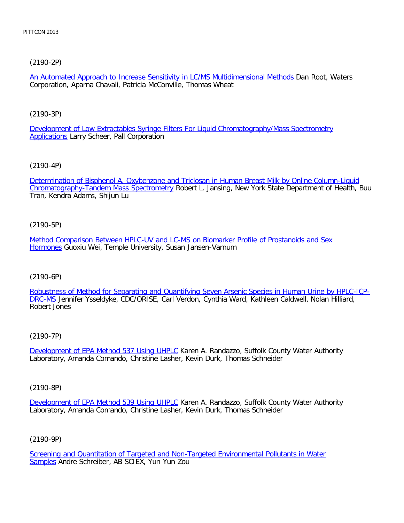[\(2190-2P\)](file:///p|/print%20on%20demand%20titles/23101-23200/23133/23133%20source%20materials/papers/2190-2.htm)

An Automated Approach to Increase Sensitivity in LC/MS Multidimensional Methods Dan Root, Waters Corporation, Aparna Chavali, Patricia McConville, Thomas Wheat

[\(2190-3P\)](file:///p|/print%20on%20demand%20titles/23101-23200/23133/23133%20source%20materials/papers/2190-3.htm)

[Develop](file:///p|/print%20on%20demand%20titles/23101-23200/23133/23133%20source%20materials/papers/2190-3.htm)ment of Low Extractables Syringe Filters For Liquid Chromatography/Mass Spectrometry **Applications Larry Scheer, Pall Corporation** 

[\(2190-4P\)](file:///p|/print%20on%20demand%20titles/23101-23200/23133/23133%20source%20materials/papers/2190-4.htm)

[Determination of Bisphenol A, Oxybenzone a](file:///p|/print%20on%20demand%20titles/23101-23200/23133/23133%20source%20materials/papers/2190-4.htm)nd Triclosan in Human Breast Milk by Online Column-Liquid Chromatography-Tandem Mass Spectrometry Robert L. Jansing, New York State Department of Health, Buu Tran, Kendra Adams, Shijun Lu

(2190-5P)

[Method Comparison Between HPLC-UV and LC-MS on Biomarker Profile of Prostanoids and Sex](file:///p|/print%20on%20demand%20titles/23101-23200/23133/23133%20source%20materials/papers/2190-5.htm) [Horm](file:///p|/print%20on%20demand%20titles/23101-23200/23133/23133%20source%20materials/papers/2190-5.htm)ones Guoxiu Wei, Temple University, Susan Jansen-Varnum

(2190-6P)

[Robustness of Method for Separating and Quantifying Seven Arsenic Species in Human Urine by HPLC-ICP-](file:///p|/print%20on%20demand%20titles/23101-23200/23133/23133%20source%20materials/papers/2190-6.htm)DRC-MS Jennifer Ysseldyke, CDC/ORISE, Carl Verdon, Cynthia Ward, Kathleen Caldwell, Nolan Hilliard, [Rob](file:///p|/print%20on%20demand%20titles/23101-23200/23133/23133%20source%20materials/papers/2190-6.htm)ert Jones

(2190-7P)

Development of EPA Method 537 Using UHPLC Karen A. Randazzo, Suffolk County Water Authority [Laboratory, Amanda Comando, Christine Lashe](file:///p|/print%20on%20demand%20titles/23101-23200/23133/23133%20source%20materials/papers/2190-7.htm)r, Kevin Durk, Thomas Schneider

(2190-8P)

Development of EPA Method 539 Using UHPLC Karen A. Randazzo, Suffolk County Water Authority Laboratory, Amanda Comando, Christine Lasher, Kevin Durk, Thomas Schneider

(2190-9P)

Screening and Quantitation of Targeted and Non-Targeted Environmental Pollutants in Water Samples Andre Schreiber, AB SCIEX, Yun Yun Zou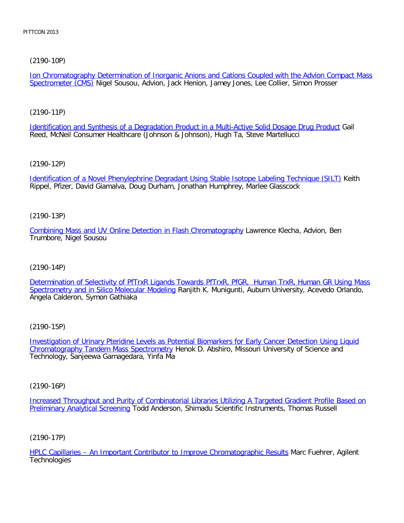# [\(2190-10P\)](file:///p|/print%20on%20demand%20titles/23101-23200/23133/23133%20source%20materials/papers/2190-10.htm)

Ion Chromatography Determination of Inorganic Anions and Cations Coupled with the Advion Compact Mass Spectrometer (CMS) Nigel Sousou, Advion, Jack Henion, Jamey Jones, Lee Collier, Simon Prosser

[\(2190-11P\)](file:///p|/print%20on%20demand%20titles/23101-23200/23133/23133%20source%20materials/papers/2190-11.htm)

Identification and Synthesis of a Degradation Product in a Multi-Active Solid Dosage Drug Product Gail Reed, McNeil Consumer Healthcare (Johnson & Johnson), Hugh Ta, Steve Martellucci

[\(2190-12P\)](file:///p|/print%20on%20demand%20titles/23101-23200/23133/23133%20source%20materials/papers/2190-12.htm)

Identification of a Novel Phenylephrine Degradant Using Stable Isotope Labeling Technique (SILT) Keith Rippel, Pfizer, David Giamalva, Doug Durham, Jonathan Humphrey, Marlee Glasscock

(2190-13P)

[Combining Mass and UV Online Detection in Flash Chromatography](file:///p|/print%20on%20demand%20titles/23101-23200/23133/23133%20source%20materials/papers/2190-13.htm) Lawrence Klecha, Advion, Ben Trumbore, Nigel Sousou

(2190-14P)

[Determination of Selectivity of PfTrxR Ligands Towards PfTrxR, PfGR, Human TrxR, Human GR Using Mass](file:///p|/print%20on%20demand%20titles/23101-23200/23133/23133%20source%20materials/papers/2190-14.htm) [Spectrometry and in Silico Molecular Modeling](file:///p|/print%20on%20demand%20titles/23101-23200/23133/23133%20source%20materials/papers/2190-14.htm) Ranjith K. Munigunti, Auburn University, Acevedo Orlando, Angela Calderon, Symon Gathiaka

(2190-15P)

Investigation of Urinary Pteridine Levels as Potential Biomarkers for Early Cancer Detection Using Liquid Chromatography Tandem Mass Spectrometry [Henok D. Abshiro, Missouri University of Science and](file:///p|/print%20on%20demand%20titles/23101-23200/23133/23133%20source%20materials/papers/2190-15.htm) [Technology, Sanjeewa Gamagedara, Yinfa M](file:///p|/print%20on%20demand%20titles/23101-23200/23133/23133%20source%20materials/papers/2190-15.htm)a

(2190-16P)

Increased Throughput and Purity of Combinatorial Libraries Utilizing A Targeted Gradient Profile Based on Preliminary Analytical Screening Todd Anderson, Shimadu Scientific Instruments, Thomas Russell

(2190-17P)

HPLC Capillaries – An Important Contributor to Improve Chromatographic Results Marc Fuehrer, Agilent **Technologies**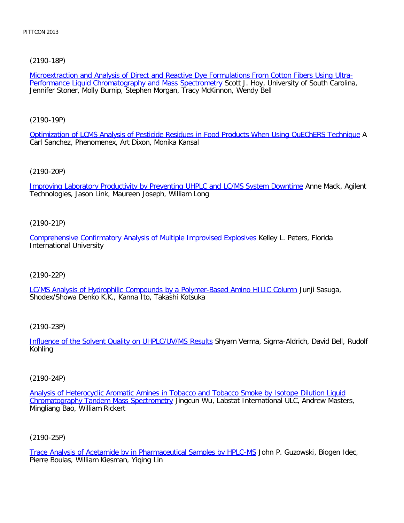[\(2190-18P\)](file:///p|/print%20on%20demand%20titles/23101-23200/23133/23133%20source%20materials/papers/2190-18.htm)

Microextraction and Analysis of Direct and Reactive Dye Formulations From Cotton Fibers Using Ultra-Performance Liquid Chromatography and Mass Spectrometry Scott J. Hoy, University of South Carolina, Jennifer Stoner, Molly Burnip, Stephen Morgan, Tracy McKinnon, Wendy Bell

[\(2190-19P\)](file:///p|/print%20on%20demand%20titles/23101-23200/23133/23133%20source%20materials/papers/2190-19.htm)

Optimization of LCMS Analysis of Pesticide Residues in Food Products When Using QuEChERS Technique A Carl Sanchez, Phenomenex, Art Dixon, Monika Kansal

[\(2190-20P\)](file:///p|/print%20on%20demand%20titles/23101-23200/23133/23133%20source%20materials/papers/2190-20.htm)

Improving Laboratory Productivity by Preventing UHPLC and LC/MS System Downtime Anne Mack, Agilent Technologies, Jason Link, Maureen Joseph, William Long

(2190-21P)

[Comprehensive Confirmatory Analysis of Multiple Improvised Explosives](file:///p|/print%20on%20demand%20titles/23101-23200/23133/23133%20source%20materials/papers/2190-21.htm) Kelley L. Peters, Florida International University

(2190-22P)

[LC/MS Analysis of Hydrophilic Compounds by a Polymer-Based Amino HILIC Column](file:///p|/print%20on%20demand%20titles/23101-23200/23133/23133%20source%20materials/papers/2190-22.htm) Junji Sasuga, Shodex/Showa Denko K.K., Kanna Ito, Takashi Kotsuka

(2190-23P)

Influence of the Solvent Quality on UHPLC/UV/MS Results Shyam Verma, Sigma-Aldrich, David Bell, Rudolf [Kohling](file:///p|/print%20on%20demand%20titles/23101-23200/23133/23133%20source%20materials/papers/2190-23.htm)

(2190-24P)

Analysis of Heterocyclic Aromatic Amines in Tobacco and Tobacco Smoke by Isotope Dilution Liquid Chromatography Tandem Mass Spectrometry Jingcun Wu, Labstat International ULC, Andrew Masters, [Mingliang Bao, William Rickert](file:///p|/print%20on%20demand%20titles/23101-23200/23133/23133%20source%20materials/papers/2190-24.htm)

(2190-25P)

Trace Analysis of Acetamide by in Pharmaceutical Samples by HPLC-MS John P. Guzowski, Biogen Idec, Pierre Boulas, William Kiesman, Yiqing Lin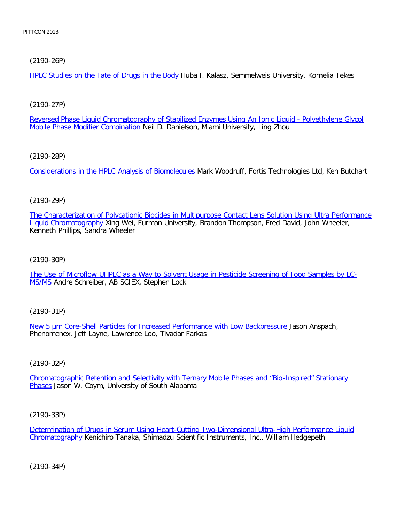# [\(2190-26P\)](file:///p|/print%20on%20demand%20titles/23101-23200/23133/23133%20source%20materials/papers/2190-26.htm)

HPLC Studies on the Fate of Drugs in the Body Huba I. Kalasz, Semmelweis University, Kornelia Tekes

# [\(2190-27P\)](file:///p|/print%20on%20demand%20titles/23101-23200/23133/23133%20source%20materials/papers/2190-27.htm)

Reversed Phase Liquid Chromatography of Stabilized Enzymes Using An Ionic Liquid - Polyethylene Glycol Mobile Phase Modifier Combination Neil D. Danielson, Miami University, Ling Zhou

# [\(2190-28P\)](file:///p|/print%20on%20demand%20titles/23101-23200/23133/23133%20source%20materials/papers/2190-28.htm)

Considerations in the HPLC Analysis of Biomolecules Mark Woodruff, Fortis Technologies Ltd, Ken Butchart

## (2190-29P)

[The Characterization of Polycationic Biocides in Multipurpose Contact Lens Solution Using Ultra Performance](file:///p|/print%20on%20demand%20titles/23101-23200/23133/23133%20source%20materials/papers/2190-29.htm) Liquid Chromatography Xing Wei, Furman University, Brandon Thompson, Fred David, John Wheeler, Kenneth Phillips, Sandra Wheeler

(2190-30P)

[The Use of Microflow UHPLC as a Way to Solvent Usage in Pesticide Screening of Food Samples by LC-](file:///p|/print%20on%20demand%20titles/23101-23200/23133/23133%20source%20materials/papers/2190-30.htm)[M](file:///p|/print%20on%20demand%20titles/23101-23200/23133/23133%20source%20materials/papers/2190-30.htm)S/MS Andre Schreiber, AB SCIEX, Stephen Lock

## (2190-31P)

New 5 um Core-Shell Particles for Increased Performance with Low Backpressure Jason Anspach, [Phenomenex, Jeff Layne, Lawrence Loo, Tivadar Farkas](file:///p|/print%20on%20demand%20titles/23101-23200/23133/23133%20source%20materials/papers/2190-31.htm)

## (2190-32P)

Chromatographic Retention and Selectivity with Ternary Mobile Phases and "Bio-Inspired" Stationary Phases [Jason W. Coym, University of South Alabama](file:///p|/print%20on%20demand%20titles/23101-23200/23133/23133%20source%20materials/papers/2190-32.htm)

## (2190-33P)

Determination of Drugs in Serum Using Heart-Cutting Two-Dimensional Ultra-High Performance Liquid Chromatography Kenichiro Tanaka, Shimadzu Scientific Instruments, Inc., William Hedgepeth

(2190-34P)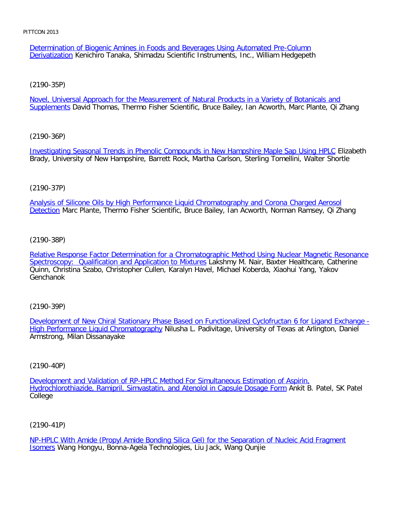Determination of Biogenic Amines in Foods and Beverages Using Automated Pre-Column Derivatization Kenichiro Tanaka, Shimadzu Scientific Instruments, Inc., William Hedgepeth

[\(2190-35P\)](file:///p|/print%20on%20demand%20titles/23101-23200/23133/23133%20source%20materials/papers/2190-35.htm)

Novel, Universal Approach for the Measurement of Natural Products in a Variety of Botanicals and Supplements David Thomas, Thermo Fisher Scientific, Bruce Bailey, Ian Acworth, Marc Plante, Qi Zhang

[\(2190-36P\)](file:///p|/print%20on%20demand%20titles/23101-23200/23133/23133%20source%20materials/papers/2190-36.htm)

Investigating Seasonal Trends in Phenolic Compounds in New Hampshire Maple Sap Using HPLC Elizabeth Brady, University of New Hampshire, Barrett Rock, Martha Carlson, Sterling Tomellini, Walter Shortle

# (2190-37P)

[Analysis of Silicone Oils by High Performance Liquid Chromatography and Corona Charged Aerosol](file:///p|/print%20on%20demand%20titles/23101-23200/23133/23133%20source%20materials/papers/2190-37.htm) Detection Marc Plante, Thermo Fisher Scientific, Bruce Bailey, Ian Acworth, Norman Ramsey, Qi Zhang

(2190-38P)

[Relative Response Factor Determination for a Chromatographic Method Using Nuclear Magnetic Resonance](file:///p|/print%20on%20demand%20titles/23101-23200/23133/23133%20source%20materials/papers/2190-38.htm) [Spectroscopy: Qualification and Application to Mixtures](file:///p|/print%20on%20demand%20titles/23101-23200/23133/23133%20source%20materials/papers/2190-38.htm) Lakshmy M. Nair, Baxter Healthcare, Catherine Quinn, Christina Szabo, Christopher Cullen, Karalyn Havel, Michael Koberda, Xiaohui Yang, Yakov Genchanok

(2190-39P)

Development of New Chiral Stationary Phase Based on Functionalized Cyclofructan 6 for Ligand Exchange - High Performance Liquid Chromatography [Nilusha L. Padivitage, University of Texas at Arlington, Daniel](file:///p|/print%20on%20demand%20titles/23101-23200/23133/23133%20source%20materials/papers/2190-39.htm) [Armstrong, Milan Dissanayake](file:///p|/print%20on%20demand%20titles/23101-23200/23133/23133%20source%20materials/papers/2190-39.htm)

(2190-40P)

Development and Validation of RP-HPLC Method For Simultaneous Estimation of Aspirin, [Hydrochlorothiazide, Ramipril, Simvastatin, and Atenolol in Capsule Dosage Form](file:///p|/print%20on%20demand%20titles/23101-23200/23133/23133%20source%20materials/papers/2190-40.htm) Ankit B. Patel, SK Patel [College](file:///p|/print%20on%20demand%20titles/23101-23200/23133/23133%20source%20materials/papers/2190-40.htm)

(2190-41P)

NP-HPLC With Amide (Propyl Amide Bonding Silica Gel) for the Separation of Nucleic Acid Fragment Isomers Wang Hongyu, Bonna-Agela Technologies, Liu Jack, Wang Qunjie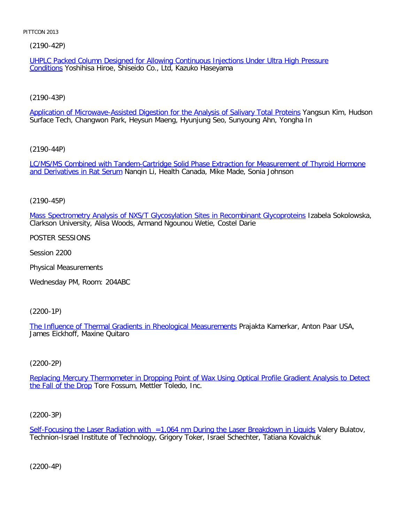[\(2190-42P\)](file:///p|/print%20on%20demand%20titles/23101-23200/23133/23133%20source%20materials/papers/2190-42.htm)

UHPLC Packed Column Designed for Allowing Continuous Injections Under Ultra High Pressure Conditions Yoshihisa Hiroe, Shiseido Co., Ltd, Kazuko Haseyama

[\(2190-43P\)](file:///p|/print%20on%20demand%20titles/23101-23200/23133/23133%20source%20materials/papers/2190-43.htm)

Application of Microwave-Assisted Digestion for the Analysis of Salivary Total Proteins Yangsun Kim, Hudson Surface Tech, Changwon Park, Heysun Maeng, Hyunjung Seo, Sunyoung Ahn, Yongha In

[\(2190-44P\)](file:///p|/print%20on%20demand%20titles/23101-23200/23133/23133%20source%20materials/papers/2190-44.htm)

[LC/MS/MS Combined with](file:///p|/print%20on%20demand%20titles/23101-23200/23133/23133%20source%20materials/papers/2190-44.htm) Tandem-Cartridge Solid Phase Extraction for Measurement of Thyroid Hormone and Derivatives in Rat Serum Nanqin Li, Health Canada, Mike Made, Sonia Johnson

(2190-45P)

[Mass Spectrometry Analysis of NXS/T Glycosylation Sites in Recombinant Glycoproteins](file:///p|/print%20on%20demand%20titles/23101-23200/23133/23133%20source%20materials/papers/2190-45.htm) Izabela Sokolowska, Clarkson University, Alisa Woods, Armand Ngounou Wetie, Costel Darie

POSTER SESSIONS

Session 2200

Physical Measurements

Wednesday PM, Room: 204ABC

(2200-1P)

The Influence of Thermal Gradients in Rheological Measurements Prajakta Kamerkar, Anton Paar USA, [James Eickhoff, Maxine Quitaro](file:///p|/print%20on%20demand%20titles/23101-23200/23133/23133%20source%20materials/papers/2200-1.htm)

## (2200-2P)

Replacing Mercury Thermometer in Dropping Point of Wax Using Optical Profile Gradient Analysis to Detect the Fall of the Drop [Tore Fossum, Mettler Toledo, Inc.](file:///p|/print%20on%20demand%20titles/23101-23200/23133/23133%20source%20materials/papers/2200-2.htm)

(2200-3P)

Self-Focusing the Laser Radiation with = 1,064 nm During the Laser Breakdown in Liquids Valery Bulatov, Technion-Israel Institute of Technology, Grigory Toker, Israel Schechter, Tatiana Kovalchuk

(2200-4P)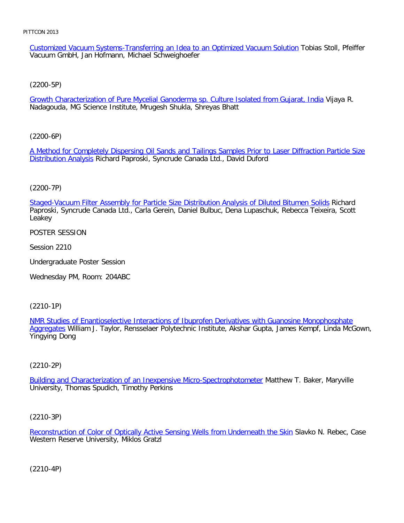Customized Vacuum Systems-Transferring an Idea to an Optimized Vacuum Solution Tobias Stoll, Pfeiffer Vacuum GmbH, Jan Hofmann, Michael Schweighoefer

[\(2200-5P\)](file:///p|/print%20on%20demand%20titles/23101-23200/23133/23133%20source%20materials/papers/2200-5.htm)

Growth Characterization of Pure Mycelial Ganoderma sp. Culture Isolated from Gujarat, India Vijaya R. Nadagouda, MG Science Institute, Mrugesh Shukla, Shreyas Bhatt

[\(2200-6P\)](file:///p|/print%20on%20demand%20titles/23101-23200/23133/23133%20source%20materials/papers/2200-6.htm)

[A Method for Co](file:///p|/print%20on%20demand%20titles/23101-23200/23133/23133%20source%20materials/papers/2200-6.htm)mpletely Dispersing Oil Sands and Tailings Samples Prior to Laser Diffraction Particle Size Distribution Analysis Richard Paproski, Syncrude Canada Ltd., David Duford

(2200-7P)

[Staged-Vacuum Filter Assembly for Particle Size Distribution Analysis of Diluted Bitumen Solids](file:///p|/print%20on%20demand%20titles/23101-23200/23133/23133%20source%20materials/papers/2200-7.htm) Richard Paproski, Syncrude Canada Ltd., Carla Gerein, Daniel Bulbuc, Dena Lupaschuk, Rebecca Teixeira, Scott Leakey

POSTER SESSION

Session 2210

Undergraduate Poster Session

Wednesday PM, Room: 204ABC

(2210-1P)

NMR Studies of Enantioselective Interactions of Ibuprofen Derivatives with Guanosine Monophosphate Aggregates [William J. Taylor, Rensselaer Polytechnic Institute, Akshar Gupta, James Kempf, Linda McGown,](file:///p|/print%20on%20demand%20titles/23101-23200/23133/23133%20source%20materials/papers/2210-1.htm) [Yingyin](file:///p|/print%20on%20demand%20titles/23101-23200/23133/23133%20source%20materials/papers/2210-1.htm)g Dong

### (2210-2P)

Building and Characterization of an Inexpensive Micro-Spectrophotometer Matthew T. Baker, Maryville [University, Thomas Spudich, Timothy Perkins](file:///p|/print%20on%20demand%20titles/23101-23200/23133/23133%20source%20materials/papers/2210-2.htm)

(2210-3P)

Reconstruction of Color of Optically Active Sensing Wells from Underneath the Skin Slavko N. Rebec, Case Western Reserve University, Miklos Gratzl

(2210-4P)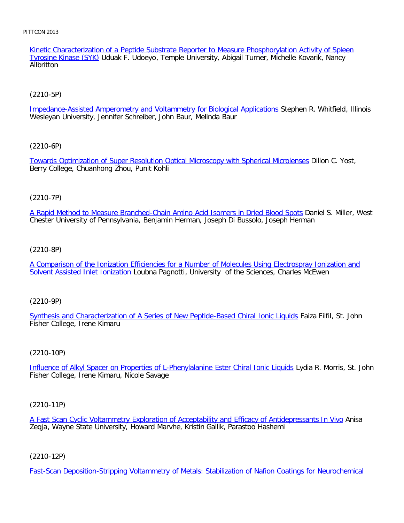Kinetic Characterization of a Peptide Substrate Reporter to Measure Phosphorylation Activity of Spleen Tyrosine Kinase (SYK) Uduak F. Udoeyo, Temple University, Abigail Turner, Michelle Kovarik, Nancy **Allbritton** 

# [\(2210-5P\)](file:///p|/print%20on%20demand%20titles/23101-23200/23133/23133%20source%20materials/papers/2210-5.htm)

Impedance-Assisted Amperometry and Voltammetry for Biological Applications Stephen R. Whitfield, Illinois Wesleyan University, Jennifer Schreiber, John Baur, Melinda Baur

## [\(2210-6P\)](file:///p|/print%20on%20demand%20titles/23101-23200/23133/23133%20source%20materials/papers/2210-6.htm)

Towards Optimization of Super Resolution Optical Microscopy with Spherical Microlenses Dillon C. Yost, Berry College, Chuanhong Zhou, Punit Kohli

# (2210-7P)

[A Rapid Method to Measure Branched-Chain Amino Acid Isomers in Dried Blood Spots](file:///p|/print%20on%20demand%20titles/23101-23200/23133/23133%20source%20materials/papers/2210-7.htm) Daniel S. Miller, West Chester University of Pennsylvania, Benjamin Herman, Joseph Di Bussolo, Joseph Herman

## (2210-8P)

[A Comparison of the Ionization Efficiencies for a Number of Molecules Using Electrospray Ionization and](file:///p|/print%20on%20demand%20titles/23101-23200/23133/23133%20source%20materials/papers/2210-8.htm) [Solvent Assisted Inlet Ionizatio](file:///p|/print%20on%20demand%20titles/23101-23200/23133/23133%20source%20materials/papers/2210-8.htm)n Loubna Pagnotti, University of the Sciences, Charles McEwen

## (2210-9P)

[Synthesis and Characterization of A Series of New Peptide-Based Chiral Ionic Liquids](file:///p|/print%20on%20demand%20titles/23101-23200/23133/23133%20source%20materials/papers/2210-9.htm) Faiza Filfil, St. John Fisher College, Irene Kimaru

## (2210-10P)

Influence of Alkyl Spacer on Properties of L-Phenylalanine Ester Chiral Ionic Liquids Lydia R. Morris, St. John [Fisher College, Irene Kimaru, Nicole Savage](file:///p|/print%20on%20demand%20titles/23101-23200/23133/23133%20source%20materials/papers/2210-10.htm)

## (2210-11P)

A Fast Scan Cyclic Voltammetry Exploration of Acceptability and Efficacy of Antidepressants In Vivo Anisa Zeqja, Wayne State University, Howard Marvhe, Kristin Gallik, Parastoo Hashemi

## (2210-12P)

Fast-Scan Deposition-Stripping Voltammetry of Metals: Stabilization of Nafion Coatings for Neurochemical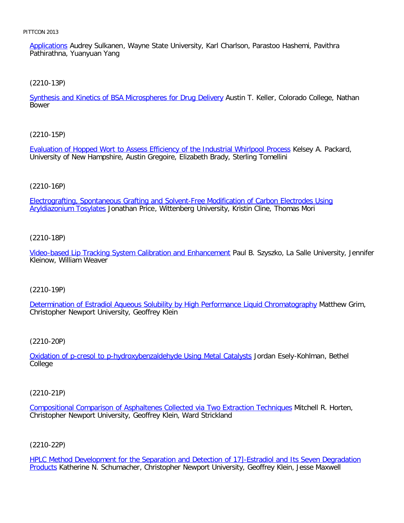Applications Audrey Sulkanen, Wayne State University, Karl Charlson, Parastoo Hashemi, Pavithra Pathirathna, Yuanyuan Yang

[\(2210-13P\)](file:///p|/print%20on%20demand%20titles/23101-23200/23133/23133%20source%20materials/papers/2210-13.htm)

Synthesis and Kinetics of BSA Microspheres for Drug Delivery Austin T. Keller, Colorado College, Nathan Bower

[\(2210-15P\)](file:///p|/print%20on%20demand%20titles/23101-23200/23133/23133%20source%20materials/papers/2210-15.htm)

Evaluation of Hopped Wort to Assess Efficiency of the Industrial Whirlpool Process Kelsey A. Packard, University of New Hampshire, Austin Gregoire, Elizabeth Brady, Sterling Tomellini

### (2210-16P)

[Electrografting, Spontaneous Grafting and Solvent-Free Modification of Carbon Electrodes Using](file:///p|/print%20on%20demand%20titles/23101-23200/23133/23133%20source%20materials/papers/2210-16.htm) Aryldiazonium Tosylates Jonathan Price, Wittenberg University, Kristin Cline, Thomas Mori

### (2210-18P)

[Video-based Lip Tracking System Calibration and Enhancement](file:///p|/print%20on%20demand%20titles/23101-23200/23133/23133%20source%20materials/papers/2210-18.htm) Paul B. Szyszko, La Salle University, Jennifer Kleinow, William Weaver

### (2210-19P)

[Determination of Estradiol Aqueous Solubility by High Performance Liquid Chromatography](file:///p|/print%20on%20demand%20titles/23101-23200/23133/23133%20source%20materials/papers/2210-19.htm) Matthew Grim, Christopher Newport University, Geoffrey Klein

(2210-20P)

Oxidation of p-cresol to p-hydroxybenzaldehyde Using Metal Catalysts Jordan Esely-Kohlman, Bethel [College](file:///p|/print%20on%20demand%20titles/23101-23200/23133/23133%20source%20materials/papers/2210-20.htm)

(2210-21P)

Compositional Comparison of Asphaltenes Collected via Two Extraction Techniques Mitchell R. Horten, Christopher Newport University, Geoffrey Klein, Ward Strickland

(2210-22P)

HPLC Method Development for the Separation and Detection of 17]-Estradiol and Its Seven Degradation Products Katherine N. Schumacher, Christopher Newport University, Geoffrey Klein, Jesse Maxwell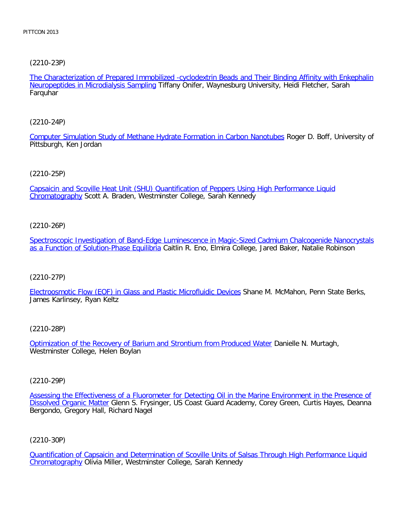[\(2210-23P\)](file:///p|/print%20on%20demand%20titles/23101-23200/23133/23133%20source%20materials/papers/2210-23.htm)

The Characterization of Prepared Immobilized -cyclodextrin Beads and Their Binding Affinity with Enkephalin Neuropeptides in Microdialysis Sampling Tiffany Onifer, Waynesburg University, Heidi Fletcher, Sarah **Farquhar** 

[\(2210-24P\)](file:///p|/print%20on%20demand%20titles/23101-23200/23133/23133%20source%20materials/papers/2210-24.htm)

Computer Simulation Study of Methane Hydrate Formation in Carbon Nanotubes Roger D. Boff, University of Pittsburgh, Ken Jordan

### [\(2210-25P\)](file:///p|/print%20on%20demand%20titles/23101-23200/23133/23133%20source%20materials/papers/2210-25.htm)

[Capsaicin an](file:///p|/print%20on%20demand%20titles/23101-23200/23133/23133%20source%20materials/papers/2210-25.htm)d Scoville Heat Unit (SHU) Quantification of Peppers Using High Performance Liquid Chromatography Scott A. Braden, Westminster College, Sarah Kennedy

### (2210-26P)

[Spectroscopic Investigation of Band-Edge Luminescence in Magic-Sized Cadmium Chalcogenide Nanocrystals](file:///p|/print%20on%20demand%20titles/23101-23200/23133/23133%20source%20materials/papers/2210-26.htm) [as a Function of Solution-Phase Equilibri](file:///p|/print%20on%20demand%20titles/23101-23200/23133/23133%20source%20materials/papers/2210-26.htm)a Caitlin R. Eno, Elmira College, Jared Baker, Natalie Robinson

### (2210-27P)

[Electroosmotic Flow \(EOF\) in Glass and Plastic Microfluidic Devices](file:///p|/print%20on%20demand%20titles/23101-23200/23133/23133%20source%20materials/papers/2210-27.htm) Shane M. McMahon, Penn State Berks, James Karlinsey, Ryan Keltz

(2210-28P)

Optimization of the Recovery of Barium and Strontium from Produced Water Danielle N. Murtagh, [Westminster College, Helen Boylan](file:///p|/print%20on%20demand%20titles/23101-23200/23133/23133%20source%20materials/papers/2210-28.htm)

(2210-29P)

Assessing the Effectiveness of a Fluorometer for Detecting Oil in the Marine Environment in the Presence of Dissolved Organic Matter Glenn S. Frysinger, US Coast Guard Academy, Corey Green, Curtis Hayes, Deanna [Bergondo, Gregory Hall, Richard Nagel](file:///p|/print%20on%20demand%20titles/23101-23200/23133/23133%20source%20materials/papers/2210-29.htm)

(2210-30P)

Quantification of Capsaicin and Determination of Scoville Units of Salsas Through High Performance Liquid Chromatography Olivia Miller, Westminster College, Sarah Kennedy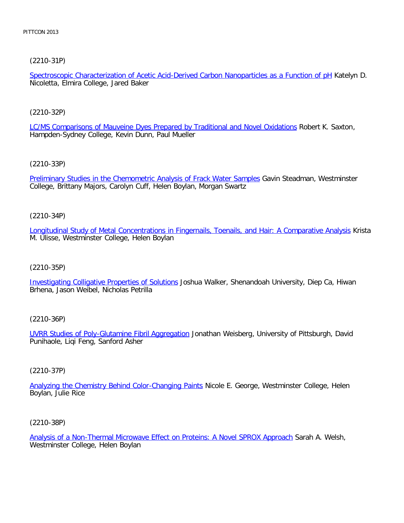[\(2210-31P\)](file:///p|/print%20on%20demand%20titles/23101-23200/23133/23133%20source%20materials/papers/2210-31.htm)

Spectroscopic Characterization of Acetic Acid-Derived Carbon Nanoparticles as a Function of pH Katelyn D. Nicoletta, Elmira College, Jared Baker

[\(2210-32P\)](file:///p|/print%20on%20demand%20titles/23101-23200/23133/23133%20source%20materials/papers/2210-32.htm)

LC/MS Comparisons of Mauveine Dyes Prepared by Traditional and Novel Oxidations Robert K. Saxton, Hampden-Sydney College, Kevin Dunn, Paul Mueller

[\(2210-33P\)](file:///p|/print%20on%20demand%20titles/23101-23200/23133/23133%20source%20materials/papers/2210-33.htm)

Preliminary Studies in the Chemometric Analysis of Frack Water Samples Gavin Steadman, Westminster College, Brittany Majors, Carolyn Cuff, Helen Boylan, Morgan Swartz

(2210-34P)

[Longitudinal Study of Metal Concentrations in Fingernails, Toenails, and Hair: A Comparative Analysis](file:///p|/print%20on%20demand%20titles/23101-23200/23133/23133%20source%20materials/papers/2210-34.htm) Krista M. Ulisse, Westminster College, Helen Boylan

(2210-35P)

[Investigating Colligative Properties of Solutions](file:///p|/print%20on%20demand%20titles/23101-23200/23133/23133%20source%20materials/papers/2210-35.htm) Joshua Walker, Shenandoah University, Diep Ca, Hiwan Brhena, Jason Weibel, Nicholas Petrilla

(2210-36P)

UVRR Studies of Poly-Glutamine Fibril Aggregation Jonathan Weisberg, University of Pittsburgh, David [Punihaole, Liqi Feng, Sanford Asher](file:///p|/print%20on%20demand%20titles/23101-23200/23133/23133%20source%20materials/papers/2210-36.htm)

(2210-37P)

Analyzing the Chemistry Behind Color-Changing Paints Nicole E. George, Westminster College, Helen [Boylan, Julie Rice](file:///p|/print%20on%20demand%20titles/23101-23200/23133/23133%20source%20materials/papers/2210-37.htm)

(2210-38P)

Analysis of a Non-Thermal Microwave Effect on Proteins: A Novel SPROX Approach Sarah A. Welsh, Westminster College, Helen Boylan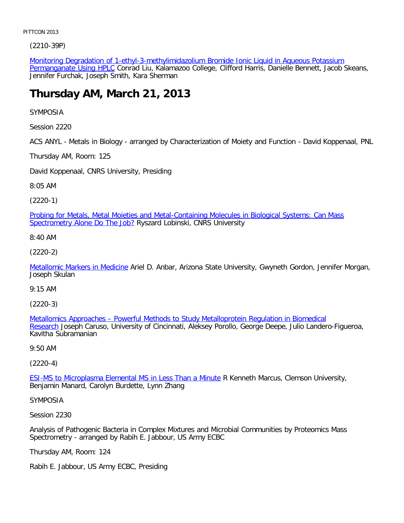[\(2210-39P\)](file:///p|/print%20on%20demand%20titles/23101-23200/23133/23133%20source%20materials/papers/2210-39.htm)

Monitoring Degradation of 1-ethyl-3-methylimidazolium Bromide Ionic Liquid in Aqueous Potassium Permanganate Using HPLC Conrad Liu, Kalamazoo College, Clifford Harris, Danielle Bennett, Jacob Skeans, Jennifer Furchak, Joseph Smith, Kara Sherman

# **Thursday AM, March 21, 2013**

SYMPOSIA

Session 2220

ACS ANYL - Metals in Biology - arranged by Characterization of Moiety and Function - David Koppenaal, PNL

Thursday AM, Room: 125

David Koppenaal, CNRS University, Presiding

8:05 AM

(2220-1)

[Probing for Metals, Metal Moieties and Metal-Containing Molecules in Biological Systems: Can Mass](file:///p|/print%20on%20demand%20titles/23101-23200/23133/23133%20source%20materials/papers/2220-1.htm) Spectrometry Alone Do The Job? Ryszard Lobinski, CNRS University

8:40 AM

(2220-2)

[Metallomic Markers in Medici](file:///p|/print%20on%20demand%20titles/23101-23200/23133/23133%20source%20materials/papers/2220-2.htm)ne Ariel D. Anbar, Arizona State University, Gwyneth Gordon, Jennifer Morgan, Joseph Skulan

9:15 AM

(2220-3)

Metallomics Approaches – Powerful Methods to Study Metalloprotein Regulation in Biomedical Research [Joseph Caruso, University of Cincinnati, Aleksey Porollo, George Deepe, Julio Landero-Fig](file:///p|/print%20on%20demand%20titles/23101-23200/23133/23133%20source%20materials/papers/2220-3.htm)ueroa, [Kavit](file:///p|/print%20on%20demand%20titles/23101-23200/23133/23133%20source%20materials/papers/2220-3.htm)ha Subramanian

9:50 AM

(2220-4)

**ESI-MS to Microplasma Elemental MS in Less Than a Minute R Kenneth Marcus, Clemson University,** [Benjamin Manard, Carolyn Burdette, Lynn Zhang](file:///p|/print%20on%20demand%20titles/23101-23200/23133/23133%20source%20materials/papers/2220-4.htm)

SYMPOSIA

Session 2230

Analysis of Pathogenic Bacteria in Complex Mixtures and Microbial Communities by Proteomics Mass Spectrometry - arranged by Rabih E. Jabbour, US Army ECBC

Thursday AM, Room: 124

Rabih E. Jabbour, US Army ECBC, Presiding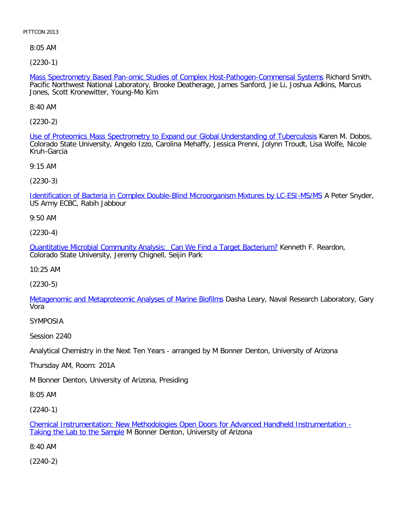8:05 AM

[\(2230-1\)](file:///p|/print%20on%20demand%20titles/23101-23200/23133/23133%20source%20materials/papers/2230-1.htm)

Mass Spectrometry Based Pan-omic Studies of Complex Host-Pathogen-Commensal Systems Richard Smith, Pacific Northwest National Laboratory, Brooke Deatherage, James Sanford, Jie Li, Joshua Adkins, Marcus Jones, Scott Kronewitter, Young-Mo Kim

8:40 AM

[\(2230-2\)](file:///p|/print%20on%20demand%20titles/23101-23200/23133/23133%20source%20materials/papers/2230-2.htm)

Use of Proteomics Mass Spectrometry to Expand our Global Understanding of Tuberculosis Karen M. Dobos, Colorado State University, Angelo Izzo, Carolina Mehaffy, Jessica Prenni, Jolynn Troudt, Lisa Wolfe, Nicole Kruh-Garcia

9:15 AM

(2230-3)

[Identification of Bacteria in Complex Double-Blind Microorganism Mixtures by LC-ESI-MS/MS](file:///p|/print%20on%20demand%20titles/23101-23200/23133/23133%20source%20materials/papers/2230-3.htm) A Peter Snyder, US Army ECBC, Rabih Jabbour

9:50 AM

(2230-4)

[Quantitative Microbial Community Analysis: Can We Find a Target Bacterium?](file:///p|/print%20on%20demand%20titles/23101-23200/23133/23133%20source%20materials/papers/2230-4.htm) Kenneth F. Reardon, Colorado State University, Jeremy Chignell, Seijin Park

10:25 AM

(2230-5)

[Metagenomic and Metaproteomic Analyses of Marine Biofilms](file:///p|/print%20on%20demand%20titles/23101-23200/23133/23133%20source%20materials/papers/2230-5.htm) Dasha Leary, Naval Research Laboratory, Gary Vora

SYMPOSIA

Session 2240

Analytical Chemistry in the Next Ten Years - arranged by M Bonner Denton, University of Arizona

Thursday AM, Room: 201A

M Bonner Denton, University of Arizona, Presiding

8:05 AM

(2240-1)

Chemical Instrumentation: New Methodologies Open Doors for Advanced Handheld Instrumentation - Taking the Lab to the Sample M Bonner Denton, University of Arizona

[8:40 AM](file:///p|/print%20on%20demand%20titles/23101-23200/23133/23133%20source%20materials/papers/2240-1.htm)

(2240-2)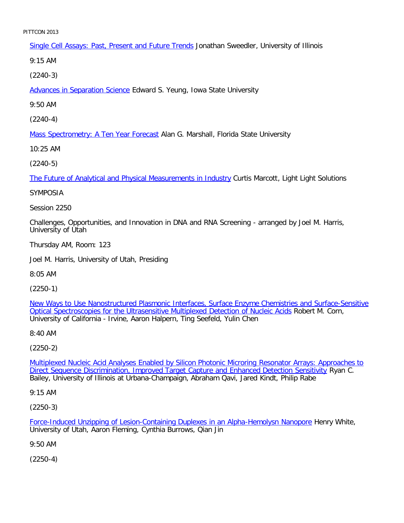Single Cell Assays: Past, Present and Future Trends Jonathan Sweedler, University of Illinois

9:15 AM

[\(2240-3\)](file:///p|/print%20on%20demand%20titles/23101-23200/23133/23133%20source%20materials/papers/2240-3.htm)

Advances in Separation Science Edward S. Yeung, Iowa State University

9:50 AM

[\(2240-4\)](file:///p|/print%20on%20demand%20titles/23101-23200/23133/23133%20source%20materials/papers/2240-4.htm)

Mass Spectrometry: A Ten Year Forecast Alan G. Marshall, Florida State University

10:25 AM

[\(2240-5\)](file:///p|/print%20on%20demand%20titles/23101-23200/23133/23133%20source%20materials/papers/2240-5.htm)

The Future of Analytical and Physical Measurements in Industry Curtis Marcott, Light Light Solutions

# SYMPOSIA

Session 2250

Challenges, Opportunities, and Innovation in DNA and RNA Screening - arranged by Joel M. Harris, University of Utah

Thursday AM, Room: 123

Joel M. Harris, University of Utah, Presiding

8:05 AM

(2250-1)

New Ways to Use Nanostructured Plasmonic Interfaces, Surface Enzyme Chemistries and Surface-Sensitive [Optical Spectroscopies for the Ultrasensitive Multiplexed Detection of Nucleic Acids](file:///p|/print%20on%20demand%20titles/23101-23200/23133/23133%20source%20materials/papers/2250-1.htm) Robert M. Corn, [University of California - Irvine, Aaron Halpern, Ting Seefeld, Yulin Chen](file:///p|/print%20on%20demand%20titles/23101-23200/23133/23133%20source%20materials/papers/2250-1.htm)

8:40 AM

(2250-2)

Multiplexed Nucleic Acid Analyses Enabled by Silicon Photonic Microring Resonator Arrays: Approaches to [Direct Sequence Discrimination, Improved Target Capture and Enhanced Detection Sensitivity](file:///p|/print%20on%20demand%20titles/23101-23200/23133/23133%20source%20materials/papers/2250-2.htm) Ryan C. [Bailey, University of Illinois at Urbana-Champaign, Abraham Qavi, Jared Kindt, Philip Rabe](file:///p|/print%20on%20demand%20titles/23101-23200/23133/23133%20source%20materials/papers/2250-2.htm)

9:15 AM

(2250-3)

Force-Induced Unzipping of Lesion-Containing Duplexes in an Alpha-Hemolysn Nanopore Henry White, University of Utah, Aaron Fleming, Cynthia Burrows, Qian Jin

[9:50 AM](file:///p|/print%20on%20demand%20titles/23101-23200/23133/23133%20source%20materials/papers/2250-3.htm)

(2250-4)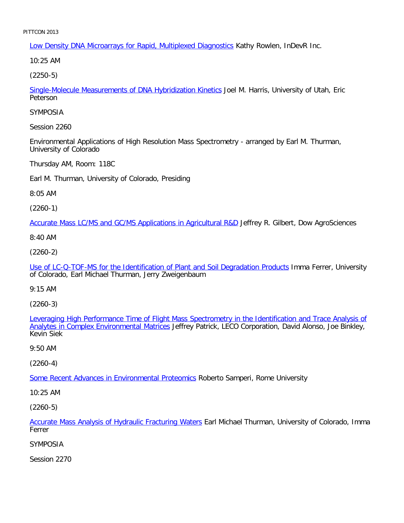Low Density DNA Microarrays for Rapid, Multiplexed Diagnostics Kathy Rowlen, InDevR Inc.

10:25 AM

[\(2250-5\)](file:///p|/print%20on%20demand%20titles/23101-23200/23133/23133%20source%20materials/papers/2250-5.htm)

Single-Molecule Measurements of DNA Hybridization Kinetics Joel M. Harris, University of Utah, Eric Peterson

SYMPOSIA

Session 2260

Environmental Applications of High Resolution Mass Spectrometry - arranged by Earl M. Thurman, University of Colorado

Thursday AM, Room: 118C

Earl M. Thurman, University of Colorado, Presiding

8:05 AM

(2260-1)

[Accurate Mass LC/MS and GC/MS Applications in Agricultural R&D](file:///p|/print%20on%20demand%20titles/23101-23200/23133/23133%20source%20materials/papers/2260-1.htm) Jeffrey R. Gilbert, Dow AgroSciences

8:40 AM

(2260-2)

[Use of LC-Q-TOF-MS for the Identification of Plant and Soil Degradation Products](file:///p|/print%20on%20demand%20titles/23101-23200/23133/23133%20source%20materials/papers/2260-2.htm) Imma Ferrer, University of Colorado, Earl Michael Thurman, Jerry Zweigenbaum

9:15 AM

(2260-3)

Leveraging High Performance Time of Flight Mass Spectrometry in the Identification and Trace Analysis of Analytes in Complex Environmental Matrices [Jeffrey Patrick, LECO Corporation, David Alonso, Joe Binkley,](file:///p|/print%20on%20demand%20titles/23101-23200/23133/23133%20source%20materials/papers/2260-3.htm) [Kevin Siek](file:///p|/print%20on%20demand%20titles/23101-23200/23133/23133%20source%20materials/papers/2260-3.htm)

9:50 AM

(2260-4)

Some Recent Advances in Environmental Proteomics Roberto Samperi, Rome University

[10:25 AM](file:///p|/print%20on%20demand%20titles/23101-23200/23133/23133%20source%20materials/papers/2260-4.htm)

(2260-5)

Accurate Mass Analysis of Hydraulic Fracturing Waters Earl Michael Thurman, University of Colorado, Imma Ferrer

[SYMPOSIA](file:///p|/print%20on%20demand%20titles/23101-23200/23133/23133%20source%20materials/papers/2260-5.htm)

Session 2270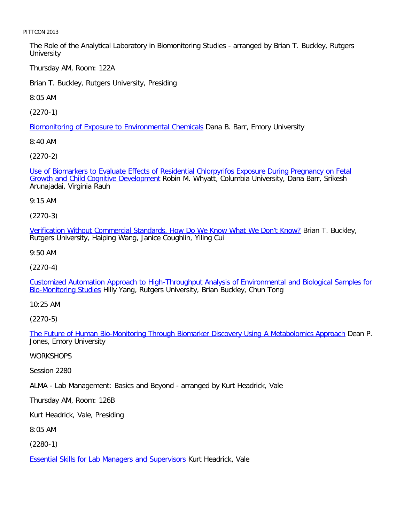The Role of the Analytical Laboratory in Biomonitoring Studies - arranged by Brian T. Buckley, Rutgers **University** 

Thursday AM, Room: 122A

Brian T. Buckley, Rutgers University, Presiding

8:05 AM

[\(2270-1\)](file:///p|/print%20on%20demand%20titles/23101-23200/23133/23133%20source%20materials/papers/2270-1.htm)

Biomonitoring of Exposure to Environmental Chemicals Dana B. Barr, Emory University

8:40 AM

[\(2270-2\)](file:///p|/print%20on%20demand%20titles/23101-23200/23133/23133%20source%20materials/papers/2270-2.htm)

[Use of Biomarkers to Evaluate Effects of](file:///p|/print%20on%20demand%20titles/23101-23200/23133/23133%20source%20materials/papers/2270-2.htm) Residential Chlorpyrifos Exposure During Pregnancy on Fetal Growth and Child Cognitive Development Robin M. Whyatt, Columbia University, Dana Barr, Srikesh Arunajadai, Virginia Rauh

9:15 AM

(2270-3)

[Verification Without Commercial Standards, How Do We Know What We Don't Know?](file:///p|/print%20on%20demand%20titles/23101-23200/23133/23133%20source%20materials/papers/2270-3.htm) Brian T. Buckley, Rutgers University, Haiping Wang, Janice Coughlin, Yiling Cui

9:50 AM

(2270-4)

[Customized Automation Approach to High-Throughput Analysis of Environmental and Biological Samples for](file:///p|/print%20on%20demand%20titles/23101-23200/23133/23133%20source%20materials/papers/2270-4.htm) [Bio-Monitoring Stud](file:///p|/print%20on%20demand%20titles/23101-23200/23133/23133%20source%20materials/papers/2270-4.htm)ies Hilly Yang, Rutgers University, Brian Buckley, Chun Tong

10:25 AM

(2270-5)

The Future of Human Bio-Monitoring Through Biomarker Discovery Using A Metabolomics Approach Dean P. [Jones, Emory University](file:///p|/print%20on%20demand%20titles/23101-23200/23133/23133%20source%20materials/papers/2270-5.htm)

**WORKSHOPS** 

Session 2280

ALMA - Lab Management: Basics and Beyond - arranged by Kurt Headrick, Vale

Thursday AM, Room: 126B

Kurt Headrick, Vale, Presiding

8:05 AM

(2280-1)

**Essential Skills for Lab Managers and Supervisors Kurt Headrick, Vale**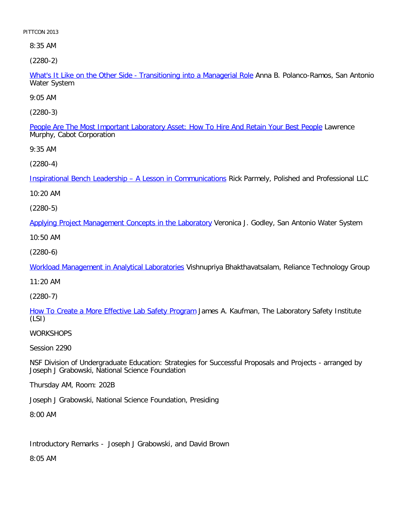8:35 AM

[\(2280-2\)](file:///p|/print%20on%20demand%20titles/23101-23200/23133/23133%20source%20materials/papers/2280-2.htm)

What's It Like on the Other Side - Transitioning into a Managerial Role Anna B. Polanco-Ramos, San Antonio Water System

9:05 AM

[\(2280-3\)](file:///p|/print%20on%20demand%20titles/23101-23200/23133/23133%20source%20materials/papers/2280-3.htm)

People Are The Most Important Laboratory Asset: How To Hire And Retain Your Best People Lawrence Murphy, Cabot Corporation

9:35 AM

[\(2280-4\)](file:///p|/print%20on%20demand%20titles/23101-23200/23133/23133%20source%20materials/papers/2280-4.htm)

Inspirational Bench Leadership – A Lesson in Communications Rick Parmely, Polished and Professional LLC

10:20 AM

(2280-5)

[Applying Project Management Concepts in the Laboratory](file:///p|/print%20on%20demand%20titles/23101-23200/23133/23133%20source%20materials/papers/2280-5.htm) Veronica J. Godley, San Antonio Water System

10:50 AM

(2280-6)

[Workload Management in Analytical Laboratories](file:///p|/print%20on%20demand%20titles/23101-23200/23133/23133%20source%20materials/papers/2280-6.htm) Vishnupriya Bhakthavatsalam, Reliance Technology Group

11:20 AM

(2280-7)

[How To Create a More Effective Lab Safety Program](file:///p|/print%20on%20demand%20titles/23101-23200/23133/23133%20source%20materials/papers/2280-7.htm) James A. Kaufman, The Laboratory Safety Institute (LSI)

**WORKSHOPS** 

Session 2290

NSF Division of Undergraduate Education: Strategies for Successful Proposals and Projects - arranged by Joseph J Grabowski, National Science Foundation

Thursday AM, Room: 202B

Joseph J Grabowski, National Science Foundation, Presiding

8:00 AM

Introductory Remarks - Joseph J Grabowski, and David Brown

8:05 AM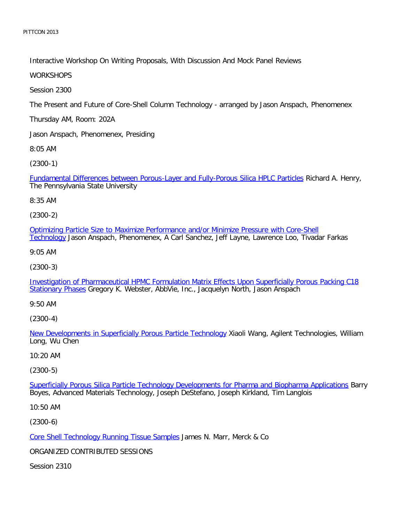Interactive Workshop On Writing Proposals, With Discussion And Mock Panel Reviews

**WORKSHOPS** 

Session 2300

The Present and Future of Core-Shell Column Technology - arranged by Jason Anspach, Phenomenex

Thursday AM, Room: 202A

Jason Anspach, Phenomenex, Presiding

8:05 AM

[\(2300-1\)](file:///p|/print%20on%20demand%20titles/23101-23200/23133/23133%20source%20materials/papers/2300-1.htm)

Fundamental Differences between Porous-Layer and Fully-Porous Silica HPLC Particles Richard A. Henry, The Pennsylvania State University

8:35 AM

(2300-2)

[Optimizing Particle Size to Maximize Performance and/or Minimize Pressure with Core-Shell](file:///p|/print%20on%20demand%20titles/23101-23200/23133/23133%20source%20materials/papers/2300-2.htm) [Techno](file:///p|/print%20on%20demand%20titles/23101-23200/23133/23133%20source%20materials/papers/2300-2.htm)logy Jason Anspach, Phenomenex, A Carl Sanchez, Jeff Layne, Lawrence Loo, Tivadar Farkas

9:05 AM

(2300-3)

[Investigation of Pharmaceutical HPMC Formulation Matrix Effects Upon Superficially Porous Packing C18](file:///p|/print%20on%20demand%20titles/23101-23200/23133/23133%20source%20materials/papers/2300-3.htm) [Stationary Pha](file:///p|/print%20on%20demand%20titles/23101-23200/23133/23133%20source%20materials/papers/2300-3.htm)ses Gregory K. Webster, AbbVie, Inc., Jacquelyn North, Jason Anspach

9:50 AM

(2300-4)

New Developments in Superficially Porous Particle Technology Xiaoli Wang, Agilent Technologies, William [Long, Wu Chen](file:///p|/print%20on%20demand%20titles/23101-23200/23133/23133%20source%20materials/papers/2300-4.htm)

10:20 AM

(2300-5)

Superficially Porous Silica Particle Technology Developments for Pharma and Biopharma Applications Barry [Boyes, Advanced Materials Technology, Joseph DeStefano, Joseph Kirkland, Tim Langlois](file:///p|/print%20on%20demand%20titles/23101-23200/23133/23133%20source%20materials/papers/2300-5.htm)

10:50 AM

(2300-6)

Core Shell Technology Running Tissue Samples James N. Marr, Merck & Co

[ORGANIZED CONTRIBUTED SESSIONS](file:///p|/print%20on%20demand%20titles/23101-23200/23133/23133%20source%20materials/papers/2300-6.htm)

Session 2310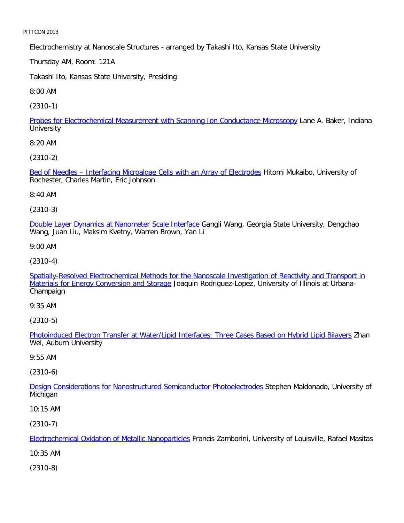Electrochemistry at Nanoscale Structures - arranged by Takashi Ito, Kansas State University

Thursday AM, Room: 121A

Takashi Ito, Kansas State University, Presiding

8:00 AM

[\(2310-1\)](file:///p|/print%20on%20demand%20titles/23101-23200/23133/23133%20source%20materials/papers/2310-1.htm)

Probes for Electrochemical Measurement with Scanning Ion Conductance Microscopy Lane A. Baker, Indiana **University** 

8:20 AM

[\(2310-2\)](file:///p|/print%20on%20demand%20titles/23101-23200/23133/23133%20source%20materials/papers/2310-2.htm)

Bed of Needles – Interfacing Microalgae Cells with an Array of Electrodes Hitomi Mukaibo, University of Rochester, Charles Martin, Eric Johnson

8:40 AM

(2310-3)

[Double Layer Dynamics at Nanometer Scale Interface](file:///p|/print%20on%20demand%20titles/23101-23200/23133/23133%20source%20materials/papers/2310-3.htm) Gangli Wang, Georgia State University, Dengchao Wang, Juan Liu, Maksim Kvetny, Warren Brown, Yan Li

9:00 AM

(2310-4)

[Spatially-Resolved Electrochemical Methods for the Nanoscale Investigation of Reactivity and Transport in](file:///p|/print%20on%20demand%20titles/23101-23200/23133/23133%20source%20materials/papers/2310-4.htm) [Materials for Energy Conversion and Storage](file:///p|/print%20on%20demand%20titles/23101-23200/23133/23133%20source%20materials/papers/2310-4.htm) Joaquin Rodriguez-Lopez, University of Illinois at Urbana-Champaign

9:35 AM

(2310-5)

Photoinduced Electron Transfer at Water/Lipid Interfaces: Three Cases Based on Hybrid Lipid Bilayers Zhan [Wei, Auburn University](file:///p|/print%20on%20demand%20titles/23101-23200/23133/23133%20source%20materials/papers/2310-5.htm)

# 9:55 AM

(2310-6)

Design Considerations for Nanostructured Semiconductor Photoelectrodes Stephen Maldonado, University of [Michigan](file:///p|/print%20on%20demand%20titles/23101-23200/23133/23133%20source%20materials/papers/2310-6.htm)

10:15 AM

(2310-7)

Electrochemical Oxidation of Metallic Nanoparticles Francis Zamborini, University of Louisville, Rafael Masitas

[10:35 AM](file:///p|/print%20on%20demand%20titles/23101-23200/23133/23133%20source%20materials/papers/2310-7.htm)

(2310-8)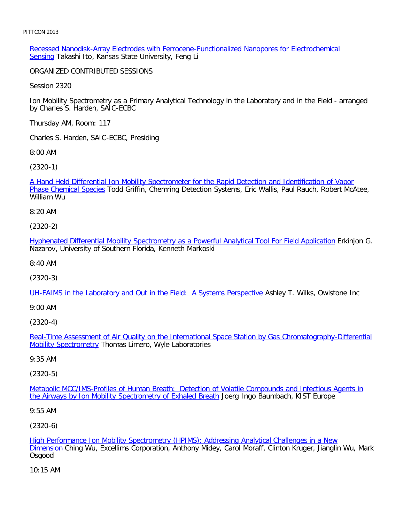Recessed Nanodisk-Array Electrodes with Ferrocene-Functionalized Nanopores for Electrochemical Sensing Takashi Ito, Kansas State University, Feng Li

ORGANIZED CONTRIBUTED SESSIONS

Session 2320

Ion Mobility Spectrometry as a Primary Analytical Technology in the Laboratory and in the Field - arranged by Charles S. Harden, SAIC-ECBC

Thursday AM, Room: 117

Charles S. Harden, SAIC-ECBC, Presiding

8:00 AM

[\(2320-1\)](file:///p|/print%20on%20demand%20titles/23101-23200/23133/23133%20source%20materials/papers/2320-1.htm)

[A Hand Held Differen](file:///p|/print%20on%20demand%20titles/23101-23200/23133/23133%20source%20materials/papers/2320-1.htm)tial Ion Mobility Spectrometer for the Rapid Detection and Identification of Vapor Phase Chemical Species Todd Griffin, Chemring Detection Systems, Eric Wallis, Paul Rauch, Robert McAtee, William Wu

8:20 AM

(2320-2)

[Hyphenated Differential Mobility Spectrometry as a Powerful Analytical Tool For Field Application](file:///p|/print%20on%20demand%20titles/23101-23200/23133/23133%20source%20materials/papers/2320-2.htm) Erkinjon G. Nazarov, University of Southern Florida, Kenneth Markoski

8:40 AM

(2320-3)

[UH-FAIMS in the Laboratory and Out in the Field: A Systems Perspective](file:///p|/print%20on%20demand%20titles/23101-23200/23133/23133%20source%20materials/papers/2320-3.htm) Ashley T. Wilks, Owlstone Inc

9:00 AM

(2320-4)

Real-Time Assessment of Air Quality on the International Space Station by Gas Chromatography-Differential Mobility Spectrometry [Thomas Limero, Wyle Laboratories](file:///p|/print%20on%20demand%20titles/23101-23200/23133/23133%20source%20materials/papers/2320-4.htm)

[9:35 AM](file:///p|/print%20on%20demand%20titles/23101-23200/23133/23133%20source%20materials/papers/2320-4.htm)

(2320-5)

Metabolic MCC/IMS-Profiles of Human Breath: Detection of Volatile Compounds and Infectious Agents in [the Airways by Ion Mobility Spectrometry of Exhaled Breath](file:///p|/print%20on%20demand%20titles/23101-23200/23133/23133%20source%20materials/papers/2320-5.htm) Joerg Ingo Baumbach, KIST Europe

#### [9:55 AM](file:///p|/print%20on%20demand%20titles/23101-23200/23133/23133%20source%20materials/papers/2320-5.htm)

(2320-6)

High Performance Ion Mobility Spectrometry (HPIMS): Addressing Analytical Challenges in a New Dimension Ching Wu, Excellims Corporation, Anthony Midey, Carol Moraff, Clinton Kruger, Jianglin Wu, Mark [Osgood](file:///p|/print%20on%20demand%20titles/23101-23200/23133/23133%20source%20materials/papers/2320-6.htm)

[10:15](file:///p|/print%20on%20demand%20titles/23101-23200/23133/23133%20source%20materials/papers/2320-6.htm) AM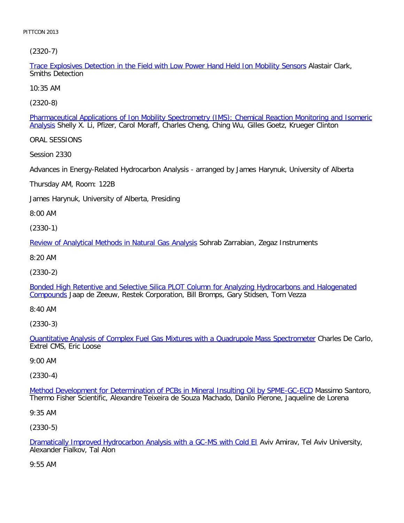[\(2320-7\)](file:///p|/print%20on%20demand%20titles/23101-23200/23133/23133%20source%20materials/papers/2320-7.htm)

Trace Explosives Detection in the Field with Low Power Hand Held Ion Mobility Sensors Alastair Clark, Smiths Detection

10:35 AM

[\(2320-8\)](file:///p|/print%20on%20demand%20titles/23101-23200/23133/23133%20source%20materials/papers/2320-8.htm)

Pharmaceutical Applications of Ion Mobility Spectrometry (IMS): Chemical Reaction Monitoring and Isomeric Analysis Shelly X. Li, Pfizer, Carol Moraff, Charles Cheng, Ching Wu, Gilles Goetz, Krueger Clinton

ORAL SESSIONS

Session 2330

Advances in Energy-Related Hydrocarbon Analysis - arranged by James Harynuk, University of Alberta

Thursday AM, Room: 122B

James Harynuk, University of Alberta, Presiding

8:00 AM

(2330-1)

[Review of Analytical Methods in Natural Gas Analysis](file:///p|/print%20on%20demand%20titles/23101-23200/23133/23133%20source%20materials/papers/2330-1.htm) Sohrab Zarrabian, Zegaz Instruments

8:20 AM

(2330-2)

[Bonded High Retentive and Selective Silica PLOT Column for Analyzing Hydrocarbons and Halogenated](file:///p|/print%20on%20demand%20titles/23101-23200/23133/23133%20source%20materials/papers/2330-2.htm) [Compou](file:///p|/print%20on%20demand%20titles/23101-23200/23133/23133%20source%20materials/papers/2330-2.htm)nds Jaap de Zeeuw, Restek Corporation, Bill Bromps, Gary Stidsen, Tom Vezza

8:40 AM

(2330-3)

Quantitative Analysis of Complex Fuel Gas Mixtures with a Quadrupole Mass Spectrometer Charles De Carlo, [Extrel CMS, Eric Loose](file:///p|/print%20on%20demand%20titles/23101-23200/23133/23133%20source%20materials/papers/2330-3.htm)

#### 9:00 AM

(2330-4)

Method Development for Determination of PCBs in Mineral Insulting Oil by SPME-GC-ECD Massimo Santoro, [Thermo Fisher Scientific, Alexandre Teixeira de Souza Machado, Danilo Pierone, Jaqueline de](file:///p|/print%20on%20demand%20titles/23101-23200/23133/23133%20source%20materials/papers/2330-4.htm) Lorena

9:35 AM

(2330-5)

Dramatically Improved Hydrocarbon Analysis with a GC-MS with Cold EI Aviv Amirav, Tel Aviv University, Alexander Fialkov, Tal Alon

[9:55 AM](file:///p|/print%20on%20demand%20titles/23101-23200/23133/23133%20source%20materials/papers/2330-5.htm)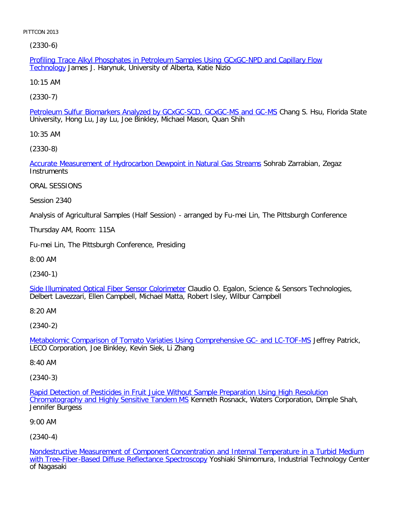[\(2330-](file:///p|/print%20on%20demand%20titles/23101-23200/23133/23133%20source%20materials/papers/2330-6.htm)6)

Profiling Trace Alkyl Phosphates in Petroleum Samples Using GCxGC-NPD and Capillary Flow Technology James J. Harynuk, University of Alberta, Katie Nizio

10:15 AM

[\(2330-7\)](file:///p|/print%20on%20demand%20titles/23101-23200/23133/23133%20source%20materials/papers/2330-7.htm)

Petroleum Sulfur Biomarkers Analyzed by GCxGC-SCD, GCxGC-MS and GC-MS Chang S. Hsu, Florida State University, Hong Lu, Jay Lu, Joe Binkley, Michael Mason, Quan Shih

10:35 AM

[\(2330-8\)](file:///p|/print%20on%20demand%20titles/23101-23200/23133/23133%20source%20materials/papers/2330-8.htm)

Accurate Measurement of Hydrocarbon Dewpoint in Natural Gas Streams Sohrab Zarrabian, Zegaz **Instruments** 

ORAL SESSIONS

Session 2340

Analysis of Agricultural Samples (Half Session) - arranged by Fu-mei Lin, The Pittsburgh Conference

Thursday AM, Room: 115A

Fu-mei Lin, The Pittsburgh Conference, Presiding

8:00 AM

(2340-1)

[Side Illuminated Optical Fiber Sensor Colorimeter](file:///p|/print%20on%20demand%20titles/23101-23200/23133/23133%20source%20materials/papers/2340-1.htm) Claudio O. Egalon, Science & Sensors Technologies, Delbert Lavezzari, Ellen Campbell, Michael Matta, Robert Isley, Wilbur Campbell

8:20 AM

(2340-2)

Metabolomic Comparison of Tomato Variaties Using Comprehensive GC- and LC-TOF-MS Jeffrey Patrick, [LECO Corporation, Joe Binkley, Kevin Siek, Li Zhang](file:///p|/print%20on%20demand%20titles/23101-23200/23133/23133%20source%20materials/papers/2340-2.htm)

8:40 AM

(2340-3)

Rapid Detection of Pesticides in Fruit Juice Without Sample Preparation Using High Resolution Chromatography and Highly Sensitive Tandem MS Kenneth Rosnack, Waters Corporation, Dimple Shah, [Jennifer Burgess](file:///p|/print%20on%20demand%20titles/23101-23200/23133/23133%20source%20materials/papers/2340-3.htm)

9:00 AM

(2340-4)

Nondestructive Measurement of Component Concentration and Internal Temperature in a Turbid Medium with Tree-Fiber-Based Diffuse Reflectance Spectroscopy Yoshiaki Shimomura, Industrial Technology Center [of Nagasaki](file:///p|/print%20on%20demand%20titles/23101-23200/23133/23133%20source%20materials/papers/2340-4.htm)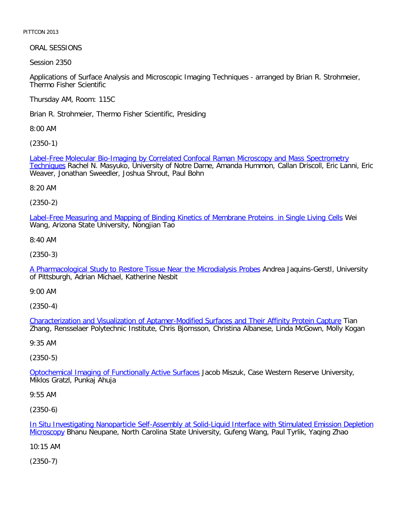ORAL SESSIONS

Session 2350

Applications of Surface Analysis and Microscopic Imaging Techniques - arranged by Brian R. Strohmeier, Thermo Fisher Scientific

Thursday AM, Room: 115C

Brian R. Strohmeier, Thermo Fisher Scientific, Presiding

8:00 AM

[\(2350-1\)](file:///p|/print%20on%20demand%20titles/23101-23200/23133/23133%20source%20materials/papers/2350-1.htm)

[Label-F](file:///p|/print%20on%20demand%20titles/23101-23200/23133/23133%20source%20materials/papers/2350-1.htm)ree Molecular Bio-Imaging by Correlated Confocal Raman Microscopy and Mass Spectrometry Techniques Rachel N. Masyuko, University of Notre Dame, Amanda Hummon, Callan Driscoll, Eric Lanni, Eric Weaver, Jonathan Sweedler, Joshua Shrout, Paul Bohn

8:20 AM

(2350-2)

[Label-Free Measuring and Mapping of Binding Kinetics of Membrane Proteins in Single Living Cells](file:///p|/print%20on%20demand%20titles/23101-23200/23133/23133%20source%20materials/papers/2350-2.htm) Wei Wang, Arizona State University, Nongjian Tao

8:40 AM

(2350-3)

[A Pharmacological Study to Restore Tissue Near the Microdialysis Probes](file:///p|/print%20on%20demand%20titles/23101-23200/23133/23133%20source%20materials/papers/2350-3.htm) Andrea Jaquins-Gerstl, University of Pittsburgh, Adrian Michael, Katherine Nesbit

9:00 AM

(2350-4)

Characterization and Visualization of Aptamer-Modified Surfaces and Their Affinity Protein Capture Tian [Zhang, Rensselaer Polytechnic Institute, Chris Bjornsson, Christina Albanese, Linda McGown, Molly Kog](file:///p|/print%20on%20demand%20titles/23101-23200/23133/23133%20source%20materials/papers/2350-4.htm)an

9:35 AM

(2350-5)

Optochemical Imaging of Functionally Active Surfaces Jacob Miszuk, Case Western Reserve University, [Miklos Gratzl, Punkaj Ahuja](file:///p|/print%20on%20demand%20titles/23101-23200/23133/23133%20source%20materials/papers/2350-5.htm)

9:55 AM

(2350-6)

In Situ Investigating Nanoparticle Self-Assembly at Solid-Liquid Interface with Stimulated Emission Depletion Microscopy Bhanu Neupane, North Carolina State University, Gufeng Wang, Paul Tyrlik, Yaqing Zhao

[10:15 AM](file:///p|/print%20on%20demand%20titles/23101-23200/23133/23133%20source%20materials/papers/2350-6.htm)

(2350-7)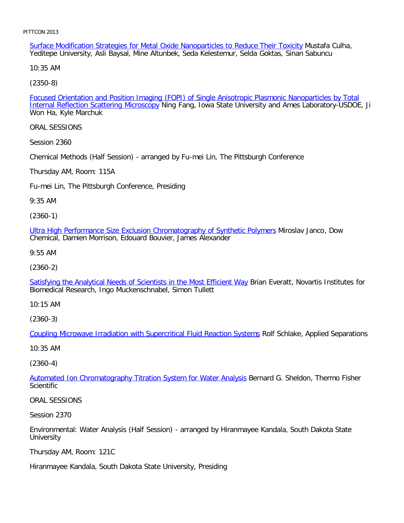Surface Modification Strategies for Metal Oxide Nanoparticles to Reduce Their Toxicity Mustafa Culha, Yeditepe University, Asli Baysal, Mine Altunbek, Seda Kelestemur, Selda Goktas, Sinan Sabuncu

10:35 AM

[\(2350-8\)](file:///p|/print%20on%20demand%20titles/23101-23200/23133/23133%20source%20materials/papers/2350-8.htm)

Focused Orientation and Position Imaging (FOPI) of Single Anisotropic Plasmonic Nanoparticles by Total Internal Reflection Scattering Microscopy Ning Fang, Iowa State University and Ames Laboratory-USDOE, Ji Won Ha, Kyle Marchuk

ORAL SESSIONS

Session 2360

Chemical Methods (Half Session) - arranged by Fu-mei Lin, The Pittsburgh Conference

Thursday AM, Room: 115A

Fu-mei Lin, The Pittsburgh Conference, Presiding

9:35 AM

(2360-1)

[Ultra High Performance Size Exclusion Chromatography of Synthetic Polymers](file:///p|/print%20on%20demand%20titles/23101-23200/23133/23133%20source%20materials/papers/2360-1.htm) Miroslav Janco, Dow Chemical, Damien Morrison, Edouard Bouvier, James Alexander

9:55 AM

(2360-2)

[Satisfying the Analytical Needs of Scientists in the Most Efficient Way](file:///p|/print%20on%20demand%20titles/23101-23200/23133/23133%20source%20materials/papers/2360-2.htm) Brian Everatt, Novartis Institutes for Biomedical Research, Ingo Muckenschnabel, Simon Tullett

10:15 AM

(2360-3)

[Coupling Microwave Irradiation with Supercritical Fluid Reaction Systems](file:///p|/print%20on%20demand%20titles/23101-23200/23133/23133%20source%20materials/papers/2360-3.htm) Rolf Schlake, Applied Separations

10:35 AM

(2360-4)

Automated Ion Chromatography Titration System for Water Analysis Bernard G. Sheldon, Thermo Fisher **[Scientific](file:///p|/print%20on%20demand%20titles/23101-23200/23133/23133%20source%20materials/papers/2360-4.htm)** 

ORAL SESSIONS

Session 2370

Environmental: Water Analysis (Half Session) - arranged by Hiranmayee Kandala, South Dakota State University

Thursday AM, Room: 121C

Hiranmayee Kandala, South Dakota State University, Presiding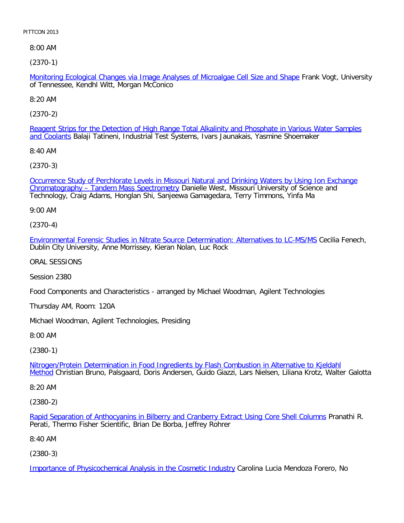8:00 AM

[\(2370-1\)](file:///p|/print%20on%20demand%20titles/23101-23200/23133/23133%20source%20materials/papers/2370-1.htm)

Monitoring Ecological Changes via Image Analyses of Microalgae Cell Size and Shape Frank Vogt, University of Tennessee, Kendhl Witt, Morgan McConico

8:20 AM

[\(2370-2\)](file:///p|/print%20on%20demand%20titles/23101-23200/23133/23133%20source%20materials/papers/2370-2.htm)

[Reagent](file:///p|/print%20on%20demand%20titles/23101-23200/23133/23133%20source%20materials/papers/2370-2.htm) Strips for the Detection of High Range Total Alkalinity and Phosphate in Various Water Samples and Coolants Balaji Tatineni, Industrial Test Systems, Ivars Jaunakais, Yasmine Shoemaker

8:40 AM

[\(2370-3\)](file:///p|/print%20on%20demand%20titles/23101-23200/23133/23133%20source%20materials/papers/2370-3.htm)

[Occurrence Study of Perchlorate Levels in Miss](file:///p|/print%20on%20demand%20titles/23101-23200/23133/23133%20source%20materials/papers/2370-3.htm)ouri Natural and Drinking Waters by Using Ion Exchange Chromatography - Tandem Mass Spectrometry Danielle West, Missouri University of Science and Technology, Craig Adams, Honglan Shi, Sanjeewa Gamagedara, Terry Timmons, Yinfa Ma

9:00 AM

(2370-4)

[Environmental Forensic Studies in Nitrate Source Determination: Alternatives to LC-MS/MS](file:///p|/print%20on%20demand%20titles/23101-23200/23133/23133%20source%20materials/papers/2370-4.htm) Cecilia Fenech, Dublin City University, Anne Morrissey, Kieran Nolan, Luc Rock

ORAL SESSIONS

Session 2380

Food Components and Characteristics - arranged by Michael Woodman, Agilent Technologies

Thursday AM, Room: 120A

Michael Woodman, Agilent Technologies, Presiding

8:00 AM

(2380-1)

Nitrogen/Protein Determination in Food Ingredients by Flash Combustion in Alternative to Kjeldahl Method [Christian Bruno, Palsgaard, Doris Andersen, Guido Giazzi, Lars Nielsen, Liliana Krotz, Walter Ga](file:///p|/print%20on%20demand%20titles/23101-23200/23133/23133%20source%20materials/papers/2380-1.htm)lotta

[8:2](file:///p|/print%20on%20demand%20titles/23101-23200/23133/23133%20source%20materials/papers/2380-1.htm)0 AM

(2380-2)

Rapid Separation of Anthocyanins in Bilberry and Cranberry Extract Using Core Shell Columns Pranathi R. Perati, Thermo Fisher Scientific, Brian De Borba, Jeffrey Rohrer

[8:40 AM](file:///p|/print%20on%20demand%20titles/23101-23200/23133/23133%20source%20materials/papers/2380-2.htm)

(2380-3)

Importance of Physicochemical Analysis in the Cosmetic Industry Carolina Lucia Mendoza Forero, No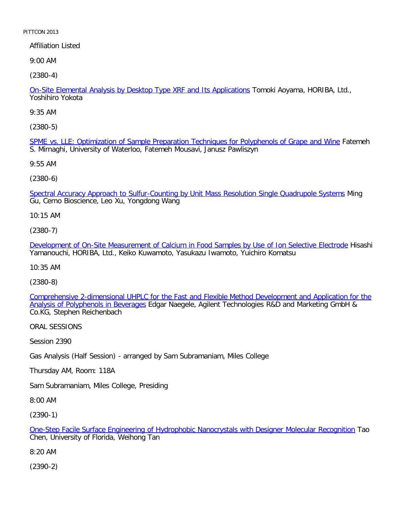Affiliation Listed

9:00 AM

[\(2380-4\)](file:///p|/print%20on%20demand%20titles/23101-23200/23133/23133%20source%20materials/papers/2380-4.htm)

On-Site Elemental Analysis by Desktop Type XRF and Its Applications Tomoki Aoyama, HORIBA, Ltd., Yoshihiro Yokota

9:35 AM

[\(2380-5\)](file:///p|/print%20on%20demand%20titles/23101-23200/23133/23133%20source%20materials/papers/2380-5.htm)

SPME vs. LLE: Optimization of Sample Preparation Techniques for Polyphenols of Grape and Wine Fatemeh S. Mirnaghi, University of Waterloo, Fatemeh Mousavi, Janusz Pawliszyn

9:55 AM

(2380-6)

[Spectral Accuracy Approach to Sulfur-Counting by Unit Mass Resolution Single Quadrupole Systems](file:///p|/print%20on%20demand%20titles/23101-23200/23133/23133%20source%20materials/papers/2380-6.htm) Ming Gu, Cerno Bioscience, Leo Xu, Yongdong Wang

10:15 AM

(2380-7)

[Development of On-Site Measurement of Calcium in Food Samples by Use of Ion Selective Electrode](file:///p|/print%20on%20demand%20titles/23101-23200/23133/23133%20source%20materials/papers/2380-7.htm) Hisashi Yamanouchi, HORIBA, Ltd., Keiko Kuwamoto, Yasukazu Iwamoto, Yuichiro Komatsu

10:35 AM

(2380-8)

[Comprehensive 2-dimensional UHPLC for the Fast and Flexible Method Development and Application for the](file:///p|/print%20on%20demand%20titles/23101-23200/23133/23133%20source%20materials/papers/2380-8.htm) Analysis of Polyphenols in Beverages Edgar Naegele, Agilent Technologies R&D and Marketing GmbH & [Co.KG, Stephen Reichenbach](file:///p|/print%20on%20demand%20titles/23101-23200/23133/23133%20source%20materials/papers/2380-8.htm)

ORAL SESSIONS

Session 2390

Gas Analysis (Half Session) - arranged by Sam Subramaniam, Miles College

Thursday AM, Room: 118A

Sam Subramaniam, Miles College, Presiding

8:00 AM

(2390-1)

One-Step Facile Surface Engineering of Hydrophobic Nanocrystals with Designer Molecular Recognition Tao Chen, University of Florida, Weihong Tan

[8:20 AM](file:///p|/print%20on%20demand%20titles/23101-23200/23133/23133%20source%20materials/papers/2390-1.htm)

(2390-2)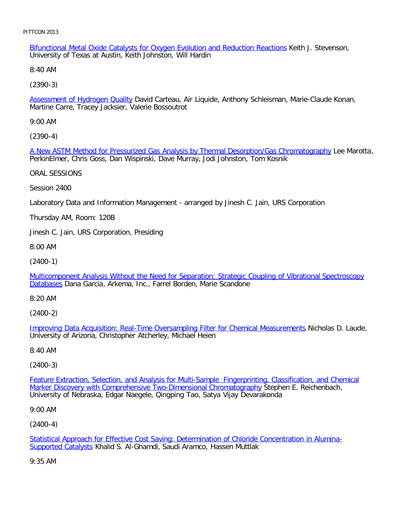Bifunctional Metal Oxide Catalysts for Oxygen Evolution and Reduction Reactions Keith J. Stevenson, University of Texas at Austin, Keith Johnston, Will Hardin

8:40 AM

[\(2390-3\)](file:///p|/print%20on%20demand%20titles/23101-23200/23133/23133%20source%20materials/papers/2390-3.htm)

Assessment of Hydrogen Quality David Carteau, Air Liquide, Anthony Schleisman, Marie-Claude Konan, Martine Carre, Tracey Jacksier, Valerie Bossoutrot

9:00 AM

[\(2390-4\)](file:///p|/print%20on%20demand%20titles/23101-23200/23133/23133%20source%20materials/papers/2390-4.htm)

A New ASTM Method for Pressurized Gas Analysis by Thermal Desorption/Gas Chromatography Lee Marotta, PerkinElmer, Chris Goss, Dan Wispinski, Dave Murray, Jodi Johnston, Tom Kosnik

ORAL SESSIONS

Session 2400

Laboratory Data and Information Management - arranged by Jinesh C. Jain, URS Corporation

Thursday AM, Room: 120B

Jinesh C. Jain, URS Corporation, Presiding

8:00 AM

(2400-1)

[Multicomponent Analysis Without the Need for Separation: Strategic Coupling of Vibrational Spectroscopy](file:///p|/print%20on%20demand%20titles/23101-23200/23133/23133%20source%20materials/papers/2400-1.htm) [Datab](file:///p|/print%20on%20demand%20titles/23101-23200/23133/23133%20source%20materials/papers/2400-1.htm)ases Dana Garcia, Arkema, Inc., Farrel Borden, Marie Scandone

8:20 AM

(2400-2)

Improving Data Acquisition: Real-Time Oversampling Filter for Chemical Measurements Nicholas D. Laude, [University of Arizona, Christopher Atcherley, Michael Heien](file:///p|/print%20on%20demand%20titles/23101-23200/23133/23133%20source%20materials/papers/2400-2.htm)

8:40 AM

(2400-3)

Feature Extraction, Selection, and Analysis for Multi-Sample Fingerprinting, Classification, and Chemical Marker Discovery with Comprehensive Two-Dimensional Chromatography Stephen E. Reichenbach, [University of Nebraska, Edgar Naegele, Qingping Tao, Satya Vijay Devarakonda](file:///p|/print%20on%20demand%20titles/23101-23200/23133/23133%20source%20materials/papers/2400-3.htm)

9:00 AM

(2400-4)

Statistical Approach for Effective Cost Saving: Determination of Chloride Concentration in Alumina-Supported Catalysts Khalid S. Al-Ghamdi, Saudi Aramco, Hassen Muttlak

[9:35 AM](file:///p|/print%20on%20demand%20titles/23101-23200/23133/23133%20source%20materials/papers/2400-4.htm)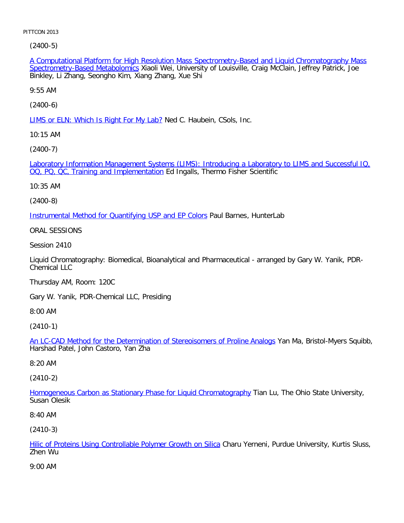[\(2400-5\)](file:///p|/print%20on%20demand%20titles/23101-23200/23133/23133%20source%20materials/papers/2400-5.htm)

A Computational Platform for High Resolution Mass Spectrometry-Based and Liquid Chromatography Mass Spectrometry-Based Metabolomics Xiaoli Wei, University of Louisville, Craig McClain, Jeffrey Patrick, Joe Binkley, Li Zhang, Seongho Kim, Xiang Zhang, Xue Shi

9:55 AM

[\(2400-6\)](file:///p|/print%20on%20demand%20titles/23101-23200/23133/23133%20source%20materials/papers/2400-6.htm)

LIMS or ELN: Which Is Right For My Lab? Ned C. Haubein, CSols, Inc.

10:15 AM

[\(2400-7\)](file:///p|/print%20on%20demand%20titles/23101-23200/23133/23133%20source%20materials/papers/2400-7.htm)

[Laboratory Information Management Syst](file:///p|/print%20on%20demand%20titles/23101-23200/23133/23133%20source%20materials/papers/2400-7.htm)ems (LIMS): Introducing a Laboratory to LIMS and Successful IQ, OQ, PQ, QC, Training and Implementation Ed Ingalls, Thermo Fisher Scientific

10:35 AM

(2400-8)

[Instrumental Method for Quantifying USP and EP Colors](file:///p|/print%20on%20demand%20titles/23101-23200/23133/23133%20source%20materials/papers/2400-8.htm) Paul Barnes, HunterLab

ORAL SESSIONS

Session 2410

Liquid Chromatography: Biomedical, Bioanalytical and Pharmaceutical - arranged by Gary W. Yanik, PDR-Chemical LLC

Thursday AM, Room: 120C

Gary W. Yanik, PDR-Chemical LLC, Presiding

8:00 AM

(2410-1)

An LC-CAD Method for the Determination of Stereoisomers of Proline Analogs Yan Ma, Bristol-Myers Squibb, [Harshad Patel, John Castoro, Yan Zha](file:///p|/print%20on%20demand%20titles/23101-23200/23133/23133%20source%20materials/papers/2410-1.htm)

8:20 AM

(2410-2)

Homogeneous Carbon as Stationary Phase for Liquid Chromatography Tian Lu, The Ohio State University, [Susan Olesik](file:///p|/print%20on%20demand%20titles/23101-23200/23133/23133%20source%20materials/papers/2410-2.htm)

8:40 AM

(2410-3)

Hilic of Proteins Using Controllable Polymer Growth on Silica Charu Yerneni, Purdue University, Kurtis Sluss, Zhen Wu

[9:00 AM](file:///p|/print%20on%20demand%20titles/23101-23200/23133/23133%20source%20materials/papers/2410-3.htm)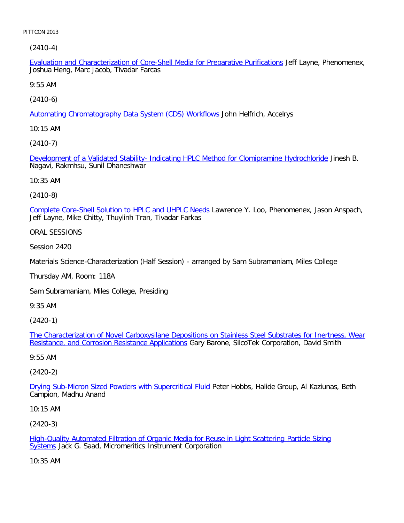[\(2410-4\)](file:///p|/print%20on%20demand%20titles/23101-23200/23133/23133%20source%20materials/papers/2410-4.htm)

Evaluation and Characterization of Core-Shell Media for Preparative Purifications Jeff Layne, Phenomenex, Joshua Heng, Marc Jacob, Tivadar Farcas

9:55 AM

[\(2410-6\)](file:///p|/print%20on%20demand%20titles/23101-23200/23133/23133%20source%20materials/papers/2410-6.htm)

Automating Chromatography Data System (CDS) Workflows John Helfrich, Accelrys

10:15 AM

[\(2410-7\)](file:///p|/print%20on%20demand%20titles/23101-23200/23133/23133%20source%20materials/papers/2410-7.htm)

Development of a Validated Stability- Indicating HPLC Method for Clomipramine Hydrochloride Jinesh B. Nagavi, Rakmhsu, Sunil Dhaneshwar

10:35 AM

(2410-8)

[Complete Core-Shell Solution to HPLC and UHPLC Needs](file:///p|/print%20on%20demand%20titles/23101-23200/23133/23133%20source%20materials/papers/2410-8.htm) Lawrence Y. Loo, Phenomenex, Jason Anspach, Jeff Layne, Mike Chitty, Thuylinh Tran, Tivadar Farkas

ORAL SESSIONS

Session 2420

Materials Science-Characterization (Half Session) - arranged by Sam Subramaniam, Miles College

Thursday AM, Room: 118A

Sam Subramaniam, Miles College, Presiding

9:35 AM

(2420-1)

The Characterization of Novel Carboxysilane Depositions on Stainless Steel Substrates for Inertness, Wear [Resistance, and Corrosion Resistance Applications](file:///p|/print%20on%20demand%20titles/23101-23200/23133/23133%20source%20materials/papers/2420-1.htm) Gary Barone, SilcoTek Corporation, David Smith

#### [9:55 AM](file:///p|/print%20on%20demand%20titles/23101-23200/23133/23133%20source%20materials/papers/2420-1.htm)

(2420-2)

Drying Sub-Micron Sized Powders with Supercritical Fluid Peter Hobbs, Halide Group, Al Kaziunas, Beth [Campion, Madhu Anand](file:///p|/print%20on%20demand%20titles/23101-23200/23133/23133%20source%20materials/papers/2420-2.htm)

10:15 AM

(2420-3)

High-Quality Automated Filtration of Organic Media for Reuse in Light Scattering Particle Sizing Systems Jack G. Saad, Micromeritics Instrument Corporation

[10:35 AM](file:///p|/print%20on%20demand%20titles/23101-23200/23133/23133%20source%20materials/papers/2420-3.htm)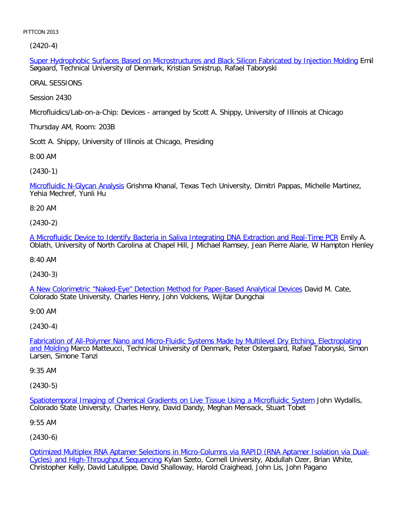(2420-4)

Super Hydrophobic Surfaces Based on Microstructures and Black Silicon Fabricated by Injection Molding Emil Søgaard, Technical University of Denmark, Kristian Smistrup, Rafael Taboryski

ORAL SESSIONS

Session 2430

Microfluidics/Lab-on-a-Chip: Devices - arranged by Scott A. Shippy, University of Illinois at Chicago

Thursday AM, Room: 203B

Scott A. Shippy, University of Illinois at Chicago, Presiding

8:00 AM

[\(2430-1\)](file:///p|/print%20on%20demand%20titles/23101-23200/23133/23133%20source%20materials/papers/2430-1.htm)

Microfluidic N-Glycan Analysis Grishma Khanal, Texas Tech University, Dimitri Pappas, Michelle Martinez, Yehia Mechref, Yunli Hu

8:20 AM

(2430-2)

[A Microfluidic Device to Identify Bacteria in Saliva Integrating DNA Extraction and Real-Time PCR](file:///p|/print%20on%20demand%20titles/23101-23200/23133/23133%20source%20materials/papers/2430-2.htm) Emily A. Oblath, University of North Carolina at Chapel Hill, J Michael Ramsey, Jean Pierre Alarie, W Hampton Henley

8:40 AM

(2430-3)

[A New Colorimetric "Naked-Eye" Detection Method for Paper-Based Analytical Devices](file:///p|/print%20on%20demand%20titles/23101-23200/23133/23133%20source%20materials/papers/2430-3.htm) David M. Cate, Colorado State University, Charles Henry, John Volckens, Wijitar Dungchai

9:00 AM

(2430-4)

Fabrication of All-Polymer Nano and Micro-Fluidic Systems Made by Multilevel Dry Etching, Electroplating and Molding [Marco Matteucci, Technical University of Denmark, Peter Ostergaard, Rafael Taboryski, Simon](file:///p|/print%20on%20demand%20titles/23101-23200/23133/23133%20source%20materials/papers/2430-4.htm) [Larsen,](file:///p|/print%20on%20demand%20titles/23101-23200/23133/23133%20source%20materials/papers/2430-4.htm) Simone Tanzi

9:35 AM

(2430-5)

Spatiotemporal Imaging of Chemical Gradients on Live Tissue Using a Microfluidic System John Wydallis, [Colorado State University, Charles Henry, David Dandy, Meghan Mensack, Stuart Tobet](file:///p|/print%20on%20demand%20titles/23101-23200/23133/23133%20source%20materials/papers/2430-5.htm)

9:55 AM

(2430-6)

Optimized Multiplex RNA Aptamer Selections in Micro-Columns via RAPID (RNA Aptamer Isolation via Dual-Cycles) and High-Throughput Sequencing Kylan Szeto, Cornell University, Abdullah Ozer, Brian White, [Christopher Kelly, David Latulippe, David Shalloway, Harold Craighead, John Lis, John Pagano](file:///p|/print%20on%20demand%20titles/23101-23200/23133/23133%20source%20materials/papers/2430-6.htm)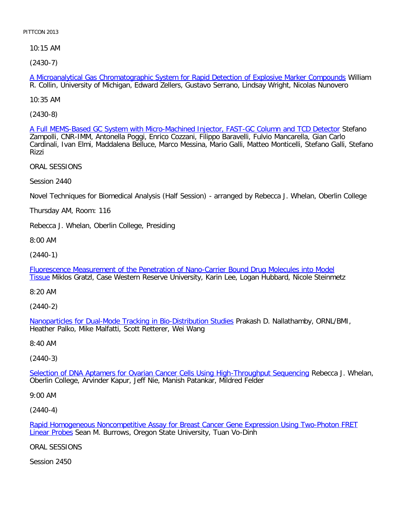10:15 AM

[\(2430-7\)](file:///p|/print%20on%20demand%20titles/23101-23200/23133/23133%20source%20materials/papers/2430-7.htm)

A Microanalytical Gas Chromatographic System for Rapid Detection of Explosive Marker Compounds William R. Collin, University of Michigan, Edward Zellers, Gustavo Serrano, Lindsay Wright, Nicolas Nunovero

10:35 AM

[\(2430-8\)](file:///p|/print%20on%20demand%20titles/23101-23200/23133/23133%20source%20materials/papers/2430-8.htm)

A Full MEMS-Based GC System with Micro-Machined Injector, FAST-GC Column and TCD Detector Stefano Zampolli, CNR-IMM, Antonella Poggi, Enrico Cozzani, Filippo Baravelli, Fulvio Mancarella, Gian Carlo Cardinali, Ivan Elmi, Maddalena Belluce, Marco Messina, Mario Galli, Matteo Monticelli, Stefano Galli, Stefano Rizzi

ORAL SESSIONS

Session 2440

Novel Techniques for Biomedical Analysis (Half Session) - arranged by Rebecca J. Whelan, Oberlin College

Thursday AM, Room: 116

Rebecca J. Whelan, Oberlin College, Presiding

8:00 AM

(2440-1)

[Fluorescence Measurement of the Penetration of Nano-Carrier Bound Drug Molecules into Model](file:///p|/print%20on%20demand%20titles/23101-23200/23133/23133%20source%20materials/papers/2440-1.htm) [T](file:///p|/print%20on%20demand%20titles/23101-23200/23133/23133%20source%20materials/papers/2440-1.htm)issue Miklos Gratzl, Case Western Reserve University, Karin Lee, Logan Hubbard, Nicole Steinmetz

8:20 AM

(2440-2)

Nanoparticles for Dual-Mode Tracking in Bio-Distribution Studies Prakash D. Nallathamby, ORNL/BMI, [Heather Palko, Mike Malfatti, Scott Retterer, Wei Wang](file:///p|/print%20on%20demand%20titles/23101-23200/23133/23133%20source%20materials/papers/2440-2.htm)

8:40 AM

(2440-3)

Selection of DNA Aptamers for Ovarian Cancer Cells Using High-Throughput Sequencing Rebecca J. Whelan, [Oberlin College, Arvinder Kapur, Jeff Nie, Manish Patankar, Mildred Felder](file:///p|/print%20on%20demand%20titles/23101-23200/23133/23133%20source%20materials/papers/2440-3.htm)

9:00 AM

(2440-4)

Rapid Homogeneous Noncompetitive Assay for Breast Cancer Gene Expression Using Two-Photon FRET Linear Probes Sean M. Burrows, Oregon State University, Tuan Vo-Dinh

[ORAL SESSIONS](file:///p|/print%20on%20demand%20titles/23101-23200/23133/23133%20source%20materials/papers/2440-4.htm)

Session 2450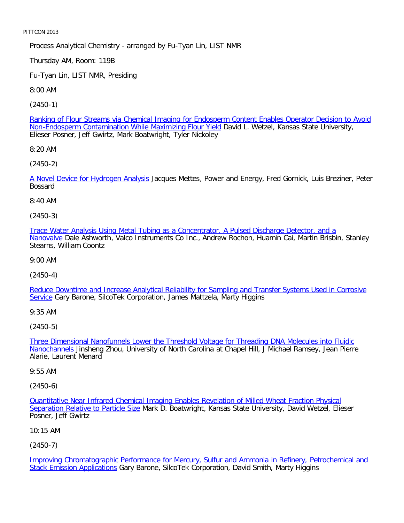Process Analytical Chemistry - arranged by Fu-Tyan Lin, LIST NMR

Thursday AM, Room: 119B

Fu-Tyan Lin, LIST NMR, Presiding

8:00 AM

[\(2450-1\)](file:///p|/print%20on%20demand%20titles/23101-23200/23133/23133%20source%20materials/papers/2450-1.htm)

[Ranking of Flour Streams via Chemical Imaging for Endosperm](file:///p|/print%20on%20demand%20titles/23101-23200/23133/23133%20source%20materials/papers/2450-1.htm) Content Enables Operator Decision to Avoid Non-Endosperm Contamination While Maximizing Flour Yield David L. Wetzel, Kansas State University, Elieser Posner, Jeff Gwirtz, Mark Boatwright, Tyler Nickoley

8:20 AM

[\(2450-2\)](file:///p|/print%20on%20demand%20titles/23101-23200/23133/23133%20source%20materials/papers/2450-2.htm)

A Novel Device for Hydrogen Analysis Jacques Mettes, Power and Energy, Fred Gornick, Luis Breziner, Peter Bossard

8:40 AM

(2450-3)

[Trace Water Analysis Using Metal Tubing as a Concentrator, A Pulsed Discharge Detector, and a](file:///p|/print%20on%20demand%20titles/23101-23200/23133/23133%20source%20materials/papers/2450-3.htm) [Nanov](file:///p|/print%20on%20demand%20titles/23101-23200/23133/23133%20source%20materials/papers/2450-3.htm)alve Dale Ashworth, Valco Instruments Co Inc., Andrew Rochon, Huamin Cai, Martin Brisbin, Stanley Stearns, William Coontz

9:00 AM

(2450-4)

[Reduce Downtime and Increase Analytical Reliability for Sampling and Transfer Systems Used in Corrosive](file:///p|/print%20on%20demand%20titles/23101-23200/23133/23133%20source%20materials/papers/2450-4.htm) [Se](file:///p|/print%20on%20demand%20titles/23101-23200/23133/23133%20source%20materials/papers/2450-4.htm)rvice Gary Barone, SilcoTek Corporation, James Mattzela, Marty Higgins

9:35 AM

(2450-5)

Three Dimensional Nanofunnels Lower the Threshold Voltage for Threading DNA Molecules into Fluidic Nanochannels [Jinsheng Zhou, University of North Carolina at Chapel Hill, J Michael Ramsey, Jean Pierre](file:///p|/print%20on%20demand%20titles/23101-23200/23133/23133%20source%20materials/papers/2450-5.htm) [Alarie, Lau](file:///p|/print%20on%20demand%20titles/23101-23200/23133/23133%20source%20materials/papers/2450-5.htm)rent Menard

9:55 AM

(2450-6)

Quantitative Near Infrared Chemical Imaging Enables Revelation of Milled Wheat Fraction Physical Separation Relative to Particle Size Mark D. Boatwright, Kansas State University, David Wetzel, Elieser [Posner, Jeff Gwirtz](file:///p|/print%20on%20demand%20titles/23101-23200/23133/23133%20source%20materials/papers/2450-6.htm)

[10:15 AM](file:///p|/print%20on%20demand%20titles/23101-23200/23133/23133%20source%20materials/papers/2450-6.htm)

(2450-7)

Improving Chromatographic Performance for Mercury, Sulfur and Ammonia in Refinery, Petrochemical and Stack Emission Applications Gary Barone, SilcoTek Corporation, David Smith, Marty Higgins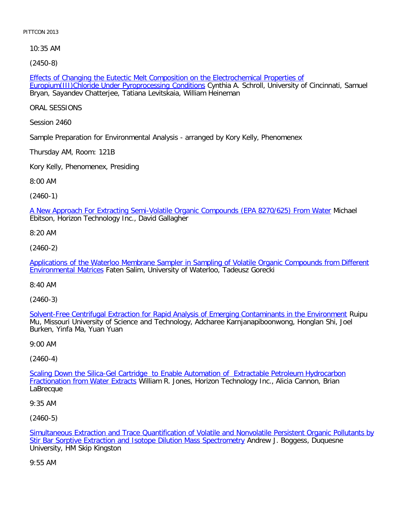10:35 AM

[\(2450-8\)](file:///p|/print%20on%20demand%20titles/23101-23200/23133/23133%20source%20materials/papers/2450-8.htm)

Effects of Changing the Eutectic Melt Composition on the Electrochemical Properties of Europium(III)Chloride Under Pyroprocessing Conditions Cynthia A. Schroll, University of Cincinnati, Samuel Bryan, Sayandev Chatterjee, Tatiana Levitskaia, William Heineman

ORAL SESSIONS

Session 2460

Sample Preparation for Environmental Analysis - arranged by Kory Kelly, Phenomenex

Thursday AM, Room: 121B

Kory Kelly, Phenomenex, Presiding

8:00 AM

(2460-1)

[A New Approach For Extracting Semi-Volatile Organic Compounds \(EPA 8270/625\) From Water](file:///p|/print%20on%20demand%20titles/23101-23200/23133/23133%20source%20materials/papers/2460-1.htm) Michael Ebitson, Horizon Technology Inc., David Gallagher

8:20 AM

(2460-2)

[Applications of the Waterloo Membrane Sampler in Sampling of Volatile Organic Compounds from Different](file:///p|/print%20on%20demand%20titles/23101-23200/23133/23133%20source%20materials/papers/2460-2.htm) [Environmental Matri](file:///p|/print%20on%20demand%20titles/23101-23200/23133/23133%20source%20materials/papers/2460-2.htm)ces Faten Salim, University of Waterloo, Tadeusz Gorecki

8:40 AM

(2460-3)

Solvent-Free Centrifugal Extraction for Rapid Analysis of Emerging Contaminants in the Environment Ruipu [Mu, Missouri University of Science and Technology, Adcharee Karnjanapiboonwong, Honglan Shi, Joel](file:///p|/print%20on%20demand%20titles/23101-23200/23133/23133%20source%20materials/papers/2460-3.htm) Burken, Yinfa Ma, Yuan Yuan

9:00 AM

(2460-4)

Scaling Down the Silica-Gel Cartridge to Enable Automation of Extractable Petroleum Hydrocarbon **Fractionation from Water Extracts [William R. Jones, Horizon Technology Inc., Alicia Cannon, Brian](file:///p|/print%20on%20demand%20titles/23101-23200/23133/23133%20source%20materials/papers/2460-4.htm)** [LaBrecque](file:///p|/print%20on%20demand%20titles/23101-23200/23133/23133%20source%20materials/papers/2460-4.htm)

9:35 AM

(2460-5)

Simultaneous Extraction and Trace Quantification of Volatile and Nonvolatile Persistent Organic Pollutants by Stir Bar Sorptive Extraction and Isotope Dilution Mass Spectrometry Andrew J. Boggess, Duquesne [University, HM Skip Kingston](file:///p|/print%20on%20demand%20titles/23101-23200/23133/23133%20source%20materials/papers/2460-5.htm)

[9:55 AM](file:///p|/print%20on%20demand%20titles/23101-23200/23133/23133%20source%20materials/papers/2460-5.htm)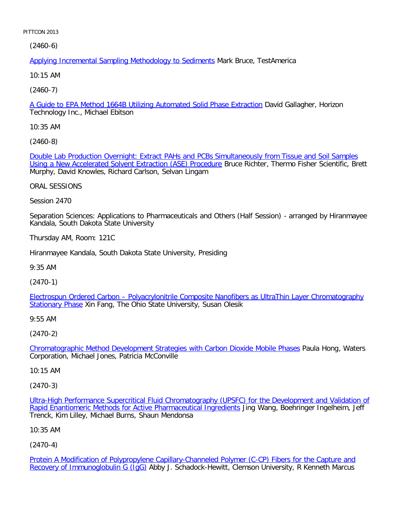(2460-6)

Applying Incremental Sampling Methodology to Sediments Mark Bruce, TestAmerica

10:15 AM

[\(2460-7\)](file:///p|/print%20on%20demand%20titles/23101-23200/23133/23133%20source%20materials/papers/2460-7.htm)

A Guide to EPA Method 1664B Utilizing Automated Solid Phase Extraction David Gallagher, Horizon Technology Inc., Michael Ebitson

10:35 AM

[\(2460-8\)](file:///p|/print%20on%20demand%20titles/23101-23200/23133/23133%20source%20materials/papers/2460-8.htm)

[Double Lab Production Overnight: Extract PAHs and PCBs Sim](file:///p|/print%20on%20demand%20titles/23101-23200/23133/23133%20source%20materials/papers/2460-8.htm)ultaneously from Tissue and Soil Samples Using a New Accelerated Solvent Extraction (ASE) Procedure Bruce Richter, Thermo Fisher Scientific, Brett Murphy, David Knowles, Richard Carlson, Selvan Lingam

ORAL SESSIONS

Session 2470

Separation Sciences: Applications to Pharmaceuticals and Others (Half Session) - arranged by Hiranmayee Kandala, South Dakota State University

Thursday AM, Room: 121C

Hiranmayee Kandala, South Dakota State University, Presiding

9:35 AM

(2470-1)

[Electrospun Ordered Carbon – Polyacrylonitrile Composite Nanofibers as UltraThin Layer Chromatography](file:///p|/print%20on%20demand%20titles/23101-23200/23133/23133%20source%20materials/papers/2470-1.htm) [Stationary Ph](file:///p|/print%20on%20demand%20titles/23101-23200/23133/23133%20source%20materials/papers/2470-1.htm)ase Xin Fang, The Ohio State University, Susan Olesik

9:55 AM

(2470-2)

Chromatographic Method Development Strategies with Carbon Dioxide Mobile Phases Paula Hong, Waters [Corporation, Michael Jones, Patricia McConville](file:///p|/print%20on%20demand%20titles/23101-23200/23133/23133%20source%20materials/papers/2470-2.htm)

10:15 AM

(2470-3)

Ultra-High Performance Supercritical Fluid Chromatography (UPSFC) for the Development and Validation of Rapid Enantiomeric Methods for Active Pharmaceutical Ingredients Jing Wang, Boehringer Ingelheim, Jeff [Trenck, Kim Lilley, Michael Burns, Shaun Mendonsa](file:///p|/print%20on%20demand%20titles/23101-23200/23133/23133%20source%20materials/papers/2470-3.htm)

[10:35 AM](file:///p|/print%20on%20demand%20titles/23101-23200/23133/23133%20source%20materials/papers/2470-3.htm)

(2470-4)

Protein A Modification of Polypropylene Capillary-Channeled Polymer (C-CP) Fibers for the Capture and Recovery of Immunoglobulin G (IgG) Abby J. Schadock-Hewitt, Clemson University, R Kenneth Marcus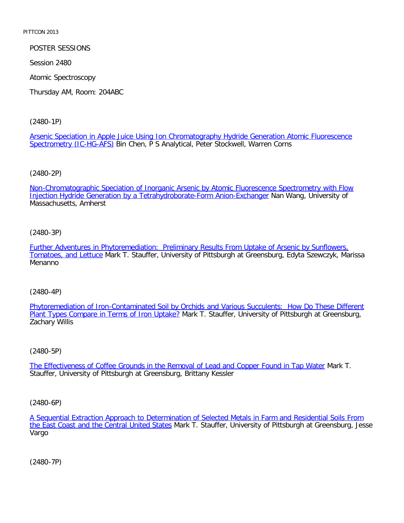POSTER SESSIONS

Session 2480

Atomic Spectroscopy

Thursday AM, Room: 204ABC

[\(2480-1P\)](file:///p|/print%20on%20demand%20titles/23101-23200/23133/23133%20source%20materials/papers/2480-1.htm)

[Arsenic Speciation in Ap](file:///p|/print%20on%20demand%20titles/23101-23200/23133/23133%20source%20materials/papers/2480-1.htm)ple Juice Using Ion Chromatography Hydride Generation Atomic Fluorescence Spectrometry (IC-HG-AFS) Bin Chen, P S Analytical, Peter Stockwell, Warren Corns

[\(2480-2P\)](file:///p|/print%20on%20demand%20titles/23101-23200/23133/23133%20source%20materials/papers/2480-2.htm)

[Non-Chromatographic Speciation of Inorganic Arsenic by Atomic Fluorescence](file:///p|/print%20on%20demand%20titles/23101-23200/23133/23133%20source%20materials/papers/2480-2.htm) Spectrometry with Flow Injection Hydride Generation by a Tetrahydroborate-Form Anion-Exchanger Nan Wang, University of Massachusetts, Amherst

(2480-3P)

[Further Adventures in Phytoremediation: Preliminary Results From Uptake of Arsenic by Sunflowers,](file:///p|/print%20on%20demand%20titles/23101-23200/23133/23133%20source%20materials/papers/2480-3.htm) [Tomatoes, and Lettu](file:///p|/print%20on%20demand%20titles/23101-23200/23133/23133%20source%20materials/papers/2480-3.htm)ce Mark T. Stauffer, University of Pittsburgh at Greensburg, Edyta Szewczyk, Marissa Menanno

(2480-4P)

Phytoremediation of Iron-Contaminated Soil by Orchids and Various Succulents: How Do These Different [Plant Types Compare in Terms of Iron Uptake?](file:///p|/print%20on%20demand%20titles/23101-23200/23133/23133%20source%20materials/papers/2480-4.htm) [Mark T. Stauffer, University of Pittsburgh at Greensburg,](file:///p|/print%20on%20demand%20titles/23101-23200/23133/23133%20source%20materials/papers/2480-4.htm) Zachary Willis

(2480-5P)

The Effectiveness of Coffee Grounds in the Removal of Lead and Copper Found in Tap Water Mark T. [Stauffer, University of Pittsburgh at Greensburg, Brittany Kessler](file:///p|/print%20on%20demand%20titles/23101-23200/23133/23133%20source%20materials/papers/2480-5.htm)

(2480-6P)

A Sequential Extraction Approach to Determination of Selected Metals in Farm and Residential Soils From the East Coast and the Central United States Mark T. Stauffer, University of Pittsburgh at Greensburg, Jesse [Vargo](file:///p|/print%20on%20demand%20titles/23101-23200/23133/23133%20source%20materials/papers/2480-6.htm)

(2480-7P)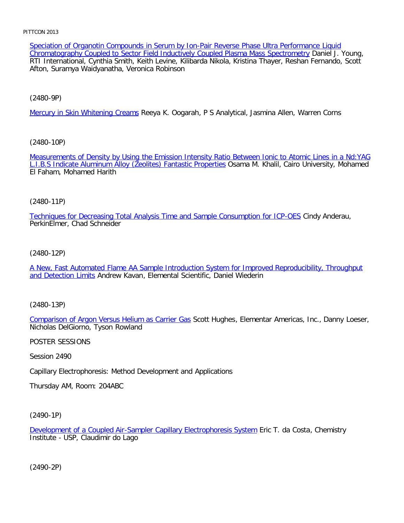Speciation of Organotin Compounds in Serum by Ion-Pair Reverse Phase Ultra Performance Liquid Chromatography Coupled to Sector Field Inductively Coupled Plasma Mass Spectrometry Daniel J. Young, RTI International, Cynthia Smith, Keith Levine, Kilibarda Nikola, Kristina Thayer, Reshan Fernando, Scott Afton, Suramya Waidyanatha, Veronica Robinson

[\(2480-9P\)](file:///p|/print%20on%20demand%20titles/23101-23200/23133/23133%20source%20materials/papers/2480-9.htm)

Mercury in Skin Whitening Creams Reeya K. Oogarah, P S Analytical, Jasmina Allen, Warren Corns

[\(2480-10P\)](file:///p|/print%20on%20demand%20titles/23101-23200/23133/23133%20source%20materials/papers/2480-10.htm)

[Measurements of Density by Using the Emission Intensity Ratio](file:///p|/print%20on%20demand%20titles/23101-23200/23133/23133%20source%20materials/papers/2480-10.htm) Between Ionic to Atomic Lines in a Nd:YAG L.I.B.S Indicate Aluminum Alloy (Zeolites) Fantastic Properties Osama M. Khalil, Cairo University, Mohamed El Faham, Mohamed Harith

# (2480-11P)

[Techniques for Decreasing Total Analysis Time and Sample Consumption for ICP-OES](file:///p|/print%20on%20demand%20titles/23101-23200/23133/23133%20source%20materials/papers/2480-11.htm) Cindy Anderau, PerkinElmer, Chad Schneider

# (2480-12P)

[A New, Fast Automated Flame AA Sample Introduction System for Improved Reproducibility, Throughput](file:///p|/print%20on%20demand%20titles/23101-23200/23133/23133%20source%20materials/papers/2480-12.htm) [and Detection Lim](file:///p|/print%20on%20demand%20titles/23101-23200/23133/23133%20source%20materials/papers/2480-12.htm)its Andrew Kavan, Elemental Scientific, Daniel Wiederin

(2480-13P)

Comparison of Argon Versus Helium as Carrier Gas Scott Hughes, Elementar Americas, Inc., Danny Loeser, [Nicholas DelGiorno, Tyson Rowland](file:///p|/print%20on%20demand%20titles/23101-23200/23133/23133%20source%20materials/papers/2480-13.htm)

POSTER SESSIONS

Session 2490

Capillary Electrophoresis: Method Development and Applications

Thursday AM, Room: 204ABC

(2490-1P)

Development of a Coupled Air-Sampler Capillary Electrophoresis System Eric T. da Costa, Chemistry Institute - USP, Claudimir do Lago

(2490-2P)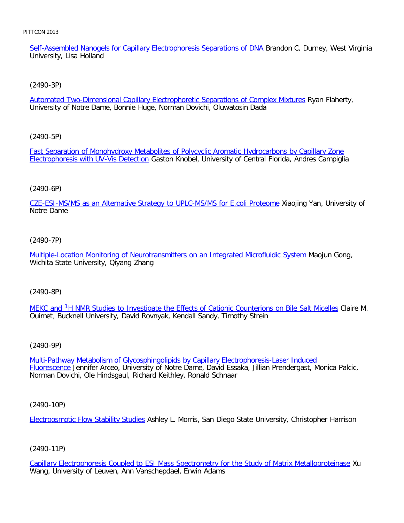Self-Assembled Nanogels for Capillary Electrophoresis Separations of DNA Brandon C. Durney, West Virginia University, Lisa Holland

[\(2490-3P\)](file:///p|/print%20on%20demand%20titles/23101-23200/23133/23133%20source%20materials/papers/2490-3.htm)

Automated Two-Dimensional Capillary Electrophoretic Separations of Complex Mixtures Ryan Flaherty, University of Notre Dame, Bonnie Huge, Norman Dovichi, Oluwatosin Dada

[\(2490-5P\)](file:///p|/print%20on%20demand%20titles/23101-23200/23133/23133%20source%20materials/papers/2490-5.htm)

[Fast Separation of Monohydroxy Me](file:///p|/print%20on%20demand%20titles/23101-23200/23133/23133%20source%20materials/papers/2490-5.htm)tabolites of Polycyclic Aromatic Hydrocarbons by Capillary Zone Electrophoresis with UV-Vis Detection Gaston Knobel, University of Central Florida, Andres Campiglia

# (2490-6P)

[CZE-ESI-MS/MS as an Alternative Strategy to UPLC-MS/MS for E.coli Proteome](file:///p|/print%20on%20demand%20titles/23101-23200/23133/23133%20source%20materials/papers/2490-6.htm) Xiaojing Yan, University of Notre Dame

# (2490-7P)

[Multiple-Location Monitoring of Neurotransmitters on an Integrated Microfluidic System](file:///p|/print%20on%20demand%20titles/23101-23200/23133/23133%20source%20materials/papers/2490-7.htm) Maojun Gong, Wichita State University, Qiyang Zhang

(2490-8P)

MEKC [a](file:///p|/print%20on%20demand%20titles/23101-23200/23133/23133%20source%20materials/papers/2490-8.htm)nd <sup>1</sup>H NMR Studies to Investigate the Effects of Cationic Counterions on Bile Salt Micelles Claire M. [Ouime](file:///p|/print%20on%20demand%20titles/23101-23200/23133/23133%20source%20materials/papers/2490-8.htm)t[, Bucknell University, David Rovnyak, Kendall Sandy, Timothy Strein](file:///p|/print%20on%20demand%20titles/23101-23200/23133/23133%20source%20materials/papers/2490-8.htm)

(2490-9P)

Multi-Pathway Metabolism of Glycosphingolipids by Capillary Electrophoresis-Laser Induced Fluorescence [Jennifer Arceo, University of Notre Dame, David Essaka, Jillian Prendergast, Monic](file:///p|/print%20on%20demand%20titles/23101-23200/23133/23133%20source%20materials/papers/2490-9.htm)a Palcic, [Norman](file:///p|/print%20on%20demand%20titles/23101-23200/23133/23133%20source%20materials/papers/2490-9.htm) Dovichi, Ole Hindsgaul, Richard Keithley, Ronald Schnaar

(2490-10P)

Electroosmotic Flow Stability Studies Ashley L. Morris, San Diego State University, Christopher Harrison

# (2490-11P)

Capillary Electrophoresis Coupled to ESI Mass Spectrometry for the Study of Matrix Metalloproteinase Xu Wang, University of Leuven, Ann Vanschepdael, Erwin Adams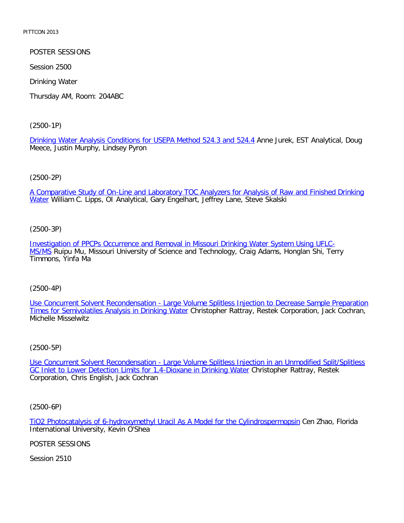POSTER SESSIONS

Session 2500

Drinking Water

Thursday AM, Room: 204ABC

[\(2500-1P\)](file:///p|/print%20on%20demand%20titles/23101-23200/23133/23133%20source%20materials/papers/2500-1.htm)

Drinking Water Analysis Conditions for USEPA Method 524.3 and 524.4 Anne Jurek, EST Analytical, Doug Meece, Justin Murphy, Lindsey Pyron

(2500-2P)

[A Comparative Study of On-Line and Laboratory TOC Analyzers for Analysis of Raw and Finished Drinking](file:///p|/print%20on%20demand%20titles/23101-23200/23133/23133%20source%20materials/papers/2500-2.htm) Water William C. Lipps, OI Analytical, Gary Engelhart, Jeffrey Lane, Steve Skalski

(2500-3P)

[Investigation of PPCPs Occurrence and Removal in Missouri Drinking Water System Using UFLC-](file:///p|/print%20on%20demand%20titles/23101-23200/23133/23133%20source%20materials/papers/2500-3.htm)[M](file:///p|/print%20on%20demand%20titles/23101-23200/23133/23133%20source%20materials/papers/2500-3.htm)S/MS Ruipu Mu, Missouri University of Science and Technology, Craig Adams, Honglan Shi, Terry Timmons, Yinfa Ma

(2500-4P)

[Use Concurrent Solvent Recondensation - Large Volume Splitless Injection to Decrease Sample Preparation](file:///p|/print%20on%20demand%20titles/23101-23200/23133/23133%20source%20materials/papers/2500-4.htm) [Times for Semivolatiles Analysis in Drinking Water](file:///p|/print%20on%20demand%20titles/23101-23200/23133/23133%20source%20materials/papers/2500-4.htm) Christopher Rattray, Restek Corporation, Jack Cochran, Michelle Misselwitz

(2500-5P)

Use Concurrent Solvent Recondensation - Large Volume Splitless Injection in an Unmodified Split/Splitless [GC Inlet to Lower Detection Limits for 1,4-Dioxane in Drinking Water](file:///p|/print%20on%20demand%20titles/23101-23200/23133/23133%20source%20materials/papers/2500-5.htm) Christopher Rattray, Restek [Corporation, Chris English, Jack Cochran](file:///p|/print%20on%20demand%20titles/23101-23200/23133/23133%20source%20materials/papers/2500-5.htm)

(2500-6P)

TiO2 Photocatalysis of 6-hydroxymethyl Uracil As A Model for the Cylindrospermopsin Cen Zhao, Florida International University, Kevin O'Shea

[POSTER SESSIONS](file:///p|/print%20on%20demand%20titles/23101-23200/23133/23133%20source%20materials/papers/2500-6.htm)

Session 2510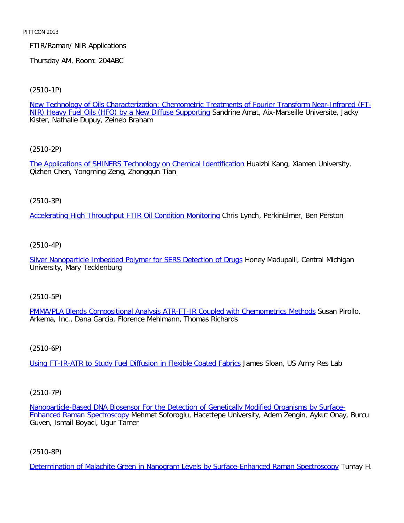# FTIR/Raman/ NIR Applications

Thursday AM, Room: 204ABC

[\(2510-1P\)](file:///p|/print%20on%20demand%20titles/23101-23200/23133/23133%20source%20materials/papers/2510-1.htm)

New Technology of Oils Characterization: Chemometric Treatments of Fourier Transform Near-Infrared (FT-NIR) Heavy Fuel Oils (HFO) by a New Diffuse Supporting Sandrine Amat, Aix-Marseille Universite, Jacky Kister, Nathalie Dupuy, Zeineb Braham

[\(2510-2P\)](file:///p|/print%20on%20demand%20titles/23101-23200/23133/23133%20source%20materials/papers/2510-2.htm)

The Applications of SHINERS Technology on Chemical Identification Huaizhi Kang, Xiamen University, Qizhen Chen, Yongming Zeng, Zhongqun Tian

(2510-3P)

[Accelerating High Throughput FTIR Oil Condition Monitoring](file:///p|/print%20on%20demand%20titles/23101-23200/23133/23133%20source%20materials/papers/2510-3.htm) Chris Lynch, PerkinElmer, Ben Perston

(2510-4P)

[Silver Nanoparticle Imbedded Polymer for SERS Detection of Drugs](file:///p|/print%20on%20demand%20titles/23101-23200/23133/23133%20source%20materials/papers/2510-4.htm) Honey Madupalli, Central Michigan University, Mary Tecklenburg

(2510-5P)

PMMA/PLA Blends Compositional Analysis ATR-FT-IR Coupled with Chemometrics Methods Susan Pirollo, [Arkema, Inc., Dana Garcia, Florence Mehlmann, Thomas Richards](file:///p|/print%20on%20demand%20titles/23101-23200/23133/23133%20source%20materials/papers/2510-5.htm)

(2510-6P)

Using FT-IR-ATR to Study Fuel Diffusion in Flexible Coated Fabrics James Sloan, US Army Res Lab

(2510-7P)

Nanoparticle-Based DNA Biosensor For the Detection of Genetically Modified Organisms by Surface-Enhanced Raman Spectroscopy Mehmet Soforoglu, Hacettepe University, Adem Zengin, Aykut Onay, Burcu [Guven, Ismail Boyaci, Ugur Tamer](file:///p|/print%20on%20demand%20titles/23101-23200/23133/23133%20source%20materials/papers/2510-7.htm)

(2510-8P)

Determination of Malachite Green in Nanogram Levels by Surface-Enhanced Raman Spectroscopy Tumay H.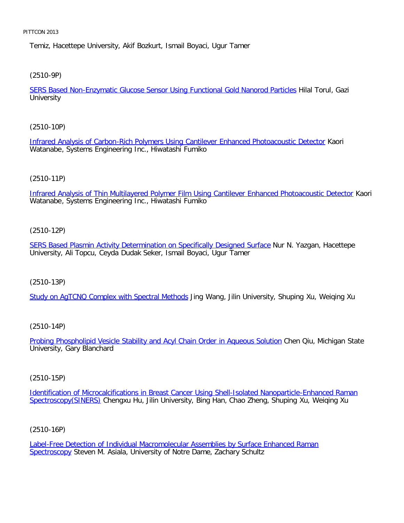Temiz, Hacettepe University, Akif Bozkurt, Ismail Boyaci, Ugur Tamer

[\(2510-9P\)](file:///p|/print%20on%20demand%20titles/23101-23200/23133/23133%20source%20materials/papers/2510-9.htm)

SERS Based Non-Enzymatic Glucose Sensor Using Functional Gold Nanorod Particles Hilal Torul, Gazi **University** 

[\(2510-10P\)](file:///p|/print%20on%20demand%20titles/23101-23200/23133/23133%20source%20materials/papers/2510-10.htm)

Infrared Analysis of Carbon-Rich Polymers Using Cantilever Enhanced Photoacoustic Detector Kaori Watanabe, Systems Engineering Inc., Hiwatashi Fumiko

# (2510-11P)

[Infrared Analysis of Thin Multilayered Polymer Film Using Cantilever Enhanced Photoacoustic Detector](file:///p|/print%20on%20demand%20titles/23101-23200/23133/23133%20source%20materials/papers/2510-11.htm) Kaori Watanabe, Systems Engineering Inc., Hiwatashi Fumiko

# (2510-12P)

[SERS Based Plasmin Activity Determination on Specifically Designed Surface](file:///p|/print%20on%20demand%20titles/23101-23200/23133/23133%20source%20materials/papers/2510-12.htm) Nur N. Yazgan, Hacettepe University, Ali Topcu, Ceyda Dudak Seker, Ismail Boyaci, Ugur Tamer

(2510-13P)

[Study on AgTCNQ Complex with Spectral Methods](file:///p|/print%20on%20demand%20titles/23101-23200/23133/23133%20source%20materials/papers/2510-13.htm) Jing Wang, Jilin University, Shuping Xu, Weiging Xu

(2510-14P)

Probing Phospholipid Vesicle Stability and Acyl Chain Order in Aqueous Solution Chen Qiu, Michigan State [University, Gary Blanchard](file:///p|/print%20on%20demand%20titles/23101-23200/23133/23133%20source%20materials/papers/2510-14.htm)

(2510-15P)

Identification of Microcalcifications in Breast Cancer Using Shell-Isolated Nanoparticle-Enhanced Raman Spectroscopy(SINERS) [Chengxu Hu, Jilin University, Bing Han, Chao Zheng, Shuping Xu, Weiqing Xu](file:///p|/print%20on%20demand%20titles/23101-23200/23133/23133%20source%20materials/papers/2510-15.htm)

(2510-16P)

Label-Free Detection of Individual Macromolecular Assemblies by Surface Enhanced Raman Spectroscopy Steven M. Asiala, University of Notre Dame, Zachary Schultz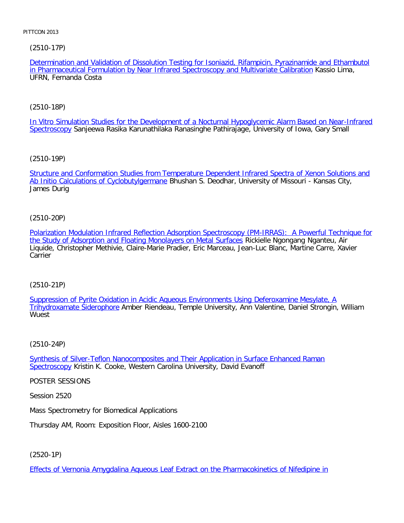[\(2510-17P\)](file:///p|/print%20on%20demand%20titles/23101-23200/23133/23133%20source%20materials/papers/2510-17.htm)

Determination and Validation of Dissolution Testing for Isoniazid, Rifampicin, Pyrazinamide and Ethambutol in Pharmaceutical Formulation by Near Infrared Spectroscopy and Multivariate Calibration Kassio Lima, UFRN, Fernanda Costa

# [\(2510-18P\)](file:///p|/print%20on%20demand%20titles/23101-23200/23133/23133%20source%20materials/papers/2510-18.htm)

[In Vitro S](file:///p|/print%20on%20demand%20titles/23101-23200/23133/23133%20source%20materials/papers/2510-18.htm)imulation Studies for the Development of a Nocturnal Hypoglycemic Alarm Based on Near-Infrared Spectroscopy Sanjeewa Rasika Karunathilaka Ranasinghe Pathirajage, University of Iowa, Gary Small

[\(2510-19P\)](file:///p|/print%20on%20demand%20titles/23101-23200/23133/23133%20source%20materials/papers/2510-19.htm)

[Structure and Conformation Studies from T](file:///p|/print%20on%20demand%20titles/23101-23200/23133/23133%20source%20materials/papers/2510-19.htm)emperature Dependent Infrared Spectra of Xenon Solutions and Ab Initio Calculations of Cyclobutylgermane Bhushan S. Deodhar, University of Missouri - Kansas City, James Durig

# (2510-20P)

[Polarization Modulation Infrared Reflection Adsorption Spectroscopy \(PM-IRRAS\): A Powerful Technique for](file:///p|/print%20on%20demand%20titles/23101-23200/23133/23133%20source%20materials/papers/2510-20.htm) [the Study of Adsorption and Floating Monolayers on Metal Surfaces](file:///p|/print%20on%20demand%20titles/23101-23200/23133/23133%20source%20materials/papers/2510-20.htm) Rickielle Ngongang Nganteu, Air Liquide, Christopher Methivie, Claire-Marie Pradier, Eric Marceau, Jean-Luc Blanc, Martine Carre, Xavier **Carrier** 

# (2510-21P)

Suppression of Pyrite Oxidation in Acidic Aqueous Environments Using Deferoxamine Mesylate, A [Trihydroxamate Sideropho](file:///p|/print%20on%20demand%20titles/23101-23200/23133/23133%20source%20materials/papers/2510-21.htm)re [Amber Riendeau, Temple University, Ann Valentine, Daniel Strongin, Will](file:///p|/print%20on%20demand%20titles/23101-23200/23133/23133%20source%20materials/papers/2510-21.htm)iam Wuest

# (2510-24P)

Synthesis of Silver-Teflon Nanocomposites and Their Application in Surface Enhanced Raman Spectroscopy [Kristin K. Cooke, Western Carolina University, David Evanoff](file:///p|/print%20on%20demand%20titles/23101-23200/23133/23133%20source%20materials/papers/2510-24.htm)

[POSTER](file:///p|/print%20on%20demand%20titles/23101-23200/23133/23133%20source%20materials/papers/2510-24.htm) SESSIONS

Session 2520

Mass Spectrometry for Biomedical Applications

Thursday AM, Room: Exposition Floor, Aisles 1600-2100

(2520-1P)

Effects of Vernonia Amygdalina Aqueous Leaf Extract on the Pharmacokinetics of Nifedipine in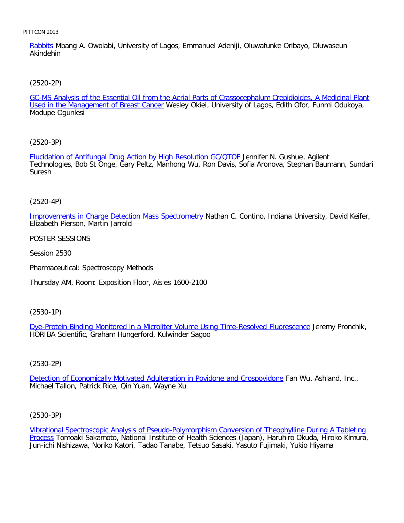Rabbits Mbang A. Owolabi, University of Lagos, Emmanuel Adeniji, Oluwafunke Oribayo, Oluwaseun Akindehin

[\(2520-2P\)](file:///p|/print%20on%20demand%20titles/23101-23200/23133/23133%20source%20materials/papers/2520-2.htm)

GC-MS Analysis of the Essential Oil from the Aerial Parts of Crassocephalum Crepidioides, A Medicinal Plant Used in the Management of Breast Cancer Wesley Okiei, University of Lagos, Edith Ofor, Funmi Odukoya, Modupe Ogunlesi

[\(2520-3P\)](file:///p|/print%20on%20demand%20titles/23101-23200/23133/23133%20source%20materials/papers/2520-3.htm)

Elucidation of Antifungal Drug Action by High Resolution GC/QTOF Jennifer N. Gushue, Agilent Technologies, Bob St Onge, Gary Peltz, Manhong Wu, Ron Davis, Sofia Aronova, Stephan Baumann, Sundari Suresh

(2520-4P)

[Improvements in Charge Detection Mass Spectrometry](file:///p|/print%20on%20demand%20titles/23101-23200/23133/23133%20source%20materials/papers/2520-4.htm) Nathan C. Contino, Indiana University, David Keifer, Elizabeth Pierson, Martin Jarrold

POSTER SESSIONS

Session 2530

Pharmaceutical: Spectroscopy Methods

Thursday AM, Room: Exposition Floor, Aisles 1600-2100

(2530-1P)

Dye-Protein Binding Monitored in a Microliter Volume Using Time-Resolved Fluorescence Jeremy Pronchik, [HORIBA Scientific, Graham Hungerford, Kulwinder Sagoo](file:///p|/print%20on%20demand%20titles/23101-23200/23133/23133%20source%20materials/papers/2530-1.htm)

# (2530-2P)

Detection of Economically Motivated Adulteration in Povidone and Crospovidone Fan Wu, Ashland, Inc., [Michael Tallon, Patrick Rice, Qin Yuan, Wayne Xu](file:///p|/print%20on%20demand%20titles/23101-23200/23133/23133%20source%20materials/papers/2530-2.htm)

(2530-3P)

Vibrational Spectroscopic Analysis of Pseudo-Polymorphism Conversion of Theophylline During A Tableting Process Tomoaki Sakamoto, National Institute of Health Sciences (Japan), Haruhiro Okuda, Hiroko Kimura, [Jun-ichi Nishizawa, Noriko Katori, Tadao Tanabe, Tetsuo Sasaki, Yasuto Fujimaki, Yukio Hiyama](file:///p|/print%20on%20demand%20titles/23101-23200/23133/23133%20source%20materials/papers/2530-3.htm)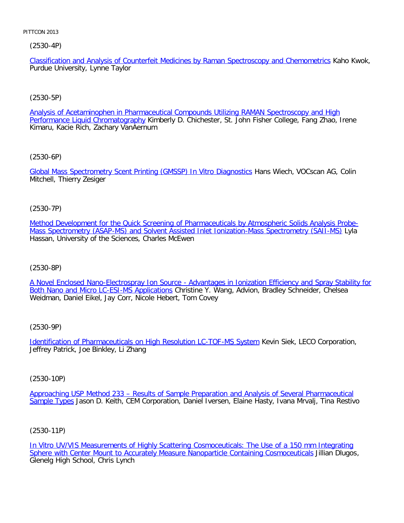(2530-4P)

Classification and Analysis of Counterfeit Medicines by Raman Spectroscopy and Chemometrics Kaho Kwok, Purdue University, Lynne Taylor

# [\(2530-5P\)](file:///p|/print%20on%20demand%20titles/23101-23200/23133/23133%20source%20materials/papers/2530-5.htm)

Analysis of Acetaminophen in Pharmaceutical Compounds Utilizing RAMAN Spectroscopy and High Performance Liquid Chromatography Kimberly D. Chichester, St. John Fisher College, Fang Zhao, Irene Kimaru, Kacie Rich, Zachary VanAernum

[\(2530-6P\)](file:///p|/print%20on%20demand%20titles/23101-23200/23133/23133%20source%20materials/papers/2530-6.htm)

Global Mass Spectrometry Scent Printing (GMSSP) In Vitro Diagnostics Hans Wiech, VOCscan AG, Colin Mitchell, Thierry Zesiger

(2530-7P)

[Method Development for the Quick Screening of Pharmaceuticals by Atmospheric Solids Analysis Probe-](file:///p|/print%20on%20demand%20titles/23101-23200/23133/23133%20source%20materials/papers/2530-7.htm)[Mass Spectrometry \(ASAP-MS\) and Solvent Assisted Inlet Ionization-Mass Spectrometry \(SAII-MS\)](file:///p|/print%20on%20demand%20titles/23101-23200/23133/23133%20source%20materials/papers/2530-7.htm) Lyla Hassan, University of the Sciences, Charles McEwen

(2530-8P)

[A Novel Enclosed Nano-Electrospray Ion Source - Advantages in Ionization Efficiency and Spray Stability for](file:///p|/print%20on%20demand%20titles/23101-23200/23133/23133%20source%20materials/papers/2530-8.htm) [Both Nano and Micro LC-ESI-MS Applications](file:///p|/print%20on%20demand%20titles/23101-23200/23133/23133%20source%20materials/papers/2530-8.htm) Christine Y. Wang, Advion, Bradley Schneider, Chelsea Weidman, Daniel Eikel, Jay Corr, Nicole Hebert, Tom Covey

(2530-9P)

Identification of Pharmaceuticals on High Resolution LC-TOF-MS System Kevin Siek, LECO Corporation, [Jeffrey Patrick, Joe Binkley, Li Zhang](file:///p|/print%20on%20demand%20titles/23101-23200/23133/23133%20source%20materials/papers/2530-9.htm)

(2530-10P)

Approaching USP Method 233 – Results of Sample Preparation and Analysis of Several Pharmaceutical Sample Types [Jason D. Keith, CEM Corporation, Daniel Iversen, Elaine Hasty, Ivana Mrvalj, Tina Restivo](file:///p|/print%20on%20demand%20titles/23101-23200/23133/23133%20source%20materials/papers/2530-10.htm)

(2530-11P)

In Vitro UV/VIS Measurements of Highly Scattering Cosmoceuticals: The Use of a 150 mm Integrating Sphere with Center Mount to Accurately Measure Nanoparticle Containing Cosmoceuticals Jillian Dlugos, [Glenelg High School, Chris Lynch](file:///p|/print%20on%20demand%20titles/23101-23200/23133/23133%20source%20materials/papers/2530-11.htm)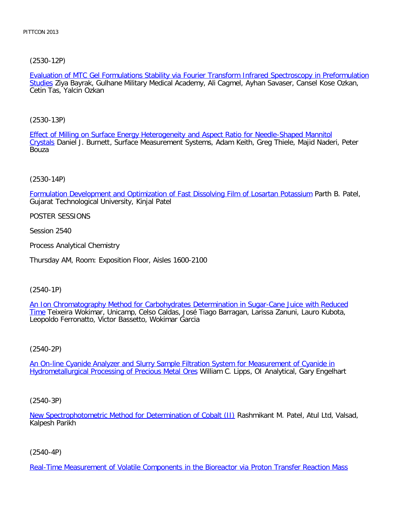[\(2530-12P\)](file:///p|/print%20on%20demand%20titles/23101-23200/23133/23133%20source%20materials/papers/2530-12.htm)

Evaluation of MTC Gel Formulations Stability via Fourier Transform Infrared Spectroscopy in Preformulation Studies Ziya Bayrak, Gulhane Military Medical Academy, Ali Cagmel, Ayhan Savaser, Cansel Kose Ozkan, Cetin Tas, Yalcin Ozkan

[\(2530-13P\)](file:///p|/print%20on%20demand%20titles/23101-23200/23133/23133%20source%20materials/papers/2530-13.htm)

[Effe](file:///p|/print%20on%20demand%20titles/23101-23200/23133/23133%20source%20materials/papers/2530-13.htm)ct of Milling on Surface Energy Heterogeneity and Aspect Ratio for Needle-Shaped Mannitol Crystals Daniel J. Burnett, Surface Measurement Systems, Adam Keith, Greg Thiele, Majid Naderi, Peter **Bouza** 

(2530-14P)

[Formulation Development and Optimization of Fast Dissolving Film of Losartan Potassium](file:///p|/print%20on%20demand%20titles/23101-23200/23133/23133%20source%20materials/papers/2530-14.htm) Parth B. Patel, Gujarat Technological University, Kinjal Patel

POSTER SESSIONS

Session 2540

Process Analytical Chemistry

Thursday AM, Room: Exposition Floor, Aisles 1600-2100

(2540-1P)

An Ion Chromatography Method for Carbohydrates Determination in Sugar-Cane Juice with Reduced Time [Teixeira Wokimar, Unicamp, Celso Caldas, José Tiago Barragan, Larissa Zanuni, Lauro Kubota,](file:///p|/print%20on%20demand%20titles/23101-23200/23133/23133%20source%20materials/papers/2540-1.htm) Leopoldo Ferronatto, Victor Bassetto, Wokimar Garcia

(2540-2P)

An On-line Cyanide Analyzer and Slurry Sample Filtration System for Measurement of Cyanide in [Hydrometallurgical Processing of Precious Metal Ores](file:///p|/print%20on%20demand%20titles/23101-23200/23133/23133%20source%20materials/papers/2540-2.htm) William C. Lipps, OI Analytical, Gary Engelhart

(2540-3P)

New Spectrophotometric Method for Determination of Cobalt (II) Rashmikant M. Patel, Atul Ltd, Valsad, Kalpesh Parikh

(2540-4P)

Real-Time Measurement of Volatile Components in the Bioreactor via Proton Transfer Reaction Mass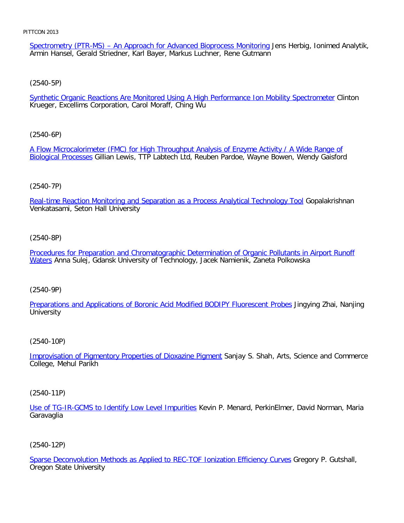Spectrometry (PTR-MS) - An Approach for Advanced Bioprocess Monitoring Jens Herbig, Ionimed Analytik, Armin Hansel, Gerald Striedner, Karl Bayer, Markus Luchner, Rene Gutmann

[\(2540-5P\)](file:///p|/print%20on%20demand%20titles/23101-23200/23133/23133%20source%20materials/papers/2540-5.htm)

Synthetic Organic Reactions Are Monitored Using A High Performance Ion Mobility Spectrometer Clinton Krueger, Excellims Corporation, Carol Moraff, Ching Wu

[\(2540-6P\)](file:///p|/print%20on%20demand%20titles/23101-23200/23133/23133%20source%20materials/papers/2540-6.htm)

[A Flow Microcalo](file:///p|/print%20on%20demand%20titles/23101-23200/23133/23133%20source%20materials/papers/2540-6.htm)rimeter (FMC) for High Throughput Analysis of Enzyme Activity / A Wide Range of Biological Processes Gillian Lewis, TTP Labtech Ltd, Reuben Pardoe, Wayne Bowen, Wendy Gaisford

#### (2540-7P)

[Real-time Reaction Monitoring and Separation as a Process Analytical Technology Tool](file:///p|/print%20on%20demand%20titles/23101-23200/23133/23133%20source%20materials/papers/2540-7.htm) Gopalakrishnan Venkatasami, Seton Hall University

#### (2540-8P)

[Procedures for Preparation and Chromatographic Determination of Organic Pollutants in Airport Runoff](file:///p|/print%20on%20demand%20titles/23101-23200/23133/23133%20source%20materials/papers/2540-8.htm) [W](file:///p|/print%20on%20demand%20titles/23101-23200/23133/23133%20source%20materials/papers/2540-8.htm)aters Anna Sulej, Gdansk University of Technology, Jacek Namienik, Zaneta Polkowska

#### (2540-9P)

[Preparations and Applications of Boronic Acid Modified BODIPY Fluorescent Probes](file:///p|/print%20on%20demand%20titles/23101-23200/23133/23133%20source%20materials/papers/2540-9.htm) Jingying Zhai, Nanjing **University** 

#### (2540-10P)

Improvisation of Pigmentory Properties of Dioxazine Pigment Sanjay S. Shah, Arts, Science and Commerce [College, Mehul Parikh](file:///p|/print%20on%20demand%20titles/23101-23200/23133/23133%20source%20materials/papers/2540-10.htm)

(2540-11P)

Use of TG-IR-GCMS to Identify Low Level Impurities Kevin P. Menard, PerkinElmer, David Norman, Maria Garavaglia

#### (2540-12P)

Sparse Deconvolution Methods as Applied to REC-TOF Ionization Efficiency Curves Gregory P. Gutshall, Oregon State University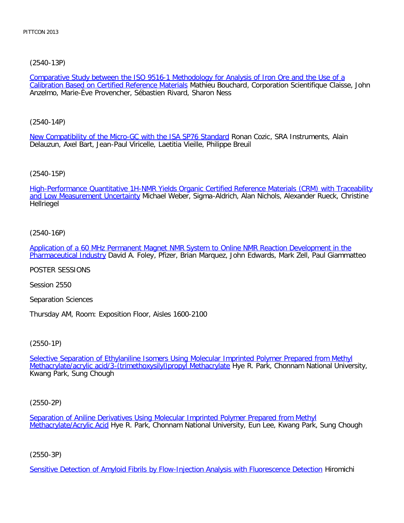[\(2540-13P\)](file:///p|/print%20on%20demand%20titles/23101-23200/23133/23133%20source%20materials/papers/2540-13.htm)

Comparative Study between the ISO 9516-1 Methodology for Analysis of Iron Ore and the Use of a Calibration Based on Certified Reference Materials Mathieu Bouchard, Corporation Scientifique Claisse, John Anzelmo, Marie-Ève Provencher, Sébastien Rivard, Sharon Ness

[\(2540-14P\)](file:///p|/print%20on%20demand%20titles/23101-23200/23133/23133%20source%20materials/papers/2540-14.htm)

New Compatibility of the Micro-GC with the ISA SP76 Standard Ronan Cozic, SRA Instruments, Alain Delauzun, Axel Bart, Jean-Paul Viricelle, Laetitia Vieille, Philippe Breuil

# [\(2540-15P\)](file:///p|/print%20on%20demand%20titles/23101-23200/23133/23133%20source%20materials/papers/2540-15.htm)

[High-Performance Quantitative 1](file:///p|/print%20on%20demand%20titles/23101-23200/23133/23133%20source%20materials/papers/2540-15.htm)H-NMR Yields Organic Certified Reference Materials (CRM) with Traceability and Low Measurement Uncertainty Michael Weber, Sigma-Aldrich, Alan Nichols, Alexander Rueck, Christine Hellriegel

# (2540-16P)

[Application of a 60 MHz Permanent Magnet NMR System to Online NMR Reaction Development in the](file:///p|/print%20on%20demand%20titles/23101-23200/23133/23133%20source%20materials/papers/2540-16.htm) [Pharmaceutical Indus](file:///p|/print%20on%20demand%20titles/23101-23200/23133/23133%20source%20materials/papers/2540-16.htm)try David A. Foley, Pfizer, Brian Marquez, John Edwards, Mark Zell, Paul Giammatteo

POSTER SESSIONS

Session 2550

Separation Sciences

Thursday AM, Room: Exposition Floor, Aisles 1600-2100

(2550-1P)

Selective Separation of Ethylaniline Isomers Using Molecular Imprinted Polymer Prepared from Methyl [Methacrylate/acrylic acid/3-\(trimethoxysilyl\)propyl Methacrylate](file:///p|/print%20on%20demand%20titles/23101-23200/23133/23133%20source%20materials/papers/2550-1.htm) Hye R. Park, Chonnam National University, [Kwang Park, Sung Chough](file:///p|/print%20on%20demand%20titles/23101-23200/23133/23133%20source%20materials/papers/2550-1.htm)

(2550-2P)

Separation of Aniline Derivatives Using Molecular Imprinted Polymer Prepared from Methyl Methacrylate/Acrylic Acid Hye R. Park, Chonnam National University, Eun Lee, Kwang Park, Sung Chough

(2550-3P)

Sensitive Detection of Amyloid Fibrils by Flow-Injection Analysis with Fluorescence Detection Hiromichi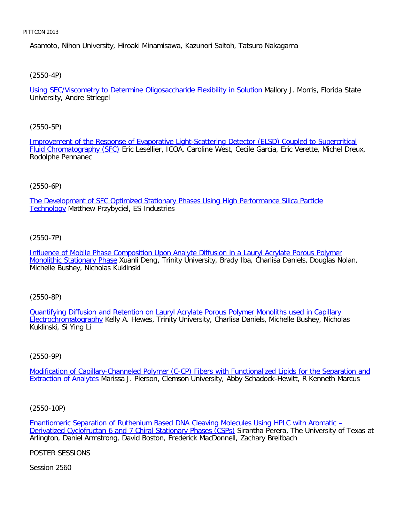Asamoto, Nihon University, Hiroaki Minamisawa, Kazunori Saitoh, Tatsuro Nakagama

[\(2550-4P\)](file:///p|/print%20on%20demand%20titles/23101-23200/23133/23133%20source%20materials/papers/2550-4.htm)

Using SEC/Viscometry to Determine Oligosaccharide Flexibility in Solution Mallory J. Morris, Florida State University, Andre Striegel

### [\(2550-5P\)](file:///p|/print%20on%20demand%20titles/23101-23200/23133/23133%20source%20materials/papers/2550-5.htm)

[Improvement of the Resp](file:///p|/print%20on%20demand%20titles/23101-23200/23133/23133%20source%20materials/papers/2550-5.htm)onse of Evaporative Light-Scattering Detector (ELSD) Coupled to Supercritical Fluid Chromatography (SFC) Eric Lesellier, ICOA, Caroline West, Cecile Garcia, Eric Verette, Michel Dreux, Rodolphe Pennanec

### (2550-6P)

[The Development of SFC Optimized Stationary Phases Using High Performance Silica Particle](file:///p|/print%20on%20demand%20titles/23101-23200/23133/23133%20source%20materials/papers/2550-6.htm) **Technology Matthew Przybyciel, ES Industries** 

### (2550-7P)

[Influence of Mobile Phase Composition Upon Analyte Diffusion in a Lauryl Acrylate Porous Polymer](file:///p|/print%20on%20demand%20titles/23101-23200/23133/23133%20source%20materials/papers/2550-7.htm) [Monolithic Stationary Pha](file:///p|/print%20on%20demand%20titles/23101-23200/23133/23133%20source%20materials/papers/2550-7.htm)se Xuanli Deng, Trinity University, Brady Iba, Charlisa Daniels, Douglas Nolan, Michelle Bushey, Nicholas Kuklinski

(2550-8P)

Quantifying Diffusion and Retention on Lauryl Acrylate Porous Polymer Monoliths used in Capillary Electrochromatography [Kelly A. Hewes, Trinity University, Charlisa Daniels, Michelle Bushey, Nicholas](file:///p|/print%20on%20demand%20titles/23101-23200/23133/23133%20source%20materials/papers/2550-8.htm) [Kuklinski, Si Ying Li](file:///p|/print%20on%20demand%20titles/23101-23200/23133/23133%20source%20materials/papers/2550-8.htm)

### (2550-9P)

Modification of Capillary-Channeled Polymer (C-CP) Fibers with Functionalized Lipids for the Separation and Extraction of Analytes [Marissa J. Pierson, Clemson University, Abby Schadock-Hewitt, R Kenneth Marcus](file:///p|/print%20on%20demand%20titles/23101-23200/23133/23133%20source%20materials/papers/2550-9.htm)

(2550-10P)

Enantiomeric Separation of Ruthenium Based DNA Cleaving Molecules Using HPLC with Aromatic – Derivatized Cyclofructan 6 and 7 Chiral Stationary Phases (CSPs) Sirantha Perera, The University of Texas at [Arlington, Daniel Armstrong, David Boston, Frederick MacDonnell, Zachary Breitbach](file:///p|/print%20on%20demand%20titles/23101-23200/23133/23133%20source%20materials/papers/2550-10.htm)

[POSTER SESSIONS](file:///p|/print%20on%20demand%20titles/23101-23200/23133/23133%20source%20materials/papers/2550-10.htm)

Session 2560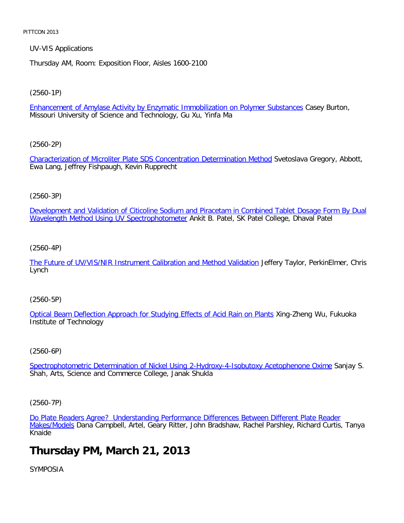UV-VIS Applications

Thursday AM, Room: Exposition Floor, Aisles 1600-2100

[\(2560-1P\)](file:///p|/print%20on%20demand%20titles/23101-23200/23133/23133%20source%20materials/papers/2560-1.htm)

Enhancement of Amylase Activity by Enzymatic Immobilization on Polymer Substances Casey Burton, Missouri University of Science and Technology, Gu Xu, Yinfa Ma

[\(2560-2P\)](file:///p|/print%20on%20demand%20titles/23101-23200/23133/23133%20source%20materials/papers/2560-2.htm)

Characterization of Microliter Plate SDS Concentration Determination Method Svetoslava Gregory, Abbott, Ewa Lang, Jeffrey Fishpaugh, Kevin Rupprecht

# (2560-3P)

[Development and Validation of Citicoline Sodium and Piracetam in Combined Tablet Dosage Form By Dual](file:///p|/print%20on%20demand%20titles/23101-23200/23133/23133%20source%20materials/papers/2560-3.htm) Wavelength Method Using UV Spectrophotometer Ankit B. Patel, SK Patel College, Dhaval Patel

(2560-4P)

[The Future of UV/VIS/NIR Instrument Calibration and Method Validation](file:///p|/print%20on%20demand%20titles/23101-23200/23133/23133%20source%20materials/papers/2560-4.htm) Jeffery Taylor, PerkinElmer, Chris Lynch

(2560-5P)

[Optical Beam Deflection Approach for Studying Effects of Acid Rain on Plants](file:///p|/print%20on%20demand%20titles/23101-23200/23133/23133%20source%20materials/papers/2560-5.htm) Xing-Zheng Wu, Fukuoka Institute of Technology

(2560-6P)

Spectrophotometric Determination of Nickel Using 2-Hydroxy-4-Isobutoxy Acetophenone Oxime Sanjay S. [Shah, Arts, Science and Commerce College, Janak Shukla](file:///p|/print%20on%20demand%20titles/23101-23200/23133/23133%20source%20materials/papers/2560-6.htm)

(2560-7P)

Do Plate Readers Agree? Understanding Performance Differences Between Different Plate Reader Makes/Models Dana Campbell, Artel, Geary Ritter, John Bradshaw, Rachel Parshley, Richard Curtis, Tanya [Knaide](file:///p|/print%20on%20demand%20titles/23101-23200/23133/23133%20source%20materials/papers/2560-7.htm)

# **[Thurs](file:///p|/print%20on%20demand%20titles/23101-23200/23133/23133%20source%20materials/papers/2560-7.htm)day PM, March 21, 2013**

SYMPOSIA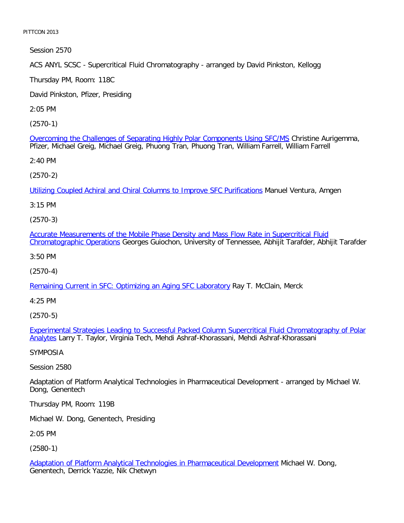Session 2570

ACS ANYL SCSC - Supercritical Fluid Chromatography - arranged by David Pinkston, Kellogg

Thursday PM, Room: 118C

David Pinkston, Pfizer, Presiding

2:05 PM

[\(2570-1\)](file:///p|/print%20on%20demand%20titles/23101-23200/23133/23133%20source%20materials/papers/2570-1.htm)

Overcoming the Challenges of Separating Highly Polar Components Using SFC/MS Christine Aurigemma, Pfizer, Michael Greig, Michael Greig, Phuong Tran, Phuong Tran, William Farrell, William Farrell

2:40 PM

[\(2570-2\)](file:///p|/print%20on%20demand%20titles/23101-23200/23133/23133%20source%20materials/papers/2570-2.htm)

Utilizing Coupled Achiral and Chiral Columns to Improve SFC Purifications Manuel Ventura, Amgen

3:15 PM

(2570-3)

[Accurate Measurements of the Mobile Phase Density and Mass Flow Rate in Supercritical Fluid](file:///p|/print%20on%20demand%20titles/23101-23200/23133/23133%20source%20materials/papers/2570-3.htm) [Chromatographic Operatio](file:///p|/print%20on%20demand%20titles/23101-23200/23133/23133%20source%20materials/papers/2570-3.htm)ns Georges Guiochon, University of Tennessee, Abhijit Tarafder, Abhijit Tarafder

3:50 PM

(2570-4)

[Remaining Current in SFC: Optimizing an Aging SFC Laboratory](file:///p|/print%20on%20demand%20titles/23101-23200/23133/23133%20source%20materials/papers/2570-4.htm) Ray T. McClain, Merck

4:25 PM

(2570-5)

Experimental Strategies Leading to Successful Packed Column Supercritical Fluid Chromatography of Polar Analytes [Larry T. Taylor, Virginia Tech, Mehdi Ashraf-Khorassani, Mehdi Ashraf-Khorassani](file:///p|/print%20on%20demand%20titles/23101-23200/23133/23133%20source%20materials/papers/2570-5.htm)

[SYM](file:///p|/print%20on%20demand%20titles/23101-23200/23133/23133%20source%20materials/papers/2570-5.htm)POSIA

Session 2580

Adaptation of Platform Analytical Technologies in Pharmaceutical Development - arranged by Michael W. Dong, Genentech

Thursday PM, Room: 119B

Michael W. Dong, Genentech, Presiding

2:05 PM

(2580-1)

Adaptation of Platform Analytical Technologies in Pharmaceutical Development Michael W. Dong, Genentech, Derrick Yazzie, Nik Chetwyn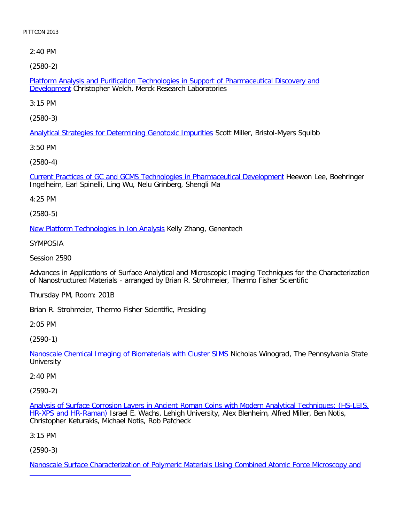2:40 PM

[\(2580-2\)](file:///p|/print%20on%20demand%20titles/23101-23200/23133/23133%20source%20materials/papers/2580-2.htm)

Platform Analysis and Purification Technologies in Support of Pharmaceutical Discovery and Development Christopher Welch, Merck Research Laboratories

3:15 PM

[\(2580-3\)](file:///p|/print%20on%20demand%20titles/23101-23200/23133/23133%20source%20materials/papers/2580-3.htm)

Analytical Strategies for Determining Genotoxic Impurities Scott Miller, Bristol-Myers Squibb

3:50 PM

[\(2580-4\)](file:///p|/print%20on%20demand%20titles/23101-23200/23133/23133%20source%20materials/papers/2580-4.htm)

Current Practices of GC and GCMS Technologies in Pharmaceutical Development Heewon Lee, Boehringer Ingelheim, Earl Spinelli, Ling Wu, Nelu Grinberg, Shengli Ma

4:25 PM

(2580-5)

[New Platform Technologies in Ion Analysi](file:///p|/print%20on%20demand%20titles/23101-23200/23133/23133%20source%20materials/papers/2580-5.htm)s Kelly Zhang, Genentech

SYMPOSIA

Session 2590

Advances in Applications of Surface Analytical and Microscopic Imaging Techniques for the Characterization of Nanostructured Materials - arranged by Brian R. Strohmeier, Thermo Fisher Scientific

Thursday PM, Room: 201B

Brian R. Strohmeier, Thermo Fisher Scientific, Presiding

2:05 PM

(2590-1)

Nanoscale Chemical Imaging of Biomaterials with Cluster SIMS Nicholas Winograd, The Pennsylvania State **[University](file:///p|/print%20on%20demand%20titles/23101-23200/23133/23133%20source%20materials/papers/2590-1.htm)** 

2:40 PM

(2590-2)

Analysis of Surface Corrosion Layers in Ancient Roman Coins with Modern Analytical Techniques: (HS-LEIS, HR-XPS and HR-Raman) Israel E. Wachs, Lehigh University, Alex Blenheim, Alfred Miller, Ben Notis, [Christopher Keturakis, Michael Notis, Rob Pafcheck](file:///p|/print%20on%20demand%20titles/23101-23200/23133/23133%20source%20materials/papers/2590-2.htm)

[3:15 PM](file:///p|/print%20on%20demand%20titles/23101-23200/23133/23133%20source%20materials/papers/2590-2.htm)

(2590-3)

Nanoscale Surface Characterization of Polymeric Materials Using Combined Atomic Force Microscopy and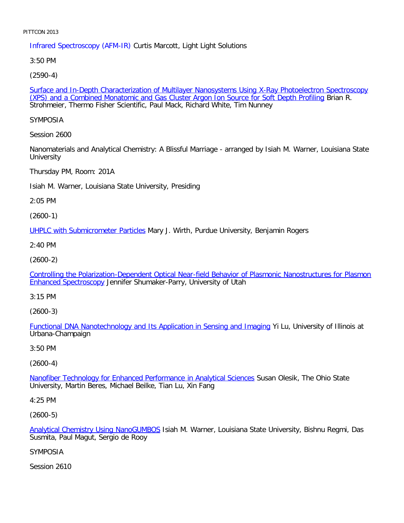Infrared Spectroscopy (AFM-IR) Curtis Marcott, Light Light Solutions

3:50 PM

[\(2590-4\)](file:///p|/print%20on%20demand%20titles/23101-23200/23133/23133%20source%20materials/papers/2590-4.htm)

Surface and In-Depth Characterization of Multilayer Nanosystems Using X-Ray Photoelectron Spectroscopy (XPS) and a Combined Monatomic and Gas Cluster Argon Ion Source for Soft Depth Profiling Brian R. Strohmeier, Thermo Fisher Scientific, Paul Mack, Richard White, Tim Nunney

SYMPOSIA

Session 2600

Nanomaterials and Analytical Chemistry: A Blissful Marriage - arranged by Isiah M. Warner, Louisiana State **University** 

Thursday PM, Room: 201A

Isiah M. Warner, Louisiana State University, Presiding

2:05 PM

(2600-1)

[UHPLC with Submicrometer Particle](file:///p|/print%20on%20demand%20titles/23101-23200/23133/23133%20source%20materials/papers/2600-1.htm)s Mary J. Wirth, Purdue University, Benjamin Rogers

2:40 PM

(2600-2)

[Controlling the Polarization-Dependent Optical Near-field Behavior of Plasmonic Nanostructures for Plasmon](file:///p|/print%20on%20demand%20titles/23101-23200/23133/23133%20source%20materials/papers/2600-2.htm) [Enhanced Spectrosco](file:///p|/print%20on%20demand%20titles/23101-23200/23133/23133%20source%20materials/papers/2600-2.htm)py Jennifer Shumaker-Parry, University of Utah

3:15 PM

(2600-3)

Functional DNA Nanotechnology and Its Application in Sensing and Imaging Yi Lu, University of Illinois at [Urbana-Champaign](file:///p|/print%20on%20demand%20titles/23101-23200/23133/23133%20source%20materials/papers/2600-3.htm)

3:50 PM

(2600-4)

Nanofiber Technology for Enhanced Performance in Analytical Sciences Susan Olesik, The Ohio State [University, Martin Beres, Michael Beilke, Tian Lu, Xin Fang](file:///p|/print%20on%20demand%20titles/23101-23200/23133/23133%20source%20materials/papers/2600-4.htm)

4:25 PM

(2600-5)

Analytical Chemistry Using NanoGUMBOS Isiah M. Warner, Louisiana State University, Bishnu Regmi, Das Susmita, Paul Magut, Sergio de Rooy

[SYMPOSIA](file:///p|/print%20on%20demand%20titles/23101-23200/23133/23133%20source%20materials/papers/2600-5.htm)

Session 2610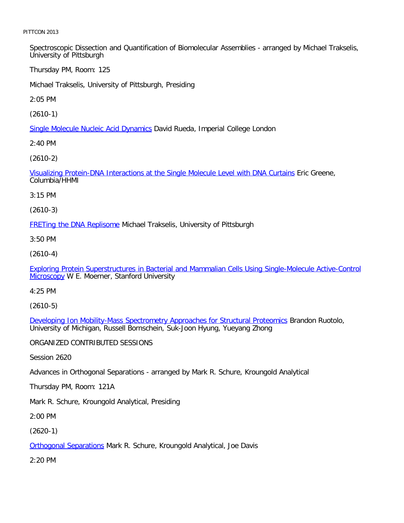Spectroscopic Dissection and Quantification of Biomolecular Assemblies - arranged by Michael Trakselis, University of Pittsburgh

Thursday PM, Room: 125

Michael Trakselis, University of Pittsburgh, Presiding

2:05 PM

[\(2610-1\)](file:///p|/print%20on%20demand%20titles/23101-23200/23133/23133%20source%20materials/papers/2610-1.htm)

Single Molecule Nucleic Acid Dynamics David Rueda, Imperial College London

2:40 PM

[\(2610-2\)](file:///p|/print%20on%20demand%20titles/23101-23200/23133/23133%20source%20materials/papers/2610-2.htm)

Visualizing Protein-DNA Interactions at the Single Molecule Level with DNA Curtains Eric Greene, Columbia/HHMI

3:15 PM

(2610-3)

**[FRETing the DNA Replisom](file:///p|/print%20on%20demand%20titles/23101-23200/23133/23133%20source%20materials/papers/2610-3.htm)e Michael Trakselis, University of Pittsburgh** 

3:50 PM

(2610-4)

[Exploring Protein Superstructures in Bacterial and Mammalian Cells Using Single-Molecule Active-Control](file:///p|/print%20on%20demand%20titles/23101-23200/23133/23133%20source%20materials/papers/2610-4.htm) [Micros](file:///p|/print%20on%20demand%20titles/23101-23200/23133/23133%20source%20materials/papers/2610-4.htm)copy W E. Moerner, Stanford University

4:25 PM

(2610-5)

Developing Ion Mobility-Mass Spectrometry Approaches for Structural Proteomics Brandon Ruotolo, [University of Michigan, Russell Bornschein, Suk-Joon Hyung, Yueyang Zhong](file:///p|/print%20on%20demand%20titles/23101-23200/23133/23133%20source%20materials/papers/2610-5.htm)

ORGANIZED CONTRIBUTED SESSIONS

Session 2620

Advances in Orthogonal Separations - arranged by Mark R. Schure, Kroungold Analytical

Thursday PM, Room: 121A

Mark R. Schure, Kroungold Analytical, Presiding

2:00 PM

(2620-1)

**Orthogonal Separations Mark R. Schure, Kroungold Analytical, Joe Davis** 

[2:20 PM](file:///p|/print%20on%20demand%20titles/23101-23200/23133/23133%20source%20materials/papers/2620-1.htm)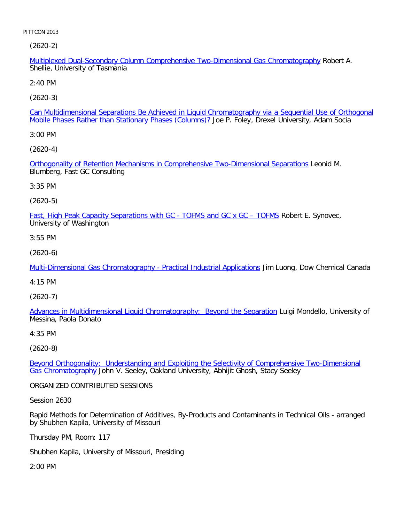(2620-2)

Multiplexed Dual-Secondary Column Comprehensive Two-Dimensional Gas Chromatography Robert A. Shellie, University of Tasmania

2:40 PM

[\(2620-3\)](file:///p|/print%20on%20demand%20titles/23101-23200/23133/23133%20source%20materials/papers/2620-3.htm)

Can Multidimensional Separations Be Achieved in Liquid Chromatography via a Sequential Use of Orthogonal Mobile Phases Rather than Stationary Phases (Columns)? Joe P. Foley, Drexel University, Adam Socia

3:00 PM

[\(2620-4\)](file:///p|/print%20on%20demand%20titles/23101-23200/23133/23133%20source%20materials/papers/2620-4.htm)

Orthogonality of Retention Mechanisms in Comprehensive Two-Dimensional Separations Leonid M. Blumberg, Fast GC Consulting

3:35 PM

(2620-5)

[Fast, High Peak Capacity Separations with GC - TOFMS and GC x GC – TOFMS](file:///p|/print%20on%20demand%20titles/23101-23200/23133/23133%20source%20materials/papers/2620-5.htm) Robert E. Synovec, University of Washington

3:55 PM

(2620-6)

[Multi-Dimensional Gas Chromatography - Practical Industrial Applications](file:///p|/print%20on%20demand%20titles/23101-23200/23133/23133%20source%20materials/papers/2620-6.htm) Jim Luong, Dow Chemical Canada

4:15 PM

(2620-7)

[Advances in Multidimensional Liquid Chromatography: Beyond the Separation](file:///p|/print%20on%20demand%20titles/23101-23200/23133/23133%20source%20materials/papers/2620-7.htm) Luigi Mondello, University of Messina, Paola Donato

4:35 PM

(2620-8)

Beyond Orthogonality: Understanding and Exploiting the Selectivity of Comprehensive Two-Dimensional Gas Chromatography [John V. Seeley, Oakland University, Abhijit Ghosh, Stacy Seeley](file:///p|/print%20on%20demand%20titles/23101-23200/23133/23133%20source%20materials/papers/2620-8.htm)

[ORGANIZED CONT](file:///p|/print%20on%20demand%20titles/23101-23200/23133/23133%20source%20materials/papers/2620-8.htm)RIBUTED SESSIONS

Session 2630

Rapid Methods for Determination of Additives, By-Products and Contaminants in Technical Oils - arranged by Shubhen Kapila, University of Missouri

Thursday PM, Room: 117

Shubhen Kapila, University of Missouri, Presiding

2:00 PM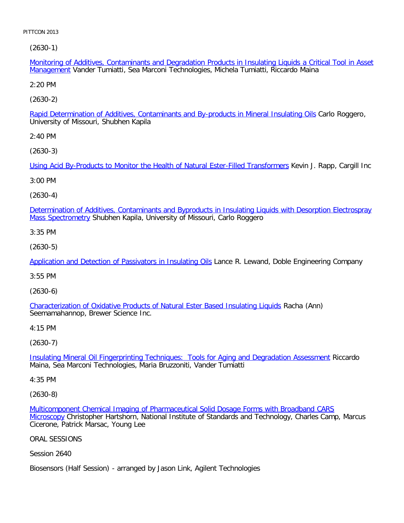[\(2630-1\)](file:///p|/print%20on%20demand%20titles/23101-23200/23133/23133%20source%20materials/papers/2630-1.htm)

Monitoring of Additives, Contaminants and Degradation Products in Insulating Liquids a Critical Tool in Asset Management Vander Tumiatti, Sea Marconi Technologies, Michela Tumiatti, Riccardo Maina

2:20 PM

[\(2630-2\)](file:///p|/print%20on%20demand%20titles/23101-23200/23133/23133%20source%20materials/papers/2630-2.htm)

Rapid Determination of Additives, Contaminants and By-products in Mineral Insulating Oils Carlo Roggero, University of Missouri, Shubhen Kapila

2:40 PM

[\(2630-3\)](file:///p|/print%20on%20demand%20titles/23101-23200/23133/23133%20source%20materials/papers/2630-3.htm)

Using Acid By-Products to Monitor the Health of Natural Ester-Filled Transformers Kevin J. Rapp, Cargill Inc

3:00 PM

(2630-4)

[Determination of Additives, Contaminants and Byproducts in Insulating Liquids with Desorption Electrospray](file:///p|/print%20on%20demand%20titles/23101-23200/23133/23133%20source%20materials/papers/2630-4.htm) Mass Spectrometry Shubhen Kapila, University of Missouri, Carlo Roggero

3:35 PM

(2630-5)

[Application and Detection of Passivators in Insulating Oils](file:///p|/print%20on%20demand%20titles/23101-23200/23133/23133%20source%20materials/papers/2630-5.htm) Lance R. Lewand, Doble Engineering Company

3:55 PM

(2630-6)

[Characterization of Oxidative Products of Natural Ester Based Insulating Liquids](file:///p|/print%20on%20demand%20titles/23101-23200/23133/23133%20source%20materials/papers/2630-6.htm) Racha (Ann) Seemamahannop, Brewer Science Inc.

4:15 PM

(2630-7)

Insulating Mineral Oil Fingerprinting Techniques: Tools for Aging and Degradation Assessment Riccardo [Maina, Sea Marconi Technologies, Maria Bruzzoniti, Vander Tumiatti](file:///p|/print%20on%20demand%20titles/23101-23200/23133/23133%20source%20materials/papers/2630-7.htm)

4:35 PM

(2630-8)

Multicomponent Chemical Imaging of Pharmaceutical Solid Dosage Forms with Broadband CARS Microscopy Christopher Hartshorn, National Institute of Standards and Technology, Charles Camp, Marcus [Cicerone, Patrick Marsac, Young Lee](file:///p|/print%20on%20demand%20titles/23101-23200/23133/23133%20source%20materials/papers/2630-8.htm)

[ORAL S](file:///p|/print%20on%20demand%20titles/23101-23200/23133/23133%20source%20materials/papers/2630-8.htm)ESSIONS

Session 2640

Biosensors (Half Session) - arranged by Jason Link, Agilent Technologies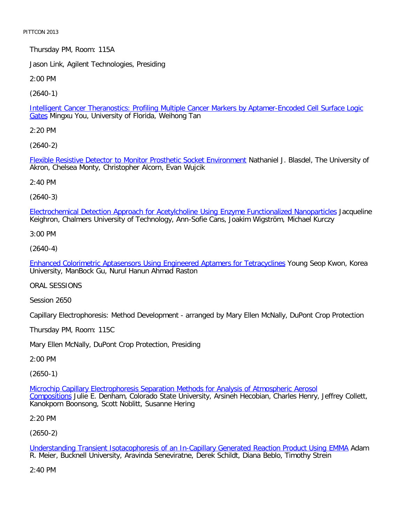Thursday PM, Room: 115A

Jason Link, Agilent Technologies, Presiding

2:00 PM

[\(2640-1\)](file:///p|/print%20on%20demand%20titles/23101-23200/23133/23133%20source%20materials/papers/2640-1.htm)

Intelligent Cancer Theranostics: Profiling Multiple Cancer Markers by Aptamer-Encoded Cell Surface Logic Gates Mingxu You, University of Florida, Weihong Tan

2:20 PM

[\(2640-2\)](file:///p|/print%20on%20demand%20titles/23101-23200/23133/23133%20source%20materials/papers/2640-2.htm)

Flexible Resistive Detector to Monitor Prosthetic Socket Environment Nathaniel J. Blasdel, The University of Akron, Chelsea Monty, Christopher Alcorn, Evan Wujcik

2:40 PM

(2640-3)

[Electrochemical Detection Approach for Acetylcholine Using Enzyme Functionalized Nanoparticles](file:///p|/print%20on%20demand%20titles/23101-23200/23133/23133%20source%20materials/papers/2640-3.htm) Jacqueline Keighron, Chalmers University of Technology, Ann-Sofie Cans, Joakim Wigström, Michael Kurczy

3:00 PM

(2640-4)

[Enhanced Colorimetric Aptasensors Using Engineered Aptamers for Tetracyclines](file:///p|/print%20on%20demand%20titles/23101-23200/23133/23133%20source%20materials/papers/2640-4.htm) Young Seop Kwon, Korea University, ManBock Gu, Nurul Hanun Ahmad Raston

ORAL SESSIONS

Session 2650

Capillary Electrophoresis: Method Development - arranged by Mary Ellen McNally, DuPont Crop Protection

Thursday PM, Room: 115C

Mary Ellen McNally, DuPont Crop Protection, Presiding

2:00 PM

(2650-1)

Microchip Capillary Electrophoresis Separation Methods for Analysis of Atmospheric Aerosol Compositions Julie E. Denham, Colorado State University, Arsineh Hecobian, Charles Henry, Jeffrey Collett, [Kanokporn Boonsong, Scott Noblitt, Susanne Hering](file:///p|/print%20on%20demand%20titles/23101-23200/23133/23133%20source%20materials/papers/2650-1.htm)

2:20 PM

(2650-2)

Understanding Transient Isotacophoresis of an In-Capillary Generated Reaction Product Using EMMA Adam R. Meier, Bucknell University, Aravinda Seneviratne, Derek Schildt, Diana Beblo, Timothy Strein

[2:40 PM](file:///p|/print%20on%20demand%20titles/23101-23200/23133/23133%20source%20materials/papers/2650-2.htm)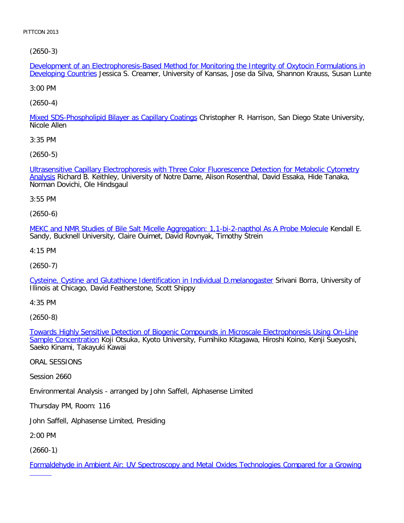[\(2650-3\)](file:///p|/print%20on%20demand%20titles/23101-23200/23133/23133%20source%20materials/papers/2650-3.htm)

Development of an Electrophoresis-Based Method for Monitoring the Integrity of Oxytocin Formulations in Developing Countries Jessica S. Creamer, University of Kansas, Jose da Silva, Shannon Krauss, Susan Lunte

3:00 PM

[\(2650-4\)](file:///p|/print%20on%20demand%20titles/23101-23200/23133/23133%20source%20materials/papers/2650-4.htm)

Mixed SDS-Phospholipid Bilayer as Capillary Coatings Christopher R. Harrison, San Diego State University, Nicole Allen

3:35 PM

[\(2650-5\)](file:///p|/print%20on%20demand%20titles/23101-23200/23133/23133%20source%20materials/papers/2650-5.htm)

[Ultr](file:///p|/print%20on%20demand%20titles/23101-23200/23133/23133%20source%20materials/papers/2650-5.htm)asensitive Capillary Electrophoresis with Three Color Fluorescence Detection for Metabolic Cytometry Analysis Richard B. Keithley, University of Notre Dame, Alison Rosenthal, David Essaka, Hide Tanaka, Norman Dovichi, Ole Hindsgaul

3:55 PM

(2650-6)

[MEKC and NMR Studies of Bile Salt Micelle Aggregation: 1,1-bi-2-napthol As A Probe Molecule](file:///p|/print%20on%20demand%20titles/23101-23200/23133/23133%20source%20materials/papers/2650-6.htm) Kendall E. Sandy, Bucknell University, Claire Ouimet, David Rovnyak, Timothy Strein

4:15 PM

(2650-7)

[Cysteine, Cystine and Glutathione Identification in Individual D.melanogaster](file:///p|/print%20on%20demand%20titles/23101-23200/23133/23133%20source%20materials/papers/2650-7.htm) Srivani Borra, University of Illinois at Chicago, David Featherstone, Scott Shippy

4:35 PM

(2650-8)

Towards Highly Sensitive Detection of Biogenic Compounds in Microscale Electrophoresis Using On-Line Sample Concentration [Koji Otsuka, Kyoto University, Fumihiko Kitagawa, Hiroshi Koino, Kenji Sueyoshi,](file:///p|/print%20on%20demand%20titles/23101-23200/23133/23133%20source%20materials/papers/2650-8.htm) [Saeko Kinami, Tak](file:///p|/print%20on%20demand%20titles/23101-23200/23133/23133%20source%20materials/papers/2650-8.htm)ayuki Kawai

ORAL SESSIONS

Session 2660

Environmental Analysis - arranged by John Saffell, Alphasense Limited

Thursday PM, Room: 116

John Saffell, Alphasense Limited, Presiding

2:00 PM

(2660-1)

Formaldehyde in Ambient Air: UV Spectroscopy and Metal Oxides Technologies Compared for a Growing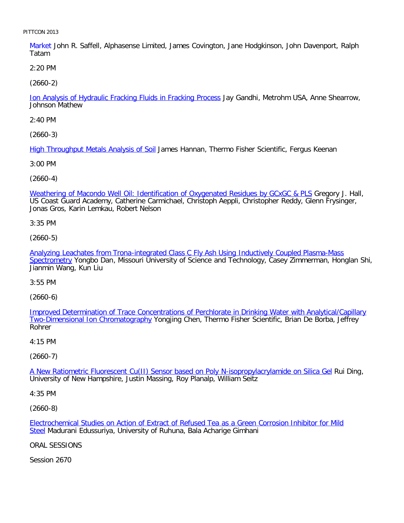Market John R. Saffell, Alphasense Limited, James Covington, Jane Hodgkinson, John Davenport, Ralph Tatam

2:20 PM

[\(2660-2\)](file:///p|/print%20on%20demand%20titles/23101-23200/23133/23133%20source%20materials/papers/2660-2.htm)

Ion Analysis of Hydraulic Fracking Fluids in Fracking Process Jay Gandhi, Metrohm USA, Anne Shearrow, Johnson Mathew

2:40 PM

[\(2660-3\)](file:///p|/print%20on%20demand%20titles/23101-23200/23133/23133%20source%20materials/papers/2660-3.htm)

High Throughput Metals Analysis of Soil James Hannan, Thermo Fisher Scientific, Fergus Keenan

3:00 PM

(2660-4)

[Weathering of Macondo Well Oil: Identification of Oxygenated Residues by GCxGC & PLS](file:///p|/print%20on%20demand%20titles/23101-23200/23133/23133%20source%20materials/papers/2660-4.htm) Gregory J. Hall, US Coast Guard Academy, Catherine Carmichael, Christoph Aeppli, Christopher Reddy, Glenn Frysinger, Jonas Gros, Karin Lemkau, Robert Nelson

3:35 PM

(2660-5)

[Analyzing Leachates from Trona-integrated Class C Fly Ash Using Inductively Coupled Plasma-Mass](file:///p|/print%20on%20demand%20titles/23101-23200/23133/23133%20source%20materials/papers/2660-5.htm) [Spectrom](file:///p|/print%20on%20demand%20titles/23101-23200/23133/23133%20source%20materials/papers/2660-5.htm)etry Yongbo Dan, Missouri University of Science and Technology, Casey Zimmerman, Honglan Shi, Jianmin Wang, Kun Liu

3:55 PM

(2660-6)

Improved Determination of Trace Concentrations of Perchlorate in Drinking Water with Analytical/Capillary [Two-Dimensional Ion Chromatograph](file:///p|/print%20on%20demand%20titles/23101-23200/23133/23133%20source%20materials/papers/2660-6.htm)y [Yongjing Chen, Thermo Fisher Scientific, Brian De Borba, Jeffrey](file:///p|/print%20on%20demand%20titles/23101-23200/23133/23133%20source%20materials/papers/2660-6.htm) Rohrer

4:15 PM

(2660-7)

A New Ratiometric Fluorescent Cu(II) Sensor based on Poly N-isopropylacrylamide on Silica Gel Rui Ding, [University of New Hampshire, Justin Massing, Roy Planalp, William Seitz](file:///p|/print%20on%20demand%20titles/23101-23200/23133/23133%20source%20materials/papers/2660-7.htm)

4:35 PM

(2660-8)

Electrochemical Studies on Action of Extract of Refused Tea as a Green Corrosion Inhibitor for Mild Steel Madurani Edussuriya, University of Ruhuna, Bala Acharige Gimhani

[ORAL SESSIONS](file:///p|/print%20on%20demand%20titles/23101-23200/23133/23133%20source%20materials/papers/2660-8.htm)

Session 2670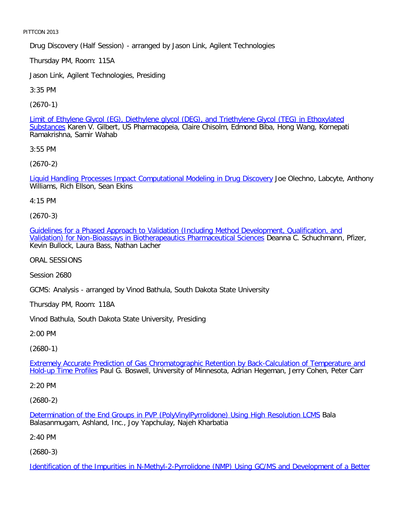Drug Discovery (Half Session) - arranged by Jason Link, Agilent Technologies

Thursday PM, Room: 115A

Jason Link, Agilent Technologies, Presiding

3:35 PM

[\(2670-1\)](file:///p|/print%20on%20demand%20titles/23101-23200/23133/23133%20source%20materials/papers/2670-1.htm)

Limit of Ethylene Glycol (EG), Diethylene glycol (DEG), and Triethylene Glycol (TEG) in Ethoxylated Substances Karen V. Gilbert, US Pharmacopeia, Claire Chisolm, Edmond Biba, Hong Wang, Kornepati Ramakrishna, Samir Wahab

3:55 PM

[\(2670-2\)](file:///p|/print%20on%20demand%20titles/23101-23200/23133/23133%20source%20materials/papers/2670-2.htm)

Liquid Handling Processes Impact Computational Modeling in Drug Discovery Joe Olechno, Labcyte, Anthony Williams, Rich Ellson, Sean Ekins

4:15 PM

(2670-3)

[Guidelines for a Phased Approach to Validation \(Including Method Development, Qualification, and](file:///p|/print%20on%20demand%20titles/23101-23200/23133/23133%20source%20materials/papers/2670-3.htm) [Validation\) for Non-Bioassays in Biotherapeautics Pharmaceutical Sciences](file:///p|/print%20on%20demand%20titles/23101-23200/23133/23133%20source%20materials/papers/2670-3.htm) Deanna C. Schuchmann, Pfizer, Kevin Bullock, Laura Bass, Nathan Lacher

ORAL SESSIONS

Session 2680

GCMS: Analysis - arranged by Vinod Bathula, South Dakota State University

Thursday PM, Room: 118A

Vinod Bathula, South Dakota State University, Presiding

2:00 PM

(2680-1)

Extremely Accurate Prediction of Gas Chromatographic Retention by Back-Calculation of Temperature and Hold-up Time Profiles [Paul G. Boswell, University of Minnesota, Adrian Hegeman, Jerry Cohen, Peter Carr](file:///p|/print%20on%20demand%20titles/23101-23200/23133/23133%20source%20materials/papers/2680-1.htm)

[2:20 PM](file:///p|/print%20on%20demand%20titles/23101-23200/23133/23133%20source%20materials/papers/2680-1.htm)

(2680-2)

Determination of the End Groups in PVP (PolyVinylPyrrolidone) Using High Resolution LCMS Bala Balasanmugam, Ashland, Inc., Joy Yapchulay, Najeh Kharbatia

[2:40 PM](file:///p|/print%20on%20demand%20titles/23101-23200/23133/23133%20source%20materials/papers/2680-2.htm)

(2680-3)

Identification of the Impurities in N-Methyl-2-Pyrrolidone (NMP) Using GC/MS and Development of a Better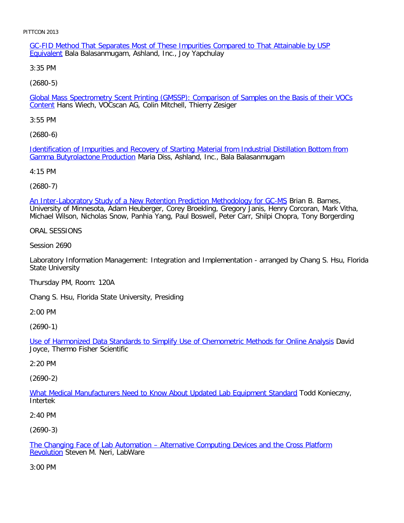GC-FID Method That Separates Most of These Impurities Compared to That Attainable by USP Equivalent Bala Balasanmugam, Ashland, Inc., Joy Yapchulay

3:35 PM

[\(2680-5\)](file:///p|/print%20on%20demand%20titles/23101-23200/23133/23133%20source%20materials/papers/2680-5.htm)

Global Mass Spectrometry Scent Printing (GMSSP): Comparison of Samples on the Basis of their VOCs Content Hans Wiech, VOCscan AG, Colin Mitchell, Thierry Zesiger

3:55 PM

[\(2680-6\)](file:///p|/print%20on%20demand%20titles/23101-23200/23133/23133%20source%20materials/papers/2680-6.htm)

[Identification of Impurities and](file:///p|/print%20on%20demand%20titles/23101-23200/23133/23133%20source%20materials/papers/2680-6.htm) Recovery of Starting Material from Industrial Distillation Bottom from Gamma Butyrolactone Production Maria Diss, Ashland, Inc., Bala Balasanmugam

4:15 PM

(2680-7)

[An Inter-Laboratory Study of a New Retention Prediction Methodology for GC-MS](file:///p|/print%20on%20demand%20titles/23101-23200/23133/23133%20source%20materials/papers/2680-7.htm) Brian B. Barnes, University of Minnesota, Adam Heuberger, Corey Broekling, Gregory Janis, Henry Corcoran, Mark Vitha, Michael Wilson, Nicholas Snow, Panhia Yang, Paul Boswell, Peter Carr, Shilpi Chopra, Tony Borgerding

ORAL SESSIONS

Session 2690

Laboratory Information Management: Integration and Implementation - arranged by Chang S. Hsu, Florida State University

Thursday PM, Room: 120A

Chang S. Hsu, Florida State University, Presiding

2:00 PM

(2690-1)

Use of Harmonized Data Standards to Simplify Use of Chemometric Methods for Online Analysis David [Joyce, Thermo Fisher Scientific](file:///p|/print%20on%20demand%20titles/23101-23200/23133/23133%20source%20materials/papers/2690-1.htm)

2:20 PM

(2690-2)

What Medical Manufacturers Need to Know About Updated Lab Equipment Standard Todd Konieczny, [Intertek](file:///p|/print%20on%20demand%20titles/23101-23200/23133/23133%20source%20materials/papers/2690-2.htm)

2:40 PM

(2690-3)

The Changing Face of Lab Automation – Alternative Computing Devices and the Cross Platform **Revolution** Steven M. Neri, LabWare

[3:00 PM](file:///p|/print%20on%20demand%20titles/23101-23200/23133/23133%20source%20materials/papers/2690-3.htm)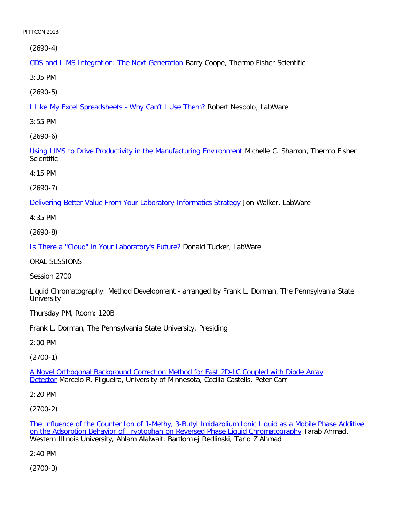[\(2690-4\)](file:///p|/print%20on%20demand%20titles/23101-23200/23133/23133%20source%20materials/papers/2690-4.htm)

CDS and LIMS Integration: The Next Generation Barry Coope, Thermo Fisher Scientific

3:35 PM

[\(2690-5\)](file:///p|/print%20on%20demand%20titles/23101-23200/23133/23133%20source%20materials/papers/2690-5.htm)

**I Like My Excel Spreadsheets - Why Can't I Use Them? Robert Nespolo, LabWare** 

3:55 PM

[\(2690-6\)](file:///p|/print%20on%20demand%20titles/23101-23200/23133/23133%20source%20materials/papers/2690-6.htm)

Using LIMS to Drive Productivity in the Manufacturing Environment Michelle C. Sharron, Thermo Fisher **Scientific** 

4:15 PM

(2690-7)

[Delivering Better Value From Your Laboratory Informatics Strategy](file:///p|/print%20on%20demand%20titles/23101-23200/23133/23133%20source%20materials/papers/2690-7.htm) Jon Walker, LabWare

4:35 PM

(2690-8)

[Is There a "Cloud" in Your Laboratory's Future?](file:///p|/print%20on%20demand%20titles/23101-23200/23133/23133%20source%20materials/papers/2690-8.htm) Donald Tucker, LabWare

ORAL SESSIONS

Session 2700

Liquid Chromatography: Method Development - arranged by Frank L. Dorman, The Pennsylvania State **University** 

Thursday PM, Room: 120B

Frank L. Dorman, The Pennsylvania State University, Presiding

2:00 PM

(2700-1)

A Novel Orthogonal Background Correction Method for Fast 2D-LC Coupled with Diode Array Detector [Marcelo R. Filgueira, University of Minnesota, Cecilia Castells, Peter Carr](file:///p|/print%20on%20demand%20titles/23101-23200/23133/23133%20source%20materials/papers/2700-1.htm)

[2:20](file:///p|/print%20on%20demand%20titles/23101-23200/23133/23133%20source%20materials/papers/2700-1.htm) PM

(2700-2)

The Influence of the Counter Ion of 1-Methy, 3-Butyl Imidazolium Ionic Liquid as a Mobile Phase Additive on the Adsorption Behavior of Tryptophan on Reversed Phase Liquid Chromatography Tarab Ahmad, [Western Illinois University, Ahlam Alalwait, Bartlomiej Redlinski, Tariq Z Ahmad](file:///p|/print%20on%20demand%20titles/23101-23200/23133/23133%20source%20materials/papers/2700-2.htm)

[2:40 PM](file:///p|/print%20on%20demand%20titles/23101-23200/23133/23133%20source%20materials/papers/2700-2.htm)

(2700-3)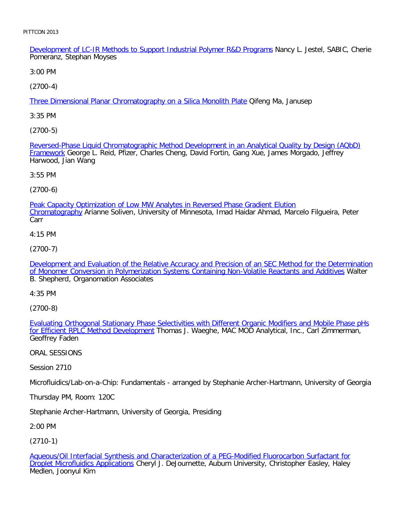Development of LC-IR Methods to Support Industrial Polymer R&D Programs Nancy L. Jestel, SABIC, Cherie Pomeranz, Stephan Moyses

3:00 PM

[\(2700-4\)](file:///p|/print%20on%20demand%20titles/23101-23200/23133/23133%20source%20materials/papers/2700-4.htm)

Three Dimensional Planar Chromatography on a Silica Monolith Plate Qifeng Ma, Janusep

3:35 PM

[\(2700-5\)](file:///p|/print%20on%20demand%20titles/23101-23200/23133/23133%20source%20materials/papers/2700-5.htm)

[Revers](file:///p|/print%20on%20demand%20titles/23101-23200/23133/23133%20source%20materials/papers/2700-5.htm)ed-Phase Liquid Chromatographic Method Development in an Analytical Quality by Design (AQbD) Framework George L. Reid, Pfizer, Charles Cheng, David Fortin, Gang Xue, James Morgado, Jeffrey Harwood, Jian Wang

3:55 PM

(2700-6)

[Peak Capacity Optimization of Low MW Analytes in Reversed Phase Gradient Elution](file:///p|/print%20on%20demand%20titles/23101-23200/23133/23133%20source%20materials/papers/2700-6.htm) Chromatography Arianne Soliven, University of Minnesota, Imad Haidar Ahmad, Marcelo Filgueira, Peter Carr

4:15 PM

(2700-7)

[Development and Evaluation of the Relative Accuracy and Precision of an SEC Method for the Determination](file:///p|/print%20on%20demand%20titles/23101-23200/23133/23133%20source%20materials/papers/2700-7.htm) [of Monomer Conversion in Polymerization Systems Containing Non-Volatile Reactants and Additives](file:///p|/print%20on%20demand%20titles/23101-23200/23133/23133%20source%20materials/papers/2700-7.htm) Walter B. Shepherd, Organomation Associates

4:35 PM

(2700-8)

Evaluating Orthogonal Stationary Phase Selectivities with Different Organic Modifiers and Mobile Phase pHs for Efficient RPLC Method Development [Thomas J. Waeghe, MAC MOD Analytical, Inc., Carl Zimmerman,](file:///p|/print%20on%20demand%20titles/23101-23200/23133/23133%20source%20materials/papers/2700-8.htm) [Geoffrey Faden](file:///p|/print%20on%20demand%20titles/23101-23200/23133/23133%20source%20materials/papers/2700-8.htm)

ORAL SESSIONS

Session 2710

Microfluidics/Lab-on-a-Chip: Fundamentals - arranged by Stephanie Archer-Hartmann, University of Georgia

Thursday PM, Room: 120C

Stephanie Archer-Hartmann, University of Georgia, Presiding

2:00 PM

(2710-1)

Aqueous/Oil Interfacial Synthesis and Characterization of a PEG-Modified Fluorocarbon Surfactant for Droplet Microfluidics Applications Cheryl J. DeJournette, Auburn University, Christopher Easley, Haley [Medlen, Joonyul Kim](file:///p|/print%20on%20demand%20titles/23101-23200/23133/23133%20source%20materials/papers/2710-1.htm)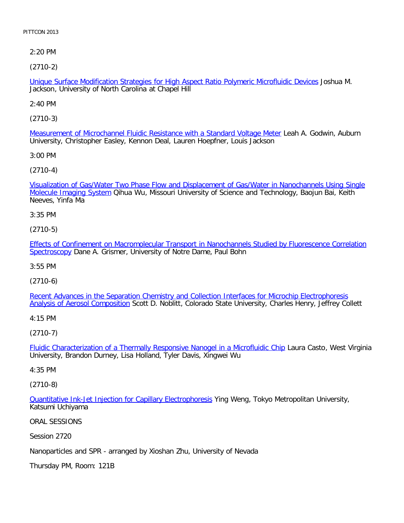2:20 PM

[\(2710-2\)](file:///p|/print%20on%20demand%20titles/23101-23200/23133/23133%20source%20materials/papers/2710-2.htm)

Unique Surface Modification Strategies for High Aspect Ratio Polymeric Microfluidic Devices Joshua M. Jackson, University of North Carolina at Chapel Hill

2:40 PM

[\(2710-3\)](file:///p|/print%20on%20demand%20titles/23101-23200/23133/23133%20source%20materials/papers/2710-3.htm)

Measurement of Microchannel Fluidic Resistance with a Standard Voltage Meter Leah A. Godwin, Auburn University, Christopher Easley, Kennon Deal, Lauren Hoepfner, Louis Jackson

3:00 PM

[\(2710-4\)](file:///p|/print%20on%20demand%20titles/23101-23200/23133/23133%20source%20materials/papers/2710-4.htm)

[Visualization of Gas/Wa](file:///p|/print%20on%20demand%20titles/23101-23200/23133/23133%20source%20materials/papers/2710-4.htm)ter Two Phase Flow and Displacement of Gas/Water in Nanochannels Using Single Molecule Imaging System Qihua Wu, Missouri University of Science and Technology, Baojun Bai, Keith Neeves, Yinfa Ma

3:35 PM

(2710-5)

[Effects of Confinement on Macromolecular Transport in Nanochannels Studied by Fluorescence Correlation](file:///p|/print%20on%20demand%20titles/23101-23200/23133/23133%20source%20materials/papers/2710-5.htm) [Spectrosc](file:///p|/print%20on%20demand%20titles/23101-23200/23133/23133%20source%20materials/papers/2710-5.htm)opy Dane A. Grismer, University of Notre Dame, Paul Bohn

3:55 PM

(2710-6)

[Recent Advances in the Separation Chemistry and Collection Interfaces for Microchip Electrophoresis](file:///p|/print%20on%20demand%20titles/23101-23200/23133/23133%20source%20materials/papers/2710-6.htm) [Analysis of Aerosol Compositio](file:///p|/print%20on%20demand%20titles/23101-23200/23133/23133%20source%20materials/papers/2710-6.htm)n Scott D. Noblitt, Colorado State University, Charles Henry, Jeffrey Collett

4:15 PM

(2710-7)

Fluidic Characterization of a Thermally Responsive Nanogel in a Microfluidic Chip Laura Casto, West Virginia [University, Brandon Durney, Lisa Holland, Tyler Davis, Xingwei Wu](file:///p|/print%20on%20demand%20titles/23101-23200/23133/23133%20source%20materials/papers/2710-7.htm)

4:35 PM

(2710-8)

Quantitative Ink-Jet Injection for Capillary Electrophoresis Ying Weng, Tokyo Metropolitan University, Katsumi Uchiyama

[ORAL SESSIONS](file:///p|/print%20on%20demand%20titles/23101-23200/23133/23133%20source%20materials/papers/2710-8.htm)

Session 2720

Nanoparticles and SPR - arranged by Xioshan Zhu, University of Nevada

Thursday PM, Room: 121B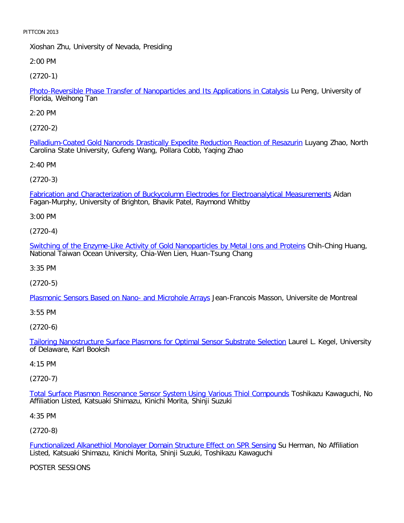Xioshan Zhu, University of Nevada, Presiding

2:00 PM

[\(2720-1\)](file:///p|/print%20on%20demand%20titles/23101-23200/23133/23133%20source%20materials/papers/2720-1.htm)

Photo-Reversible Phase Transfer of Nanoparticles and Its Applications in Catalysis Lu Peng, University of Florida, Weihong Tan

2:20 PM

[\(2720-2\)](file:///p|/print%20on%20demand%20titles/23101-23200/23133/23133%20source%20materials/papers/2720-2.htm)

Palladium-Coated Gold Nanorods Drastically Expedite Reduction Reaction of Resazurin Luyang Zhao, North Carolina State University, Gufeng Wang, Pollara Cobb, Yaqing Zhao

2:40 PM

(2720-3)

[Fabrication and Characterization of Buckycolumn Electrodes for Electroanalytical Measurements](file:///p|/print%20on%20demand%20titles/23101-23200/23133/23133%20source%20materials/papers/2720-3.htm) Aidan Fagan-Murphy, University of Brighton, Bhavik Patel, Raymond Whitby

3:00 PM

(2720-4)

[Switching of the Enzyme-Like Activity of Gold Nanoparticles by Metal Ions and Proteins](file:///p|/print%20on%20demand%20titles/23101-23200/23133/23133%20source%20materials/papers/2720-4.htm) Chih-Ching Huang, National Taiwan Ocean University, Chia-Wen Lien, Huan-Tsung Chang

3:35 PM

(2720-5)

[Plasmonic Sensors Based on Nano- and Microhole Arrays](file:///p|/print%20on%20demand%20titles/23101-23200/23133/23133%20source%20materials/papers/2720-5.htm) Jean-Francois Masson, Universite de Montreal

3:55 PM

(2720-6)

Tailoring Nanostructure Surface Plasmons for Optimal Sensor Substrate Selection Laurel L. Kegel, University [of Delaware, Karl Booksh](file:///p|/print%20on%20demand%20titles/23101-23200/23133/23133%20source%20materials/papers/2720-6.htm)

# 4:15 PM

(2720-7)

Total Surface Plasmon Resonance Sensor System Using Various Thiol Compounds Toshikazu Kawaguchi, No [Affiliation Listed, Katsuaki Shimazu, Kinichi Morita, Shinji Suzuki](file:///p|/print%20on%20demand%20titles/23101-23200/23133/23133%20source%20materials/papers/2720-7.htm)

4:35 PM

(2720-8)

Functionalized Alkanethiol Monolayer Domain Structure Effect on SPR Sensing Su Herman, No Affiliation Listed, Katsuaki Shimazu, Kinichi Morita, Shinji Suzuki, Toshikazu Kawaguchi

[POSTER SESSIONS](file:///p|/print%20on%20demand%20titles/23101-23200/23133/23133%20source%20materials/papers/2720-8.htm)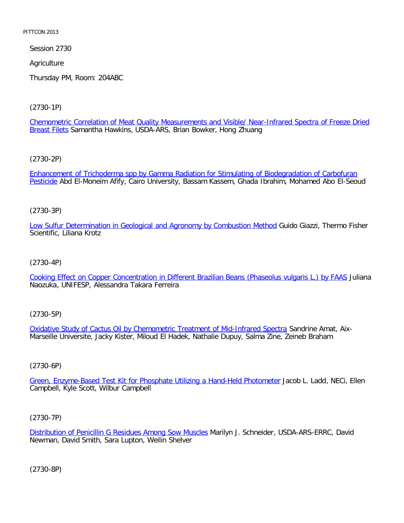Session 2730

**Agriculture** 

Thursday PM, Room: 204ABC

[\(2730-1P\)](file:///p|/print%20on%20demand%20titles/23101-23200/23133/23133%20source%20materials/papers/2730-1.htm)

[Chemom](file:///p|/print%20on%20demand%20titles/23101-23200/23133/23133%20source%20materials/papers/2730-1.htm)etric Correlation of Meat Quality Measurements and Visible/ Near-Infrared Spectra of Freeze Dried Breast Filets Samantha Hawkins, USDA-ARS, Brian Bowker, Hong Zhuang

[\(2730-2P\)](file:///p|/print%20on%20demand%20titles/23101-23200/23133/23133%20source%20materials/papers/2730-2.htm)

[Enh](file:///p|/print%20on%20demand%20titles/23101-23200/23133/23133%20source%20materials/papers/2730-2.htm)ancement of Trichoderma spp by Gamma Radiation for Stimulating of Biodegradation of Carbofuran Pesticide Abd El-Moneim Afify, Cairo University, Bassam Kassem, Ghada Ibrahim, Mohamed Abo El-Seoud

### (2730-3P)

[Low Sulfur Determination in Geological and Agronomy by Combustion Method](file:///p|/print%20on%20demand%20titles/23101-23200/23133/23133%20source%20materials/papers/2730-3.htm) Guido Giazzi, Thermo Fisher Scientific, Liliana Krotz

### (2730-4P)

[Cooking Effect on Copper Concentration in Different Brazilian Beans \(Phaseolus vulgaris L.\) by FAAS](file:///p|/print%20on%20demand%20titles/23101-23200/23133/23133%20source%20materials/papers/2730-4.htm) Juliana Naozuka, UNIFESP, Alessandra Takara Ferreira

### (2730-5P)

Oxidative Study of Cactus Oil by Chemometric Treatment of Mid-Infrared Spectra Sandrine Amat, Aix-[Marseille Universite, Jacky Kister, Miloud El Hadek, Nathalie Dupuy, Salma Zine, Zein](file:///p|/print%20on%20demand%20titles/23101-23200/23133/23133%20source%20materials/papers/2730-5.htm)eb Braham

### (2730-6P)

Green, Enzyme-Based Test Kit for Phosphate Utilizing a Hand-Held Photometer Jacob L. Ladd, NECi, Ellen [Campbell, Kyle Scott, Wilbur Campbell](file:///p|/print%20on%20demand%20titles/23101-23200/23133/23133%20source%20materials/papers/2730-6.htm)

### (2730-7P)

Distribution of Penicillin G Residues Among Sow Muscles Marilyn J. Schneider, USDA-ARS-ERRC, David Newman, David Smith, Sara Lupton, Weilin Shelver

(2730-8P)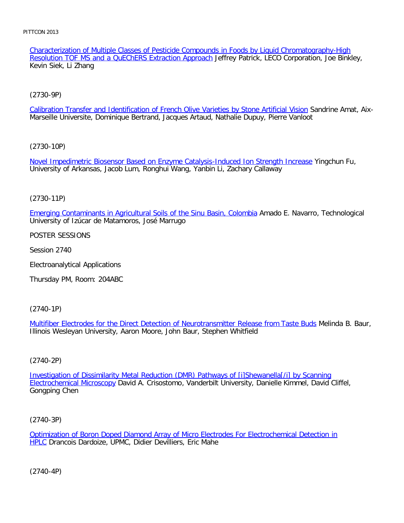Characterization of Multiple Classes of Pesticide Compounds in Foods by Liquid Chromatography-High Resolution TOF MS and a QuEChERS Extraction Approach Jeffrey Patrick, LECO Corporation, Joe Binkley, Kevin Siek, Li Zhang

# [\(2730-9P\)](file:///p|/print%20on%20demand%20titles/23101-23200/23133/23133%20source%20materials/papers/2730-9.htm)

Calibration Transfer and Identification of French Olive Varieties by Stone Artificial Vision Sandrine Amat, Aix-Marseille Universite, Dominique Bertrand, Jacques Artaud, Nathalie Dupuy, Pierre Vanloot

### [\(2730-10P\)](file:///p|/print%20on%20demand%20titles/23101-23200/23133/23133%20source%20materials/papers/2730-10.htm)

Novel Impedimetric Biosensor Based on Enzyme Catalysis-Induced Ion Strength Increase Yingchun Fu, University of Arkansas, Jacob Lum, Ronghui Wang, Yanbin Li, Zachary Callaway

### (2730-11P)

[Emerging Contaminants in Agricultural Soils of the Sinu Basin, Colombia](file:///p|/print%20on%20demand%20titles/23101-23200/23133/23133%20source%20materials/papers/2730-11.htm) Amado E. Navarro, Technological University of Izúcar de Matamoros, José Marrugo

### POSTER SESSIONS

Session 2740

Electroanalytical Applications

Thursday PM, Room: 204ABC

# (2740-1P)

Multifiber Electrodes for the Direct Detection of Neurotransmitter Release from Taste Buds Melinda B. Baur, [Illinois Wesleyan University, Aaron Moore, John Baur, Stephen Whitfield](file:///p|/print%20on%20demand%20titles/23101-23200/23133/23133%20source%20materials/papers/2740-1.htm)

# (2740-2P)

Investigation of Dissimilarity Metal Reduction (DMR) Pathways of [i]Shewanella[/i] by Scanning Electrochemical Microscopy [David A. Crisostomo, Vanderbilt University, Danielle Kimmel, David Cliffe](file:///p|/print%20on%20demand%20titles/23101-23200/23133/23133%20source%20materials/papers/2740-2.htm)l, [Gongping Chen](file:///p|/print%20on%20demand%20titles/23101-23200/23133/23133%20source%20materials/papers/2740-2.htm)

### (2740-3P)

Optimization of Boron Doped Diamond Array of Micro Electrodes For Electrochemical Detection in HPLC Drancois Dardoize, UPMC, Didier Devilliers, Eric Mahe

(2740-4P)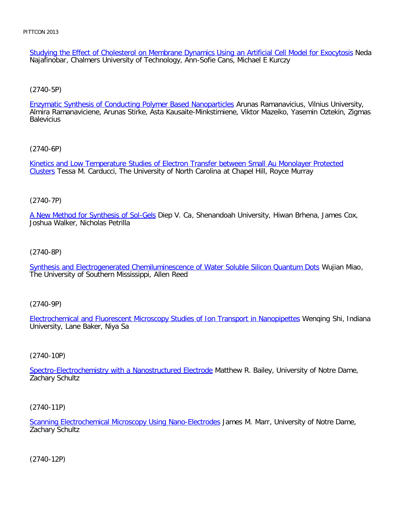Studying the Effect of Cholesterol on Membrane Dynamics Using an Artificial Cell Model for Exocytosis Neda Najafinobar, Chalmers University of Technology, Ann-Sofie Cans, Michael E Kurczy

[\(2740-5P\)](file:///p|/print%20on%20demand%20titles/23101-23200/23133/23133%20source%20materials/papers/2740-5.htm)

Enzymatic Synthesis of Conducting Polymer Based Nanoparticles Arunas Ramanavicius, Vilnius University, Almira Ramanaviciene, Arunas Stirke, Asta Kausaite-Minkstimiene, Viktor Mazeiko, Yasemin Oztekin, Zigmas **Balevicius** 

[\(2740-6P\)](file:///p|/print%20on%20demand%20titles/23101-23200/23133/23133%20source%20materials/papers/2740-6.htm)

[Kin](file:///p|/print%20on%20demand%20titles/23101-23200/23133/23133%20source%20materials/papers/2740-6.htm)etics and Low Temperature Studies of Electron Transfer between Small Au Monolayer Protected Clusters Tessa M. Carducci, The University of North Carolina at Chapel Hill, Royce Murray

(2740-7P)

[A New Method for Synthesis of Sol-Ge](file:///p|/print%20on%20demand%20titles/23101-23200/23133/23133%20source%20materials/papers/2740-7.htm)ls Diep V. Ca, Shenandoah University, Hiwan Brhena, James Cox, Joshua Walker, Nicholas Petrilla

(2740-8P)

[Synthesis and Electrogenerated Chemiluminescence of Water Soluble Silicon Quantum Dots](file:///p|/print%20on%20demand%20titles/23101-23200/23133/23133%20source%20materials/papers/2740-8.htm) Wujian Miao, The University of Southern Mississippi, Allen Reed

(2740-9P)

Electrochemical and Fluorescent Microscopy Studies of Ion Transport in Nanopipettes Wenqing Shi, Indiana [University, Lane Baker, Niya Sa](file:///p|/print%20on%20demand%20titles/23101-23200/23133/23133%20source%20materials/papers/2740-9.htm)

(2740-10P)

Spectro-Electrochemistry with a Nanostructured Electrode Matthew R. Bailey, University of Notre Dame, [Zachary Schultz](file:///p|/print%20on%20demand%20titles/23101-23200/23133/23133%20source%20materials/papers/2740-10.htm)

(2740-11P)

Scanning Electrochemical Microscopy Using Nano-Electrodes James M. Marr, University of Notre Dame, Zachary Schultz

(2740-12P)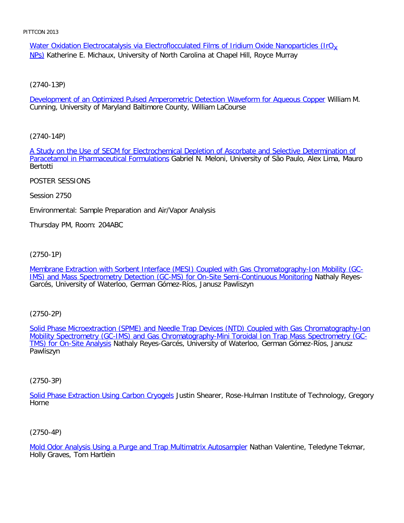Water Oxidation Electrocatalysis via Electroflocculated Films of Iridium Oxide Nanoparticles (IrO $_{\rm Y}$ NPs) Katherine E. Michaux, University of North Carolina at Chapel Hill, Royce Murray

[\(2740-13P\)](file:///p|/print%20on%20demand%20titles/23101-23200/23133/23133%20source%20materials/papers/2740-13.htm)

Development of an Optimized Pulsed Amperometric Detection Waveform for Aqueous Copper William M. Cunning, University of Maryland Baltimore County, William LaCourse

[\(2740-14P\)](file:///p|/print%20on%20demand%20titles/23101-23200/23133/23133%20source%20materials/papers/2740-14.htm)

[A Study on the Use of SECM for Electrochem](file:///p|/print%20on%20demand%20titles/23101-23200/23133/23133%20source%20materials/papers/2740-14.htm)ical Depletion of Ascorbate and Selective Determination of Paracetamol in Pharmaceutical Formulations Gabriel N. Meloni, University of São Paulo, Alex Lima, Mauro Bertotti

POSTER SESSIONS

Session 2750

Environmental: Sample Preparation and Air/Vapor Analysis

Thursday PM, Room: 204ABC

(2750-1P)

[Membrane Extraction with Sorbent Interface \(MESI\) Coupled with Gas Chromatography-Ion Mobility \(GC-](file:///p|/print%20on%20demand%20titles/23101-23200/23133/23133%20source%20materials/papers/2750-1.htm)[IMS\) and Mass Spectrometry Detection \(GC-MS\) for On-Site Semi-Continuous Monitoring](file:///p|/print%20on%20demand%20titles/23101-23200/23133/23133%20source%20materials/papers/2750-1.htm) Nathaly Reyes-Garcés, University of Waterloo, German Gómez-Ríos, Janusz Pawliszyn

(2750-2P)

Solid Phase Microextraction (SPME) and Needle Trap Devices (NTD) Coupled with Gas Chromatography-Ion [Mobility Spectrometry \(GC-IMS\) and Gas Chromatography-Mini Toroidal Ion Trap Mass Spectrometry \(GC-](file:///p|/print%20on%20demand%20titles/23101-23200/23133/23133%20source%20materials/papers/2750-2.htm)TMS) for On-Site Analysis [Nathaly Reyes-Garcés, University of Waterloo, German Gómez-Ríos, Janusz](file:///p|/print%20on%20demand%20titles/23101-23200/23133/23133%20source%20materials/papers/2750-2.htm) [Pawliszyn](file:///p|/print%20on%20demand%20titles/23101-23200/23133/23133%20source%20materials/papers/2750-2.htm)

(2750-3P)

Solid Phase Extraction Using Carbon Cryogels Justin Shearer, Rose-Hulman Institute of Technology, Gregory [Horne](file:///p|/print%20on%20demand%20titles/23101-23200/23133/23133%20source%20materials/papers/2750-3.htm)

(2750-4P)

Mold Odor Analysis Using a Purge and Trap Multimatrix Autosampler Nathan Valentine, Teledyne Tekmar, Holly Graves, Tom Hartlein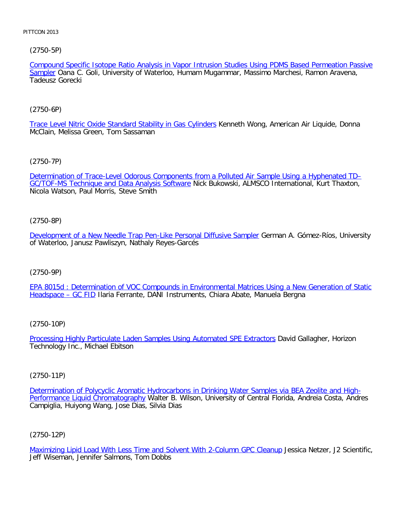# [\(2750-5P\)](file:///p|/print%20on%20demand%20titles/23101-23200/23133/23133%20source%20materials/papers/2750-5.htm)

Compound Specific Isotope Ratio Analysis in Vapor Intrusion Studies Using PDMS Based Permeation Passive Sampler Oana C. Goli, University of Waterloo, Humam Mugammar, Massimo Marchesi, Ramon Aravena, Tadeusz Gorecki

# [\(2750-6P\)](file:///p|/print%20on%20demand%20titles/23101-23200/23133/23133%20source%20materials/papers/2750-6.htm)

Trace Level Nitric Oxide Standard Stability in Gas Cylinders Kenneth Wong, American Air Liquide, Donna McClain, Melissa Green, Tom Sassaman

# [\(2750-7P\)](file:///p|/print%20on%20demand%20titles/23101-23200/23133/23133%20source%20materials/papers/2750-7.htm)

[Determination of Trace-Level Odorous Components](file:///p|/print%20on%20demand%20titles/23101-23200/23133/23133%20source%20materials/papers/2750-7.htm) from a Polluted Air Sample Using a Hyphenated TD– GC/TOF-MS Technique and Data Analysis Software Nick Bukowski, ALMSCO International, Kurt Thaxton, Nicola Watson, Paul Morris, Steve Smith

# (2750-8P)

[Development of a New Needle Trap Pen-Like Personal Diffusive Sampler](file:///p|/print%20on%20demand%20titles/23101-23200/23133/23133%20source%20materials/papers/2750-8.htm) German A. Gómez-Ríos, University of Waterloo, Janusz Pawliszyn, Nathaly Reyes-Garcés

# (2750-9P)

[EPA 8015d : Determination of VOC Compounds in Environmental Matrices Using a New Generation of Static](file:///p|/print%20on%20demand%20titles/23101-23200/23133/23133%20source%20materials/papers/2750-9.htm) [Headspace – GC](file:///p|/print%20on%20demand%20titles/23101-23200/23133/23133%20source%20materials/papers/2750-9.htm) FID Ilaria Ferrante, DANI Instruments, Chiara Abate, Manuela Bergna

# (2750-10P)

Processing Highly Particulate Laden Samples Using Automated SPE Extractors David Gallagher, Horizon [Technology Inc., Michael Ebitson](file:///p|/print%20on%20demand%20titles/23101-23200/23133/23133%20source%20materials/papers/2750-10.htm)

# (2750-11P)

Determination of Polycyclic Aromatic Hydrocarbons in Drinking Water Samples via BEA Zeolite and High-Performance Liquid Chromatography Walter B. Wilson, University of Central Florida, Andreia Costa, Andres [Campiglia, Huiyong Wang, Jose Dias, Silvia Dias](file:///p|/print%20on%20demand%20titles/23101-23200/23133/23133%20source%20materials/papers/2750-11.htm)

(2750-12P)

Maximizing Lipid Load With Less Time and Solvent With 2-Column GPC Cleanup Jessica Netzer, J2 Scientific, Jeff Wiseman, Jennifer Salmons, Tom Dobbs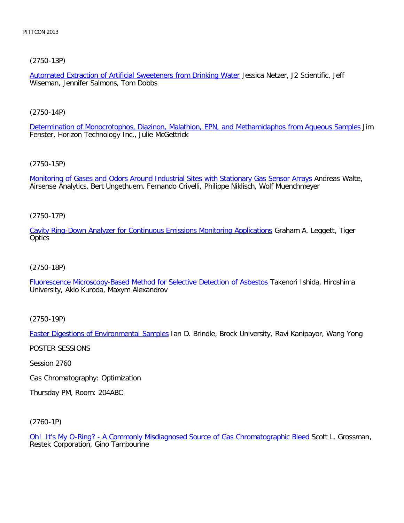[\(2750-13P\)](file:///p|/print%20on%20demand%20titles/23101-23200/23133/23133%20source%20materials/papers/2750-13.htm)

Automated Extraction of Artificial Sweeteners from Drinking Water Jessica Netzer, J2 Scientific, Jeff Wiseman, Jennifer Salmons, Tom Dobbs

[\(2750-14P\)](file:///p|/print%20on%20demand%20titles/23101-23200/23133/23133%20source%20materials/papers/2750-14.htm)

Determination of Monocrotophos, Diazinon, Malathion, EPN, and Methamidaphos from Aqueous Samples Jim Fenster, Horizon Technology Inc., Julie McGettrick

[\(2750-15P\)](file:///p|/print%20on%20demand%20titles/23101-23200/23133/23133%20source%20materials/papers/2750-15.htm)

Monitoring of Gases and Odors Around Industrial Sites with Stationary Gas Sensor Arrays Andreas Walte, Airsense Analytics, Bert Ungethuem, Fernando Crivelli, Philippe Niklisch, Wolf Muenchmeyer

(2750-17P)

[Cavity Ring-Down Analyzer for Continuous Emissions Monitoring Applications](file:///p|/print%20on%20demand%20titles/23101-23200/23133/23133%20source%20materials/papers/2750-17.htm) Graham A. Leggett, Tiger **Optics** 

(2750-18P)

[Fluorescence Microscopy-Based Method for Selective Detection of Asbestos](file:///p|/print%20on%20demand%20titles/23101-23200/23133/23133%20source%20materials/papers/2750-18.htm) Takenori Ishida, Hiroshima University, Akio Kuroda, Maxym Alexandrov

(2750-19P)

Faster Digestions of Environmental Samples Ian D. Brindle, Brock University, Ravi Kanipayor, Wang Yong

[POSTER SESSIONS](file:///p|/print%20on%20demand%20titles/23101-23200/23133/23133%20source%20materials/papers/2750-19.htm)

Session 2760

Gas Chromatography: Optimization

Thursday PM, Room: 204ABC

(2760-1P)

Oh! It's My O-Ring? - A Commonly Misdiagnosed Source of Gas Chromatographic Bleed Scott L. Grossman, Restek Corporation, Gino Tambourine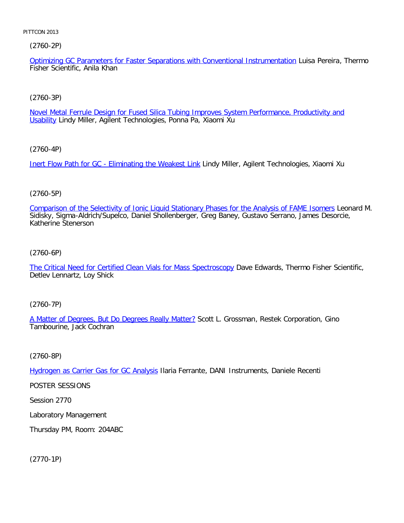(2760-2P)

Optimizing GC Parameters for Faster Separations with Conventional Instrumentation Luisa Pereira, Thermo Fisher Scientific, Anila Khan

[\(2760-3P\)](file:///p|/print%20on%20demand%20titles/23101-23200/23133/23133%20source%20materials/papers/2760-3.htm)

Novel Metal Ferrule Design for Fused Silica Tubing Improves System Performance, Productivity and Usability Lindy Miller, Agilent Technologies, Ponna Pa, Xiaomi Xu

[\(2760-4P\)](file:///p|/print%20on%20demand%20titles/23101-23200/23133/23133%20source%20materials/papers/2760-4.htm)

Inert Flow Path for GC - Eliminating the Weakest Link Lindy Miller, Agilent Technologies, Xiaomi Xu

# (2760-5P)

[Comparison of the Selectivity of Ionic Liquid Stationary Phases for the Analysis of FAME Isomers](file:///p|/print%20on%20demand%20titles/23101-23200/23133/23133%20source%20materials/papers/2760-5.htm) Leonard M. Sidisky, Sigma-Aldrich/Supelco, Daniel Shollenberger, Greg Baney, Gustavo Serrano, James Desorcie, Katherine Stenerson

(2760-6P)

[The Critical Need for Certified Clean Vials for Mass Spectroscopy](file:///p|/print%20on%20demand%20titles/23101-23200/23133/23133%20source%20materials/papers/2760-6.htm) Dave Edwards, Thermo Fisher Scientific, Detlev Lennartz, Loy Shick

(2760-7P)

A Matter of Degrees, But Do Degrees Really Matter? Scott L. Grossman, Restek Corporation, Gino [Tambourine, Jack Cochran](file:///p|/print%20on%20demand%20titles/23101-23200/23133/23133%20source%20materials/papers/2760-7.htm)

(2760-8P)

Hydrogen as Carrier Gas for GC Analysis Ilaria Ferrante, DANI Instruments, Daniele Recenti

[POSTER SESSIONS](file:///p|/print%20on%20demand%20titles/23101-23200/23133/23133%20source%20materials/papers/2760-8.htm)

Session 2770

Laboratory Management

Thursday PM, Room: 204ABC

(2770-1P)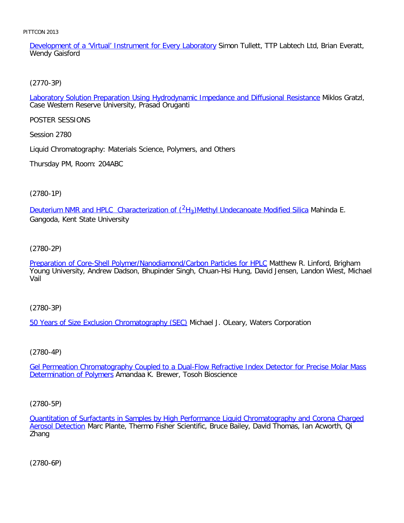Development of a 'Virtual' Instrument for Every Laboratory Simon Tullett, TTP Labtech Ltd, Brian Everatt, Wendy Gaisford

[\(2770-3P\)](file:///p|/print%20on%20demand%20titles/23101-23200/23133/23133%20source%20materials/papers/2770-3.htm)

Laboratory Solution Preparation Using Hydrodynamic Impedance and Diffusional Resistance Miklos Gratzl, Case Western Reserve University, Prasad Oruganti

POSTER SESSIONS

Session 2780

Liquid Chromatography: Materials Science, Polymers, and Others

Thursday PM, Room: 204ABC

(2780-1P)

<u>Deuterium NMR and HPLC Characterization of  $(^{2}H_{3})$ Methyl Undecanoate Modified Silica</u> Mahinda E. Gangoda, Kent State University

(2780-2P)

[Preparation of Core-Shell Polymer/Nanodiamond/Carbon Particles for HPLC](file:///p|/print%20on%20demand%20titles/23101-23200/23133/23133%20source%20materials/papers/2780-2.htm) Matthew R. Linford, Brigham Young University, Andrew Dadson, Bhupinder Singh, Chuan-Hsi Hung, David Jensen, Landon Wiest, Michael Vail

(2780-3P)

[50 Years of Size Exclusion Chromatography \(SEC\)](file:///p|/print%20on%20demand%20titles/23101-23200/23133/23133%20source%20materials/papers/2780-3.htm) Michael J. OLeary, Waters Corporation

(2780-4P)

Gel Permeation Chromatography Coupled to a Dual-Flow Refractive Index Detector for Precise Molar Mass **Determination of Polymers [Amandaa K. Brewer, Tosoh Bioscience](file:///p|/print%20on%20demand%20titles/23101-23200/23133/23133%20source%20materials/papers/2780-4.htm)** 

(2780-5P)

Quantitation of Surfactants in Samples by High Performance Liquid Chromatography and Corona Charged Aerosol Detection Marc Plante, Thermo Fisher Scientific, Bruce Bailey, David Thomas, Ian Acworth, Qi [Zhang](file:///p|/print%20on%20demand%20titles/23101-23200/23133/23133%20source%20materials/papers/2780-5.htm)

(2780-6P)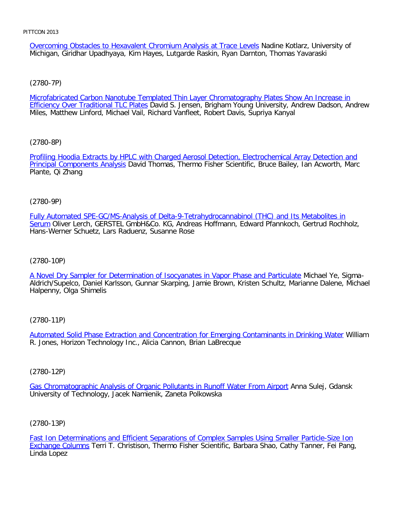Overcoming Obstacles to Hexavalent Chromium Analysis at Trace Levels Nadine Kotlarz, University of Michigan, Giridhar Upadhyaya, Kim Hayes, Lutgarde Raskin, Ryan Darnton, Thomas Yavaraski

[\(2780-7P\)](file:///p|/print%20on%20demand%20titles/23101-23200/23133/23133%20source%20materials/papers/2780-7.htm)

Microfabricated Carbon Nanotube Templated Thin Layer Chromatography Plates Show An Increase in **Efficiency Over Traditional TLC Plates David S. Jensen, Brigham Young University, Andrew Dadson, Andrew** Miles, Matthew Linford, Michael Vail, Richard Vanfleet, Robert Davis, Supriya Kanyal

[\(2780-8P\)](file:///p|/print%20on%20demand%20titles/23101-23200/23133/23133%20source%20materials/papers/2780-8.htm)

[Profiling Hoodia Extracts by](file:///p|/print%20on%20demand%20titles/23101-23200/23133/23133%20source%20materials/papers/2780-8.htm) HPLC with Charged Aerosol Detection, Electrochemical Array Detection and Principal Components Analysis David Thomas, Thermo Fisher Scientific, Bruce Bailey, Ian Acworth, Marc Plante, Qi Zhang

(2780-9P)

[Fully Automated SPE-GC/MS-Analysis of Delta-9-Tetrahydrocannabinol \(THC\) and Its Metabolites in](file:///p|/print%20on%20demand%20titles/23101-23200/23133/23133%20source%20materials/papers/2780-9.htm) Serum Oliver Lerch, GERSTEL GmbH&Co. KG, Andreas Hoffmann, Edward Pfannkoch, Gertrud Rochholz, Hans-Werner Schuetz, Lars Raduenz, Susanne Rose

(2780-10P)

[A Novel Dry Sampler for Determination of Isocyanates in Vapor Phase and Particulate](file:///p|/print%20on%20demand%20titles/23101-23200/23133/23133%20source%20materials/papers/2780-10.htm) Michael Ye, Sigma-Aldrich/Supelco, Daniel Karlsson, Gunnar Skarping, Jamie Brown, Kristen Schultz, Marianne Dalene, Michael Halpenny, Olga Shimelis

(2780-11P)

Automated Solid Phase Extraction and Concentration for Emerging Contaminants in Drinking Water William [R. Jones, Horizon Technology Inc., Alicia Cannon, Brian LaBrecque](file:///p|/print%20on%20demand%20titles/23101-23200/23133/23133%20source%20materials/papers/2780-11.htm)

(2780-12P)

Gas Chromatographic Analysis of Organic Pollutants in Runoff Water From Airport Anna Sulej, Gdansk [University of Technology, Jacek Namienik, Zaneta Polkowska](file:///p|/print%20on%20demand%20titles/23101-23200/23133/23133%20source%20materials/papers/2780-12.htm)

(2780-13P)

Fast Ion Determinations and Efficient Separations of Complex Samples Using Smaller Particle-Size Ion Exchange Columns Terri T. Christison, Thermo Fisher Scientific, Barbara Shao, Cathy Tanner, Fei Pang, [Linda Lopez](file:///p|/print%20on%20demand%20titles/23101-23200/23133/23133%20source%20materials/papers/2780-13.htm)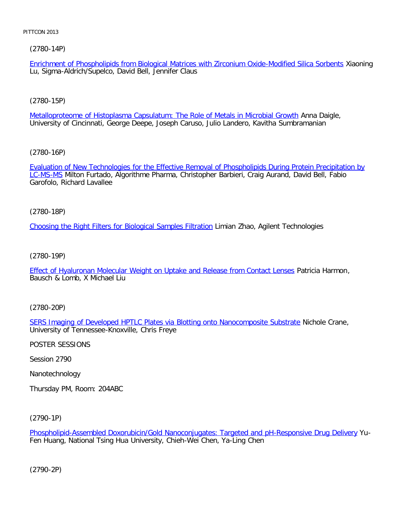# [\(2780-14P\)](file:///p|/print%20on%20demand%20titles/23101-23200/23133/23133%20source%20materials/papers/2780-14.htm)

Enrichment of Phospholipids from Biological Matrices with Zirconium Oxide-Modified Silica Sorbents Xiaoning Lu, Sigma-Aldrich/Supelco, David Bell, Jennifer Claus

# [\(2780-15P\)](file:///p|/print%20on%20demand%20titles/23101-23200/23133/23133%20source%20materials/papers/2780-15.htm)

Metalloproteome of Histoplasma Capsulatum: The Role of Metals in Microbial Growth Anna Daigle, University of Cincinnati, George Deepe, Joseph Caruso, Julio Landero, Kavitha Sumbramanian

[\(2780-16P\)](file:///p|/print%20on%20demand%20titles/23101-23200/23133/23133%20source%20materials/papers/2780-16.htm)

[Evalua](file:///p|/print%20on%20demand%20titles/23101-23200/23133/23133%20source%20materials/papers/2780-16.htm)tion of New Technologies for the Effective Removal of Phospholipids During Protein Precipitation by LC-MS-MS Milton Furtado, Algorithme Pharma, Christopher Barbieri, Craig Aurand, David Bell, Fabio Garofolo, Richard Lavallee

(2780-18P)

[Choosing the Right Filters for Biological Samples Filtration](file:///p|/print%20on%20demand%20titles/23101-23200/23133/23133%20source%20materials/papers/2780-18.htm) Limian Zhao, Agilent Technologies

(2780-19P)

[Effect of Hyaluronan Molecular Weight on Uptake and Release from Contact Lenses](file:///p|/print%20on%20demand%20titles/23101-23200/23133/23133%20source%20materials/papers/2780-19.htm) Patricia Harmon, Bausch & Lomb, X Michael Liu

(2780-20P)

SERS Imaging of Developed HPTLC Plates via Blotting onto Nanocomposite Substrate Nichole Crane, [University of Tennessee-Knoxville, Chris Freye](file:///p|/print%20on%20demand%20titles/23101-23200/23133/23133%20source%20materials/papers/2780-20.htm)

POSTER SESSIONS

Session 2790

Nanotechnology

Thursday PM, Room: 204ABC

(2790-1P)

Phospholipid-Assembled Doxorubicin/Gold Nanoconjugates: Targeted and pH-Responsive Drug Delivery Yu-Fen Huang, National Tsing Hua University, Chieh-Wei Chen, Ya-Ling Chen

(2790-2P)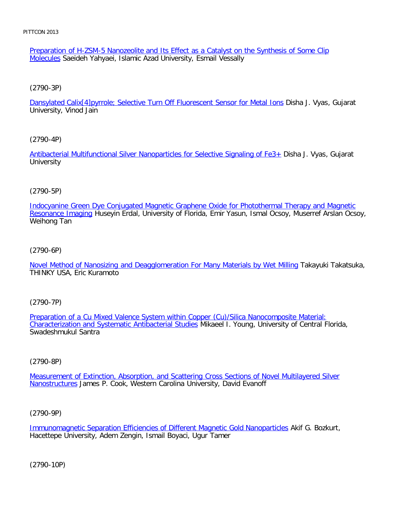Preparation of H-ZSM-5 Nanozeolite and Its Effect as a Catalyst on the Synthesis of Some Clip Molecules Saeideh Yahyaei, Islamic Azad University, Esmail Vessally

[\(2790-3P\)](file:///p|/print%20on%20demand%20titles/23101-23200/23133/23133%20source%20materials/papers/2790-3.htm)

Dansylated Calix[4]pyrrole; Selective Turn Off Fluorescent Sensor for Metal Ions Disha J. Vyas, Gujarat University, Vinod Jain

### [\(2790-4P\)](file:///p|/print%20on%20demand%20titles/23101-23200/23133/23133%20source%20materials/papers/2790-4.htm)

Antibacterial Multifunctional Silver Nanoparticles for Selective Signaling of Fe3+ Disha J. Vyas, Gujarat **University** 

# (2790-5P)

[Indocyanine Green Dye Conjugated Magnetic Graphene Oxide for Photothermal Therapy and Magnetic](file:///p|/print%20on%20demand%20titles/23101-23200/23133/23133%20source%20materials/papers/2790-5.htm) Resonance Imaging Huseyin Erdal, University of Florida, Emir Yasun, Ismal Ocsoy, Muserref Arslan Ocsoy, Weihong Tan

### (2790-6P)

[Novel Method of Nanosizing and Deagglomeration For Many Materials by Wet Milling](file:///p|/print%20on%20demand%20titles/23101-23200/23133/23133%20source%20materials/papers/2790-6.htm) Takayuki Takatsuka, THINKY USA, Eric Kuramoto

### (2790-7P)

Preparation of a Cu Mixed Valence System within Copper (Cu)/Silica Nanocomposite Material: [Characterization and Systematic Antibacterial Studies](file:///p|/print%20on%20demand%20titles/23101-23200/23133/23133%20source%20materials/papers/2790-7.htm) Mikaeel I. Young, University of Central Florida, [Swadeshmukul Santra](file:///p|/print%20on%20demand%20titles/23101-23200/23133/23133%20source%20materials/papers/2790-7.htm)

# (2790-8P)

Measurement of Extinction, Absorption, and Scattering Cross Sections of Novel Multilayered Silver Nanostructures [James P. Cook, Western Carolina University, David Evanoff](file:///p|/print%20on%20demand%20titles/23101-23200/23133/23133%20source%20materials/papers/2790-8.htm)

### (2790-9P)

Immunomagnetic Separation Efficiencies of Different Magnetic Gold Nanoparticles Akif G. Bozkurt, Hacettepe University, Adem Zengin, Ismail Boyaci, Ugur Tamer

(2790-10P)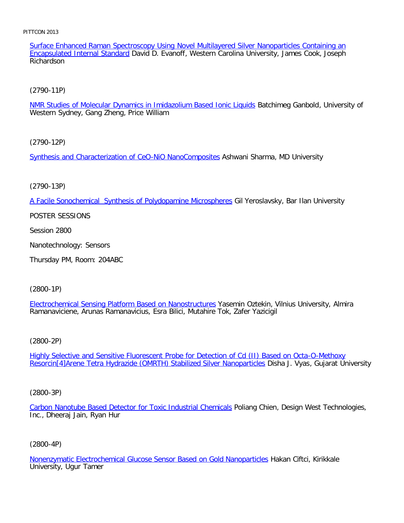Surface Enhanced Raman Spectroscopy Using Novel Multilayered Silver Nanoparticles Containing an Encapsulated Internal Standard David D. Evanoff, Western Carolina University, James Cook, Joseph Richardson

[\(2790-11P\)](file:///p|/print%20on%20demand%20titles/23101-23200/23133/23133%20source%20materials/papers/2790-11.htm)

NMR Studies of Molecular Dynamics in Imidazolium Based Ionic Liquids Batchimeg Ganbold, University of Western Sydney, Gang Zheng, Price William

[\(2790-12P\)](file:///p|/print%20on%20demand%20titles/23101-23200/23133/23133%20source%20materials/papers/2790-12.htm)

Synthesis and Characterization of CeO-NiO NanoComposites Ashwani Sharma, MD University

(2790-13P)

[A Facile Sonochemical Synthesis of Polydopamine Microspheres](file:///p|/print%20on%20demand%20titles/23101-23200/23133/23133%20source%20materials/papers/2790-13.htm) Gil Yeroslavsky, Bar Ilan University

POSTER SESSIONS

Session 2800

Nanotechnology: Sensors

Thursday PM, Room: 204ABC

(2800-1P)

Electrochemical Sensing Platform Based on Nanostructures Yasemin Oztekin, Vilnius University, Almira [Ramanaviciene, Arunas Ramanavicius, Esra Bilici, Mutahire T](file:///p|/print%20on%20demand%20titles/23101-23200/23133/23133%20source%20materials/papers/2800-1.htm)ok, Zafer Yazicigil

(2800-2P)

Highly Selective and Sensitive Fluorescent Probe for Detection of Cd (II) Based on Octa-O-Methoxy [Resorcin\[4\]Arene Tetra Hydrazide \(OMRTH\) Stabilized Silver Nanoparticles](file:///p|/print%20on%20demand%20titles/23101-23200/23133/23133%20source%20materials/papers/2800-2.htm) Disha J. Vyas, Gujarat University

(2800-3P)

Carbon Nanotube Based Detector for Toxic Industrial Chemicals Poliang Chien, Design West Technologies, Inc., Dheeraj Jain, Ryan Hur

(2800-4P)

Nonenzymatic Electrochemical Glucose Sensor Based on Gold Nanoparticles Hakan Ciftci, Kirikkale University, Ugur Tamer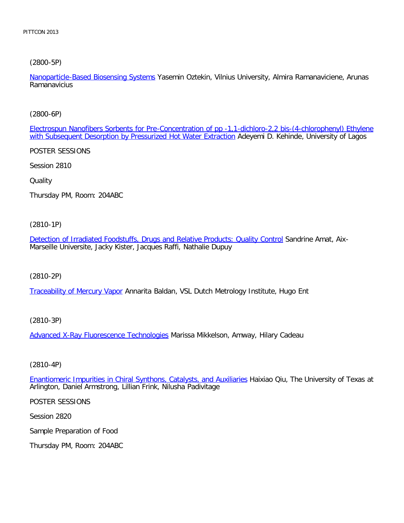[\(2800-5P\)](file:///p|/print%20on%20demand%20titles/23101-23200/23133/23133%20source%20materials/papers/2800-5.htm)

Nanoparticle-Based Biosensing Systems Yasemin Oztekin, Vilnius University, Almira Ramanaviciene, Arunas **Ramanavicius** 

[\(2800-6P\)](file:///p|/print%20on%20demand%20titles/23101-23200/23133/23133%20source%20materials/papers/2800-6.htm)

[Electrospun Nanofibers Sorbents for Pre-Concentration of pp -1,1-](file:///p|/print%20on%20demand%20titles/23101-23200/23133/23133%20source%20materials/papers/2800-6.htm)dichloro-2,2 bis-(4-chlorophenyl) Ethylene with Subsequent Desorption by Pressurized Hot Water Extraction Adeyemi D. Kehinde, University of Lagos

POSTER SESSIONS

Session 2810

**Quality** 

Thursday PM, Room: 204ABC

(2810-1P)

[Detection of Irradiated Foodstuffs, Drugs and Relative Products: Quality Control](file:///p|/print%20on%20demand%20titles/23101-23200/23133/23133%20source%20materials/papers/2810-1.htm) Sandrine Amat, Aix-Marseille Universite, Jacky Kister, Jacques Raffi, Nathalie Dupuy

(2810-2P)

[Traceability of Mercury Vap](file:///p|/print%20on%20demand%20titles/23101-23200/23133/23133%20source%20materials/papers/2810-2.htm)or Annarita Baldan, VSL Dutch Metrology Institute, Hugo Ent

(2810-3P)

Advanced X-Ray Fluorescence Technologies Marissa Mikkelson, Amway, Hilary Cadeau

(2810-4P)

Enantiomeric Impurities in Chiral Synthons, Catalysts, and Auxiliaries Haixiao Qiu, The University of Texas at [Arlington, Daniel Armstrong, Lillian Frink, Nilusha Padivitage](file:///p|/print%20on%20demand%20titles/23101-23200/23133/23133%20source%20materials/papers/2810-4.htm)

POSTER SESSIONS

Session 2820

Sample Preparation of Food

Thursday PM, Room: 204ABC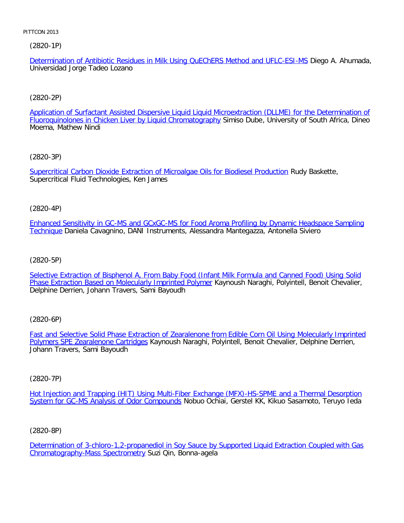(2820-1P)

Determination of Antibiotic Residues in Milk Using QuEChERS Method and UFLC-ESI-MS Diego A. Ahumada, Universidad Jorge Tadeo Lozano

# [\(2820-2P\)](file:///p|/print%20on%20demand%20titles/23101-23200/23133/23133%20source%20materials/papers/2820-2.htm)

Application of Surfactant Assisted Dispersive Liquid Liquid Microextraction (DLLME) for the Determination of Fluoroquinolones in Chicken Liver by Liquid Chromatography Simiso Dube, University of South Africa, Dineo Moema, Mathew Nindi

[\(2820-3P\)](file:///p|/print%20on%20demand%20titles/23101-23200/23133/23133%20source%20materials/papers/2820-3.htm)

Supercritical Carbon Dioxide Extraction of Microalgae Oils for Biodiesel Production Rudy Baskette, Supercritical Fluid Technologies, Ken James

(2820-4P)

[Enhanced Sensitivity in GC-MS and GCxGC-MS for Food Aroma Profiling by Dynamic Headspace Sampling](file:///p|/print%20on%20demand%20titles/23101-23200/23133/23133%20source%20materials/papers/2820-4.htm) [Techn](file:///p|/print%20on%20demand%20titles/23101-23200/23133/23133%20source%20materials/papers/2820-4.htm)ique Daniela Cavagnino, DANI Instruments, Alessandra Mantegazza, Antonella Siviero

(2820-5P)

[Selective Extraction of Bisphenol A, From Baby Food \(Infant Milk Formula and Canned Food\) Using Solid](file:///p|/print%20on%20demand%20titles/23101-23200/23133/23133%20source%20materials/papers/2820-5.htm) [Phase Extraction Based on Molecularly Imprinted Polymer](file:///p|/print%20on%20demand%20titles/23101-23200/23133/23133%20source%20materials/papers/2820-5.htm) Kaynoush Naraghi, Polyintell, Benoit Chevalier, Delphine Derrien, Johann Travers, Sami Bayoudh

(2820-6P)

Fast and Selective Solid Phase Extraction of Zearalenone from Edible Corn Oil Using Molecularly Imprinted Polymers SPE Zearalenone Cartridges [Kaynoush Naraghi, Polyintell, Benoit Chevalier, Delphine Derrien,](file:///p|/print%20on%20demand%20titles/23101-23200/23133/23133%20source%20materials/papers/2820-6.htm) [Johann Travers, Sami Bayoudh](file:///p|/print%20on%20demand%20titles/23101-23200/23133/23133%20source%20materials/papers/2820-6.htm)

(2820-7P)

Hot Injection and Trapping (HIT) Using Multi-Fiber Exchange (MFX)-HS-SPME and a Thermal Desorption System for GC-MS Analysis of Odor Compounds Nobuo Ochiai, Gerstel KK, Kikuo Sasamoto, Teruyo leda

(2820-8P)

Determination of 3-chloro-1,2-propanediol in Soy Sauce by Supported Liquid Extraction Coupled with Gas Chromatography-Mass Spectrometry Suzi Qin, Bonna-agela